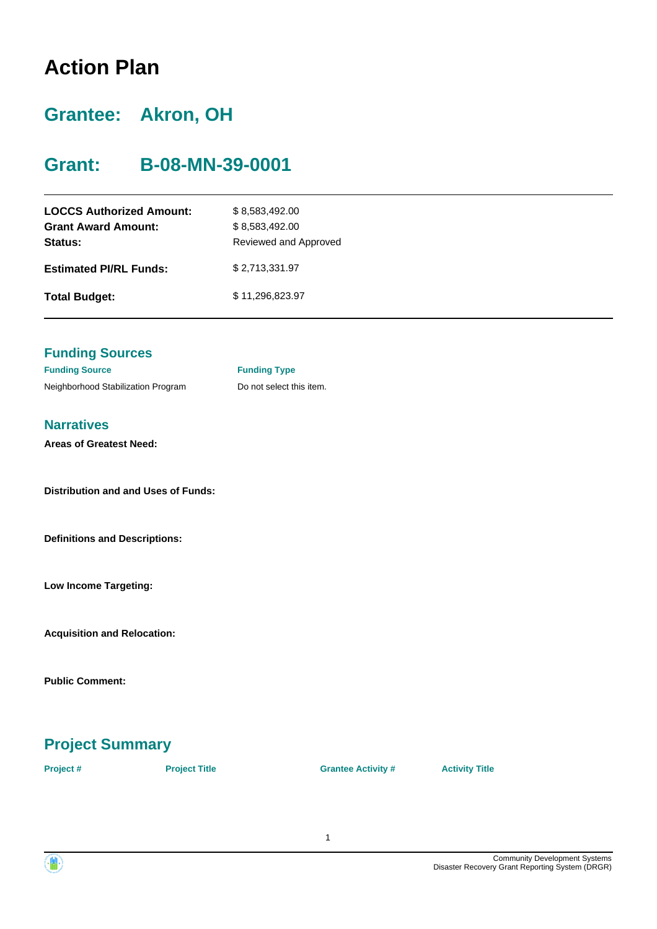# **Action Plan**

# **Grantee: Akron, OH**

# **Grant: B-08-MN-39-0001**

| <b>LOCCS Authorized Amount:</b><br><b>Grant Award Amount:</b><br>Status: | \$8,583,492.00<br>\$8,583,492.00<br>Reviewed and Approved |
|--------------------------------------------------------------------------|-----------------------------------------------------------|
| <b>Estimated PI/RL Funds:</b>                                            | \$2,713,331.97                                            |
| <b>Total Budget:</b>                                                     | \$11,296,823.97                                           |

#### **Funding Sources**

| <b>Funding Source</b>              |
|------------------------------------|
| Neighborhood Stabilization Program |

**Funding Type** Do not select this item.

#### **Narratives**

**Areas of Greatest Need:**

**Distribution and and Uses of Funds:**

**Definitions and Descriptions:**

**Low Income Targeting:**

**Acquisition and Relocation:**

**Public Comment:**

# **Project Summary**

**Project # Project Title Grantee Activity # Activity Title**



Community Development Systems Disaster Recovery Grant Reporting System (DRGR)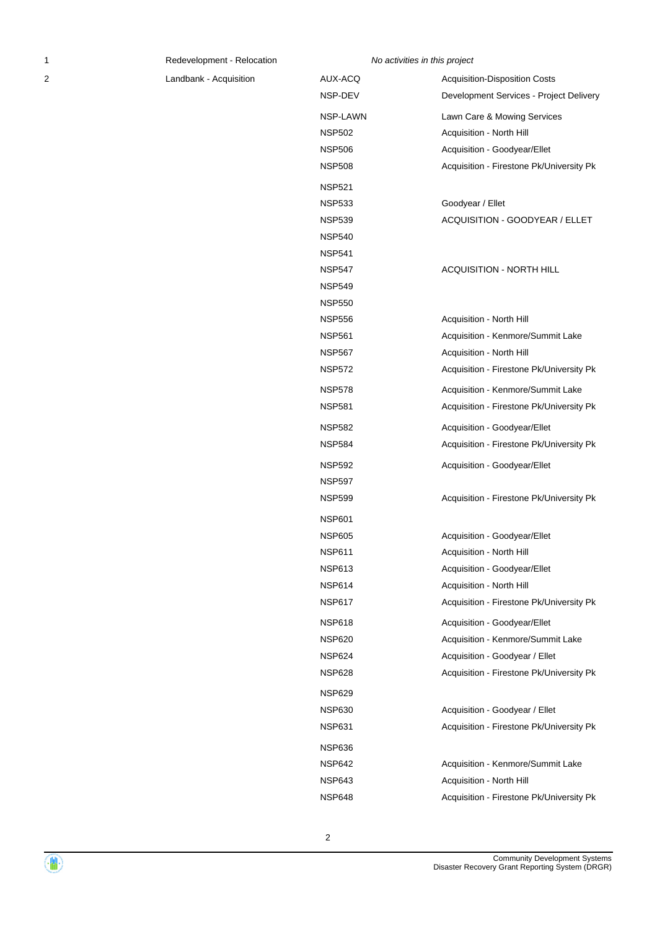2 Landbank - Acquisition Costs Al

| AUX-ACQ       | <b>Acquisition-Disposition Costs</b>     |
|---------------|------------------------------------------|
| NSP-DEV       | Development Services - Project Delivery  |
| NSP-LAWN      | Lawn Care & Mowing Services              |
| <b>NSP502</b> | Acquisition - North Hill                 |
| <b>NSP506</b> | Acquisition - Goodyear/Ellet             |
| <b>NSP508</b> | Acquisition - Firestone Pk/University Pk |
| <b>NSP521</b> |                                          |
| <b>NSP533</b> | Goodyear / Ellet                         |
| <b>NSP539</b> | ACQUISITION - GOODYEAR / ELLET           |
| <b>NSP540</b> |                                          |
| <b>NSP541</b> |                                          |
| <b>NSP547</b> | ACQUISITION - NORTH HILL                 |
| <b>NSP549</b> |                                          |
| <b>NSP550</b> |                                          |
| <b>NSP556</b> | Acquisition - North Hill                 |
| <b>NSP561</b> | Acquisition - Kenmore/Summit Lake        |
| <b>NSP567</b> | Acquisition - North Hill                 |
| <b>NSP572</b> | Acquisition - Firestone Pk/University Pk |
| <b>NSP578</b> | Acquisition - Kenmore/Summit Lake        |
| <b>NSP581</b> | Acquisition - Firestone Pk/University Pk |
| <b>NSP582</b> | Acquisition - Goodyear/Ellet             |
| <b>NSP584</b> | Acquisition - Firestone Pk/University Pk |
| <b>NSP592</b> | Acquisition - Goodyear/Ellet             |
| <b>NSP597</b> |                                          |
| <b>NSP599</b> | Acquisition - Firestone Pk/University Pk |
| <b>NSP601</b> |                                          |
| <b>NSP605</b> | Acquisition - Goodyear/Ellet             |
| <b>NSP611</b> | Acquisition - North Hill                 |
| <b>NSP613</b> | Acquisition - Goodyear/Ellet             |
| <b>NSP614</b> | Acquisition - North Hill                 |
| <b>NSP617</b> | Acquisition - Firestone Pk/University Pk |
| <b>NSP618</b> | Acquisition - Goodyear/Ellet             |
| <b>NSP620</b> | Acquisition - Kenmore/Summit Lake        |
| <b>NSP624</b> | Acquisition - Goodyear / Ellet           |
| <b>NSP628</b> | Acquisition - Firestone Pk/University Pk |
| <b>NSP629</b> |                                          |
| <b>NSP630</b> | Acquisition - Goodyear / Ellet           |
| <b>NSP631</b> | Acquisition - Firestone Pk/University Pk |
| <b>NSP636</b> |                                          |
| <b>NSP642</b> | Acquisition - Kenmore/Summit Lake        |
| <b>NSP643</b> | Acquisition - North Hill                 |
| <b>NSP648</b> | Acquisition - Firestone Pk/University Pk |

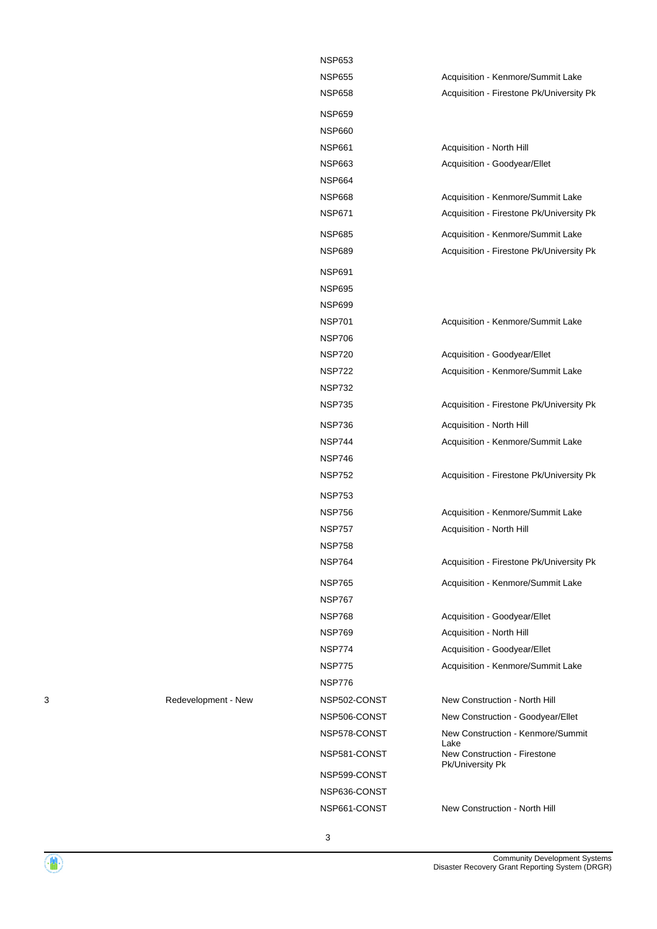| NSP653        |                                                  |
|---------------|--------------------------------------------------|
| NSP655        | Acquisition - Kenmore/Summit Lake                |
| NSP658        | Acquisition - Firestone Pk/University Pk         |
| NSP659        |                                                  |
| NSP660        |                                                  |
| NSP661        | Acquisition - North Hill                         |
| NSP663        | Acquisition - Goodyear/Ellet                     |
| NSP664        |                                                  |
| NSP668        | Acquisition - Kenmore/Summit Lake                |
| NSP671        | Acquisition - Firestone Pk/University Pk         |
| NSP685        | Acquisition - Kenmore/Summit Lake                |
| NSP689        | Acquisition - Firestone Pk/University Pk         |
| NSP691        |                                                  |
| <b>NSP695</b> |                                                  |
| NSP699        |                                                  |
| NSP701        | Acquisition - Kenmore/Summit Lake                |
| NSP706        |                                                  |
| NSP720        | Acquisition - Goodyear/Ellet                     |
| NSP722        | Acquisition - Kenmore/Summit Lake                |
| NSP732        |                                                  |
| NSP735        | Acquisition - Firestone Pk/University Pk         |
| NSP736        | Acquisition - North Hill                         |
| NSP744        | Acquisition - Kenmore/Summit Lake                |
| NSP746        |                                                  |
| NSP752        | Acquisition - Firestone Pk/University Pk         |
| NSP753        |                                                  |
| NSP756        | Acquisition - Kenmore/Summit Lake                |
| NSP757        | Acquisition - North Hill                         |
| NSP758        |                                                  |
| NSP764        | Acquisition - Firestone Pk/University Pk         |
| NSP765        | Acquisition - Kenmore/Summit Lake                |
| <b>NSP767</b> |                                                  |
| NSP768        | Acquisition - Goodyear/Ellet                     |
| NSP769        | Acquisition - North Hill                         |
| <b>NSP774</b> | Acquisition - Goodyear/Ellet                     |
| <b>NSP775</b> | Acquisition - Kenmore/Summit Lake                |
| <b>NSP776</b> |                                                  |
| NSP502-CONST  | New Construction - North Hill                    |
| NSP506-CONST  | New Construction - Goodyear/Ellet                |
| NSP578-CONST  | New Construction - Kenmore/Summit<br>Lake        |
| NSP581-CONST  | New Construction - Firestone<br>Pk/University Pk |
| NSP599-CONST  |                                                  |
| NSP636-CONST  |                                                  |
| NSP661-CONST  | New Construction - North Hill                    |

3 Redevelopment - New

3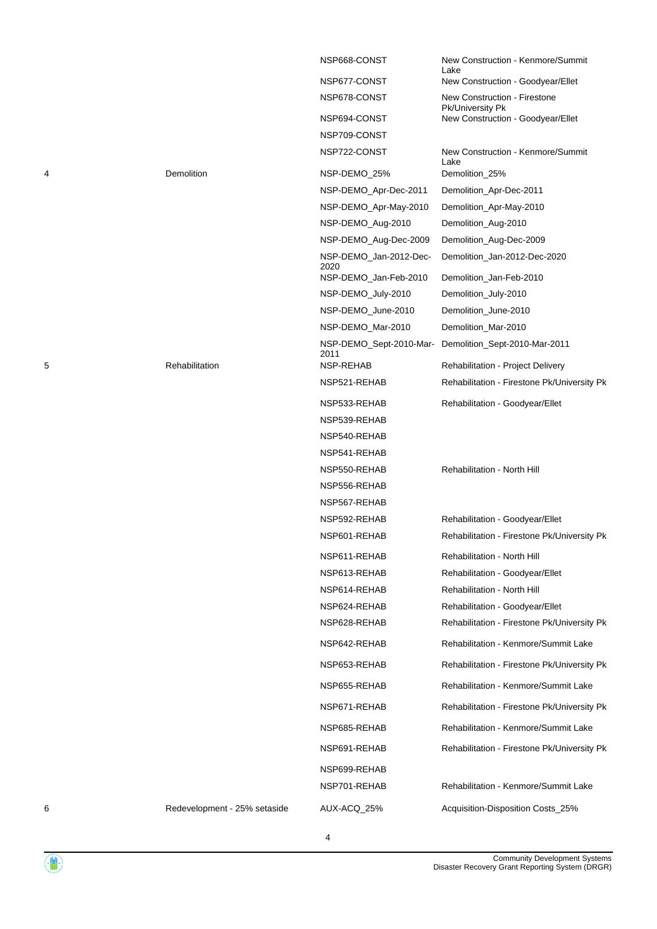|   |                              | NSP668-CONST                    | New Construction - Kenmore/Summit<br>Lake        |
|---|------------------------------|---------------------------------|--------------------------------------------------|
|   |                              | NSP677-CONST                    | New Construction - Goodyear/Ellet                |
|   |                              | NSP678-CONST                    | New Construction - Firestone<br>Pk/University Pk |
|   |                              | NSP694-CONST                    | New Construction - Goodyear/Ellet                |
|   |                              | NSP709-CONST                    |                                                  |
|   |                              | NSP722-CONST                    | New Construction - Kenmore/Summit<br>Lake        |
| 4 | Demolition                   | NSP-DEMO_25%                    | Demolition_25%                                   |
|   |                              | NSP-DEMO_Apr-Dec-2011           | Demolition_Apr-Dec-2011                          |
|   |                              | NSP-DEMO_Apr-May-2010           | Demolition_Apr-May-2010                          |
|   |                              | NSP-DEMO_Aug-2010               | Demolition_Aug-2010                              |
|   |                              | NSP-DEMO_Aug-Dec-2009           | Demolition_Aug-Dec-2009                          |
|   |                              | NSP-DEMO_Jan-2012-Dec-<br>2020  | Demolition_Jan-2012-Dec-2020                     |
|   |                              | NSP-DEMO_Jan-Feb-2010           | Demolition_Jan-Feb-2010                          |
|   |                              | NSP-DEMO_July-2010              | Demolition_July-2010                             |
|   |                              | NSP-DEMO_June-2010              | Demolition_June-2010                             |
|   |                              | NSP-DEMO_Mar-2010               | Demolition_Mar-2010                              |
|   |                              | NSP-DEMO_Sept-2010-Mar-<br>2011 | Demolition_Sept-2010-Mar-2011                    |
| 5 | Rehabilitation               | NSP-REHAB                       | Rehabilitation - Project Delivery                |
|   |                              | NSP521-REHAB                    | Rehabilitation - Firestone Pk/University Pk      |
|   |                              | NSP533-REHAB                    | Rehabilitation - Goodyear/Ellet                  |
|   |                              | NSP539-REHAB                    |                                                  |
|   |                              | NSP540-REHAB                    |                                                  |
|   |                              | NSP541-REHAB                    |                                                  |
|   |                              | NSP550-REHAB                    | Rehabilitation - North Hill                      |
|   |                              | NSP556-REHAB                    |                                                  |
|   |                              | NSP567-REHAB                    |                                                  |
|   |                              | NSP592-REHAB                    | Rehabilitation - Goodyear/Ellet                  |
|   |                              | NSP601-REHAB                    | Rehabilitation - Firestone Pk/University Pk      |
|   |                              | NSP611-REHAB                    | Rehabilitation - North Hill                      |
|   |                              | NSP613-REHAB                    | Rehabilitation - Goodyear/Ellet                  |
|   |                              | NSP614-REHAB                    | Rehabilitation - North Hill                      |
|   |                              | NSP624-REHAB                    | Rehabilitation - Goodyear/Ellet                  |
|   |                              | NSP628-REHAB                    | Rehabilitation - Firestone Pk/University Pk      |
|   |                              | NSP642-REHAB                    | Rehabilitation - Kenmore/Summit Lake             |
|   |                              | NSP653-REHAB                    | Rehabilitation - Firestone Pk/University Pk      |
|   |                              | NSP655-REHAB                    | Rehabilitation - Kenmore/Summit Lake             |
|   |                              | NSP671-REHAB                    | Rehabilitation - Firestone Pk/University Pk      |
|   |                              | NSP685-REHAB                    | Rehabilitation - Kenmore/Summit Lake             |
|   |                              | NSP691-REHAB                    | Rehabilitation - Firestone Pk/University Pk      |
|   |                              | NSP699-REHAB                    |                                                  |
|   |                              | NSP701-REHAB                    | Rehabilitation - Kenmore/Summit Lake             |
| 6 | Redevelopment - 25% setaside | AUX-ACQ_25%                     | Acquisition-Disposition Costs_25%                |
|   |                              |                                 |                                                  |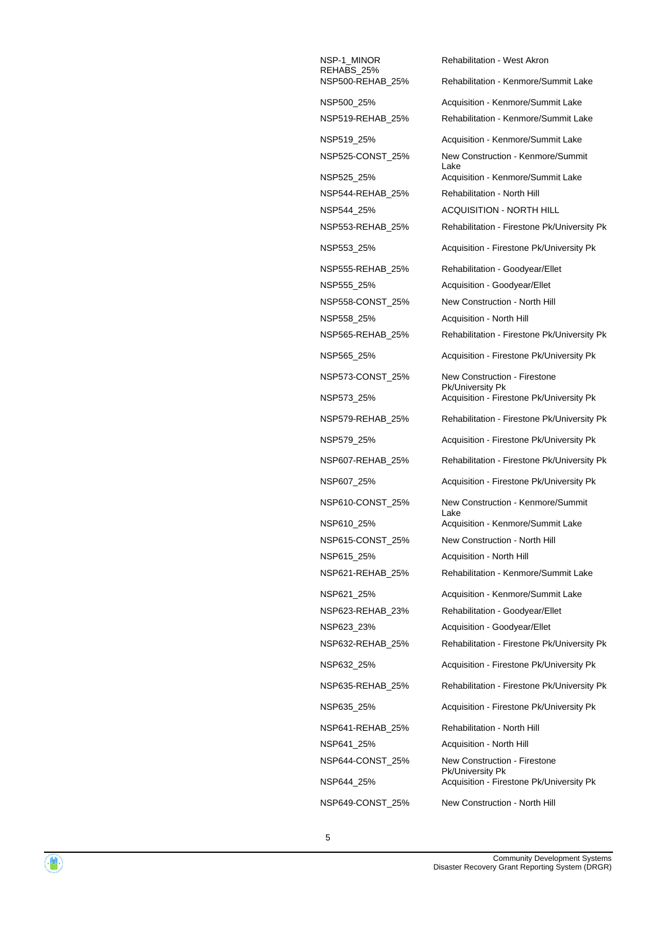NSP-1\_MINOR REHABS\_25%<br>NSP500-REHAB 25% NSP558\_25% Acquisition - North Hill NSP615 25% Acquisition - North Hill NSP641\_25% Acquisition - North Hill

Rehabilitation - West Akron Rehabilitation - Kenmore/Summit Lake NSP500\_25% Acquisition - Kenmore/Summit Lake NSP519-REHAB\_25% Rehabilitation - Kenmore/Summit Lake NSP519\_25% Acquisition - Kenmore/Summit Lake NSP525-CONST\_25% New Construction - Kenmore/Summit Lake NSP525\_25% Acquisition - Kenmore/Summit Lake NSP544-REHAB\_25% Rehabilitation - North Hill NSP544\_25% ACQUISITION - NORTH HILL NSP553-REHAB\_25% Rehabilitation - Firestone Pk/University Pk NSP553\_25% Acquisition - Firestone Pk/University Pk NSP555-REHAB\_25% Rehabilitation - Goodyear/Ellet NSP555\_25% Acquisition - Goodyear/Ellet NSP558-CONST\_25% New Construction - North Hill NSP565-REHAB\_25% Rehabilitation - Firestone Pk/University Pk NSP565\_25% Acquisition - Firestone Pk/University Pk NSP573-CONST\_25% New Construction - Firestone Pk/University Pk NSP573\_25% Acquisition - Firestone Pk/University Pk NSP579-REHAB\_25% Rehabilitation - Firestone Pk/University Pk NSP579\_25% Acquisition - Firestone Pk/University Pk NSP607-REHAB\_25% Rehabilitation - Firestone Pk/University Pk NSP607\_25% Acquisition - Firestone Pk/University Pk NSP610-CONST\_25% New Construction - Kenmore/Summit Lake NSP610\_25% Acquisition - Kenmore/Summit Lake NSP615-CONST\_25% New Construction - North Hill NSP621-REHAB\_25% Rehabilitation - Kenmore/Summit Lake NSP621\_25% Acquisition - Kenmore/Summit Lake NSP623-REHAB\_23% Rehabilitation - Goodyear/Ellet NSP623\_23% Acquisition - Goodyear/Ellet NSP632-REHAB\_25% Rehabilitation - Firestone Pk/University Pk NSP632\_25% Acquisition - Firestone Pk/University Pk NSP635-REHAB\_25% Rehabilitation - Firestone Pk/University Pk NSP635\_25% Acquisition - Firestone Pk/University Pk NSP641-REHAB\_25% Rehabilitation - North Hill NSP644-CONST\_25% New Construction - Firestone Pk/University Pk NSP644\_25% Acquisition - Firestone Pk/University Pk NSP649-CONST\_25% New Construction - North Hill

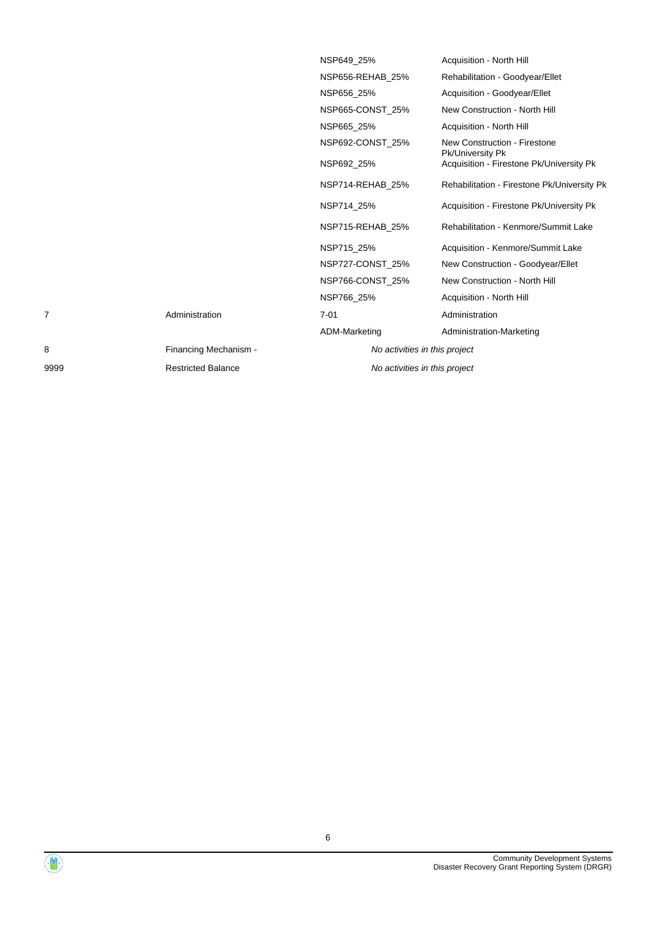|      |                           | NSP649 25%       |                               | Acquisition - North Hill                         |
|------|---------------------------|------------------|-------------------------------|--------------------------------------------------|
|      |                           | NSP656-REHAB 25% |                               | Rehabilitation - Goodyear/Ellet                  |
|      |                           | NSP656 25%       |                               | Acquisition - Goodyear/Ellet                     |
|      |                           | NSP665-CONST 25% |                               | New Construction - North Hill                    |
|      |                           | NSP665 25%       |                               | Acquisition - North Hill                         |
|      |                           | NSP692-CONST 25% |                               | New Construction - Firestone<br>Pk/University Pk |
|      |                           | NSP692 25%       |                               | Acquisition - Firestone Pk/University Pk         |
|      |                           | NSP714-REHAB 25% |                               | Rehabilitation - Firestone Pk/University Pk      |
|      |                           | NSP714 25%       |                               | Acquisition - Firestone Pk/University Pk         |
|      |                           | NSP715-REHAB 25% |                               | Rehabilitation - Kenmore/Summit Lake             |
|      |                           | NSP715 25%       |                               | Acquisition - Kenmore/Summit Lake                |
|      |                           | NSP727-CONST 25% |                               | New Construction - Goodyear/Ellet                |
|      |                           | NSP766-CONST 25% |                               | New Construction - North Hill                    |
|      |                           | NSP766_25%       |                               | Acquisition - North Hill                         |
|      | Administration            | $7 - 01$         |                               | Administration                                   |
|      |                           | ADM-Marketing    |                               | Administration-Marketing                         |
| 8    | Financing Mechanism -     |                  | No activities in this project |                                                  |
| 9999 | <b>Restricted Balance</b> |                  | No activities in this project |                                                  |
|      |                           |                  |                               |                                                  |

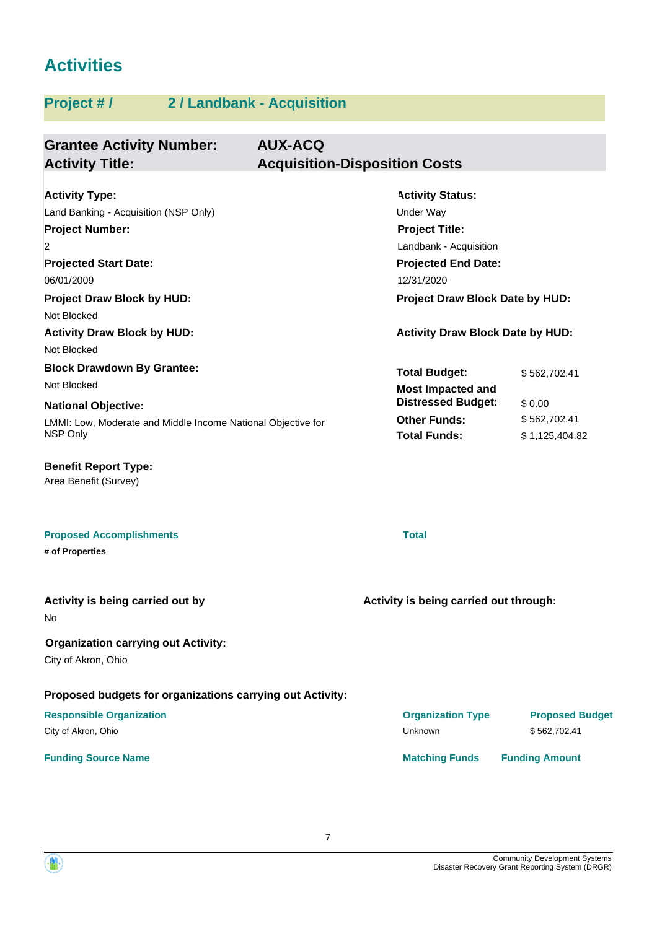# **Activities**

| <b>Grantee Activity Number:</b><br><b>Activity Title:</b>                                                                                                                                                                                            | <b>AUX-ACQ</b><br><b>Acquisition-Disposition Costs</b>                                                                                                                                                                   |
|------------------------------------------------------------------------------------------------------------------------------------------------------------------------------------------------------------------------------------------------------|--------------------------------------------------------------------------------------------------------------------------------------------------------------------------------------------------------------------------|
| <b>Activity Type:</b><br>Land Banking - Acquisition (NSP Only)<br><b>Project Number:</b><br>2<br><b>Projected Start Date:</b><br>06/01/2009<br><b>Project Draw Block by HUD:</b><br>Not Blocked<br><b>Activity Draw Block by HUD:</b><br>Not Blocked | <b>Activity Status:</b><br><b>Under Way</b><br><b>Project Title:</b><br>Landbank - Acquisition<br><b>Projected End Date:</b><br>12/31/2020<br>Project Draw Block Date by HUD:<br><b>Activity Draw Block Date by HUD:</b> |
| <b>Block Drawdown By Grantee:</b><br>Not Blocked<br><b>National Objective:</b><br>LMMI: Low, Moderate and Middle Income National Objective for<br>NSP Only                                                                                           | <b>Total Budget:</b><br>\$562,702.41<br><b>Most Impacted and</b><br><b>Distressed Budget:</b><br>\$0.00<br><b>Other Funds:</b><br>\$562,702.41<br><b>Total Funds:</b><br>\$1,125,404.82                                  |
| <b>Benefit Report Type:</b><br>Area Benefit (Survey)                                                                                                                                                                                                 |                                                                                                                                                                                                                          |
| <b>Proposed Accomplishments</b><br># of Properties                                                                                                                                                                                                   | <b>Total</b>                                                                                                                                                                                                             |
| Activity is being carried out by<br>No.                                                                                                                                                                                                              | Activity is being carried out through:                                                                                                                                                                                   |
| <b>Organization carrying out Activity:</b><br>City of Akron, Ohio                                                                                                                                                                                    |                                                                                                                                                                                                                          |
| Proposed budgets for organizations carrying out Activity:<br><b>Responsible Organization</b><br>City of Akron, Ohio                                                                                                                                  | <b>Organization Type</b><br><b>Proposed Budget</b><br>Unknown<br>\$562,702.41                                                                                                                                            |
| <b>Funding Source Name</b>                                                                                                                                                                                                                           | <b>Matching Funds</b><br><b>Funding Amount</b>                                                                                                                                                                           |



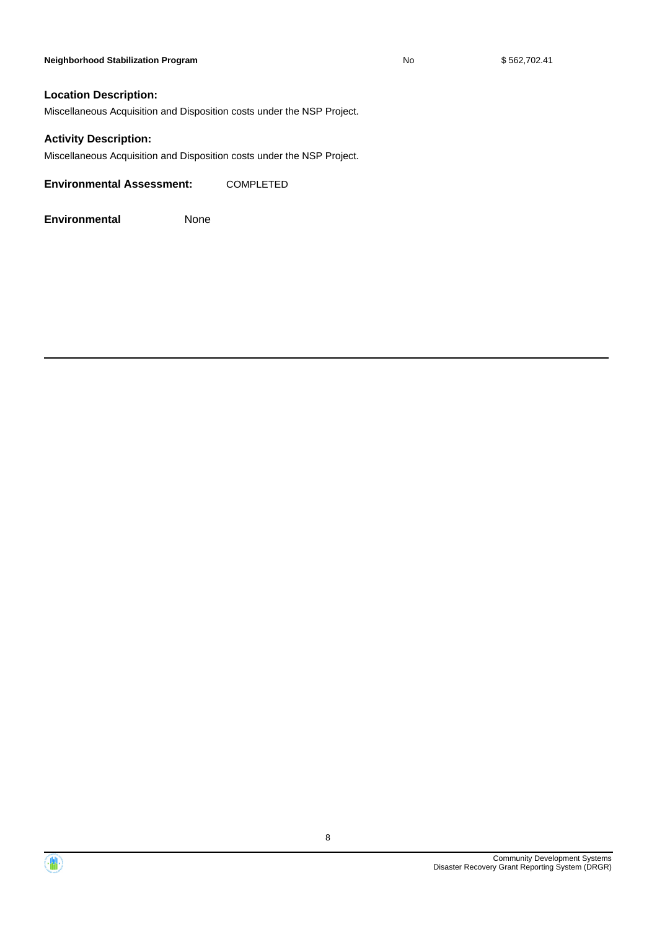#### **Neighborhood Stabilization Program No** No \$562,702.41

#### **Location Description:**

Miscellaneous Acquisition and Disposition costs under the NSP Project.

#### **Activity Description:**

Miscellaneous Acquisition and Disposition costs under the NSP Project.

**Environmental Assessment:** COMPLETED



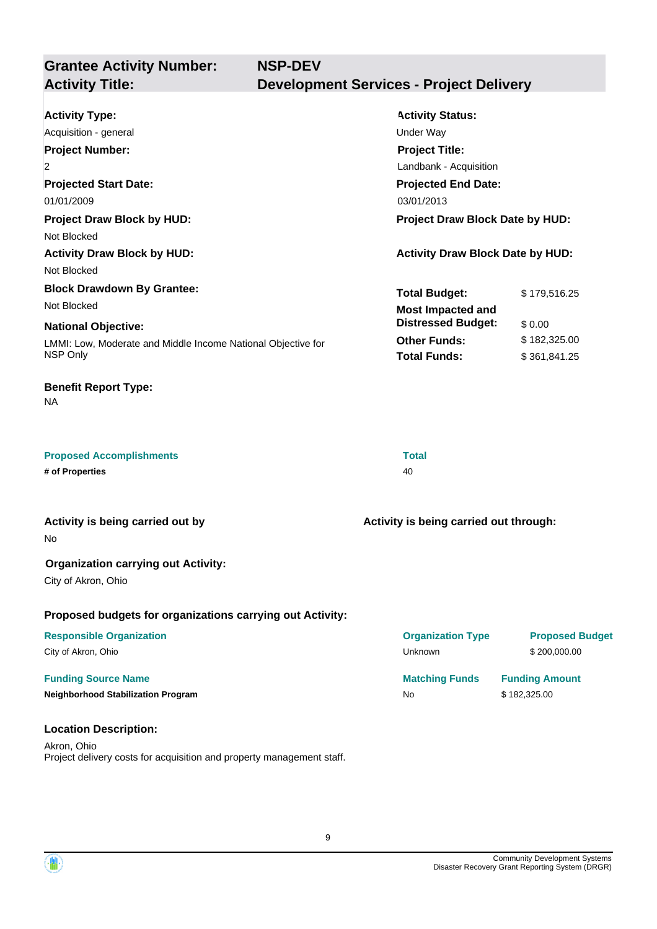| <b>Grantee Activity Number:</b><br><b>Activity Title:</b>                                                                                                        | <b>NSP-DEV</b><br><b>Development Services - Project Delivery</b>                                                                                                                      |  |
|------------------------------------------------------------------------------------------------------------------------------------------------------------------|---------------------------------------------------------------------------------------------------------------------------------------------------------------------------------------|--|
| <b>Activity Type:</b><br>Acquisition - general<br><b>Project Number:</b><br>2<br><b>Projected Start Date:</b><br>01/01/2009<br><b>Project Draw Block by HUD:</b> | <b>Activity Status:</b><br><b>Under Way</b><br><b>Project Title:</b><br>Landbank - Acquisition<br><b>Projected End Date:</b><br>03/01/2013<br>Project Draw Block Date by HUD:         |  |
| Not Blocked<br><b>Activity Draw Block by HUD:</b><br>Not Blocked                                                                                                 | <b>Activity Draw Block Date by HUD:</b>                                                                                                                                               |  |
| <b>Block Drawdown By Grantee:</b><br>Not Blocked<br><b>National Objective:</b><br>LMMI: Low, Moderate and Middle Income National Objective for<br>NSP Only       | <b>Total Budget:</b><br>\$179,516.25<br><b>Most Impacted and</b><br><b>Distressed Budget:</b><br>\$0.00<br><b>Other Funds:</b><br>\$182,325.00<br><b>Total Funds:</b><br>\$361,841.25 |  |
| <b>Benefit Report Type:</b><br>NA                                                                                                                                |                                                                                                                                                                                       |  |
| <b>Proposed Accomplishments</b><br># of Properties                                                                                                               | <b>Total</b><br>40                                                                                                                                                                    |  |
| Activity is being carried out by<br>No                                                                                                                           | Activity is being carried out through:                                                                                                                                                |  |
| <b>Organization carrying out Activity:</b><br>City of Akron, Ohio                                                                                                |                                                                                                                                                                                       |  |
| Proposed budgets for organizations carrying out Activity:<br><b>Responsible Organization</b><br>City of Akron, Ohio                                              | <b>Proposed Budget</b><br><b>Organization Type</b><br>Unknown<br>\$200,000.00                                                                                                         |  |
| <b>Funding Source Name</b><br><b>Neighborhood Stabilization Program</b>                                                                                          | <b>Matching Funds</b><br><b>Funding Amount</b><br>\$182,325.00<br><b>No</b>                                                                                                           |  |
| <b>Location Description:</b><br>Akron, Ohio<br>Project delivery costs for acquisition and property management staff.                                             |                                                                                                                                                                                       |  |

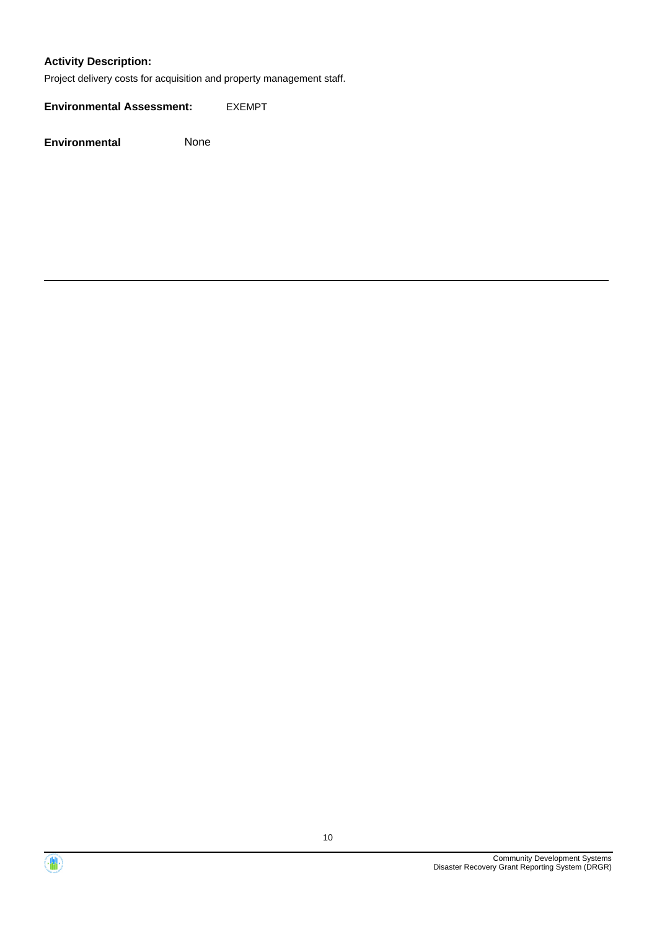#### **Activity Description:**

Project delivery costs for acquisition and property management staff.

**Environmental Assessment:** EXEMPT



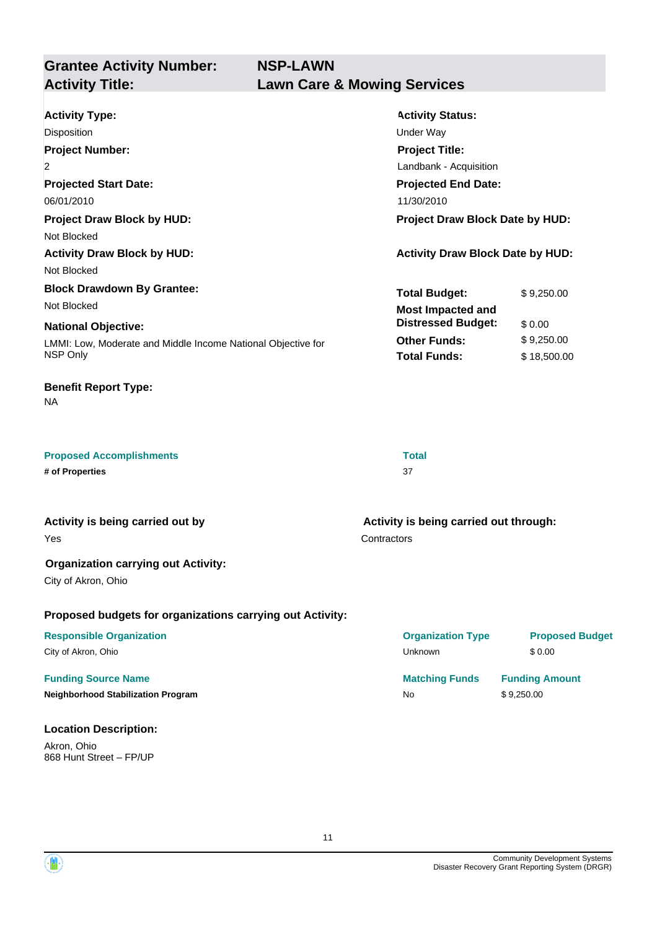**Grantee Activity Number: NSP-LAWN Activity Title: Lawn Care & Mowing Services**

| <b>Activity Type:</b>                                        | <b>Activity Status:</b>                 |             |
|--------------------------------------------------------------|-----------------------------------------|-------------|
| <b>Disposition</b>                                           | Under Way                               |             |
| <b>Project Number:</b>                                       | <b>Project Title:</b>                   |             |
| $\overline{2}$                                               | Landbank - Acquisition                  |             |
| <b>Projected Start Date:</b>                                 | <b>Projected End Date:</b>              |             |
| 06/01/2010                                                   | 11/30/2010                              |             |
| <b>Project Draw Block by HUD:</b>                            | <b>Project Draw Block Date by HUD:</b>  |             |
| Not Blocked                                                  |                                         |             |
| <b>Activity Draw Block by HUD:</b>                           | <b>Activity Draw Block Date by HUD:</b> |             |
| Not Blocked                                                  |                                         |             |
| <b>Block Drawdown By Grantee:</b>                            | <b>Total Budget:</b>                    | \$9,250.00  |
| Not Blocked                                                  | <b>Most Impacted and</b>                |             |
| <b>National Objective:</b>                                   | <b>Distressed Budget:</b>               | \$0.00      |
| LMMI: Low, Moderate and Middle Income National Objective for | <b>Other Funds:</b>                     | \$9,250.00  |
| NSP Only                                                     | <b>Total Funds:</b>                     | \$18,500.00 |
|                                                              |                                         |             |

# **Benefit Report Type:**

NA

| <b>Proposed Accomplishments</b> | <b>Total</b> |
|---------------------------------|--------------|
| # of Properties                 |              |

Yes **Activity is being carried out by**

#### **Organization carrying out Activity:**

City of Akron, Ohio

#### **Proposed budgets for organizations carrying out Activity:**

#### **Funding Source Name Matching Funds Funding Amount**

**Neighborhood Stabilization Program** No **\$ 9,250.00** 

#### **Location Description:**

Akron, Ohio 868 Hunt Street – FP/UP **Contractors Activity is being carried out through:**

**Responsible Organization Organization Type Proposed Budget** City of Akron, Ohio Unknown \$ 0.00

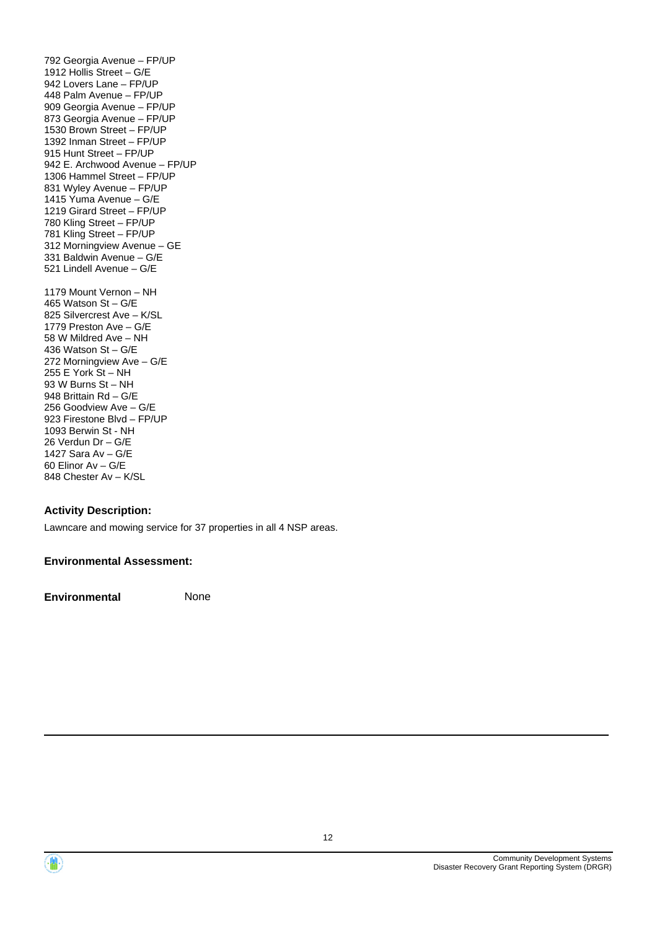792 Georgia Avenue – FP/UP 1912 Hollis Street – G/E 942 Lovers Lane – FP/UP 448 Palm Avenue – FP/UP 909 Georgia Avenue – FP/UP 873 Georgia Avenue – FP/UP 1530 Brown Street – FP/UP 1392 Inman Street – FP/UP 915 Hunt Street – FP/UP 942 E. Archwood Avenue – FP/UP 1306 Hammel Street – FP/UP 831 Wyley Avenue – FP/UP 1415 Yuma Avenue – G/E 1219 Girard Street – FP/UP 780 Kling Street – FP/UP 781 Kling Street – FP/UP 312 Morningview Avenue – GE 331 Baldwin Avenue – G/E 521 Lindell Avenue – G/E 1179 Mount Vernon – NH 465 Watson St – G/E 825 Silvercrest Ave – K/SL 1779 Preston Ave – G/E 58 W Mildred Ave – NH 436 Watson St – G/E 272 Morningview Ave – G/E 255 E York St – NH 93 W Burns St – NH 948 Brittain Rd – G/E 256 Goodview Ave – G/E 923 Firestone Blvd – FP/UP 1093 Berwin St - NH 26 Verdun Dr – G/E 1427 Sara Av – G/E 60 Elinor Av – G/E 848 Chester Av – K/SL

#### **Activity Description:**

Lawncare and mowing service for 37 properties in all 4 NSP areas.

#### **Environmental Assessment:**



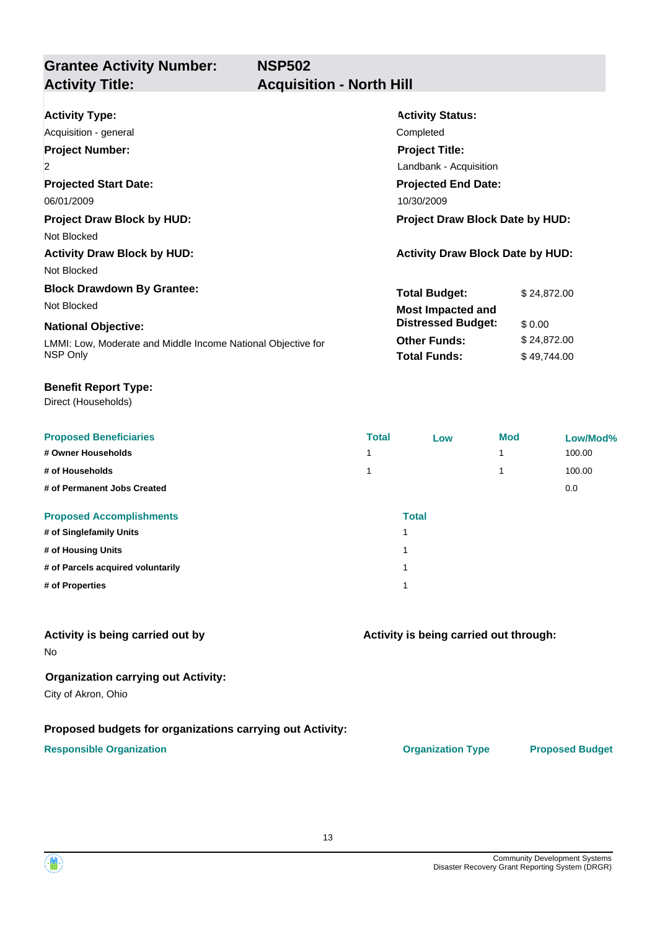**NSP502**

# **Grantee Activity Number: Activity Title: Acquisition - North Hill**

| <b>Activity Type:</b>                                        | <b>Activity Status:</b>                 |
|--------------------------------------------------------------|-----------------------------------------|
| Acquisition - general                                        | Completed                               |
| <b>Project Number:</b>                                       | <b>Project Title:</b>                   |
| $\overline{2}$                                               | Landbank - Acquisition                  |
| <b>Projected Start Date:</b>                                 | <b>Projected End Date:</b>              |
| 06/01/2009                                                   | 10/30/2009                              |
| <b>Project Draw Block by HUD:</b>                            | <b>Project Draw Block Date by HUD:</b>  |
| Not Blocked                                                  |                                         |
| <b>Activity Draw Block by HUD:</b>                           | <b>Activity Draw Block Date by HUD:</b> |
| Not Blocked                                                  |                                         |
| <b>Block Drawdown By Grantee:</b>                            | <b>Total Budget:</b><br>\$24,872.00     |
| Not Blocked                                                  | <b>Most Impacted and</b>                |
| <b>National Objective:</b>                                   | <b>Distressed Budget:</b><br>\$0.00     |
| LMMI: Low, Moderate and Middle Income National Objective for | <b>Other Funds:</b><br>\$24,872.00      |
| NSP Only                                                     | <b>Total Funds:</b><br>\$49,744.00      |

#### **Benefit Report Type:**

Direct (Households)

| <b>Proposed Beneficiaries</b>     | <b>Total</b> | Low | <b>Mod</b> | Low/Mod% |
|-----------------------------------|--------------|-----|------------|----------|
| # Owner Households                |              |     | и          | 100.00   |
| # of Households                   |              |     |            | 100.00   |
| # of Permanent Jobs Created       |              |     |            | 0.0      |
| <b>Proposed Accomplishments</b>   | <b>Total</b> |     |            |          |
| # of Singlefamily Units           |              |     |            |          |
| # of Housing Units                |              |     |            |          |
| # of Parcels acquired voluntarily |              |     |            |          |
| # of Properties                   |              |     |            |          |

#### **Activity is being carried out by**

No

#### **Organization carrying out Activity:**

City of Akron, Ohio

#### **Proposed budgets for organizations carrying out Activity:**

#### **Responsible Organization CONSERVIRGHT ACCORDING THE CONSERVIRGHT ORGANIZATION Type Proposed Budget**

**Activity is being carried out through:**

13

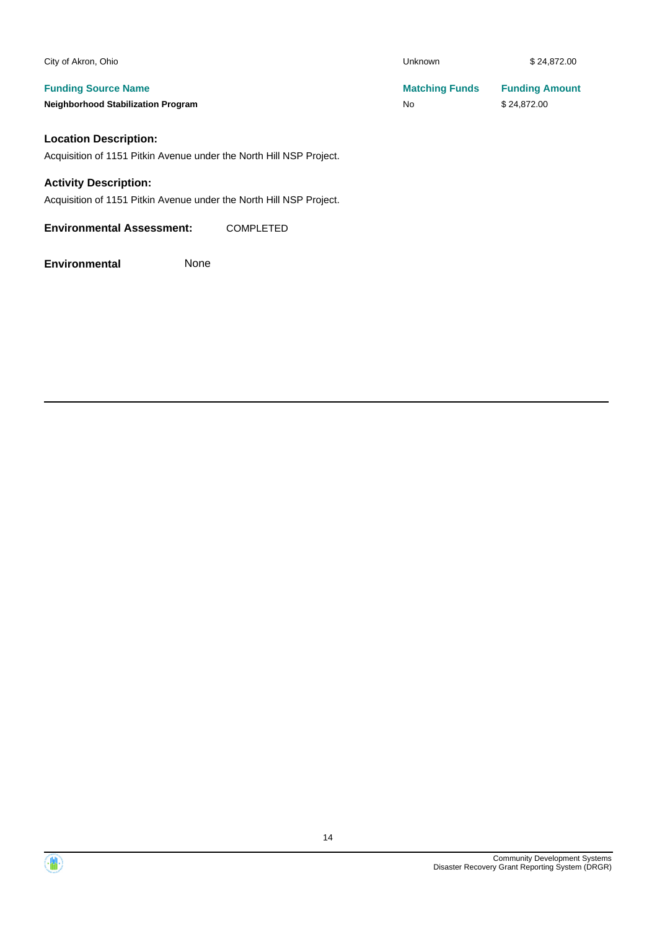| City of Akron, Ohio                       | Unknown               | \$24,872.00           |
|-------------------------------------------|-----------------------|-----------------------|
| <b>Funding Source Name</b>                | <b>Matching Funds</b> | <b>Funding Amount</b> |
| <b>Neighborhood Stabilization Program</b> | <b>No</b>             | \$24,872.00           |
| Location Deceription:                     |                       |                       |

#### **Location Description:**

Acquisition of 1151 Pitkin Avenue under the North Hill NSP Project.

#### **Activity Description:**

Acquisition of 1151 Pitkin Avenue under the North Hill NSP Project.

**Environmental Assessment:** COMPLETED

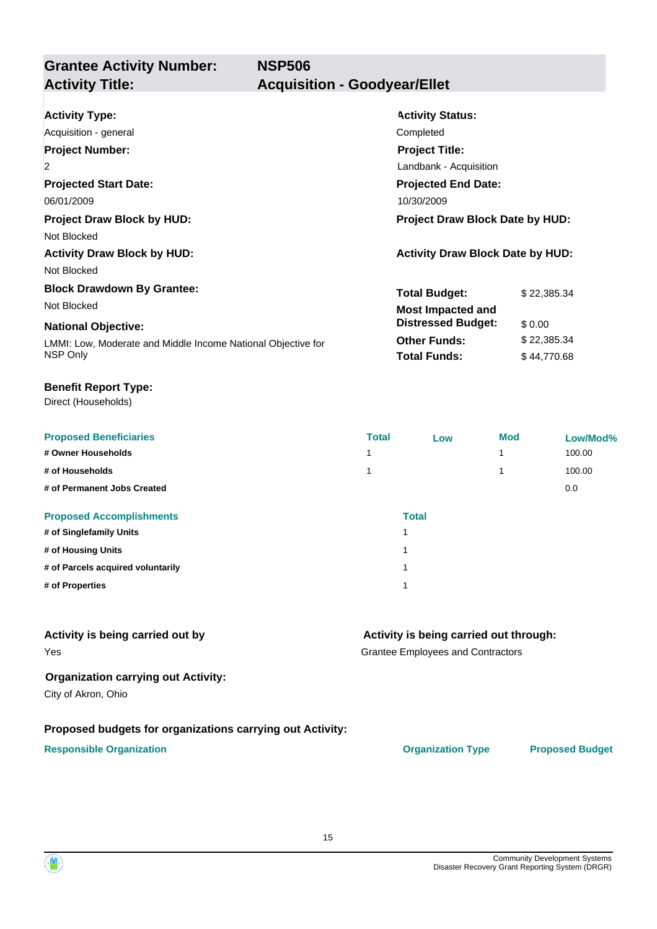**Grantee Activity Number: NSP506 Activity Title: Acquisition - Goodyear/Ellet**

| <b>Activity Type:</b>                                        | <b>Activity Status:</b>                 |             |
|--------------------------------------------------------------|-----------------------------------------|-------------|
| Acquisition - general                                        | Completed                               |             |
| <b>Project Number:</b>                                       | <b>Project Title:</b>                   |             |
| $\overline{2}$                                               | Landbank - Acquisition                  |             |
| <b>Projected Start Date:</b>                                 | <b>Projected End Date:</b>              |             |
| 06/01/2009                                                   | 10/30/2009                              |             |
| <b>Project Draw Block by HUD:</b>                            | <b>Project Draw Block Date by HUD:</b>  |             |
| Not Blocked                                                  |                                         |             |
| <b>Activity Draw Block by HUD:</b>                           | <b>Activity Draw Block Date by HUD:</b> |             |
| Not Blocked                                                  |                                         |             |
| <b>Block Drawdown By Grantee:</b>                            | <b>Total Budget:</b>                    | \$22,385.34 |
| Not Blocked                                                  | <b>Most Impacted and</b>                |             |
| <b>National Objective:</b>                                   | <b>Distressed Budget:</b>               | \$0.00      |
| LMMI: Low, Moderate and Middle Income National Objective for | <b>Other Funds:</b>                     | \$22,385.34 |
| NSP Only                                                     | <b>Total Funds:</b>                     | \$44,770.68 |

#### **Benefit Report Type:**

Direct (Households)

| <b>Proposed Beneficiaries</b>     | <b>Total</b> | Low          | Mod | Low/Mod% |
|-----------------------------------|--------------|--------------|-----|----------|
| # Owner Households                | и            |              |     | 100.00   |
| # of Households                   |              |              |     | 100.00   |
| # of Permanent Jobs Created       |              |              |     | 0.0      |
| <b>Proposed Accomplishments</b>   |              | <b>Total</b> |     |          |
| # of Singlefamily Units           | 1            |              |     |          |
| # of Housing Units                | 1            |              |     |          |
| # of Parcels acquired voluntarily | 1            |              |     |          |
| # of Properties                   | 4            |              |     |          |

#### **Activity is being carried out by**

#### **Activity is being carried out through:**

Grantee Employees and Contractors

#### **Organization carrying out Activity:**

City of Akron, Ohio

Yes

#### **Proposed budgets for organizations carrying out Activity:**

#### **Responsible Organization CONSERVIRGHT ACCORDING THE CONSERVIRGHT ORGANIZATION Type Proposed Budget**

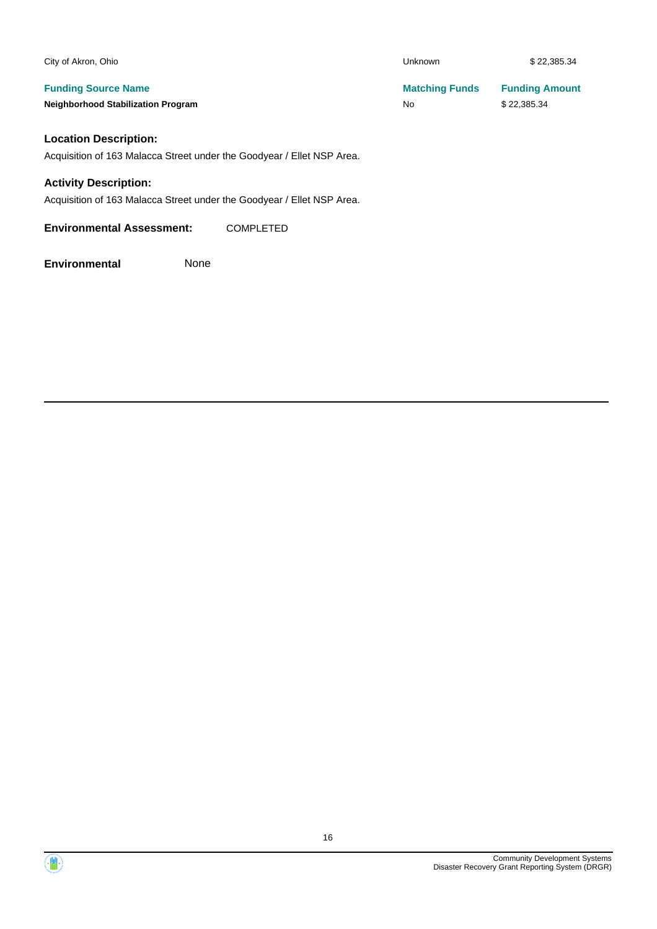| City of Akron, Ohio                                                    | Unknown               | \$22.385.34           |
|------------------------------------------------------------------------|-----------------------|-----------------------|
| <b>Funding Source Name</b>                                             | <b>Matching Funds</b> | <b>Funding Amount</b> |
| <b>Neighborhood Stabilization Program</b>                              | No.                   | \$22,385.34           |
| <b>Location Description:</b>                                           |                       |                       |
| Acquisition of 163 Malacca Street under the Goodyear / Ellet NSP Area. |                       |                       |

#### **Activity Description:**

Acquisition of 163 Malacca Street under the Goodyear / Ellet NSP Area.

**Environmental Assessment:** COMPLETED

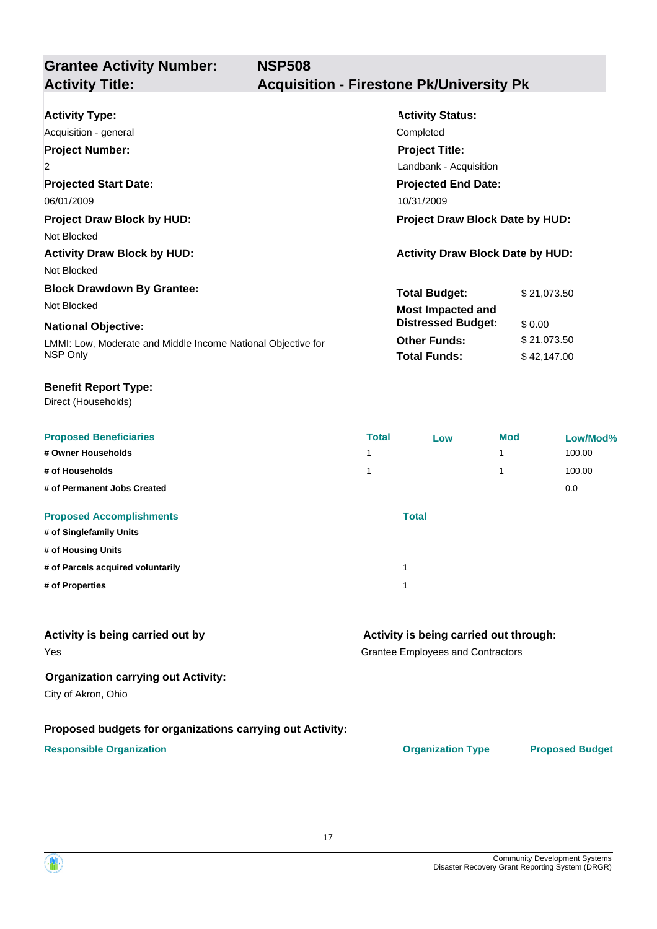**NSP508**

# **Grantee Activity Number:**

# **Activity Title: Acquisition - Firestone Pk/University Pk**

| <b>Activity Type:</b><br>Acquisition - general<br><b>Project Number:</b><br>$\overline{2}$<br><b>Projected Start Date:</b><br>06/01/2009                   | <b>Activity Status:</b><br>Completed<br><b>Project Title:</b><br>Landbank - Acquisition<br><b>Projected End Date:</b><br>10/31/2009 |                                                     |
|------------------------------------------------------------------------------------------------------------------------------------------------------------|-------------------------------------------------------------------------------------------------------------------------------------|-----------------------------------------------------|
| <b>Project Draw Block by HUD:</b><br>Not Blocked<br><b>Activity Draw Block by HUD:</b><br>Not Blocked                                                      | <b>Project Draw Block Date by HUD:</b><br><b>Activity Draw Block Date by HUD:</b>                                                   |                                                     |
| <b>Block Drawdown By Grantee:</b><br>Not Blocked<br><b>National Objective:</b><br>LMMI: Low, Moderate and Middle Income National Objective for<br>NSP Only | <b>Total Budget:</b><br><b>Most Impacted and</b><br><b>Distressed Budget:</b><br><b>Other Funds:</b><br><b>Total Funds:</b>         | \$21,073.50<br>\$0.00<br>\$21,073.50<br>\$42,147.00 |

#### **Benefit Report Type:**

Direct (Households)

| <b>Proposed Beneficiaries</b>     | <b>Total</b> | Low | <b>Mod</b> | Low/Mod% |
|-----------------------------------|--------------|-----|------------|----------|
| # Owner Households                | 4            |     |            | 100.00   |
| # of Households                   | 4            |     |            | 100.00   |
| # of Permanent Jobs Created       |              |     |            | 0.0      |
| <b>Proposed Accomplishments</b>   | <b>Total</b> |     |            |          |
| # of Singlefamily Units           |              |     |            |          |
| # of Housing Units                |              |     |            |          |
| # of Parcels acquired voluntarily | 1            |     |            |          |
| # of Properties                   | 1            |     |            |          |

#### **Activity is being carried out by**

Yes

## **Activity is being carried out through:**

Grantee Employees and Contractors

#### **Organization carrying out Activity:**

City of Akron, Ohio

## **Proposed budgets for organizations carrying out Activity:**

#### **Responsible Organization Organization Type Proposed Budget**

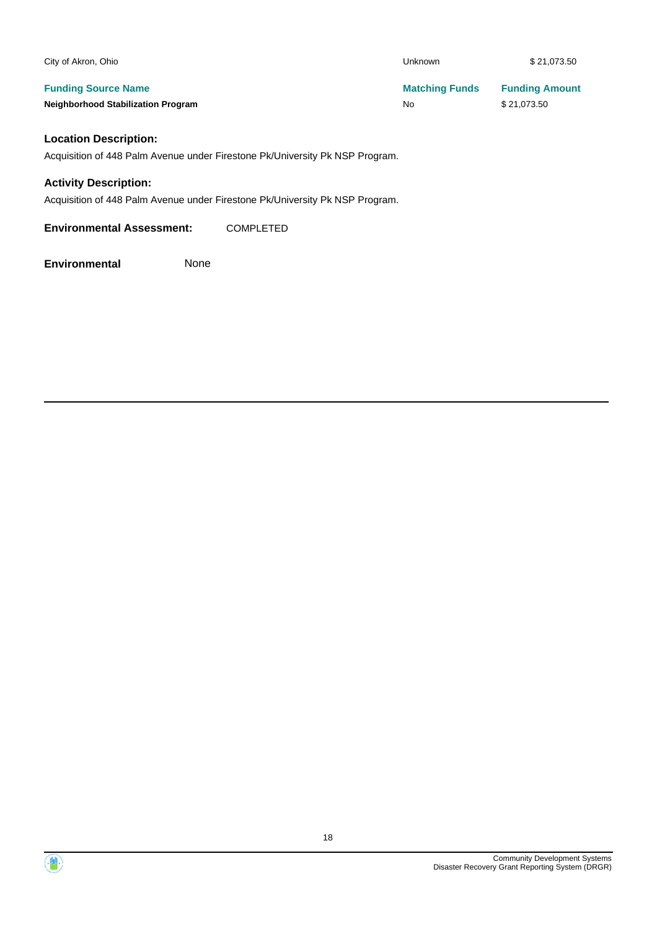| City of Akron, Ohio                       | Unknown               | \$21,073.50           |
|-------------------------------------------|-----------------------|-----------------------|
| <b>Funding Source Name</b>                | <b>Matching Funds</b> | <b>Funding Amount</b> |
| <b>Neighborhood Stabilization Program</b> | No                    | \$21,073.50           |

## **Location Description:**

Acquisition of 448 Palm Avenue under Firestone Pk/University Pk NSP Program.

#### **Activity Description:**

Acquisition of 448 Palm Avenue under Firestone Pk/University Pk NSP Program.

**Environmental Assessment:** COMPLETED

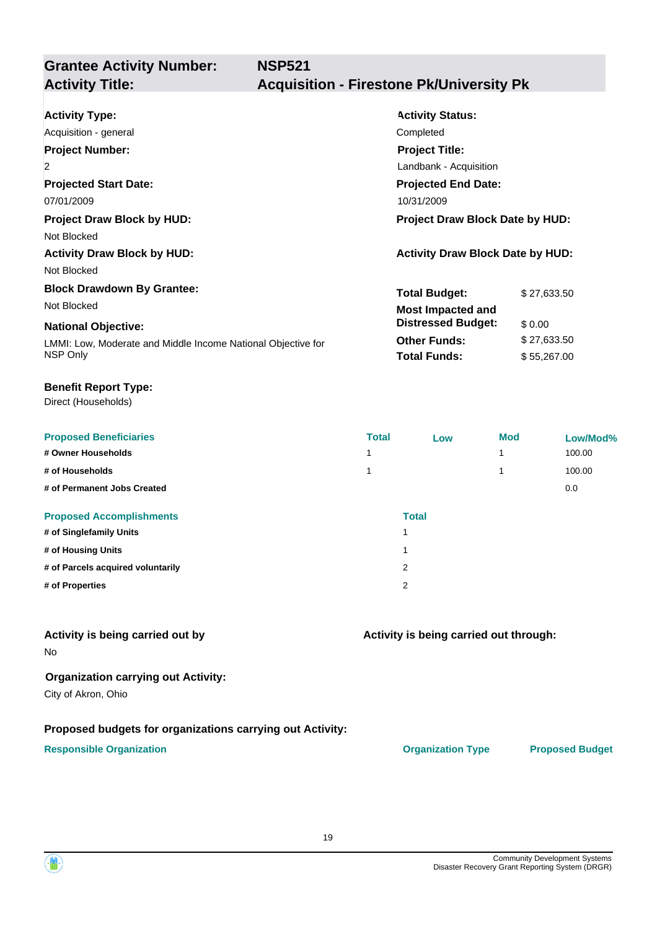**NSP521**

# **Grantee Activity Number:**

# **Activity Title: Acquisition - Firestone Pk/University Pk**

| <b>Activity Type:</b>                                        | <b>Activity Status:</b>                 |             |
|--------------------------------------------------------------|-----------------------------------------|-------------|
| Acquisition - general                                        | Completed                               |             |
| <b>Project Number:</b>                                       | <b>Project Title:</b>                   |             |
| $\overline{2}$                                               | Landbank - Acquisition                  |             |
| <b>Projected Start Date:</b>                                 | <b>Projected End Date:</b>              |             |
| 07/01/2009                                                   | 10/31/2009                              |             |
| <b>Project Draw Block by HUD:</b>                            | <b>Project Draw Block Date by HUD:</b>  |             |
| Not Blocked                                                  |                                         |             |
| <b>Activity Draw Block by HUD:</b>                           | <b>Activity Draw Block Date by HUD:</b> |             |
| Not Blocked                                                  |                                         |             |
| <b>Block Drawdown By Grantee:</b>                            | <b>Total Budget:</b>                    | \$27,633.50 |
| Not Blocked                                                  | <b>Most Impacted and</b>                |             |
| <b>National Objective:</b>                                   | <b>Distressed Budget:</b>               | \$0.00      |
| LMMI: Low, Moderate and Middle Income National Objective for | <b>Other Funds:</b>                     | \$27,633.50 |
| NSP Only                                                     | <b>Total Funds:</b>                     | \$55,267.00 |

#### **Benefit Report Type:**

Direct (Households)

| <b>Proposed Beneficiaries</b>     | <b>Total</b> | Low          | <b>Mod</b> | Low/Mod% |
|-----------------------------------|--------------|--------------|------------|----------|
| # Owner Households                | 1            |              | 1          | 100.00   |
| # of Households                   |              |              | 1          | 100.00   |
| # of Permanent Jobs Created       |              |              |            | 0.0      |
| <b>Proposed Accomplishments</b>   |              | <b>Total</b> |            |          |
| # of Singlefamily Units           |              |              |            |          |
| # of Housing Units                |              |              |            |          |
| # of Parcels acquired voluntarily | 2            |              |            |          |
| # of Properties                   | 2            |              |            |          |

#### **Activity is being carried out by**

No

#### **Organization carrying out Activity:**

City of Akron, Ohio

#### **Proposed budgets for organizations carrying out Activity:**

#### **Responsible Organization Organization Type Proposed Budget**

**Activity is being carried out through:**

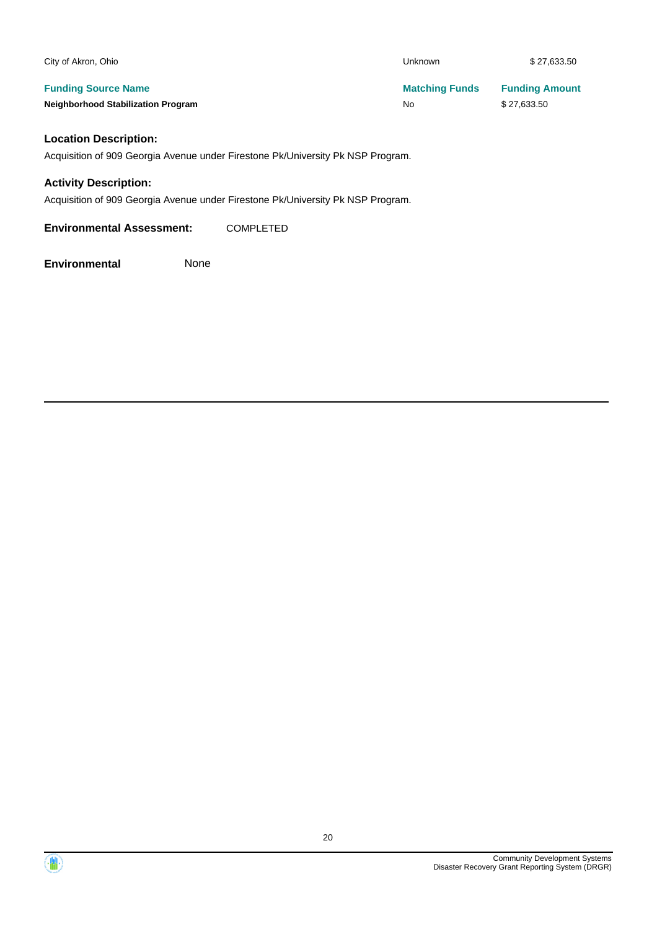| <b>Unknown</b>        | \$27,633.50           |
|-----------------------|-----------------------|
| <b>Matching Funds</b> | <b>Funding Amount</b> |
| No                    | \$27,633.50           |
|                       |                       |
|                       |                       |

#### **Location Description:**

Acquisition of 909 Georgia Avenue under Firestone Pk/University Pk NSP Program.

#### **Activity Description:**

Acquisition of 909 Georgia Avenue under Firestone Pk/University Pk NSP Program.

**Environmental Assessment:** COMPLETED

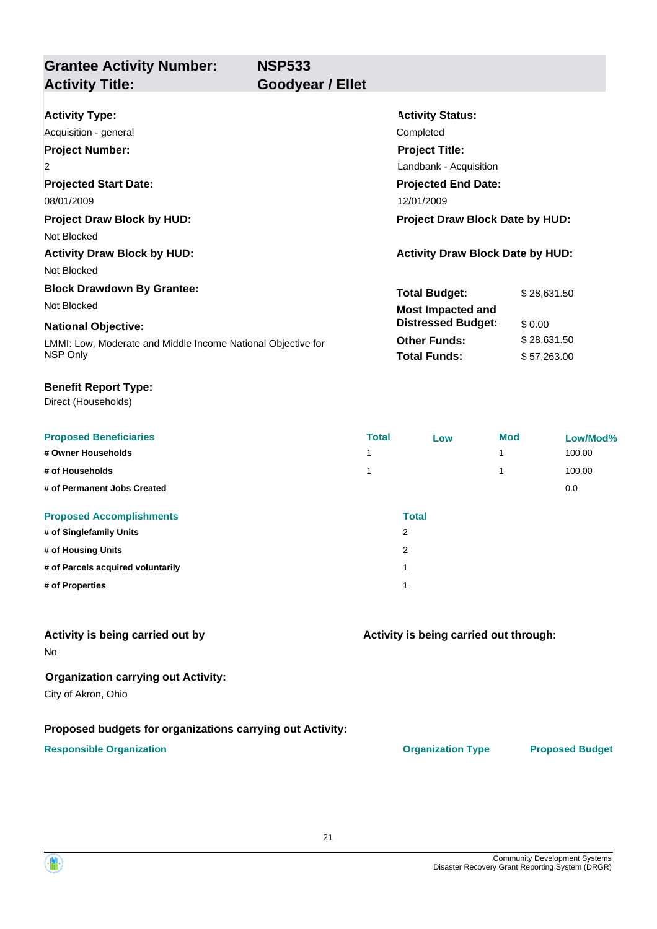**Grantee Activity Number: Activity Title: Goodyear / Ellet**

**NSP533**

| <b>Activity Type:</b>                                        | <b>Activity Status:</b>                 |             |  |  |
|--------------------------------------------------------------|-----------------------------------------|-------------|--|--|
| Acquisition - general                                        | Completed                               |             |  |  |
| <b>Project Number:</b>                                       | <b>Project Title:</b>                   |             |  |  |
| 2                                                            | Landbank - Acquisition                  |             |  |  |
| <b>Projected Start Date:</b>                                 | <b>Projected End Date:</b>              |             |  |  |
| 08/01/2009                                                   | 12/01/2009                              |             |  |  |
| <b>Project Draw Block by HUD:</b>                            | <b>Project Draw Block Date by HUD:</b>  |             |  |  |
| Not Blocked                                                  |                                         |             |  |  |
| <b>Activity Draw Block by HUD:</b>                           | <b>Activity Draw Block Date by HUD:</b> |             |  |  |
| Not Blocked                                                  |                                         |             |  |  |
| <b>Block Drawdown By Grantee:</b>                            | <b>Total Budget:</b>                    | \$28,631.50 |  |  |
| Not Blocked                                                  | <b>Most Impacted and</b>                |             |  |  |
| <b>National Objective:</b>                                   | <b>Distressed Budget:</b>               | \$0.00      |  |  |
| LMMI: Low, Moderate and Middle Income National Objective for | <b>Other Funds:</b>                     | \$28,631.50 |  |  |
| NSP Only                                                     | <b>Total Funds:</b>                     | \$57,263.00 |  |  |

#### **Benefit Report Type:**

Direct (Households)

| <b>Proposed Beneficiaries</b>     | <b>Total</b> | Low          | <b>Mod</b> | Low/Mod% |
|-----------------------------------|--------------|--------------|------------|----------|
| # Owner Households                | 1            |              | 1          | 100.00   |
| # of Households                   | 1            |              | 4          | 100.00   |
| # of Permanent Jobs Created       |              |              |            | 0.0      |
| <b>Proposed Accomplishments</b>   |              | <b>Total</b> |            |          |
| # of Singlefamily Units           | 2            |              |            |          |
| # of Housing Units                | 2            |              |            |          |
| # of Parcels acquired voluntarily |              |              |            |          |
| # of Properties                   |              |              |            |          |

#### **Activity is being carried out by**

No

#### **Organization carrying out Activity:**

City of Akron, Ohio

#### **Proposed budgets for organizations carrying out Activity:**

#### **Responsible Organization CONSERVIRGHT ACCORDING THE CONSERVIRGHT ORGANIZATION Type Proposed Budget**

**Activity is being carried out through:**

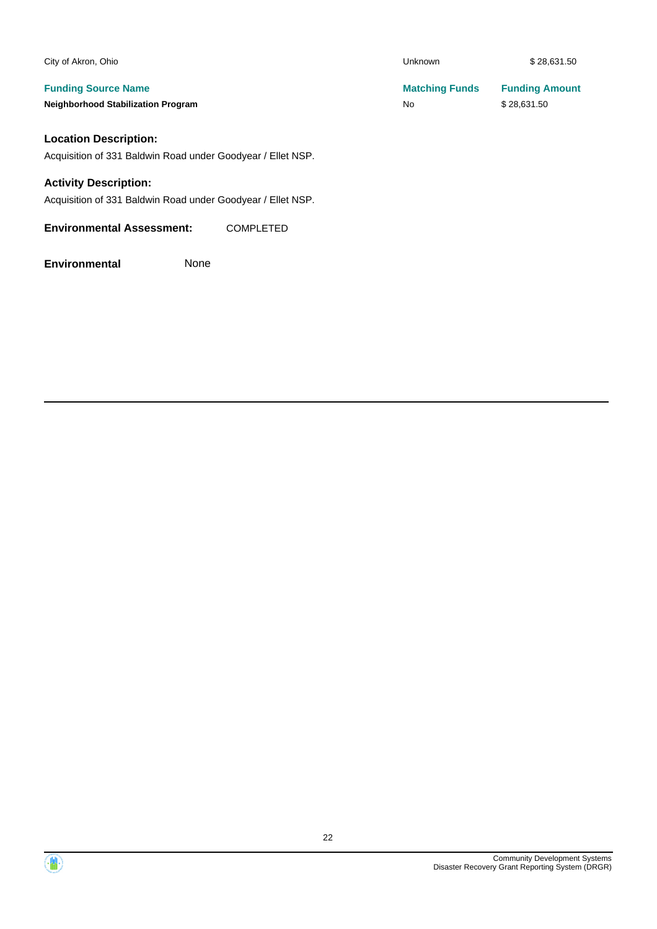| City of Akron, Ohio                                         | Unknown               | \$28,631.50           |
|-------------------------------------------------------------|-----------------------|-----------------------|
| <b>Funding Source Name</b>                                  | <b>Matching Funds</b> | <b>Funding Amount</b> |
| <b>Neighborhood Stabilization Program</b>                   | No                    | \$28,631.50           |
| <b>Location Description:</b>                                |                       |                       |
| Acquisition of 331 Baldwin Road under Goodyear / Ellet NSP. |                       |                       |
| <b>Activity Description:</b>                                |                       |                       |
| Acquisition of 331 Baldwin Road under Goodyear / Ellet NSP. |                       |                       |
| <b>Environmental Assessment:</b><br><b>COMPLETED</b>        |                       |                       |

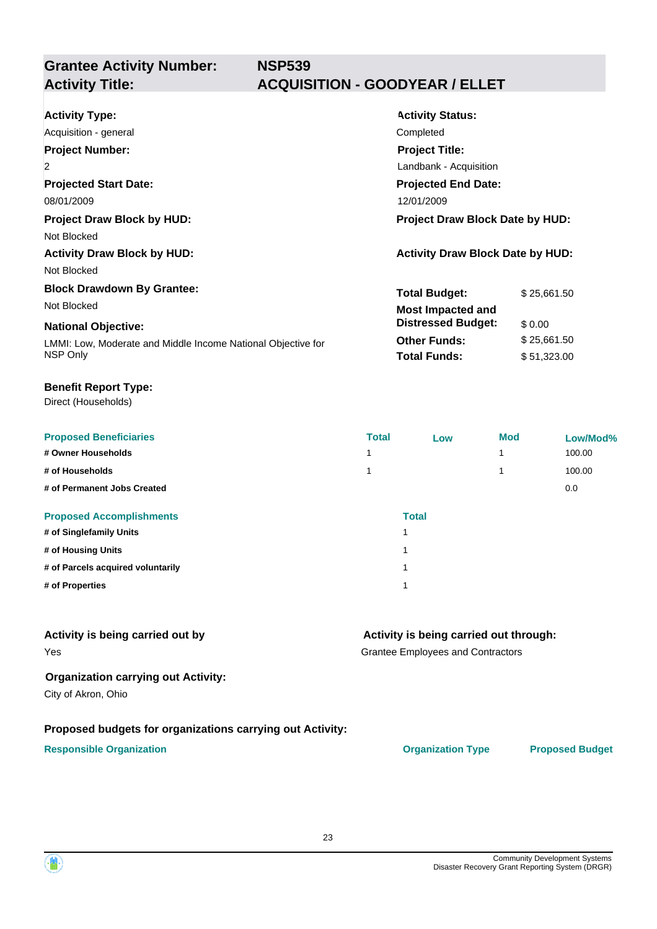**Grantee Activity Number:**

# **NSP539 Activity Title: ACQUISITION - GOODYEAR / ELLET**

| <b>Activity Type:</b><br>Acquisition - general<br><b>Project Number:</b>       | <b>Activity Status:</b><br>Completed<br><b>Project Title:</b>                                          |  |  |
|--------------------------------------------------------------------------------|--------------------------------------------------------------------------------------------------------|--|--|
| $\overline{2}$<br><b>Projected Start Date:</b>                                 | Landbank - Acquisition<br><b>Projected End Date:</b>                                                   |  |  |
| 08/01/2009<br><b>Project Draw Block by HUD:</b><br>Not Blocked                 | 12/01/2009<br><b>Project Draw Block Date by HUD:</b>                                                   |  |  |
| <b>Activity Draw Block by HUD:</b><br>Not Blocked                              | <b>Activity Draw Block Date by HUD:</b>                                                                |  |  |
| <b>Block Drawdown By Grantee:</b><br>Not Blocked<br><b>National Objective:</b> | <b>Total Budget:</b><br>\$25,661.50<br><b>Most Impacted and</b><br><b>Distressed Budget:</b><br>\$0.00 |  |  |
| LMMI: Low, Moderate and Middle Income National Objective for<br>NSP Only       | <b>Other Funds:</b><br>\$25,661.50<br><b>Total Funds:</b><br>\$51,323.00                               |  |  |

#### **Benefit Report Type:**

Direct (Households)

| <b>Proposed Beneficiaries</b>     | <b>Total</b> | Low          | <b>Mod</b> | Low/Mod% |
|-----------------------------------|--------------|--------------|------------|----------|
| # Owner Households                |              |              |            | 100.00   |
| # of Households                   |              |              |            | 100.00   |
| # of Permanent Jobs Created       |              |              |            | 0.0      |
| <b>Proposed Accomplishments</b>   |              | <b>Total</b> |            |          |
| # of Singlefamily Units           |              | 1            |            |          |
| # of Housing Units                |              | 1            |            |          |
| # of Parcels acquired voluntarily |              | 1            |            |          |
| # of Properties                   |              | 1            |            |          |

#### **Activity is being carried out by**

#### **Activity is being carried out through:**

Grantee Employees and Contractors

#### **Organization carrying out Activity:**

City of Akron, Ohio

Yes

#### **Proposed budgets for organizations carrying out Activity:**

#### **Responsible Organization CONSERVIRGHT ACCORDING THE CONSERVIRGHT ORGANIZATION Type Proposed Budget**

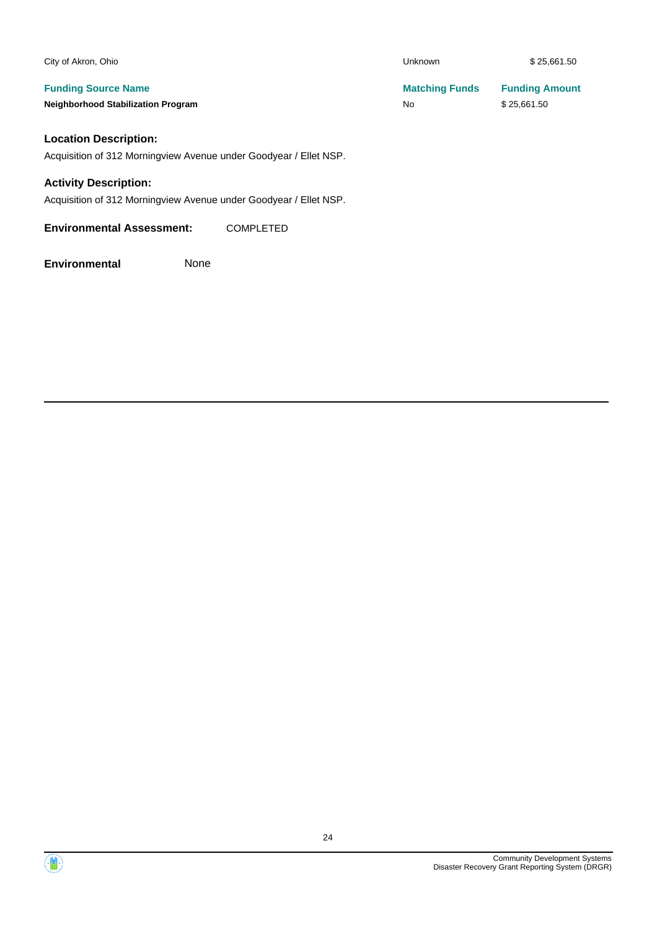| City of Akron, Ohio                       | <b>Unknown</b>        | \$25,661.50           |
|-------------------------------------------|-----------------------|-----------------------|
| <b>Funding Source Name</b>                | <b>Matching Funds</b> | <b>Funding Amount</b> |
| <b>Neighborhood Stabilization Program</b> | No                    | \$25,661.50           |
| Location Description:                     |                       |                       |

#### **Location Description:**

Acquisition of 312 Morningview Avenue under Goodyear / Ellet NSP.

#### **Activity Description:**

Acquisition of 312 Morningview Avenue under Goodyear / Ellet NSP.

**Environmental Assessment:** COMPLETED

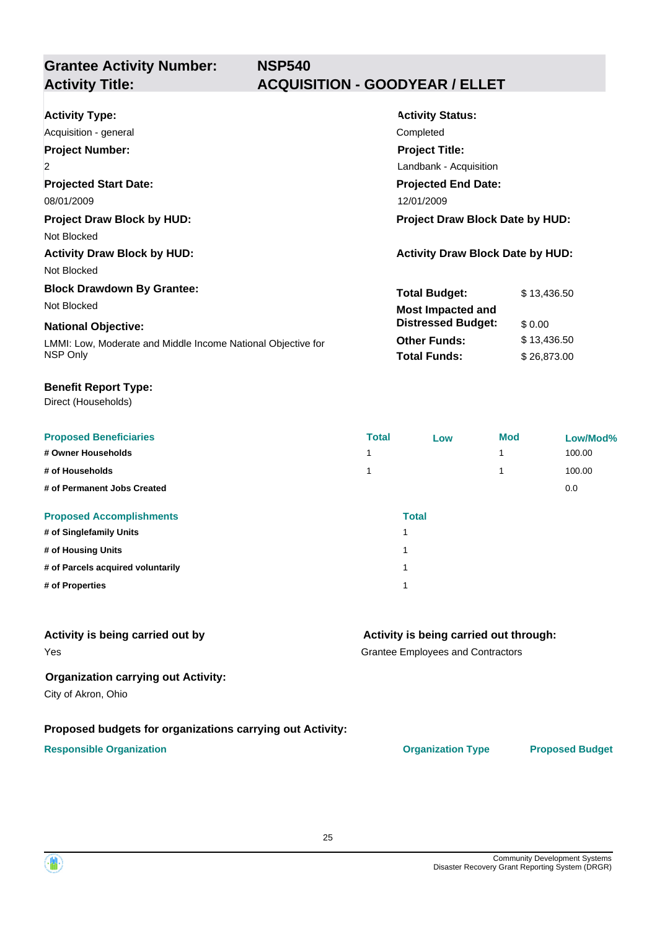**Grantee Activity Number:**

# **NSP540 Activity Title: ACQUISITION - GOODYEAR / ELLET**

| <b>Activity Type:</b>                                        | <b>Activity Status:</b>                 |  |  |
|--------------------------------------------------------------|-----------------------------------------|--|--|
| Acquisition - general                                        | Completed                               |  |  |
| <b>Project Number:</b>                                       | <b>Project Title:</b>                   |  |  |
| $\overline{2}$                                               | Landbank - Acquisition                  |  |  |
| <b>Projected Start Date:</b>                                 | <b>Projected End Date:</b>              |  |  |
| 08/01/2009                                                   | 12/01/2009                              |  |  |
| <b>Project Draw Block by HUD:</b>                            | <b>Project Draw Block Date by HUD:</b>  |  |  |
| Not Blocked                                                  |                                         |  |  |
| <b>Activity Draw Block by HUD:</b>                           | <b>Activity Draw Block Date by HUD:</b> |  |  |
| Not Blocked                                                  |                                         |  |  |
| <b>Block Drawdown By Grantee:</b>                            | <b>Total Budget:</b><br>\$13,436.50     |  |  |
| Not Blocked                                                  | <b>Most Impacted and</b>                |  |  |
| <b>National Objective:</b>                                   | <b>Distressed Budget:</b><br>\$0.00     |  |  |
| LMMI: Low, Moderate and Middle Income National Objective for | <b>Other Funds:</b><br>\$13,436.50      |  |  |
| NSP Only                                                     | <b>Total Funds:</b><br>\$26,873.00      |  |  |

#### **Benefit Report Type:**

Direct (Households)

| <b>Proposed Beneficiaries</b>     | <b>Total</b> | Low          | <b>Mod</b> | Low/Mod% |
|-----------------------------------|--------------|--------------|------------|----------|
| # Owner Households                |              |              |            | 100.00   |
| # of Households                   |              |              |            | 100.00   |
| # of Permanent Jobs Created       |              |              |            | 0.0      |
| <b>Proposed Accomplishments</b>   |              | <b>Total</b> |            |          |
| # of Singlefamily Units           |              | 1            |            |          |
| # of Housing Units                |              | 1            |            |          |
| # of Parcels acquired voluntarily |              | 1            |            |          |
| # of Properties                   |              | 1            |            |          |

#### **Activity is being carried out by**

#### **Activity is being carried out through:**

Grantee Employees and Contractors

#### **Organization carrying out Activity:**

City of Akron, Ohio

Yes

#### **Proposed budgets for organizations carrying out Activity:**

#### **Responsible Organization CONSERVIRGHT ACCORDING THE CONSERVIRGHT ORGANIZATION Type Proposed Budget**



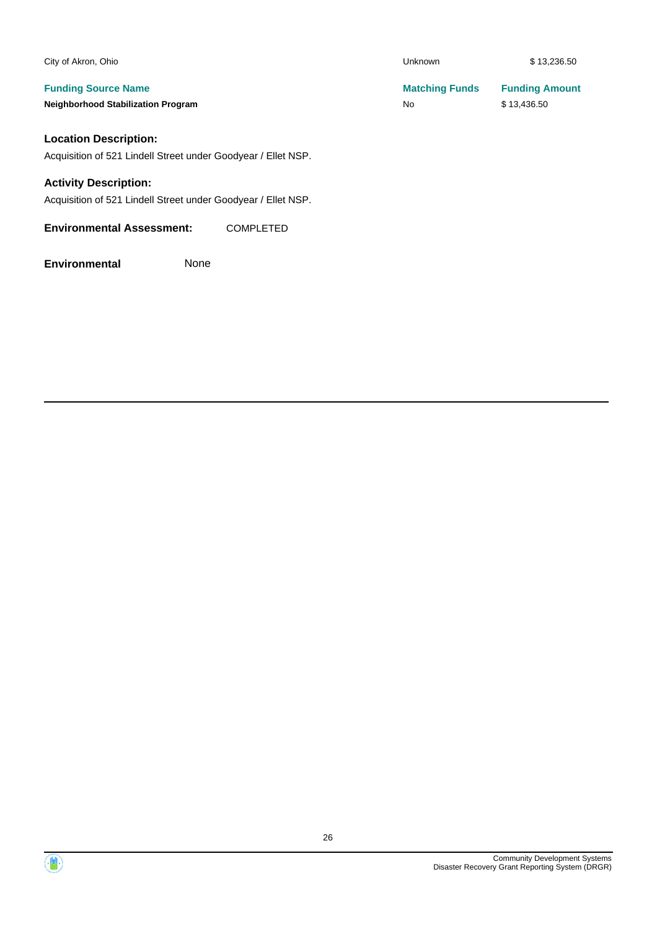| City of Akron, Ohio                                           | <b>Unknown</b>        | \$13,236.50           |
|---------------------------------------------------------------|-----------------------|-----------------------|
| <b>Funding Source Name</b>                                    | <b>Matching Funds</b> | <b>Funding Amount</b> |
| <b>Neighborhood Stabilization Program</b>                     | No                    | \$13,436.50           |
| <b>Location Description:</b>                                  |                       |                       |
| Acquisition of 521 Lindell Street under Goodyear / Ellet NSP. |                       |                       |
| <b>Activity Description:</b>                                  |                       |                       |

Acquisition of 521 Lindell Street under Goodyear / Ellet NSP.

**Environmental Assessment:** COMPLETED



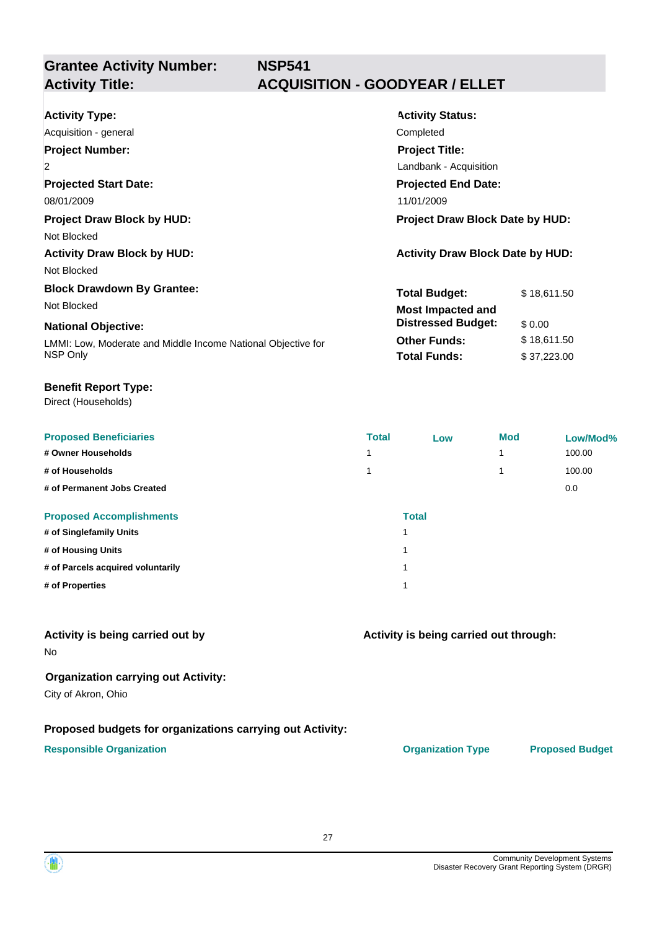**Grantee Activity Number:**

# **NSP541 Activity Title: ACQUISITION - GOODYEAR / ELLET**

| <b>Activity Type:</b>                                        | <b>Activity Status:</b>                 |             |  |
|--------------------------------------------------------------|-----------------------------------------|-------------|--|
| Acquisition - general                                        | Completed                               |             |  |
| <b>Project Number:</b>                                       | <b>Project Title:</b>                   |             |  |
| $\overline{2}$                                               | Landbank - Acquisition                  |             |  |
| <b>Projected Start Date:</b>                                 | <b>Projected End Date:</b>              |             |  |
| 08/01/2009                                                   | 11/01/2009                              |             |  |
| <b>Project Draw Block by HUD:</b>                            | Project Draw Block Date by HUD:         |             |  |
| Not Blocked                                                  |                                         |             |  |
| <b>Activity Draw Block by HUD:</b>                           | <b>Activity Draw Block Date by HUD:</b> |             |  |
| Not Blocked                                                  |                                         |             |  |
| <b>Block Drawdown By Grantee:</b>                            | <b>Total Budget:</b>                    | \$18,611.50 |  |
| Not Blocked                                                  | <b>Most Impacted and</b>                |             |  |
| <b>National Objective:</b>                                   | <b>Distressed Budget:</b>               | \$0.00      |  |
| LMMI: Low, Moderate and Middle Income National Objective for | <b>Other Funds:</b>                     | \$18,611.50 |  |
| NSP Only                                                     | <b>Total Funds:</b>                     | \$37,223.00 |  |

#### **Benefit Report Type:**

Direct (Households)

| <b>Proposed Beneficiaries</b>     | <b>Total</b>            | Low          | <b>Mod</b> | Low/Mod% |
|-----------------------------------|-------------------------|--------------|------------|----------|
| # Owner Households                |                         |              |            | 100.00   |
| # of Households                   |                         |              |            | 100.00   |
| # of Permanent Jobs Created       |                         |              |            | 0.0      |
| <b>Proposed Accomplishments</b>   |                         | <b>Total</b> |            |          |
| # of Singlefamily Units           |                         |              |            |          |
| # of Housing Units                | $\overline{\mathbf{A}}$ |              |            |          |
| # of Parcels acquired voluntarily | $\overline{\mathbf{A}}$ |              |            |          |
| # of Properties                   | $\overline{\mathbf{A}}$ |              |            |          |

#### **Activity is being carried out by**

No

#### **Organization carrying out Activity:**

City of Akron, Ohio

#### **Proposed budgets for organizations carrying out Activity:**

#### **Responsible Organization CONSERVIRGHT ACCORDING THE CONSERVIRGHT ORGANIZATION Type Proposed Budget**

**Activity is being carried out through:**

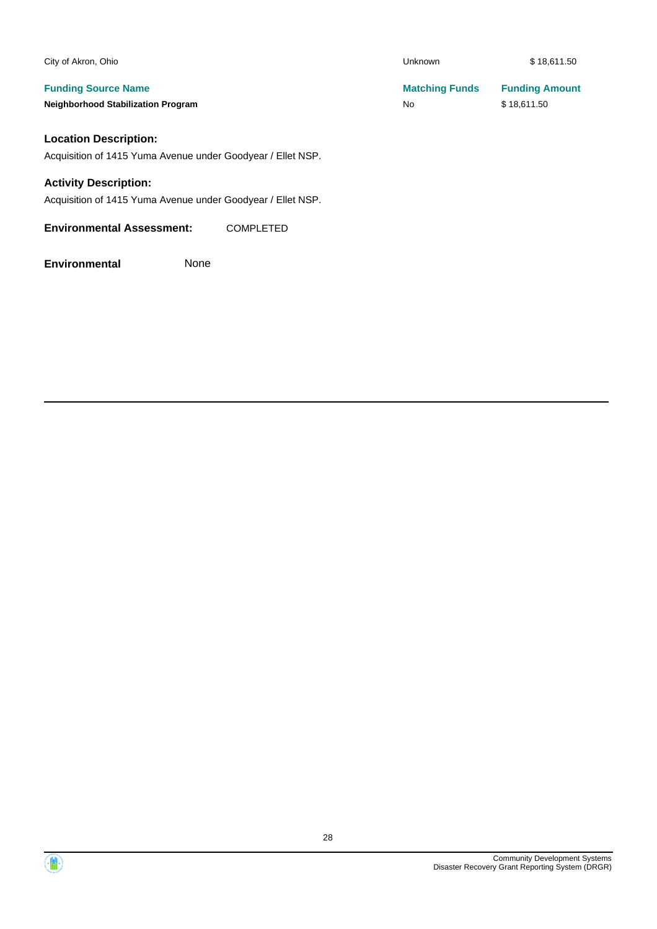| City of Akron, Ohio                                         |                  | Unknown               | \$18,611.50           |
|-------------------------------------------------------------|------------------|-----------------------|-----------------------|
| <b>Funding Source Name</b>                                  |                  | <b>Matching Funds</b> | <b>Funding Amount</b> |
| <b>Neighborhood Stabilization Program</b>                   |                  | No                    | \$18,611.50           |
| <b>Location Description:</b>                                |                  |                       |                       |
| Acquisition of 1415 Yuma Avenue under Goodyear / Ellet NSP. |                  |                       |                       |
| <b>Activity Description:</b>                                |                  |                       |                       |
| Acquisition of 1415 Yuma Avenue under Goodyear / Ellet NSP. |                  |                       |                       |
| <b>Environmental Assessment:</b>                            | <b>COMPLETED</b> |                       |                       |

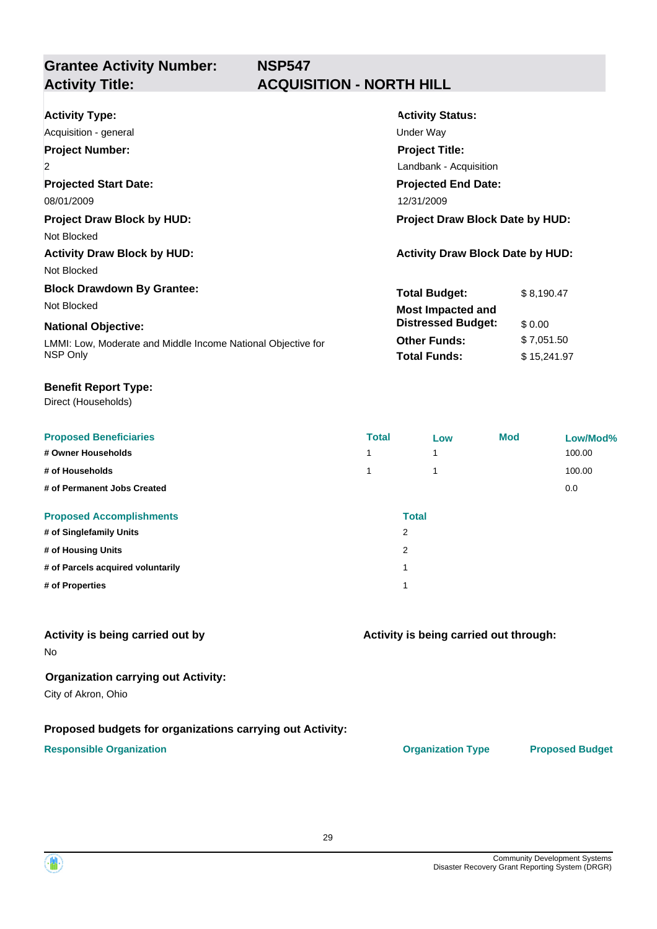**Grantee Activity Number:**

# **NSP547 Activity Title: ACQUISITION - NORTH HILL**

| <b>Activity Type:</b>                                        | <b>Activity Status:</b>                 |             |  |
|--------------------------------------------------------------|-----------------------------------------|-------------|--|
| Acquisition - general                                        | Under Way                               |             |  |
| <b>Project Number:</b>                                       | <b>Project Title:</b>                   |             |  |
| $\overline{2}$                                               | Landbank - Acquisition                  |             |  |
| <b>Projected Start Date:</b>                                 | <b>Projected End Date:</b>              |             |  |
| 08/01/2009                                                   | 12/31/2009                              |             |  |
| <b>Project Draw Block by HUD:</b>                            | <b>Project Draw Block Date by HUD:</b>  |             |  |
| Not Blocked                                                  |                                         |             |  |
| <b>Activity Draw Block by HUD:</b>                           | <b>Activity Draw Block Date by HUD:</b> |             |  |
| Not Blocked                                                  |                                         |             |  |
| <b>Block Drawdown By Grantee:</b>                            | <b>Total Budget:</b>                    | \$8,190.47  |  |
| Not Blocked                                                  | <b>Most Impacted and</b>                |             |  |
| <b>National Objective:</b>                                   | <b>Distressed Budget:</b>               | \$0.00      |  |
| LMMI: Low, Moderate and Middle Income National Objective for | <b>Other Funds:</b>                     | \$7,051.50  |  |
| NSP Only                                                     | <b>Total Funds:</b>                     | \$15,241.97 |  |

#### **Benefit Report Type:**

Direct (Households)

| <b>Proposed Beneficiaries</b>     | <b>Total</b>             | Low          | <b>Mod</b> | Low/Mod% |
|-----------------------------------|--------------------------|--------------|------------|----------|
| # Owner Households                | $\overline{\phantom{a}}$ |              |            | 100.00   |
| # of Households                   |                          |              |            | 100.00   |
| # of Permanent Jobs Created       |                          |              |            | 0.0      |
| <b>Proposed Accomplishments</b>   |                          | <b>Total</b> |            |          |
| # of Singlefamily Units           | 2                        |              |            |          |
| # of Housing Units                | 2                        |              |            |          |
| # of Parcels acquired voluntarily | 4                        |              |            |          |
| # of Properties                   |                          |              |            |          |

#### **Activity is being carried out by**

No

#### **Organization carrying out Activity:**

City of Akron, Ohio

#### **Proposed budgets for organizations carrying out Activity:**

#### **Responsible Organization CONSERVIRGHT ACCORDING THE CONSERVIRGHT ORGANIZATION Type Proposed Budget**

**Activity is being carried out through:**

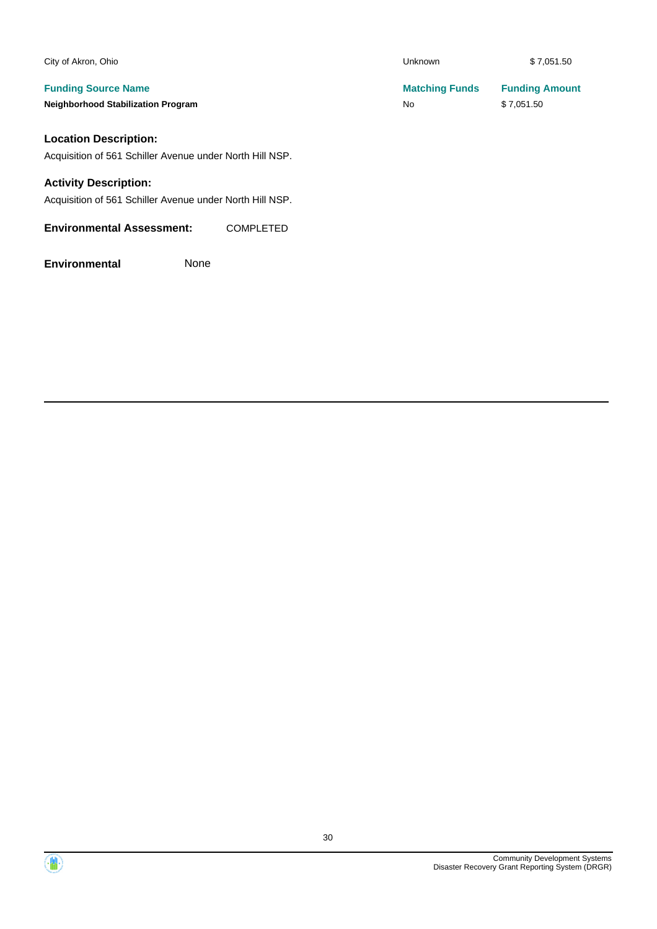| City of Akron, Ohio                                                                      | <b>Unknown</b>              | \$7,051.50                          |
|------------------------------------------------------------------------------------------|-----------------------------|-------------------------------------|
| <b>Funding Source Name</b><br><b>Neighborhood Stabilization Program</b>                  | <b>Matching Funds</b><br>No | <b>Funding Amount</b><br>\$7,051.50 |
| <b>Location Description:</b><br>Acquisition of 561 Schiller Avenue under North Hill NSP. |                             |                                     |

#### **Activity Description:**

Acquisition of 561 Schiller Avenue under North Hill NSP.

**Environmental Assessment:** COMPLETED

**Environmental** None

Community Development Systems Disaster Recovery Grant Reporting System (DRGR)

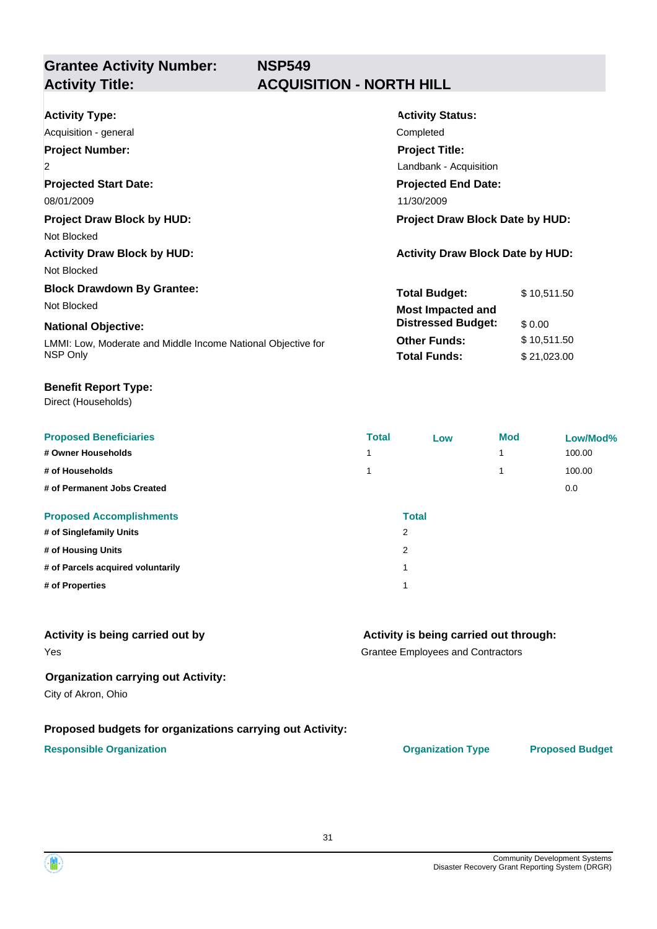**Grantee Activity Number:**

# **NSP549 Activity Title: ACQUISITION - NORTH HILL**

| <b>Activity Type:</b><br>Acquisition - general<br><b>Project Number:</b><br>$\overline{2}$<br><b>Projected Start Date:</b><br>08/01/2009                   | <b>Activity Status:</b><br>Completed<br><b>Project Title:</b><br>Landbank - Acquisition<br><b>Projected End Date:</b><br>11/30/2009                                                |  |  |
|------------------------------------------------------------------------------------------------------------------------------------------------------------|------------------------------------------------------------------------------------------------------------------------------------------------------------------------------------|--|--|
| <b>Project Draw Block by HUD:</b><br>Not Blocked<br><b>Activity Draw Block by HUD:</b><br>Not Blocked                                                      | <b>Project Draw Block Date by HUD:</b><br><b>Activity Draw Block Date by HUD:</b>                                                                                                  |  |  |
| <b>Block Drawdown By Grantee:</b><br>Not Blocked<br><b>National Objective:</b><br>LMMI: Low, Moderate and Middle Income National Objective for<br>NSP Only | <b>Total Budget:</b><br>\$10,511.50<br><b>Most Impacted and</b><br><b>Distressed Budget:</b><br>\$0.00<br><b>Other Funds:</b><br>\$10,511.50<br><b>Total Funds:</b><br>\$21,023.00 |  |  |

#### **Benefit Report Type:**

Direct (Households)

| <b>Proposed Beneficiaries</b>     | <b>Total</b>            | Low | <b>Mod</b> | Low/Mod% |
|-----------------------------------|-------------------------|-----|------------|----------|
| # Owner Households                |                         |     | 4          | 100.00   |
| # of Households                   |                         |     | 4          | 100.00   |
| # of Permanent Jobs Created       |                         |     |            | 0.0      |
| <b>Proposed Accomplishments</b>   | <b>Total</b>            |     |            |          |
| # of Singlefamily Units           | 2                       |     |            |          |
| # of Housing Units                | 2                       |     |            |          |
| # of Parcels acquired voluntarily | $\overline{\mathbf{A}}$ |     |            |          |
| # of Properties                   |                         |     |            |          |

#### **Activity is being carried out by**

#### **Activity is being carried out through:**

Grantee Employees and Contractors

#### **Organization carrying out Activity:**

City of Akron, Ohio

Yes

#### **Proposed budgets for organizations carrying out Activity:**

#### **Responsible Organization CONSERVIRGHT ACCORDING THE CONSERVIRGHT ORGANIZATION Type Proposed Budget**



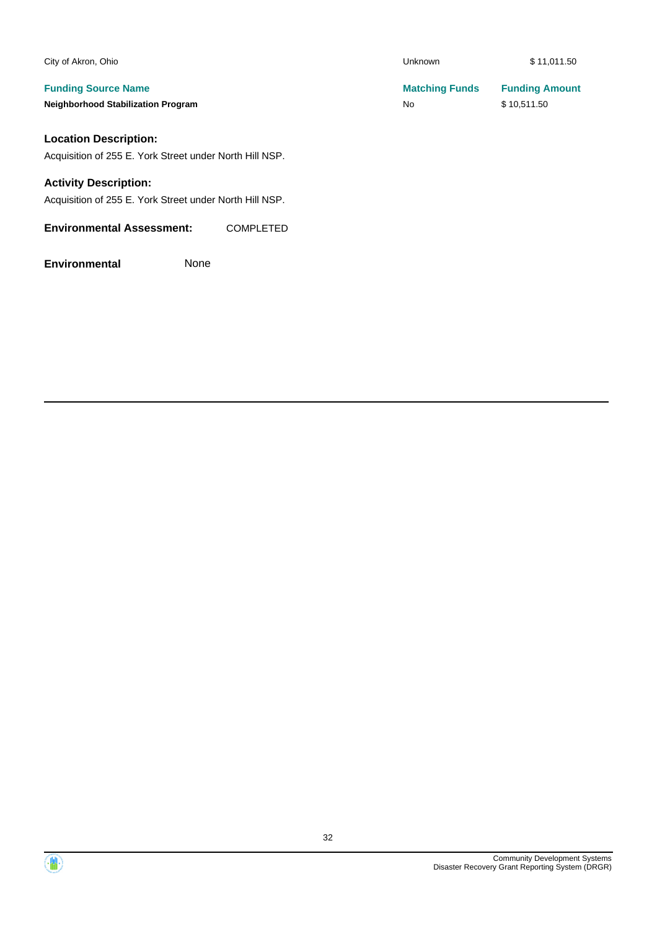| City of Akron, Ohio                                                                     | <b>Unknown</b>                     | \$11,011.50                          |
|-----------------------------------------------------------------------------------------|------------------------------------|--------------------------------------|
| <b>Funding Source Name</b><br><b>Neighborhood Stabilization Program</b>                 | <b>Matching Funds</b><br><b>No</b> | <b>Funding Amount</b><br>\$10,511.50 |
| <b>Location Description:</b><br>Acquisition of 255 E. York Street under North Hill NSP. |                                    |                                      |

#### **Activity Description:**

Acquisition of 255 E. York Street under North Hill NSP.

**Environmental Assessment:** COMPLETED

**Environmental** None

Community Development Systems Disaster Recovery Grant Reporting System (DRGR)

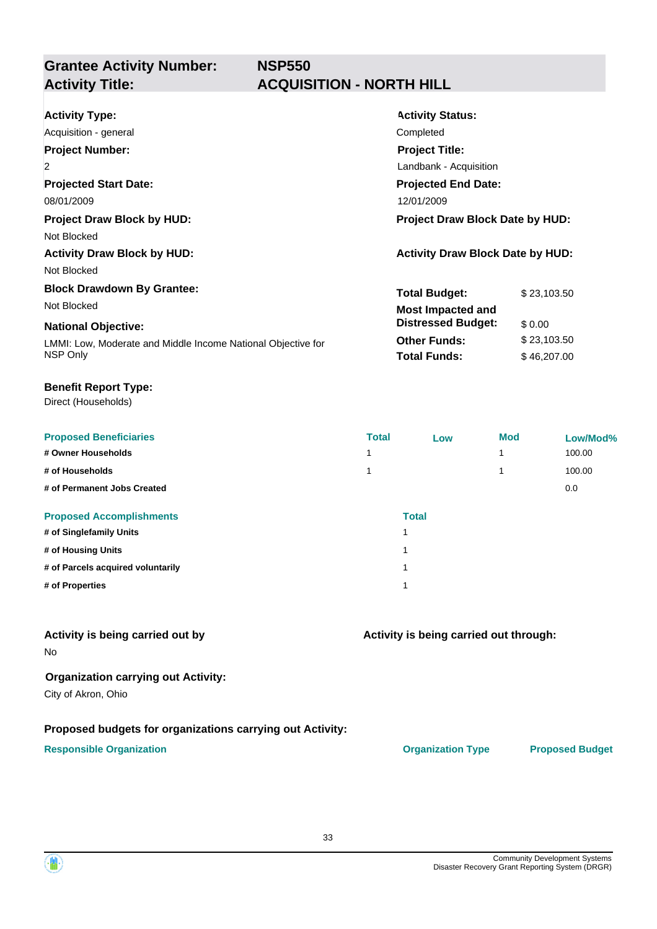**Grantee Activity Number:**

# **NSP550 Activity Title: ACQUISITION - NORTH HILL**

| <b>Activity Type:</b><br>Acquisition - general                           | <b>Activity Status:</b><br>Completed                                     |  |  |
|--------------------------------------------------------------------------|--------------------------------------------------------------------------|--|--|
| <b>Project Number:</b><br>$\overline{2}$                                 | <b>Project Title:</b>                                                    |  |  |
| <b>Projected Start Date:</b>                                             | Landbank - Acquisition<br><b>Projected End Date:</b>                     |  |  |
| 08/01/2009<br><b>Project Draw Block by HUD:</b>                          | 12/01/2009<br><b>Project Draw Block Date by HUD:</b>                     |  |  |
| Not Blocked<br><b>Activity Draw Block by HUD:</b>                        | <b>Activity Draw Block Date by HUD:</b>                                  |  |  |
| Not Blocked                                                              |                                                                          |  |  |
| <b>Block Drawdown By Grantee:</b><br>Not Blocked                         | <b>Total Budget:</b><br>\$23,103.50<br><b>Most Impacted and</b>          |  |  |
| <b>National Objective:</b>                                               | <b>Distressed Budget:</b><br>\$ 0.00                                     |  |  |
| LMMI: Low, Moderate and Middle Income National Objective for<br>NSP Only | <b>Other Funds:</b><br>\$23,103.50<br><b>Total Funds:</b><br>\$46,207.00 |  |  |

#### **Benefit Report Type:**

Direct (Households)

| <b>Proposed Beneficiaries</b>     | <b>Total</b>            | Low          | <b>Mod</b> | Low/Mod% |
|-----------------------------------|-------------------------|--------------|------------|----------|
| # Owner Households                |                         |              |            | 100.00   |
| # of Households                   |                         |              |            | 100.00   |
| # of Permanent Jobs Created       |                         |              |            | 0.0      |
| <b>Proposed Accomplishments</b>   |                         | <b>Total</b> |            |          |
| # of Singlefamily Units           | 1                       |              |            |          |
| # of Housing Units                | 1                       |              |            |          |
| # of Parcels acquired voluntarily | 1                       |              |            |          |
| # of Properties                   | $\overline{\mathbf{A}}$ |              |            |          |

#### **Activity is being carried out by**

No

#### **Organization carrying out Activity:**

City of Akron, Ohio

#### **Proposed budgets for organizations carrying out Activity:**

#### **Responsible Organization CONSERVIRGHT ACCORDING THE CONSERVIRGHT ORGANIZATION Type Proposed Budget**

**Activity is being carried out through:**

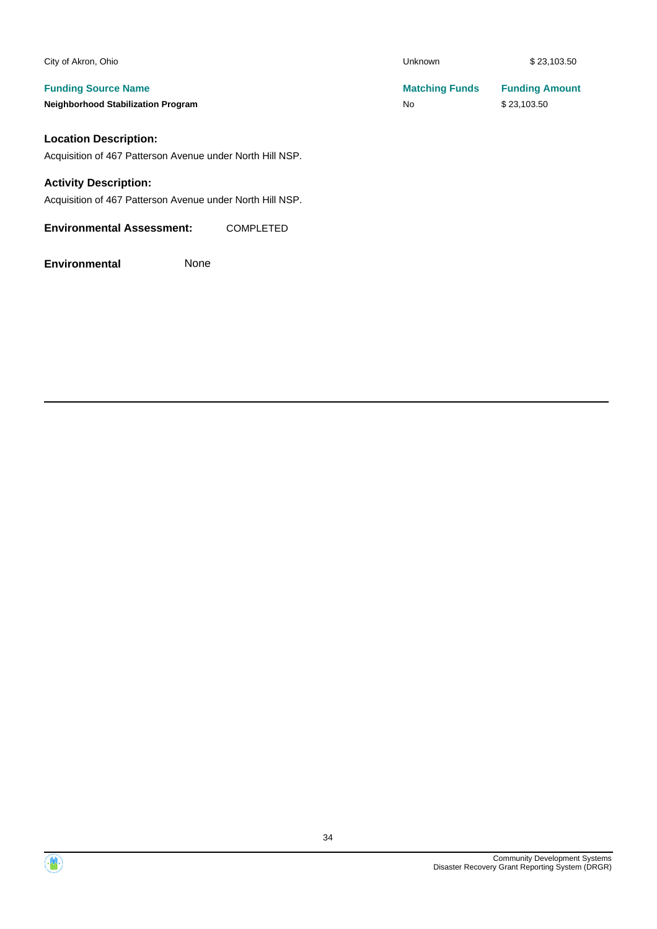| City of Akron, Ohio                                       | <b>Unknown</b>        | \$23,103.50           |
|-----------------------------------------------------------|-----------------------|-----------------------|
| <b>Funding Source Name</b>                                | <b>Matching Funds</b> | <b>Funding Amount</b> |
| <b>Neighborhood Stabilization Program</b>                 | <b>No</b>             | \$23,103.50           |
| <b>Location Description:</b>                              |                       |                       |
| Acquisition of 467 Patterson Avenue under North Hill NSP. |                       |                       |
| <b>Activity Description:</b>                              |                       |                       |

Acquisition of 467 Patterson Avenue under North Hill NSP.

**Environmental Assessment:** COMPLETED

**Environmental** None

Community Development Systems Disaster Recovery Grant Reporting System (DRGR)

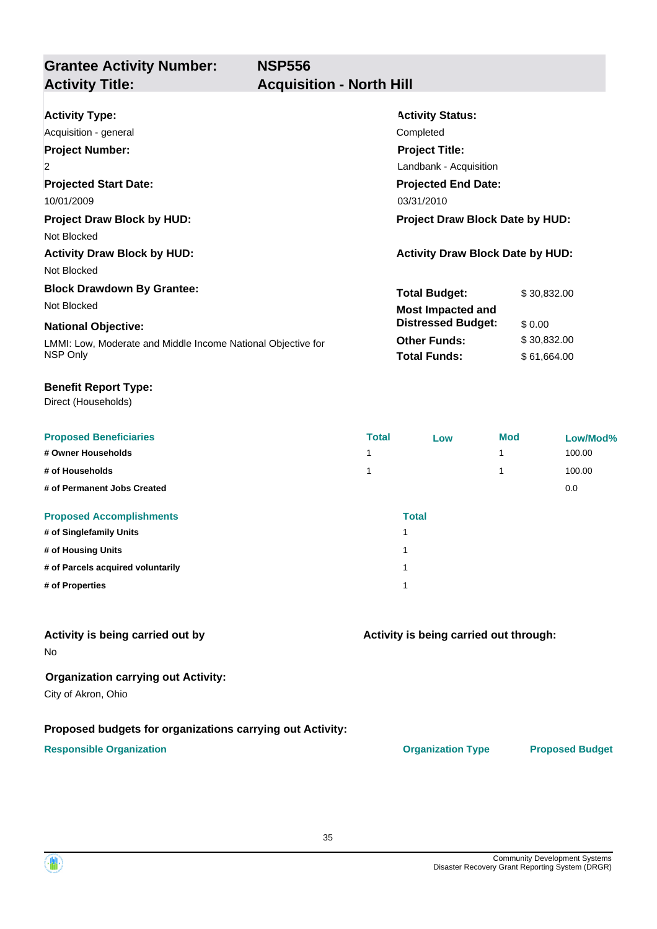**NSP556**

# **Grantee Activity Number: Activity Title: Acquisition - North Hill**

| <b>Activity Type:</b>                                        | <b>Activity Status:</b>                 |             |  |
|--------------------------------------------------------------|-----------------------------------------|-------------|--|
| Acquisition - general                                        | Completed                               |             |  |
| <b>Project Number:</b>                                       | <b>Project Title:</b>                   |             |  |
| $\overline{2}$                                               | Landbank - Acquisition                  |             |  |
| <b>Projected Start Date:</b>                                 | <b>Projected End Date:</b>              |             |  |
| 10/01/2009                                                   | 03/31/2010                              |             |  |
| <b>Project Draw Block by HUD:</b>                            | <b>Project Draw Block Date by HUD:</b>  |             |  |
| Not Blocked                                                  |                                         |             |  |
| <b>Activity Draw Block by HUD:</b>                           | <b>Activity Draw Block Date by HUD:</b> |             |  |
| Not Blocked                                                  |                                         |             |  |
| <b>Block Drawdown By Grantee:</b>                            | <b>Total Budget:</b>                    | \$30,832.00 |  |
| Not Blocked                                                  | <b>Most Impacted and</b>                |             |  |
| <b>National Objective:</b>                                   | <b>Distressed Budget:</b>               | \$0.00      |  |
| LMMI: Low, Moderate and Middle Income National Objective for | <b>Other Funds:</b>                     | \$30,832.00 |  |
| NSP Only                                                     | <b>Total Funds:</b>                     | \$61,664.00 |  |

#### **Benefit Report Type:**

Direct (Households)

| <b>Proposed Beneficiaries</b>     | <b>Total</b>            | Low          | <b>Mod</b> | Low/Mod% |
|-----------------------------------|-------------------------|--------------|------------|----------|
| # Owner Households                |                         |              |            | 100.00   |
| # of Households                   |                         |              |            | 100.00   |
| # of Permanent Jobs Created       |                         |              |            | 0.0      |
| <b>Proposed Accomplishments</b>   |                         | <b>Total</b> |            |          |
| # of Singlefamily Units           |                         |              |            |          |
| # of Housing Units                | $\overline{\mathbf{A}}$ |              |            |          |
| # of Parcels acquired voluntarily | $\overline{\mathbf{A}}$ |              |            |          |
| # of Properties                   | $\overline{\mathbf{A}}$ |              |            |          |

#### **Activity is being carried out by**

No

#### **Organization carrying out Activity:**

City of Akron, Ohio

#### **Proposed budgets for organizations carrying out Activity:**

#### **Responsible Organization CONSERVIRGHT ACCORDING THE CONSERVIRGHT ORGANIZATION Type Proposed Budget**

**Activity is being carried out through:**

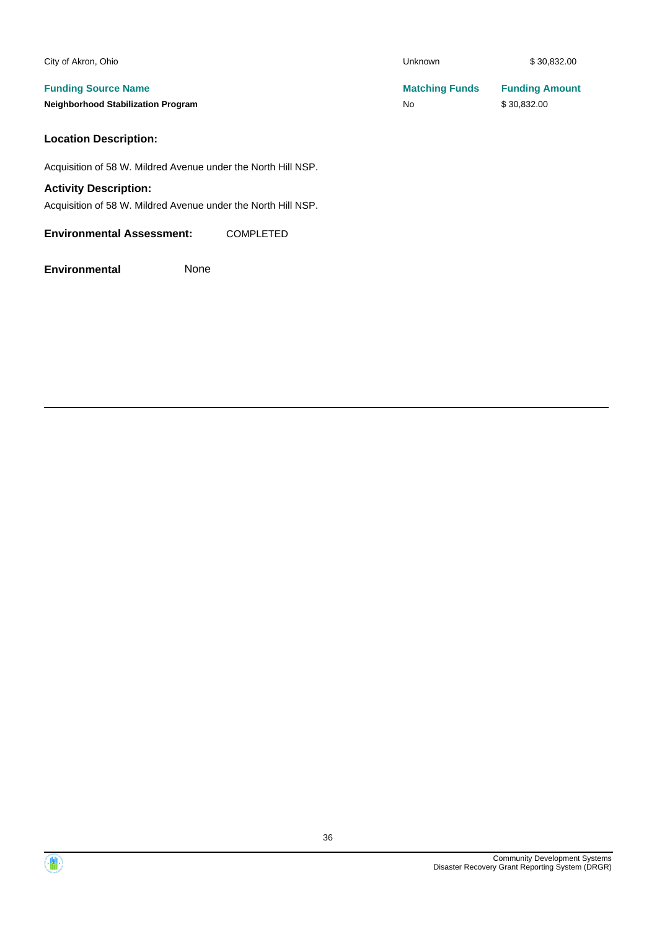| City of Akron, Ohio                       | <b>Unknown</b>        | \$30,832.00           |
|-------------------------------------------|-----------------------|-----------------------|
| <b>Funding Source Name</b>                | <b>Matching Funds</b> | <b>Funding Amount</b> |
| <b>Neighborhood Stabilization Program</b> | No                    | \$30,832.00           |
|                                           |                       |                       |

## **Location Description:**

Acquisition of 58 W. Mildred Avenue under the North Hill NSP.

#### **Activity Description:**

Acquisition of 58 W. Mildred Avenue under the North Hill NSP.

#### **Environmental Assessment:** COMPLETED

**Environmental** None



 $\langle \mathbf{w} \rangle$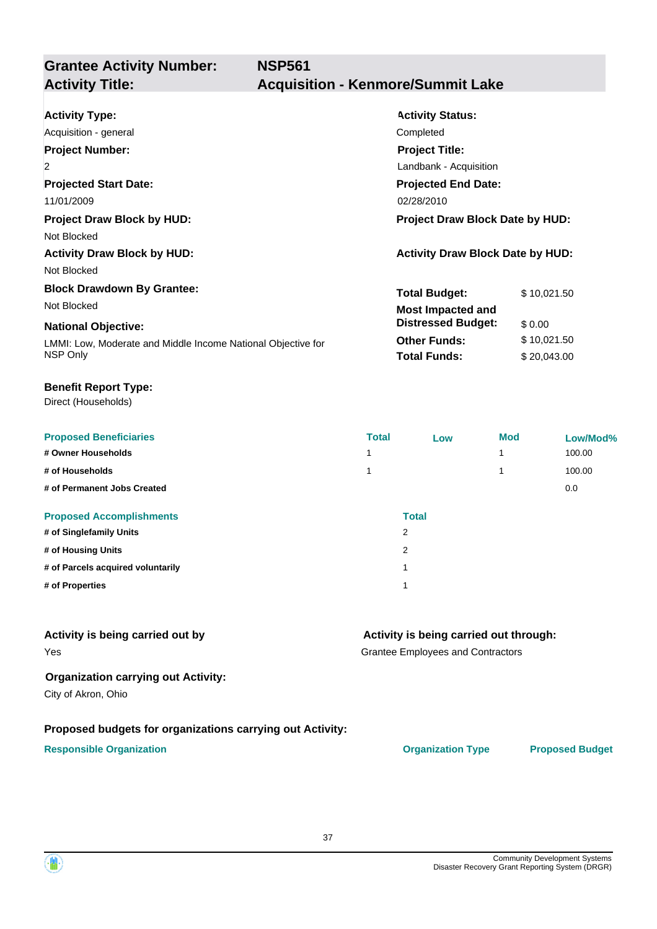**Grantee Activity Number: NSP561**

## **Activity Title: Acquisition - Kenmore/Summit Lake**

| <b>Activity Type:</b>                                        | <b>Activity Status:</b>                 |             |  |
|--------------------------------------------------------------|-----------------------------------------|-------------|--|
| Acquisition - general                                        | Completed                               |             |  |
| <b>Project Number:</b>                                       | <b>Project Title:</b>                   |             |  |
| 2                                                            | Landbank - Acquisition                  |             |  |
| <b>Projected Start Date:</b>                                 | <b>Projected End Date:</b>              |             |  |
| 11/01/2009                                                   | 02/28/2010                              |             |  |
| <b>Project Draw Block by HUD:</b>                            | <b>Project Draw Block Date by HUD:</b>  |             |  |
| Not Blocked                                                  |                                         |             |  |
| <b>Activity Draw Block by HUD:</b>                           | <b>Activity Draw Block Date by HUD:</b> |             |  |
| Not Blocked                                                  |                                         |             |  |
| <b>Block Drawdown By Grantee:</b>                            | <b>Total Budget:</b>                    | \$10,021.50 |  |
| Not Blocked                                                  | <b>Most Impacted and</b>                |             |  |
| <b>National Objective:</b>                                   | <b>Distressed Budget:</b>               | \$0.00      |  |
| LMMI: Low, Moderate and Middle Income National Objective for | <b>Other Funds:</b>                     | \$10,021.50 |  |
| NSP Only                                                     | <b>Total Funds:</b>                     | \$20,043.00 |  |

#### **Benefit Report Type:**

Direct (Households)

| <b>Proposed Beneficiaries</b>     | <b>Total</b> | Low          | <b>Mod</b> | Low/Mod% |
|-----------------------------------|--------------|--------------|------------|----------|
| # Owner Households                |              |              | 1          | 100.00   |
| # of Households                   |              |              |            | 100.00   |
| # of Permanent Jobs Created       |              |              |            | 0.0      |
| <b>Proposed Accomplishments</b>   |              | <b>Total</b> |            |          |
| # of Singlefamily Units           | 2            |              |            |          |
| # of Housing Units                | 2            |              |            |          |
| # of Parcels acquired voluntarily | -1           |              |            |          |
| # of Properties                   |              |              |            |          |

#### **Activity is being carried out by**

#### **Activity is being carried out through:**

Grantee Employees and Contractors

#### **Organization carrying out Activity:**

City of Akron, Ohio

Yes

#### **Proposed budgets for organizations carrying out Activity:**

#### **Responsible Organization CONSERVIRGHT ACCORDING THE CONSERVIRGHT ORGANIZATION Type Proposed Budget**

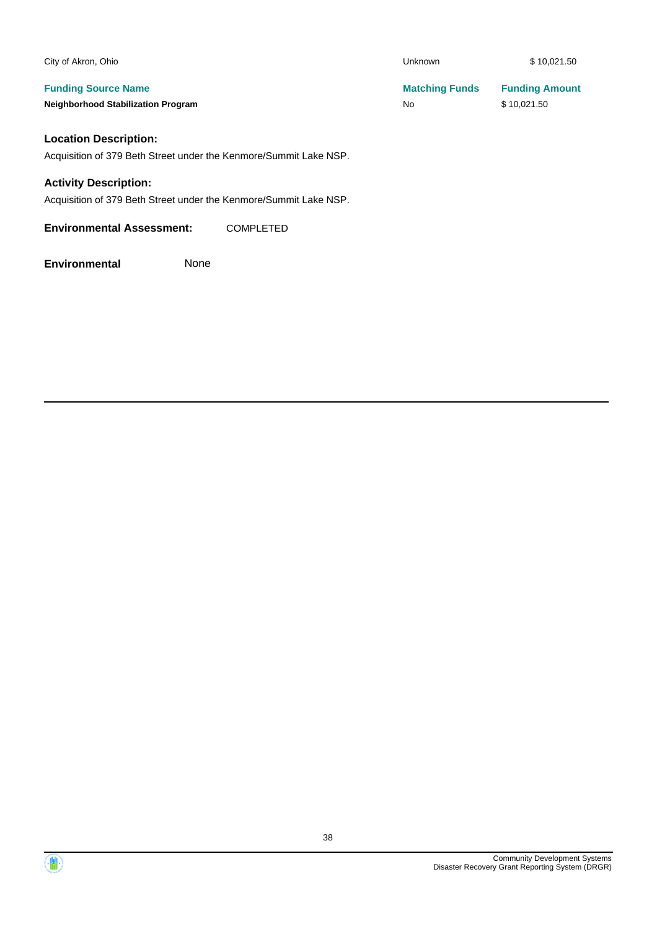| City of Akron, Ohio                       | <b>Unknown</b>        | \$10,021.50           |
|-------------------------------------------|-----------------------|-----------------------|
| <b>Funding Source Name</b>                | <b>Matching Funds</b> | <b>Funding Amount</b> |
| <b>Neighborhood Stabilization Program</b> | No                    | \$10,021.50           |

### **Location Description:**

Acquisition of 379 Beth Street under the Kenmore/Summit Lake NSP.

#### **Activity Description:**

Acquisition of 379 Beth Street under the Kenmore/Summit Lake NSP.

**Environmental Assessment:** COMPLETED

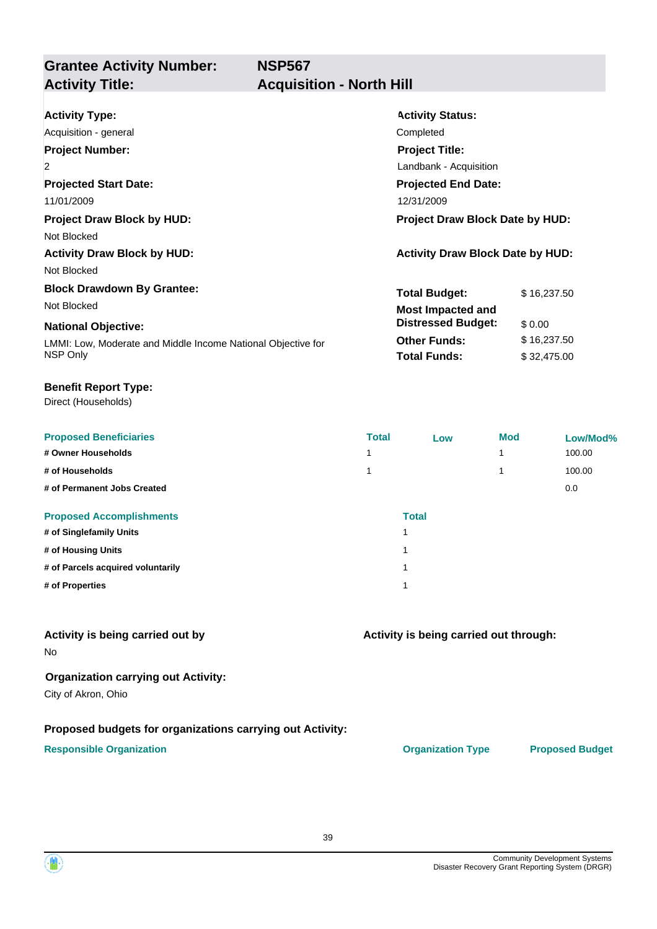## **Grantee Activity Number: Activity Title: Acquisition - North Hill**

| <b>Activity Type:</b>                                        | <b>Activity Status:</b>                 |             |  |
|--------------------------------------------------------------|-----------------------------------------|-------------|--|
| Acquisition - general                                        | Completed                               |             |  |
| <b>Project Number:</b>                                       | <b>Project Title:</b>                   |             |  |
| $\overline{2}$                                               | Landbank - Acquisition                  |             |  |
| <b>Projected Start Date:</b>                                 | <b>Projected End Date:</b>              |             |  |
| 11/01/2009                                                   | 12/31/2009                              |             |  |
| <b>Project Draw Block by HUD:</b>                            | <b>Project Draw Block Date by HUD:</b>  |             |  |
| Not Blocked                                                  |                                         |             |  |
| <b>Activity Draw Block by HUD:</b>                           | <b>Activity Draw Block Date by HUD:</b> |             |  |
| Not Blocked                                                  |                                         |             |  |
| <b>Block Drawdown By Grantee:</b>                            | <b>Total Budget:</b>                    | \$16,237.50 |  |
| Not Blocked                                                  | <b>Most Impacted and</b>                |             |  |
| <b>National Objective:</b>                                   | <b>Distressed Budget:</b>               | \$0.00      |  |
| LMMI: Low, Moderate and Middle Income National Objective for | <b>Other Funds:</b>                     | \$16,237.50 |  |
| NSP Only                                                     | <b>Total Funds:</b>                     | \$32,475.00 |  |

#### **Benefit Report Type:**

Direct (Households)

| <b>Proposed Beneficiaries</b>     | <b>Total</b> | Low | <b>Mod</b> | Low/Mod% |
|-----------------------------------|--------------|-----|------------|----------|
| # Owner Households                |              |     | и          | 100.00   |
| # of Households                   |              |     |            | 100.00   |
| # of Permanent Jobs Created       |              |     |            | 0.0      |
| <b>Proposed Accomplishments</b>   | <b>Total</b> |     |            |          |
| # of Singlefamily Units           |              |     |            |          |
| # of Housing Units                |              |     |            |          |
| # of Parcels acquired voluntarily |              |     |            |          |
| # of Properties                   |              |     |            |          |

### **Activity is being carried out by**

No

#### **Organization carrying out Activity:**

City of Akron, Ohio

#### **Proposed budgets for organizations carrying out Activity:**

#### **Responsible Organization CONSERVIRGHT ACCORDING THE CONSERVIRGHT ORGANIZATION Type Proposed Budget**

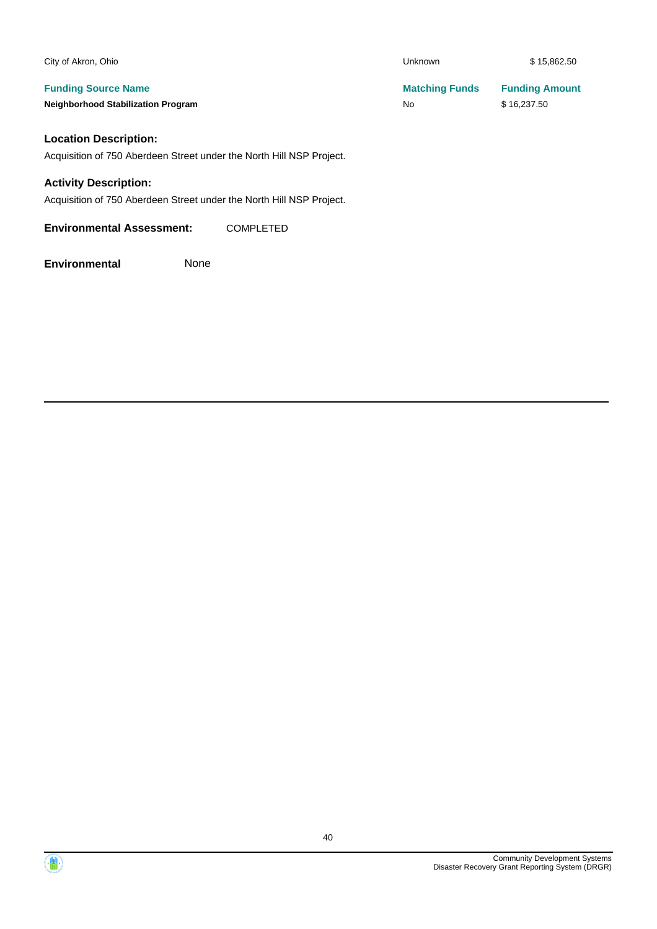| City of Akron, Ohio                       | <b>Unknown</b>        | \$15,862.50           |
|-------------------------------------------|-----------------------|-----------------------|
| <b>Funding Source Name</b>                | <b>Matching Funds</b> | <b>Funding Amount</b> |
| <b>Neighborhood Stabilization Program</b> | No                    | \$16,237.50           |
| <b>Location Description:</b>              |                       |                       |

Acquisition of 750 Aberdeen Street under the North Hill NSP Project.

#### **Activity Description:**

Acquisition of 750 Aberdeen Street under the North Hill NSP Project.

**Environmental Assessment:** COMPLETED

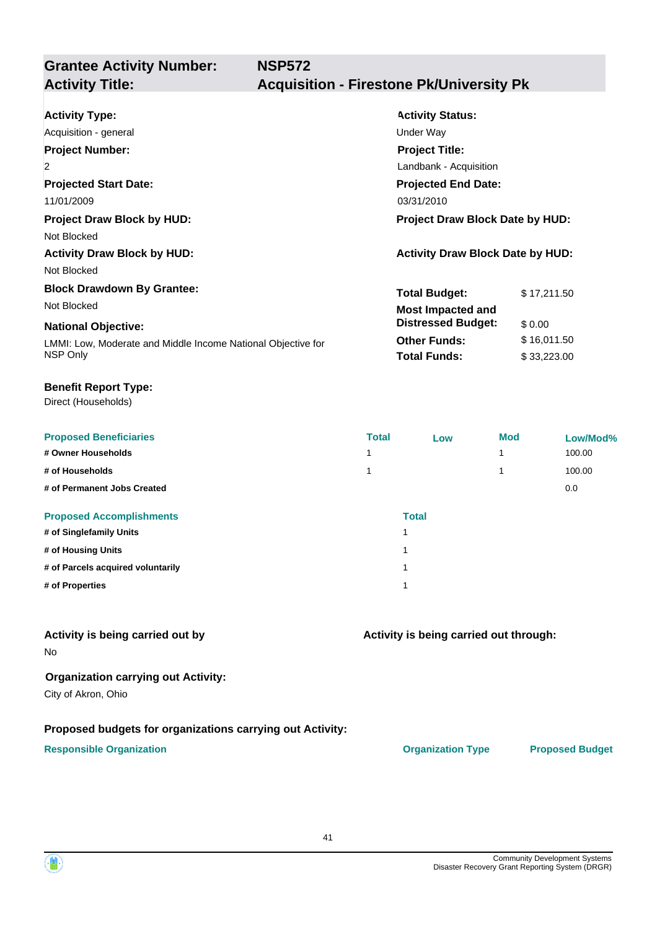# **Grantee Activity Number:**

# **Activity Title: Acquisition - Firestone Pk/University Pk**

| <b>Activity Status:</b>                 |  |  |
|-----------------------------------------|--|--|
|                                         |  |  |
|                                         |  |  |
| <b>Project Title:</b>                   |  |  |
| Landbank - Acquisition                  |  |  |
| <b>Projected End Date:</b>              |  |  |
|                                         |  |  |
| <b>Project Draw Block Date by HUD:</b>  |  |  |
|                                         |  |  |
| <b>Activity Draw Block Date by HUD:</b> |  |  |
|                                         |  |  |
| <b>Total Budget:</b><br>\$17,211.50     |  |  |
| <b>Most Impacted and</b>                |  |  |
| <b>Distressed Budget:</b><br>\$0.00     |  |  |
| <b>Other Funds:</b><br>\$16,011.50      |  |  |
| <b>Total Funds:</b><br>\$33,223.00      |  |  |
|                                         |  |  |

#### **Benefit Report Type:**

Direct (Households)

| <b>Proposed Beneficiaries</b>     | <b>Total</b>            | Low | <b>Mod</b> | Low/Mod% |
|-----------------------------------|-------------------------|-----|------------|----------|
| # Owner Households                |                         |     | 1          | 100.00   |
| # of Households                   |                         |     |            | 100.00   |
| # of Permanent Jobs Created       |                         |     |            | 0.0      |
| <b>Proposed Accomplishments</b>   | <b>Total</b>            |     |            |          |
| # of Singlefamily Units           |                         |     |            |          |
| # of Housing Units                | $\overline{\mathbf{A}}$ |     |            |          |
| # of Parcels acquired voluntarily | $\overline{\mathbf{A}}$ |     |            |          |
| # of Properties                   |                         |     |            |          |

### **Activity is being carried out by**

No

#### **Organization carrying out Activity:**

City of Akron, Ohio

#### **Proposed budgets for organizations carrying out Activity:**

#### **Responsible Organization Organization Type Proposed Budget**

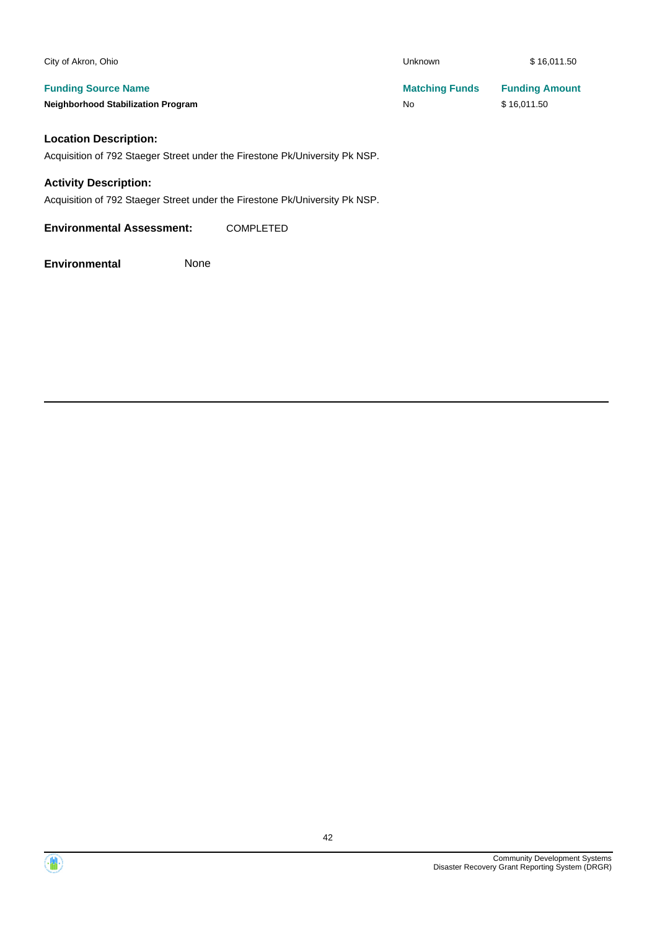| City of Akron, Ohio                       | Unknown               | \$16,011.50           |
|-------------------------------------------|-----------------------|-----------------------|
| <b>Funding Source Name</b>                | <b>Matching Funds</b> | <b>Funding Amount</b> |
| <b>Neighborhood Stabilization Program</b> | No                    | \$16,011.50           |
| Location Deccription:                     |                       |                       |

#### **Location Description:**

Acquisition of 792 Staeger Street under the Firestone Pk/University Pk NSP.

#### **Activity Description:**

Acquisition of 792 Staeger Street under the Firestone Pk/University Pk NSP.

**Environmental Assessment:** COMPLETED

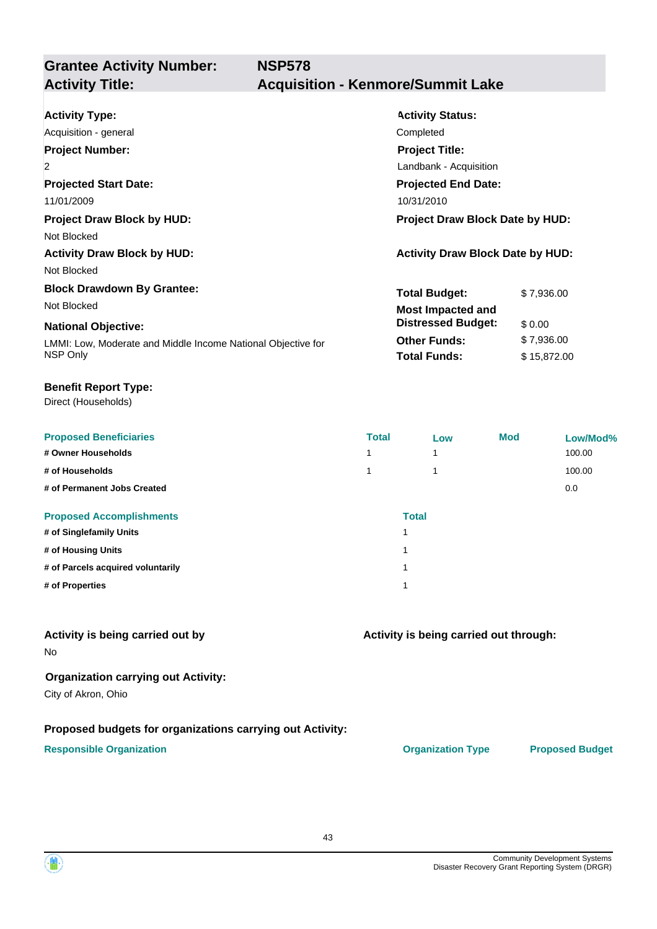**Grantee Activity Number: NSP578**

# **Activity Title: Acquisition - Kenmore/Summit Lake**

| <b>Activity Type:</b>                                        | <b>Activity Status:</b>                 |             |  |
|--------------------------------------------------------------|-----------------------------------------|-------------|--|
| Acquisition - general                                        | Completed                               |             |  |
| <b>Project Number:</b>                                       | <b>Project Title:</b>                   |             |  |
| $\overline{2}$                                               | Landbank - Acquisition                  |             |  |
| <b>Projected Start Date:</b>                                 | <b>Projected End Date:</b>              |             |  |
| 11/01/2009                                                   | 10/31/2010                              |             |  |
| <b>Project Draw Block by HUD:</b>                            | <b>Project Draw Block Date by HUD:</b>  |             |  |
| Not Blocked                                                  |                                         |             |  |
| <b>Activity Draw Block by HUD:</b>                           | <b>Activity Draw Block Date by HUD:</b> |             |  |
| Not Blocked                                                  |                                         |             |  |
| <b>Block Drawdown By Grantee:</b>                            | <b>Total Budget:</b>                    | \$7,936.00  |  |
| Not Blocked                                                  | <b>Most Impacted and</b>                |             |  |
| <b>National Objective:</b>                                   | <b>Distressed Budget:</b><br>\$0.00     |             |  |
| LMMI: Low, Moderate and Middle Income National Objective for | <b>Other Funds:</b>                     | \$7,936.00  |  |
| NSP Only                                                     | <b>Total Funds:</b>                     | \$15,872.00 |  |

#### **Benefit Report Type:**

Direct (Households)

| <b>Proposed Beneficiaries</b>     | <b>Total</b> | Low | <b>Mod</b> | Low/Mod% |
|-----------------------------------|--------------|-----|------------|----------|
| # Owner Households                |              |     |            | 100.00   |
| # of Households                   |              |     |            | 100.00   |
| # of Permanent Jobs Created       |              |     |            | 0.0      |
| <b>Proposed Accomplishments</b>   | <b>Total</b> |     |            |          |
| # of Singlefamily Units           |              |     |            |          |
| # of Housing Units                | и            |     |            |          |
| # of Parcels acquired voluntarily | 4            |     |            |          |
| # of Properties                   |              |     |            |          |

### **Activity is being carried out by**

No

## **Organization carrying out Activity:**

City of Akron, Ohio

#### **Proposed budgets for organizations carrying out Activity:**

#### **Responsible Organization CONSERVIRGHT ACCORDING THE CONSERVIRGHT ORGANIZATION Type Proposed Budget**

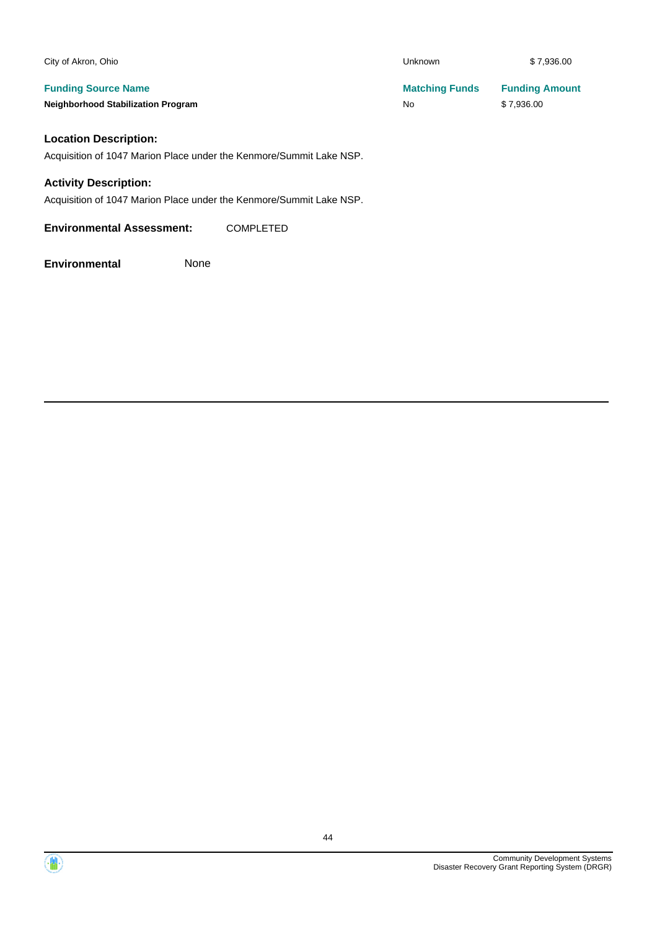| City of Akron, Ohio                       | Unknown               | \$7,936.00            |
|-------------------------------------------|-----------------------|-----------------------|
| <b>Funding Source Name</b>                | <b>Matching Funds</b> | <b>Funding Amount</b> |
| <b>Neighborhood Stabilization Program</b> | No                    | \$7.936.00            |
| Location Deceription:                     |                       |                       |

#### **Location Description:**

Acquisition of 1047 Marion Place under the Kenmore/Summit Lake NSP.

#### **Activity Description:**

Acquisition of 1047 Marion Place under the Kenmore/Summit Lake NSP.

**Environmental Assessment:** COMPLETED

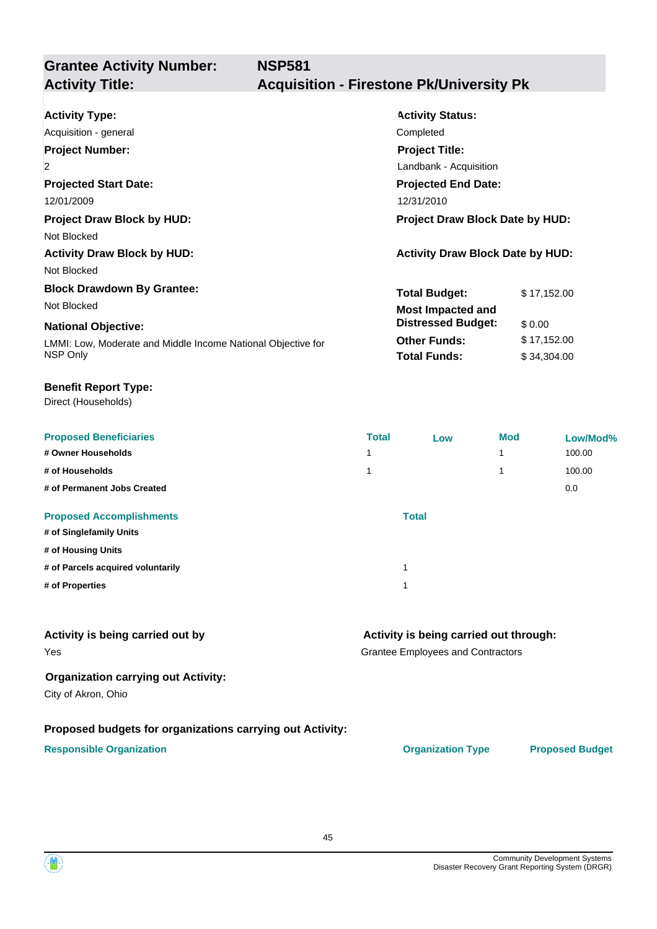# **Grantee Activity Number:**

# **Activity Title: Acquisition - Firestone Pk/University Pk**

| <b>Activity Type:</b>                                        | <b>Activity Status:</b>                 |             |  |
|--------------------------------------------------------------|-----------------------------------------|-------------|--|
| Acquisition - general                                        | Completed                               |             |  |
| <b>Project Number:</b>                                       | <b>Project Title:</b>                   |             |  |
| 2                                                            | Landbank - Acquisition                  |             |  |
| <b>Projected Start Date:</b>                                 | <b>Projected End Date:</b>              |             |  |
| 12/01/2009                                                   | 12/31/2010                              |             |  |
| <b>Project Draw Block by HUD:</b>                            | <b>Project Draw Block Date by HUD:</b>  |             |  |
| Not Blocked                                                  |                                         |             |  |
| <b>Activity Draw Block by HUD:</b>                           | <b>Activity Draw Block Date by HUD:</b> |             |  |
| Not Blocked                                                  |                                         |             |  |
| <b>Block Drawdown By Grantee:</b>                            | <b>Total Budget:</b>                    | \$17,152.00 |  |
| Not Blocked                                                  | <b>Most Impacted and</b>                |             |  |
| <b>National Objective:</b>                                   | <b>Distressed Budget:</b>               | \$ 0.00     |  |
| LMMI: Low, Moderate and Middle Income National Objective for | <b>Other Funds:</b>                     | \$17,152.00 |  |
| NSP Only                                                     | <b>Total Funds:</b>                     | \$34,304.00 |  |

#### **Benefit Report Type:**

Direct (Households)

| <b>Proposed Beneficiaries</b>     | <b>Total</b> | Low          | <b>Mod</b> | Low/Mod% |
|-----------------------------------|--------------|--------------|------------|----------|
| # Owner Households                | 1            |              |            | 100.00   |
| # of Households                   | 1            |              |            | 100.00   |
| # of Permanent Jobs Created       |              |              |            | 0.0      |
| <b>Proposed Accomplishments</b>   |              | <b>Total</b> |            |          |
| # of Singlefamily Units           |              |              |            |          |
| # of Housing Units                |              |              |            |          |
| # of Parcels acquired voluntarily |              |              |            |          |
| # of Properties                   |              |              |            |          |

#### **Activity is being carried out by**

Yes

### **Activity is being carried out through:**

Grantee Employees and Contractors

### **Organization carrying out Activity:**

City of Akron, Ohio

### **Proposed budgets for organizations carrying out Activity:**

### **Responsible Organization COVID-10 COVID-10 Organization Type Proposed Budget**

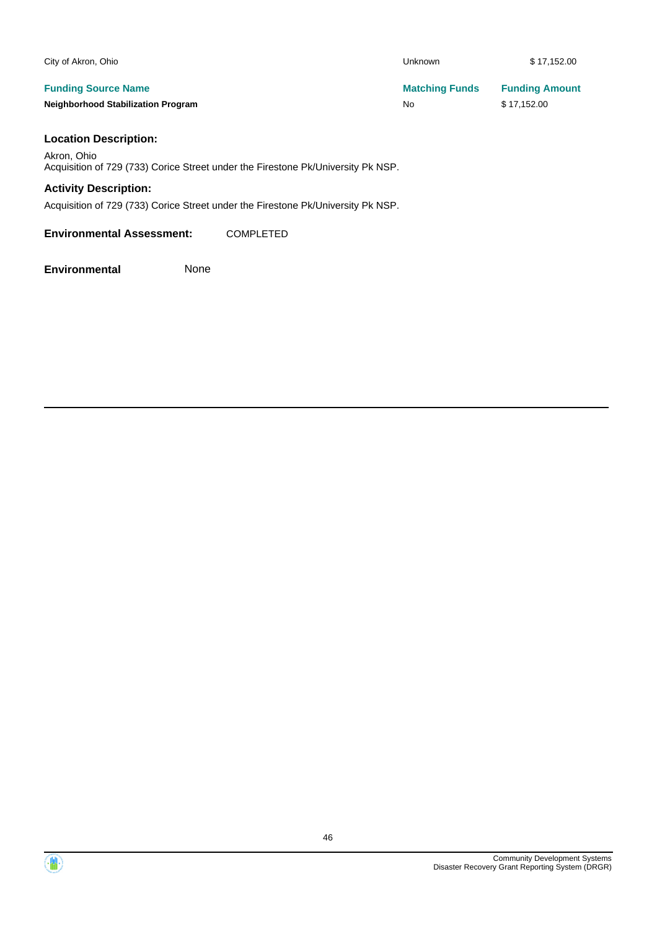| City of Akron, Ohio                       | Unknown               | \$17,152.00           |
|-------------------------------------------|-----------------------|-----------------------|
| <b>Funding Source Name</b>                | <b>Matching Funds</b> | <b>Funding Amount</b> |
| <b>Neighborhood Stabilization Program</b> | No                    | \$17.152.00           |

#### **Location Description:**

Akron, Ohio Acquisition of 729 (733) Corice Street under the Firestone Pk/University Pk NSP.

### **Activity Description:**

Acquisition of 729 (733) Corice Street under the Firestone Pk/University Pk NSP.

**Environmental Assessment:** COMPLETED

**Environmental** None

Community Development Systems Disaster Recovery Grant Reporting System (DRGR)

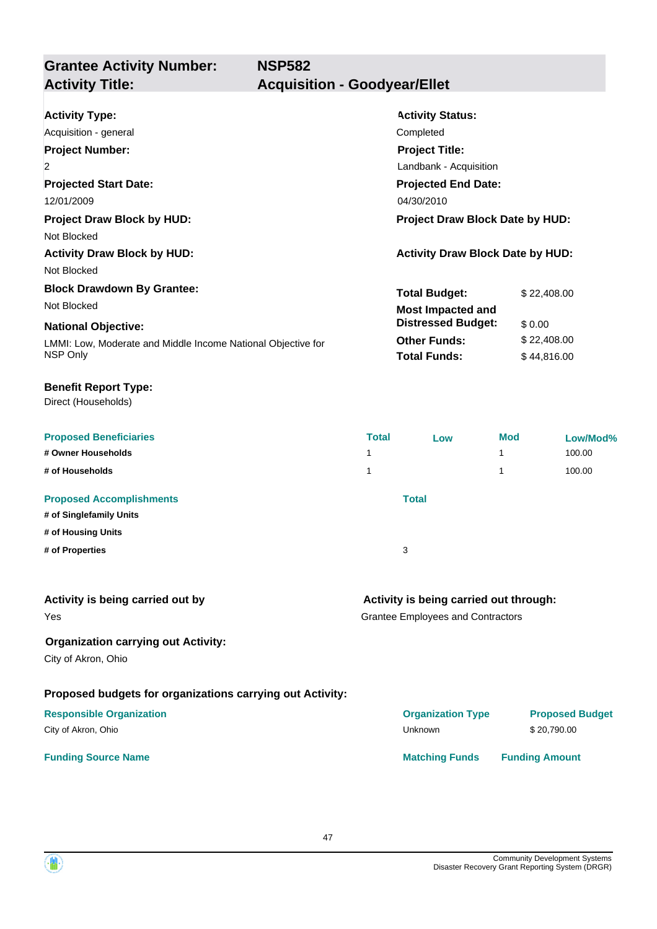**Grantee Activity Number: Activity Status: NSP582 Activity Type:** Acquisition - general Completed **Activity Title: Acquisition - Goodyear/Ellet**

| <b>Project Title:</b>      |                                                                                                 |  |  |
|----------------------------|-------------------------------------------------------------------------------------------------|--|--|
| Landbank - Acquisition     |                                                                                                 |  |  |
| <b>Projected End Date:</b> |                                                                                                 |  |  |
| 04/30/2010                 |                                                                                                 |  |  |
|                            |                                                                                                 |  |  |
|                            |                                                                                                 |  |  |
|                            |                                                                                                 |  |  |
|                            |                                                                                                 |  |  |
| <b>Total Budget:</b>       | \$22,408.00                                                                                     |  |  |
| <b>Most Impacted and</b>   |                                                                                                 |  |  |
| <b>Distressed Budget:</b>  | \$0.00                                                                                          |  |  |
| <b>Other Funds:</b>        | \$22,408.00                                                                                     |  |  |
| <b>Total Funds:</b>        | \$44.816.00                                                                                     |  |  |
|                            | <b>COLLINICIA</b><br>Project Draw Block Date by HUD:<br><b>Activity Draw Block Date by HUD:</b> |  |  |

#### **Benefit Report Type:**

Direct (Households)

| <b>Proposed Beneficiaries</b>   | <b>Total</b> | Low | <b>Mod</b> | Low/Mod% |
|---------------------------------|--------------|-----|------------|----------|
| # Owner Households              | 1            |     | 4          | 100.00   |
| # of Households                 | 1            |     | 4          | 100.00   |
| <b>Proposed Accomplishments</b> | <b>Total</b> |     |            |          |
| # of Singlefamily Units         |              |     |            |          |
| # of Housing Units              |              |     |            |          |
| # of Properties                 | 3            |     |            |          |

| Activity is being carried out by |  |  |  |  |  |  |
|----------------------------------|--|--|--|--|--|--|
|----------------------------------|--|--|--|--|--|--|

Yes

#### **Organization carrying out Activity:**

City of Akron, Ohio

### **Proposed budgets for organizations carrying out Activity:**

#### **Responsible Organization** City of Akron, Ohio

#### **Funding Source Name**

## **Activity is being carried out through:**

Grantee Employees and Contractors

| <b>Organization Type</b> | <b>Proposed Budget</b> |
|--------------------------|------------------------|
| Unknown                  | \$20.790.00            |
| <b>Matching Funds</b>    | <b>Funding Amount</b>  |

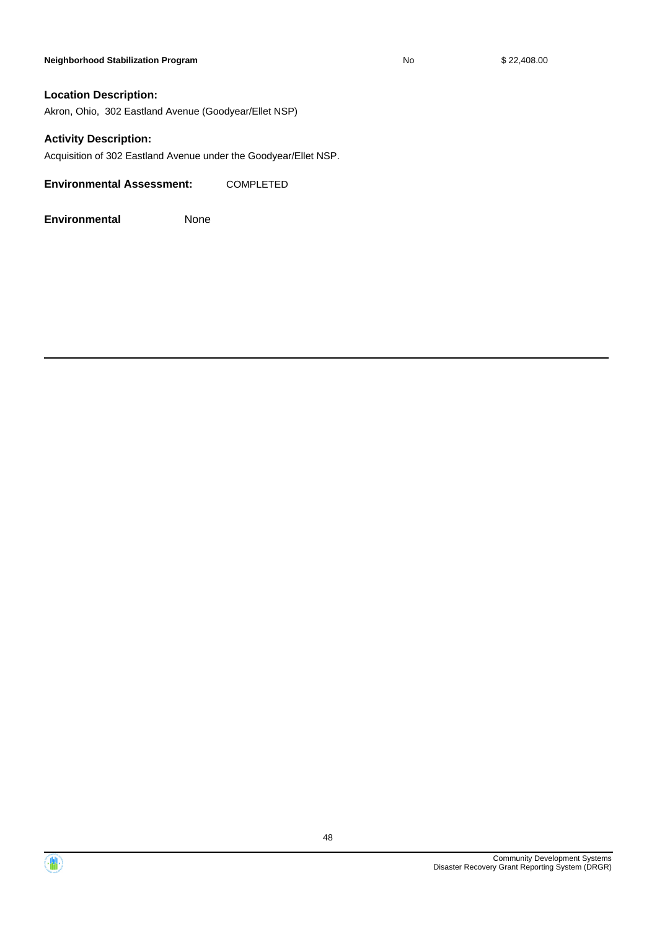#### **Neighborhood Stabilization Program No No** \$ 22,408.00

#### **Location Description:**

Akron, Ohio, 302 Eastland Avenue (Goodyear/Ellet NSP)

#### **Activity Description:**

Acquisition of 302 Eastland Avenue under the Goodyear/Ellet NSP.

**Environmental Assessment:** COMPLETED



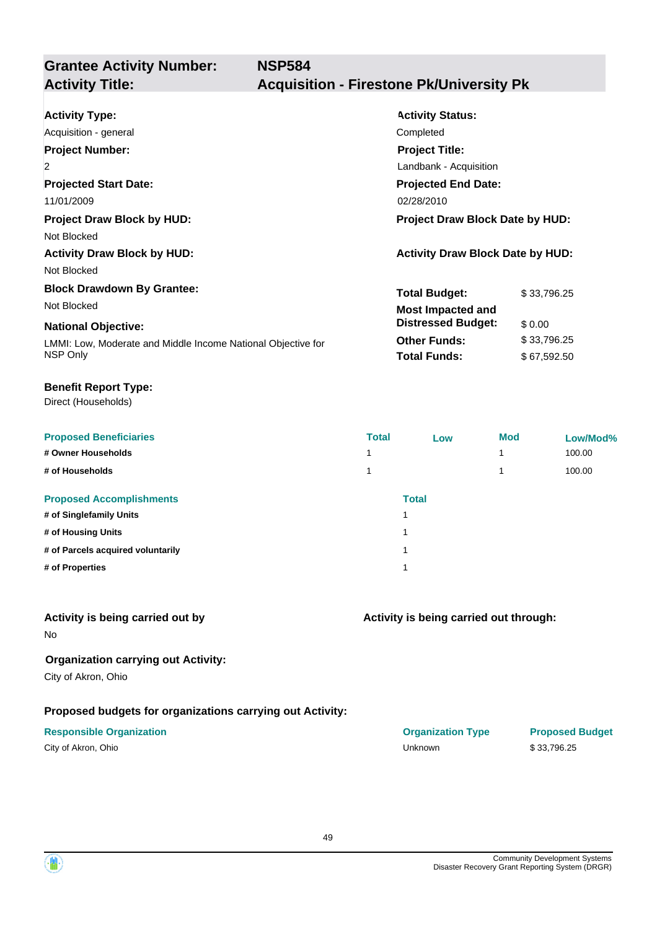# **Grantee Activity Number:**

# **Activity Title: Acquisition - Firestone Pk/University Pk**

| <b>Activity Type:</b>                                        | <b>Activity Status:</b>                 |             |  |
|--------------------------------------------------------------|-----------------------------------------|-------------|--|
| Acquisition - general                                        | Completed                               |             |  |
| <b>Project Number:</b>                                       | <b>Project Title:</b>                   |             |  |
| $\overline{2}$                                               | Landbank - Acquisition                  |             |  |
| <b>Projected Start Date:</b>                                 | <b>Projected End Date:</b>              |             |  |
| 11/01/2009                                                   | 02/28/2010                              |             |  |
| <b>Project Draw Block by HUD:</b>                            | <b>Project Draw Block Date by HUD:</b>  |             |  |
| Not Blocked                                                  |                                         |             |  |
| <b>Activity Draw Block by HUD:</b>                           | <b>Activity Draw Block Date by HUD:</b> |             |  |
| Not Blocked                                                  |                                         |             |  |
| <b>Block Drawdown By Grantee:</b>                            | <b>Total Budget:</b>                    | \$33,796.25 |  |
| Not Blocked                                                  | <b>Most Impacted and</b>                |             |  |
| <b>National Objective:</b>                                   | <b>Distressed Budget:</b><br>\$ 0.00    |             |  |
| LMMI: Low, Moderate and Middle Income National Objective for | <b>Other Funds:</b>                     | \$33,796.25 |  |
| NSP Only                                                     | <b>Total Funds:</b>                     | \$67,592.50 |  |

#### **Benefit Report Type:**

Direct (Households)

| <b>Proposed Beneficiaries</b>     | <b>Total</b> | Low          | <b>Mod</b> | Low/Mod% |
|-----------------------------------|--------------|--------------|------------|----------|
| # Owner Households                | 4            |              |            | 100.00   |
| # of Households                   |              |              |            | 100.00   |
| <b>Proposed Accomplishments</b>   |              | <b>Total</b> |            |          |
| # of Singlefamily Units           |              | и            |            |          |
| # of Housing Units                |              | и            |            |          |
| # of Parcels acquired voluntarily |              | и            |            |          |
| # of Properties                   |              | и            |            |          |
|                                   |              |              |            |          |

#### **Activity is being carried out by**

No

### **Organization carrying out Activity:**

City of Akron, Ohio

### **Proposed budgets for organizations carrying out Activity:**

| City of Akron, Ohio |  |
|---------------------|--|
|---------------------|--|

# **Activity is being carried out through:**

**Responsible Organization COVID-10 COVID-10 Organization Type Proposed Budget** City of Akron, Ohio Unknown \$ 33,796.25

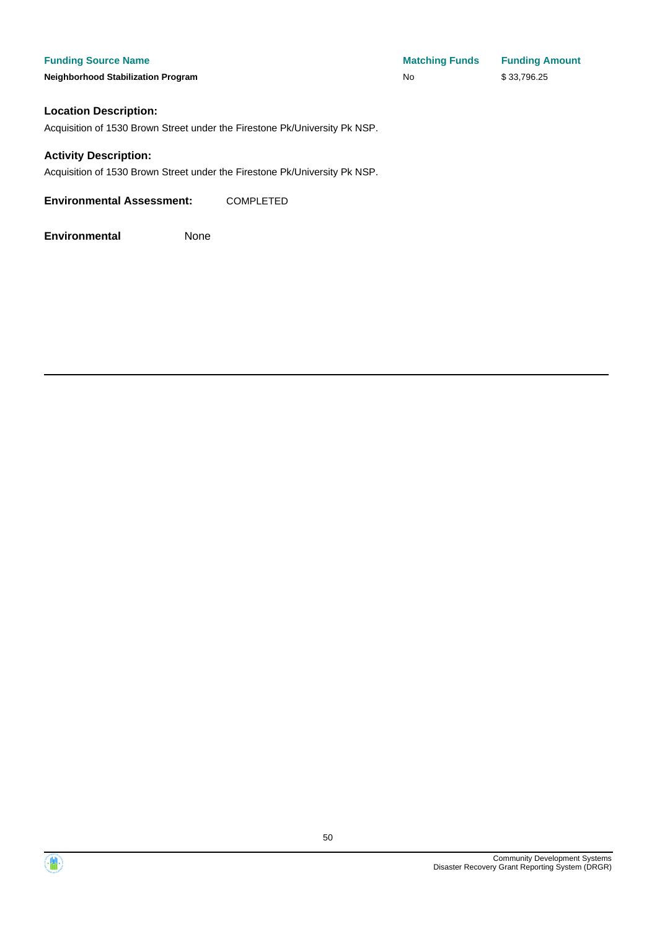**Funding Source Name Matching Funds Funding Amount Neighborhood Stabilization Program No No** \$ 33,796.25

#### **Location Description:**

Acquisition of 1530 Brown Street under the Firestone Pk/University Pk NSP.

#### **Activity Description:**

Acquisition of 1530 Brown Street under the Firestone Pk/University Pk NSP.

**Environmental Assessment:** COMPLETED



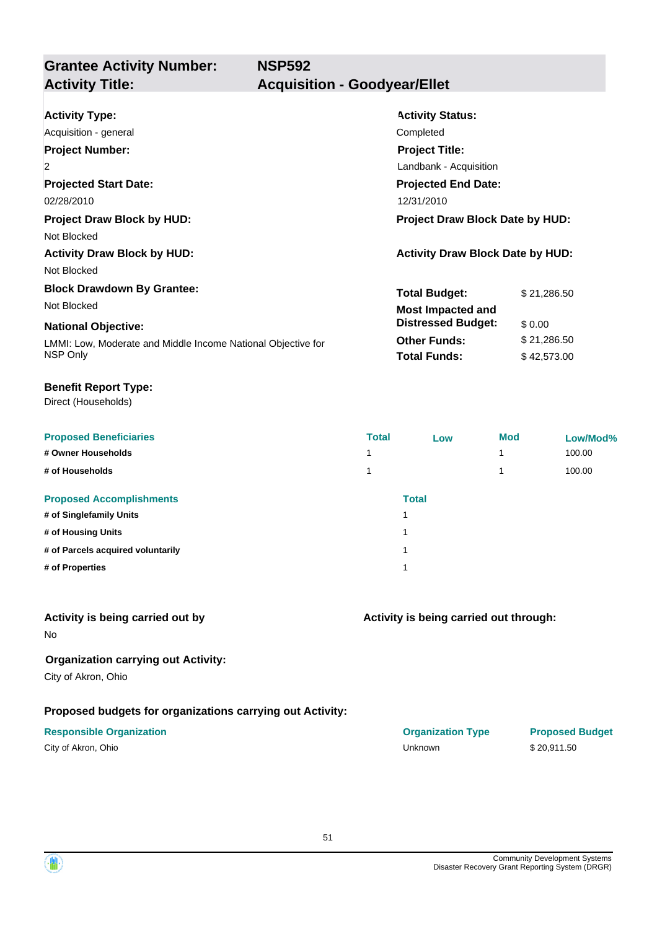**Grantee Activity Number: NSP592 Activity Title: Acquisition - Goodyear/Ellet**

| <b>Activity Type:</b>                                        | <b>Activity Status:</b>                 |  |  |
|--------------------------------------------------------------|-----------------------------------------|--|--|
| Acquisition - general                                        | Completed                               |  |  |
| <b>Project Number:</b>                                       | <b>Project Title:</b>                   |  |  |
| $\overline{2}$                                               | Landbank - Acquisition                  |  |  |
| <b>Projected Start Date:</b>                                 | <b>Projected End Date:</b>              |  |  |
| 02/28/2010                                                   | 12/31/2010                              |  |  |
| <b>Project Draw Block by HUD:</b>                            | <b>Project Draw Block Date by HUD:</b>  |  |  |
| Not Blocked                                                  |                                         |  |  |
| <b>Activity Draw Block by HUD:</b>                           | <b>Activity Draw Block Date by HUD:</b> |  |  |
| Not Blocked                                                  |                                         |  |  |
| <b>Block Drawdown By Grantee:</b>                            | <b>Total Budget:</b><br>\$21,286.50     |  |  |
| Not Blocked                                                  | <b>Most Impacted and</b>                |  |  |
| <b>National Objective:</b>                                   | <b>Distressed Budget:</b><br>\$0.00     |  |  |
| LMMI: Low, Moderate and Middle Income National Objective for | <b>Other Funds:</b><br>\$21,286.50      |  |  |
| NSP Only                                                     | <b>Total Funds:</b><br>\$42,573.00      |  |  |

#### **Benefit Report Type:**

Direct (Households)

| <b>Proposed Beneficiaries</b>     | <b>Total</b> | Low          | <b>Mod</b> | Low/Mod% |
|-----------------------------------|--------------|--------------|------------|----------|
| # Owner Households                |              |              |            | 100.00   |
| # of Households                   |              |              |            | 100.00   |
| <b>Proposed Accomplishments</b>   |              | <b>Total</b> |            |          |
| # of Singlefamily Units           |              | ٠            |            |          |
| # of Housing Units                |              | ٠            |            |          |
| # of Parcels acquired voluntarily |              | ٠            |            |          |
| # of Properties                   |              | ٠            |            |          |

### **Activity is being carried out by**

No

### **Organization carrying out Activity:**

City of Akron, Ohio

### **Proposed budgets for organizations carrying out Activity:**

| City of Akron, Ohio |  |
|---------------------|--|
|---------------------|--|

| <b>Responsible Organization</b> | <b>Organization Type</b> | <b>Proposed Budget</b> |
|---------------------------------|--------------------------|------------------------|
| City of Akron, Ohio             | Unknown                  | \$20.911.50            |

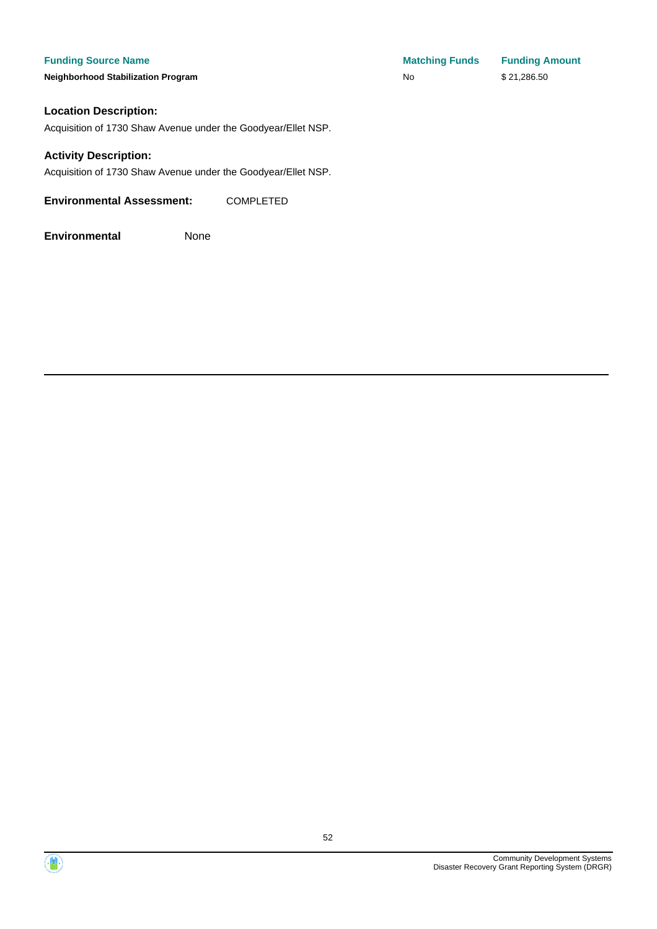#### **Funding Source Name**

**Neighborhood Stabilization Program** 

| <b>Matching Funds</b> | <b>Funding Amount</b> |
|-----------------------|-----------------------|
| No.                   | \$21,286.50           |

### **Location Description:**

Acquisition of 1730 Shaw Avenue under the Goodyear/Ellet NSP.

#### **Activity Description:**

Acquisition of 1730 Shaw Avenue under the Goodyear/Ellet NSP.

**Environmental Assessment:** COMPLETED



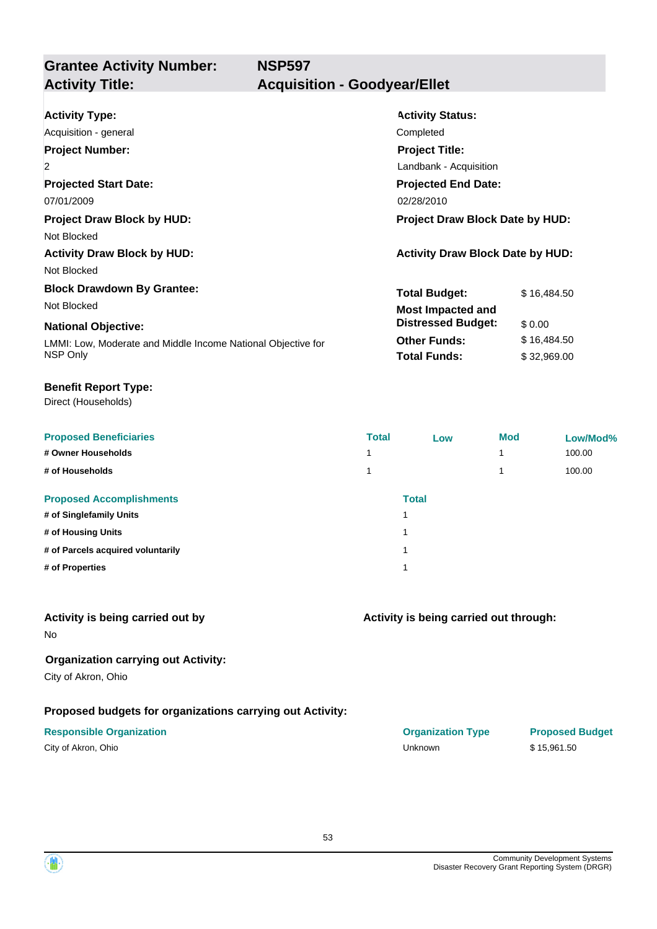**Grantee Activity Number: Projected Start Date: Activity Status: Projected End Date: NSP597 Activity Type:** Acquisition - general **Completed** Completed **Completed Activity Title: Acquisition - Goodyear/Ellet Project Number:** 2 **Project Title:** Landbank - Acquisition

07/01/2009 02/28/2010 02:00 02:00 02:00 02:00 02:00 02:00 02:00 02:00 02:00 02:00 02:00 02:00 02:00 02:00 02:0

**Project Draw Block by HUD: Project Draw Block Date by HUD:**

Not Blocked

Activity Draw Block by HUD:  $\overline{A}$  Activity Draw Block Date by HUD: Not Blocked

**Block Drawdown By Grantee:**

Not Blocked **Most Impacted and** 

#### **National Objective:**

LMMI: Low, Moderate and Middle Income National Objective for NSP Only

#### **Benefit Report Type:**

Direct (Households)

| <b>Proposed Beneficiaries</b>     | <b>Total</b> | Low          | <b>Mod</b> | Low/Mod% |
|-----------------------------------|--------------|--------------|------------|----------|
| # Owner Households                |              |              | 4          | 100.00   |
| # of Households                   |              |              | 4          | 100.00   |
| <b>Proposed Accomplishments</b>   |              | <b>Total</b> |            |          |
| # of Singlefamily Units           |              |              |            |          |
| # of Housing Units                |              |              |            |          |
| # of Parcels acquired voluntarily |              |              |            |          |
| # of Properties                   |              |              |            |          |

#### **Activity is being carried out by**

No

#### **Organization carrying out Activity:**

City of Akron, Ohio

#### **Proposed budgets for organizations carrying out Activity:**

# **Activity is being carried out through:**

**Total Budget:** \$16,484.50

**Other Funds:** \$16,484.50 **Total Funds:** \$ 32,969.00

**Distressed Budget:** \$ 0.00

**Responsible Organization COVID-10 COVID-10 Organization Type Proposed Budget** City of Akron, Ohio Unknown \$ 15,961.50

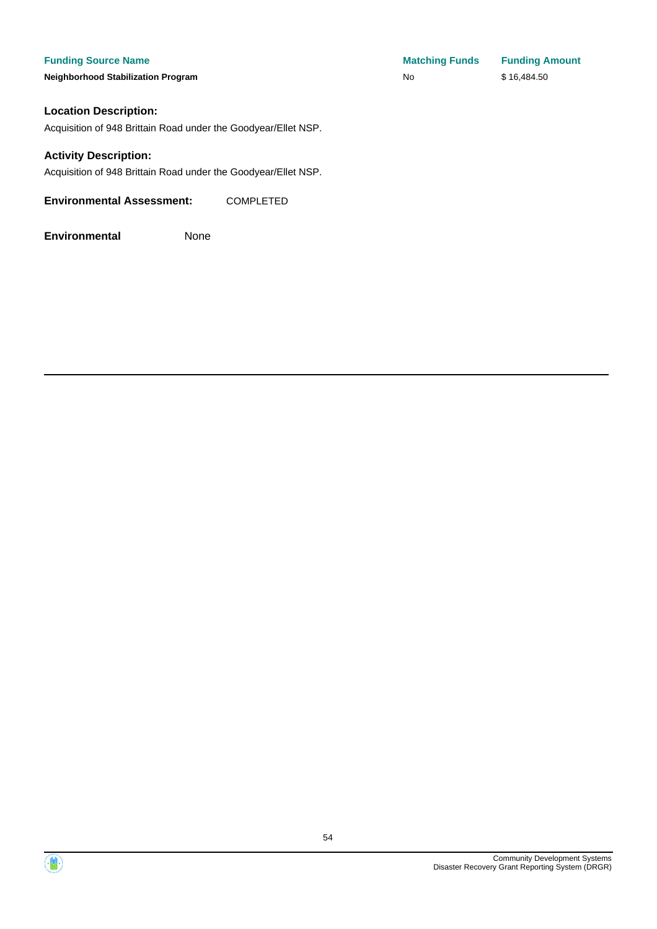#### **Funding Source Name**

**Neighborhood Stabilization Program** 

# **Location Description:**

Acquisition of 948 Brittain Road under the Goodyear/Ellet NSP.

#### **Activity Description:**

Acquisition of 948 Brittain Road under the Goodyear/Ellet NSP.

**Environmental Assessment:** COMPLETED

| <b>Matching Funds</b> | <b>Funding Amount</b> |
|-----------------------|-----------------------|
| No                    | \$16,484.50           |



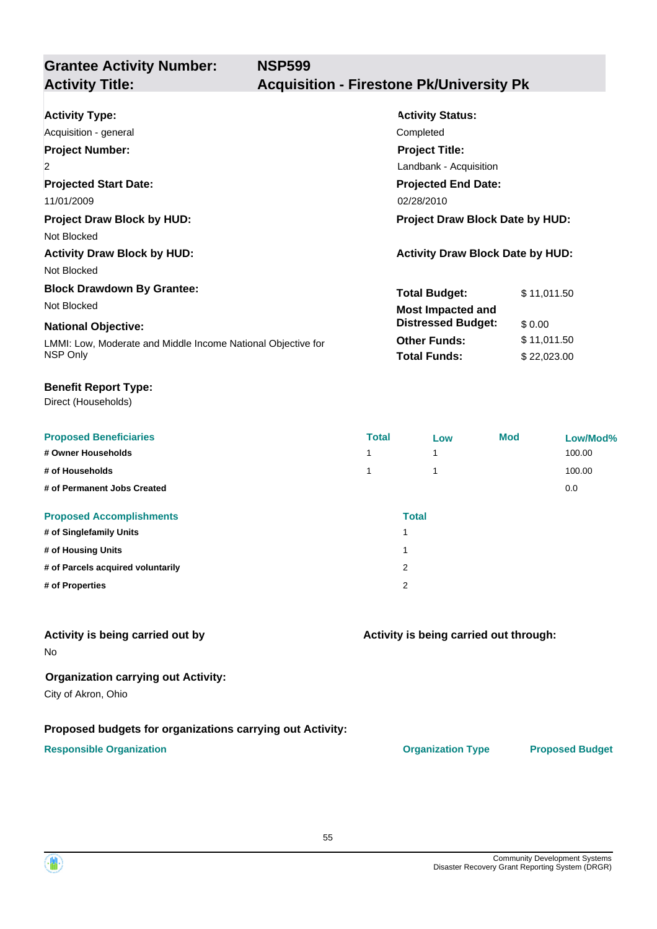**Grantee Activity Number: NSP599**

# **Activity Title: Acquisition - Firestone Pk/University Pk**

| <b>Activity Type:</b><br>Acquisition - general<br><b>Project Number:</b><br>$\overline{2}$<br><b>Projected Start Date:</b>                                 | <b>Activity Status:</b><br>Completed<br><b>Project Title:</b><br>Landbank - Acquisition<br><b>Projected End Date:</b>       |                                                     |
|------------------------------------------------------------------------------------------------------------------------------------------------------------|-----------------------------------------------------------------------------------------------------------------------------|-----------------------------------------------------|
| 11/01/2009<br><b>Project Draw Block by HUD:</b><br>Not Blocked<br><b>Activity Draw Block by HUD:</b><br>Not Blocked                                        | 02/28/2010<br>Project Draw Block Date by HUD:<br><b>Activity Draw Block Date by HUD:</b>                                    |                                                     |
| <b>Block Drawdown By Grantee:</b><br>Not Blocked<br><b>National Objective:</b><br>LMMI: Low, Moderate and Middle Income National Objective for<br>NSP Only | <b>Total Budget:</b><br><b>Most Impacted and</b><br><b>Distressed Budget:</b><br><b>Other Funds:</b><br><b>Total Funds:</b> | \$11,011.50<br>\$0.00<br>\$11,011.50<br>\$22,023.00 |

#### **Benefit Report Type:**

Direct (Households)

| <b>Proposed Beneficiaries</b>     | <b>Total</b> | Low          | <b>Mod</b> | Low/Mod% |
|-----------------------------------|--------------|--------------|------------|----------|
| # Owner Households                | 1            |              |            | 100.00   |
| # of Households                   | 1            |              |            | 100.00   |
| # of Permanent Jobs Created       |              |              |            | 0.0      |
| <b>Proposed Accomplishments</b>   |              | <b>Total</b> |            |          |
| # of Singlefamily Units           | 4            |              |            |          |
| # of Housing Units                | 1            |              |            |          |
| # of Parcels acquired voluntarily | 2            |              |            |          |
| # of Properties                   | 2            |              |            |          |

#### **Activity is being carried out by**

No

#### **Organization carrying out Activity:**

City of Akron, Ohio

#### **Proposed budgets for organizations carrying out Activity:**

#### **Responsible Organization CONSERVIRGHT ACCORDING THE CONSERVIRGHT ORGANIZATION Type Proposed Budget**

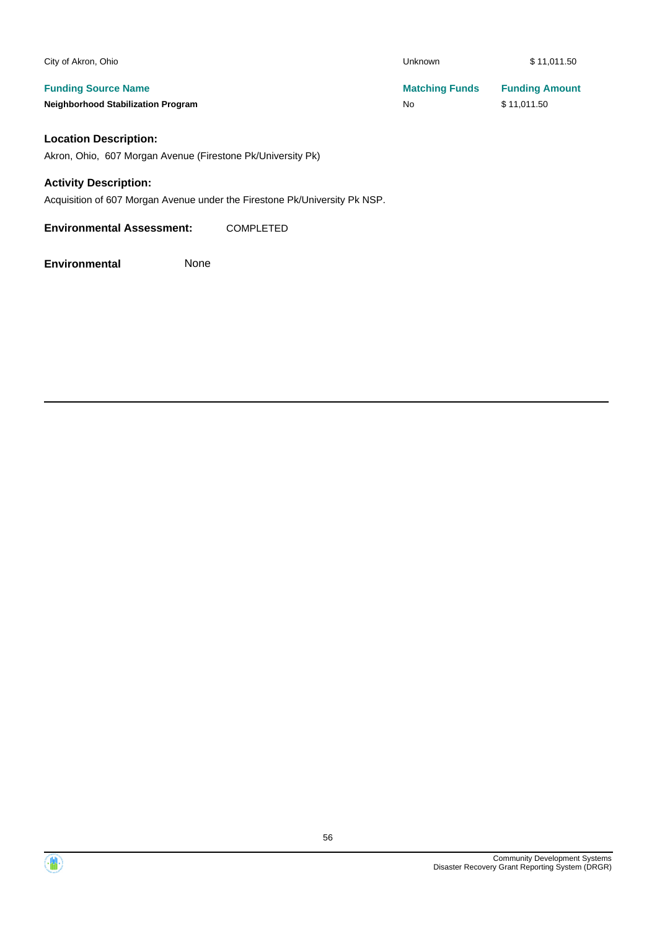| Unknown               | \$11,011.50           |
|-----------------------|-----------------------|
| <b>Matching Funds</b> | <b>Funding Amount</b> |
| No                    | \$11,011.50           |
|                       |                       |

#### **Location Description:**

Akron, Ohio, 607 Morgan Avenue (Firestone Pk/University Pk)

#### **Activity Description:**

Acquisition of 607 Morgan Avenue under the Firestone Pk/University Pk NSP.

**Environmental Assessment:** COMPLETED

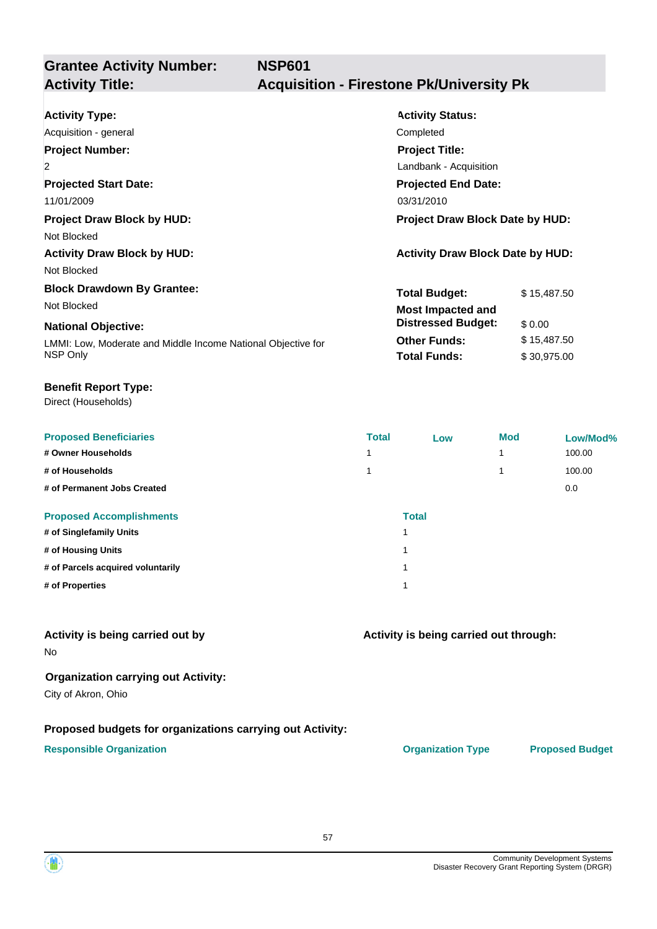**Grantee Activity Number: NSP601**

# **Activity Title: Acquisition - Firestone Pk/University Pk**

| <b>Activity Type:</b>                                        | <b>Activity Status:</b>                 |  |  |
|--------------------------------------------------------------|-----------------------------------------|--|--|
| Acquisition - general                                        | Completed                               |  |  |
| <b>Project Number:</b>                                       | <b>Project Title:</b>                   |  |  |
| $\overline{2}$                                               | Landbank - Acquisition                  |  |  |
| <b>Projected Start Date:</b>                                 | <b>Projected End Date:</b>              |  |  |
| 11/01/2009                                                   | 03/31/2010                              |  |  |
| <b>Project Draw Block by HUD:</b>                            | Project Draw Block Date by HUD:         |  |  |
| Not Blocked                                                  |                                         |  |  |
| <b>Activity Draw Block by HUD:</b>                           | <b>Activity Draw Block Date by HUD:</b> |  |  |
| Not Blocked                                                  |                                         |  |  |
| <b>Block Drawdown By Grantee:</b>                            | <b>Total Budget:</b><br>\$15,487.50     |  |  |
| Not Blocked                                                  | <b>Most Impacted and</b>                |  |  |
| <b>National Objective:</b>                                   | <b>Distressed Budget:</b><br>\$0.00     |  |  |
| LMMI: Low, Moderate and Middle Income National Objective for | <b>Other Funds:</b><br>\$15,487.50      |  |  |
| NSP Only                                                     | <b>Total Funds:</b><br>\$30,975.00      |  |  |

#### **Benefit Report Type:**

Direct (Households)

| <b>Proposed Beneficiaries</b>     | <b>Total</b>            | Low | <b>Mod</b> | Low/Mod% |
|-----------------------------------|-------------------------|-----|------------|----------|
| # Owner Households                | и                       |     | 1          | 100.00   |
| # of Households                   |                         |     | 1          | 100.00   |
| # of Permanent Jobs Created       |                         |     |            | 0.0      |
| <b>Proposed Accomplishments</b>   | <b>Total</b>            |     |            |          |
| # of Singlefamily Units           | $\overline{\mathbf{A}}$ |     |            |          |
| # of Housing Units                | $\overline{\mathbf{A}}$ |     |            |          |
| # of Parcels acquired voluntarily | $\overline{\mathbf{A}}$ |     |            |          |
| # of Properties                   | $\overline{\mathbf{A}}$ |     |            |          |

### **Activity is being carried out by**

No

#### **Organization carrying out Activity:**

City of Akron, Ohio

#### **Proposed budgets for organizations carrying out Activity:**

#### **Responsible Organization CONSERVIRGHT ACCORDING THE CONSERVIRGHT ORGANIZATION Type Proposed Budget**

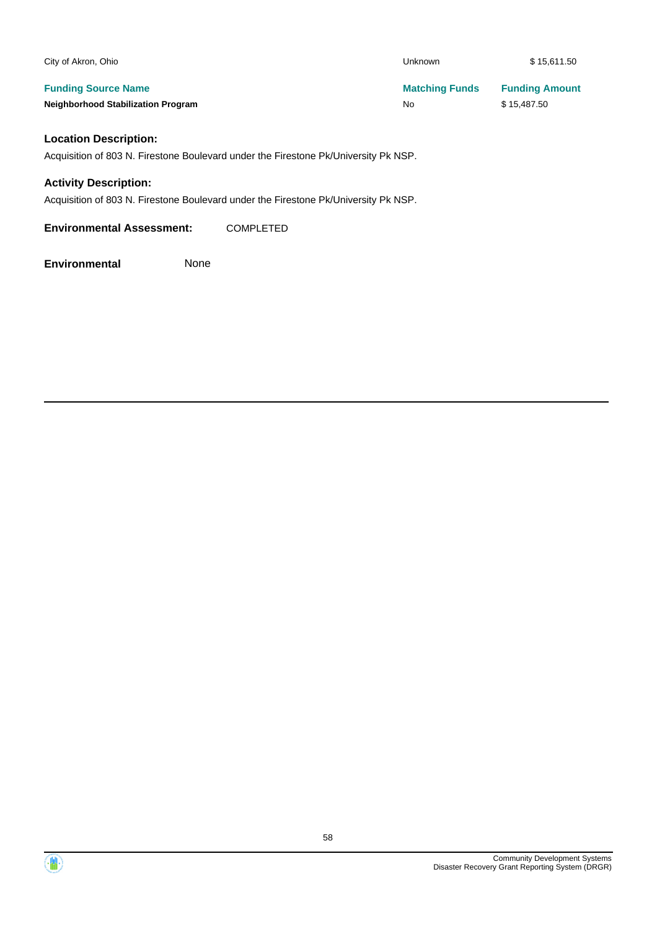| City of Akron, Ohio                                                                 | <b>Unknown</b>        | \$15,611.50           |
|-------------------------------------------------------------------------------------|-----------------------|-----------------------|
| <b>Funding Source Name</b>                                                          | <b>Matching Funds</b> | <b>Funding Amount</b> |
| <b>Neighborhood Stabilization Program</b>                                           | No                    | \$15,487.50           |
| <b>Location Description:</b>                                                        |                       |                       |
| Acquisition of 803 N. Firestone Boulevard under the Firestone Pk/University Pk NSP. |                       |                       |
| <b>Activity Description:</b>                                                        |                       |                       |

Acquisition of 803 N. Firestone Boulevard under the Firestone Pk/University Pk NSP.

**Environmental Assessment:** COMPLETED

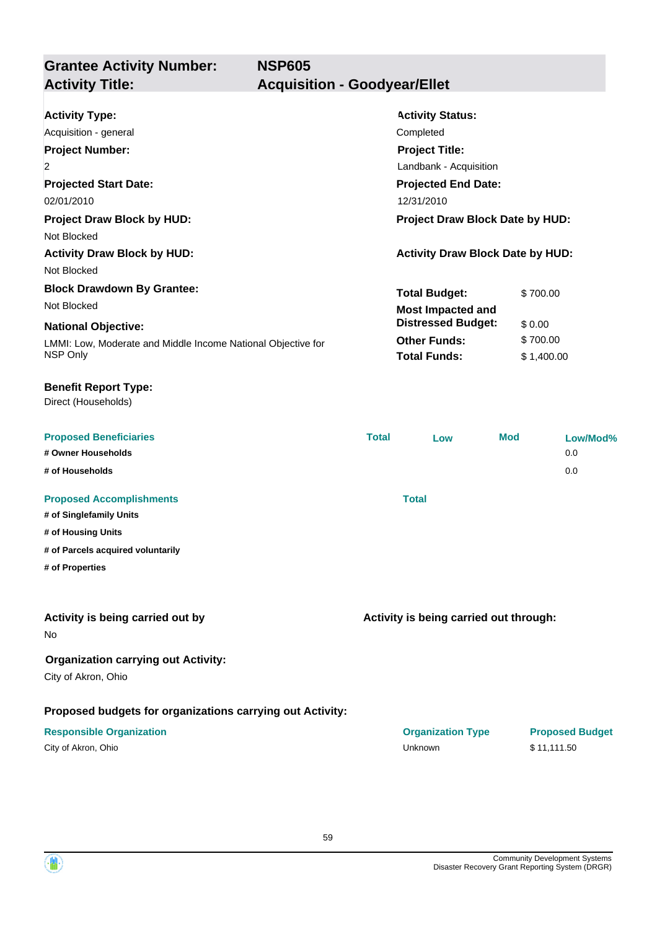**Grantee Activity Number: Projected Start Date:** LMMI: Low, Moderate and Middle Income National Objective for NSP Only **National Objective: Activity Status: Projected End Date: NSP605 Activity Type:** 02/01/2010 12/31/2010 12:00:00 12:00:00 12:00:00 12:00:00 12:00:00 12:00:00 12:00:00 12:00:00 12:00:00 12:00:0 Acquisition - general **Completed** Completed Completed **Activity Title: Acquisition - Goodyear/Ellet Project Number:** 2 **Project Title:** Landbank - Acquisition **Total Budget:** \$ 700.00 **Other Funds:** \$700.00 **Total Funds:** \$ 1,400.00 **Proposed Beneficiaries Total Low Mod Low/Mod% # Owner Households** 0.0 **# of Households** 0.0 **Proposed Accomplishments Total # of Singlefamily Units # of Housing Units # of Parcels acquired voluntarily # of Properties Proposed budgets for organizations carrying out Activity: Activity is being carried out through: Responsible Organization COVID-10 COVID-10 Organization Type Proposed Budget** No **Activity is being carried out by Organization carrying out Activity:** City of Akron, Ohio City of Akron, Ohio Unknown \$ 11,111.50 Direct (Households) **Benefit Report Type: Project Draw Block by HUD: Project Draw Block Date by HUD:** Not Blocked Activity Draw Block by HUD: **Activity Draw Block Date by HUD:** Activity Draw Block Date by HUD: Not Blocked **Block Drawdown By Grantee:** Not Blocked **Most Impacted and Distressed Budget:** \$ 0.00

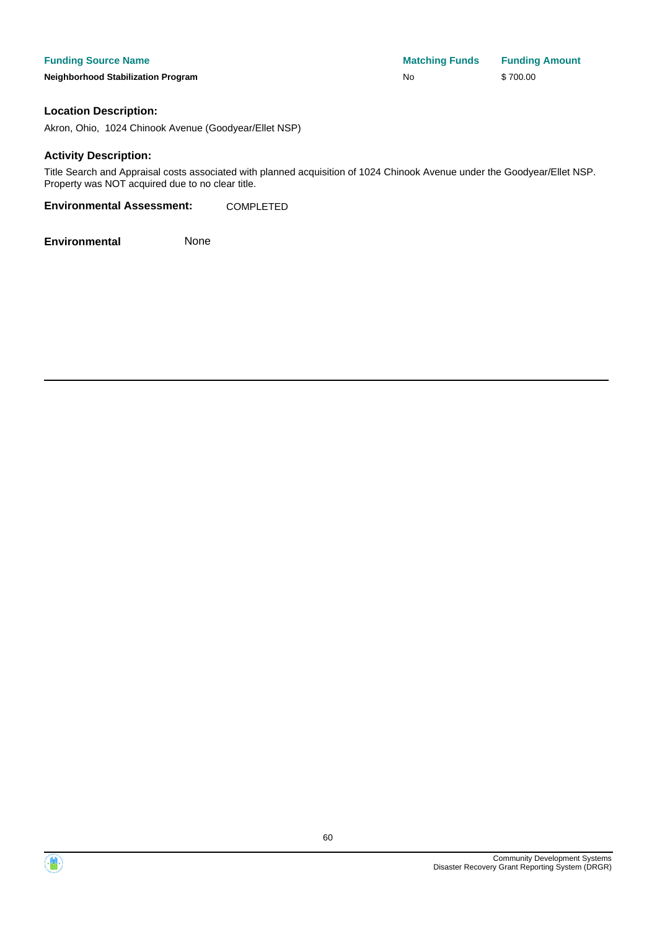| <b>Funding Source Name</b>                | <b>Matching Funds</b> | <b>Funding Amount</b> |
|-------------------------------------------|-----------------------|-----------------------|
| <b>Neighborhood Stabilization Program</b> | No                    | \$700.00              |

#### **Location Description:**

Akron, Ohio, 1024 Chinook Avenue (Goodyear/Ellet NSP)

#### **Activity Description:**

Title Search and Appraisal costs associated with planned acquisition of 1024 Chinook Avenue under the Goodyear/Ellet NSP. Property was NOT acquired due to no clear title.

**Environmental Assessment:** COMPLETED

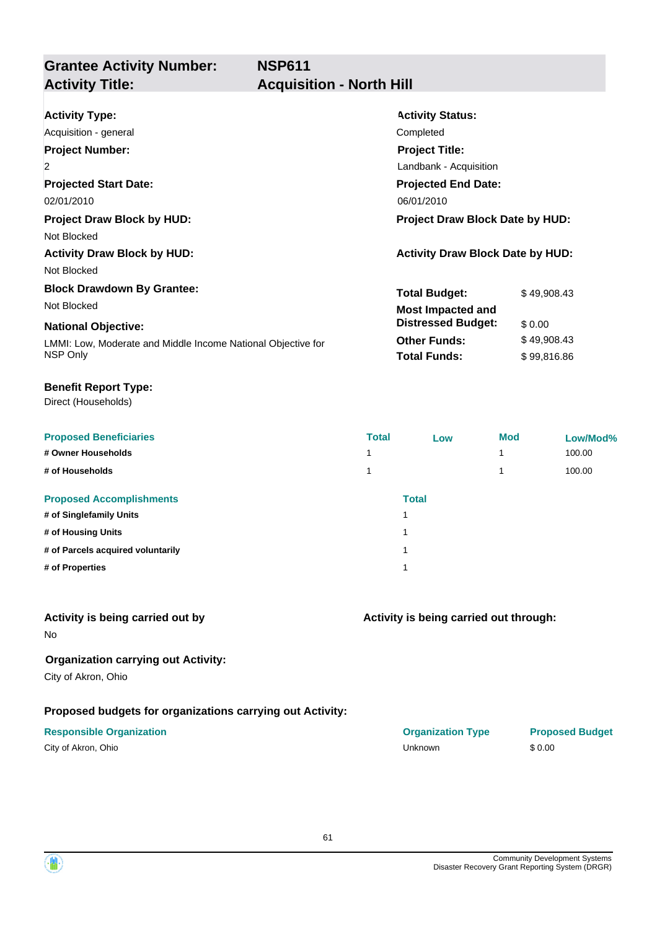## **Grantee Activity Number: Activity Title: Acquisition - North Hill**

| <b>Activity Type:</b>                                        | <b>Activity Status:</b>                 |             |  |
|--------------------------------------------------------------|-----------------------------------------|-------------|--|
| Acquisition - general                                        | Completed                               |             |  |
| <b>Project Number:</b>                                       | <b>Project Title:</b>                   |             |  |
| $\overline{2}$                                               | Landbank - Acquisition                  |             |  |
| <b>Projected Start Date:</b>                                 | <b>Projected End Date:</b>              |             |  |
| 02/01/2010                                                   | 06/01/2010                              |             |  |
| <b>Project Draw Block by HUD:</b>                            | <b>Project Draw Block Date by HUD:</b>  |             |  |
| Not Blocked                                                  |                                         |             |  |
| <b>Activity Draw Block by HUD:</b>                           | <b>Activity Draw Block Date by HUD:</b> |             |  |
| Not Blocked                                                  |                                         |             |  |
| <b>Block Drawdown By Grantee:</b>                            | <b>Total Budget:</b>                    | \$49,908.43 |  |
| Not Blocked                                                  | <b>Most Impacted and</b>                |             |  |
| <b>National Objective:</b>                                   | <b>Distressed Budget:</b>               | \$0.00      |  |
| LMMI: Low, Moderate and Middle Income National Objective for | <b>Other Funds:</b>                     | \$49,908.43 |  |
| NSP Only                                                     | <b>Total Funds:</b>                     | \$99,816.86 |  |

#### **Benefit Report Type:**

Direct (Households)

| <b>Proposed Beneficiaries</b>     | <b>Total</b> | Low   | <b>Mod</b> | Low/Mod% |
|-----------------------------------|--------------|-------|------------|----------|
| # Owner Households                |              |       |            | 100.00   |
| # of Households                   |              |       |            | 100.00   |
| <b>Proposed Accomplishments</b>   |              | Total |            |          |
| # of Singlefamily Units           |              | ٠     |            |          |
| # of Housing Units                |              | ۸     |            |          |
| # of Parcels acquired voluntarily |              | 4     |            |          |
| # of Properties                   |              | ٠     |            |          |
|                                   |              |       |            |          |

### **Activity is being carried out by**

No

# **Organization carrying out Activity:**

City of Akron, Ohio

#### **Proposed budgets for organizations carrying out Activity:**

| <b>Total</b> |  |
|--------------|--|
| 1            |  |
| 1            |  |
| 1            |  |
| 1            |  |
|              |  |

#### **Activity is being carried out through:**

**Responsible Organization COVID-10 COVID-10 Organization Type Proposed Budget** City of Akron, Ohio Unknown \$ 0.00

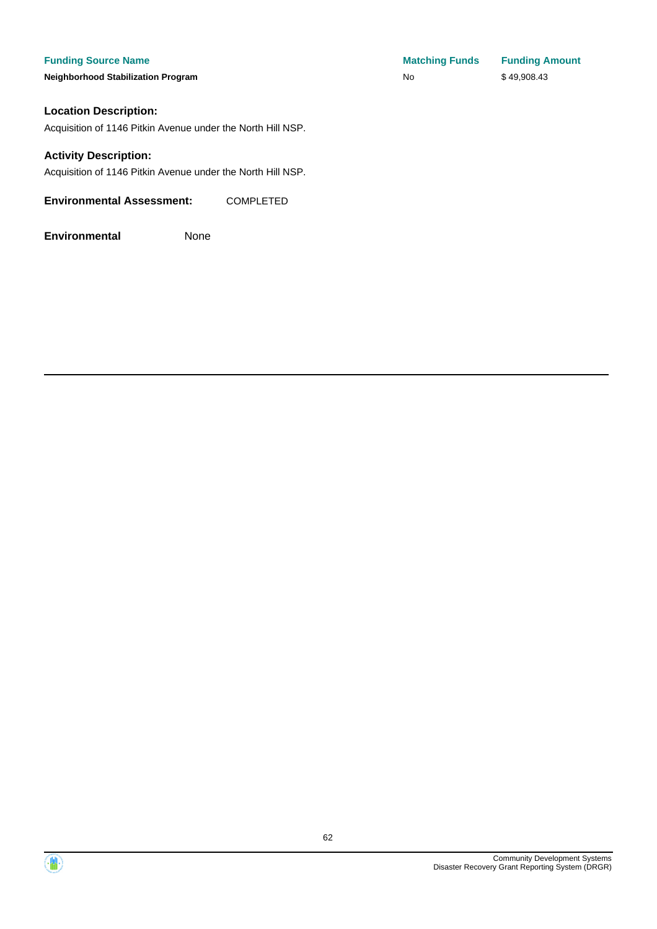**Neighborhood Stabilization Program No No** \$ 49,908.43

#### **Location Description:**

Acquisition of 1146 Pitkin Avenue under the North Hill NSP.

#### **Activity Description:**

Acquisition of 1146 Pitkin Avenue under the North Hill NSP.

**Environmental Assessment:** COMPLETED

**Environmental** None

**Funding Source Name Matching Funds Funding Amount** 



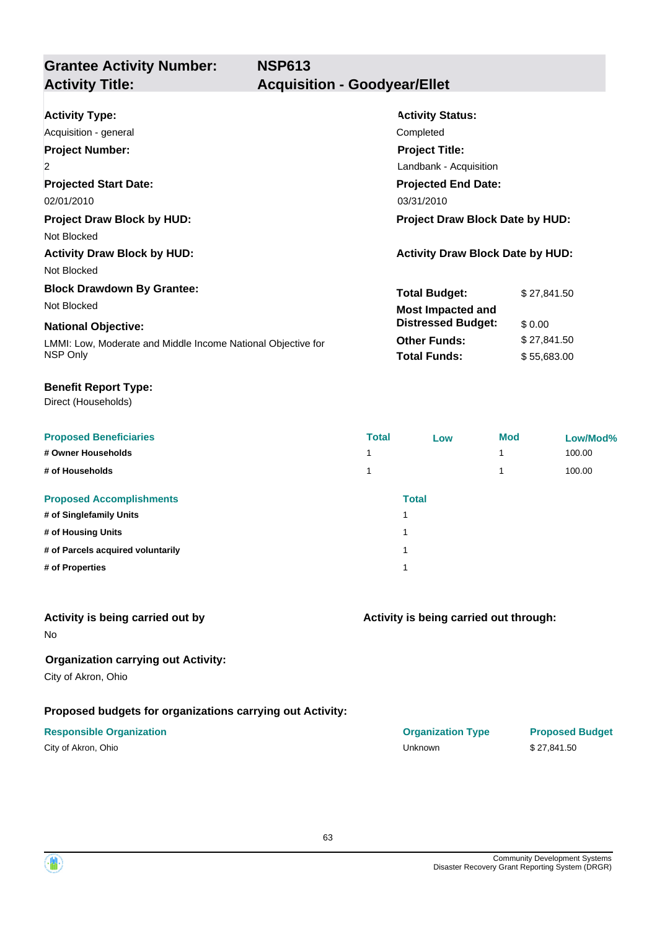# **Grantee Activity Number:**

# **Activity Title: Acquisition - Goodyear/Ellet**

| <b>Activity Type:</b>                                        | <b>Activity Status:</b>                 |             |  |
|--------------------------------------------------------------|-----------------------------------------|-------------|--|
| Acquisition - general                                        | Completed                               |             |  |
| <b>Project Number:</b>                                       | <b>Project Title:</b>                   |             |  |
| $\overline{2}$                                               | Landbank - Acquisition                  |             |  |
| <b>Projected Start Date:</b>                                 | <b>Projected End Date:</b>              |             |  |
| 02/01/2010                                                   | 03/31/2010                              |             |  |
| <b>Project Draw Block by HUD:</b>                            | <b>Project Draw Block Date by HUD:</b>  |             |  |
| Not Blocked                                                  |                                         |             |  |
| <b>Activity Draw Block by HUD:</b>                           | <b>Activity Draw Block Date by HUD:</b> |             |  |
| Not Blocked                                                  |                                         |             |  |
| <b>Block Drawdown By Grantee:</b>                            | <b>Total Budget:</b>                    | \$27,841.50 |  |
| Not Blocked                                                  | <b>Most Impacted and</b>                |             |  |
| <b>National Objective:</b>                                   | <b>Distressed Budget:</b>               | \$0.00      |  |
| LMMI: Low, Moderate and Middle Income National Objective for | <b>Other Funds:</b>                     | \$27,841.50 |  |
| NSP Only                                                     | <b>Total Funds:</b>                     | \$55,683.00 |  |
|                                                              |                                         |             |  |

#### **Benefit Report Type:**

Direct (Households)

| <b>Proposed Beneficiaries</b>     | <b>Total</b> | Low          | <b>Mod</b> | Low/Mod% |
|-----------------------------------|--------------|--------------|------------|----------|
| # Owner Households                | 4            |              |            | 100.00   |
| # of Households                   |              |              |            | 100.00   |
| <b>Proposed Accomplishments</b>   |              | <b>Total</b> |            |          |
| # of Singlefamily Units           |              | и            |            |          |
| # of Housing Units                |              | и            |            |          |
| # of Parcels acquired voluntarily |              | и            |            |          |
| # of Properties                   |              | и            |            |          |
|                                   |              |              |            |          |

#### **Activity is being carried out by**

No

### **Organization carrying out Activity:**

City of Akron, Ohio

### **Proposed budgets for organizations carrying out Activity:**

| City of Akron, Ohio |  |
|---------------------|--|
|---------------------|--|

| <b>Responsible Organization</b> | <b>Organization Type</b> | <b>Proposed Budget</b> |
|---------------------------------|--------------------------|------------------------|
| City of Akron, Ohio             | Unknown                  | \$27.841.50            |

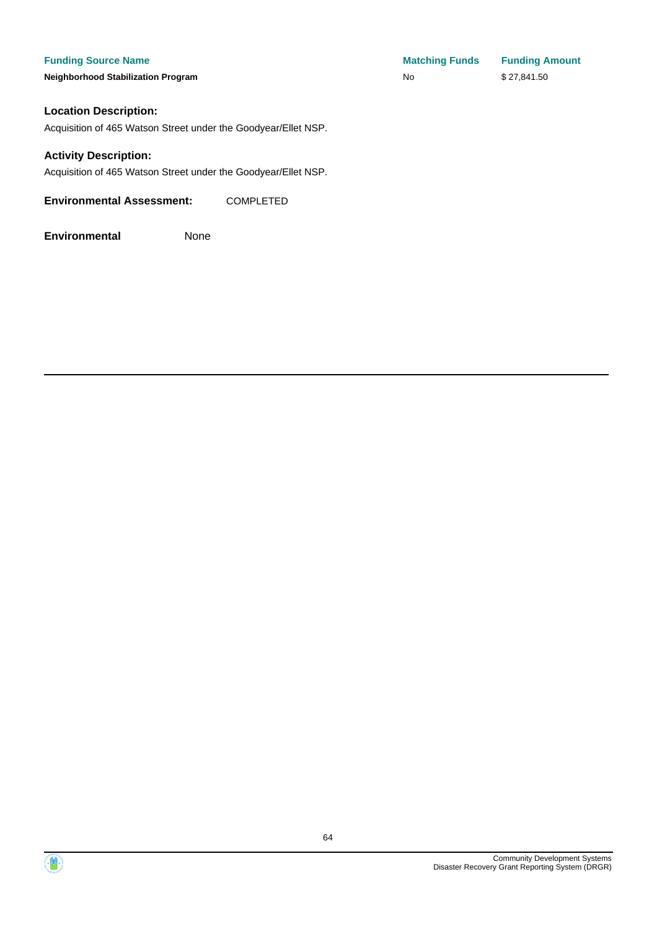#### **Funding Source Name**

**Neighborhood Stabilization Program** 

| <b>Matching Funds</b> | <b>Funding Amount</b> |
|-----------------------|-----------------------|
| No.                   | \$27,841.50           |

#### **Location Description:**

Acquisition of 465 Watson Street under the Goodyear/Ellet NSP.

#### **Activity Description:**

Acquisition of 465 Watson Street under the Goodyear/Ellet NSP.

**Environmental Assessment:** COMPLETED



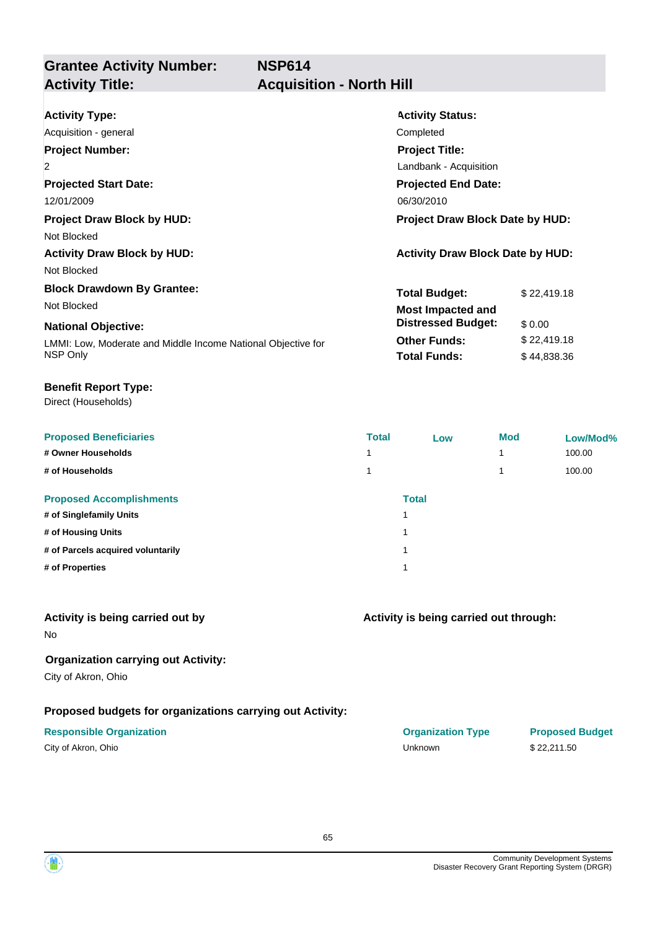## **Grantee Activity Number: Activity Title: Acquisition - North Hill**

| <b>Activity Type:</b>                                        | <b>Activity Status:</b>                 |             |  |
|--------------------------------------------------------------|-----------------------------------------|-------------|--|
| Acquisition - general                                        | Completed                               |             |  |
| <b>Project Number:</b>                                       | <b>Project Title:</b>                   |             |  |
| $\overline{2}$                                               | Landbank - Acquisition                  |             |  |
| <b>Projected Start Date:</b>                                 | <b>Projected End Date:</b>              |             |  |
| 12/01/2009                                                   | 06/30/2010                              |             |  |
| <b>Project Draw Block by HUD:</b>                            | <b>Project Draw Block Date by HUD:</b>  |             |  |
| Not Blocked                                                  |                                         |             |  |
| <b>Activity Draw Block by HUD:</b>                           | <b>Activity Draw Block Date by HUD:</b> |             |  |
| Not Blocked                                                  |                                         |             |  |
| <b>Block Drawdown By Grantee:</b>                            | <b>Total Budget:</b>                    | \$22,419.18 |  |
| Not Blocked                                                  | <b>Most Impacted and</b>                |             |  |
| <b>National Objective:</b>                                   | <b>Distressed Budget:</b>               | \$0.00      |  |
| LMMI: Low, Moderate and Middle Income National Objective for | <b>Other Funds:</b>                     | \$22,419.18 |  |
| NSP Only                                                     | <b>Total Funds:</b>                     | \$44,838.36 |  |

#### **Benefit Report Type:**

Direct (Households)

| <b>Proposed Beneficiaries</b>     | <b>Total</b> | Low          | <b>Mod</b> | Low/Mod% |
|-----------------------------------|--------------|--------------|------------|----------|
| # Owner Households                |              |              |            | 100.00   |
| # of Households                   |              |              |            | 100.00   |
| <b>Proposed Accomplishments</b>   |              | <b>Total</b> |            |          |
| # of Singlefamily Units           | и            |              |            |          |
| # of Housing Units                | и            |              |            |          |
| # of Parcels acquired voluntarily | и            |              |            |          |
| # of Properties                   | и            |              |            |          |
|                                   |              |              |            |          |

#### **Activity is being carried out by**

No

### **Organization carrying out Activity:**

City of Akron, Ohio

### **Proposed budgets for organizations carrying out Activity:**

| City of Akron, Ohio |  |
|---------------------|--|
|---------------------|--|

# **Activity is being carried out through:**

**Responsible Organization COVID-10 COVID-10 Organization Type Proposed Budget** City of Akron, Ohio Unknown \$ 22,211.50

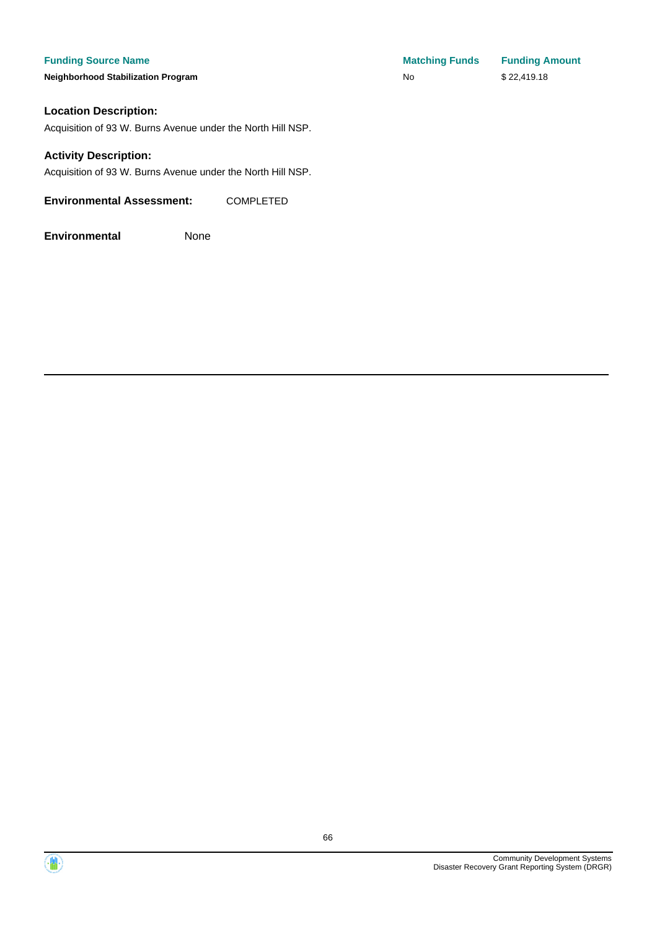#### **Funding Source Name**

**Neighborhood Stabilization Program** 

#### **Location Description:**

Acquisition of 93 W. Burns Avenue under the North Hill NSP.

#### **Activity Description:**

Acquisition of 93 W. Burns Avenue under the North Hill NSP.

**Environmental Assessment:** COMPLETED

| <b>Matching Funds</b> | <b>Funding Amount</b> |
|-----------------------|-----------------------|
| No                    | \$22,419.18           |

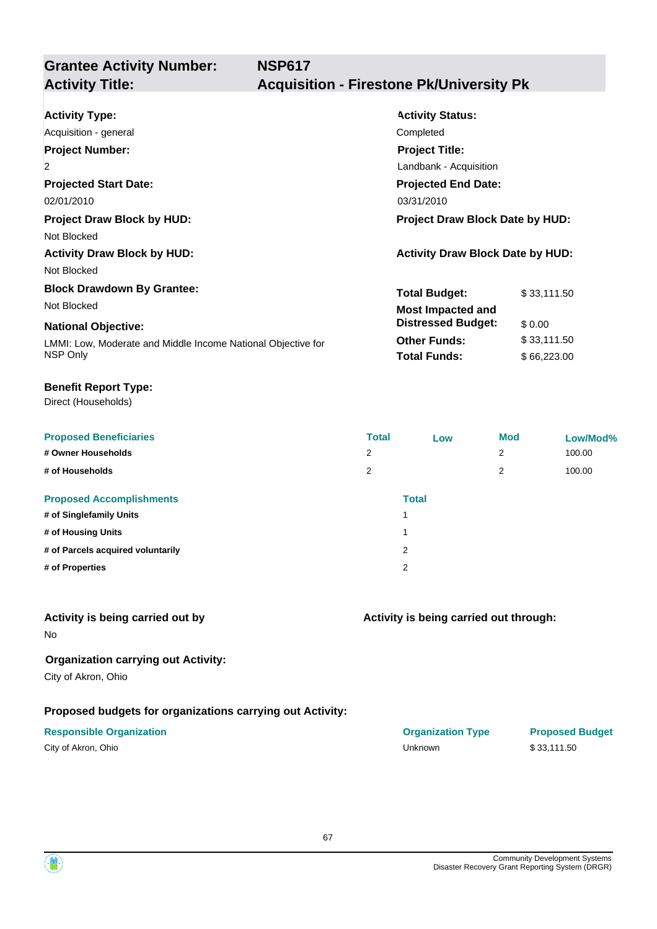# **Grantee Activity Number:**

# **Activity Title: Acquisition - Firestone Pk/University Pk**

| <b>Activity Type:</b><br>Acquisition - general<br><b>Project Number:</b><br>$\overline{2}$<br><b>Projected Start Date:</b><br>02/01/2010                   | <b>Activity Status:</b><br>Completed<br><b>Project Title:</b><br>Landbank - Acquisition<br><b>Projected End Date:</b><br>03/31/2010 |                                                     |
|------------------------------------------------------------------------------------------------------------------------------------------------------------|-------------------------------------------------------------------------------------------------------------------------------------|-----------------------------------------------------|
| <b>Project Draw Block by HUD:</b><br>Not Blocked<br><b>Activity Draw Block by HUD:</b><br>Not Blocked                                                      | Project Draw Block Date by HUD:<br><b>Activity Draw Block Date by HUD:</b>                                                          |                                                     |
| <b>Block Drawdown By Grantee:</b><br>Not Blocked<br><b>National Objective:</b><br>LMMI: Low, Moderate and Middle Income National Objective for<br>NSP Only | <b>Total Budget:</b><br><b>Most Impacted and</b><br><b>Distressed Budget:</b><br><b>Other Funds:</b><br><b>Total Funds:</b>         | \$33,111.50<br>\$0.00<br>\$33,111.50<br>\$66,223.00 |

#### **Benefit Report Type:**

Direct (Households)

| <b>Proposed Beneficiaries</b>     | <b>Total</b> | Low          | <b>Mod</b> | Low/Mod% |
|-----------------------------------|--------------|--------------|------------|----------|
| # Owner Households                | 2            |              | 2          | 100.00   |
| # of Households                   | 2            |              | 2          | 100.00   |
| <b>Proposed Accomplishments</b>   |              | <b>Total</b> |            |          |
| # of Singlefamily Units           |              |              |            |          |
| # of Housing Units                |              |              |            |          |
| # of Parcels acquired voluntarily |              | 2            |            |          |
| # of Properties                   |              | 2            |            |          |
|                                   |              |              |            |          |

#### **Activity is being carried out by**

No

### **Organization carrying out Activity:**

City of Akron, Ohio

### **Proposed budgets for organizations carrying out Activity:**

| City of Akron, Ohio |  |
|---------------------|--|
|---------------------|--|

| <b>Responsible Organization</b> | <b>Organization Type</b> | <b>Proposed Budget</b> |
|---------------------------------|--------------------------|------------------------|
| City of Akron, Ohio             | Unknown                  | \$33.111.50            |

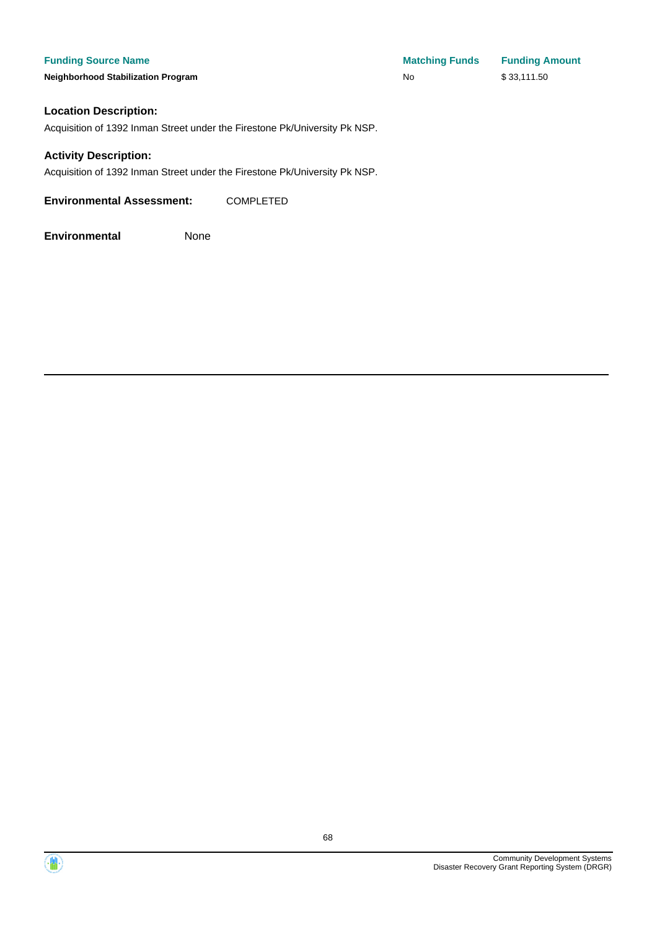**Funding Source Name Matching Funds Funding Amount Neighborhood Stabilization Program No No** \$ 33,111.50

#### **Location Description:**

Acquisition of 1392 Inman Street under the Firestone Pk/University Pk NSP.

#### **Activity Description:**

Acquisition of 1392 Inman Street under the Firestone Pk/University Pk NSP.

**Environmental Assessment:** COMPLETED



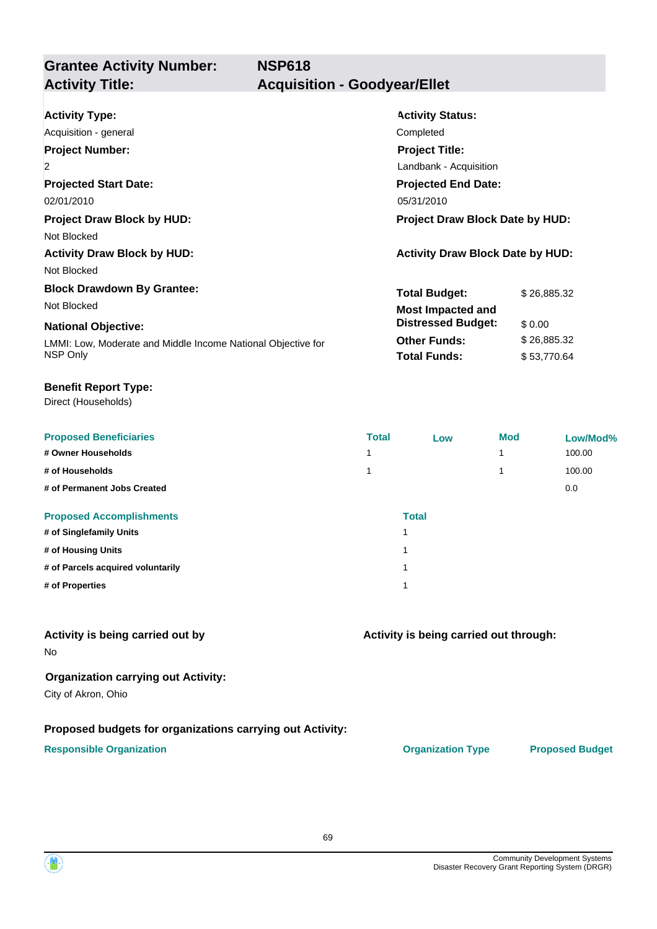# **Grantee Activity Number:**

# **Activity Title: Acquisition - Goodyear/Ellet**

| <b>Activity Type:</b>                                        | <b>Activity Status:</b>                 |             |
|--------------------------------------------------------------|-----------------------------------------|-------------|
| Acquisition - general                                        | Completed                               |             |
| <b>Project Number:</b>                                       | <b>Project Title:</b>                   |             |
| $\overline{2}$                                               | Landbank - Acquisition                  |             |
| <b>Projected Start Date:</b>                                 | <b>Projected End Date:</b>              |             |
| 02/01/2010                                                   | 05/31/2010                              |             |
| <b>Project Draw Block by HUD:</b>                            | <b>Project Draw Block Date by HUD:</b>  |             |
| Not Blocked                                                  |                                         |             |
| <b>Activity Draw Block by HUD:</b>                           | <b>Activity Draw Block Date by HUD:</b> |             |
| Not Blocked                                                  |                                         |             |
| <b>Block Drawdown By Grantee:</b>                            | <b>Total Budget:</b>                    | \$26,885.32 |
| Not Blocked                                                  | <b>Most Impacted and</b>                |             |
| <b>National Objective:</b>                                   | <b>Distressed Budget:</b>               | \$0.00      |
| LMMI: Low, Moderate and Middle Income National Objective for | <b>Other Funds:</b>                     | \$26,885.32 |
| NSP Only                                                     | <b>Total Funds:</b>                     | \$53,770.64 |
|                                                              |                                         |             |

#### **Benefit Report Type:**

Direct (Households)

| <b>Proposed Beneficiaries</b>     | <b>Total</b> | Low          | <b>Mod</b> | Low/Mod% |
|-----------------------------------|--------------|--------------|------------|----------|
| # Owner Households                |              |              |            | 100.00   |
| # of Households                   |              |              |            | 100.00   |
| # of Permanent Jobs Created       |              |              |            | 0.0      |
| <b>Proposed Accomplishments</b>   |              | <b>Total</b> |            |          |
| # of Singlefamily Units           |              |              |            |          |
| # of Housing Units                |              |              |            |          |
| # of Parcels acquired voluntarily |              |              |            |          |
| # of Properties                   |              |              |            |          |

### **Activity is being carried out by**

No

#### **Organization carrying out Activity:**

City of Akron, Ohio

#### **Proposed budgets for organizations carrying out Activity:**

#### **Responsible Organization CONSERVIRGHT ACCORDING THE CONSERVIRGHT ORGANIZATION Type Proposed Budget**

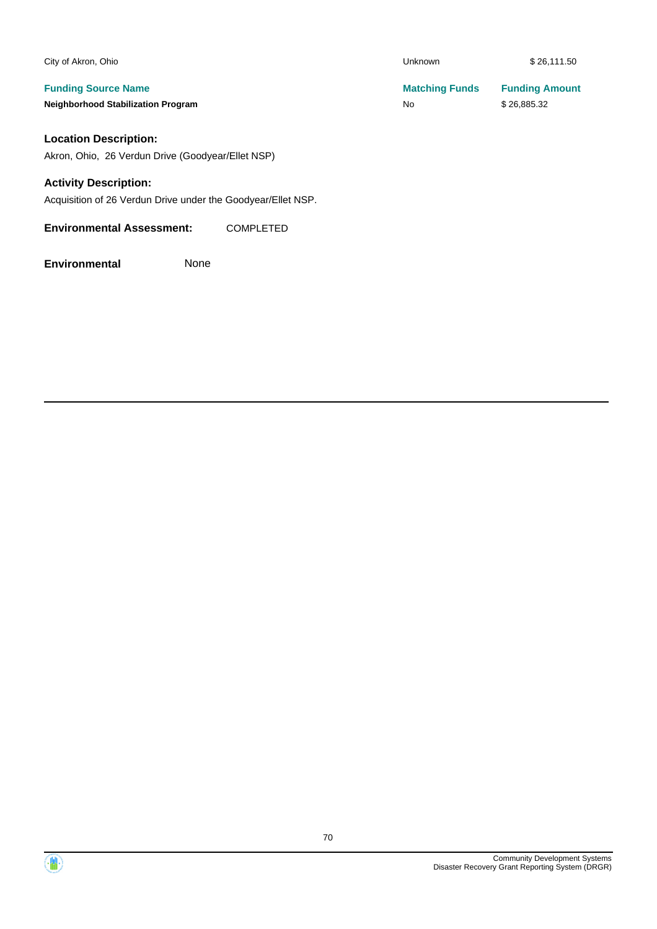| City of Akron, Ohio                                                     | <b>Unknown</b>              | \$26,111.50                          |
|-------------------------------------------------------------------------|-----------------------------|--------------------------------------|
| <b>Funding Source Name</b><br><b>Neighborhood Stabilization Program</b> | <b>Matching Funds</b><br>No | <b>Funding Amount</b><br>\$26,885.32 |
| <b>Location Description:</b>                                            |                             |                                      |

Akron, Ohio, 26 Verdun Drive (Goodyear/Ellet NSP)

#### **Activity Description:**

Acquisition of 26 Verdun Drive under the Goodyear/Ellet NSP.

**Environmental Assessment:** COMPLETED

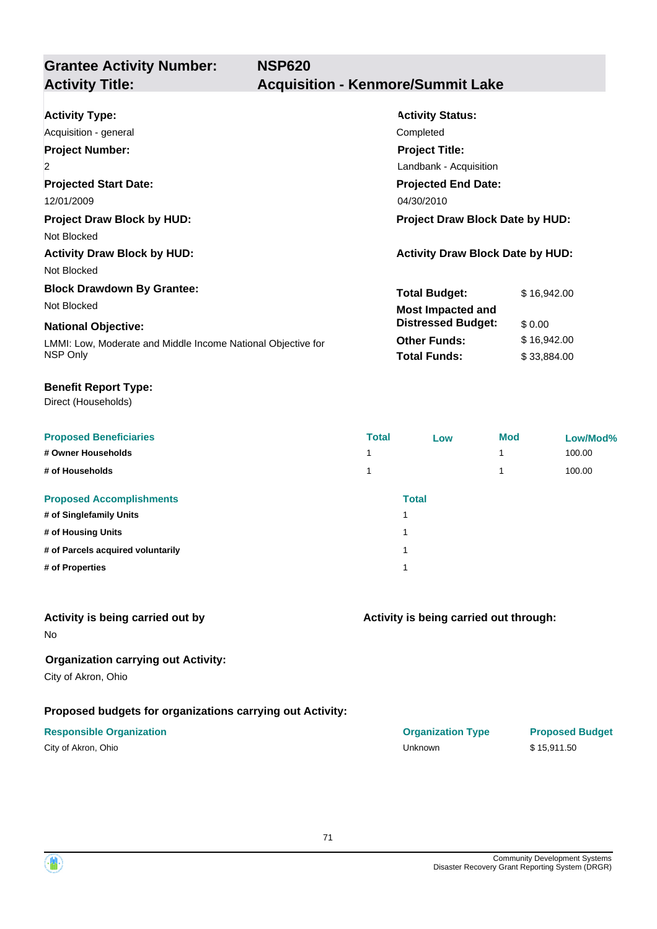**Grantee Activity Number: NSP620 Activity Title: Acquisition - Kenmore/Summit Lake**

| <b>Activity Type:</b>                                               | <b>Activity Status:</b>                 |             |  |
|---------------------------------------------------------------------|-----------------------------------------|-------------|--|
| Acquisition - general                                               | Completed                               |             |  |
| <b>Project Number:</b>                                              | <b>Project Title:</b>                   |             |  |
| 2                                                                   | Landbank - Acquisition                  |             |  |
| <b>Projected Start Date:</b>                                        | <b>Projected End Date:</b>              |             |  |
| 12/01/2009                                                          | 04/30/2010                              |             |  |
| <b>Project Draw Block by HUD:</b>                                   | <b>Project Draw Block Date by HUD:</b>  |             |  |
| Not Blocked                                                         |                                         |             |  |
| <b>Activity Draw Block by HUD:</b>                                  | <b>Activity Draw Block Date by HUD:</b> |             |  |
| Not Blocked                                                         |                                         |             |  |
| <b>Block Drawdown By Grantee:</b>                                   | <b>Total Budget:</b>                    | \$16,942.00 |  |
| Not Blocked                                                         | <b>Most Impacted and</b>                |             |  |
| <b>National Objective:</b>                                          | <b>Distressed Budget:</b>               | \$0.00      |  |
| <u>I MMI: Low Moderate and Middle Income National Objective for</u> | <b>Other Funds:</b>                     | \$16,942.00 |  |

LMMI: Low, Moderate and Middle Income National Objective for NSP Only

#### **Benefit Report Type:**

Direct (Households)

| <b>Total</b> | Low | <b>Mod</b>   | Low/Mod% |
|--------------|-----|--------------|----------|
| и            |     |              | 100.00   |
|              |     |              | 100.00   |
|              |     |              |          |
| 1            |     |              |          |
| 1            |     |              |          |
| 1            |     |              |          |
| и            |     |              |          |
|              |     | <b>Total</b> |          |

#### **Activity is being carried out by**

No

### **Organization carrying out Activity:**

City of Akron, Ohio

### **Proposed budgets for organizations carrying out Activity:**

### **Responsible Organization COVID-10 COVID-10 Organization Type Proposed Budget**

| City of Akron, Ohio |  |
|---------------------|--|
|---------------------|--|

**Total Funds:** \$33,884.00

|                     | ______         |             |
|---------------------|----------------|-------------|
| City of Akron, Ohio | <b>Unknown</b> | \$15,911.50 |
|                     |                |             |

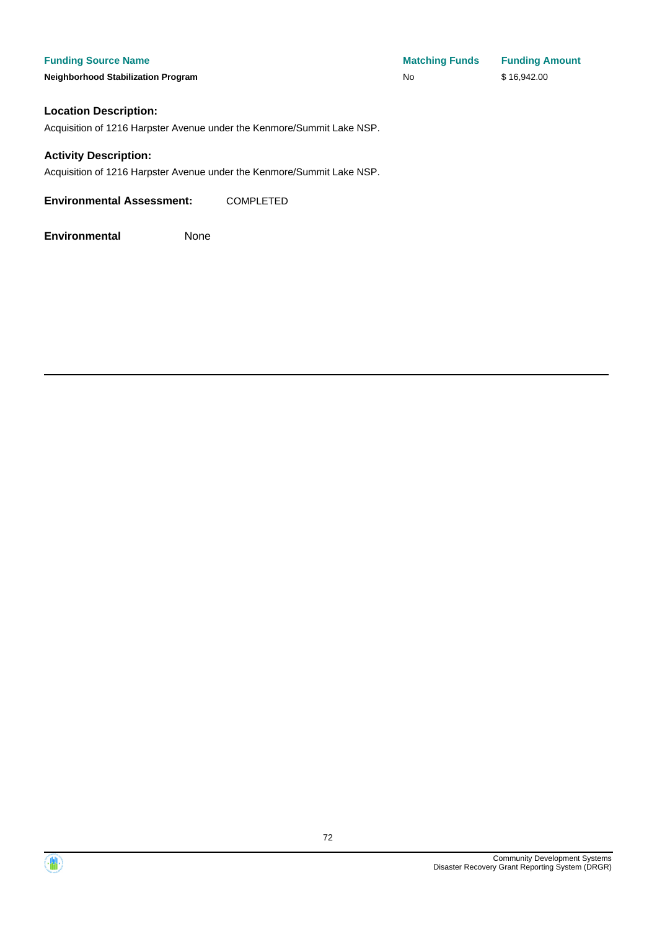**Funding Source Name Matching Funds Funding Amount Neighborhood Stabilization Program No No** \$ 16,942.00

#### **Location Description:**

Acquisition of 1216 Harpster Avenue under the Kenmore/Summit Lake NSP.

#### **Activity Description:**

Acquisition of 1216 Harpster Avenue under the Kenmore/Summit Lake NSP.

**Environmental Assessment:** COMPLETED

**Environmental** None



72

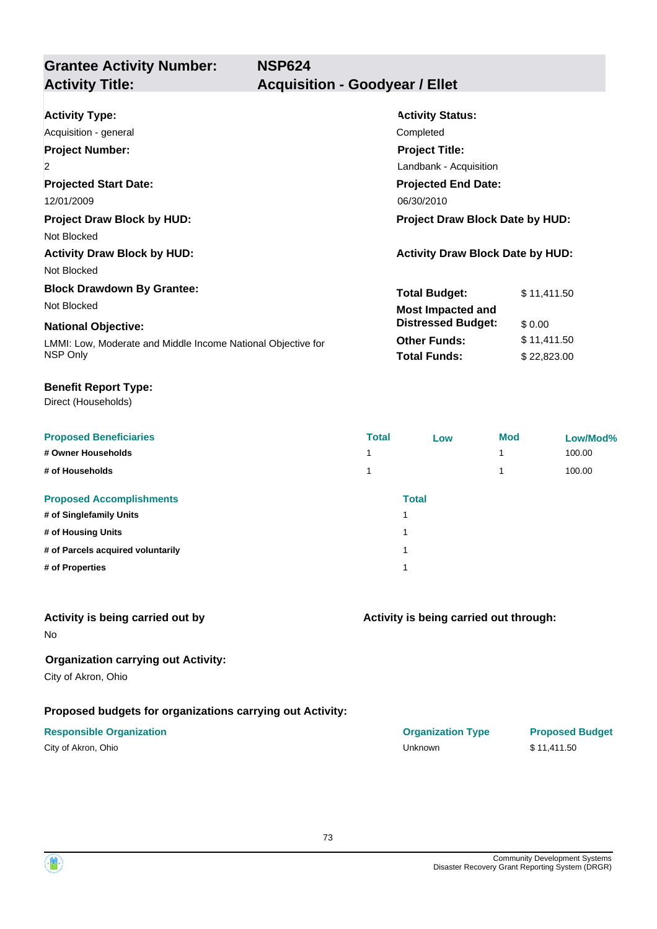**Grantee Activity Number: NSP624 Activity Title: Acquisition - Goodyear / Ellet**

| <b>Activity Type:</b>                                        | <b>Activity Status:</b>                 |             |  |
|--------------------------------------------------------------|-----------------------------------------|-------------|--|
| Acquisition - general                                        | Completed                               |             |  |
| <b>Project Number:</b>                                       | <b>Project Title:</b>                   |             |  |
| $\overline{2}$                                               | Landbank - Acquisition                  |             |  |
| <b>Projected Start Date:</b>                                 | <b>Projected End Date:</b>              |             |  |
| 12/01/2009                                                   | 06/30/2010                              |             |  |
| <b>Project Draw Block by HUD:</b>                            | <b>Project Draw Block Date by HUD:</b>  |             |  |
| Not Blocked                                                  |                                         |             |  |
| <b>Activity Draw Block by HUD:</b>                           | <b>Activity Draw Block Date by HUD:</b> |             |  |
| Not Blocked                                                  |                                         |             |  |
| <b>Block Drawdown By Grantee:</b>                            | <b>Total Budget:</b>                    | \$11,411.50 |  |
| Not Blocked                                                  | <b>Most Impacted and</b>                |             |  |
| <b>National Objective:</b>                                   | <b>Distressed Budget:</b>               | \$0.00      |  |
| LMMI: Low, Moderate and Middle Income National Objective for | <b>Other Funds:</b>                     | \$11,411.50 |  |
| NSP Only                                                     | <b>Total Funds:</b>                     | \$22,823.00 |  |
|                                                              |                                         |             |  |

### **Benefit Report Type:**

Direct (Households)

| <b>Proposed Beneficiaries</b>     | <b>Total</b> | Low          | <b>Mod</b> | Low/Mod% |
|-----------------------------------|--------------|--------------|------------|----------|
| # Owner Households                |              |              |            | 100.00   |
| # of Households                   |              |              |            | 100.00   |
| <b>Proposed Accomplishments</b>   |              | <b>Total</b> |            |          |
| # of Singlefamily Units           | 4            |              |            |          |
| # of Housing Units                | 4            |              |            |          |
| # of Parcels acquired voluntarily | и            |              |            |          |
| # of Properties                   | 4            |              |            |          |
|                                   |              |              |            |          |

### **Activity is being carried out by**

No

### **Organization carrying out Activity:**

City of Akron, Ohio

### **Proposed budgets for organizations carrying out Activity:**

| City of Akron, Ohio |  |
|---------------------|--|
|---------------------|--|

**Activity is being carried out through:**

| <b>Responsible Organization</b> | <b>Organization Type</b> | <b>Proposed Budget</b> |
|---------------------------------|--------------------------|------------------------|
| City of Akron, Ohio             | Unknown                  | \$11.411.50            |

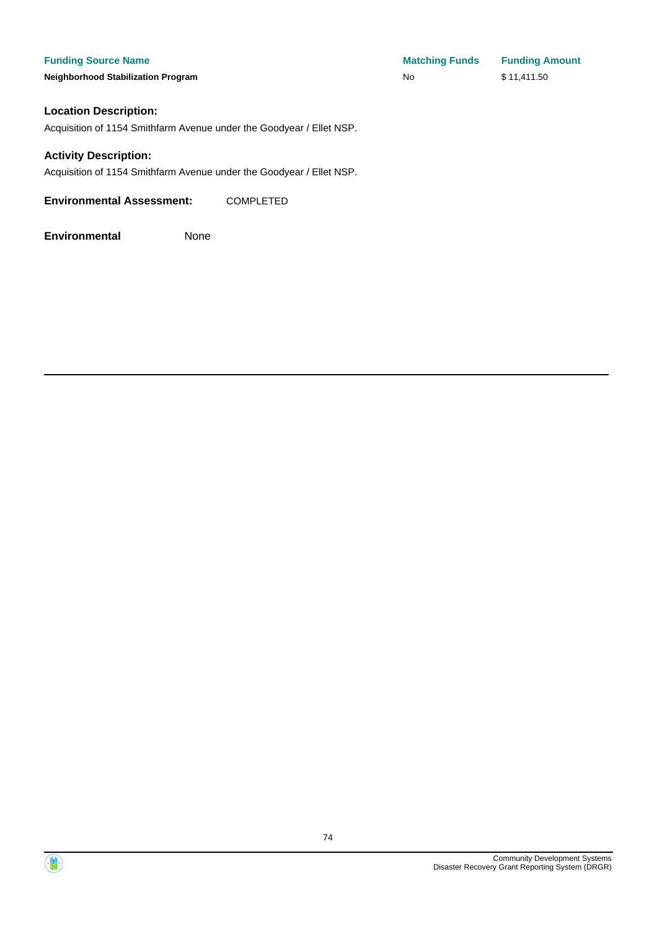**Neighborhood Stabilization Program** 

| <b>Matching Funds</b> | <b>Funding Amount</b> |
|-----------------------|-----------------------|
| No                    | \$11,411.50           |

### **Location Description:**

Acquisition of 1154 Smithfarm Avenue under the Goodyear / Ellet NSP.

### **Activity Description:**

Acquisition of 1154 Smithfarm Avenue under the Goodyear / Ellet NSP.

**Environmental Assessment:** COMPLETED



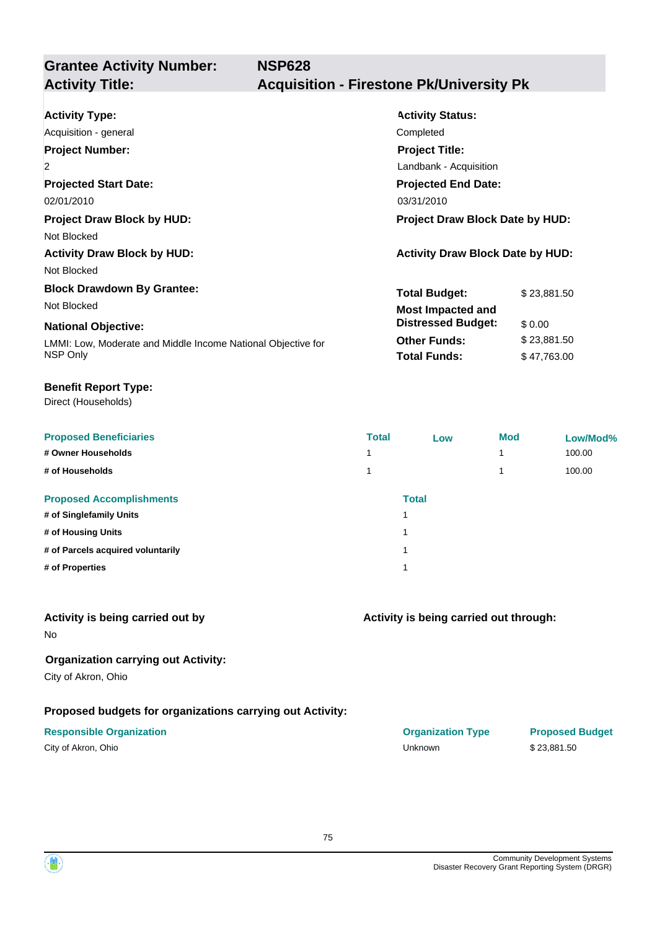# **Grantee Activity Number:**

## **Activity Title: Acquisition - Firestone Pk/University Pk**

| <b>Activity Type:</b>                                        | <b>Activity Status:</b>                 |  |  |
|--------------------------------------------------------------|-----------------------------------------|--|--|
| Acquisition - general                                        | Completed                               |  |  |
| <b>Project Number:</b>                                       | <b>Project Title:</b>                   |  |  |
| $\overline{2}$                                               | Landbank - Acquisition                  |  |  |
| <b>Projected Start Date:</b>                                 | <b>Projected End Date:</b>              |  |  |
| 02/01/2010                                                   | 03/31/2010                              |  |  |
| <b>Project Draw Block by HUD:</b>                            | <b>Project Draw Block Date by HUD:</b>  |  |  |
| Not Blocked                                                  |                                         |  |  |
| <b>Activity Draw Block by HUD:</b>                           | <b>Activity Draw Block Date by HUD:</b> |  |  |
| Not Blocked                                                  |                                         |  |  |
| <b>Block Drawdown By Grantee:</b>                            | <b>Total Budget:</b><br>\$23,881.50     |  |  |
| Not Blocked                                                  | Most Impacted and                       |  |  |
| <b>National Objective:</b>                                   | <b>Distressed Budget:</b><br>\$0.00     |  |  |
| LMMI: Low, Moderate and Middle Income National Objective for | <b>Other Funds:</b><br>\$23,881.50      |  |  |
| NSP Only                                                     | <b>Total Funds:</b><br>\$47,763.00      |  |  |

#### **Benefit Report Type:**

Direct (Households)

| <b>Proposed Beneficiaries</b>     | <b>Total</b> | Low          | <b>Mod</b> | Low/Mod% |
|-----------------------------------|--------------|--------------|------------|----------|
| # Owner Households                |              |              |            | 100.00   |
| # of Households                   |              |              |            | 100.00   |
| <b>Proposed Accomplishments</b>   |              | <b>Total</b> |            |          |
| # of Singlefamily Units           | и            |              |            |          |
| # of Housing Units                | и            |              |            |          |
| # of Parcels acquired voluntarily | и            |              |            |          |
| # of Properties                   | и            |              |            |          |
|                                   |              |              |            |          |

### **Activity is being carried out by**

No

### **Organization carrying out Activity:**

City of Akron, Ohio

## **Proposed budgets for organizations carrying out Activity:**

| City of Akron, Ohio |  |
|---------------------|--|
|---------------------|--|

### **Activity is being carried out through:**

**Responsible Organization COVID-10 COVID-10 Organization Type Proposed Budget** City of Akron, Ohio Unknown \$ 23,881.50

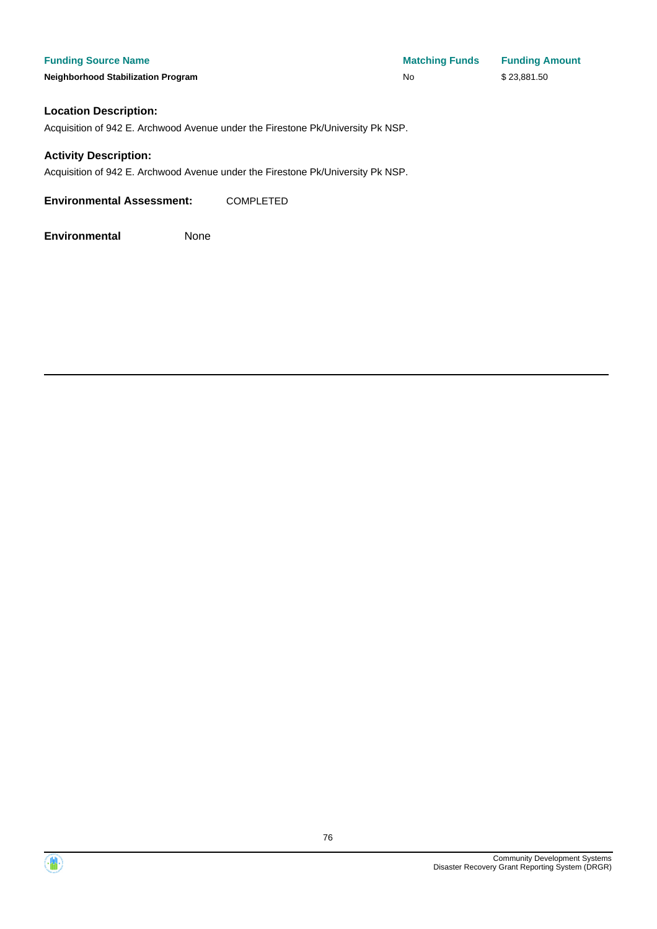**Funding Source Name Matching Funds Funding Amount Neighborhood Stabilization Program No No** \$23,881.50

### **Location Description:**

Acquisition of 942 E. Archwood Avenue under the Firestone Pk/University Pk NSP.

### **Activity Description:**

Acquisition of 942 E. Archwood Avenue under the Firestone Pk/University Pk NSP.

**Environmental Assessment:** COMPLETED

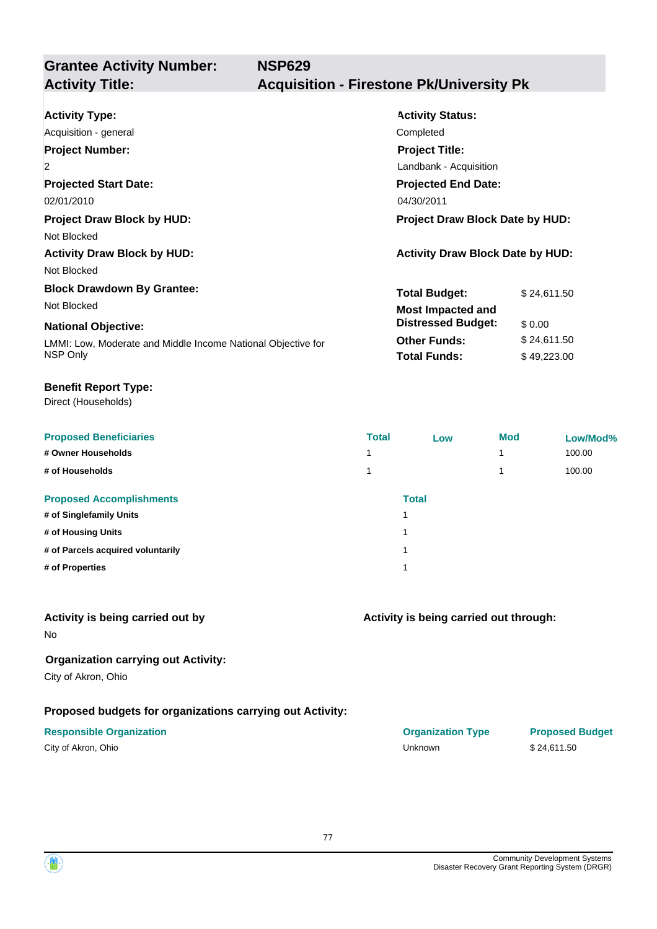**Grantee Activity Number: NSP629**

## **Activity Title: Acquisition - Firestone Pk/University Pk**

| <b>Activity Type:</b>                                        | <b>Activity Status:</b>                 |             |  |
|--------------------------------------------------------------|-----------------------------------------|-------------|--|
| Acquisition - general                                        | Completed                               |             |  |
| <b>Project Number:</b>                                       | <b>Project Title:</b>                   |             |  |
| 2                                                            | Landbank - Acquisition                  |             |  |
| <b>Projected Start Date:</b>                                 | <b>Projected End Date:</b>              |             |  |
| 02/01/2010                                                   | 04/30/2011                              |             |  |
| <b>Project Draw Block by HUD:</b>                            | <b>Project Draw Block Date by HUD:</b>  |             |  |
| Not Blocked                                                  |                                         |             |  |
| <b>Activity Draw Block by HUD:</b>                           | <b>Activity Draw Block Date by HUD:</b> |             |  |
| Not Blocked                                                  |                                         |             |  |
| <b>Block Drawdown By Grantee:</b>                            | <b>Total Budget:</b>                    | \$24,611.50 |  |
| Not Blocked                                                  | <b>Most Impacted and</b>                |             |  |
| <b>National Objective:</b>                                   | <b>Distressed Budget:</b>               | \$ 0.00     |  |
| LMMI: Low, Moderate and Middle Income National Objective for | <b>Other Funds:</b>                     | \$24,611.50 |  |
| NSP Only                                                     | <b>Total Funds:</b>                     | \$49,223.00 |  |

### **Benefit Report Type:**

Direct (Households)

| <b>Proposed Beneficiaries</b>     | <b>Total</b> | Low          | <b>Mod</b> | Low/Mod% |
|-----------------------------------|--------------|--------------|------------|----------|
| # Owner Households                |              |              |            | 100.00   |
| # of Households                   |              |              |            | 100.00   |
| <b>Proposed Accomplishments</b>   |              | <b>Total</b> |            |          |
| # of Singlefamily Units           | и            |              |            |          |
| # of Housing Units                | и            |              |            |          |
| # of Parcels acquired voluntarily | и            |              |            |          |
| # of Properties                   | и            |              |            |          |
|                                   |              |              |            |          |

### **Activity is being carried out by**

No

## **Organization carrying out Activity:**

City of Akron, Ohio

## **Proposed budgets for organizations carrying out Activity:**

| City of Akron, Ohio |  |
|---------------------|--|
|---------------------|--|

## **Activity is being carried out through:**

**Responsible Organization COVID-10 COVID-10 Organization Type Proposed Budget** City of Akron, Ohio Unknown \$ 24,611.50

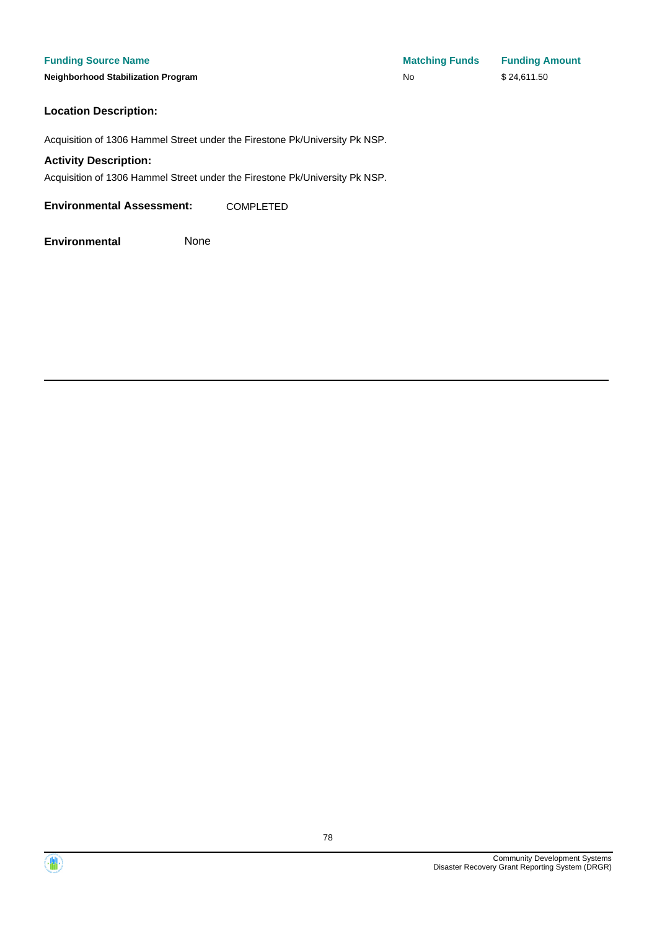### **Location Description:**

Acquisition of 1306 Hammel Street under the Firestone Pk/University Pk NSP.

#### **Activity Description:**

Acquisition of 1306 Hammel Street under the Firestone Pk/University Pk NSP.

**Environmental Assessment:** COMPLETED



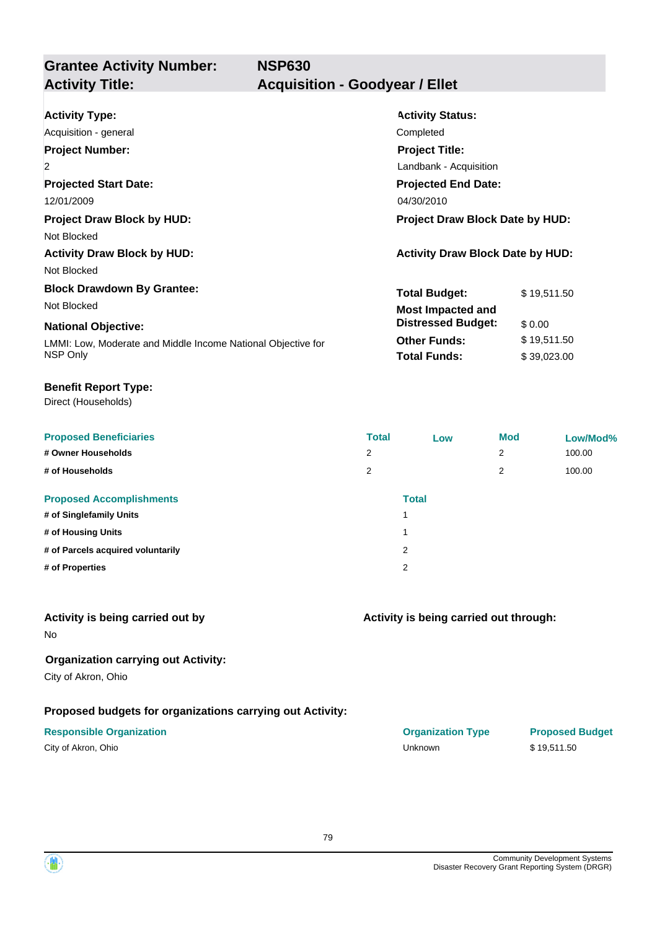**Grantee Activity Number: NSP630 Activity Title: Acquisition - Goodyear / Ellet**

| <b>Activity Type:</b>                                        | <b>Activity Status:</b>                 |             |  |
|--------------------------------------------------------------|-----------------------------------------|-------------|--|
| Acquisition - general                                        | Completed                               |             |  |
| <b>Project Number:</b>                                       | <b>Project Title:</b>                   |             |  |
| $\overline{2}$                                               | Landbank - Acquisition                  |             |  |
| <b>Projected Start Date:</b>                                 | <b>Projected End Date:</b>              |             |  |
| 12/01/2009                                                   | 04/30/2010                              |             |  |
| <b>Project Draw Block by HUD:</b>                            | <b>Project Draw Block Date by HUD:</b>  |             |  |
| Not Blocked                                                  |                                         |             |  |
| <b>Activity Draw Block by HUD:</b>                           | <b>Activity Draw Block Date by HUD:</b> |             |  |
| Not Blocked                                                  |                                         |             |  |
| <b>Block Drawdown By Grantee:</b>                            | <b>Total Budget:</b>                    | \$19,511.50 |  |
| Not Blocked                                                  | <b>Most Impacted and</b>                |             |  |
| <b>National Objective:</b>                                   | <b>Distressed Budget:</b>               | \$0.00      |  |
| LMMI: Low, Moderate and Middle Income National Objective for | <b>Other Funds:</b>                     | \$19,511.50 |  |
| NSP Only                                                     | <b>Total Funds:</b>                     | \$39,023.00 |  |
|                                                              |                                         |             |  |

### **Benefit Report Type:**

Direct (Households)

| <b>Total</b>   | Low | <b>Mod</b>   | Low/Mod% |
|----------------|-----|--------------|----------|
| $\overline{2}$ |     | 2            | 100.00   |
| 2              |     | 2            | 100.00   |
|                |     |              |          |
|                |     |              |          |
|                |     |              |          |
| 2              |     |              |          |
| 2              |     |              |          |
|                |     | <b>Total</b> |          |

### **Activity is being carried out by**

No

### **Organization carrying out Activity:**

City of Akron, Ohio

### **Proposed budgets for organizations carrying out Activity:**

|  |  | City of Akron, Ohio |  |  |
|--|--|---------------------|--|--|
|--|--|---------------------|--|--|

# **Activity is being carried out through:**

**Responsible Organization COVID-10 COVID-10 Organization Type Proposed Budget** City of Akron, Ohio Unknown \$ 19,511.50

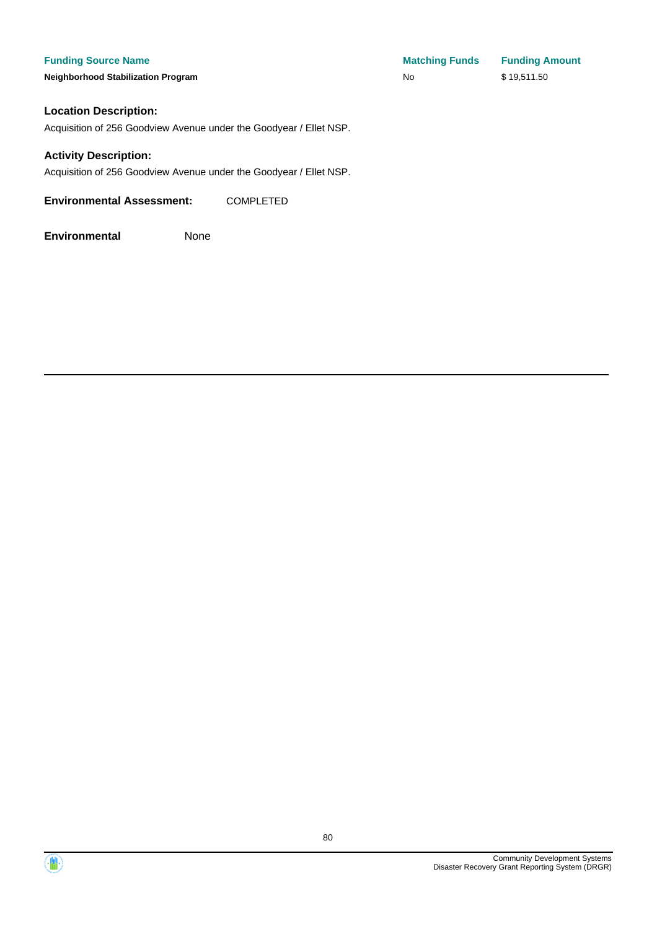**Neighborhood Stabilization Program** 

| <b>Matching Funds</b> | <b>Funding Amount</b> |
|-----------------------|-----------------------|
| <b>No</b>             | \$19,511.50           |

### **Location Description:**

Acquisition of 256 Goodview Avenue under the Goodyear / Ellet NSP.

### **Activity Description:**

Acquisition of 256 Goodview Avenue under the Goodyear / Ellet NSP.

**Environmental Assessment:** COMPLETED



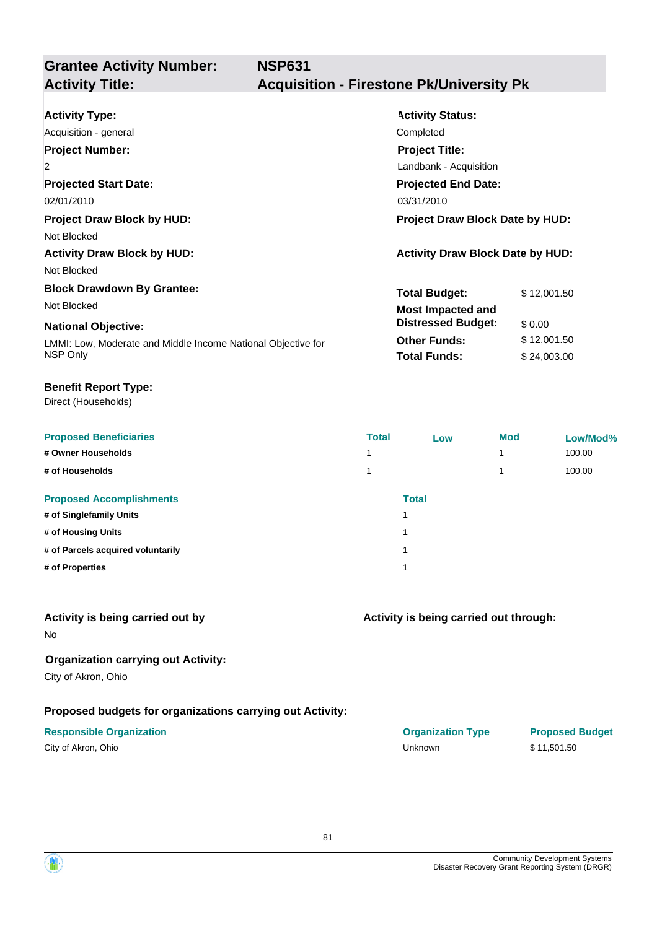# **Grantee Activity Number:**

## **Activity Title: Acquisition - Firestone Pk/University Pk**

| <b>Activity Type:</b><br>Acquisition - general               | <b>Activity Status:</b><br>Completed    |             |  |
|--------------------------------------------------------------|-----------------------------------------|-------------|--|
| <b>Project Number:</b>                                       | <b>Project Title:</b>                   |             |  |
| $\overline{2}$                                               | Landbank - Acquisition                  |             |  |
| <b>Projected Start Date:</b>                                 | <b>Projected End Date:</b>              |             |  |
| 02/01/2010                                                   | 03/31/2010                              |             |  |
| <b>Project Draw Block by HUD:</b>                            | <b>Project Draw Block Date by HUD:</b>  |             |  |
| Not Blocked                                                  |                                         |             |  |
| <b>Activity Draw Block by HUD:</b>                           | <b>Activity Draw Block Date by HUD:</b> |             |  |
| Not Blocked                                                  |                                         |             |  |
| <b>Block Drawdown By Grantee:</b>                            | <b>Total Budget:</b>                    | \$12,001.50 |  |
| Not Blocked                                                  | <b>Most Impacted and</b>                |             |  |
| <b>National Objective:</b>                                   | <b>Distressed Budget:</b>               | \$0.00      |  |
| LMMI: Low, Moderate and Middle Income National Objective for | <b>Other Funds:</b>                     | \$12,001.50 |  |
| NSP Only                                                     | <b>Total Funds:</b>                     | \$24,003.00 |  |

### **Benefit Report Type:**

Direct (Households)

| <b>Proposed Beneficiaries</b>     | <b>Total</b> | Low                     | <b>Mod</b> | Low/Mod% |
|-----------------------------------|--------------|-------------------------|------------|----------|
| # Owner Households                |              |                         |            | 100.00   |
| # of Households                   |              |                         |            | 100.00   |
| <b>Proposed Accomplishments</b>   |              | <b>Total</b>            |            |          |
| # of Singlefamily Units           |              | $\overline{\mathbf{A}}$ |            |          |
| # of Housing Units                |              | и                       |            |          |
| # of Parcels acquired voluntarily |              | и                       |            |          |
| # of Properties                   |              | и                       |            |          |
|                                   |              |                         |            |          |

### **Activity is being carried out by**

No

## **Organization carrying out Activity:**

City of Akron, Ohio

## **Proposed budgets for organizations carrying out Activity:**

| City of Akron, Ohio |  |
|---------------------|--|
|---------------------|--|

## **Activity is being carried out through:**

**Responsible Organization COVID-10 COVID-10 Organization Type Proposed Budget** City of Akron, Ohio Unknown \$ 11,501.50

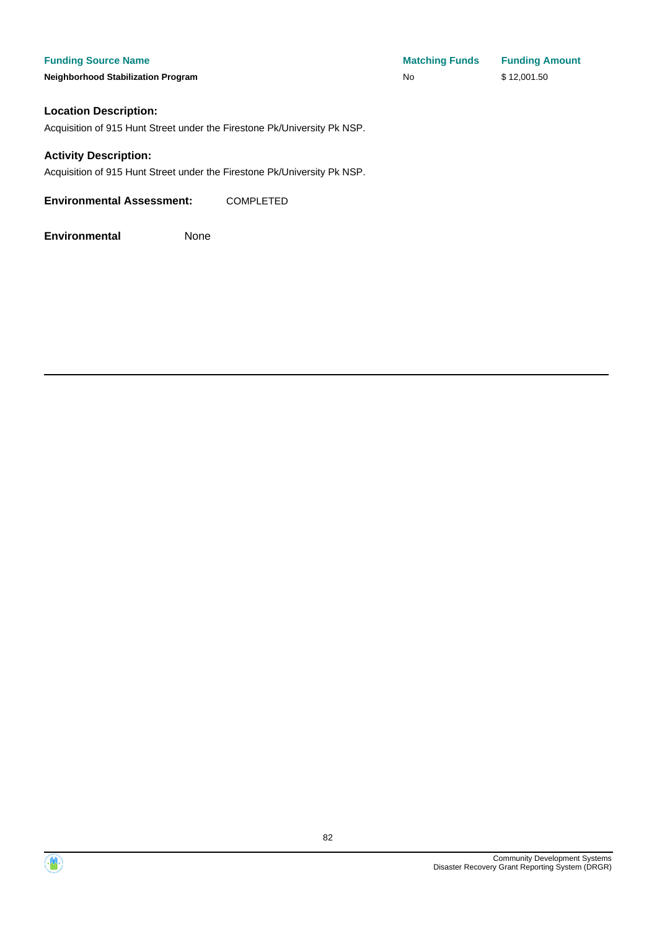**Neighborhood Stabilization Program** 

| <b>Matching Funds</b> | <b>Funding Amount</b> |
|-----------------------|-----------------------|
| No                    | \$12,001.50           |

### **Location Description:**

Acquisition of 915 Hunt Street under the Firestone Pk/University Pk NSP.

### **Activity Description:**

Acquisition of 915 Hunt Street under the Firestone Pk/University Pk NSP.

**Environmental Assessment:** COMPLETED





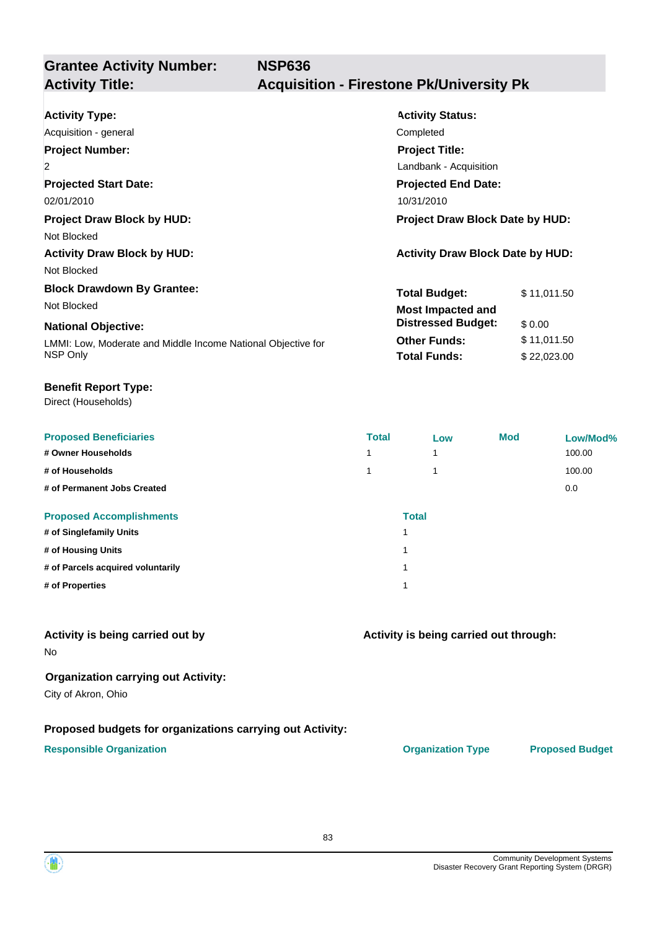# **Grantee Activity Number:**

## **Activity Title: Acquisition - Firestone Pk/University Pk**

| <b>Activity Type:</b>                                        | <b>Activity Status:</b>                 |             |  |
|--------------------------------------------------------------|-----------------------------------------|-------------|--|
| Acquisition - general                                        | Completed                               |             |  |
| <b>Project Number:</b>                                       | <b>Project Title:</b>                   |             |  |
| $\overline{2}$                                               | Landbank - Acquisition                  |             |  |
| <b>Projected Start Date:</b>                                 | <b>Projected End Date:</b>              |             |  |
| 02/01/2010                                                   | 10/31/2010                              |             |  |
| <b>Project Draw Block by HUD:</b>                            | <b>Project Draw Block Date by HUD:</b>  |             |  |
| Not Blocked                                                  |                                         |             |  |
| <b>Activity Draw Block by HUD:</b>                           | <b>Activity Draw Block Date by HUD:</b> |             |  |
| Not Blocked                                                  |                                         |             |  |
| <b>Block Drawdown By Grantee:</b>                            | <b>Total Budget:</b>                    | \$11,011.50 |  |
| Not Blocked                                                  | <b>Most Impacted and</b>                |             |  |
| <b>National Objective:</b>                                   | <b>Distressed Budget:</b>               | \$0.00      |  |
| LMMI: Low, Moderate and Middle Income National Objective for | <b>Other Funds:</b>                     | \$11,011.50 |  |
| NSP Only                                                     | <b>Total Funds:</b>                     | \$22,023.00 |  |

### **Benefit Report Type:**

Direct (Households)

| <b>Proposed Beneficiaries</b>     | <b>Total</b>            | Low          | <b>Mod</b> | Low/Mod% |
|-----------------------------------|-------------------------|--------------|------------|----------|
| # Owner Households                | 1                       |              |            | 100.00   |
| # of Households                   | 1                       |              |            | 100.00   |
| # of Permanent Jobs Created       |                         |              |            | 0.0      |
| <b>Proposed Accomplishments</b>   |                         | <b>Total</b> |            |          |
| # of Singlefamily Units           | 4                       |              |            |          |
| # of Housing Units                | 1                       |              |            |          |
| # of Parcels acquired voluntarily | $\overline{\mathbf{A}}$ |              |            |          |
| # of Properties                   |                         |              |            |          |

### **Activity is being carried out by**

No

### **Organization carrying out Activity:**

City of Akron, Ohio

### **Proposed budgets for organizations carrying out Activity:**

### **Responsible Organization CONSERVIRGHT ACCORDING THE CONSERVIRGHT ORGANIZATION Type Proposed Budget**

**Activity is being carried out through:**

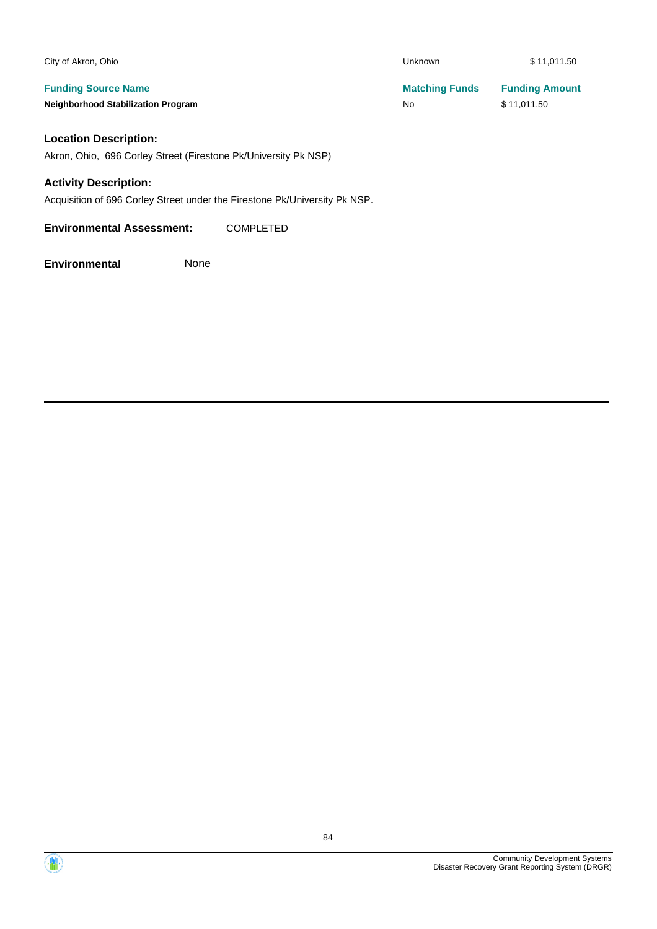| City of Akron, Ohio                       | Unknown               | \$11,011.50           |
|-------------------------------------------|-----------------------|-----------------------|
| <b>Funding Source Name</b>                | <b>Matching Funds</b> | <b>Funding Amount</b> |
| <b>Neighborhood Stabilization Program</b> | No                    | \$11.011.50           |
|                                           |                       |                       |

## **Location Description:**

Akron, Ohio, 696 Corley Street (Firestone Pk/University Pk NSP)

### **Activity Description:**

Acquisition of 696 Corley Street under the Firestone Pk/University Pk NSP.

**Environmental Assessment:** COMPLETED

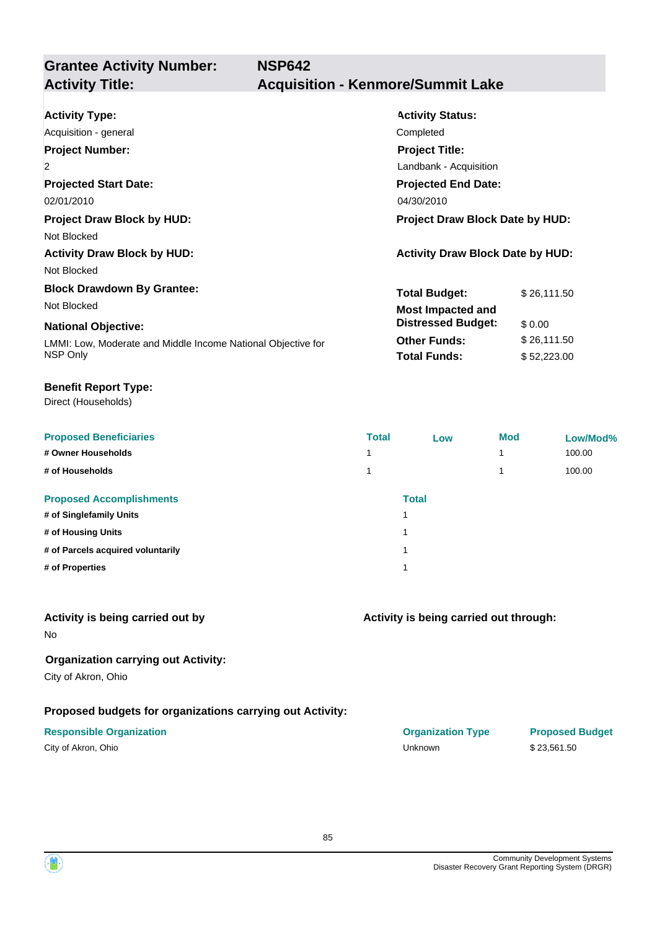**Grantee Activity Number: NSP642**

## **Activity Title: Acquisition - Kenmore/Summit Lake**

| <b>Activity Type:</b>                                        | <b>Activity Status:</b>                 |             |  |
|--------------------------------------------------------------|-----------------------------------------|-------------|--|
|                                                              |                                         |             |  |
| Acquisition - general                                        | Completed                               |             |  |
| <b>Project Number:</b>                                       | <b>Project Title:</b>                   |             |  |
| $\overline{2}$                                               | Landbank - Acquisition                  |             |  |
| <b>Projected Start Date:</b>                                 | <b>Projected End Date:</b>              |             |  |
| 02/01/2010                                                   | 04/30/2010                              |             |  |
| <b>Project Draw Block by HUD:</b>                            | <b>Project Draw Block Date by HUD:</b>  |             |  |
| Not Blocked                                                  |                                         |             |  |
| <b>Activity Draw Block by HUD:</b>                           | <b>Activity Draw Block Date by HUD:</b> |             |  |
| Not Blocked                                                  |                                         |             |  |
| <b>Block Drawdown By Grantee:</b>                            | <b>Total Budget:</b>                    | \$26,111.50 |  |
| Not Blocked                                                  | <b>Most Impacted and</b>                |             |  |
| <b>National Objective:</b>                                   | <b>Distressed Budget:</b>               | \$0.00      |  |
| LMMI: Low, Moderate and Middle Income National Objective for | <b>Other Funds:</b>                     | \$26,111.50 |  |
| NSP Only                                                     | <b>Total Funds:</b>                     | \$52,223.00 |  |
|                                                              |                                         |             |  |

### **Benefit Report Type:**

Direct (Households)

| <b>Proposed Beneficiaries</b>     | <b>Total</b> | Low          | <b>Mod</b> | Low/Mod% |
|-----------------------------------|--------------|--------------|------------|----------|
| # Owner Households                |              |              |            | 100.00   |
| # of Households                   |              |              |            | 100.00   |
| <b>Proposed Accomplishments</b>   |              | <b>Total</b> |            |          |
| # of Singlefamily Units           | и            |              |            |          |
| # of Housing Units                | и            |              |            |          |
| # of Parcels acquired voluntarily | и            |              |            |          |
| # of Properties                   | и            |              |            |          |
|                                   |              |              |            |          |

### **Activity is being carried out by**

No

### **Organization carrying out Activity:**

City of Akron, Ohio

## **Proposed budgets for organizations carrying out Activity:**

| City of Akron, Ohio |  |
|---------------------|--|
|---------------------|--|

## **Activity is being carried out through:**

**Responsible Organization COVID-10 COVID-10 Organization Type Proposed Budget** City of Akron, Ohio Unknown \$ 23,561.50

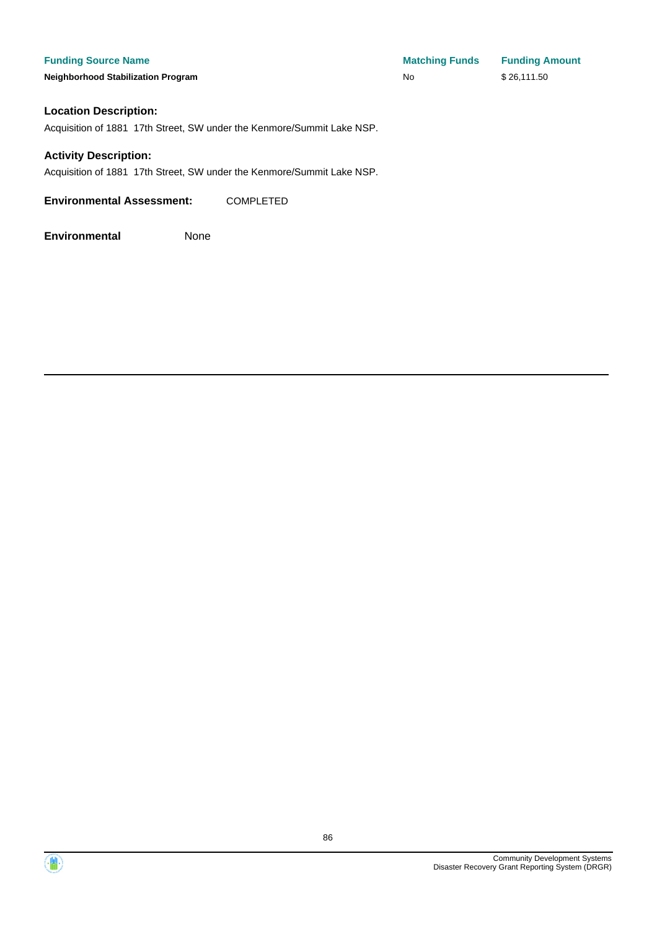**Neighborhood Stabilization Program No No** \$26,111.50

**Funding Source Name Matching Funds Funding Amount** 

### **Location Description:**

Acquisition of 1881 17th Street, SW under the Kenmore/Summit Lake NSP.

### **Activity Description:**

Acquisition of 1881 17th Street, SW under the Kenmore/Summit Lake NSP.

**Environmental Assessment:** COMPLETED



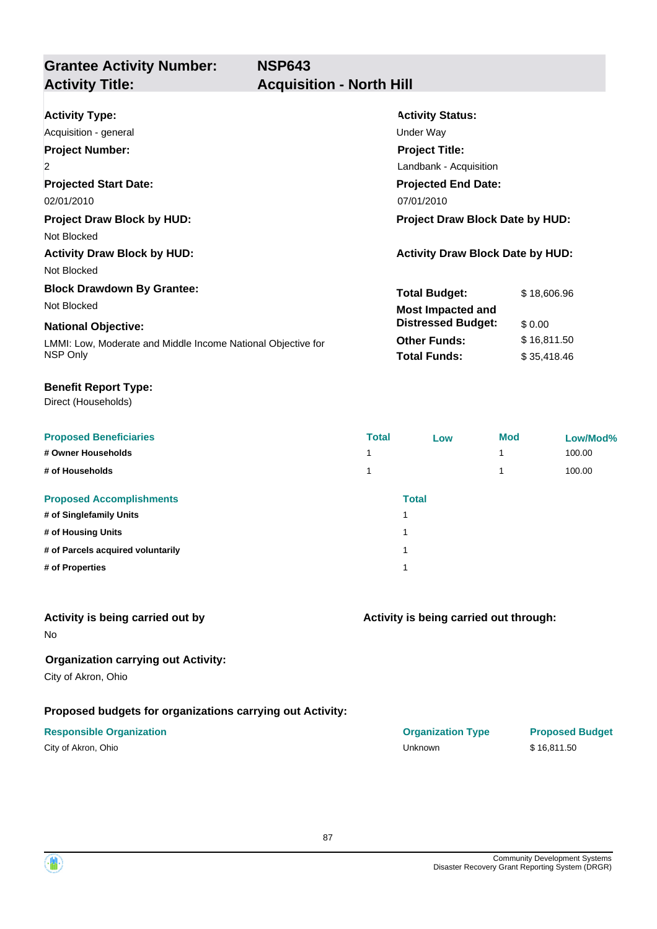# **Grantee Activity Number:**

## **Acquisition - North Hill**

| <b>Activity Type:</b>                                        | <b>Activity Status:</b>                 |             |  |  |
|--------------------------------------------------------------|-----------------------------------------|-------------|--|--|
| Acquisition - general                                        | Under Way                               |             |  |  |
| <b>Project Number:</b>                                       | <b>Project Title:</b>                   |             |  |  |
| $\overline{2}$                                               | Landbank - Acquisition                  |             |  |  |
| <b>Projected Start Date:</b>                                 | <b>Projected End Date:</b>              |             |  |  |
| 02/01/2010                                                   | 07/01/2010                              |             |  |  |
| <b>Project Draw Block by HUD:</b>                            | <b>Project Draw Block Date by HUD:</b>  |             |  |  |
| Not Blocked                                                  |                                         |             |  |  |
| <b>Activity Draw Block by HUD:</b>                           | <b>Activity Draw Block Date by HUD:</b> |             |  |  |
| Not Blocked                                                  |                                         |             |  |  |
| <b>Block Drawdown By Grantee:</b>                            | <b>Total Budget:</b>                    | \$18,606.96 |  |  |
| Not Blocked                                                  | <b>Most Impacted and</b>                |             |  |  |
| <b>National Objective:</b>                                   | <b>Distressed Budget:</b>               | \$0.00      |  |  |
| LMMI: Low, Moderate and Middle Income National Objective for | <b>Other Funds:</b>                     | \$16,811.50 |  |  |
| NSP Only                                                     | <b>Total Funds:</b>                     | \$35,418.46 |  |  |

### **Benefit Report Type:**

Direct (Households)

| <b>Proposed Beneficiaries</b>     | <b>Total</b> | Low          | <b>Mod</b> | Low/Mod% |
|-----------------------------------|--------------|--------------|------------|----------|
| # Owner Households                |              |              |            | 100.00   |
| # of Households                   |              |              |            | 100.00   |
| <b>Proposed Accomplishments</b>   |              | <b>Total</b> |            |          |
| # of Singlefamily Units           |              | 1            |            |          |
| # of Housing Units                |              | 1            |            |          |
| # of Parcels acquired voluntarily |              | 1            |            |          |
| # of Properties                   |              | 1            |            |          |

### **Activity is being carried out by**

No

## **Organization carrying out Activity:**

City of Akron, Ohio

## **Proposed budgets for organizations carrying out Activity:**

| City of Akron, Ohio |  |
|---------------------|--|
|---------------------|--|

**Activity is being carried out through:**

| <b>Responsible Organization</b> | <b>Organization Type</b> | <b>Proposed Budget</b> |
|---------------------------------|--------------------------|------------------------|
| City of Akron, Ohio             | Unknown                  | \$16.811.50            |

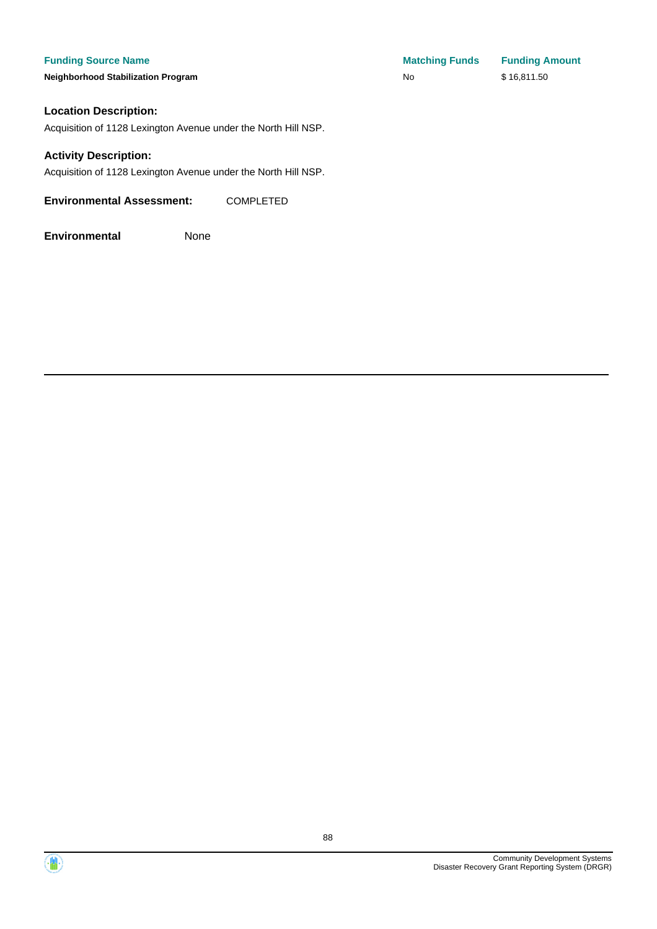**Neighborhood Stabilization Program** 

| <b>Matching Funds</b> | <b>Funding Amount</b> |
|-----------------------|-----------------------|
| No                    | \$16,811.50           |

### **Location Description:**

Acquisition of 1128 Lexington Avenue under the North Hill NSP.

### **Activity Description:**

Acquisition of 1128 Lexington Avenue under the North Hill NSP.

**Environmental Assessment:** COMPLETED

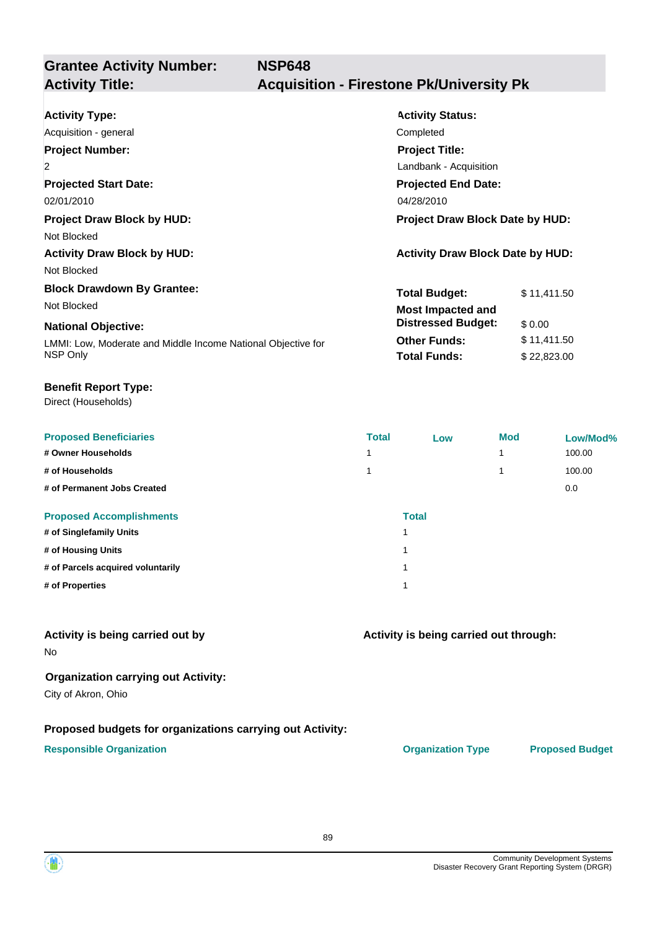# **Grantee Activity Number:**

## **Activity Title: Acquisition - Firestone Pk/University Pk**

| <b>Activity Type:</b>                                        | <b>Activity Status:</b>                 |             |  |  |
|--------------------------------------------------------------|-----------------------------------------|-------------|--|--|
| Acquisition - general                                        | Completed                               |             |  |  |
| <b>Project Number:</b>                                       | <b>Project Title:</b>                   |             |  |  |
| 2                                                            | Landbank - Acquisition                  |             |  |  |
| <b>Projected Start Date:</b>                                 | <b>Projected End Date:</b>              |             |  |  |
| 02/01/2010                                                   | 04/28/2010                              |             |  |  |
| <b>Project Draw Block by HUD:</b>                            | <b>Project Draw Block Date by HUD:</b>  |             |  |  |
| Not Blocked                                                  |                                         |             |  |  |
| <b>Activity Draw Block by HUD:</b>                           | <b>Activity Draw Block Date by HUD:</b> |             |  |  |
| Not Blocked                                                  |                                         |             |  |  |
| <b>Block Drawdown By Grantee:</b>                            | <b>Total Budget:</b>                    | \$11,411.50 |  |  |
| Not Blocked                                                  | <b>Most Impacted and</b>                |             |  |  |
| <b>National Objective:</b>                                   | <b>Distressed Budget:</b>               | \$0.00      |  |  |
| LMMI: Low, Moderate and Middle Income National Objective for | <b>Other Funds:</b>                     | \$11,411.50 |  |  |
| NSP Only                                                     | <b>Total Funds:</b>                     | \$22,823.00 |  |  |

#### **Benefit Report Type:**

Direct (Households)

| <b>Proposed Beneficiaries</b>     | <b>Total</b>            | Low | <b>Mod</b> | Low/Mod% |
|-----------------------------------|-------------------------|-----|------------|----------|
| # Owner Households                | ◢                       |     | 4          | 100.00   |
| # of Households                   |                         |     | 4          | 100.00   |
| # of Permanent Jobs Created       |                         |     |            | 0.0      |
| <b>Proposed Accomplishments</b>   | <b>Total</b>            |     |            |          |
| # of Singlefamily Units           |                         |     |            |          |
| # of Housing Units                | $\overline{\mathbf{A}}$ |     |            |          |
| # of Parcels acquired voluntarily | $\overline{\mathbf{A}}$ |     |            |          |
| # of Properties                   |                         |     |            |          |

### **Activity is being carried out by**

No

### **Organization carrying out Activity:**

City of Akron, Ohio

### **Proposed budgets for organizations carrying out Activity:**

### **Responsible Organization CONSERVIRGHT ACCORDING THE CONSERVIRGHT ORGANIZATION Type Proposed Budget**

**Activity is being carried out through:**

89

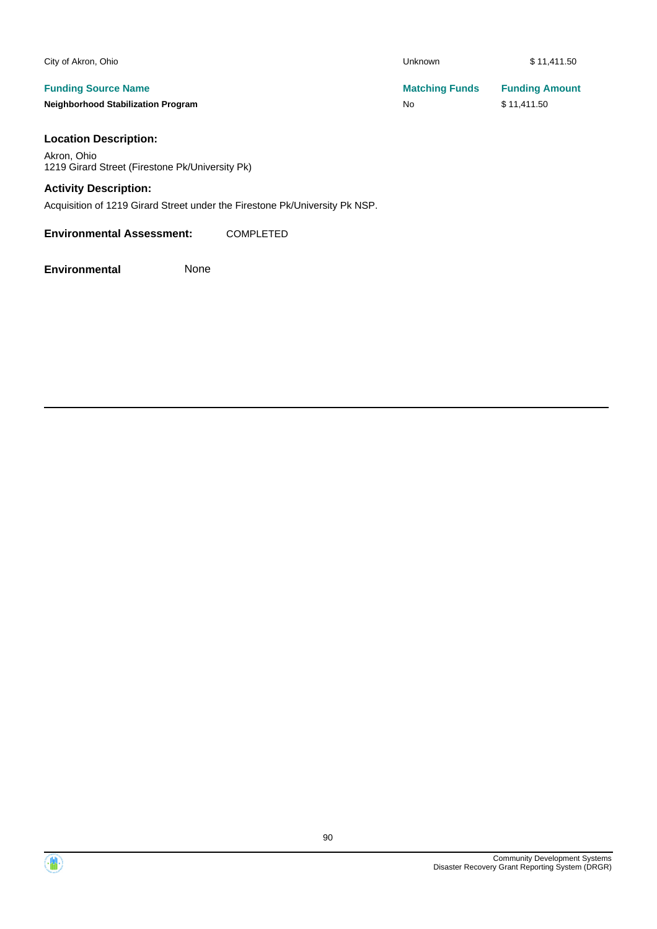| City of Akron, Ohio                       | <b>Unknown</b>        | \$11,411.50           |
|-------------------------------------------|-----------------------|-----------------------|
| <b>Funding Source Name</b>                | <b>Matching Funds</b> | <b>Funding Amount</b> |
| <b>Neighborhood Stabilization Program</b> | No                    | \$11,411.50           |
| <b>Location Description:</b>              |                       |                       |

### **Location Description:**

Akron, Ohio 1219 Girard Street (Firestone Pk/University Pk)

## **Activity Description:**

Acquisition of 1219 Girard Street under the Firestone Pk/University Pk NSP.

### **Environmental Assessment:** COMPLETED



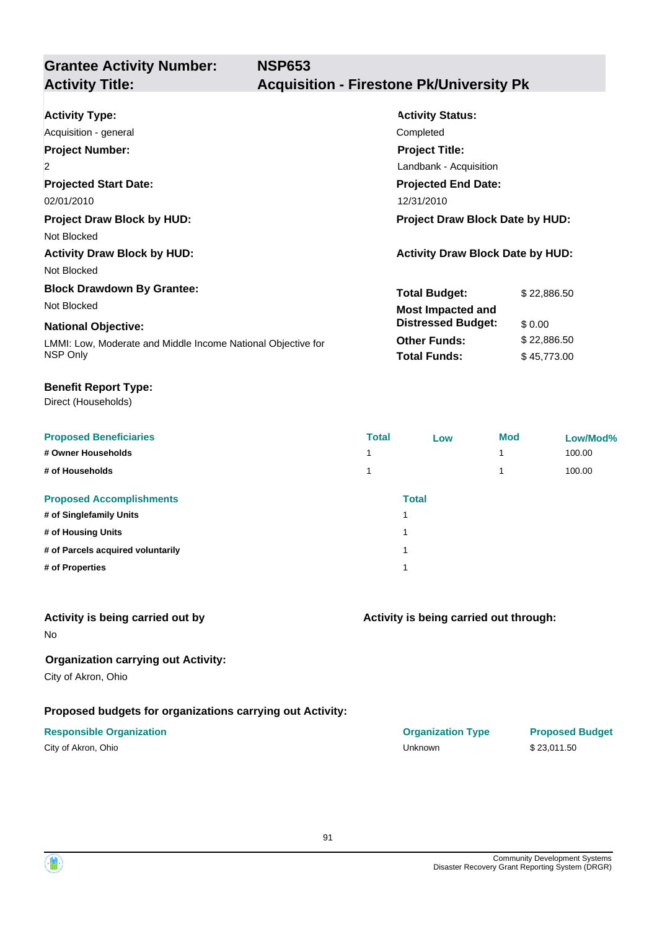# **Grantee Activity Number:**

## **Activity Title: Acquisition - Firestone Pk/University Pk**

| <b>Activity Type:</b>                                        | <b>Activity Status:</b>                 |  |  |  |
|--------------------------------------------------------------|-----------------------------------------|--|--|--|
| Acquisition - general                                        | Completed                               |  |  |  |
| <b>Project Number:</b>                                       | <b>Project Title:</b>                   |  |  |  |
| $\overline{2}$                                               | Landbank - Acquisition                  |  |  |  |
| <b>Projected Start Date:</b>                                 | <b>Projected End Date:</b>              |  |  |  |
| 02/01/2010                                                   | 12/31/2010                              |  |  |  |
| <b>Project Draw Block by HUD:</b>                            | <b>Project Draw Block Date by HUD:</b>  |  |  |  |
| Not Blocked                                                  |                                         |  |  |  |
| <b>Activity Draw Block by HUD:</b>                           | <b>Activity Draw Block Date by HUD:</b> |  |  |  |
| Not Blocked                                                  |                                         |  |  |  |
| <b>Block Drawdown By Grantee:</b>                            | <b>Total Budget:</b><br>\$22,886.50     |  |  |  |
| Not Blocked                                                  | <b>Most Impacted and</b>                |  |  |  |
| <b>National Objective:</b>                                   | <b>Distressed Budget:</b><br>\$0.00     |  |  |  |
| LMMI: Low, Moderate and Middle Income National Objective for | <b>Other Funds:</b><br>\$22,886.50      |  |  |  |
| NSP Only                                                     | <b>Total Funds:</b><br>\$45,773.00      |  |  |  |

#### **Benefit Report Type:**

Direct (Households)

| <b>Proposed Beneficiaries</b>     | <b>Total</b> | Low          | <b>Mod</b> | Low/Mod% |
|-----------------------------------|--------------|--------------|------------|----------|
| # Owner Households                |              |              | 4          | 100.00   |
| # of Households                   |              |              |            | 100.00   |
| <b>Proposed Accomplishments</b>   |              | <b>Total</b> |            |          |
| # of Singlefamily Units           |              |              |            |          |
| # of Housing Units                |              |              |            |          |
| # of Parcels acquired voluntarily |              |              |            |          |
| # of Properties                   |              |              |            |          |
|                                   |              |              |            |          |

### **Activity is being carried out by**

No

## **Organization carrying out Activity:**

City of Akron, Ohio

## **Proposed budgets for organizations carrying out Activity:**

| City of Akron, Ohio |  |
|---------------------|--|
|---------------------|--|

## **Activity is being carried out through:**

**Responsible Organization COVID-10 COVID-10 Organization Type Proposed Budget** City of Akron, Ohio Unknown \$ 23,011.50

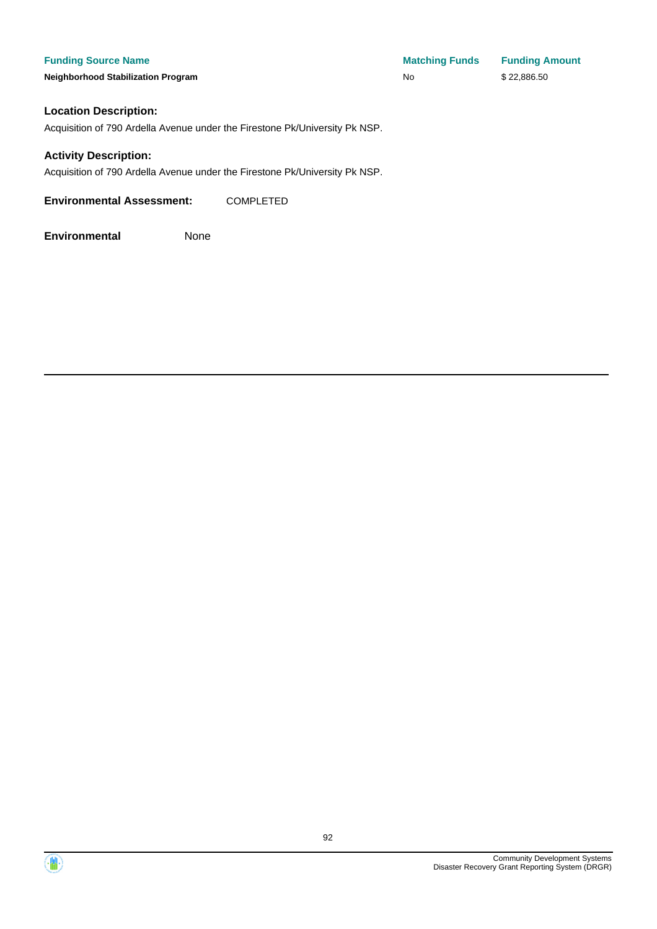**Funding Source Name Matching Funds Funding Amount Neighborhood Stabilization Program No No** \$ 22,886.50

### **Location Description:**

Acquisition of 790 Ardella Avenue under the Firestone Pk/University Pk NSP.

### **Activity Description:**

Acquisition of 790 Ardella Avenue under the Firestone Pk/University Pk NSP.

**Environmental Assessment:** COMPLETED



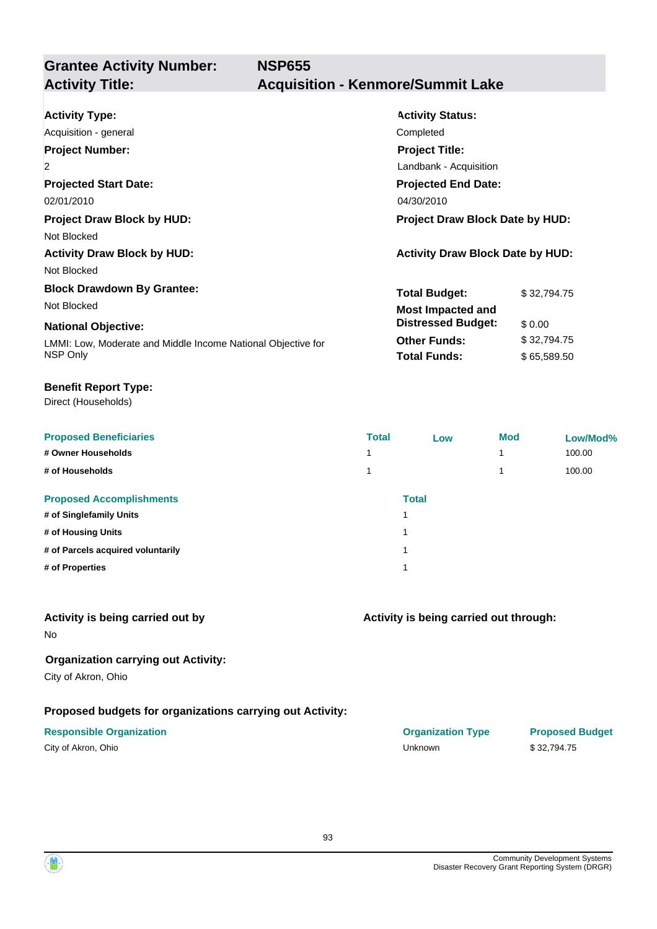**Grantee Activity Number: NSP655 Activity Title: Acquisition - Kenmore/Summit Lake**

| <b>Activity Type:</b>                                        | <b>Activity Status:</b>                 |             |  |
|--------------------------------------------------------------|-----------------------------------------|-------------|--|
| Acquisition - general                                        | Completed                               |             |  |
| <b>Project Number:</b>                                       | <b>Project Title:</b>                   |             |  |
| $\overline{2}$                                               | Landbank - Acquisition                  |             |  |
| <b>Projected Start Date:</b>                                 | <b>Projected End Date:</b>              |             |  |
| 02/01/2010                                                   | 04/30/2010                              |             |  |
| <b>Project Draw Block by HUD:</b>                            | <b>Project Draw Block Date by HUD:</b>  |             |  |
| Not Blocked                                                  |                                         |             |  |
| <b>Activity Draw Block by HUD:</b>                           | <b>Activity Draw Block Date by HUD:</b> |             |  |
| Not Blocked                                                  |                                         |             |  |
| <b>Block Drawdown By Grantee:</b>                            | <b>Total Budget:</b>                    | \$32.794.75 |  |
| Not Blocked                                                  | <b>Most Impacted and</b>                |             |  |
| <b>National Objective:</b>                                   | <b>Distressed Budget:</b>               | \$0.00      |  |
| LMMI: Low, Moderate and Middle Income National Objective for | <b>Other Funds:</b>                     | \$32,794.75 |  |
| NSP Only                                                     | <b>Total Funds:</b>                     | \$65,589.50 |  |
|                                                              |                                         |             |  |

### **Benefit Report Type:**

Direct (Households)

| <b>Total</b> | Low | <b>Mod</b>                  | Low/Mod% |
|--------------|-----|-----------------------------|----------|
|              |     |                             | 100.00   |
|              |     |                             | 100.00   |
|              |     |                             |          |
|              |     |                             |          |
|              |     |                             |          |
|              |     |                             |          |
|              |     |                             |          |
|              |     | <b>Total</b><br>и<br>٠<br>٠ |          |

### **Activity is being carried out by**

No

### **Organization carrying out Activity:**

City of Akron, Ohio

## **Proposed budgets for organizations carrying out Activity:**

| City of Akron, Ohio |  |
|---------------------|--|
|---------------------|--|

# **Activity is being carried out through:**

**Responsible Organization COVID-10 COVID-10 Organization Type Proposed Budget** City of Akron, Ohio Unknown \$ 32,794.75

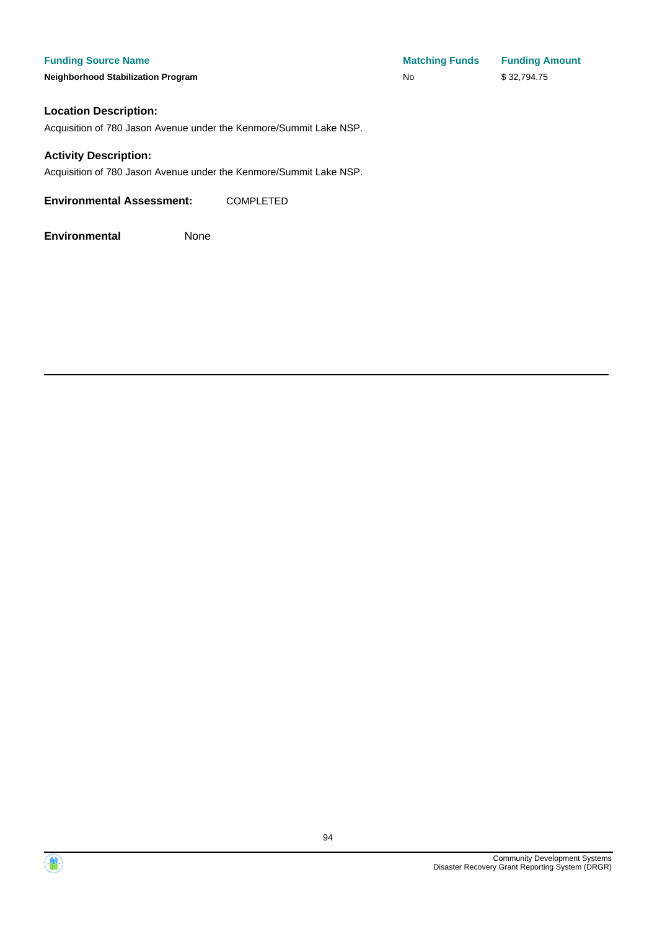**Neighborhood Stabilization Program** 

| <b>Matching Funds</b> | <b>Funding Amount</b> |
|-----------------------|-----------------------|
| No                    | \$32,794.75           |

### **Location Description:**

Acquisition of 780 Jason Avenue under the Kenmore/Summit Lake NSP.

### **Activity Description:**

Acquisition of 780 Jason Avenue under the Kenmore/Summit Lake NSP.

**Environmental Assessment:** COMPLETED



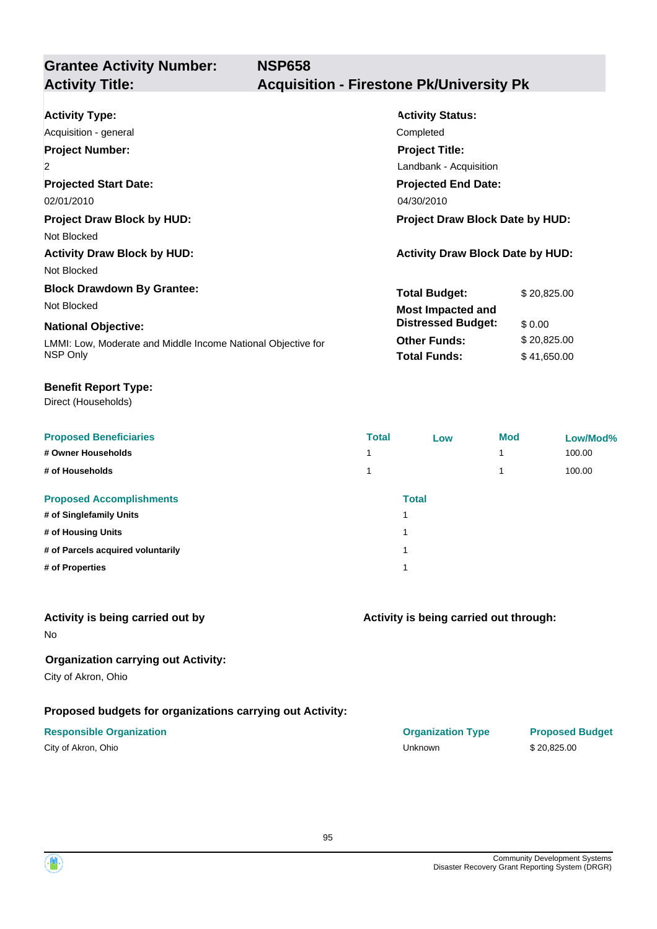# **Grantee Activity Number:**

## **Activity Title: Acquisition - Firestone Pk/University Pk**

| <b>Activity Type:</b><br>Acquisition - general<br><b>Project Number:</b><br>$\overline{2}$<br><b>Projected Start Date:</b><br>02/01/2010<br><b>Project Draw Block by HUD:</b> | <b>Activity Status:</b><br>Completed<br><b>Project Title:</b><br>Landbank - Acquisition<br><b>Projected End Date:</b><br>04/30/2010<br><b>Project Draw Block Date by HUD:</b> |  |  |
|-------------------------------------------------------------------------------------------------------------------------------------------------------------------------------|-------------------------------------------------------------------------------------------------------------------------------------------------------------------------------|--|--|
| Not Blocked<br><b>Activity Draw Block by HUD:</b><br>Not Blocked<br><b>Block Drawdown By Grantee:</b>                                                                         | <b>Activity Draw Block Date by HUD:</b><br><b>Total Budget:</b><br>\$20,825.00                                                                                                |  |  |
| Not Blocked<br><b>National Objective:</b><br>LMMI: Low, Moderate and Middle Income National Objective for<br>NSP Only                                                         | <b>Most Impacted and</b><br><b>Distressed Budget:</b><br>\$0.00<br><b>Other Funds:</b><br>\$20,825.00<br><b>Total Funds:</b><br>\$41,650.00                                   |  |  |

#### **Benefit Report Type:**

Direct (Households)

| <b>Proposed Beneficiaries</b>     | <b>Total</b> | Low          | <b>Mod</b> | Low/Mod% |
|-----------------------------------|--------------|--------------|------------|----------|
| # Owner Households                |              |              |            | 100.00   |
| # of Households                   |              |              |            | 100.00   |
| <b>Proposed Accomplishments</b>   |              | <b>Total</b> |            |          |
| # of Singlefamily Units           | и            |              |            |          |
| # of Housing Units                | и            |              |            |          |
| # of Parcels acquired voluntarily | и            |              |            |          |
| # of Properties                   | и            |              |            |          |
|                                   |              |              |            |          |

### **Activity is being carried out by**

No

## **Organization carrying out Activity:**

City of Akron, Ohio

## **Proposed budgets for organizations carrying out Activity:**

| City of Akron, Ohio |  |
|---------------------|--|
|---------------------|--|

# **Activity is being carried out through:**

**Responsible Organization COVID-10 COVID-10 Organization Type Proposed Budget** City of Akron, Ohio Unknown \$ 20,825.00

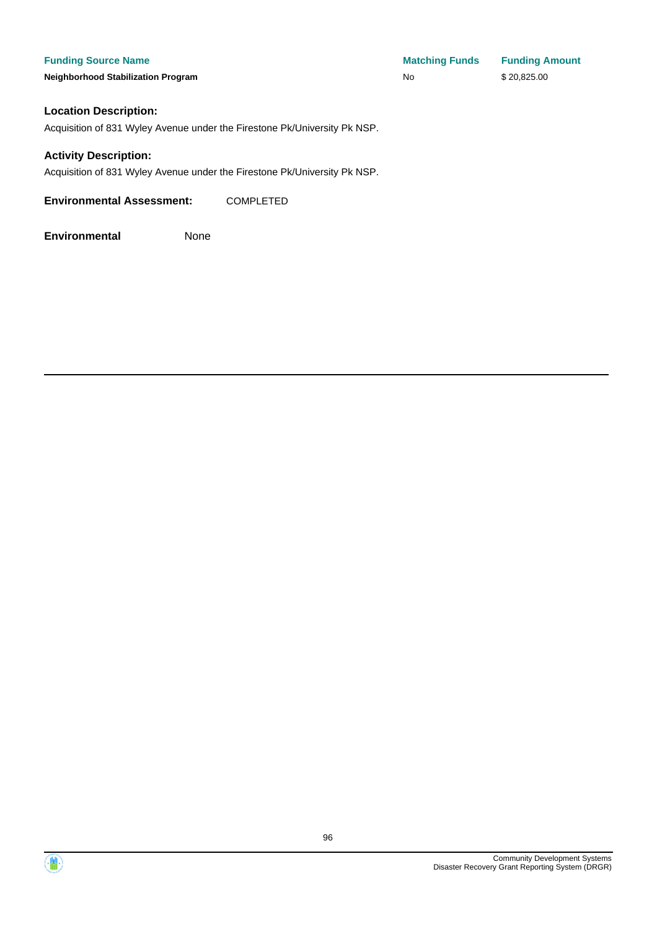**Funding Source Name Matching Funds Funding Amount Neighborhood Stabilization Program No No** \$20,825.00

### **Location Description:**

Acquisition of 831 Wyley Avenue under the Firestone Pk/University Pk NSP.

### **Activity Description:**

Acquisition of 831 Wyley Avenue under the Firestone Pk/University Pk NSP.

**Environmental Assessment:** COMPLETED



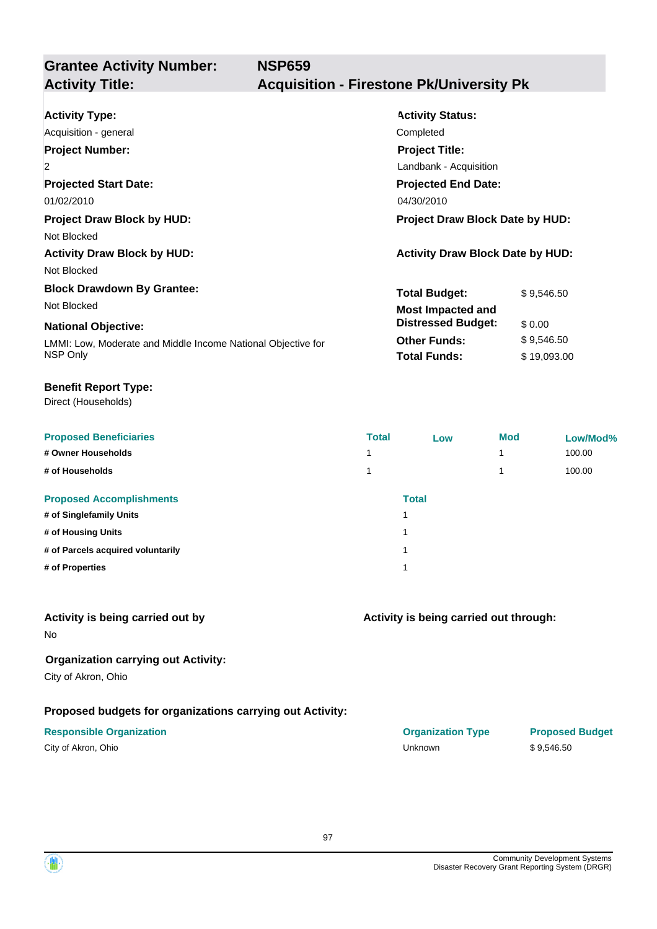**Grantee Activity Number: NSP659**

## **Activity Title: Acquisition - Firestone Pk/University Pk**

| <b>Activity Type:</b><br>Acquisition - general<br><b>Project Number:</b><br>$\overline{2}$<br><b>Projected Start Date:</b>                                 | <b>Activity Status:</b><br>Completed<br><b>Project Title:</b><br>Landbank - Acquisition<br><b>Projected End Date:</b>       |                                                   |
|------------------------------------------------------------------------------------------------------------------------------------------------------------|-----------------------------------------------------------------------------------------------------------------------------|---------------------------------------------------|
| 01/02/2010<br><b>Project Draw Block by HUD:</b><br>Not Blocked<br><b>Activity Draw Block by HUD:</b><br>Not Blocked                                        | 04/30/2010<br><b>Project Draw Block Date by HUD:</b><br><b>Activity Draw Block Date by HUD:</b>                             |                                                   |
| <b>Block Drawdown By Grantee:</b><br>Not Blocked<br><b>National Objective:</b><br>LMMI: Low, Moderate and Middle Income National Objective for<br>NSP Only | <b>Total Budget:</b><br><b>Most Impacted and</b><br><b>Distressed Budget:</b><br><b>Other Funds:</b><br><b>Total Funds:</b> | \$9,546.50<br>\$0.00<br>\$9,546.50<br>\$19,093.00 |

### **Benefit Report Type:**

Direct (Households)

| <b>Proposed Beneficiaries</b>     | <b>Total</b> | Low          | <b>Mod</b>               | Low/Mod% |
|-----------------------------------|--------------|--------------|--------------------------|----------|
| # Owner Households                | и            |              | $\overline{\phantom{a}}$ | 100.00   |
| # of Households                   | и            |              | 4                        | 100.00   |
| <b>Proposed Accomplishments</b>   |              | <b>Total</b> |                          |          |
| # of Singlefamily Units           |              |              |                          |          |
| # of Housing Units                |              |              |                          |          |
| # of Parcels acquired voluntarily |              |              |                          |          |
| # of Properties                   |              |              |                          |          |

### **Activity is being carried out by**

No

## **Organization carrying out Activity:**

City of Akron, Ohio

## **Proposed budgets for organizations carrying out Activity:**

| City of Akron, Ohio |  |
|---------------------|--|
|---------------------|--|

# **Activity is being carried out through:**

**Responsible Organization COVID-10 COVID-10 Organization Type Proposed Budget** City of Akron, Ohio Unknown \$ 9,546.50

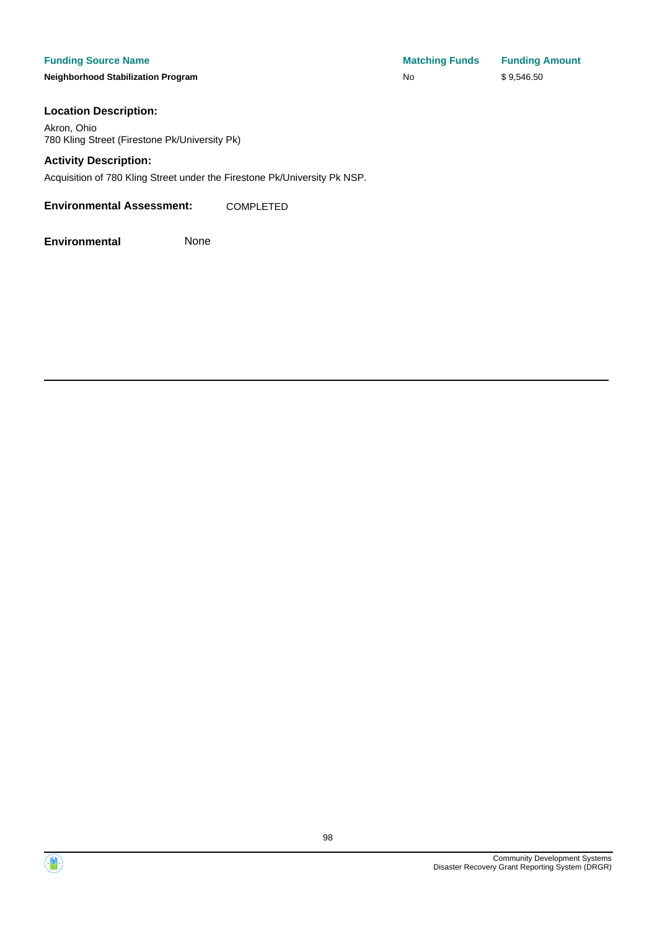**Neighborhood Stabilization Program** No \$ 9,546.500 No \$ 9,546.500 No \$ 9,546.500 No \$ 9,546.500 No \$ 9,546.500 N

| <b>Matching Funds</b> | <b>Funding Amount</b> |
|-----------------------|-----------------------|
| No                    | \$9,546.50            |

### **Location Description:**

Akron, Ohio 780 Kling Street (Firestone Pk/University Pk)

### **Activity Description:**

Acquisition of 780 Kling Street under the Firestone Pk/University Pk NSP.

**Environmental Assessment:** COMPLETED



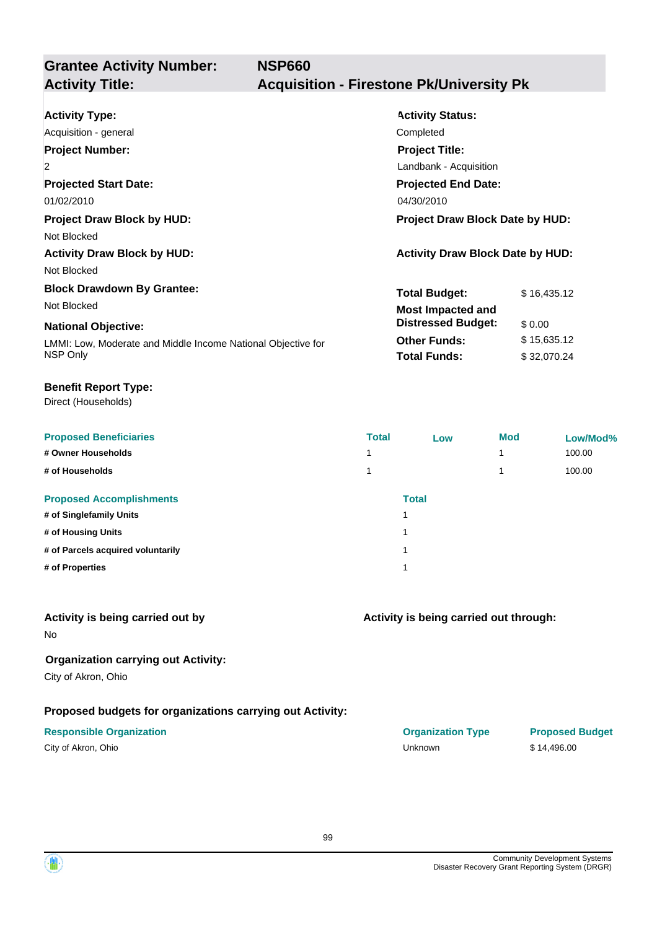**Grantee Activity Number: NSP660 Activity Title: Acquisition - Firestone Pk/University Pk**

| <b>Activity Type:</b>                                        | <b>Activity Status:</b>                 |             |  |
|--------------------------------------------------------------|-----------------------------------------|-------------|--|
| Acquisition - general                                        | Completed                               |             |  |
| <b>Project Number:</b>                                       | <b>Project Title:</b>                   |             |  |
| $\overline{2}$                                               | Landbank - Acquisition                  |             |  |
| <b>Projected Start Date:</b>                                 | <b>Projected End Date:</b>              |             |  |
| 01/02/2010                                                   | 04/30/2010                              |             |  |
| <b>Project Draw Block by HUD:</b>                            | <b>Project Draw Block Date by HUD:</b>  |             |  |
| Not Blocked                                                  |                                         |             |  |
| <b>Activity Draw Block by HUD:</b>                           | <b>Activity Draw Block Date by HUD:</b> |             |  |
| Not Blocked                                                  |                                         |             |  |
| <b>Block Drawdown By Grantee:</b>                            | <b>Total Budget:</b>                    | \$16,435.12 |  |
| Not Blocked                                                  | <b>Most Impacted and</b>                |             |  |
| <b>National Objective:</b>                                   | <b>Distressed Budget:</b>               | \$0.00      |  |
| LMMI: Low, Moderate and Middle Income National Objective for | <b>Other Funds:</b>                     | \$15,635.12 |  |
| NSP Only                                                     | <b>Total Funds:</b>                     | \$32,070.24 |  |
|                                                              |                                         |             |  |

### **Benefit Report Type:**

Direct (Households)

| <b>Proposed Beneficiaries</b>     | <b>Total</b> | Low          | <b>Mod</b> | Low/Mod% |
|-----------------------------------|--------------|--------------|------------|----------|
| # Owner Households                |              |              |            | 100.00   |
| # of Households                   |              |              |            | 100.00   |
| <b>Proposed Accomplishments</b>   |              | <b>Total</b> |            |          |
| # of Singlefamily Units           | 1            |              |            |          |
| # of Housing Units                | 1            |              |            |          |
| # of Parcels acquired voluntarily | 1            |              |            |          |
| # of Properties                   | 1            |              |            |          |
|                                   |              |              |            |          |

### **Activity is being carried out by**

No

### **Organization carrying out Activity:**

City of Akron, Ohio

### **Proposed budgets for organizations carrying out Activity:**

| City of Akron, Ohio |  |
|---------------------|--|
|---------------------|--|

| Activity is being carried out through: |  |
|----------------------------------------|--|

**Responsible Organization COVID-10 COVID-10 Organization Type Proposed Budget** City of Akron, Ohio Unknown \$ 14,496.00

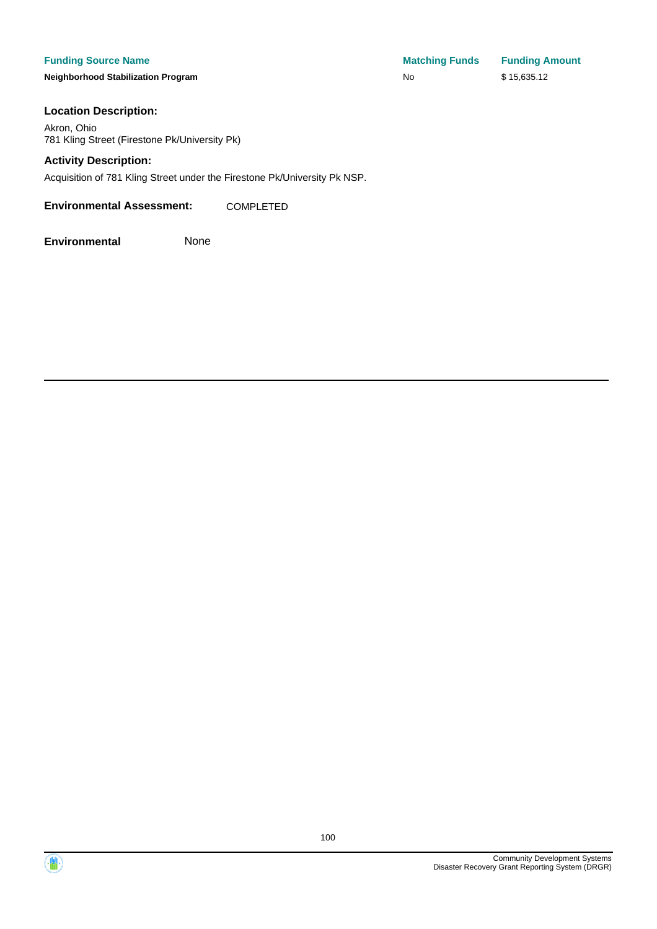### **Funding Source Name Matching Funding Source Name**

**Neighborhood Stabilization Program** No \$ 15,635.12

| <b>Matching Funds</b> | <b>Funding Amount</b> |
|-----------------------|-----------------------|
| N٥                    | \$15,635.12           |

### **Location Description:**

Akron, Ohio 781 Kling Street (Firestone Pk/University Pk)

### **Activity Description:**

Acquisition of 781 Kling Street under the Firestone Pk/University Pk NSP.

**Environmental Assessment:** COMPLETED





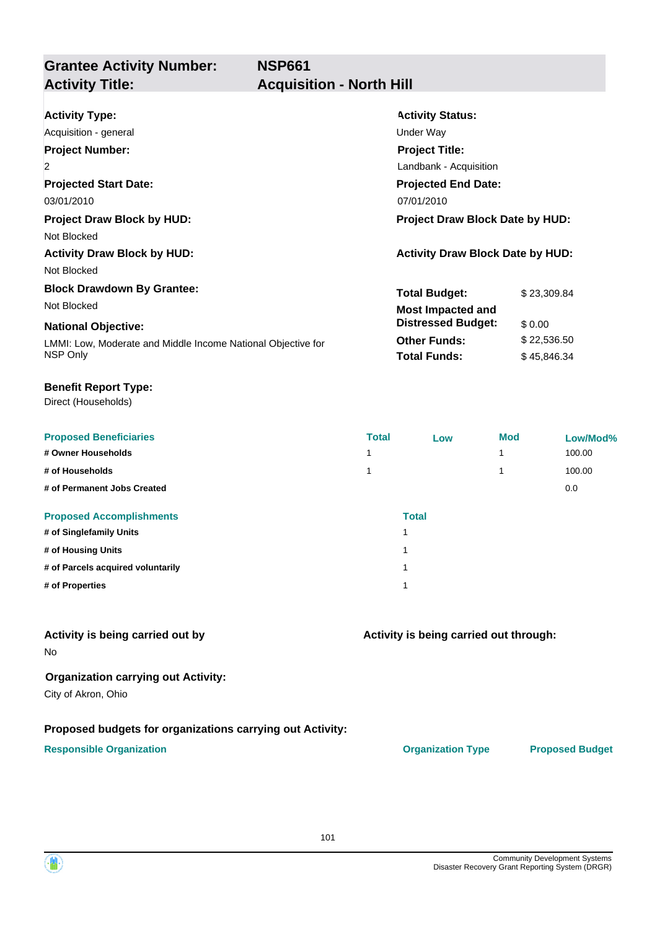## **Grantee Activity Number: Activity Title: Acquisition - North Hill**

| <b>Activity Type:</b>                                        | <b>Activity Status:</b>                 |             |  |
|--------------------------------------------------------------|-----------------------------------------|-------------|--|
| Acquisition - general                                        | Under Way                               |             |  |
| <b>Project Number:</b>                                       | <b>Project Title:</b>                   |             |  |
| $\overline{2}$                                               | Landbank - Acquisition                  |             |  |
| <b>Projected Start Date:</b>                                 | <b>Projected End Date:</b>              |             |  |
| 03/01/2010                                                   | 07/01/2010                              |             |  |
| <b>Project Draw Block by HUD:</b>                            | <b>Project Draw Block Date by HUD:</b>  |             |  |
| Not Blocked                                                  |                                         |             |  |
| <b>Activity Draw Block by HUD:</b>                           | <b>Activity Draw Block Date by HUD:</b> |             |  |
| Not Blocked                                                  |                                         |             |  |
| <b>Block Drawdown By Grantee:</b>                            | <b>Total Budget:</b>                    | \$23,309.84 |  |
| Not Blocked                                                  | <b>Most Impacted and</b>                |             |  |
| <b>National Objective:</b>                                   | <b>Distressed Budget:</b>               | \$0.00      |  |
| LMMI: Low, Moderate and Middle Income National Objective for | <b>Other Funds:</b>                     | \$22,536.50 |  |
| NSP Only                                                     | <b>Total Funds:</b>                     | \$45,846.34 |  |

#### **Benefit Report Type:**

Direct (Households)

| <b>Proposed Beneficiaries</b>     | <b>Total</b>            | Low | <b>Mod</b> | Low/Mod% |
|-----------------------------------|-------------------------|-----|------------|----------|
| # Owner Households                |                         |     | 1          | 100.00   |
| # of Households                   |                         |     |            | 100.00   |
| # of Permanent Jobs Created       |                         |     |            | 0.0      |
| <b>Proposed Accomplishments</b>   | <b>Total</b>            |     |            |          |
| # of Singlefamily Units           |                         |     |            |          |
| # of Housing Units                | $\overline{\mathbf{A}}$ |     |            |          |
| # of Parcels acquired voluntarily | $\overline{\mathbf{A}}$ |     |            |          |
| # of Properties                   |                         |     |            |          |

### **Activity is being carried out by**

No

### **Organization carrying out Activity:**

City of Akron, Ohio

### **Proposed budgets for organizations carrying out Activity:**

### **Responsible Organization CONSERVIRGHT ACCORDING THE CONSERVIRGHT ORGANIZATION Type Proposed Budget**

**Activity is being carried out through:**

101

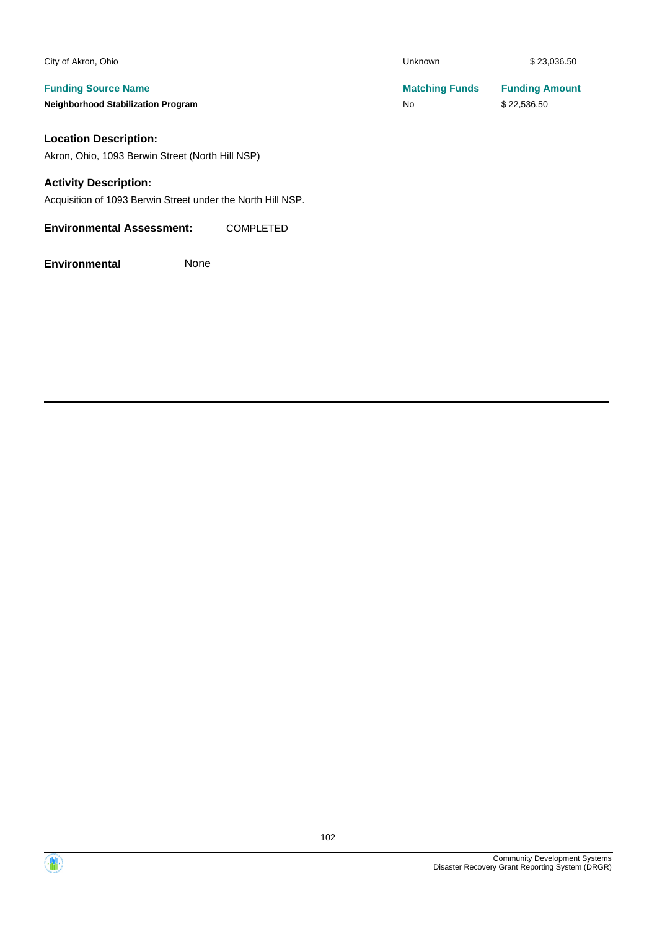| City of Akron, Ohio                              | <b>Unknown</b>        | \$23,036.50           |
|--------------------------------------------------|-----------------------|-----------------------|
| <b>Funding Source Name</b>                       | <b>Matching Funds</b> | <b>Funding Amount</b> |
| <b>Neighborhood Stabilization Program</b>        | No                    | \$22,536.50           |
| <b>Location Description:</b>                     |                       |                       |
| Akron, Ohio, 1093 Berwin Street (North Hill NSP) |                       |                       |
| <b>Activity Description:</b>                     |                       |                       |
|                                                  |                       |                       |

Acquisition of 1093 Berwin Street under the North Hill NSP.

**Environmental Assessment:** COMPLETED



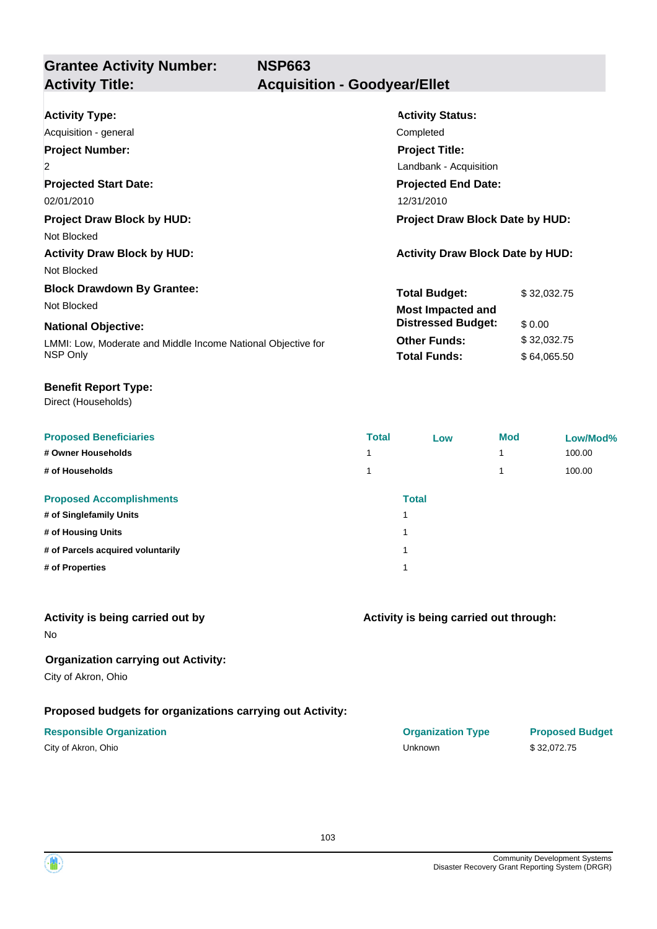**Grantee Activity Number: NSP663 Activity Title: Acquisition - Goodyear/Ellet**

| <b>Activity Type:</b>                                        | <b>Activity Status:</b>                 |  |  |
|--------------------------------------------------------------|-----------------------------------------|--|--|
| Acquisition - general                                        | Completed                               |  |  |
| <b>Project Number:</b>                                       | <b>Project Title:</b>                   |  |  |
| $\overline{2}$                                               | Landbank - Acquisition                  |  |  |
| <b>Projected Start Date:</b>                                 | <b>Projected End Date:</b>              |  |  |
| 02/01/2010                                                   | 12/31/2010                              |  |  |
| <b>Project Draw Block by HUD:</b>                            | <b>Project Draw Block Date by HUD:</b>  |  |  |
| Not Blocked                                                  |                                         |  |  |
| <b>Activity Draw Block by HUD:</b>                           | <b>Activity Draw Block Date by HUD:</b> |  |  |
| Not Blocked                                                  |                                         |  |  |
| <b>Block Drawdown By Grantee:</b>                            | <b>Total Budget:</b><br>\$32,032.75     |  |  |
| Not Blocked                                                  | <b>Most Impacted and</b>                |  |  |
| <b>National Objective:</b>                                   | <b>Distressed Budget:</b><br>\$0.00     |  |  |
| LMMI: Low, Moderate and Middle Income National Objective for | <b>Other Funds:</b><br>\$32,032.75      |  |  |
| NSP Only                                                     | <b>Total Funds:</b><br>\$64,065.50      |  |  |

### **Benefit Report Type:**

Direct (Households)

| <b>Proposed Beneficiaries</b>     | <b>Total</b> | Low          | <b>Mod</b> | Low/Mod% |
|-----------------------------------|--------------|--------------|------------|----------|
| # Owner Households                |              |              |            | 100.00   |
| # of Households                   |              |              |            | 100.00   |
| <b>Proposed Accomplishments</b>   |              | <b>Total</b> |            |          |
| # of Singlefamily Units           | 4            |              |            |          |
| # of Housing Units                | 4            |              |            |          |
| # of Parcels acquired voluntarily | и            |              |            |          |
| # of Properties                   | 4            |              |            |          |
|                                   |              |              |            |          |

### **Activity is being carried out by**

No

### **Organization carrying out Activity:**

City of Akron, Ohio

### **Proposed budgets for organizations carrying out Activity:**

### **Responsible Organization CONSERVIRGHT CONSERVIRGHT CONSERVIRGHT CONSERVIRGHT CONSERVIRGHT CONSERVIRGHT CONSERVIRGHT CONSERVIRGHT CONSERVIRGHT CONSERVIRGHT CONSERVIRGHT CONSERVIRGHT CONSERVIRGHT CONSERVIRGHT CONSERVIRGHT**

| \$32,072.75<br>Unknown |
|------------------------|
|                        |

**Activity is being carried out through:**

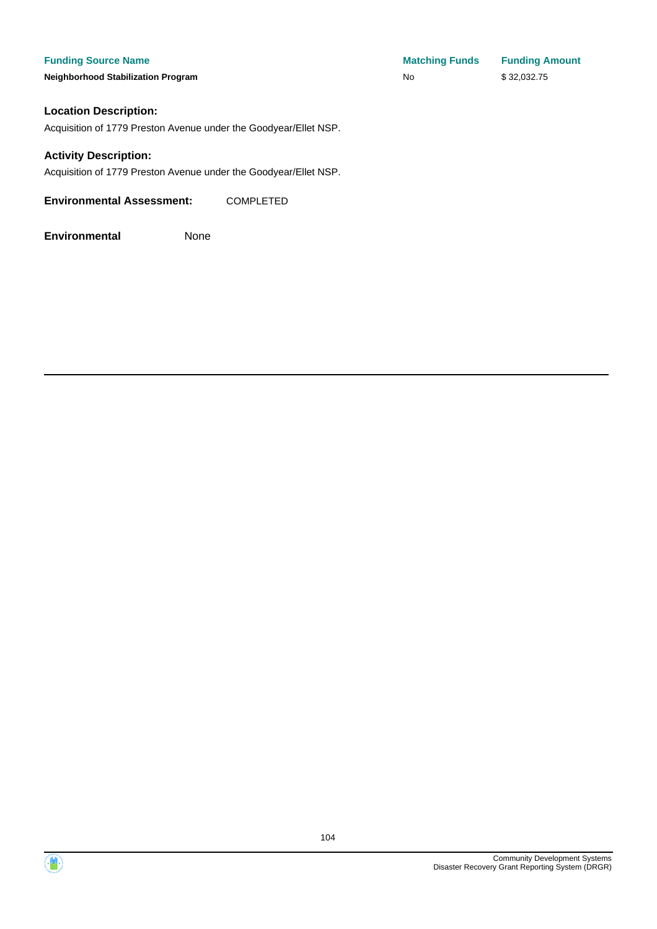**Neighborhood Stabilization Program** 

| <b>Matching Funds</b> | <b>Funding Amount</b> |
|-----------------------|-----------------------|
| No                    | \$32,032.75           |

### **Location Description:**

Acquisition of 1779 Preston Avenue under the Goodyear/Ellet NSP.

### **Activity Description:**

Acquisition of 1779 Preston Avenue under the Goodyear/Ellet NSP.

**Environmental Assessment:** COMPLETED



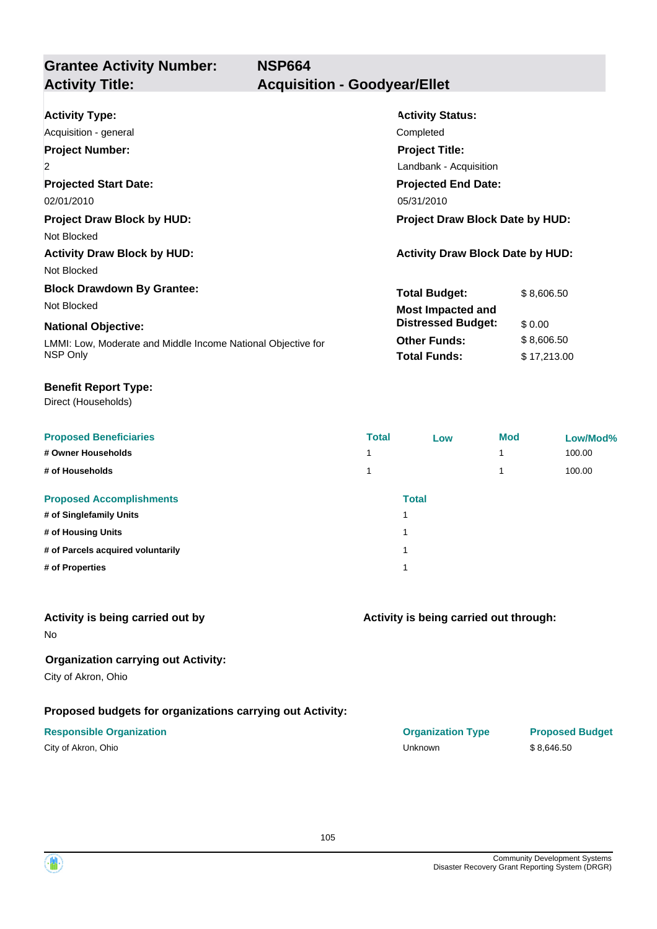**Grantee Activity Number: NSP664 Activity Title: Acquisition - Goodyear/Ellet**

| <b>Activity Type:</b>                                        | <b>Activity Status:</b>                 |             |  |
|--------------------------------------------------------------|-----------------------------------------|-------------|--|
| Acquisition - general                                        | Completed                               |             |  |
| <b>Project Number:</b>                                       | <b>Project Title:</b>                   |             |  |
| $\overline{2}$                                               | Landbank - Acquisition                  |             |  |
| <b>Projected Start Date:</b>                                 | <b>Projected End Date:</b>              |             |  |
| 02/01/2010                                                   | 05/31/2010                              |             |  |
| <b>Project Draw Block by HUD:</b>                            | <b>Project Draw Block Date by HUD:</b>  |             |  |
| Not Blocked                                                  |                                         |             |  |
| <b>Activity Draw Block by HUD:</b>                           | <b>Activity Draw Block Date by HUD:</b> |             |  |
| Not Blocked                                                  |                                         |             |  |
| <b>Block Drawdown By Grantee:</b>                            | <b>Total Budget:</b>                    | \$8,606.50  |  |
| Not Blocked                                                  | <b>Most Impacted and</b>                |             |  |
| <b>National Objective:</b>                                   | <b>Distressed Budget:</b>               | \$0.00      |  |
| LMMI: Low, Moderate and Middle Income National Objective for | <b>Other Funds:</b>                     | \$8,606.50  |  |
| NSP Only                                                     | <b>Total Funds:</b>                     | \$17,213.00 |  |

### **Benefit Report Type:**

Direct (Households)

| <b>Proposed Beneficiaries</b>     | <b>Total</b> | Low                     | <b>Mod</b> | Low/Mod% |
|-----------------------------------|--------------|-------------------------|------------|----------|
| # Owner Households                |              |                         |            | 100.00   |
| # of Households                   |              |                         |            | 100.00   |
| <b>Proposed Accomplishments</b>   |              | <b>Total</b>            |            |          |
| # of Singlefamily Units           |              | $\overline{\mathbf{A}}$ |            |          |
| # of Housing Units                |              | и                       |            |          |
| # of Parcels acquired voluntarily |              | и                       |            |          |
| # of Properties                   |              | и                       |            |          |
|                                   |              |                         |            |          |

### **Activity is being carried out by**

No

## **Organization carrying out Activity:**

City of Akron, Ohio

## **Proposed budgets for organizations carrying out Activity:**

| City of Akron, Ohio |  |
|---------------------|--|
|---------------------|--|

# **Activity is being carried out through:**

| <b>Responsible Organization</b> | <b>Organization Type</b> | <b>Proposed Budget</b> |
|---------------------------------|--------------------------|------------------------|
| City of Akron, Ohio             | Unknown                  | \$8.646.50             |

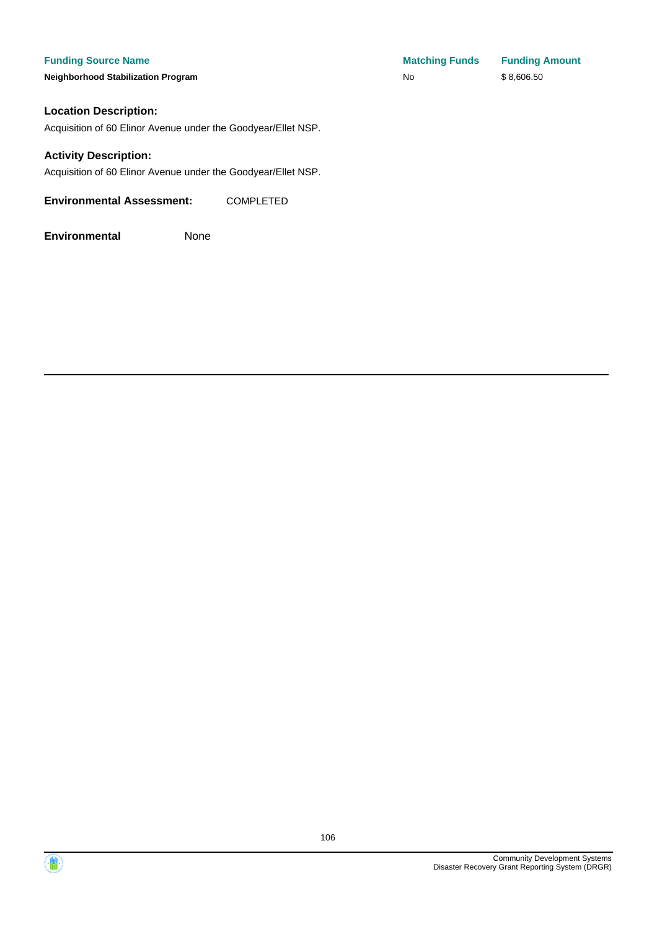**Neighborhood Stabilization Program** 

| <b>Matching Funds</b> | <b>Funding Amount</b> |
|-----------------------|-----------------------|
| No                    | \$8,606.50            |

### **Location Description:**

Acquisition of 60 Elinor Avenue under the Goodyear/Ellet NSP.

### **Activity Description:**

Acquisition of 60 Elinor Avenue under the Goodyear/Ellet NSP.

**Environmental Assessment:** COMPLETED



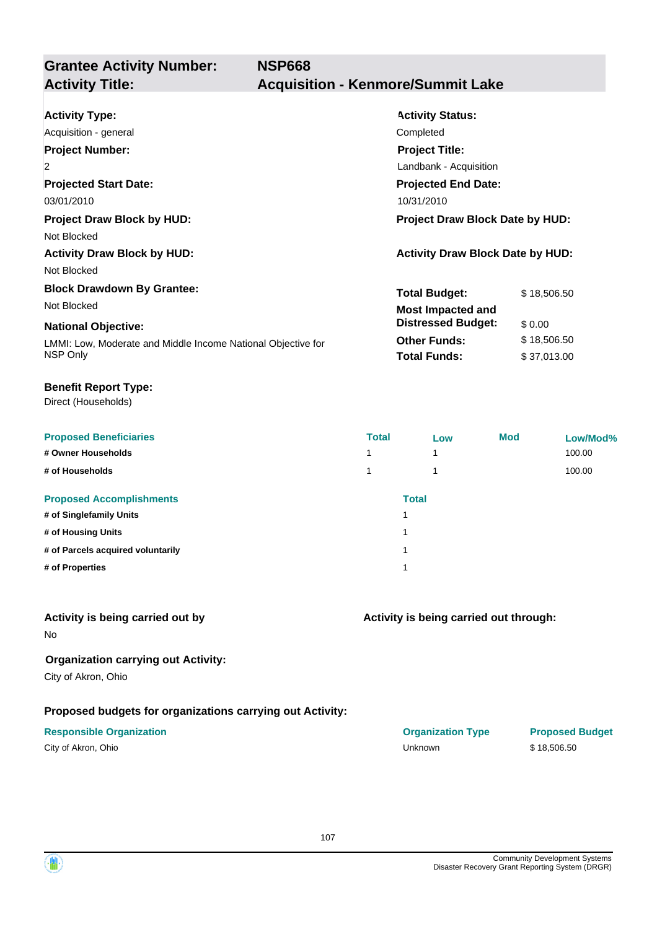**Grantee Activity Number: NSP668 Activity Title: Acquisition - Kenmore/Summit Lake**

| <b>Activity Type:</b>                                        | <b>Activity Status:</b>                 |             |  |
|--------------------------------------------------------------|-----------------------------------------|-------------|--|
| Acquisition - general                                        | Completed                               |             |  |
| <b>Project Number:</b>                                       | <b>Project Title:</b>                   |             |  |
| $\overline{2}$                                               | Landbank - Acquisition                  |             |  |
| <b>Projected Start Date:</b>                                 | <b>Projected End Date:</b>              |             |  |
| 03/01/2010                                                   | 10/31/2010                              |             |  |
| <b>Project Draw Block by HUD:</b>                            | <b>Project Draw Block Date by HUD:</b>  |             |  |
| Not Blocked                                                  |                                         |             |  |
| <b>Activity Draw Block by HUD:</b>                           | <b>Activity Draw Block Date by HUD:</b> |             |  |
| Not Blocked                                                  |                                         |             |  |
| <b>Block Drawdown By Grantee:</b>                            | <b>Total Budget:</b>                    | \$18,506.50 |  |
| Not Blocked                                                  | <b>Most Impacted and</b>                |             |  |
| <b>National Objective:</b>                                   | <b>Distressed Budget:</b>               | \$0.00      |  |
| LMMI: Low, Moderate and Middle Income National Objective for | <b>Other Funds:</b>                     | \$18,506.50 |  |
| NSP Only                                                     | <b>Total Funds:</b>                     | \$37,013.00 |  |
|                                                              |                                         |             |  |

### **Benefit Report Type:**

Direct (Households)

| <b>Proposed Beneficiaries</b>     | <b>Total</b> | Low | <b>Mod</b> | Low/Mod% |
|-----------------------------------|--------------|-----|------------|----------|
| # Owner Households                | 1            | 1   |            | 100.00   |
| # of Households                   | 4            | ۸   |            | 100.00   |
| <b>Proposed Accomplishments</b>   | <b>Total</b> |     |            |          |
| # of Singlefamily Units           |              |     |            |          |
| # of Housing Units                |              |     |            |          |
| # of Parcels acquired voluntarily |              |     |            |          |
| # of Properties                   |              |     |            |          |

### **Activity is being carried out by**

No

## **Organization carrying out Activity:**

City of Akron, Ohio

## **Proposed budgets for organizations carrying out Activity:**

| City of Akron, Ohio |  |
|---------------------|--|
|---------------------|--|

## **Activity is being carried out through:**

**Responsible Organization COVID-10 COVID-10 Organization Type Proposed Budget** City of Akron, Ohio Unknown \$ 18,506.50

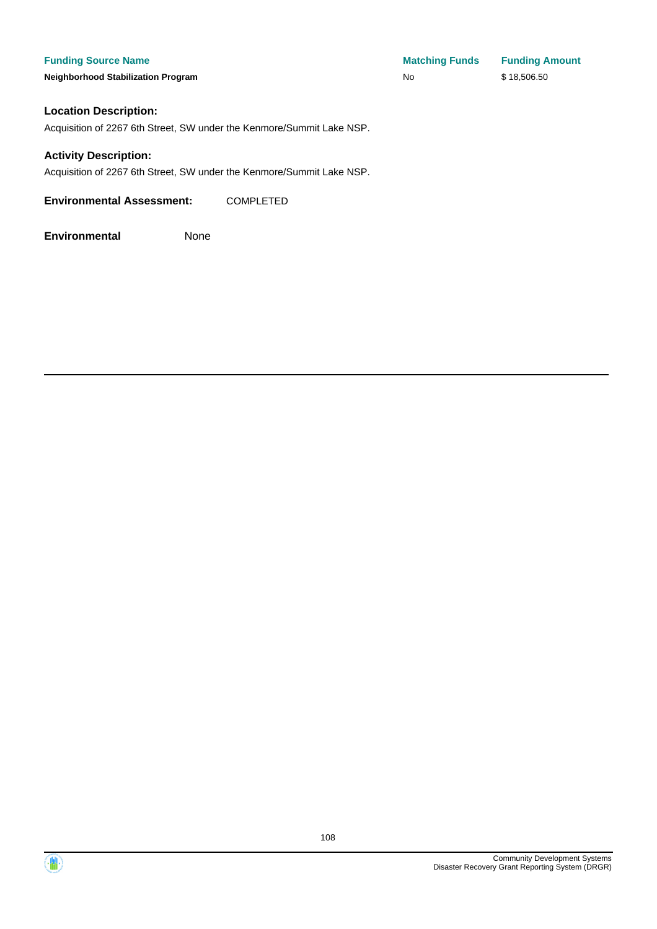**Neighborhood Stabilization Program** 

| <b>Matching Funds</b> | <b>Funding Amount</b> |
|-----------------------|-----------------------|
| No                    | \$18,506.50           |

### **Location Description:**

Acquisition of 2267 6th Street, SW under the Kenmore/Summit Lake NSP.

### **Activity Description:**

Acquisition of 2267 6th Street, SW under the Kenmore/Summit Lake NSP.

**Environmental Assessment:** COMPLETED



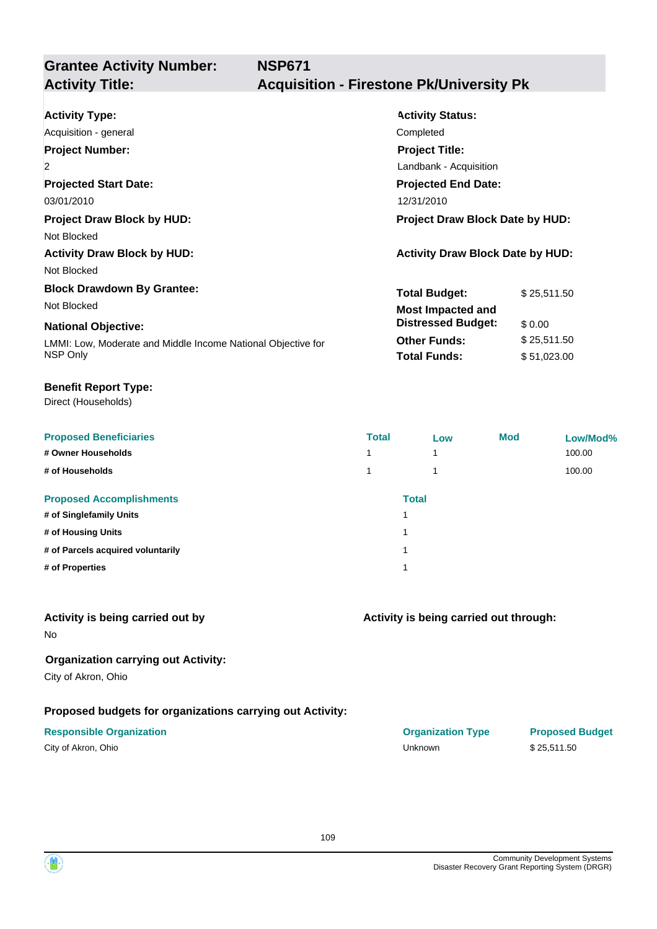**NSP671**

# **Grantee Activity Number:**

## **Activity Title: Acquisition - Firestone Pk/University Pk**

| <b>Activity Type:</b>                                        | <b>Activity Status:</b>                 |             |  |
|--------------------------------------------------------------|-----------------------------------------|-------------|--|
| Acquisition - general<br><b>Project Number:</b>              | Completed<br><b>Project Title:</b>      |             |  |
| $\overline{2}$                                               | Landbank - Acquisition                  |             |  |
| <b>Projected Start Date:</b>                                 | <b>Projected End Date:</b>              |             |  |
| 03/01/2010                                                   | 12/31/2010                              |             |  |
| <b>Project Draw Block by HUD:</b>                            | Project Draw Block Date by HUD:         |             |  |
| Not Blocked                                                  |                                         |             |  |
| <b>Activity Draw Block by HUD:</b>                           | <b>Activity Draw Block Date by HUD:</b> |             |  |
| Not Blocked                                                  |                                         |             |  |
| <b>Block Drawdown By Grantee:</b>                            | <b>Total Budget:</b>                    | \$25,511.50 |  |
| Not Blocked                                                  | <b>Most Impacted and</b>                |             |  |
| <b>National Objective:</b>                                   | <b>Distressed Budget:</b>               | \$0.00      |  |
| LMMI: Low, Moderate and Middle Income National Objective for | <b>Other Funds:</b>                     | \$25,511.50 |  |
| NSP Only                                                     | <b>Total Funds:</b>                     | \$51,023.00 |  |

#### **Benefit Report Type:**

Direct (Households)

| <b>Proposed Beneficiaries</b>     | <b>Total</b> | Low          | <b>Mod</b> | Low/Mod% |
|-----------------------------------|--------------|--------------|------------|----------|
| # Owner Households                | 1            | ۸            |            | 100.00   |
| # of Households                   |              | ٠            |            | 100.00   |
| <b>Proposed Accomplishments</b>   |              | <b>Total</b> |            |          |
| # of Singlefamily Units           |              |              |            |          |
| # of Housing Units                |              |              |            |          |
| # of Parcels acquired voluntarily |              |              |            |          |
| # of Properties                   |              |              |            |          |

#### **Activity is being carried out by**

No

### **Organization carrying out Activity:**

City of Akron, Ohio

### **Proposed budgets for organizations carrying out Activity:**

| City of Akron, Ohio |  |
|---------------------|--|
|---------------------|--|

#### **Activity is being carried out through:**

**Responsible Organization COVID-10 COVID-10 Organization Type Proposed Budget** City of Akron, Ohio Unknown \$ 25,511.50

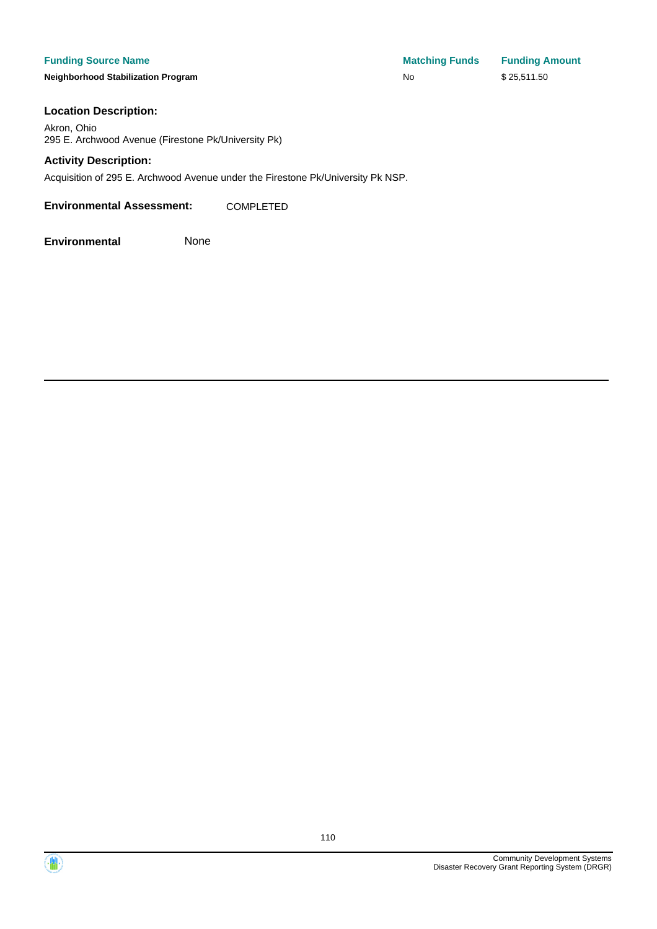#### **Funding Source Name**

**Neighborhood Stabilization Program** 

| <b>Matching Funds</b> | <b>Funding Amount</b> |
|-----------------------|-----------------------|
| No                    | \$25,511.50           |

#### **Location Description:**

Akron, Ohio 295 E. Archwood Avenue (Firestone Pk/University Pk)

#### **Activity Description:**

Acquisition of 295 E. Archwood Avenue under the Firestone Pk/University Pk NSP.

**Environmental Assessment:** COMPLETED

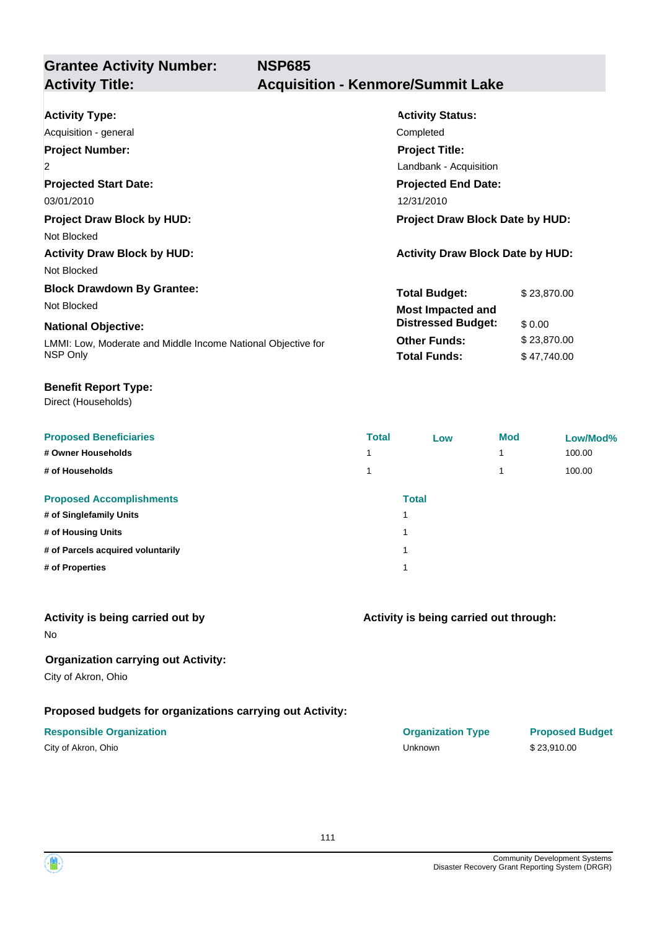**Grantee Activity Number: NSP685 Activity Title: Acquisition - Kenmore/Summit Lake**

| <b>Activity Type:</b>                                        | <b>Activity Status:</b>                 |             |  |
|--------------------------------------------------------------|-----------------------------------------|-------------|--|
| Acquisition - general                                        | Completed                               |             |  |
| <b>Project Number:</b>                                       | <b>Project Title:</b>                   |             |  |
| $\overline{2}$                                               | Landbank - Acquisition                  |             |  |
| <b>Projected Start Date:</b>                                 | <b>Projected End Date:</b>              |             |  |
| 03/01/2010                                                   | 12/31/2010                              |             |  |
| <b>Project Draw Block by HUD:</b>                            | <b>Project Draw Block Date by HUD:</b>  |             |  |
| Not Blocked                                                  |                                         |             |  |
| <b>Activity Draw Block by HUD:</b>                           | <b>Activity Draw Block Date by HUD:</b> |             |  |
| Not Blocked                                                  |                                         |             |  |
| <b>Block Drawdown By Grantee:</b>                            | <b>Total Budget:</b>                    | \$23,870.00 |  |
| Not Blocked                                                  | <b>Most Impacted and</b>                |             |  |
| <b>National Objective:</b>                                   | <b>Distressed Budget:</b>               | \$0.00      |  |
| LMMI: Low, Moderate and Middle Income National Objective for | <b>Other Funds:</b>                     | \$23,870.00 |  |
| NSP Only                                                     | <b>Total Funds:</b>                     | \$47,740.00 |  |

#### **Benefit Report Type:**

Direct (Households)

| <b>Proposed Beneficiaries</b>     | <b>Total</b> | Low          | <b>Mod</b> | Low/Mod% |
|-----------------------------------|--------------|--------------|------------|----------|
| # Owner Households                | и            |              |            | 100.00   |
| # of Households                   |              |              |            | 100.00   |
| <b>Proposed Accomplishments</b>   |              | <b>Total</b> |            |          |
| # of Singlefamily Units           |              | 1            |            |          |
| # of Housing Units                |              | и            |            |          |
| # of Parcels acquired voluntarily |              | и            |            |          |
| # of Properties                   | и            |              |            |          |
|                                   |              |              |            |          |

#### **Activity is being carried out by**

No

### **Organization carrying out Activity:**

City of Akron, Ohio

### **Proposed budgets for organizations carrying out Activity:**

| City of Akron, Ohio |  |
|---------------------|--|
|---------------------|--|

# **Activity is being carried out through:**

**Responsible Organization COVID-10 COVID-10 Organization Type Proposed Budget** City of Akron, Ohio Unknown \$ 23,910.00

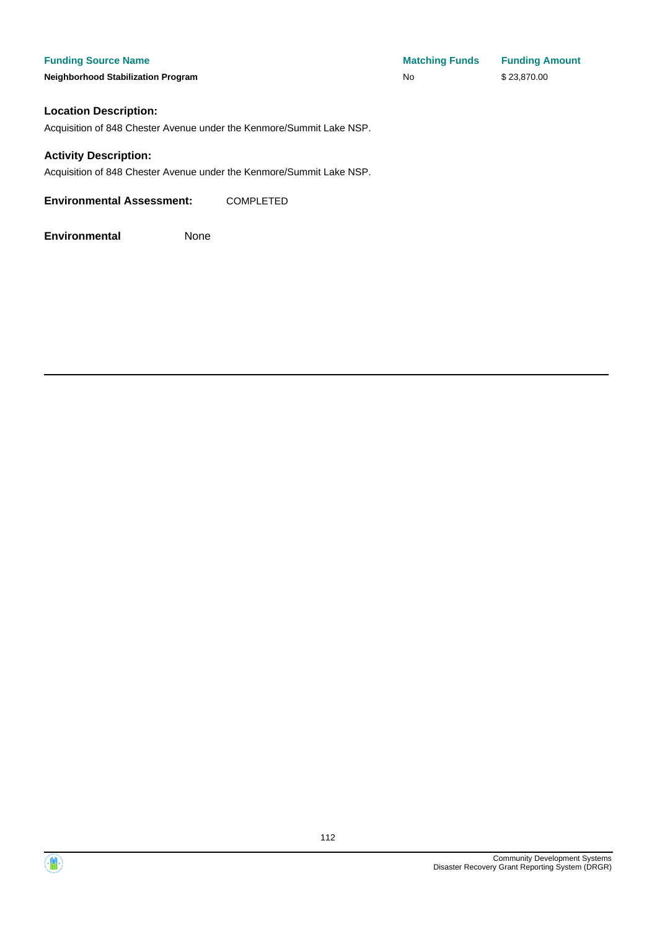#### **Funding Source Name**

**Neighborhood Stabilization Program** 

| <b>Matching Funds</b> | <b>Funding Amount</b> |
|-----------------------|-----------------------|
| N٥                    | \$23,870.00           |

#### **Location Description:**

Acquisition of 848 Chester Avenue under the Kenmore/Summit Lake NSP.

#### **Activity Description:**

Acquisition of 848 Chester Avenue under the Kenmore/Summit Lake NSP.

**Environmental Assessment:** COMPLETED





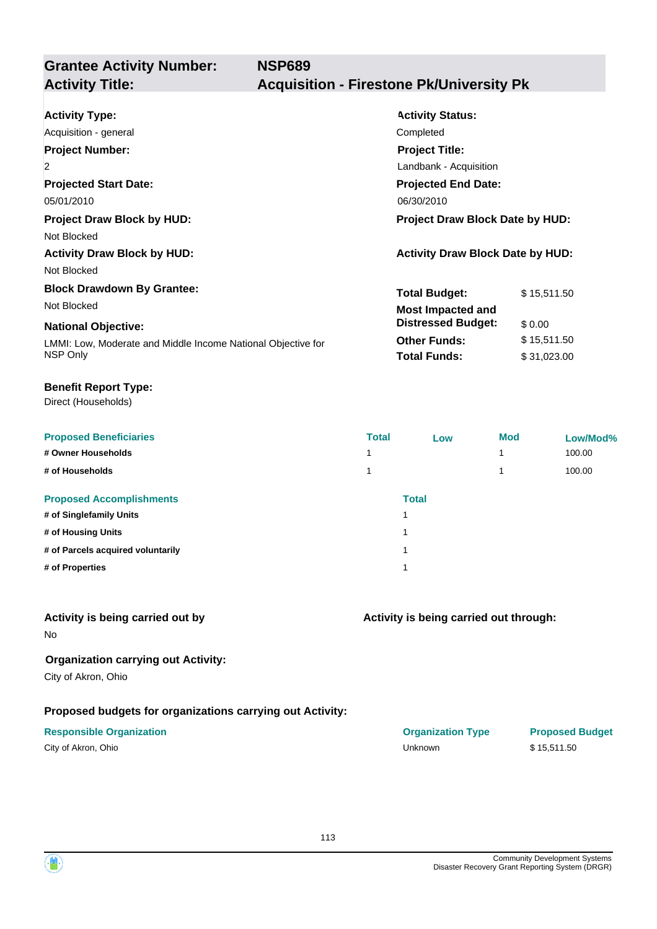**Grantee Activity Number: NSP689 Activity Title: Acquisition - Firestone Pk/University Pk**

| <b>Activity Type:</b>                                        | <b>Activity Status:</b>                 |             |  |
|--------------------------------------------------------------|-----------------------------------------|-------------|--|
| Acquisition - general                                        | Completed                               |             |  |
| <b>Project Number:</b>                                       | <b>Project Title:</b>                   |             |  |
| $\overline{2}$                                               | Landbank - Acquisition                  |             |  |
| <b>Projected Start Date:</b>                                 | <b>Projected End Date:</b>              |             |  |
| 05/01/2010                                                   | 06/30/2010                              |             |  |
| <b>Project Draw Block by HUD:</b>                            | <b>Project Draw Block Date by HUD:</b>  |             |  |
| Not Blocked                                                  |                                         |             |  |
| <b>Activity Draw Block by HUD:</b>                           | <b>Activity Draw Block Date by HUD:</b> |             |  |
| Not Blocked                                                  |                                         |             |  |
| <b>Block Drawdown By Grantee:</b>                            | <b>Total Budget:</b>                    | \$15,511.50 |  |
| Not Blocked                                                  | <b>Most Impacted and</b>                |             |  |
| <b>National Objective:</b>                                   | <b>Distressed Budget:</b>               | \$0.00      |  |
| LMMI: Low, Moderate and Middle Income National Objective for | <b>Other Funds:</b>                     | \$15,511.50 |  |
| NSP Only                                                     | <b>Total Funds:</b>                     | \$31,023.00 |  |

#### **Benefit Report Type:**

Direct (Households)

| <b>Proposed Beneficiaries</b>     | <b>Total</b> | Low          | <b>Mod</b> | Low/Mod% |
|-----------------------------------|--------------|--------------|------------|----------|
| # Owner Households                |              |              |            | 100.00   |
| # of Households                   |              |              |            | 100.00   |
| <b>Proposed Accomplishments</b>   |              | <b>Total</b> |            |          |
| # of Singlefamily Units           | 1            |              |            |          |
| # of Housing Units                | 1            |              |            |          |
| # of Parcels acquired voluntarily | 1            |              |            |          |
| # of Properties                   | 1            |              |            |          |
|                                   |              |              |            |          |

### **Activity is being carried out by**

No

### **Organization carrying out Activity:**

City of Akron, Ohio

### **Proposed budgets for organizations carrying out Activity:**

# **Activity is being carried out through:**

**Responsible Organization COVID-10 COVID-10 Organization Type Proposed Budget** City of Akron, Ohio Unknown \$ 15,511.50

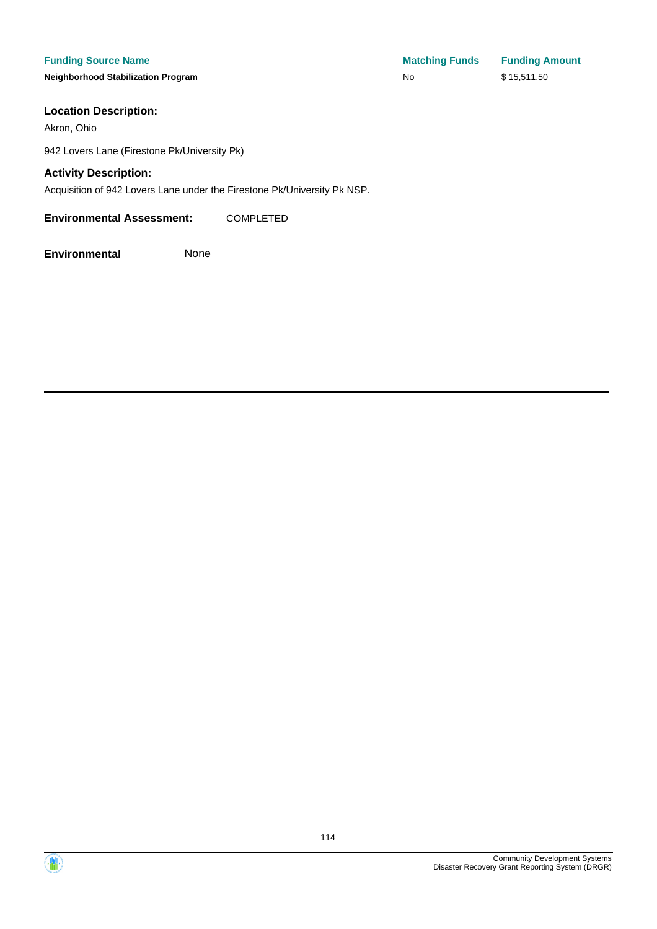**Neighborhood Stabilization Program No No** \$ 15,511.50

#### **Location Description:**

Akron, Ohio

942 Lovers Lane (Firestone Pk/University Pk)

#### **Activity Description:**

Acquisition of 942 Lovers Lane under the Firestone Pk/University Pk NSP.

**Environmental Assessment:** COMPLETED

**Environmental** None

**Funding Source Name Matching Funds Funding Amount** 



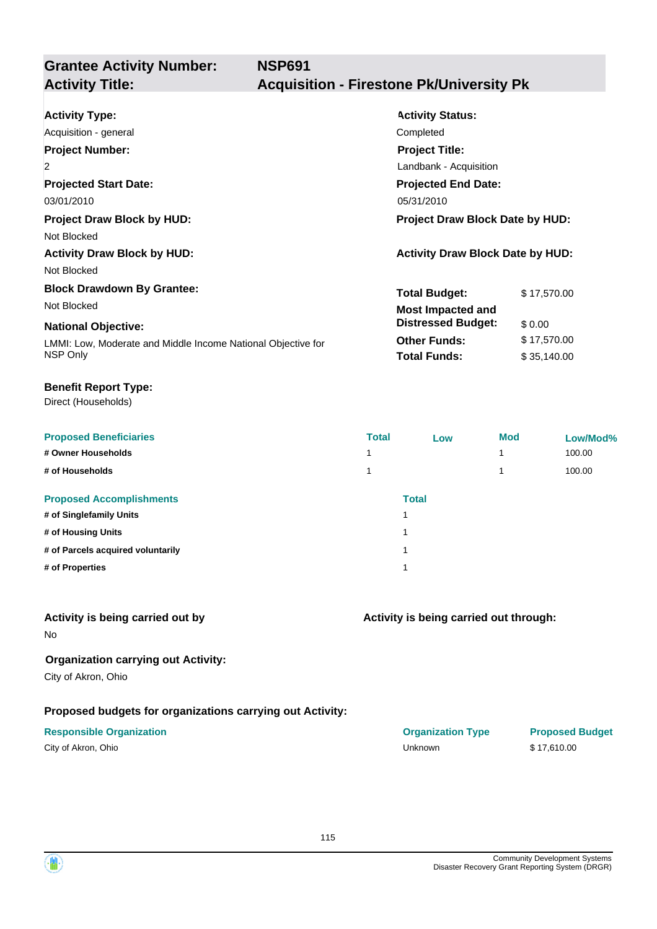**NSP691**

# **Grantee Activity Number:**

## **Activity Title: Acquisition - Firestone Pk/University Pk**

| <b>Activity Type:</b><br>Acquisition - general<br><b>Project Number:</b><br>$\overline{2}$<br><b>Projected Start Date:</b><br>03/01/2010<br><b>Project Draw Block by HUD:</b><br>Not Blocked<br><b>Activity Draw Block by HUD:</b> | <b>Activity Status:</b><br>Completed<br><b>Project Title:</b><br>Landbank - Acquisition<br><b>Projected End Date:</b><br>05/31/2010<br><b>Project Draw Block Date by HUD:</b><br><b>Activity Draw Block Date by HUD:</b> |                                      |  |
|------------------------------------------------------------------------------------------------------------------------------------------------------------------------------------------------------------------------------------|--------------------------------------------------------------------------------------------------------------------------------------------------------------------------------------------------------------------------|--------------------------------------|--|
| Not Blocked                                                                                                                                                                                                                        |                                                                                                                                                                                                                          |                                      |  |
| <b>Block Drawdown By Grantee:</b><br>Not Blocked<br><b>National Objective:</b>                                                                                                                                                     | <b>Total Budget:</b><br><b>Most Impacted and</b><br><b>Distressed Budget:</b><br><b>Other Funds:</b>                                                                                                                     | \$17,570.00<br>\$0.00<br>\$17,570.00 |  |
| LMMI: Low, Moderate and Middle Income National Objective for<br>NSP Only                                                                                                                                                           | <b>Total Funds:</b>                                                                                                                                                                                                      | \$35,140.00                          |  |

#### **Benefit Report Type:**

Direct (Households)

| <b>Total</b> | Low | <b>Mod</b>   | Low/Mod% |
|--------------|-----|--------------|----------|
| 4            |     |              | 100.00   |
|              |     |              | 100.00   |
|              |     |              |          |
| и            |     |              |          |
| и            |     |              |          |
| и            |     |              |          |
|              |     |              |          |
|              |     | <b>Total</b> |          |

#### **Activity is being carried out by**

No

### **Organization carrying out Activity:**

City of Akron, Ohio

#### **Proposed budgets for organizations carrying out Activity:**

| City of Akron, Ohio |  |
|---------------------|--|
|---------------------|--|

| <b>Responsible Organization</b> | <b>Organization Type</b> | <b>Proposed Budget</b> |
|---------------------------------|--------------------------|------------------------|
| City of Akron, Ohio             | <b>Jnknown</b>           | \$17.610.00            |

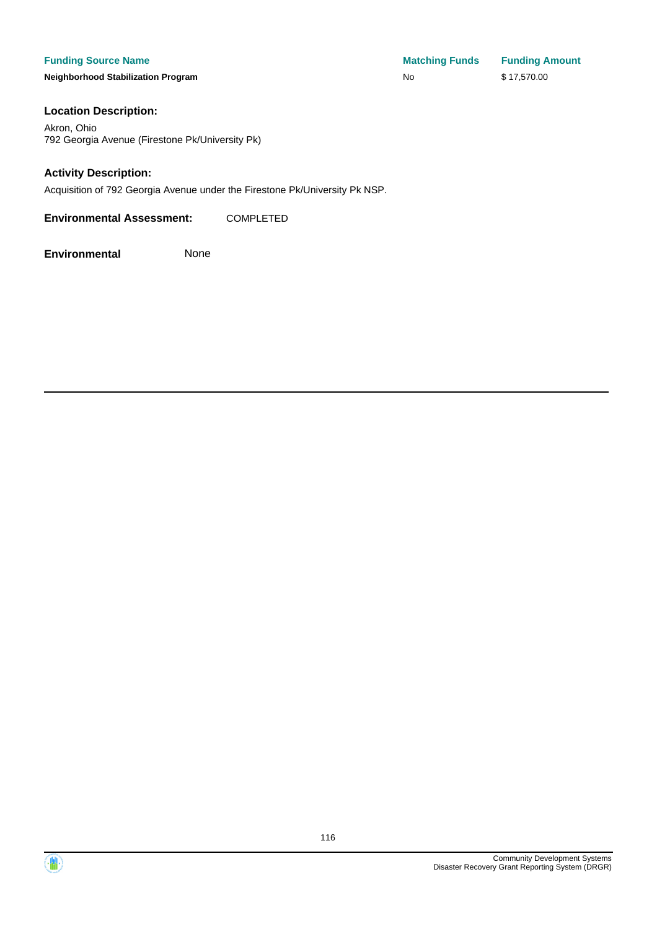**Neighborhood Stabilization Program No No** \$ 17,570.00

#### **Location Description:**

Akron, Ohio 792 Georgia Avenue (Firestone Pk/University Pk)

#### **Activity Description:**

Acquisition of 792 Georgia Avenue under the Firestone Pk/University Pk NSP.

**Environmental Assessment:** COMPLETED

**Environmental** None

**Funding Source Name Matching Funds Funding Amount** 

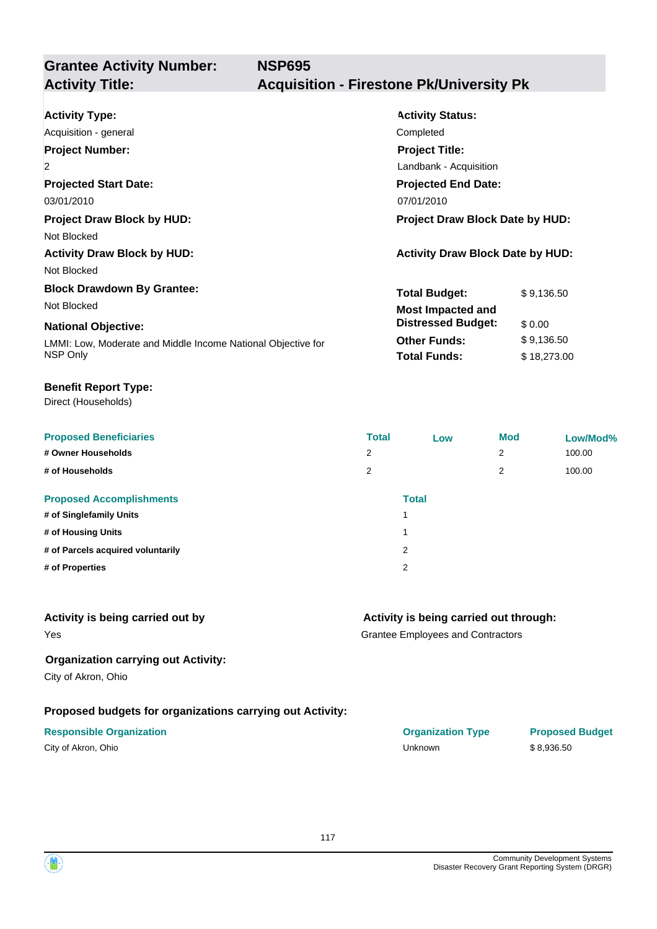**NSP695**

# **Grantee Activity Number:**

## **Activity Title: Acquisition - Firestone Pk/University Pk**

| <b>Activity Type:</b>                                        | <b>Activity Status:</b>                 |             |  |
|--------------------------------------------------------------|-----------------------------------------|-------------|--|
| Acquisition - general                                        | Completed                               |             |  |
| <b>Project Number:</b>                                       | <b>Project Title:</b>                   |             |  |
| $\overline{2}$                                               | Landbank - Acquisition                  |             |  |
| <b>Projected Start Date:</b>                                 | <b>Projected End Date:</b>              |             |  |
| 03/01/2010                                                   | 07/01/2010                              |             |  |
| <b>Project Draw Block by HUD:</b>                            | Project Draw Block Date by HUD:         |             |  |
| Not Blocked                                                  |                                         |             |  |
| <b>Activity Draw Block by HUD:</b>                           | <b>Activity Draw Block Date by HUD:</b> |             |  |
| Not Blocked                                                  |                                         |             |  |
| <b>Block Drawdown By Grantee:</b>                            | <b>Total Budget:</b>                    | \$9,136.50  |  |
| Not Blocked                                                  | <b>Most Impacted and</b>                |             |  |
| <b>National Objective:</b>                                   | <b>Distressed Budget:</b>               | \$0.00      |  |
| LMMI: Low, Moderate and Middle Income National Objective for | <b>Other Funds:</b>                     | \$9,136.50  |  |
| NSP Only                                                     | <b>Total Funds:</b>                     | \$18,273.00 |  |

#### **Benefit Report Type:**

Direct (Households)

| <b>Proposed Beneficiaries</b>     | <b>Total</b>   | Low                     | <b>Mod</b>     | Low/Mod% |
|-----------------------------------|----------------|-------------------------|----------------|----------|
| # Owner Households                | $\overline{2}$ |                         | $\overline{2}$ | 100.00   |
| # of Households                   | 2              |                         | 2              | 100.00   |
| <b>Proposed Accomplishments</b>   |                | <b>Total</b>            |                |          |
| # of Singlefamily Units           |                |                         |                |          |
| # of Housing Units                |                | $\overline{\mathbf{A}}$ |                |          |
| # of Parcels acquired voluntarily |                | 2                       |                |          |
| # of Properties                   |                | 2                       |                |          |

#### **Activity is being carried out by**

Yes

#### **Activity is being carried out through:**

Grantee Employees and Contractors

#### **Organization carrying out Activity:**

City of Akron, Ohio

#### **Proposed budgets for organizations carrying out Activity:**

| <b>Responsible Organization</b> | <b>Organization Type</b> | <b>Proposed Budget</b> |
|---------------------------------|--------------------------|------------------------|
| City of Akron, Ohio             | Unknown                  | \$8.936.50             |

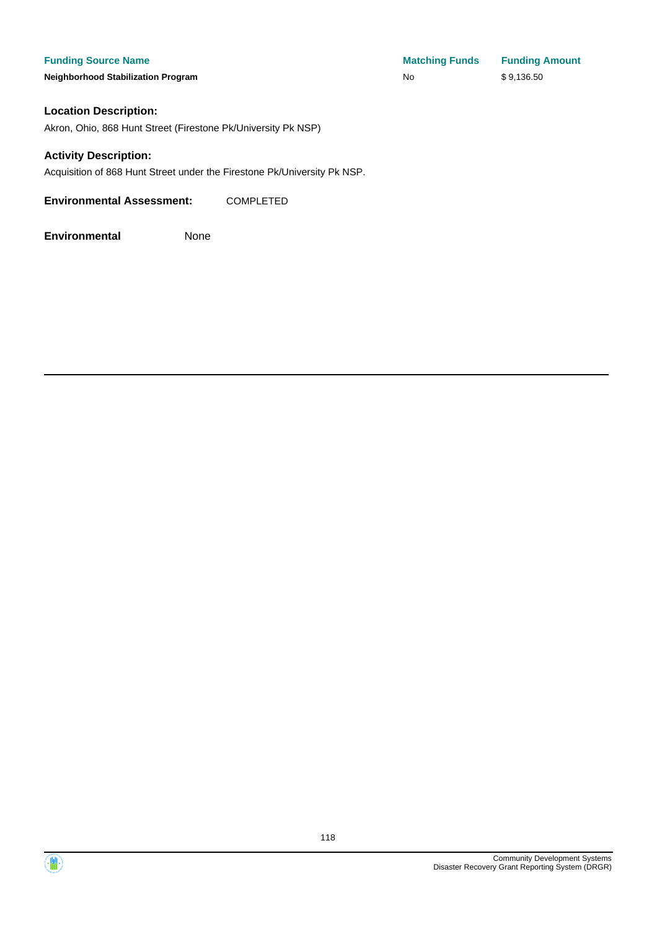**Neighborhood Stabilization Program No No** \$ 9,136.50

#### **Location Description:**

Akron, Ohio, 868 Hunt Street (Firestone Pk/University Pk NSP)

#### **Activity Description:**

Acquisition of 868 Hunt Street under the Firestone Pk/University Pk NSP.

**Environmental Assessment:** COMPLETED



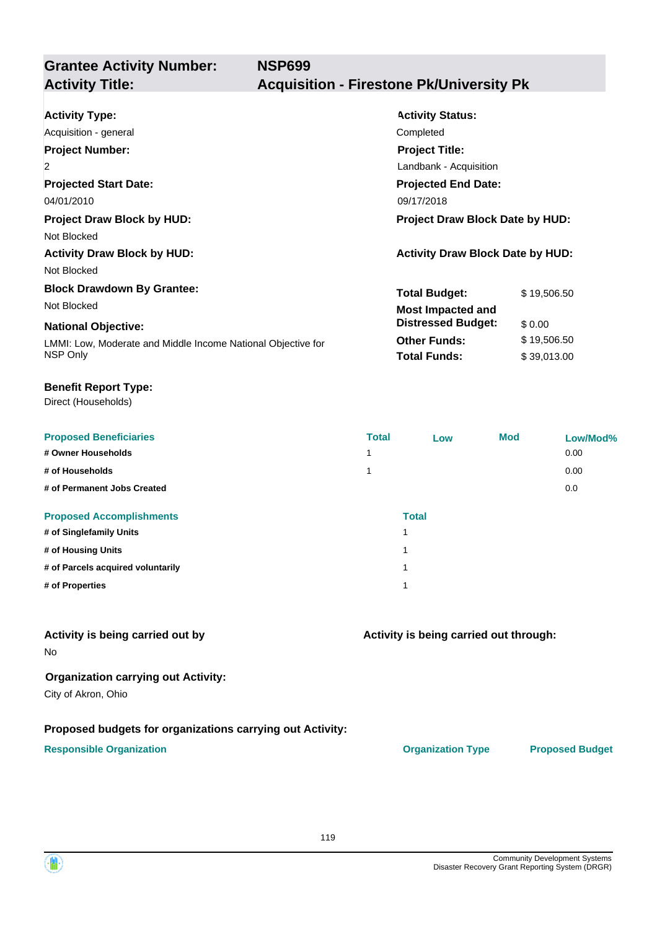**Grantee Activity Number: NSP699 Activity Title: Acquisition - Firestone Pk/University Pk**

| <b>Activity Type:</b>                                        | <b>Activity Status:</b>                 |             |
|--------------------------------------------------------------|-----------------------------------------|-------------|
| Acquisition - general                                        | Completed                               |             |
| <b>Project Number:</b>                                       | <b>Project Title:</b>                   |             |
| 2                                                            | Landbank - Acquisition                  |             |
| <b>Projected Start Date:</b>                                 | <b>Projected End Date:</b>              |             |
| 04/01/2010                                                   | 09/17/2018                              |             |
| <b>Project Draw Block by HUD:</b>                            | <b>Project Draw Block Date by HUD:</b>  |             |
| Not Blocked                                                  |                                         |             |
| <b>Activity Draw Block by HUD:</b>                           | <b>Activity Draw Block Date by HUD:</b> |             |
| Not Blocked                                                  |                                         |             |
| <b>Block Drawdown By Grantee:</b>                            | <b>Total Budget:</b>                    | \$19,506.50 |
| Not Blocked                                                  | <b>Most Impacted and</b>                |             |
| <b>National Objective:</b>                                   | <b>Distressed Budget:</b>               | \$0.00      |
| LMMI: Low, Moderate and Middle Income National Objective for | <b>Other Funds:</b>                     | \$19,506.50 |
| NSP Only                                                     | <b>Total Funds:</b>                     | \$39,013.00 |

#### **Benefit Report Type:**

Direct (Households)

| <b>Proposed Beneficiaries</b>     | <b>Total</b> | Low | <b>Mod</b> | Low/Mod% |
|-----------------------------------|--------------|-----|------------|----------|
| # Owner Households                | 1            |     |            | 0.00     |
| # of Households                   | 1            |     |            | 0.00     |
| # of Permanent Jobs Created       |              |     |            | 0.0      |
| <b>Proposed Accomplishments</b>   | <b>Total</b> |     |            |          |
| # of Singlefamily Units           | и            |     |            |          |
| # of Housing Units                |              |     |            |          |
| # of Parcels acquired voluntarily | и            |     |            |          |
| # of Properties                   |              |     |            |          |

#### **Activity is being carried out by**

No

#### **Organization carrying out Activity:**

City of Akron, Ohio

#### **Proposed budgets for organizations carrying out Activity:**

#### **Responsible Organization CONSERVIRGHT ACCORDING THE CONSERVIRGHT ORGANIZATION Type Proposed Budget**

**Activity is being carried out through:**

119

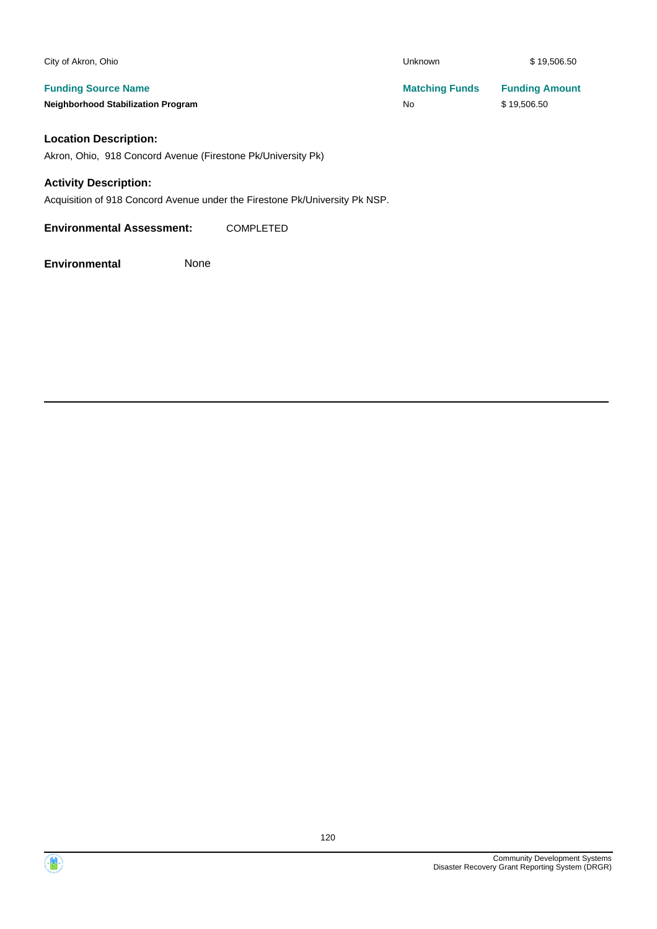| City of Akron, Ohio                       | <b>Unknown</b>        | \$19,506.50           |
|-------------------------------------------|-----------------------|-----------------------|
| <b>Funding Source Name</b>                | <b>Matching Funds</b> | <b>Funding Amount</b> |
| <b>Neighborhood Stabilization Program</b> | No                    | \$19,506.50           |
|                                           |                       |                       |

### **Location Description:**

Akron, Ohio, 918 Concord Avenue (Firestone Pk/University Pk)

#### **Activity Description:**

Acquisition of 918 Concord Avenue under the Firestone Pk/University Pk NSP.

**Environmental Assessment:** COMPLETED

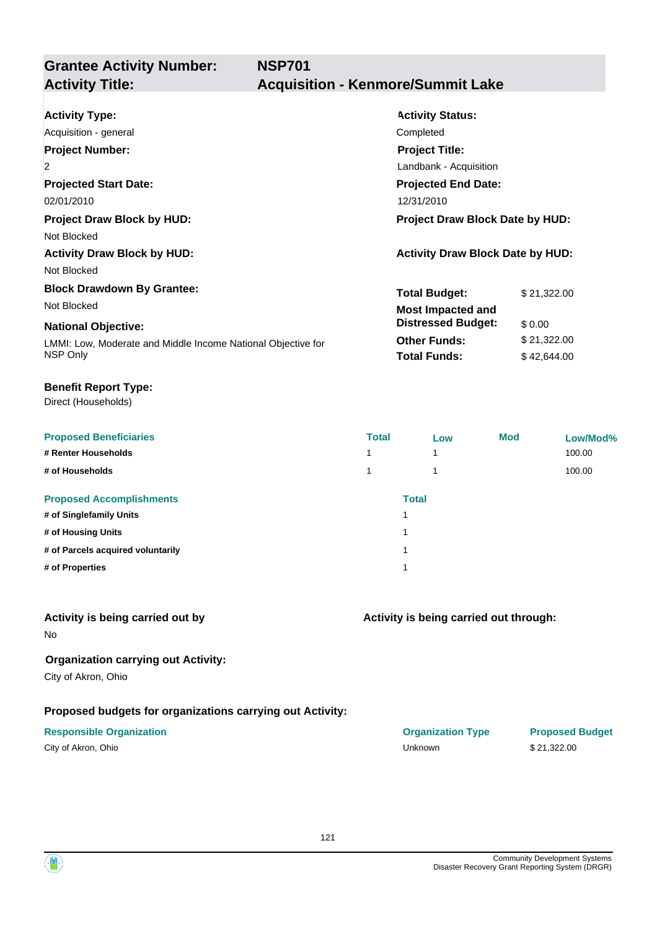**Grantee Activity Number: NSP701**

### **Acquisition - Kenmore/Summit Lake**

| <b>Activity Type:</b>                                        | <b>Activity Status:</b>                 |             |  |
|--------------------------------------------------------------|-----------------------------------------|-------------|--|
| Acquisition - general                                        | Completed                               |             |  |
| <b>Project Number:</b>                                       | <b>Project Title:</b>                   |             |  |
| $\overline{2}$                                               | Landbank - Acquisition                  |             |  |
| <b>Projected Start Date:</b>                                 | <b>Projected End Date:</b>              |             |  |
| 02/01/2010                                                   | 12/31/2010                              |             |  |
| <b>Project Draw Block by HUD:</b>                            | <b>Project Draw Block Date by HUD:</b>  |             |  |
| Not Blocked                                                  |                                         |             |  |
| <b>Activity Draw Block by HUD:</b>                           | <b>Activity Draw Block Date by HUD:</b> |             |  |
| Not Blocked                                                  |                                         |             |  |
| <b>Block Drawdown By Grantee:</b>                            | <b>Total Budget:</b>                    | \$21,322.00 |  |
| Not Blocked                                                  | <b>Most Impacted and</b>                |             |  |
| <b>National Objective:</b>                                   | <b>Distressed Budget:</b>               | \$0.00      |  |
| LMMI: Low, Moderate and Middle Income National Objective for | <b>Other Funds:</b>                     | \$21,322.00 |  |
| NSP Only                                                     | <b>Total Funds:</b>                     | \$42,644.00 |  |
|                                                              |                                         |             |  |

#### **Benefit Report Type:**

Direct (Households)

| <b>Proposed Beneficiaries</b>     | <b>Total</b> | Low          | <b>Mod</b> | Low/Mod% |
|-----------------------------------|--------------|--------------|------------|----------|
| # Renter Households               |              | ۸            |            | 100.00   |
| # of Households                   |              | ۸            |            | 100.00   |
| <b>Proposed Accomplishments</b>   |              | <b>Total</b> |            |          |
| # of Singlefamily Units           |              |              |            |          |
| # of Housing Units                |              |              |            |          |
| # of Parcels acquired voluntarily |              |              |            |          |
| # of Properties                   | и            |              |            |          |

#### **Activity is being carried out by**

No

### **Organization carrying out Activity:**

City of Akron, Ohio

### **Proposed budgets for organizations carrying out Activity:**

| City of Akron, Ohio |  |
|---------------------|--|
|---------------------|--|

| <b>Responsible Organization</b> | <b>Organization Type</b> | <b>Proposed Budget</b> |
|---------------------------------|--------------------------|------------------------|
| City of Akron, Ohio             | Unknown                  | \$21.322.00            |

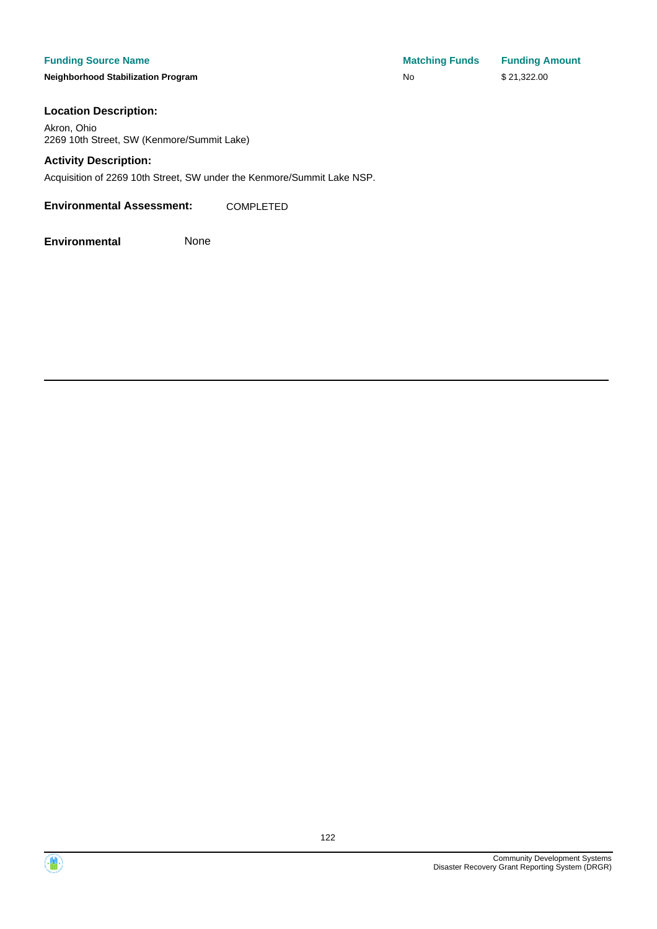**Neighborhood Stabilization Program No No** \$ 21,322.00

**Funding Source Name Matching Funds Funding Amount** 

#### **Location Description:**

Akron, Ohio 2269 10th Street, SW (Kenmore/Summit Lake)

#### **Activity Description:**

Acquisition of 2269 10th Street, SW under the Kenmore/Summit Lake NSP.

**Environmental Assessment:** COMPLETED



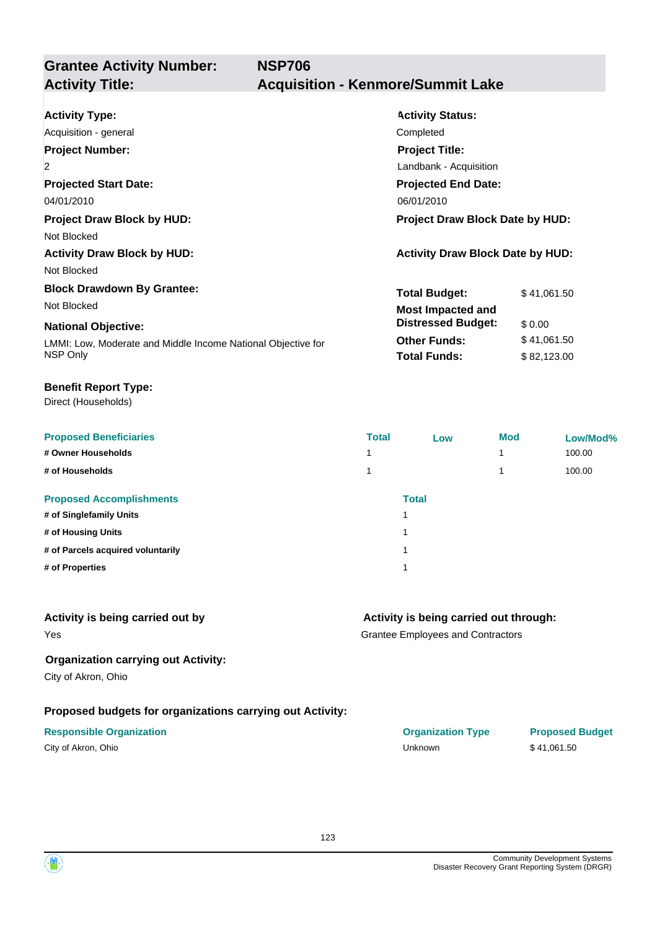**Grantee Activity Number:**

| <b>Activity Status:</b>                 |             |  |
|-----------------------------------------|-------------|--|
| Completed                               |             |  |
| <b>Project Title:</b>                   |             |  |
| Landbank - Acquisition                  |             |  |
| <b>Projected End Date:</b>              |             |  |
| 06/01/2010                              |             |  |
| <b>Project Draw Block Date by HUD:</b>  |             |  |
|                                         |             |  |
| <b>Activity Draw Block Date by HUD:</b> |             |  |
|                                         |             |  |
| <b>Total Budget:</b>                    | \$41,061.50 |  |
| <b>Most Impacted and</b>                |             |  |
| <b>Distressed Budget:</b>               | \$0.00      |  |
| <b>Other Funds:</b>                     | \$41,061.50 |  |
| <b>Total Funds:</b>                     | \$82,123.00 |  |
|                                         |             |  |

#### **Benefit Report Type:**

Direct (Households)

| <b>Proposed Beneficiaries</b>     | <b>Total</b> | Low          | <b>Mod</b> | Low/Mod% |
|-----------------------------------|--------------|--------------|------------|----------|
| # Owner Households                |              |              |            | 100.00   |
| # of Households                   |              |              |            | 100.00   |
| <b>Proposed Accomplishments</b>   |              | <b>Total</b> |            |          |
| # of Singlefamily Units           |              | 4            |            |          |
| # of Housing Units                |              | 4            |            |          |
| # of Parcels acquired voluntarily |              | ۸            |            |          |
| # of Properties                   |              | ۸            |            |          |

#### **Activity is being carried out by**

Yes

### **Activity is being carried out through:**

Grantee Employees and Contractors

#### **Organization carrying out Activity:**

City of Akron, Ohio

### **Proposed budgets for organizations carrying out Activity:**

### **Responsible Organization COVID-10 COVID-10 Organization Type Proposed Budget** City of Akron, Ohio **Sand Contract City of Akron, Ohio** State of Akron, Ohio **State City of Akron, Ohio State City of Akron, Ohio State City of Akron, Ohio State City of Akron**, Ohio **State City of Akronic City of Ak**

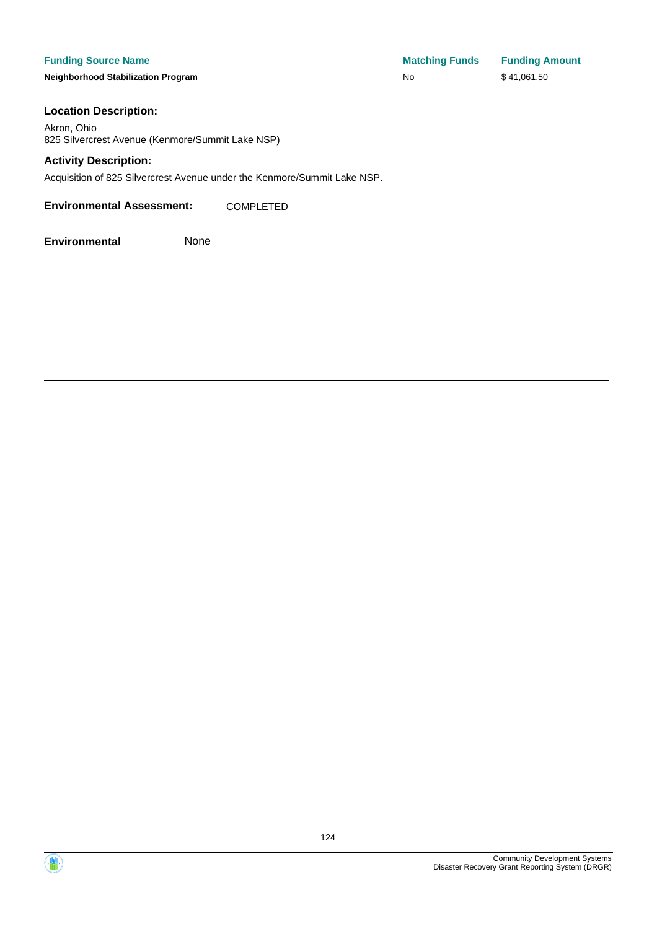**Neighborhood Stabilization Program No No** \$ 41,061.50

**Funding Source Name Matching Funds Funding Amount** 

#### **Location Description:**

Akron, Ohio 825 Silvercrest Avenue (Kenmore/Summit Lake NSP)

#### **Activity Description:**

Acquisition of 825 Silvercrest Avenue under the Kenmore/Summit Lake NSP.

**Environmental Assessment:** COMPLETED



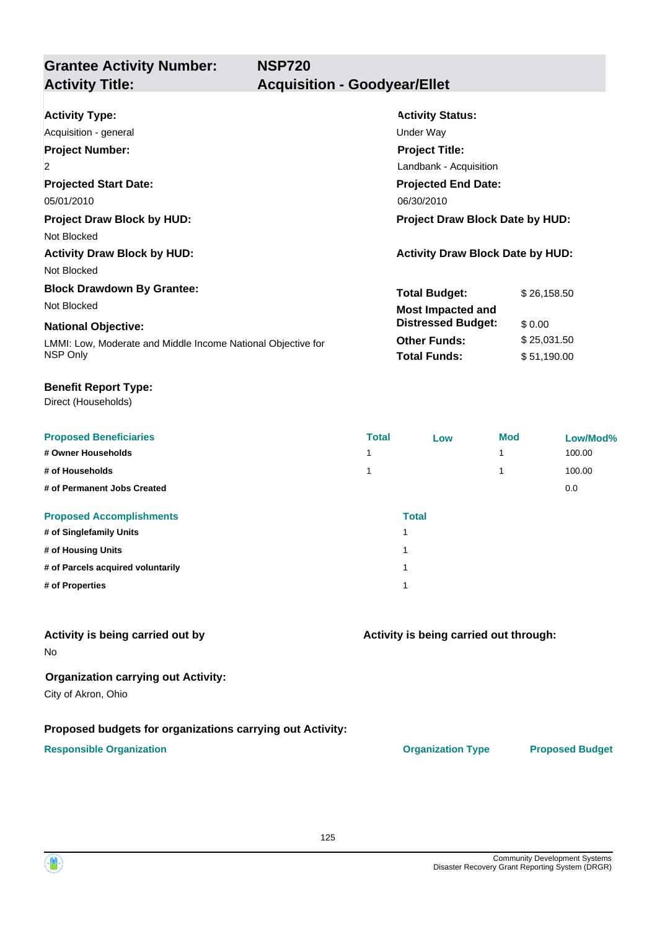**Grantee Activity Number: NSP720 Activity Title: Acquisition - Goodyear/Ellet**

| <b>Activity Type:</b>                                        | <b>Activity Status:</b>                 |             |  |
|--------------------------------------------------------------|-----------------------------------------|-------------|--|
| Acquisition - general                                        | Under Way                               |             |  |
| <b>Project Number:</b>                                       | <b>Project Title:</b>                   |             |  |
| $\overline{2}$                                               | Landbank - Acquisition                  |             |  |
| <b>Projected Start Date:</b>                                 | <b>Projected End Date:</b>              |             |  |
| 05/01/2010                                                   | 06/30/2010                              |             |  |
| <b>Project Draw Block by HUD:</b>                            | <b>Project Draw Block Date by HUD:</b>  |             |  |
| Not Blocked                                                  |                                         |             |  |
| <b>Activity Draw Block by HUD:</b>                           | <b>Activity Draw Block Date by HUD:</b> |             |  |
| Not Blocked                                                  |                                         |             |  |
| <b>Block Drawdown By Grantee:</b>                            | <b>Total Budget:</b>                    | \$26,158.50 |  |
| Not Blocked                                                  | <b>Most Impacted and</b>                |             |  |
| <b>National Objective:</b>                                   | <b>Distressed Budget:</b>               | \$0.00      |  |
| LMMI: Low, Moderate and Middle Income National Objective for | <b>Other Funds:</b>                     | \$25,031.50 |  |
| NSP Only                                                     | <b>Total Funds:</b>                     | \$51,190.00 |  |
|                                                              |                                         |             |  |

#### **Benefit Report Type:**

Direct (Households)

| <b>Proposed Beneficiaries</b>     | <b>Total</b>            | Low          | <b>Mod</b> | Low/Mod% |
|-----------------------------------|-------------------------|--------------|------------|----------|
| # Owner Households                |                         |              |            | 100.00   |
| # of Households                   |                         |              |            | 100.00   |
| # of Permanent Jobs Created       |                         |              |            | 0.0      |
| <b>Proposed Accomplishments</b>   |                         | <b>Total</b> |            |          |
| # of Singlefamily Units           |                         |              |            |          |
| # of Housing Units                | $\overline{\mathbf{A}}$ |              |            |          |
| # of Parcels acquired voluntarily | $\overline{\mathbf{A}}$ |              |            |          |
| # of Properties                   | $\overline{\mathbf{A}}$ |              |            |          |

### **Activity is being carried out by**

No

#### **Organization carrying out Activity:**

City of Akron, Ohio

#### **Proposed budgets for organizations carrying out Activity:**

#### **Responsible Organization CONSERVIRGHT ACCORDING THE CONSERVIRGHT ORGANIZATION Type Proposed Budget**

**Activity is being carried out through:**

125

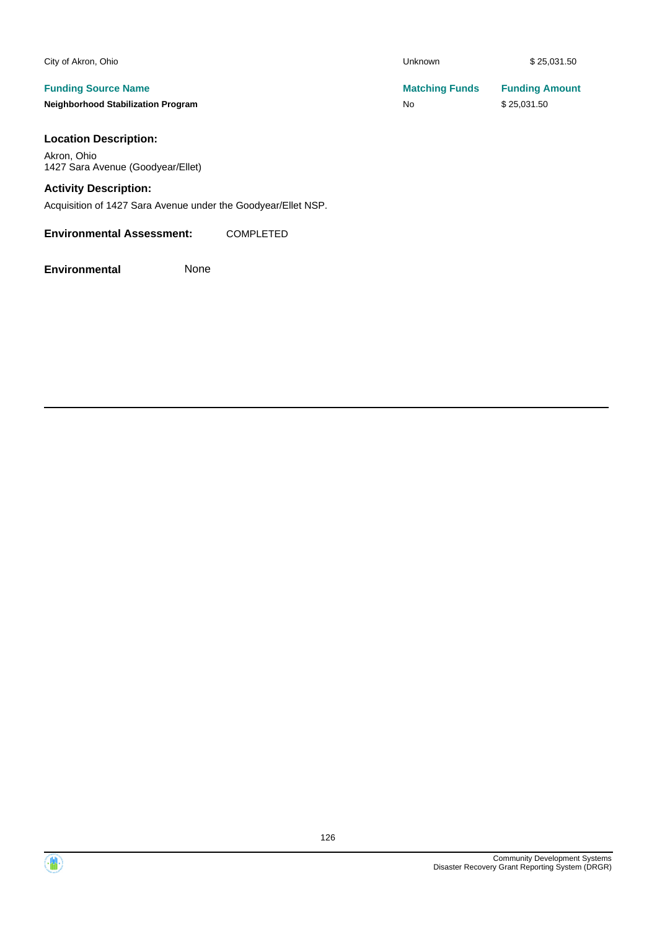| City of Akron, Ohio                       | <b>Unknown</b>        | \$25,031.50           |
|-------------------------------------------|-----------------------|-----------------------|
| <b>Funding Source Name</b>                | <b>Matching Funds</b> | <b>Funding Amount</b> |
| <b>Neighborhood Stabilization Program</b> | No                    | \$25.031.50           |
| <b>Location Description:</b>              |                       |                       |

#### **Location Description:**

Akron, Ohio 1427 Sara Avenue (Goodyear/Ellet)

### **Activity Description:**

Acquisition of 1427 Sara Avenue under the Goodyear/Ellet NSP.

#### **Environmental Assessment:** COMPLETED

**Environmental** None

Community Development Systems Disaster Recovery Grant Reporting System (DRGR)

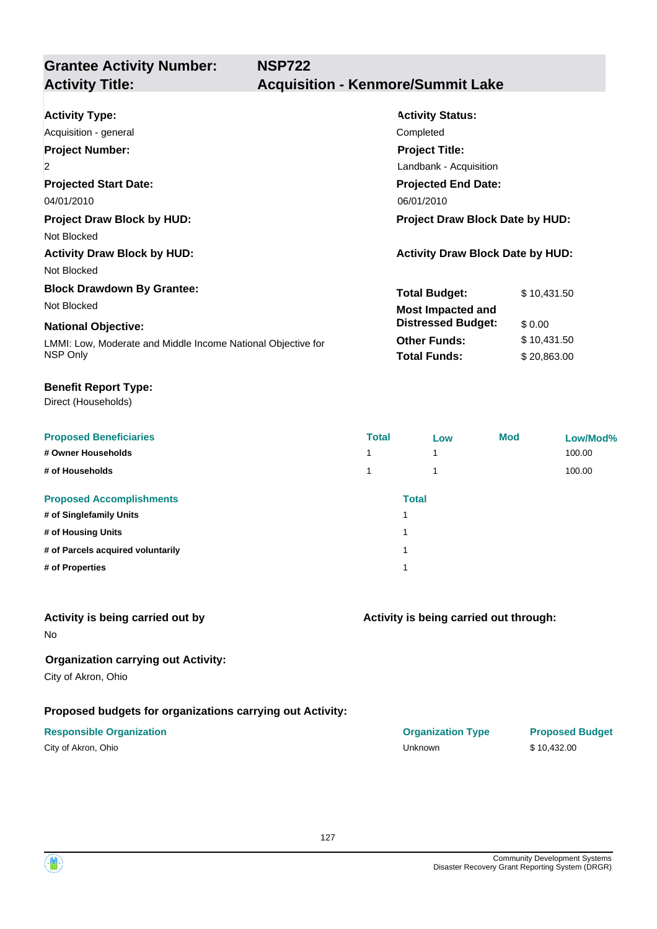**Grantee Activity Number:**

| <b>Activity Type:</b>                                        | <b>Activity Status:</b>                 |  |  |
|--------------------------------------------------------------|-----------------------------------------|--|--|
| Acquisition - general                                        | Completed                               |  |  |
| <b>Project Number:</b>                                       | <b>Project Title:</b>                   |  |  |
| $\overline{2}$                                               | Landbank - Acquisition                  |  |  |
| <b>Projected Start Date:</b>                                 | <b>Projected End Date:</b>              |  |  |
| 04/01/2010                                                   | 06/01/2010                              |  |  |
| <b>Project Draw Block by HUD:</b>                            | <b>Project Draw Block Date by HUD:</b>  |  |  |
| Not Blocked                                                  |                                         |  |  |
| <b>Activity Draw Block by HUD:</b>                           | <b>Activity Draw Block Date by HUD:</b> |  |  |
| Not Blocked                                                  |                                         |  |  |
| <b>Block Drawdown By Grantee:</b>                            | <b>Total Budget:</b><br>\$10,431.50     |  |  |
| Not Blocked                                                  | <b>Most Impacted and</b>                |  |  |
| <b>National Objective:</b>                                   | <b>Distressed Budget:</b><br>\$0.00     |  |  |
| LMMI: Low, Moderate and Middle Income National Objective for | <b>Other Funds:</b><br>\$10,431.50      |  |  |
| NSP Only                                                     | <b>Total Funds:</b><br>\$20,863.00      |  |  |

**NSP722**

#### **Benefit Report Type:**

Direct (Households)

| <b>Proposed Beneficiaries</b>     | <b>Total</b> | Low          | <b>Mod</b> | Low/Mod% |
|-----------------------------------|--------------|--------------|------------|----------|
| # Owner Households                |              | 1            |            | 100.00   |
| # of Households                   |              |              |            | 100.00   |
| <b>Proposed Accomplishments</b>   |              | <b>Total</b> |            |          |
| # of Singlefamily Units           |              |              |            |          |
| # of Housing Units                |              |              |            |          |
| # of Parcels acquired voluntarily |              |              |            |          |
| # of Properties                   |              |              |            |          |

### **Activity is being carried out by**

No

### **Organization carrying out Activity:**

City of Akron, Ohio

### **Proposed budgets for organizations carrying out Activity:**

| City of Akron, Ohio |  |
|---------------------|--|
|---------------------|--|

| <b>Responsible Organization</b> | <b>Organization Type</b> | <b>Proposed Budget</b> |
|---------------------------------|--------------------------|------------------------|
| City of Akron, Ohio             | Unknown                  | \$10.432.00            |

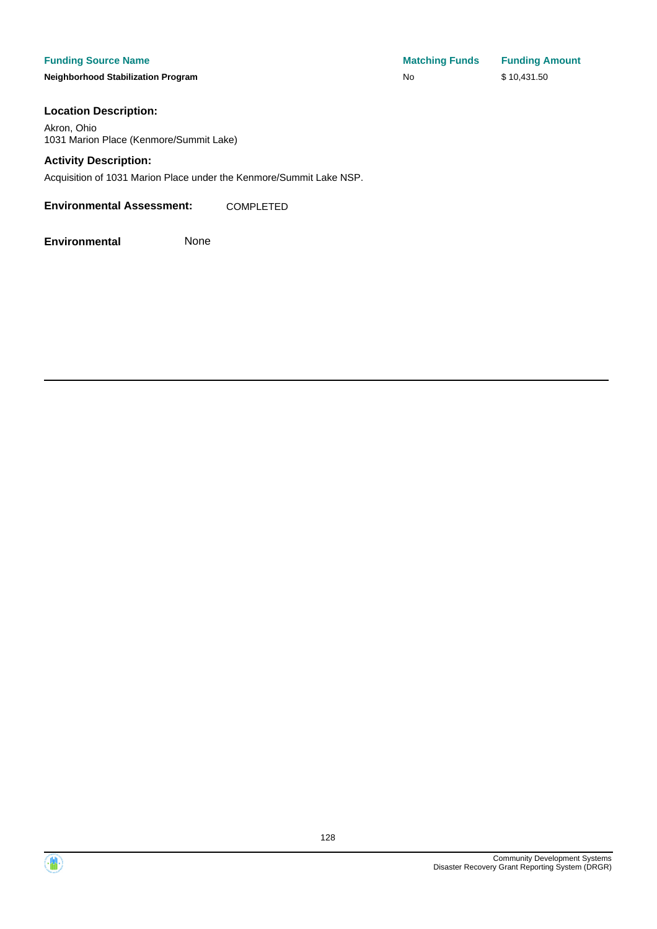**Neighborhood Stabilization Program No No** \$ 10,431.50

**Funding Source Name Matching Funds Funding Amount** 

#### **Location Description:**

Akron, Ohio 1031 Marion Place (Kenmore/Summit Lake)

#### **Activity Description:**

Acquisition of 1031 Marion Place under the Kenmore/Summit Lake NSP.

**Environmental Assessment:** COMPLETED



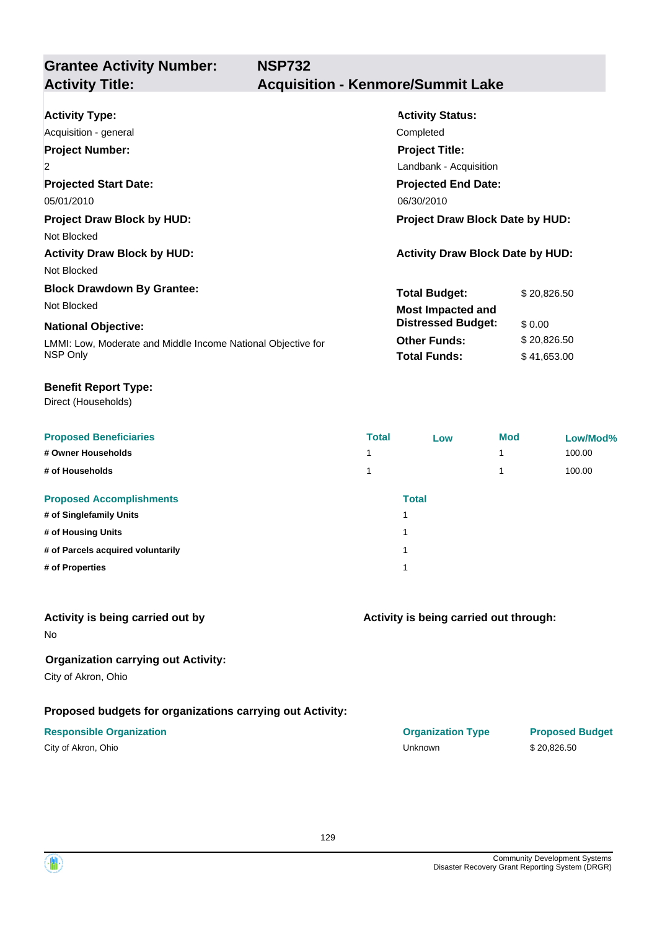**Grantee Activity Number:**

| <b>Activity Status:</b>                 |  |  |
|-----------------------------------------|--|--|
| Completed                               |  |  |
| <b>Project Title:</b>                   |  |  |
| Landbank - Acquisition                  |  |  |
| <b>Projected End Date:</b>              |  |  |
| 06/30/2010                              |  |  |
| <b>Project Draw Block Date by HUD:</b>  |  |  |
|                                         |  |  |
| <b>Activity Draw Block Date by HUD:</b> |  |  |
|                                         |  |  |
| <b>Total Budget:</b><br>\$20,826.50     |  |  |
| <b>Most Impacted and</b>                |  |  |
| <b>Distressed Budget:</b><br>\$0.00     |  |  |
| <b>Other Funds:</b><br>\$20,826.50      |  |  |
| <b>Total Funds:</b><br>\$41,653.00      |  |  |
|                                         |  |  |

#### **Benefit Report Type:**

Direct (Households)

| <b>Proposed Beneficiaries</b>     | <b>Total</b> | Low          | <b>Mod</b> | Low/Mod% |
|-----------------------------------|--------------|--------------|------------|----------|
| # Owner Households                |              |              |            | 100.00   |
| # of Households                   |              |              |            | 100.00   |
| <b>Proposed Accomplishments</b>   |              | <b>Total</b> |            |          |
| # of Singlefamily Units           |              |              |            |          |
| # of Housing Units                | ٠            |              |            |          |
| # of Parcels acquired voluntarily | и            |              |            |          |
| # of Properties                   | ٠            |              |            |          |
|                                   |              |              |            |          |

### **Activity is being carried out by**

No

### **Organization carrying out Activity:**

City of Akron, Ohio

### **Proposed budgets for organizations carrying out Activity:**

| City of Akron, Ohio |  |
|---------------------|--|
|---------------------|--|

# **Activity is being carried out through:**

**Responsible Organization COVID-10 COVID-10 Organization Type Proposed Budget** City of Akron, Ohio Unknown \$ 20,826.50

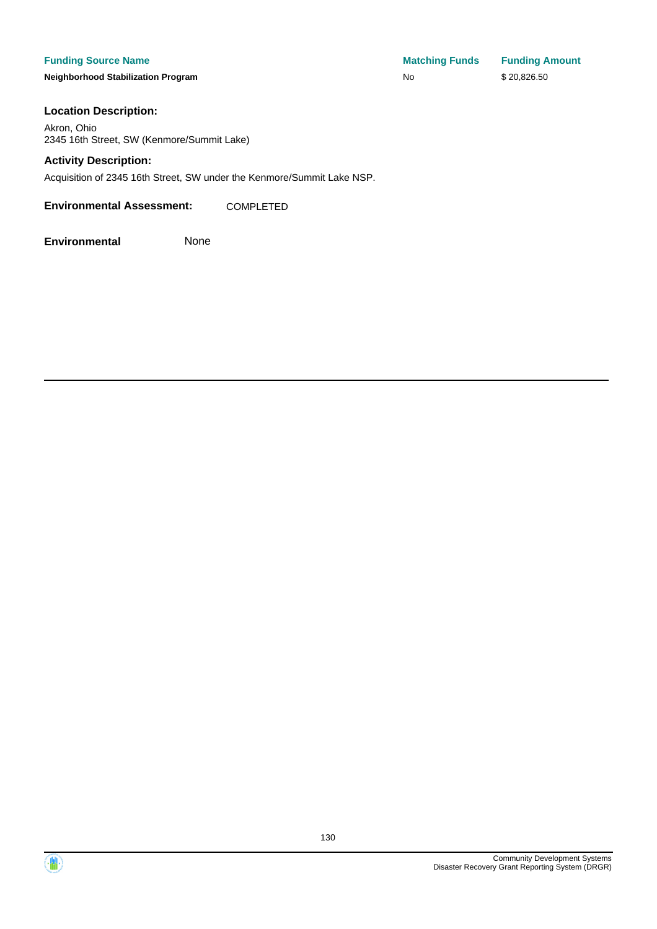**Neighborhood Stabilization Program No No** \$ 20,826.50

**Funding Source Name Matching Funds Funding Amount** 

#### **Location Description:**

Akron, Ohio 2345 16th Street, SW (Kenmore/Summit Lake)

#### **Activity Description:**

Acquisition of 2345 16th Street, SW under the Kenmore/Summit Lake NSP.

**Environmental Assessment:** COMPLETED

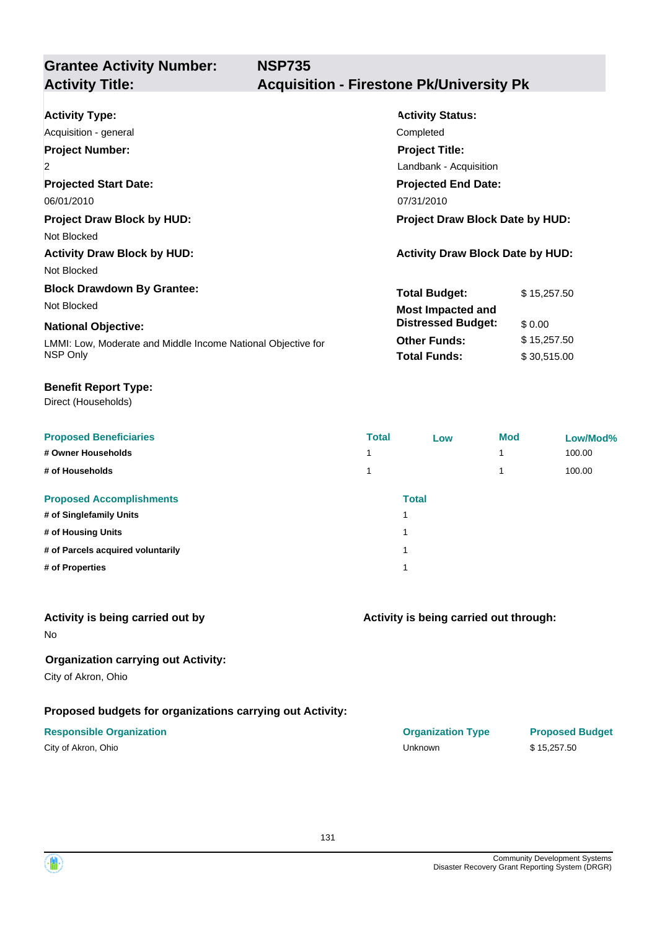**NSP735**

# **Grantee Activity Number:**

# **Activity Title: Acquisition - Firestone Pk/University Pk**

| <b>Activity Type:</b>                                        | <b>Activity Status:</b>                 |             |  |
|--------------------------------------------------------------|-----------------------------------------|-------------|--|
| Acquisition - general                                        | Completed                               |             |  |
| <b>Project Number:</b>                                       | <b>Project Title:</b>                   |             |  |
| $\overline{2}$                                               | Landbank - Acquisition                  |             |  |
| <b>Projected Start Date:</b>                                 | <b>Projected End Date:</b>              |             |  |
| 06/01/2010                                                   | 07/31/2010                              |             |  |
| <b>Project Draw Block by HUD:</b>                            | <b>Project Draw Block Date by HUD:</b>  |             |  |
| Not Blocked                                                  |                                         |             |  |
| <b>Activity Draw Block by HUD:</b>                           | <b>Activity Draw Block Date by HUD:</b> |             |  |
| Not Blocked                                                  |                                         |             |  |
| <b>Block Drawdown By Grantee:</b>                            | <b>Total Budget:</b>                    | \$15,257.50 |  |
| Not Blocked                                                  | <b>Most Impacted and</b>                |             |  |
| <b>National Objective:</b>                                   | <b>Distressed Budget:</b>               | \$0.00      |  |
| LMMI: Low, Moderate and Middle Income National Objective for | <b>Other Funds:</b>                     | \$15,257.50 |  |
| NSP Only                                                     | <b>Total Funds:</b>                     | \$30,515.00 |  |

#### **Benefit Report Type:**

Direct (Households)

| <b>Proposed Beneficiaries</b>     | <b>Total</b> | Low          | <b>Mod</b> | Low/Mod% |
|-----------------------------------|--------------|--------------|------------|----------|
| # Owner Households                |              |              |            | 100.00   |
| # of Households                   |              |              |            | 100.00   |
| <b>Proposed Accomplishments</b>   |              | <b>Total</b> |            |          |
| # of Singlefamily Units           | и            |              |            |          |
| # of Housing Units                | и            |              |            |          |
| # of Parcels acquired voluntarily | и            |              |            |          |
| # of Properties                   | и            |              |            |          |
|                                   |              |              |            |          |

#### **Activity is being carried out by**

No

### **Organization carrying out Activity:**

City of Akron, Ohio

### **Proposed budgets for organizations carrying out Activity:**

| City of Akron, Ohio |  |
|---------------------|--|
|---------------------|--|

| <b>Responsible Organization</b> | <b>Organization Type</b> | <b>Proposed Budget</b> |
|---------------------------------|--------------------------|------------------------|
| City of Akron, Ohio             | Unknown                  | \$15,257.50            |

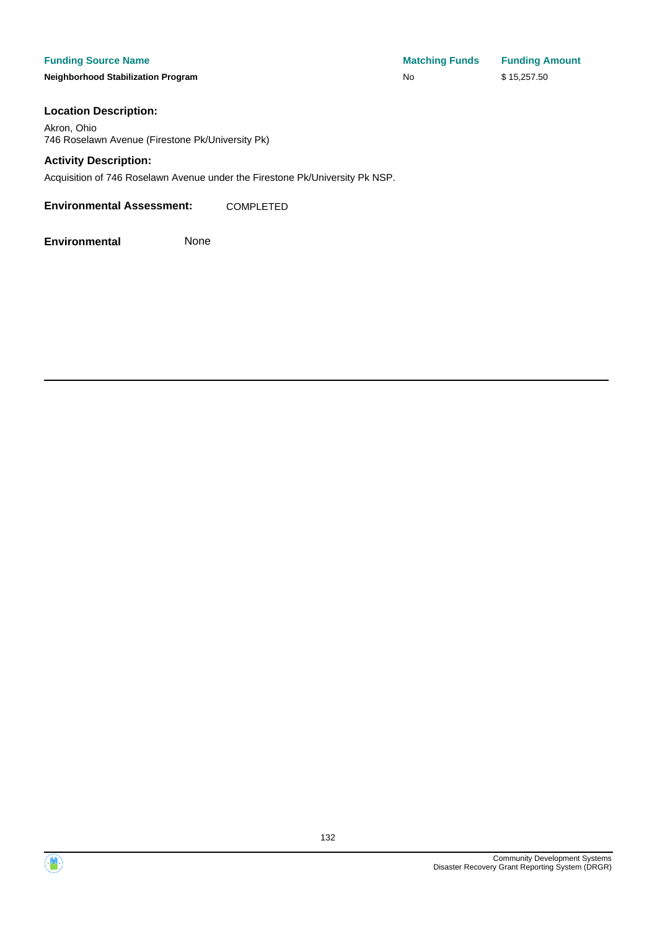#### **Funding Source Name**

**Neighborhood Stabilization Program** 

| <b>Matching Funds</b> | <b>Funding Amount</b> |
|-----------------------|-----------------------|
| <b>No</b>             | \$15,257.50           |

#### **Location Description:**

Akron, Ohio 746 Roselawn Avenue (Firestone Pk/University Pk)

#### **Activity Description:**

Acquisition of 746 Roselawn Avenue under the Firestone Pk/University Pk NSP.

**Environmental Assessment:** COMPLETED



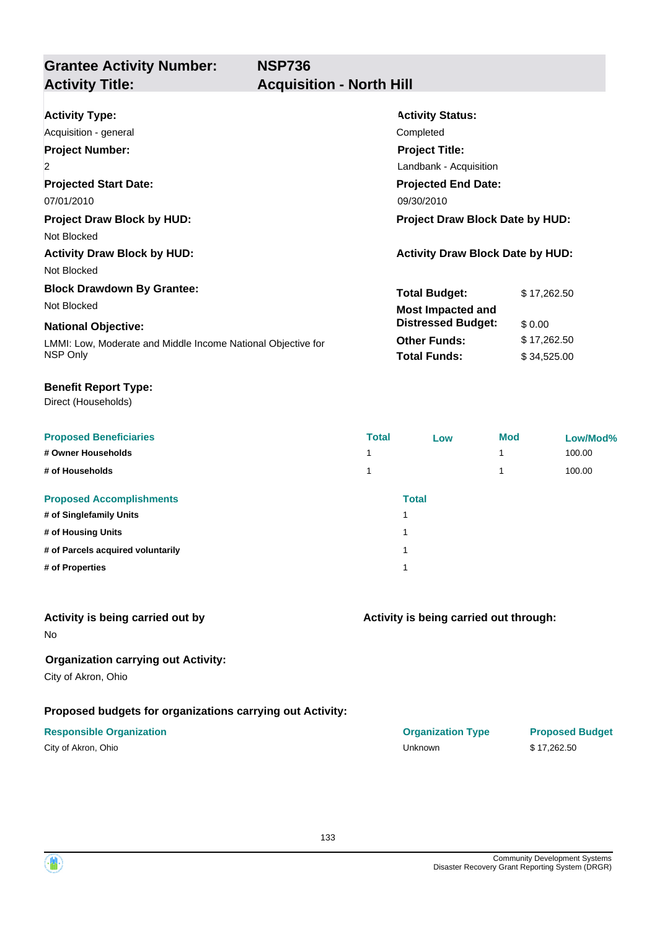**NSP736**

### **Grantee Activity Number: Activity Title: Acquisition - North Hill**

| <b>Activity Type:</b>                                        | <b>Activity Status:</b>                 |             |  |  |
|--------------------------------------------------------------|-----------------------------------------|-------------|--|--|
| Acquisition - general                                        | Completed                               |             |  |  |
| <b>Project Number:</b>                                       | <b>Project Title:</b>                   |             |  |  |
| $\overline{2}$                                               | Landbank - Acquisition                  |             |  |  |
| <b>Projected Start Date:</b>                                 | <b>Projected End Date:</b>              |             |  |  |
| 07/01/2010                                                   | 09/30/2010                              |             |  |  |
| <b>Project Draw Block by HUD:</b>                            | <b>Project Draw Block Date by HUD:</b>  |             |  |  |
| Not Blocked                                                  |                                         |             |  |  |
| <b>Activity Draw Block by HUD:</b>                           | <b>Activity Draw Block Date by HUD:</b> |             |  |  |
| Not Blocked                                                  |                                         |             |  |  |
| <b>Block Drawdown By Grantee:</b>                            | <b>Total Budget:</b>                    | \$17,262.50 |  |  |
| Not Blocked                                                  | <b>Most Impacted and</b>                |             |  |  |
| <b>National Objective:</b>                                   | <b>Distressed Budget:</b>               | \$0.00      |  |  |
| LMMI: Low, Moderate and Middle Income National Objective for | <b>Other Funds:</b>                     | \$17,262.50 |  |  |
| NSP Only                                                     | <b>Total Funds:</b>                     | \$34,525.00 |  |  |

#### **Benefit Report Type:**

Direct (Households)

| <b>Proposed Beneficiaries</b>     | <b>Total</b> | Low          | <b>Mod</b> | Low/Mod% |
|-----------------------------------|--------------|--------------|------------|----------|
| # Owner Households                | 4            |              |            | 100.00   |
| # of Households                   |              |              |            | 100.00   |
| <b>Proposed Accomplishments</b>   |              | <b>Total</b> |            |          |
| # of Singlefamily Units           |              | и            |            |          |
| # of Housing Units                |              | и            |            |          |
| # of Parcels acquired voluntarily |              | и            |            |          |
| # of Properties                   |              | и            |            |          |
|                                   |              |              |            |          |

#### **Activity is being carried out by**

No

### **Organization carrying out Activity:**

City of Akron, Ohio

### **Proposed budgets for organizations carrying out Activity:**

## **Activity is being carried out through:**

**Responsible Organization CONSERVIRGHT CONSERVIRGHT CONSERVIRGHT CONSERVIRGHT CONSERVIRGHT CONSERVIRGHT CONSERVIRGHT CONSERVIRGHT CONSERVIRGHT CONSERVIRGHT CONSERVIRGHT CONSERVIRGHT CONSERVIRGHT CONSERVIRGHT CONSERVIRGHT** City of Akron, Ohio Unknown \$ 17,262.50

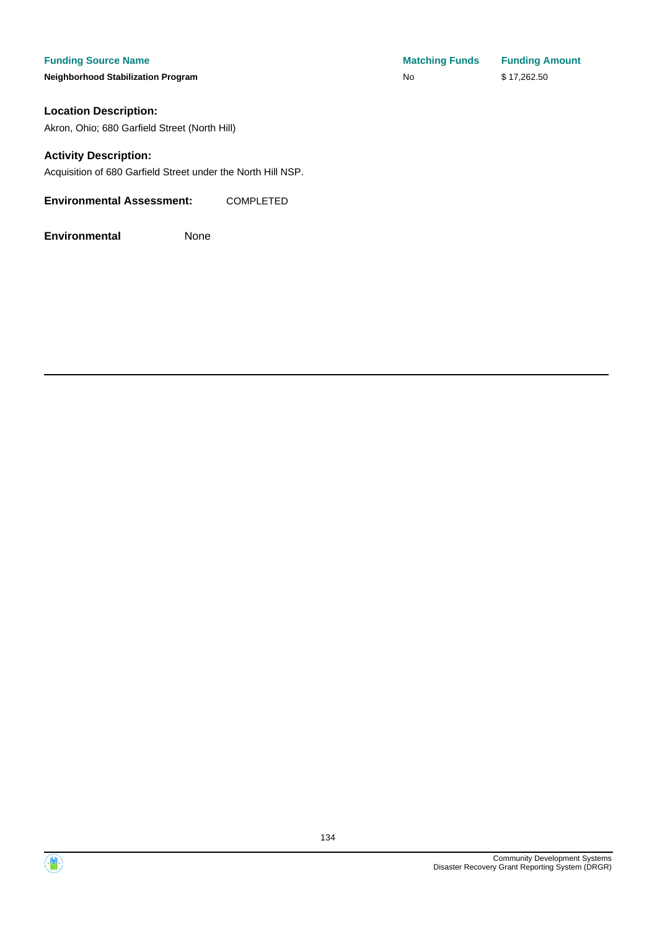#### **Funding Source Name**

**Neighborhood Stabilization Program** 

### **Location Description:**

Akron, Ohio; 680 Garfield Street (North Hill)

#### **Activity Description:**

Acquisition of 680 Garfield Street under the North Hill NSP.

#### **Environmental Assessment:** COMPLETED

| <b>Matching Funds</b> | <b>Funding Amount</b> |
|-----------------------|-----------------------|
| No                    | \$17,262.50           |



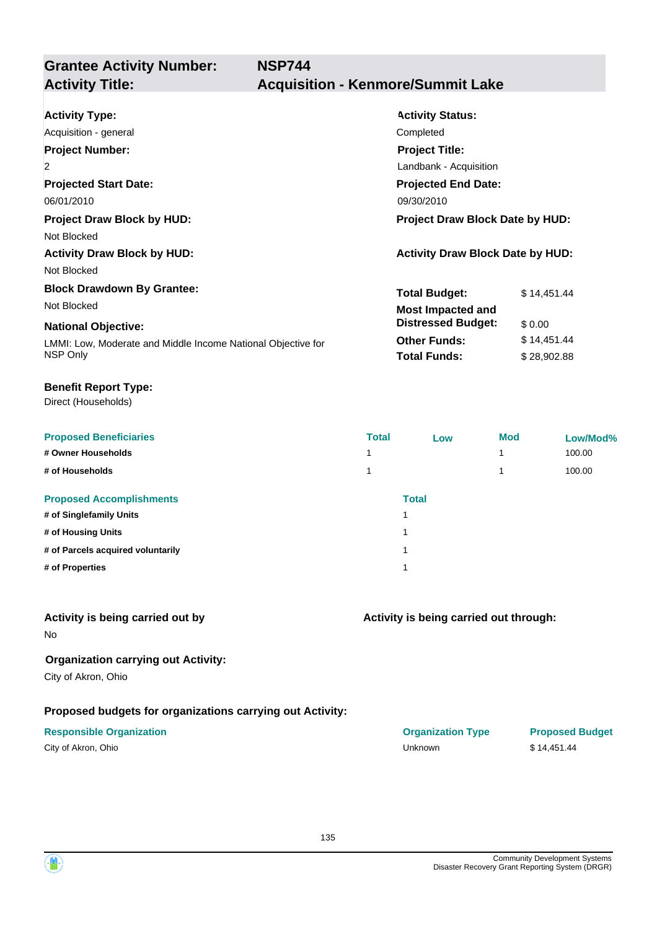**NSP744**

# **Grantee Activity Number:**

| <b>Activity Type:</b><br>Acquisition - general                                 | <b>Activity Status:</b><br>Completed                                                                    |  |  |
|--------------------------------------------------------------------------------|---------------------------------------------------------------------------------------------------------|--|--|
| <b>Project Number:</b><br>$\overline{2}$<br><b>Projected Start Date:</b>       | <b>Project Title:</b><br>Landbank - Acquisition<br><b>Projected End Date:</b>                           |  |  |
| 06/01/2010<br><b>Project Draw Block by HUD:</b><br>Not Blocked                 | 09/30/2010<br><b>Project Draw Block Date by HUD:</b>                                                    |  |  |
| <b>Activity Draw Block by HUD:</b><br>Not Blocked                              | <b>Activity Draw Block Date by HUD:</b>                                                                 |  |  |
| <b>Block Drawdown By Grantee:</b><br>Not Blocked<br><b>National Objective:</b> | <b>Total Budget:</b><br>\$14,451.44<br><b>Most Impacted and</b><br><b>Distressed Budget:</b><br>\$ 0.00 |  |  |
| LMMI: Low, Moderate and Middle Income National Objective for<br>NSP Only       | <b>Other Funds:</b><br>\$14,451.44<br><b>Total Funds:</b><br>\$28,902.88                                |  |  |

#### **Benefit Report Type:**

Direct (Households)

| <b>Proposed Beneficiaries</b>     | <b>Total</b> | Low          | <b>Mod</b> | Low/Mod% |
|-----------------------------------|--------------|--------------|------------|----------|
| # Owner Households                | 4            |              |            | 100.00   |
| # of Households                   |              |              |            | 100.00   |
| <b>Proposed Accomplishments</b>   |              | <b>Total</b> |            |          |
| # of Singlefamily Units           |              | и            |            |          |
| # of Housing Units                |              | и            |            |          |
| # of Parcels acquired voluntarily |              | и            |            |          |
| # of Properties                   |              | и            |            |          |
|                                   |              |              |            |          |

#### **Activity is being carried out by**

No

### **Organization carrying out Activity:**

City of Akron, Ohio

### **Proposed budgets for organizations carrying out Activity:**

| City of Akron, Ohio |  |
|---------------------|--|
|---------------------|--|

| <b>Responsible Organization</b> | <b>Organization Type</b> | <b>Proposed Budget</b> |
|---------------------------------|--------------------------|------------------------|
| City of Akron, Ohio             | Unknown                  | \$14,451.44            |

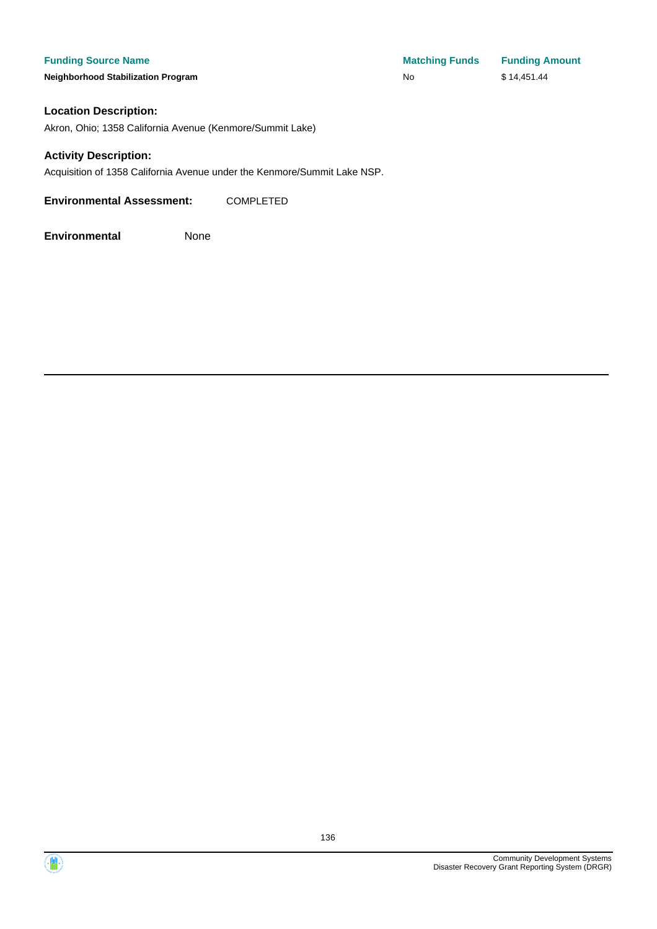**Neighborhood Stabilization Program No No** \$ 14,451.44

#### **Location Description:**

Akron, Ohio; 1358 California Avenue (Kenmore/Summit Lake)

#### **Activity Description:**

Acquisition of 1358 California Avenue under the Kenmore/Summit Lake NSP.

**Environmental Assessment:** COMPLETED

**Environmental** None



136

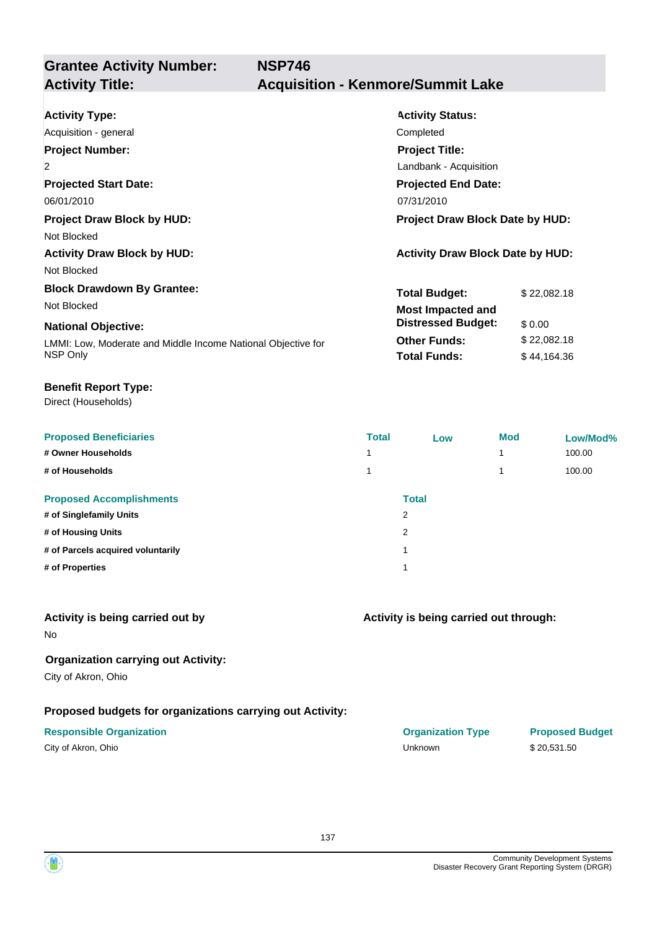**Grantee Activity Number:**

| <b>Activity Type:</b>                                        | <b>Activity Status:</b>                 |
|--------------------------------------------------------------|-----------------------------------------|
| Acquisition - general                                        | Completed                               |
| <b>Project Number:</b>                                       | <b>Project Title:</b>                   |
| $\overline{2}$                                               | Landbank - Acquisition                  |
| <b>Projected Start Date:</b>                                 | <b>Projected End Date:</b>              |
| 06/01/2010                                                   | 07/31/2010                              |
| <b>Project Draw Block by HUD:</b>                            | <b>Project Draw Block Date by HUD:</b>  |
| Not Blocked                                                  |                                         |
| <b>Activity Draw Block by HUD:</b>                           | <b>Activity Draw Block Date by HUD:</b> |
| Not Blocked                                                  |                                         |
| <b>Block Drawdown By Grantee:</b>                            | <b>Total Budget:</b><br>\$22,082.18     |
| Not Blocked                                                  | <b>Most Impacted and</b>                |
| <b>National Objective:</b>                                   | <b>Distressed Budget:</b><br>\$0.00     |
| LMMI: Low, Moderate and Middle Income National Objective for | <b>Other Funds:</b><br>\$22,082.18      |
| NSP Only                                                     | <b>Total Funds:</b><br>\$44,164.36      |

#### **Benefit Report Type:**

Direct (Households)

| <b>Proposed Beneficiaries</b>     | <b>Total</b>   | Low          | <b>Mod</b> | Low/Mod% |
|-----------------------------------|----------------|--------------|------------|----------|
| # Owner Households                |                |              |            | 100.00   |
| # of Households                   |                |              |            | 100.00   |
| <b>Proposed Accomplishments</b>   |                | <b>Total</b> |            |          |
| # of Singlefamily Units           | $\overline{2}$ |              |            |          |
| # of Housing Units                | $\overline{2}$ |              |            |          |
| # of Parcels acquired voluntarily | и              |              |            |          |
| # of Properties                   | 1              |              |            |          |
|                                   |                |              |            |          |

#### **Activity is being carried out by**

No

#### **Organization carrying out Activity:**

City of Akron, Ohio

### **Proposed budgets for organizations carrying out Activity:**

| City of Akron, Ohio |  |
|---------------------|--|
|---------------------|--|

| <b>Responsible Organization</b> | <b>Organization Type</b> | <b>Proposed Budget</b> |
|---------------------------------|--------------------------|------------------------|
| City of Akron, Ohio             | <b>Jnknown</b>           | \$20.531.50            |

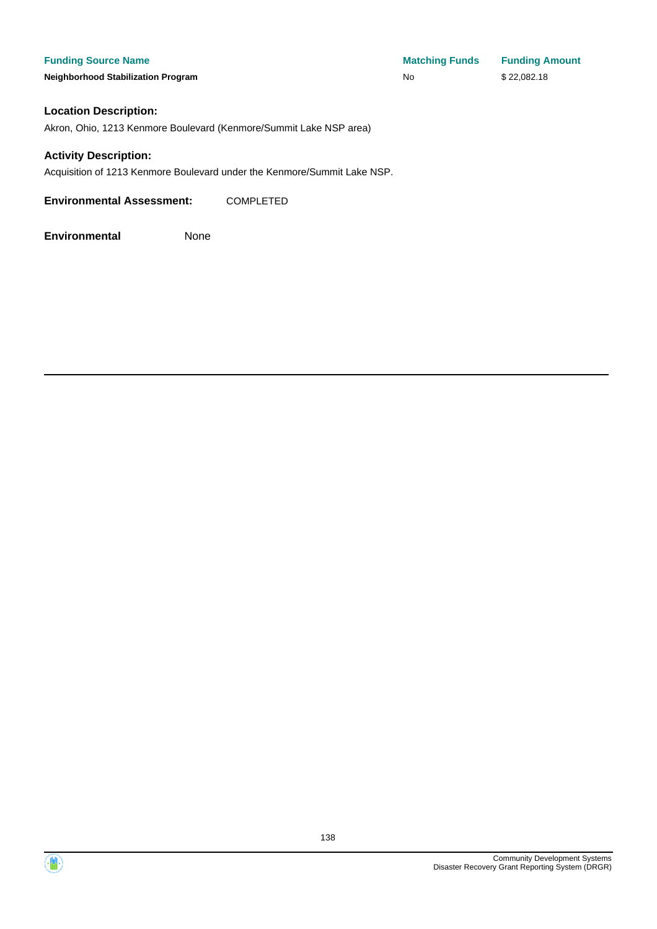#### **Funding Source Name**

**Neighborhood Stabilization Program** 

| <b>Matching Funds</b> | <b>Funding Amount</b> |
|-----------------------|-----------------------|
| No                    | \$22,082.18           |

#### **Location Description:**

Akron, Ohio, 1213 Kenmore Boulevard (Kenmore/Summit Lake NSP area)

#### **Activity Description:**

Acquisition of 1213 Kenmore Boulevard under the Kenmore/Summit Lake NSP.

**Environmental Assessment:** COMPLETED



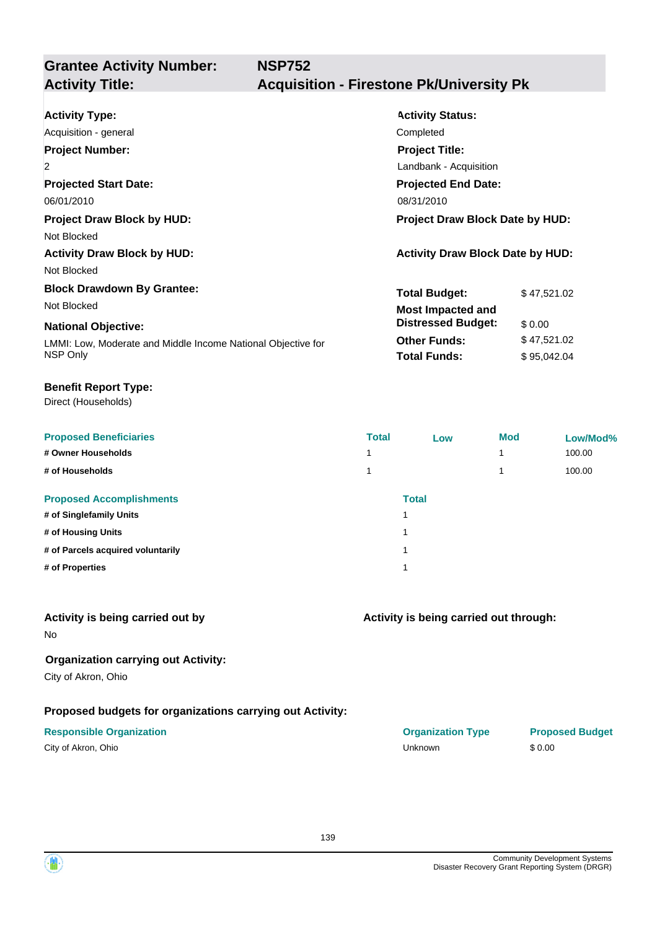**Grantee Activity Number:**

| <b>Activity Type:</b>                                        | <b>Activity Status:</b>                 |
|--------------------------------------------------------------|-----------------------------------------|
| Acquisition - general                                        | Completed                               |
| <b>Project Number:</b>                                       | <b>Project Title:</b>                   |
| $\overline{2}$                                               | Landbank - Acquisition                  |
| <b>Projected Start Date:</b>                                 | <b>Projected End Date:</b>              |
| 06/01/2010                                                   | 08/31/2010                              |
| <b>Project Draw Block by HUD:</b>                            | <b>Project Draw Block Date by HUD:</b>  |
| Not Blocked                                                  |                                         |
| <b>Activity Draw Block by HUD:</b>                           | <b>Activity Draw Block Date by HUD:</b> |
| Not Blocked                                                  |                                         |
| <b>Block Drawdown By Grantee:</b>                            | <b>Total Budget:</b><br>\$47,521.02     |
| Not Blocked                                                  | <b>Most Impacted and</b>                |
| <b>National Objective:</b>                                   | <b>Distressed Budget:</b><br>\$0.00     |
| LMMI: Low, Moderate and Middle Income National Objective for | <b>Other Funds:</b><br>\$47,521.02      |
| NSP Only                                                     | <b>Total Funds:</b><br>\$95,042.04      |

#### **Benefit Report Type:**

Direct (Households)

| <b>Proposed Beneficiaries</b>     | <b>Total</b> | Low          | <b>Mod</b> | Low/Mod% |
|-----------------------------------|--------------|--------------|------------|----------|
| # Owner Households                |              |              |            | 100.00   |
| # of Households                   |              |              |            | 100.00   |
| <b>Proposed Accomplishments</b>   |              | <b>Total</b> |            |          |
| # of Singlefamily Units           | 1            |              |            |          |
| # of Housing Units                | 1            |              |            |          |
| # of Parcels acquired voluntarily | 1            |              |            |          |
| # of Properties                   | 1            |              |            |          |
|                                   |              |              |            |          |

#### **Activity is being carried out by**

No

### **Organization carrying out Activity:**

City of Akron, Ohio

### **Proposed budgets for organizations carrying out Activity:**

| City of Akron, Ohio |  |
|---------------------|--|
|---------------------|--|

| <b>Responsible Organization</b> | <b>Organization Type</b> | <b>Proposed Budget</b> |
|---------------------------------|--------------------------|------------------------|
| City of Akron, Ohio             | Unknown                  | \$0.00                 |

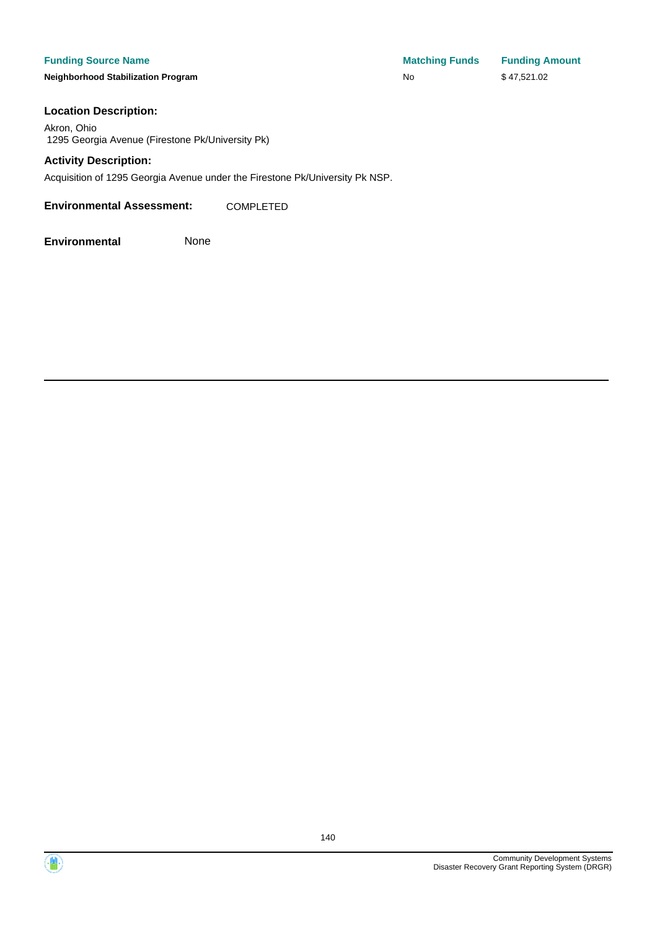#### **Funding Source Name**

**Neighborhood Stabilization Program** 

| <b>Matching Funds</b> | <b>Funding Amount</b> |
|-----------------------|-----------------------|
| <b>No</b>             | \$47,521.02           |

#### **Location Description:**

Akron, Ohio 1295 Georgia Avenue (Firestone Pk/University Pk)

#### **Activity Description:**

Acquisition of 1295 Georgia Avenue under the Firestone Pk/University Pk NSP.

**Environmental Assessment:** COMPLETED

**Environmental** None



140

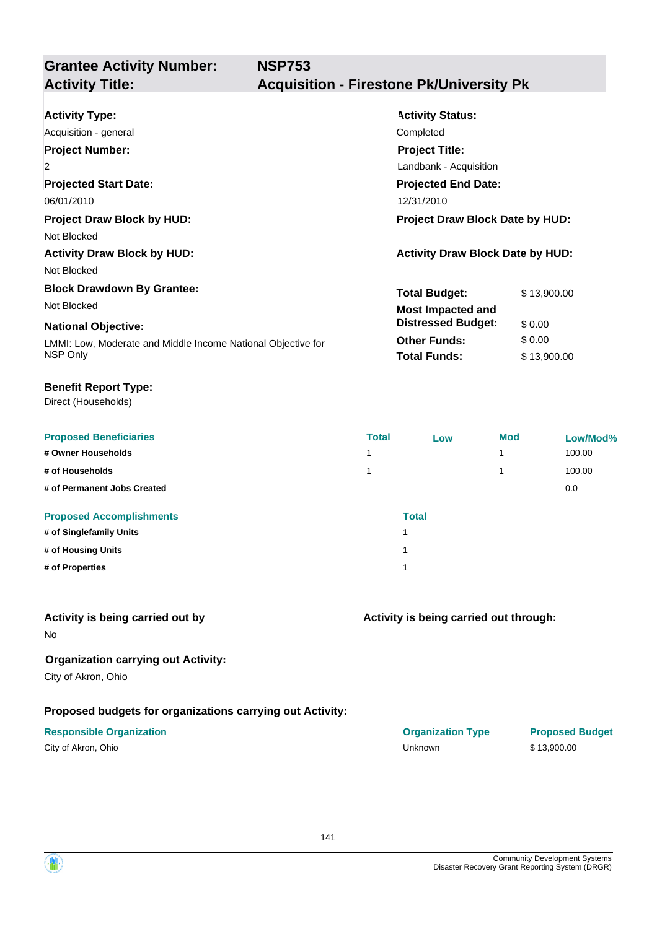**Grantee Activity Number:**

## **Activity Title: Acquisition - Firestone Pk/University Pk**

| <b>Activity Type:</b>                                        | <b>Activity Status:</b>                 |  |  |
|--------------------------------------------------------------|-----------------------------------------|--|--|
| Acquisition - general                                        | Completed                               |  |  |
| <b>Project Number:</b>                                       | <b>Project Title:</b>                   |  |  |
| $\overline{2}$                                               | Landbank - Acquisition                  |  |  |
| <b>Projected Start Date:</b>                                 | <b>Projected End Date:</b>              |  |  |
| 06/01/2010                                                   | 12/31/2010                              |  |  |
| <b>Project Draw Block by HUD:</b>                            | <b>Project Draw Block Date by HUD:</b>  |  |  |
| Not Blocked                                                  |                                         |  |  |
| <b>Activity Draw Block by HUD:</b>                           | <b>Activity Draw Block Date by HUD:</b> |  |  |
| Not Blocked                                                  |                                         |  |  |
| <b>Block Drawdown By Grantee:</b>                            | <b>Total Budget:</b><br>\$13,900.00     |  |  |
| Not Blocked                                                  | Most Impacted and                       |  |  |
| <b>National Objective:</b>                                   | <b>Distressed Budget:</b><br>\$0.00     |  |  |
| LMMI: Low, Moderate and Middle Income National Objective for | <b>Other Funds:</b><br>\$0.00           |  |  |
| NSP Only                                                     | <b>Total Funds:</b><br>\$13,900.00      |  |  |

**NSP753**

#### **Benefit Report Type:**

Direct (Households)

| <b>Proposed Beneficiaries</b>   | <b>Total</b> | Low          | <b>Mod</b> | Low/Mod% |
|---------------------------------|--------------|--------------|------------|----------|
| # Owner Households              |              |              |            | 100.00   |
| # of Households                 |              |              |            | 100.00   |
| # of Permanent Jobs Created     |              |              |            | 0.0      |
| <b>Proposed Accomplishments</b> |              | <b>Total</b> |            |          |
| # of Singlefamily Units         | и            |              |            |          |
| # of Housing Units              | ٠            |              |            |          |
| # of Properties                 | и            |              |            |          |

### **Activity is being carried out by**

No

### **Organization carrying out Activity:**

City of Akron, Ohio

### **Proposed budgets for organizations carrying out Activity:**

| City of Akron, Ohio |  |
|---------------------|--|
|---------------------|--|

# **Activity is being carried out through:**

**Responsible Organization COVID-10 COVID-10 Organization Type Proposed Budget** City of Akron, Ohio Unknown \$ 13,900.00

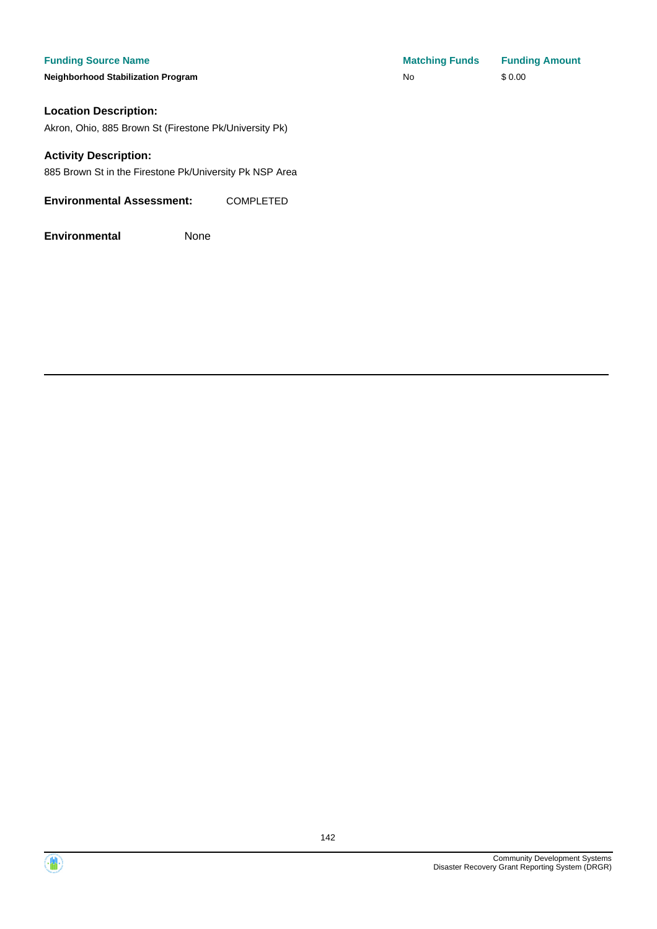#### **Funding Source Name**

**Neighborhood Stabilization Program** 

#### **Location Description:**

Akron, Ohio, 885 Brown St (Firestone Pk/University Pk)

#### **Activity Description:**

885 Brown St in the Firestone Pk/University Pk NSP Area

#### **Environmental Assessment:** COMPLETED

| <b>Matching Funds</b> | <b>Funding Amount</b> |
|-----------------------|-----------------------|
| No                    | \$0.00                |



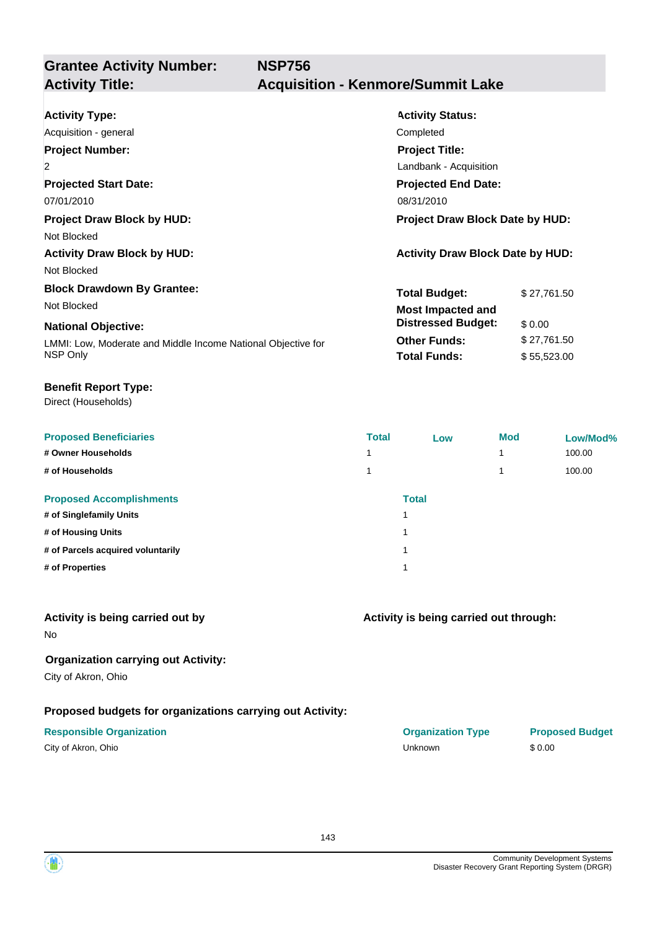**Grantee Activity Number: NSP756**

| <b>Activity Type:</b>                                        | <b>Activity Status:</b>                 |             |  |
|--------------------------------------------------------------|-----------------------------------------|-------------|--|
| Acquisition - general                                        | Completed                               |             |  |
| <b>Project Number:</b>                                       | <b>Project Title:</b>                   |             |  |
| $\overline{2}$                                               | Landbank - Acquisition                  |             |  |
| <b>Projected Start Date:</b>                                 | <b>Projected End Date:</b>              |             |  |
| 07/01/2010                                                   | 08/31/2010                              |             |  |
| <b>Project Draw Block by HUD:</b>                            | <b>Project Draw Block Date by HUD:</b>  |             |  |
| Not Blocked                                                  |                                         |             |  |
| <b>Activity Draw Block by HUD:</b>                           | <b>Activity Draw Block Date by HUD:</b> |             |  |
| Not Blocked                                                  |                                         |             |  |
| <b>Block Drawdown By Grantee:</b>                            | <b>Total Budget:</b>                    | \$27,761.50 |  |
| Not Blocked                                                  | <b>Most Impacted and</b>                |             |  |
| <b>National Objective:</b>                                   | <b>Distressed Budget:</b>               | \$0.00      |  |
| LMMI: Low, Moderate and Middle Income National Objective for | <b>Other Funds:</b>                     | \$27,761.50 |  |
| NSP Only                                                     | <b>Total Funds:</b>                     | \$55,523.00 |  |

#### **Benefit Report Type:**

Direct (Households)

| <b>Proposed Beneficiaries</b>     | <b>Total</b> | Low          | <b>Mod</b> | Low/Mod% |
|-----------------------------------|--------------|--------------|------------|----------|
| # Owner Households                | и            |              |            | 100.00   |
| # of Households                   | 4            |              |            | 100.00   |
| <b>Proposed Accomplishments</b>   |              | <b>Total</b> |            |          |
| # of Singlefamily Units           |              | и            |            |          |
| # of Housing Units                |              | и            |            |          |
| # of Parcels acquired voluntarily |              | 1            |            |          |
| # of Properties                   |              | и            |            |          |

### **Activity is being carried out by**

No

### **Organization carrying out Activity:**

City of Akron, Ohio

### **Proposed budgets for organizations carrying out Activity:**

| City of Akron, Ohio |  |
|---------------------|--|
|---------------------|--|

| <b>Responsible Organization</b> | <b>Organization Type</b> | <b>Proposed Budget</b> |
|---------------------------------|--------------------------|------------------------|
| City of Akron, Ohio             | Unknown                  | \$0.00                 |

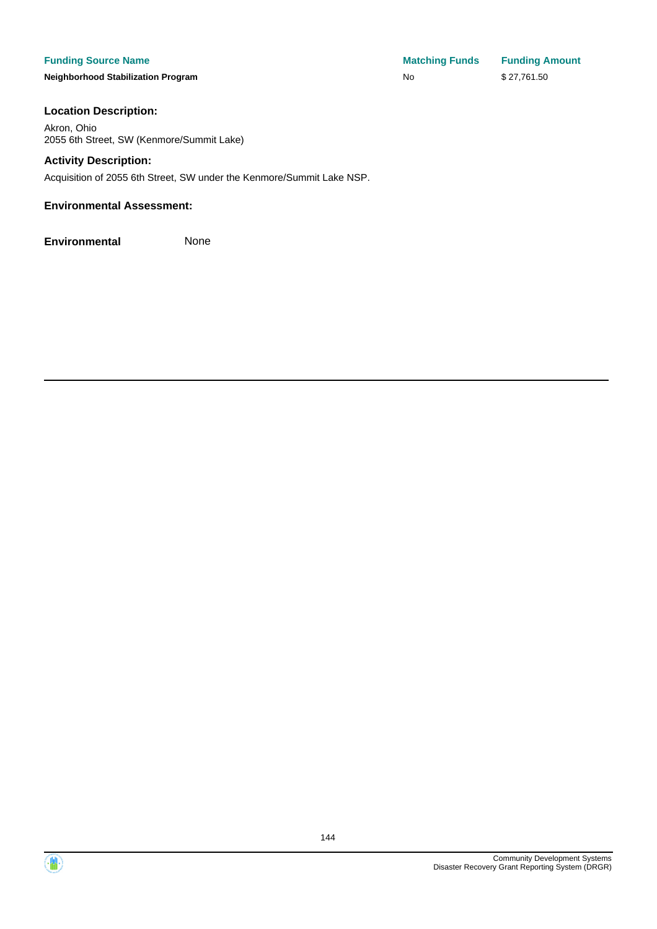**Neighborhood Stabilization Program No No** \$ 27,761.50

**Funding Source Name Matching Funds Funding Amount** 

### **Location Description:**

Akron, Ohio 2055 6th Street, SW (Kenmore/Summit Lake)

#### **Activity Description:**

Acquisition of 2055 6th Street, SW under the Kenmore/Summit Lake NSP.

### **Environmental Assessment:**





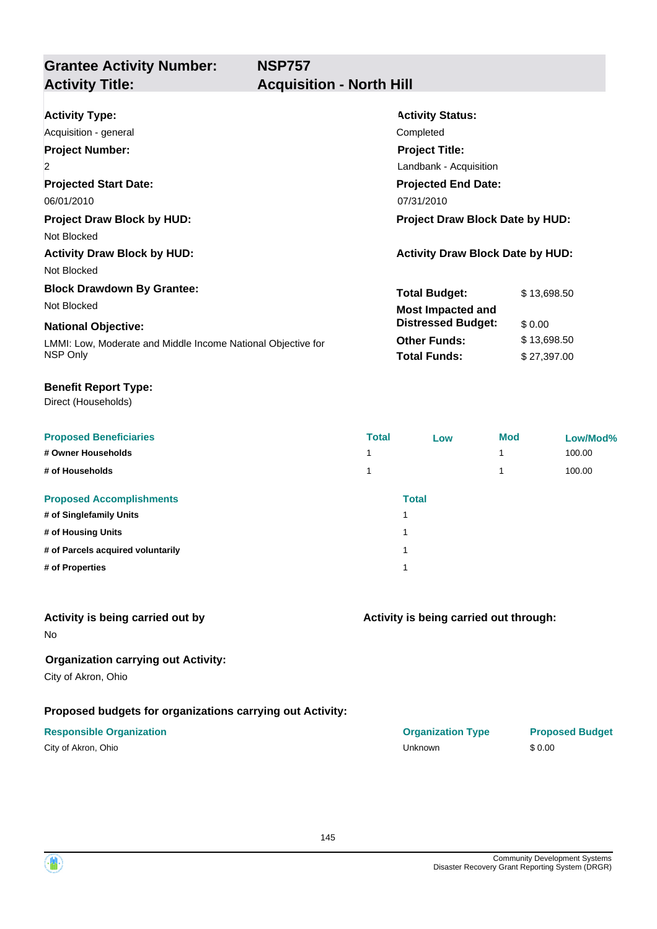**NSP757**

# **Grantee Activity Number:**

## **Acquisition - North Hill**

| <b>Activity Type:</b>                                        | <b>Activity Status:</b>                 |             |  |
|--------------------------------------------------------------|-----------------------------------------|-------------|--|
| Acquisition - general                                        | Completed                               |             |  |
| <b>Project Number:</b>                                       | <b>Project Title:</b>                   |             |  |
| $\overline{2}$                                               | Landbank - Acquisition                  |             |  |
| <b>Projected Start Date:</b>                                 | <b>Projected End Date:</b>              |             |  |
| 06/01/2010                                                   | 07/31/2010                              |             |  |
| <b>Project Draw Block by HUD:</b>                            | <b>Project Draw Block Date by HUD:</b>  |             |  |
| Not Blocked                                                  |                                         |             |  |
| <b>Activity Draw Block by HUD:</b>                           | <b>Activity Draw Block Date by HUD:</b> |             |  |
| Not Blocked                                                  |                                         |             |  |
| <b>Block Drawdown By Grantee:</b>                            | <b>Total Budget:</b>                    | \$13,698.50 |  |
| Not Blocked                                                  | <b>Most Impacted and</b>                |             |  |
| <b>National Objective:</b>                                   | <b>Distressed Budget:</b>               | \$0.00      |  |
| LMMI: Low, Moderate and Middle Income National Objective for | <b>Other Funds:</b>                     | \$13,698.50 |  |
| NSP Only                                                     | <b>Total Funds:</b>                     | \$27,397.00 |  |

#### **Benefit Report Type:**

Direct (Households)

| <b>Proposed Beneficiaries</b>     | <b>Total</b> | Low          | <b>Mod</b> | Low/Mod% |
|-----------------------------------|--------------|--------------|------------|----------|
| # Owner Households                |              |              |            | 100.00   |
| # of Households                   |              |              |            | 100.00   |
| <b>Proposed Accomplishments</b>   |              | <b>Total</b> |            |          |
| # of Singlefamily Units           |              | 1            |            |          |
| # of Housing Units                |              | 1            |            |          |
| # of Parcels acquired voluntarily |              | 1            |            |          |
| # of Properties                   |              | 1            |            |          |

### **Activity is being carried out by**

No

### **Organization carrying out Activity:**

City of Akron, Ohio

### **Proposed budgets for organizations carrying out Activity:**

| City of Akron, Ohio |  |
|---------------------|--|
|---------------------|--|

**Activity is being carried out through:**

| <b>Responsible Organization</b> | <b>Organization Type</b> | <b>Proposed Budget</b> |
|---------------------------------|--------------------------|------------------------|
| City of Akron, Ohio             | Unknown                  | \$0.00                 |

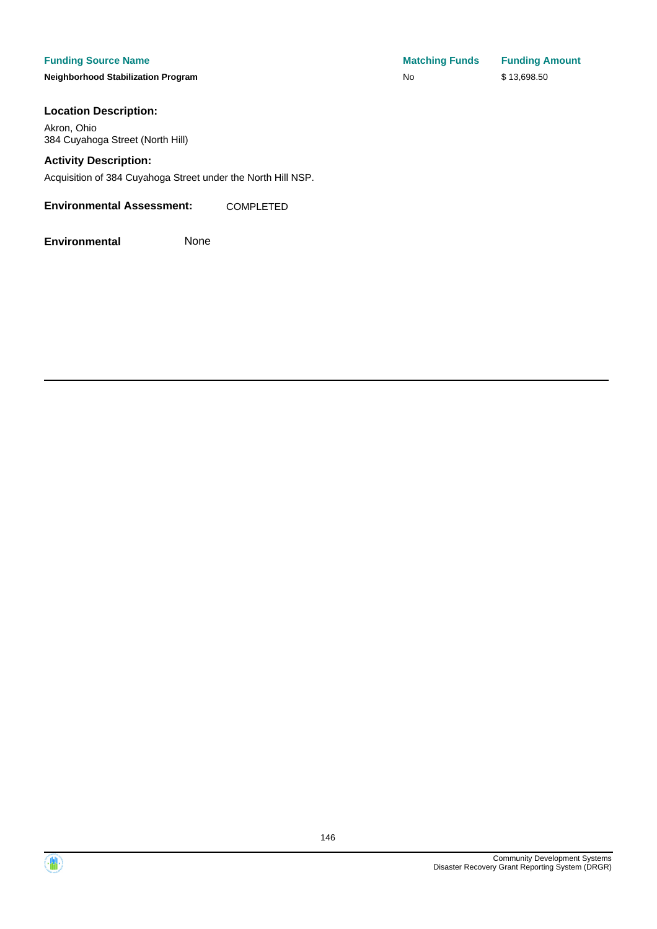#### **Funding Source Name**

**Neighborhood Stabilization Program** 

#### **Location Description:**

Akron, Ohio 384 Cuyahoga Street (North Hill)

#### **Activity Description:**

Acquisition of 384 Cuyahoga Street under the North Hill NSP.

**Environmental Assessment:** COMPLETED

| <b>Matching Funds</b> | <b>Funding Amount</b> |
|-----------------------|-----------------------|
| No                    | \$13,698.50           |



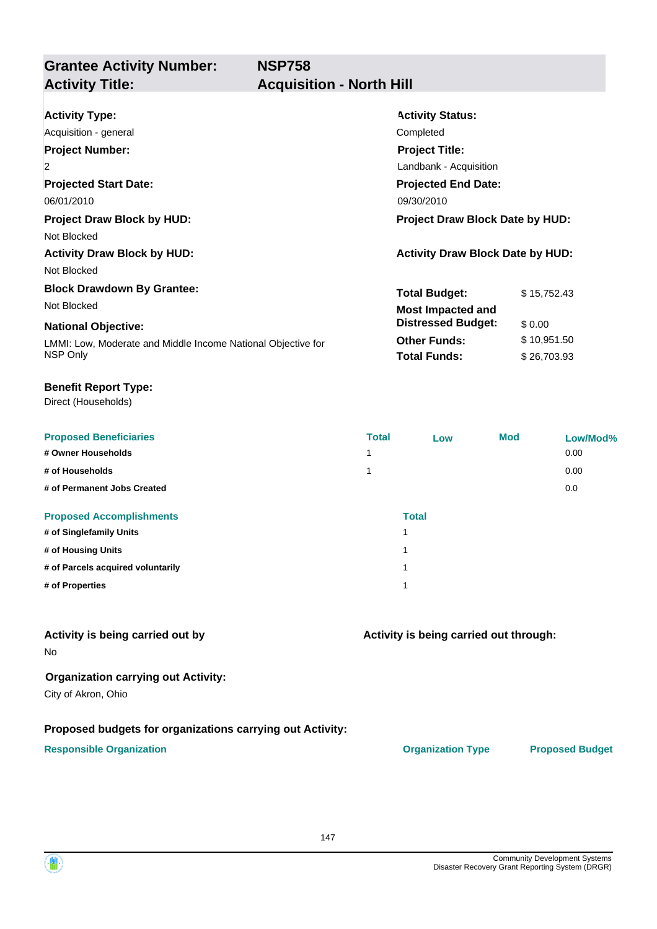**NSP758**

## **Grantee Activity Number: Activity Title: Acquisition - North Hill**

| <b>Activity Type:</b>                                        | <b>Activity Status:</b>                 |             |  |  |
|--------------------------------------------------------------|-----------------------------------------|-------------|--|--|
| Acquisition - general                                        | Completed                               |             |  |  |
| <b>Project Number:</b>                                       | <b>Project Title:</b>                   |             |  |  |
| $\overline{2}$                                               | Landbank - Acquisition                  |             |  |  |
| <b>Projected Start Date:</b>                                 | <b>Projected End Date:</b>              |             |  |  |
| 06/01/2010                                                   | 09/30/2010                              |             |  |  |
| <b>Project Draw Block by HUD:</b>                            | <b>Project Draw Block Date by HUD:</b>  |             |  |  |
| Not Blocked                                                  |                                         |             |  |  |
| <b>Activity Draw Block by HUD:</b>                           | <b>Activity Draw Block Date by HUD:</b> |             |  |  |
| Not Blocked                                                  |                                         |             |  |  |
| <b>Block Drawdown By Grantee:</b>                            | <b>Total Budget:</b>                    | \$15,752.43 |  |  |
| Not Blocked                                                  | <b>Most Impacted and</b>                |             |  |  |
| <b>National Objective:</b>                                   | <b>Distressed Budget:</b>               | \$0.00      |  |  |
| LMMI: Low, Moderate and Middle Income National Objective for | <b>Other Funds:</b>                     | \$10,951.50 |  |  |
| NSP Only                                                     | <b>Total Funds:</b>                     | \$26,703.93 |  |  |

#### **Benefit Report Type:**

Direct (Households)

| <b>Proposed Beneficiaries</b>     | <b>Total</b> | Low          | <b>Mod</b> | Low/Mod% |
|-----------------------------------|--------------|--------------|------------|----------|
| # Owner Households                | 1            |              |            | 0.00     |
| # of Households                   | 1            |              |            | 0.00     |
| # of Permanent Jobs Created       |              |              |            | 0.0      |
| <b>Proposed Accomplishments</b>   |              | <b>Total</b> |            |          |
| # of Singlefamily Units           |              |              |            |          |
| # of Housing Units                |              |              |            |          |
| # of Parcels acquired voluntarily |              |              |            |          |
| # of Properties                   |              |              |            |          |

### **Activity is being carried out by**

No

#### **Organization carrying out Activity:**

City of Akron, Ohio

#### **Proposed budgets for organizations carrying out Activity:**

#### **Responsible Organization CONSERVIRGHT ACCORDING THE CONSERVIRGHT ORGANIZATION Type Proposed Budget**

**Activity is being carried out through:**

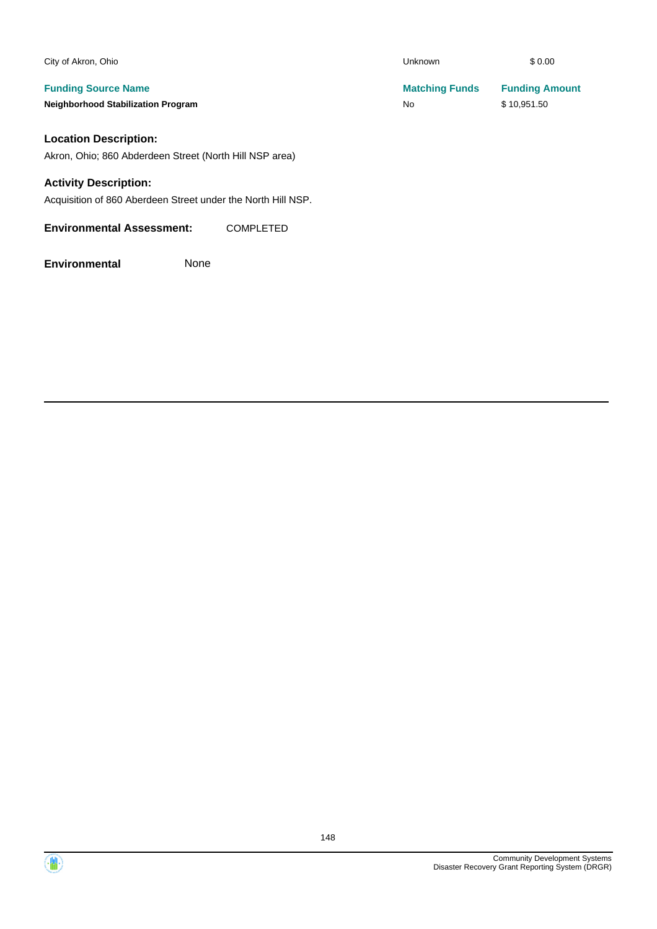| City of Akron, Ohio                                     | Unknown               | \$0.00                |
|---------------------------------------------------------|-----------------------|-----------------------|
| <b>Funding Source Name</b>                              | <b>Matching Funds</b> | <b>Funding Amount</b> |
| <b>Neighborhood Stabilization Program</b>               | No                    | \$10,951.50           |
| <b>Location Description:</b>                            |                       |                       |
| Akron, Ohio; 860 Abderdeen Street (North Hill NSP area) |                       |                       |
| <b>Activity Description:</b>                            |                       |                       |

Acquisition of 860 Aberdeen Street under the North Hill NSP.

**Environmental Assessment:** COMPLETED



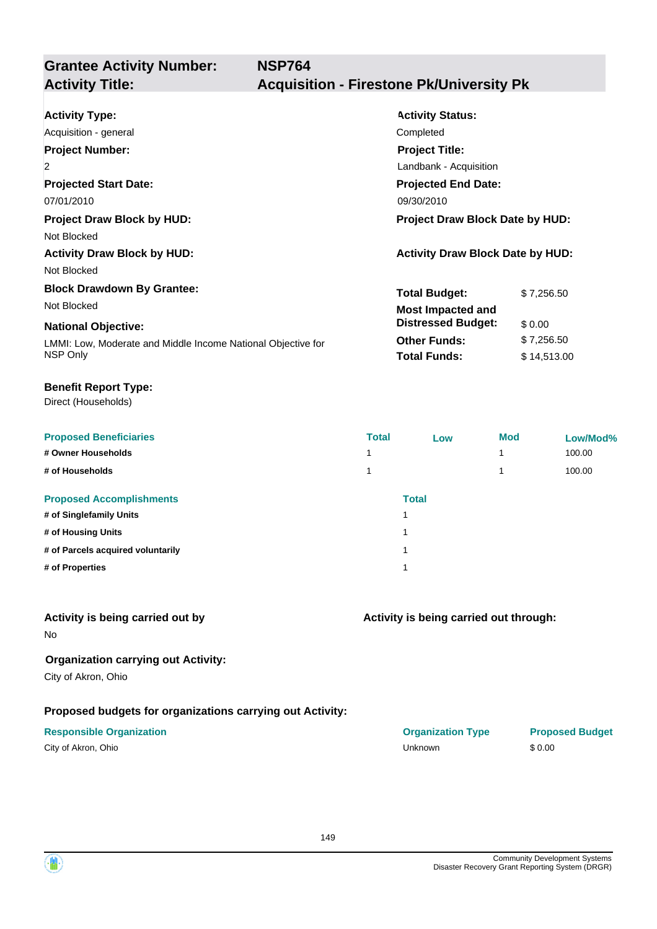**NSP764**

# **Grantee Activity Number:**

# **Activity Title: Acquisition - Firestone Pk/University Pk**

| <b>Activity Type:</b>                                        | <b>Activity Status:</b>                 |             |  |
|--------------------------------------------------------------|-----------------------------------------|-------------|--|
| Acquisition - general                                        | Completed                               |             |  |
| <b>Project Number:</b>                                       | <b>Project Title:</b>                   |             |  |
| $\overline{2}$                                               | Landbank - Acquisition                  |             |  |
| <b>Projected Start Date:</b>                                 | <b>Projected End Date:</b>              |             |  |
| 07/01/2010                                                   | 09/30/2010                              |             |  |
| <b>Project Draw Block by HUD:</b>                            | <b>Project Draw Block Date by HUD:</b>  |             |  |
| Not Blocked                                                  |                                         |             |  |
| <b>Activity Draw Block by HUD:</b>                           | <b>Activity Draw Block Date by HUD:</b> |             |  |
| Not Blocked                                                  |                                         |             |  |
| <b>Block Drawdown By Grantee:</b>                            | <b>Total Budget:</b>                    | \$7,256.50  |  |
| Not Blocked                                                  | <b>Most Impacted and</b>                |             |  |
| <b>National Objective:</b>                                   | <b>Distressed Budget:</b>               | \$0.00      |  |
| LMMI: Low, Moderate and Middle Income National Objective for | <b>Other Funds:</b>                     | \$7,256.50  |  |
| NSP Only                                                     | <b>Total Funds:</b>                     | \$14,513.00 |  |

#### **Benefit Report Type:**

Direct (Households)

| <b>Proposed Beneficiaries</b>     | <b>Total</b> | Low          | <b>Mod</b> | Low/Mod% |
|-----------------------------------|--------------|--------------|------------|----------|
| # Owner Households                | 4            |              |            | 100.00   |
| # of Households                   |              |              |            | 100.00   |
| <b>Proposed Accomplishments</b>   |              | <b>Total</b> |            |          |
| # of Singlefamily Units           |              | и            |            |          |
| # of Housing Units                |              | и            |            |          |
| # of Parcels acquired voluntarily |              | и            |            |          |
| # of Properties                   |              | и            |            |          |
|                                   |              |              |            |          |

#### **Activity is being carried out by**

No

### **Organization carrying out Activity:**

City of Akron, Ohio

### **Proposed budgets for organizations carrying out Activity:**

| City of Akron, Ohio |  |
|---------------------|--|
|---------------------|--|

# **Activity is being carried out through:**

**Responsible Organization COVID-10 COVID-10 Organization Type Proposed Budget** City of Akron, Ohio Unknown \$ 0.00

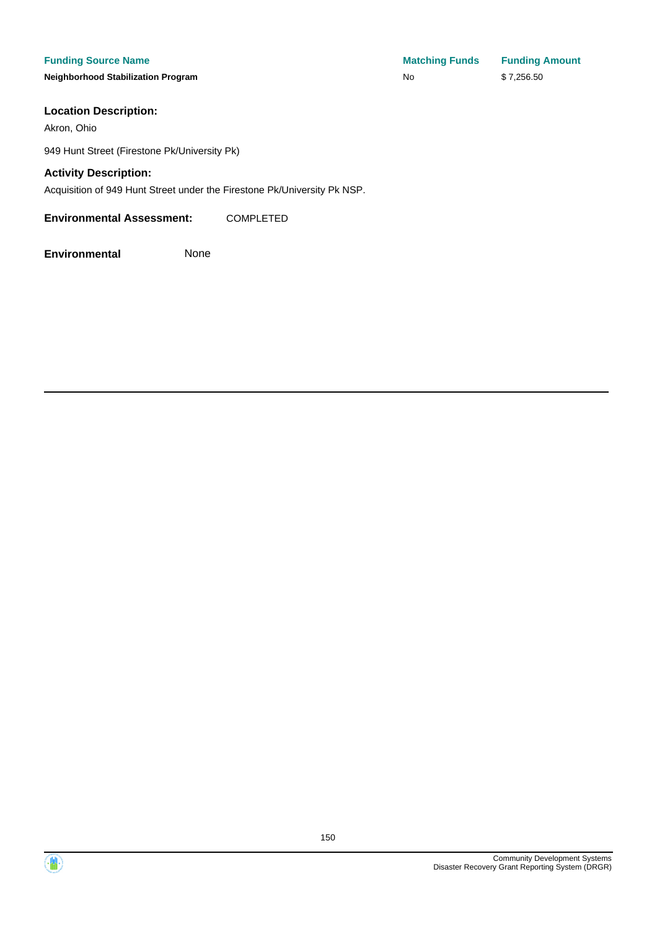**Neighborhood Stabilization Program No No** \$ 7,256.50

### **Location Description:**

Akron, Ohio

949 Hunt Street (Firestone Pk/University Pk)

### **Activity Description:**

Acquisition of 949 Hunt Street under the Firestone Pk/University Pk NSP.

**Environmental Assessment:** COMPLETED

**Environmental** None

**Funding Source Name Matching Funds Funding Amount** 



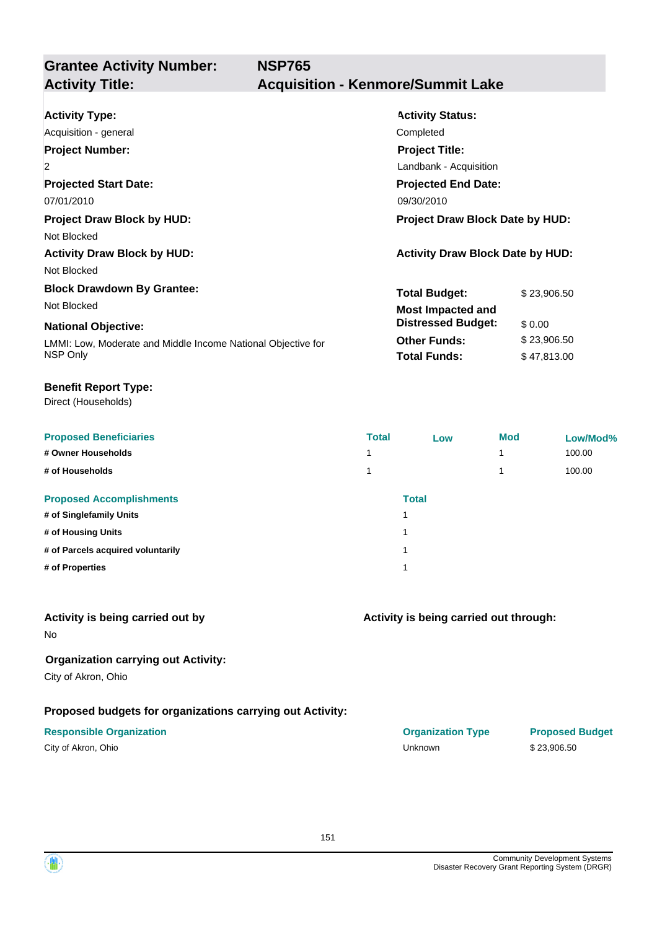## **Acquisition - Kenmore/Summit Lake**

| <b>Activity Type:</b>                                        | <b>Activity Status:</b>                 |             |  |
|--------------------------------------------------------------|-----------------------------------------|-------------|--|
| Acquisition - general                                        | Completed                               |             |  |
| <b>Project Number:</b>                                       | <b>Project Title:</b>                   |             |  |
| $\overline{2}$                                               | Landbank - Acquisition                  |             |  |
| <b>Projected Start Date:</b>                                 | <b>Projected End Date:</b>              |             |  |
| 07/01/2010                                                   | 09/30/2010                              |             |  |
| <b>Project Draw Block by HUD:</b>                            | <b>Project Draw Block Date by HUD:</b>  |             |  |
| Not Blocked                                                  |                                         |             |  |
| <b>Activity Draw Block by HUD:</b>                           | <b>Activity Draw Block Date by HUD:</b> |             |  |
| Not Blocked                                                  |                                         |             |  |
| <b>Block Drawdown By Grantee:</b>                            | <b>Total Budget:</b>                    | \$23,906.50 |  |
| Not Blocked                                                  | <b>Most Impacted and</b>                |             |  |
| <b>National Objective:</b>                                   | <b>Distressed Budget:</b>               | \$0.00      |  |
| LMMI: Low, Moderate and Middle Income National Objective for | <b>Other Funds:</b>                     | \$23,906.50 |  |
| NSP Only                                                     | <b>Total Funds:</b>                     | \$47,813.00 |  |
|                                                              |                                         |             |  |

#### **Benefit Report Type:**

Direct (Households)

| <b>Proposed Beneficiaries</b>     | <b>Total</b> | Low          | <b>Mod</b> | Low/Mod% |
|-----------------------------------|--------------|--------------|------------|----------|
| # Owner Households                |              |              | 4          | 100.00   |
| # of Households                   |              |              |            | 100.00   |
| <b>Proposed Accomplishments</b>   |              | <b>Total</b> |            |          |
| # of Singlefamily Units           |              |              |            |          |
| # of Housing Units                |              |              |            |          |
| # of Parcels acquired voluntarily |              |              |            |          |
| # of Properties                   |              |              |            |          |
|                                   |              |              |            |          |

#### **Activity is being carried out by**

No

### **Organization carrying out Activity:**

City of Akron, Ohio

### **Proposed budgets for organizations carrying out Activity:**

|  | City of Akron, Ohio |  |
|--|---------------------|--|
|--|---------------------|--|

| 1              |  |  |
|----------------|--|--|
| $1 -$          |  |  |
| $1 \quad$      |  |  |
| $\overline{1}$ |  |  |
|                |  |  |

### **Activity is being carried out through:**

| <b>Responsible Organization</b> | <b>Organization Type</b> | <b>Proposed Budget</b> |
|---------------------------------|--------------------------|------------------------|
| City of Akron, Ohio             | <b>Jnknown</b>           | \$23.906.50            |

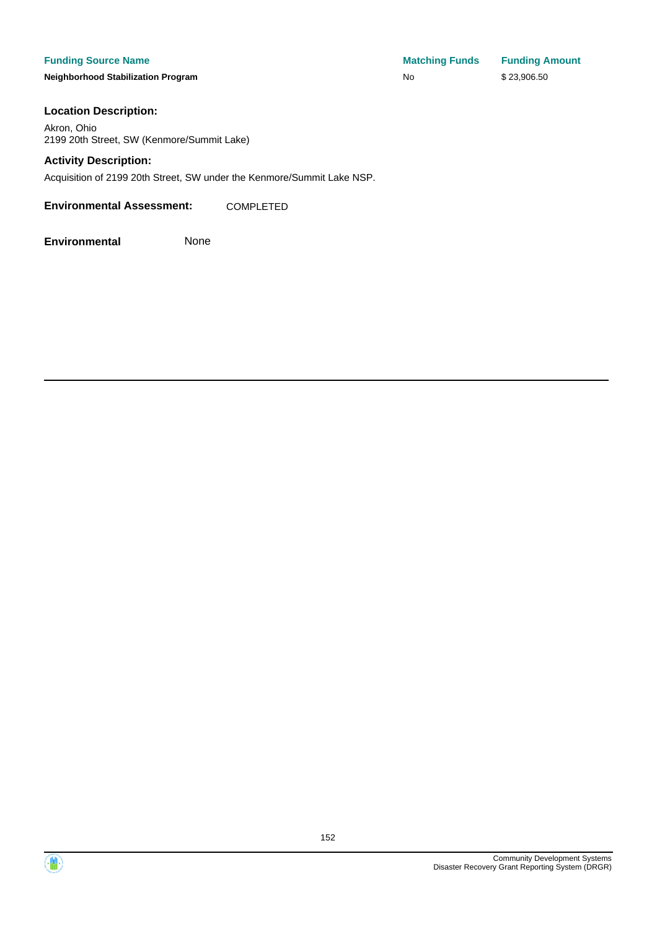**Neighborhood Stabilization Program No No** \$ 23,906.50

**Funding Source Name Matching Funds Funding Amount** 

#### **Location Description:**

Akron, Ohio 2199 20th Street, SW (Kenmore/Summit Lake)

#### **Activity Description:**

Acquisition of 2199 20th Street, SW under the Kenmore/Summit Lake NSP.

**Environmental Assessment:** COMPLETED

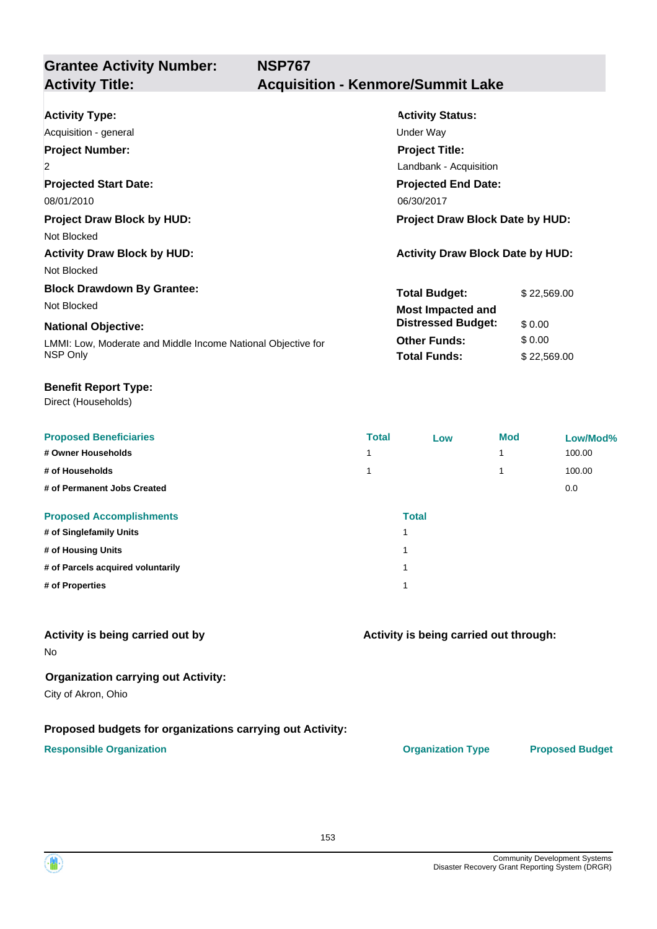**Grantee Activity Number: NSP767 Activity Title: Acquisition - Kenmore/Summit Lake**

| <b>Activity Type:</b>                                        | <b>Activity Status:</b>                 |             |  |  |
|--------------------------------------------------------------|-----------------------------------------|-------------|--|--|
| Acquisition - general                                        | Under Way                               |             |  |  |
| <b>Project Number:</b>                                       | <b>Project Title:</b>                   |             |  |  |
| $\overline{2}$                                               | Landbank - Acquisition                  |             |  |  |
| <b>Projected Start Date:</b>                                 | <b>Projected End Date:</b>              |             |  |  |
| 08/01/2010                                                   | 06/30/2017                              |             |  |  |
| <b>Project Draw Block by HUD:</b>                            | Project Draw Block Date by HUD:         |             |  |  |
| Not Blocked                                                  |                                         |             |  |  |
| <b>Activity Draw Block by HUD:</b>                           | <b>Activity Draw Block Date by HUD:</b> |             |  |  |
| Not Blocked                                                  |                                         |             |  |  |
| <b>Block Drawdown By Grantee:</b>                            | <b>Total Budget:</b>                    | \$22,569.00 |  |  |
| Not Blocked                                                  | <b>Most Impacted and</b>                |             |  |  |
| <b>National Objective:</b>                                   | <b>Distressed Budget:</b>               | \$0.00      |  |  |
| LMMI: Low, Moderate and Middle Income National Objective for | <b>Other Funds:</b>                     | \$0.00      |  |  |
| NSP Only                                                     | <b>Total Funds:</b>                     | \$22,569.00 |  |  |
|                                                              |                                         |             |  |  |

#### **Benefit Report Type:**

Direct (Households)

| <b>Proposed Beneficiaries</b>     | <b>Total</b> | Low          | <b>Mod</b> | Low/Mod% |
|-----------------------------------|--------------|--------------|------------|----------|
| # Owner Households                | ◢            |              |            | 100.00   |
| # of Households                   |              |              |            | 100.00   |
| # of Permanent Jobs Created       |              |              |            | 0.0      |
| <b>Proposed Accomplishments</b>   |              | <b>Total</b> |            |          |
| # of Singlefamily Units           |              |              |            |          |
| # of Housing Units                |              |              |            |          |
| # of Parcels acquired voluntarily |              |              |            |          |
| # of Properties                   |              |              |            |          |

#### **Activity is being carried out by**

No

#### **Organization carrying out Activity:**

City of Akron, Ohio

#### **Proposed budgets for organizations carrying out Activity:**

#### **Responsible Organization CONSERVIRGHT ACCORDING THE CONSERVIRGHT ORGANIZATION Type Proposed Budget**

**Activity is being carried out through:**

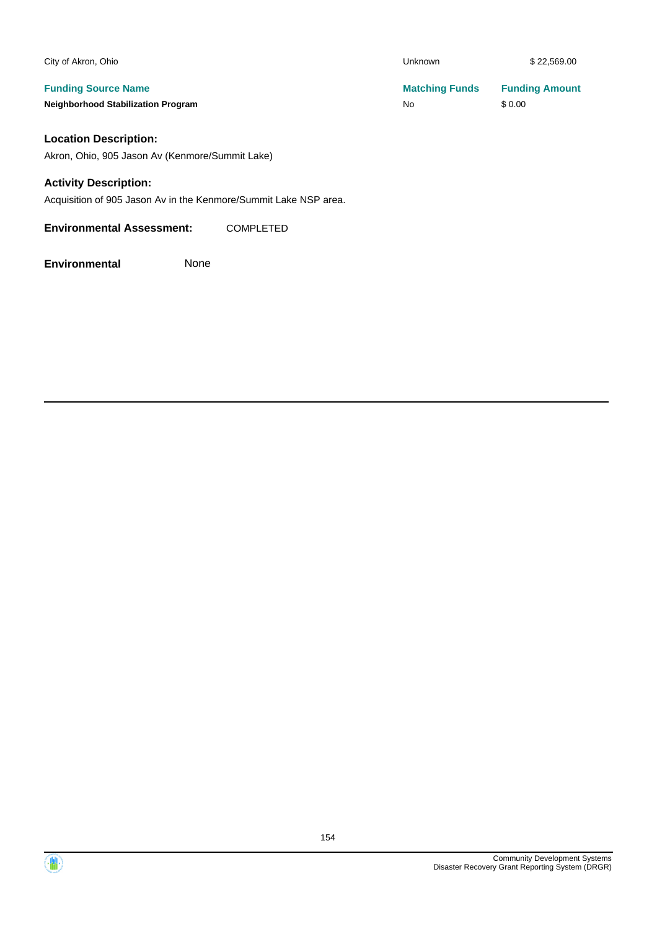| City of Akron, Ohio                       | Unknown               | \$22,569.00           |
|-------------------------------------------|-----------------------|-----------------------|
| <b>Funding Source Name</b>                | <b>Matching Funds</b> | <b>Funding Amount</b> |
| <b>Neighborhood Stabilization Program</b> | No                    | \$0.00                |

#### **Location Description:**

Akron, Ohio, 905 Jason Av (Kenmore/Summit Lake)

#### **Activity Description:**

Acquisition of 905 Jason Av in the Kenmore/Summit Lake NSP area.

**Environmental Assessment:** COMPLETED

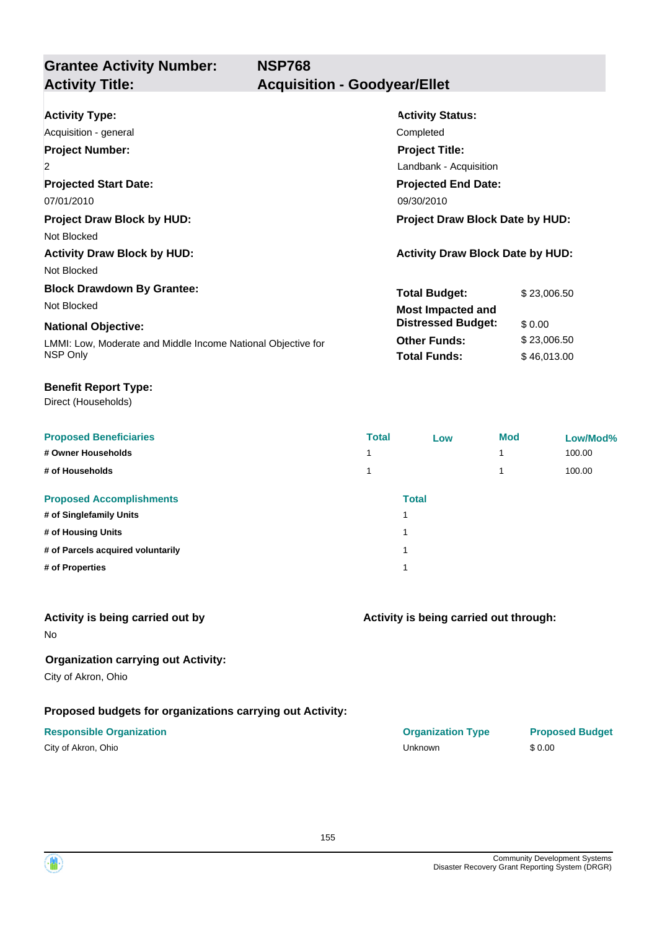**Grantee Activity Number: NSP768 Activity Title: Acquisition - Goodyear/Ellet**

| <b>Activity Type:</b>                                        | <b>Activity Status:</b>                 |             |
|--------------------------------------------------------------|-----------------------------------------|-------------|
| Acquisition - general                                        | Completed                               |             |
| <b>Project Number:</b>                                       | <b>Project Title:</b>                   |             |
| 2                                                            | Landbank - Acquisition                  |             |
| <b>Projected Start Date:</b>                                 | <b>Projected End Date:</b>              |             |
| 07/01/2010                                                   | 09/30/2010                              |             |
| <b>Project Draw Block by HUD:</b>                            | <b>Project Draw Block Date by HUD:</b>  |             |
| Not Blocked                                                  |                                         |             |
| <b>Activity Draw Block by HUD:</b>                           | <b>Activity Draw Block Date by HUD:</b> |             |
| Not Blocked                                                  |                                         |             |
| <b>Block Drawdown By Grantee:</b>                            | <b>Total Budget:</b>                    | \$23,006.50 |
| Not Blocked                                                  | <b>Most Impacted and</b>                |             |
| <b>National Objective:</b>                                   | <b>Distressed Budget:</b>               | \$0.00      |
| LMMI: Low, Moderate and Middle Income National Objective for | <b>Other Funds:</b>                     | \$23,006.50 |
| NSP Only                                                     | <b>Total Funds:</b>                     | \$46,013.00 |
|                                                              |                                         |             |

#### **Benefit Report Type:**

Direct (Households)

| <b>Proposed Beneficiaries</b>     | <b>Total</b> | Low   | <b>Mod</b> | Low/Mod% |
|-----------------------------------|--------------|-------|------------|----------|
| # Owner Households                |              |       |            | 100.00   |
| # of Households                   |              |       |            | 100.00   |
| <b>Proposed Accomplishments</b>   |              | Total |            |          |
| # of Singlefamily Units           |              | ٠     |            |          |
| # of Housing Units                |              | ۸     |            |          |
| # of Parcels acquired voluntarily |              | 4     |            |          |
| # of Properties                   |              | ٠     |            |          |
|                                   |              |       |            |          |

### **Activity is being carried out by**

No

### **Organization carrying out Activity:**

City of Akron, Ohio

### **Proposed budgets for organizations carrying out Activity:**

### **Responsible Organization COVID-10 COVID-10 Organization Type Proposed Budget**

| City of Akron, Ohio |  |
|---------------------|--|
|---------------------|--|

| Activity is being carried out through: |  |
|----------------------------------------|--|
|                                        |  |
|                                        |  |

| Responsible Organization | <b>Organization Type</b> | <b>Prop</b> |
|--------------------------|--------------------------|-------------|
| City of Akron, Ohio      | Unknown                  | \$0.00      |

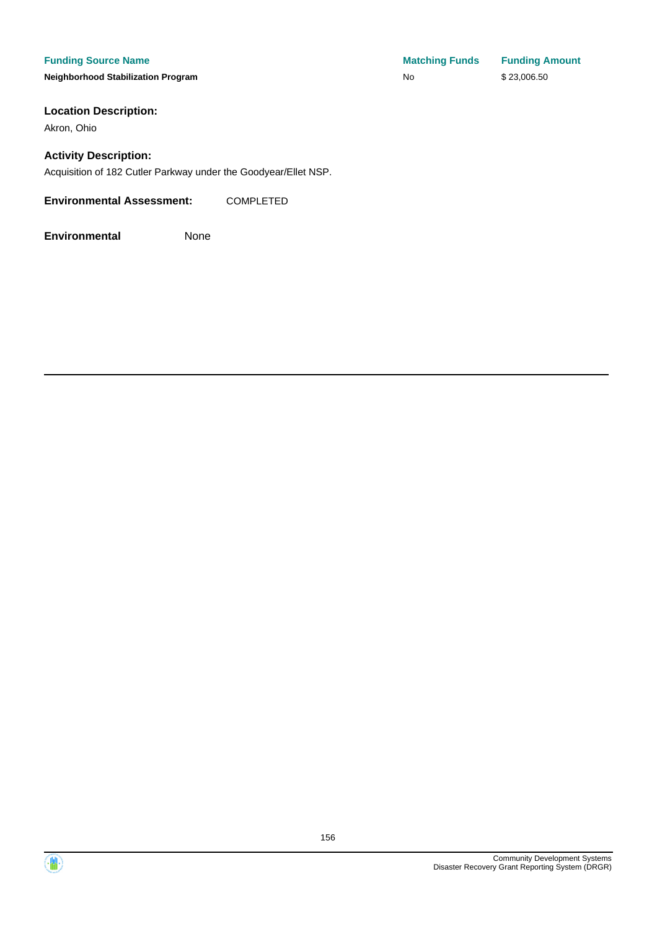#### **Funding Source Name**

**Neighborhood Stabilization Program** 

### **Location Description:**

Akron, Ohio

#### **Activity Description:**

Acquisition of 182 Cutler Parkway under the Goodyear/Ellet NSP.

#### **Environmental Assessment:** COMPLETED

| <b>Matching Funds</b> | <b>Funding Amount</b> |
|-----------------------|-----------------------|
| No                    | \$23,006.50           |



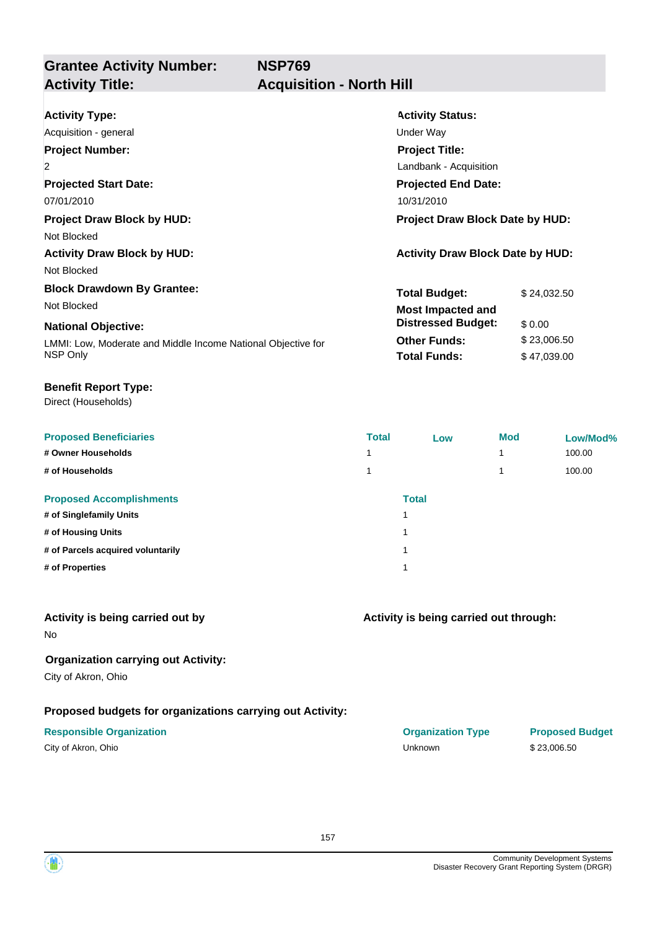**NSP769**

# **Grantee Activity Number:**

## **Activity Title: Acquisition - North Hill**

| <b>Activity Type:</b>                                        | <b>Activity Status:</b>                 |             |  |  |
|--------------------------------------------------------------|-----------------------------------------|-------------|--|--|
| Acquisition - general                                        | Under Way                               |             |  |  |
| <b>Project Number:</b>                                       | <b>Project Title:</b>                   |             |  |  |
| $\overline{2}$                                               | Landbank - Acquisition                  |             |  |  |
| <b>Projected Start Date:</b>                                 | <b>Projected End Date:</b>              |             |  |  |
| 07/01/2010                                                   | 10/31/2010                              |             |  |  |
| <b>Project Draw Block by HUD:</b>                            | <b>Project Draw Block Date by HUD:</b>  |             |  |  |
| Not Blocked                                                  |                                         |             |  |  |
| <b>Activity Draw Block by HUD:</b>                           | <b>Activity Draw Block Date by HUD:</b> |             |  |  |
| Not Blocked                                                  |                                         |             |  |  |
| <b>Block Drawdown By Grantee:</b>                            | <b>Total Budget:</b>                    | \$24,032.50 |  |  |
| Not Blocked                                                  | <b>Most Impacted and</b>                |             |  |  |
| <b>National Objective:</b>                                   | <b>Distressed Budget:</b>               | \$0.00      |  |  |
| LMMI: Low, Moderate and Middle Income National Objective for | <b>Other Funds:</b>                     | \$23,006.50 |  |  |
| NSP Only                                                     | <b>Total Funds:</b>                     | \$47,039.00 |  |  |

#### **Benefit Report Type:**

Direct (Households)

| <b>Proposed Beneficiaries</b>     | <b>Total</b> | Low          | <b>Mod</b> | Low/Mod% |
|-----------------------------------|--------------|--------------|------------|----------|
| # Owner Households                |              |              |            | 100.00   |
| # of Households                   |              |              |            | 100.00   |
| <b>Proposed Accomplishments</b>   |              | <b>Total</b> |            |          |
| # of Singlefamily Units           |              | ٠            |            |          |
| # of Housing Units                |              | ٠            |            |          |
| # of Parcels acquired voluntarily |              |              |            |          |
| # of Properties                   |              | и            |            |          |

#### **Activity is being carried out by**

No

### **Organization carrying out Activity:**

City of Akron, Ohio

### **Proposed budgets for organizations carrying out Activity:**

| City of Akron, Ohio |  |
|---------------------|--|
|---------------------|--|

# **Activity is being carried out through:**

**Responsible Organization COVID-10 COVID-10 Organization Type Proposed Budget** City of Akron, Ohio Unknown \$ 23,006.50

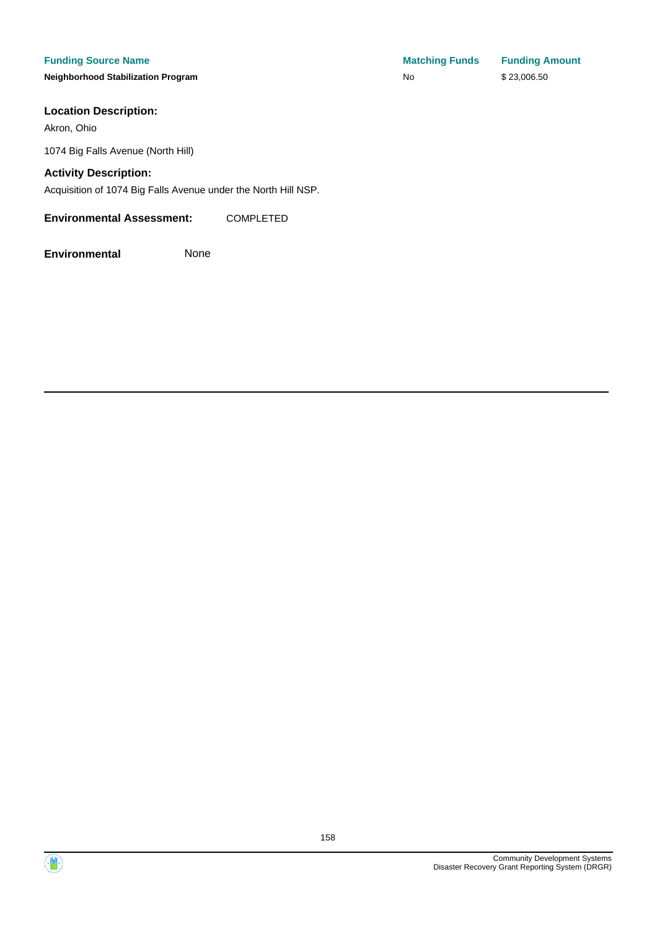**Neighborhood Stabilization Program No No** \$ 23,006.50

#### **Location Description:**

Akron, Ohio

1074 Big Falls Avenue (North Hill)

#### **Activity Description:**

Acquisition of 1074 Big Falls Avenue under the North Hill NSP.

#### **Environmental Assessment:** COMPLETED

**Environmental** None

**Funding Source Name Matching Funds Funding Amount** 



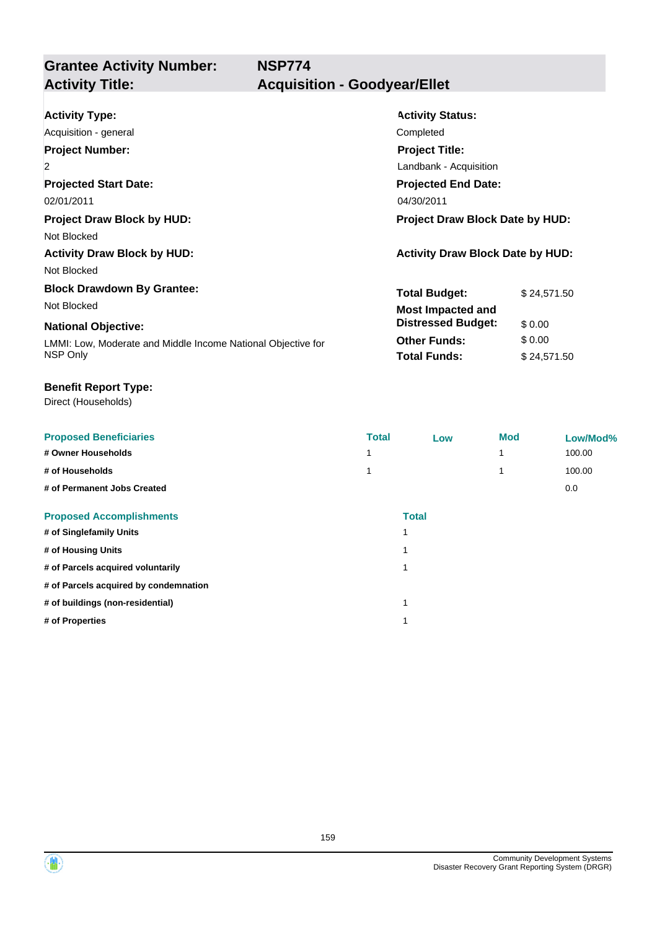| <b>Activity Type:</b>                                        | <b>Activity Status:</b>                 |             |  |
|--------------------------------------------------------------|-----------------------------------------|-------------|--|
| Acquisition - general                                        | Completed                               |             |  |
| <b>Project Number:</b>                                       | <b>Project Title:</b>                   |             |  |
| $\overline{2}$                                               | Landbank - Acquisition                  |             |  |
| <b>Projected Start Date:</b>                                 | <b>Projected End Date:</b>              |             |  |
| 02/01/2011                                                   | 04/30/2011                              |             |  |
| <b>Project Draw Block by HUD:</b>                            | <b>Project Draw Block Date by HUD:</b>  |             |  |
| Not Blocked                                                  |                                         |             |  |
| <b>Activity Draw Block by HUD:</b>                           | <b>Activity Draw Block Date by HUD:</b> |             |  |
| Not Blocked                                                  |                                         |             |  |
| <b>Block Drawdown By Grantee:</b>                            | <b>Total Budget:</b>                    | \$24,571.50 |  |
| Not Blocked                                                  | <b>Most Impacted and</b>                |             |  |
| <b>National Objective:</b>                                   | <b>Distressed Budget:</b>               | \$0.00      |  |
| LMMI: Low, Moderate and Middle Income National Objective for | <b>Other Funds:</b>                     | \$0.00      |  |
| NSP Only                                                     | <b>Total Funds:</b>                     | \$24,571.50 |  |

#### **Benefit Report Type:**

Direct (Households)

| <b>Proposed Beneficiaries</b>         | <b>Total</b> | Low          | <b>Mod</b> | Low/Mod% |
|---------------------------------------|--------------|--------------|------------|----------|
| # Owner Households                    |              |              |            | 100.00   |
| # of Households                       |              |              |            | 100.00   |
| # of Permanent Jobs Created           |              |              |            | 0.0      |
| <b>Proposed Accomplishments</b>       |              | <b>Total</b> |            |          |
| # of Singlefamily Units               |              |              |            |          |
| # of Housing Units                    |              |              |            |          |
| # of Parcels acquired voluntarily     |              | 1            |            |          |
| # of Parcels acquired by condemnation |              |              |            |          |
| # of buildings (non-residential)      |              | 1            |            |          |
| # of Properties                       |              |              |            |          |
|                                       |              |              |            |          |

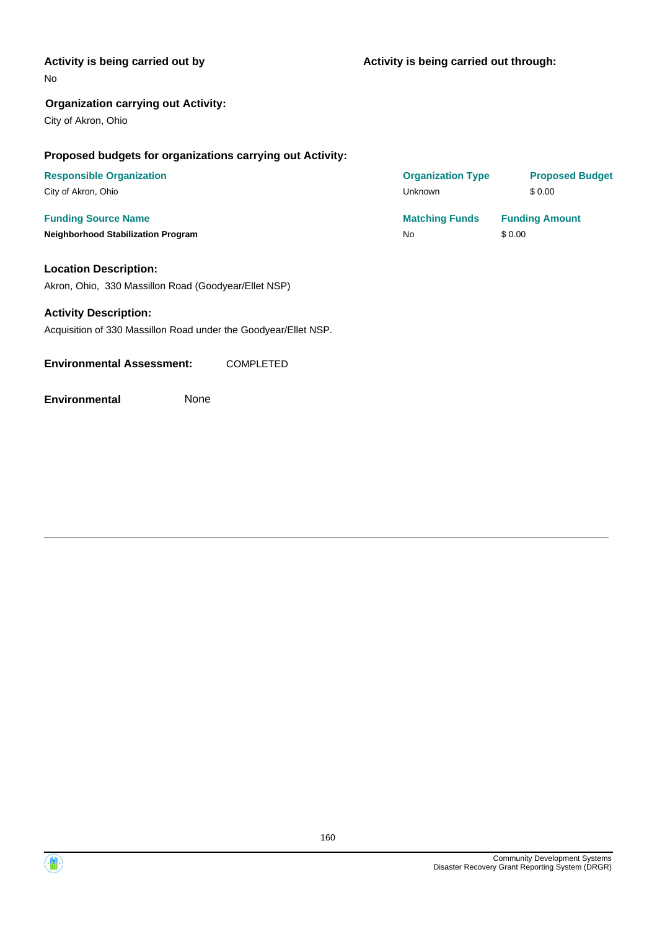#### **Activity is being carried out by**

No

#### **Organization carrying out Activity:**

City of Akron, Ohio

#### **Proposed budgets for organizations carrying out Activity:**

# **Neighborhood Stabilization Program No** \$ 0.00

#### **Location Description:**

Akron, Ohio, 330 Massillon Road (Goodyear/Ellet NSP)

#### **Activity Description:**

Acquisition of 330 Massillon Road under the Goodyear/Ellet NSP.

**Environmental Assessment:** COMPLETED

**Environmental** None

**Funding Source Name <b>Matching Funds Funding Amount Matching Funds Funding Amount Responsible Organization COVID-10 COVID-10 Organization Type Proposed Budget** City of Akron, Ohio Unknown \$ 0.00

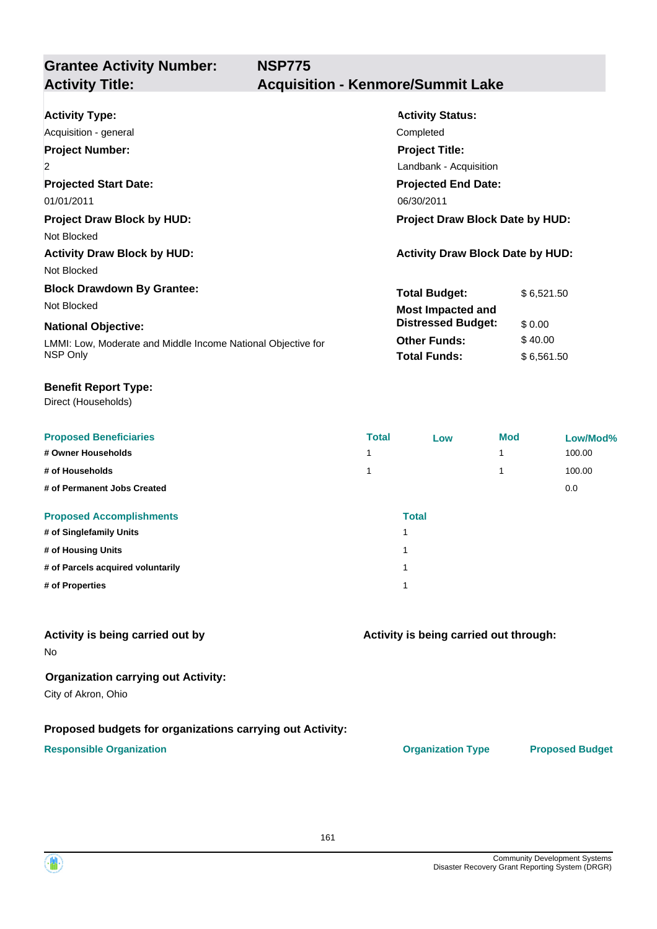| <b>Activity Type:</b>                                        | <b>Activity Status:</b>                 |            |  |
|--------------------------------------------------------------|-----------------------------------------|------------|--|
| Acquisition - general                                        | Completed                               |            |  |
| <b>Project Number:</b>                                       | <b>Project Title:</b>                   |            |  |
| $\overline{2}$                                               | Landbank - Acquisition                  |            |  |
| <b>Projected Start Date:</b>                                 | <b>Projected End Date:</b>              |            |  |
| 01/01/2011                                                   | 06/30/2011                              |            |  |
| <b>Project Draw Block by HUD:</b>                            | <b>Project Draw Block Date by HUD:</b>  |            |  |
| Not Blocked                                                  |                                         |            |  |
| <b>Activity Draw Block by HUD:</b>                           | <b>Activity Draw Block Date by HUD:</b> |            |  |
| Not Blocked                                                  |                                         |            |  |
| <b>Block Drawdown By Grantee:</b>                            | <b>Total Budget:</b>                    | \$6,521.50 |  |
| Not Blocked                                                  | <b>Most Impacted and</b>                |            |  |
| <b>National Objective:</b>                                   | <b>Distressed Budget:</b>               | \$0.00     |  |
| LMMI: Low, Moderate and Middle Income National Objective for | <b>Other Funds:</b>                     | \$40.00    |  |
| NSP Only                                                     | <b>Total Funds:</b>                     | \$6,561.50 |  |

#### **Benefit Report Type:**

Direct (Households)

| <b>Proposed Beneficiaries</b>     | <b>Total</b> | Low | <b>Mod</b> | Low/Mod% |
|-----------------------------------|--------------|-----|------------|----------|
| # Owner Households                |              |     | и          | 100.00   |
| # of Households                   |              |     |            | 100.00   |
| # of Permanent Jobs Created       |              |     |            | 0.0      |
| <b>Proposed Accomplishments</b>   | <b>Total</b> |     |            |          |
| # of Singlefamily Units           |              |     |            |          |
| # of Housing Units                |              |     |            |          |
| # of Parcels acquired voluntarily |              |     |            |          |
| # of Properties                   |              |     |            |          |

#### **Activity is being carried out by**

No

#### **Organization carrying out Activity:**

City of Akron, Ohio

#### **Proposed budgets for organizations carrying out Activity:**

#### **Responsible Organization CONSERVIRGHT ACCORDING THE CONSERVIRGHT ORGANIZATION Type Proposed Budget**

**Activity is being carried out through:**

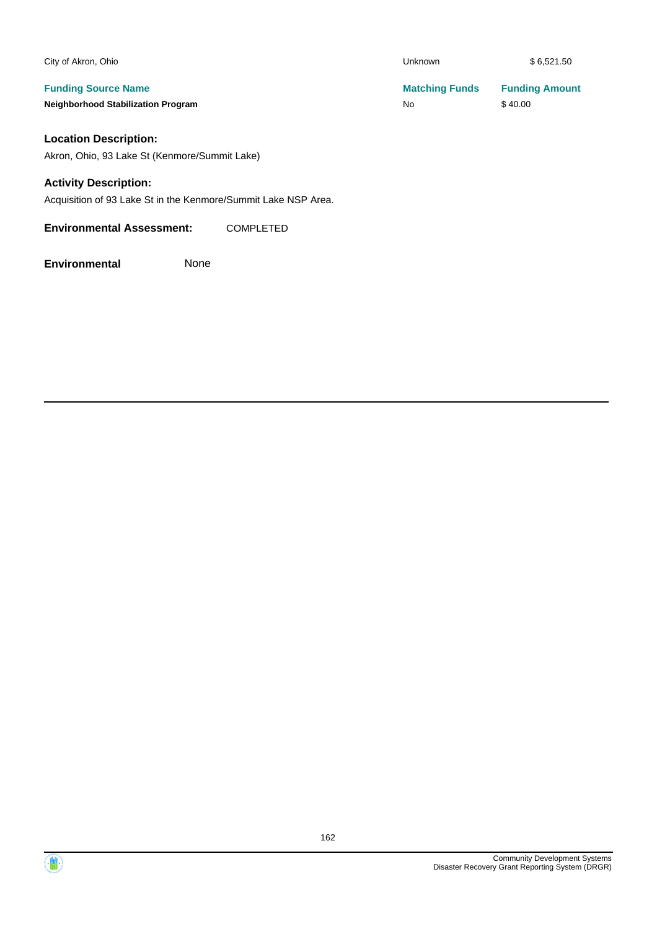| City of Akron, Ohio                       | <b>Unknown</b>        | \$6.521.50            |
|-------------------------------------------|-----------------------|-----------------------|
| <b>Funding Source Name</b>                | <b>Matching Funds</b> | <b>Funding Amount</b> |
| <b>Neighborhood Stabilization Program</b> | No                    | \$40.00               |

### **Location Description:**

Akron, Ohio, 93 Lake St (Kenmore/Summit Lake)

#### **Activity Description:**

Acquisition of 93 Lake St in the Kenmore/Summit Lake NSP Area.

**Environmental Assessment:** COMPLETED

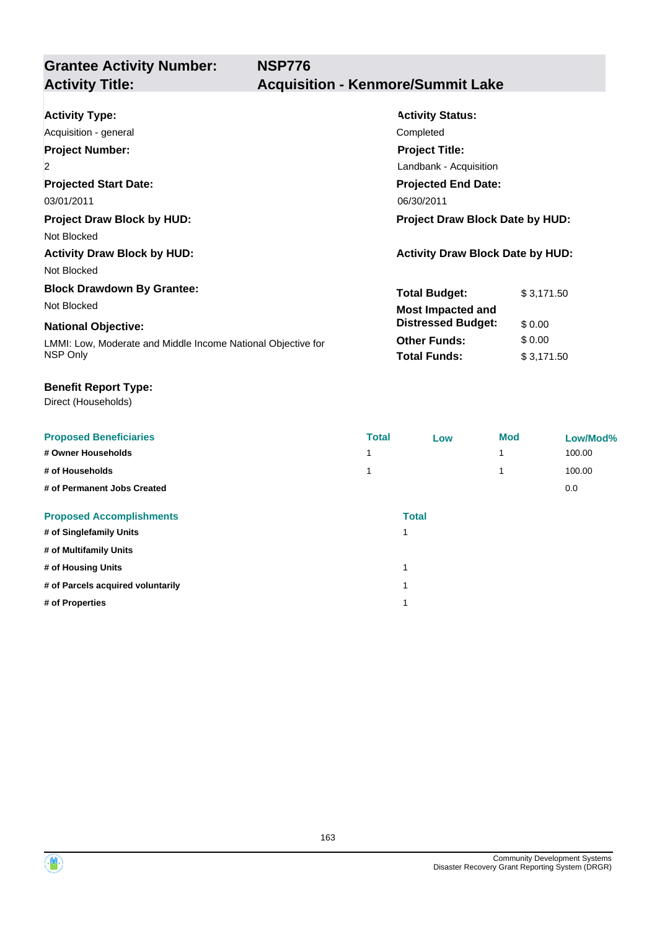| <b>Activity Type:</b>                                        | <b>Activity Status:</b>                 |  |  |
|--------------------------------------------------------------|-----------------------------------------|--|--|
| Acquisition - general                                        | Completed                               |  |  |
| <b>Project Number:</b>                                       | <b>Project Title:</b>                   |  |  |
| $\overline{2}$                                               | Landbank - Acquisition                  |  |  |
| <b>Projected Start Date:</b>                                 | <b>Projected End Date:</b>              |  |  |
| 03/01/2011                                                   | 06/30/2011                              |  |  |
| <b>Project Draw Block by HUD:</b>                            | <b>Project Draw Block Date by HUD:</b>  |  |  |
| Not Blocked                                                  |                                         |  |  |
| <b>Activity Draw Block by HUD:</b>                           | <b>Activity Draw Block Date by HUD:</b> |  |  |
| Not Blocked                                                  |                                         |  |  |
| <b>Block Drawdown By Grantee:</b>                            | <b>Total Budget:</b><br>\$3,171.50      |  |  |
| Not Blocked                                                  | <b>Most Impacted and</b>                |  |  |
| <b>National Objective:</b>                                   | <b>Distressed Budget:</b><br>\$0.00     |  |  |
| LMMI: Low, Moderate and Middle Income National Objective for | <b>Other Funds:</b><br>\$0.00           |  |  |
| NSP Only                                                     | <b>Total Funds:</b><br>\$3,171.50       |  |  |

#### **Benefit Report Type:**

Direct (Households)

| <b>Proposed Beneficiaries</b>     | <b>Total</b> | Low          | <b>Mod</b> | Low/Mod% |
|-----------------------------------|--------------|--------------|------------|----------|
| # Owner Households                |              |              | 1          | 100.00   |
| # of Households                   |              |              | 1          | 100.00   |
| # of Permanent Jobs Created       |              |              |            | 0.0      |
| <b>Proposed Accomplishments</b>   |              | <b>Total</b> |            |          |
| # of Singlefamily Units           |              |              |            |          |
| # of Multifamily Units            |              |              |            |          |
| # of Housing Units                |              | и            |            |          |
| # of Parcels acquired voluntarily |              |              |            |          |
| # of Properties                   |              |              |            |          |
|                                   |              |              |            |          |

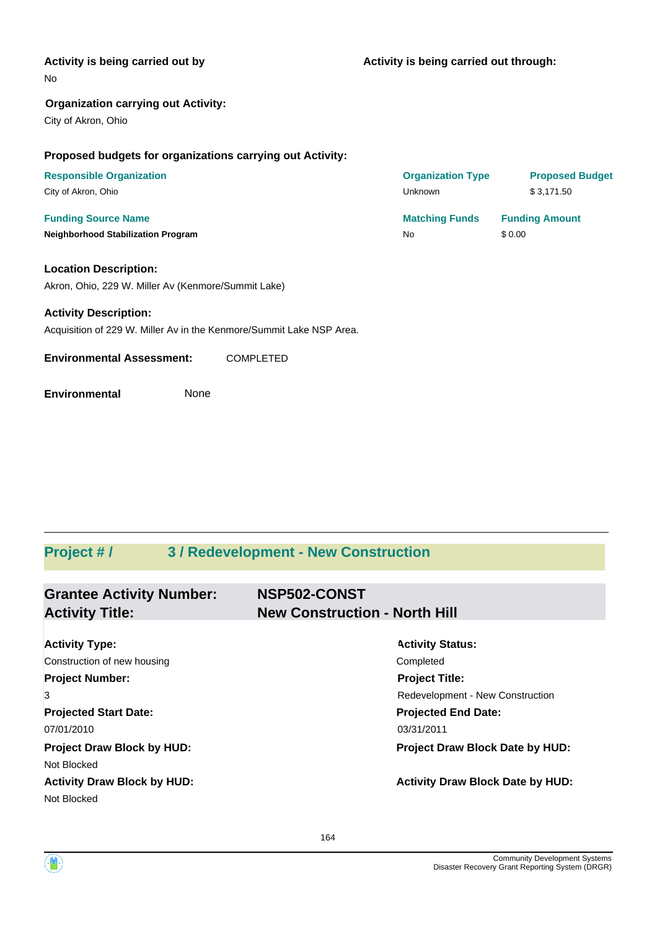#### **Activity is being carried out by**

#### No

#### **Organization carrying out Activity:**

City of Akron, Ohio

#### **Proposed budgets for organizations carrying out Activity:**

| <b>Responsible Organization</b>           | <b>Organization Type</b> | <b>Proposed Budget</b> |
|-------------------------------------------|--------------------------|------------------------|
| City of Akron, Ohio                       | Unknown                  | \$3.171.50             |
| <b>Funding Source Name</b>                | <b>Matching Funds</b>    | <b>Funding Amount</b>  |
| <b>Neighborhood Stabilization Program</b> | No                       | \$0.00                 |

**Location Description:** Akron, Ohio, 229 W. Miller Av (Kenmore/Summit Lake)

#### **Activity Description:**

Acquisition of 229 W. Miller Av in the Kenmore/Summit Lake NSP Area.

**Environmental Assessment:** COMPLETED

**Environmental** None

# **Project # / 3 / Redevelopment - New Construction**

| <b>Grantee Activity Number:</b><br><b>Activity Title:</b> | NSP502-CONST<br><b>New Construction - North Hill</b> |  |  |
|-----------------------------------------------------------|------------------------------------------------------|--|--|
| <b>Activity Type:</b>                                     | <b>Activity Status:</b>                              |  |  |
| Construction of new housing                               | Completed                                            |  |  |
| <b>Project Number:</b>                                    | <b>Project Title:</b>                                |  |  |
| 3                                                         | Redevelopment - New Construction                     |  |  |
| <b>Projected Start Date:</b>                              | <b>Projected End Date:</b>                           |  |  |
| 07/01/2010                                                | 03/31/2011                                           |  |  |
| <b>Project Draw Block by HUD:</b>                         | <b>Project Draw Block Date by HUD:</b>               |  |  |
| Not Blocked                                               |                                                      |  |  |
| <b>Activity Draw Block by HUD:</b><br>Not Blocked         | <b>Activity Draw Block Date by HUD:</b>              |  |  |

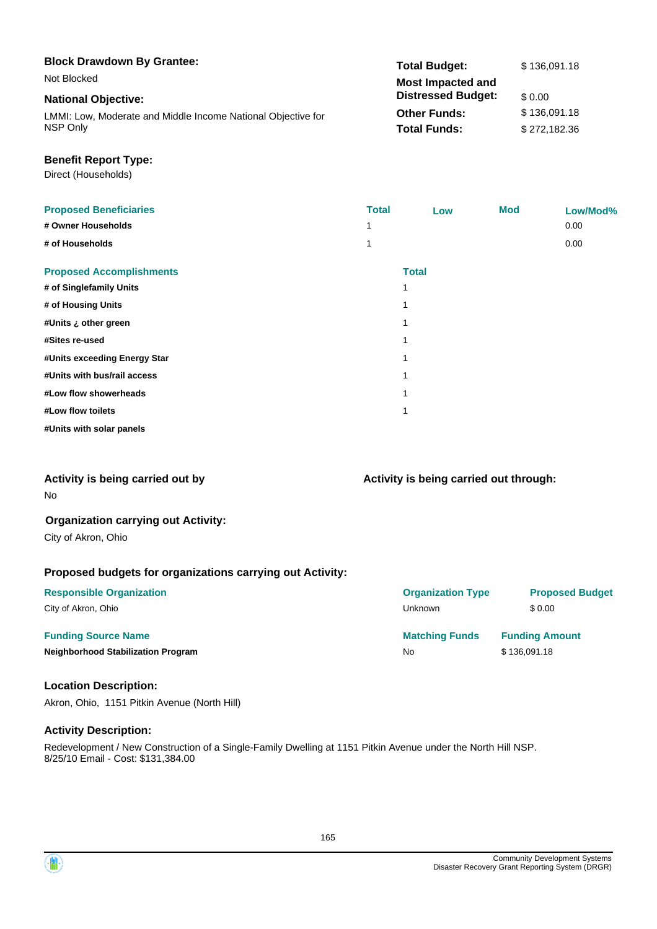| <b>Block Drawdown By Grantee:</b>                            | <b>Total Budget:</b>      | \$136,091.18 |
|--------------------------------------------------------------|---------------------------|--------------|
| Not Blocked                                                  | <b>Most Impacted and</b>  |              |
| <b>National Objective:</b>                                   | <b>Distressed Budget:</b> | \$0.00       |
| LMMI: Low, Moderate and Middle Income National Objective for | <b>Other Funds:</b>       | \$136,091.18 |
| NSP Only                                                     | <b>Total Funds:</b>       | \$272.182.36 |

#### **Benefit Report Type:**

Direct (Households)

| <b>Proposed Beneficiaries</b>   | <b>Total</b> |              | Low | <b>Mod</b> | Low/Mod% |
|---------------------------------|--------------|--------------|-----|------------|----------|
| # Owner Households              | 1            |              |     |            | 0.00     |
| # of Households                 | 1            |              |     |            | 0.00     |
| <b>Proposed Accomplishments</b> |              | <b>Total</b> |     |            |          |
| # of Singlefamily Units         |              |              |     |            |          |
| # of Housing Units              |              |              |     |            |          |
| #Units ¿ other green            |              | 1            |     |            |          |
| #Sites re-used                  |              |              |     |            |          |
| #Units exceeding Energy Star    |              | 1            |     |            |          |
| #Units with bus/rail access     |              |              |     |            |          |
| #Low flow showerheads           |              |              |     |            |          |
| #Low flow toilets               |              | 1            |     |            |          |
| #Units with solar panels        |              |              |     |            |          |

#### **Activity is being carried out by**

No

#### **Organization carrying out Activity:**

City of Akron, Ohio

#### **Proposed budgets for organizations carrying out Activity:**

| <b>Responsible Organization</b>           | <b>Organization Type</b> | <b>Proposed Budget</b> |
|-------------------------------------------|--------------------------|------------------------|
| City of Akron, Ohio                       | <b>Unknown</b>           | \$ 0.00                |
| <b>Funding Source Name</b>                | <b>Matching Funds</b>    | <b>Funding Amount</b>  |
| <b>Neighborhood Stabilization Program</b> | No.                      | \$136,091.18           |

#### **Location Description:**

Akron, Ohio, 1151 Pitkin Avenue (North Hill)

#### **Activity Description:**

Redevelopment / New Construction of a Single-Family Dwelling at 1151 Pitkin Avenue under the North Hill NSP. 8/25/10 Email - Cost: \$131,384.00

**Activity is being carried out through:**

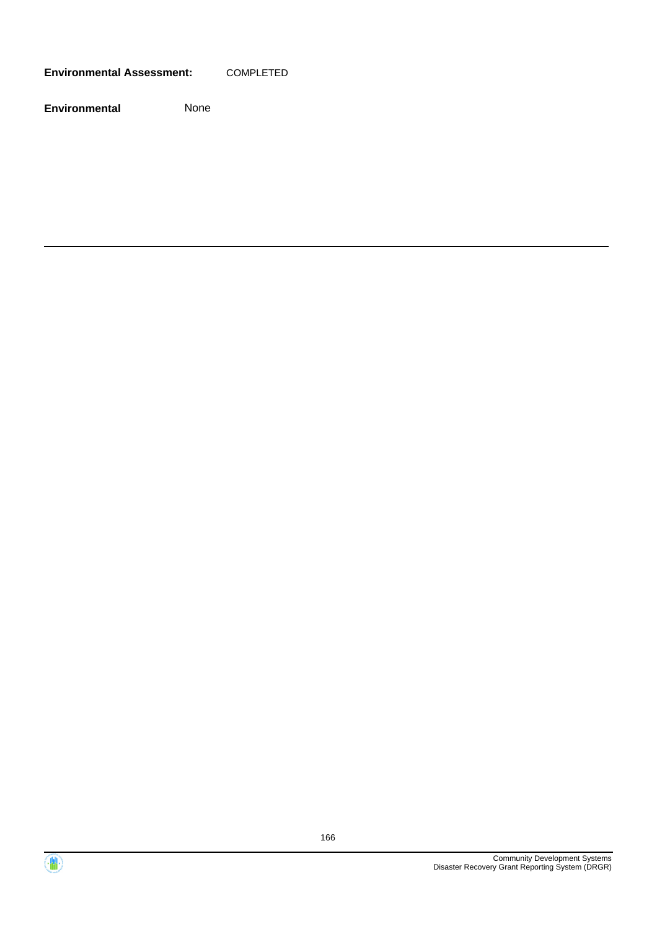**Environmental Assessment:** COMPLETED



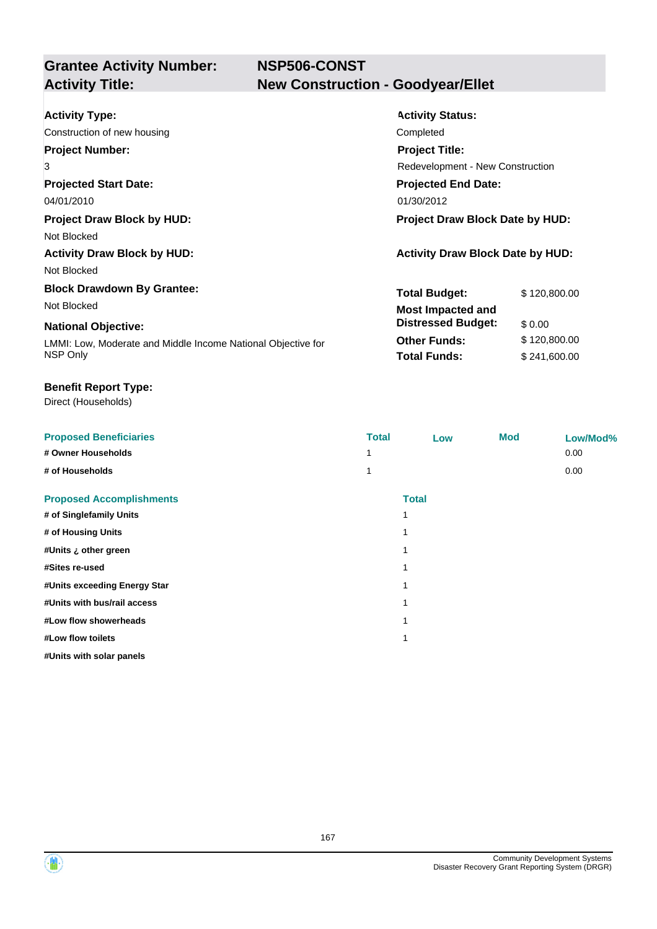**NSP506-CONST New Construction - Goodyear/Ellet** 

| <b>Activity Type:</b>                                        | <b>Activity Status:</b>                 |              |  |
|--------------------------------------------------------------|-----------------------------------------|--------------|--|
| Construction of new housing                                  | Completed                               |              |  |
| <b>Project Number:</b>                                       | <b>Project Title:</b>                   |              |  |
| 3                                                            | <b>Redevelopment - New Construction</b> |              |  |
| <b>Projected Start Date:</b>                                 | <b>Projected End Date:</b>              |              |  |
| 04/01/2010                                                   | 01/30/2012                              |              |  |
| <b>Project Draw Block by HUD:</b>                            | <b>Project Draw Block Date by HUD:</b>  |              |  |
| Not Blocked                                                  |                                         |              |  |
| <b>Activity Draw Block by HUD:</b>                           | <b>Activity Draw Block Date by HUD:</b> |              |  |
| Not Blocked                                                  |                                         |              |  |
| <b>Block Drawdown By Grantee:</b>                            | <b>Total Budget:</b>                    | \$120,800.00 |  |
| Not Blocked                                                  | <b>Most Impacted and</b>                |              |  |
| <b>National Objective:</b>                                   | <b>Distressed Budget:</b>               | \$0.00       |  |
| LMMI: Low, Moderate and Middle Income National Objective for | <b>Other Funds:</b>                     | \$120,800.00 |  |
| NSP Only                                                     | <b>Total Funds:</b>                     | \$241,600.00 |  |

#### **Benefit Report Type:**

Direct (Households)

| <b>Proposed Beneficiaries</b>   | <b>Total</b> | Low          | <b>Mod</b> | Low/Mod% |
|---------------------------------|--------------|--------------|------------|----------|
| # Owner Households              |              |              |            | 0.00     |
| # of Households                 | 1            |              |            | 0.00     |
| <b>Proposed Accomplishments</b> |              | <b>Total</b> |            |          |
| # of Singlefamily Units         |              |              |            |          |
| # of Housing Units              |              |              |            |          |
| #Units ¿ other green            |              |              |            |          |
| #Sites re-used                  |              |              |            |          |
| #Units exceeding Energy Star    |              |              |            |          |
| #Units with bus/rail access     |              |              |            |          |
| #Low flow showerheads           |              |              |            |          |
| #Low flow toilets               |              |              |            |          |
| #Units with solar panels        |              |              |            |          |

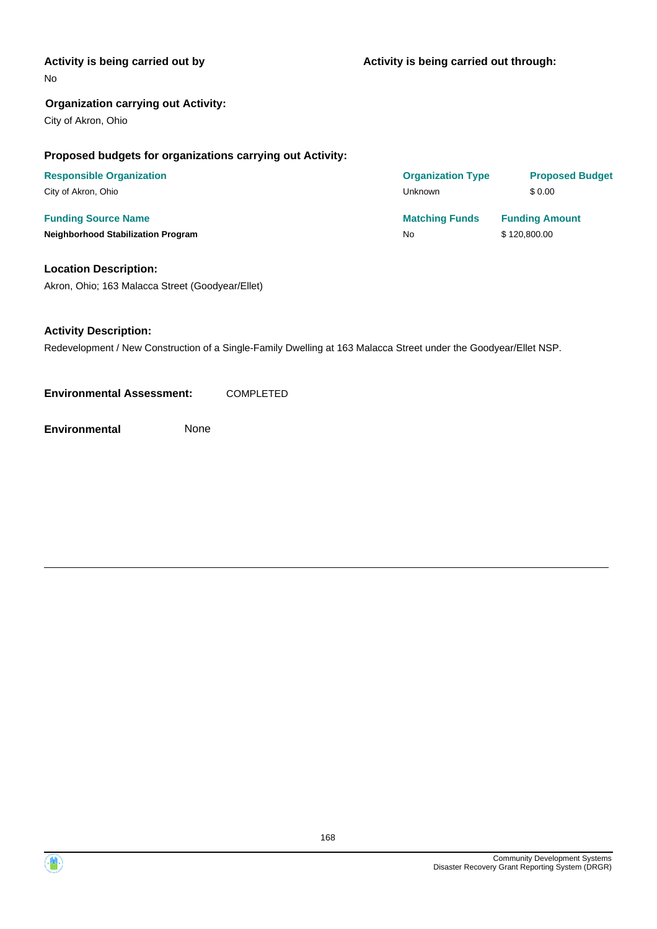#### **Activity is being carried out by**

No

#### **Organization carrying out Activity:**

City of Akron, Ohio

#### **Proposed budgets for organizations carrying out Activity:**

| <b>Responsible Organization</b>           | <b>Organization Type</b> | <b>Proposed Budget</b> |
|-------------------------------------------|--------------------------|------------------------|
| City of Akron, Ohio                       | Unknown                  | \$0.00                 |
| <b>Funding Source Name</b>                | <b>Matching Funds</b>    | <b>Funding Amount</b>  |
| <b>Neighborhood Stabilization Program</b> | No                       | \$120,800.00           |

#### **Location Description:**

Akron, Ohio; 163 Malacca Street (Goodyear/Ellet)

#### **Activity Description:**

Redevelopment / New Construction of a Single-Family Dwelling at 163 Malacca Street under the Goodyear/Ellet NSP.

**Environmental Assessment:** COMPLETED

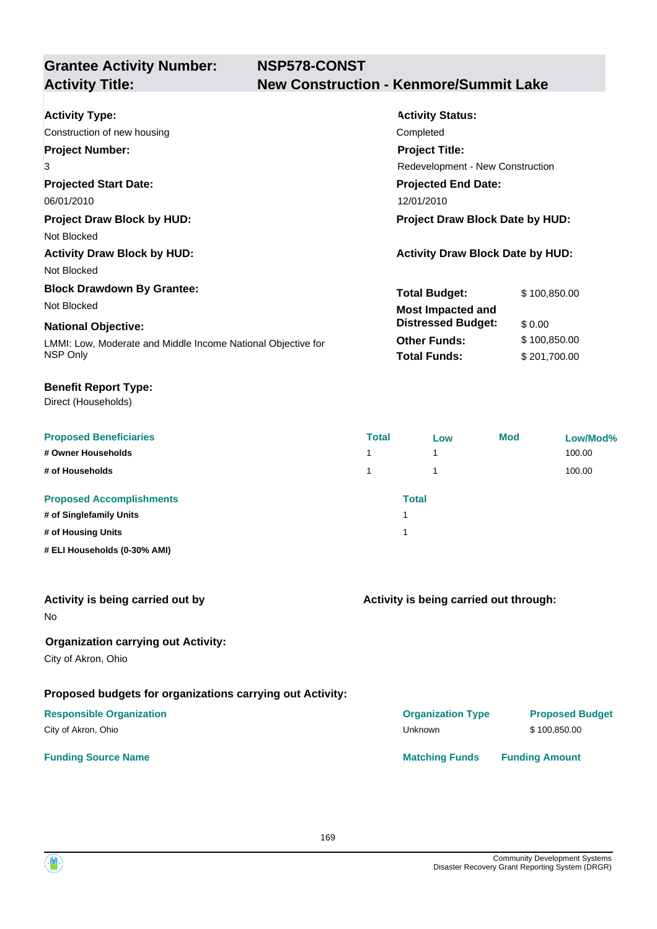## **NSP578-CONST Activity Title: New Construction - Kenmore/Summit Lake**

| <b>Activity Type:</b>                                        | <b>Activity Status:</b>                 |              |  |  |
|--------------------------------------------------------------|-----------------------------------------|--------------|--|--|
| Construction of new housing                                  | Completed                               |              |  |  |
| <b>Project Number:</b>                                       | <b>Project Title:</b>                   |              |  |  |
| 3                                                            | <b>Redevelopment - New Construction</b> |              |  |  |
| <b>Projected Start Date:</b>                                 | <b>Projected End Date:</b>              |              |  |  |
| 06/01/2010                                                   | 12/01/2010                              |              |  |  |
| <b>Project Draw Block by HUD:</b>                            | Project Draw Block Date by HUD:         |              |  |  |
| Not Blocked                                                  |                                         |              |  |  |
| <b>Activity Draw Block by HUD:</b>                           | <b>Activity Draw Block Date by HUD:</b> |              |  |  |
| Not Blocked                                                  |                                         |              |  |  |
| <b>Block Drawdown By Grantee:</b>                            | <b>Total Budget:</b>                    | \$100,850.00 |  |  |
| Not Blocked                                                  | <b>Most Impacted and</b>                |              |  |  |
| <b>National Objective:</b>                                   | <b>Distressed Budget:</b>               | \$0.00       |  |  |
| LMMI: Low, Moderate and Middle Income National Objective for | <b>Other Funds:</b>                     | \$100,850.00 |  |  |
| NSP Only                                                     | <b>Total Funds:</b>                     | \$201,700.00 |  |  |

#### **Benefit Report Type:**

Direct (Households)

| <b>Proposed Beneficiaries</b>   | <b>Total</b> | Low | <b>Mod</b> | Low/Mod% |
|---------------------------------|--------------|-----|------------|----------|
| # Owner Households              |              | 4   |            | 100.00   |
| # of Households                 |              |     |            | 100.00   |
| <b>Proposed Accomplishments</b> | <b>Total</b> |     |            |          |
| # of Singlefamily Units         |              |     |            |          |
| # of Housing Units              |              |     |            |          |
| # ELI Households (0-30% AMI)    |              |     |            |          |

| Activity is being carried out by |  |
|----------------------------------|--|
|----------------------------------|--|

No

### **Organization carrying out Activity:**

City of Akron, Ohio

### **Proposed budgets for organizations carrying out Activity:**

#### **Responsible Organization COVID-10 COVID-10 Organization Type Proposed Budget** City of Akron, Ohio \$100,850.00

**Activity is being carried out through:**

**Funding Source Name Matching Funds Funding Amount** 

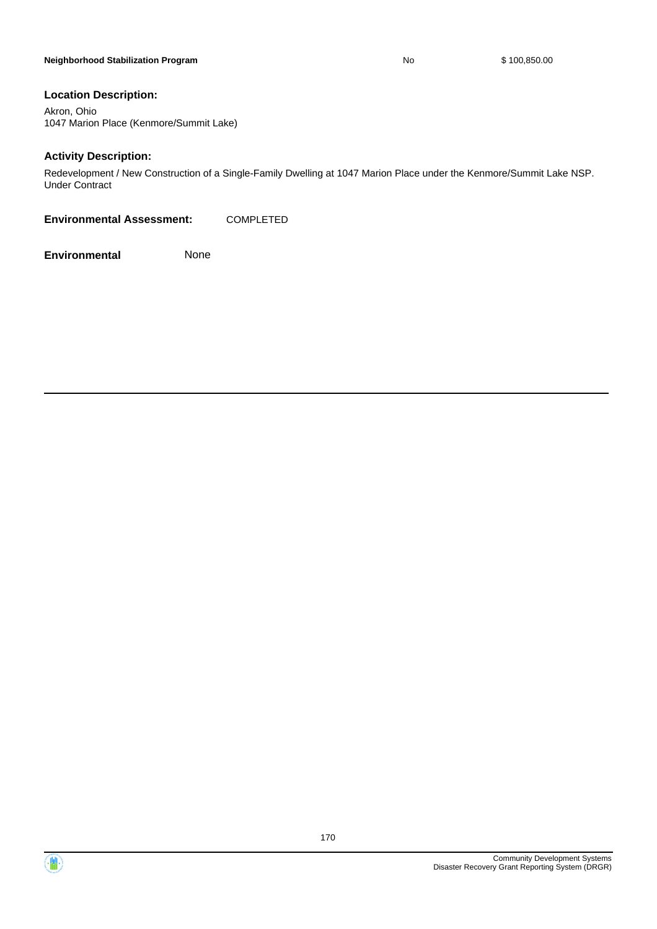#### **Neighborhood Stabilization Program No No** \$ 100,850.00

#### **Location Description:**

Akron, Ohio 1047 Marion Place (Kenmore/Summit Lake)

#### **Activity Description:**

Redevelopment / New Construction of a Single-Family Dwelling at 1047 Marion Place under the Kenmore/Summit Lake NSP. Under Contract

**Environmental Assessment:** COMPLETED



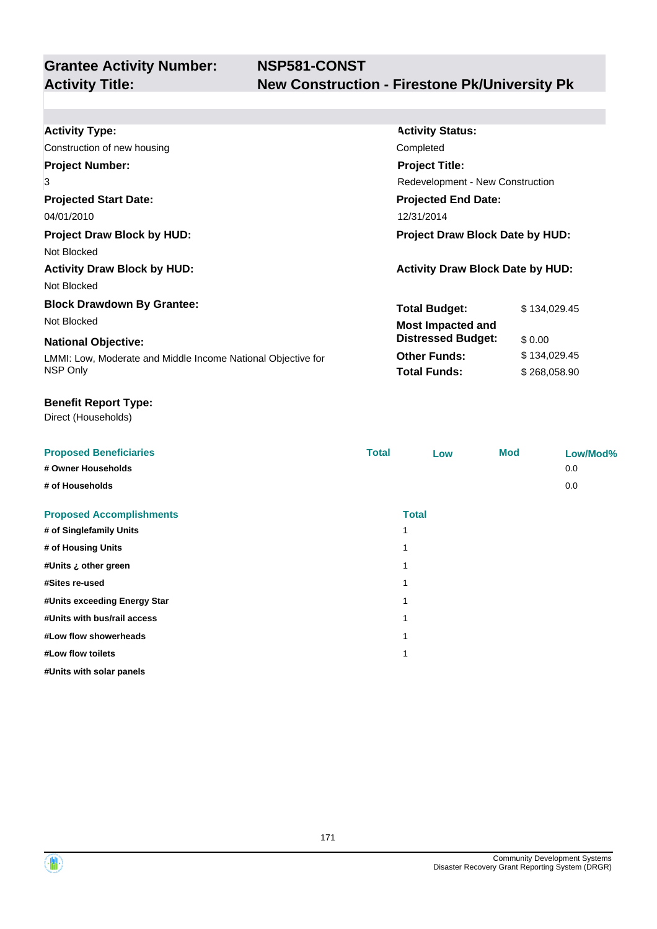| <b>Activity Type:</b>                                        | <b>Activity Status:</b>                 |              |  |  |
|--------------------------------------------------------------|-----------------------------------------|--------------|--|--|
| Construction of new housing                                  | Completed                               |              |  |  |
| <b>Project Number:</b>                                       | <b>Project Title:</b>                   |              |  |  |
| 3                                                            | Redevelopment - New Construction        |              |  |  |
| <b>Projected Start Date:</b>                                 | <b>Projected End Date:</b>              |              |  |  |
| 04/01/2010                                                   | 12/31/2014                              |              |  |  |
| <b>Project Draw Block by HUD:</b>                            | <b>Project Draw Block Date by HUD:</b>  |              |  |  |
| Not Blocked                                                  |                                         |              |  |  |
| <b>Activity Draw Block by HUD:</b>                           | <b>Activity Draw Block Date by HUD:</b> |              |  |  |
| Not Blocked                                                  |                                         |              |  |  |
| <b>Block Drawdown By Grantee:</b>                            | <b>Total Budget:</b>                    | \$134,029.45 |  |  |
| Not Blocked                                                  | <b>Most Impacted and</b>                |              |  |  |
| <b>National Objective:</b>                                   | <b>Distressed Budget:</b>               | \$0.00       |  |  |
| LMMI: Low, Moderate and Middle Income National Objective for | <b>Other Funds:</b>                     | \$134,029.45 |  |  |
| NSP Only                                                     | <b>Total Funds:</b>                     | \$268,058.90 |  |  |
|                                                              |                                         |              |  |  |

#### **Benefit Report Type:**

Direct (Households)

| <b>Proposed Beneficiaries</b><br># Owner Households<br># of Households | <b>Total</b> | Low          | <b>Mod</b> | Low/Mod%<br>0.0<br>0.0 |
|------------------------------------------------------------------------|--------------|--------------|------------|------------------------|
| <b>Proposed Accomplishments</b>                                        |              | <b>Total</b> |            |                        |
| # of Singlefamily Units                                                |              | 1            |            |                        |
| # of Housing Units                                                     |              | -1           |            |                        |
| #Units ¿ other green                                                   |              |              |            |                        |
| #Sites re-used                                                         |              | 1            |            |                        |
| #Units exceeding Energy Star                                           |              |              |            |                        |
| #Units with bus/rail access                                            |              | 1            |            |                        |
| #Low flow showerheads                                                  |              |              |            |                        |
| #Low flow toilets                                                      |              | 1            |            |                        |
| #Units with solar panels                                               |              |              |            |                        |

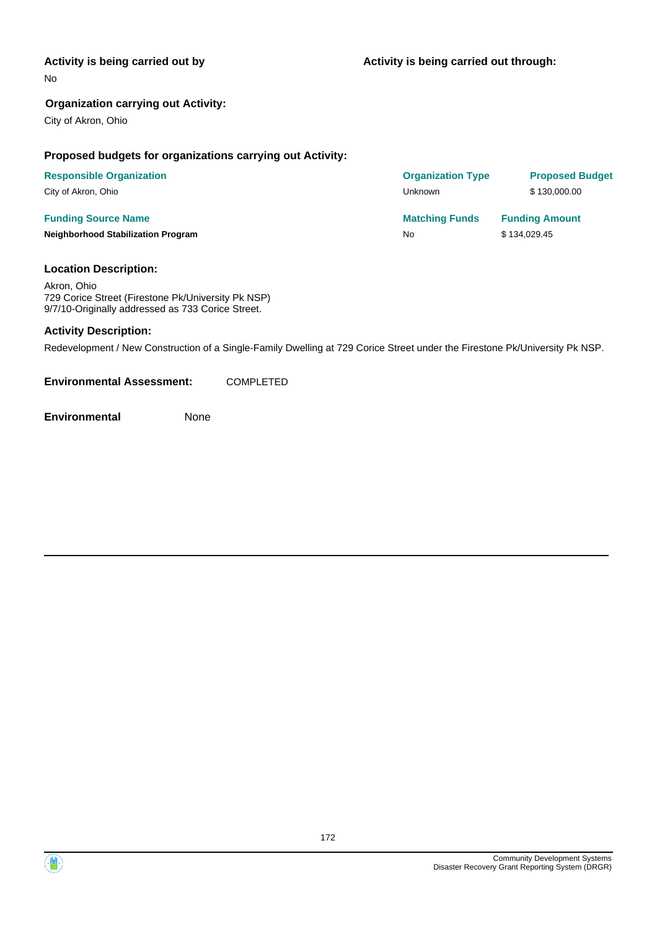#### **Activity is being carried out by**

No

#### **Organization carrying out Activity:**

City of Akron, Ohio

#### **Proposed budgets for organizations carrying out Activity:**

| <b>Responsible Organization</b>           | <b>Organization Type</b> | <b>Proposed Budget</b> |
|-------------------------------------------|--------------------------|------------------------|
| City of Akron, Ohio                       | Unknown                  | \$130,000.00           |
| <b>Funding Source Name</b>                | <b>Matching Funds</b>    | <b>Funding Amount</b>  |
| <b>Neighborhood Stabilization Program</b> | No                       | \$134,029.45           |

#### **Location Description:**

Akron, Ohio 729 Corice Street (Firestone Pk/University Pk NSP) 9/7/10-Originally addressed as 733 Corice Street.

#### **Activity Description:**

Redevelopment / New Construction of a Single-Family Dwelling at 729 Corice Street under the Firestone Pk/University Pk NSP.

**Environmental Assessment:** COMPLETED



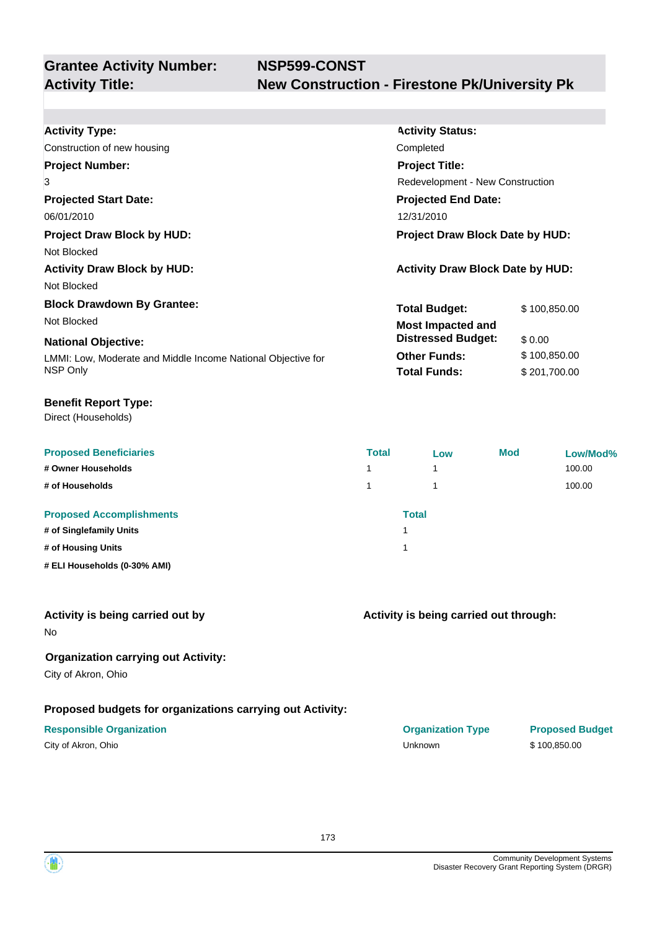| <b>Activity Type:</b>                                        | <b>Activity Status:</b>                 |              |  |
|--------------------------------------------------------------|-----------------------------------------|--------------|--|
| Construction of new housing                                  | Completed                               |              |  |
| <b>Project Number:</b>                                       | <b>Project Title:</b>                   |              |  |
| 3                                                            | Redevelopment - New Construction        |              |  |
| <b>Projected Start Date:</b>                                 | <b>Projected End Date:</b>              |              |  |
| 06/01/2010                                                   | 12/31/2010                              |              |  |
| <b>Project Draw Block by HUD:</b>                            | <b>Project Draw Block Date by HUD:</b>  |              |  |
| Not Blocked                                                  |                                         |              |  |
| <b>Activity Draw Block by HUD:</b>                           | <b>Activity Draw Block Date by HUD:</b> |              |  |
| Not Blocked                                                  |                                         |              |  |
| <b>Block Drawdown By Grantee:</b>                            | <b>Total Budget:</b>                    | \$100,850.00 |  |
| Not Blocked                                                  | <b>Most Impacted and</b>                |              |  |
| <b>National Objective:</b>                                   | <b>Distressed Budget:</b>               | \$0.00       |  |
| LMMI: Low, Moderate and Middle Income National Objective for | <b>Other Funds:</b>                     | \$100,850.00 |  |
| NSP Only                                                     | <b>Total Funds:</b>                     | \$201,700.00 |  |

Direct (Households)

| <b>Proposed Beneficiaries</b>   | <b>Total</b> | Low | <b>Mod</b> | Low/Mod% |
|---------------------------------|--------------|-----|------------|----------|
| # Owner Households              | 1            | 4   |            | 100.00   |
| # of Households                 |              |     |            | 100.00   |
| <b>Proposed Accomplishments</b> | <b>Total</b> |     |            |          |
| # of Singlefamily Units         |              |     |            |          |
| # of Housing Units              |              |     |            |          |
| # ELI Households (0-30% AMI)    |              |     |            |          |

#### **Activity is being carried out by**

No

#### **Organization carrying out Activity:**

City of Akron, Ohio

### **Proposed budgets for organizations carrying out Activity:**

|  |  | City of Akron, Ohio |  |
|--|--|---------------------|--|
|--|--|---------------------|--|

#### **Activity is being carried out through:**

**Responsible Organization CONSERVIRGHT ACCORDING THE CONSERVIRGHT ORGANIZATION Type Proposed Budget** City of Akron, Ohio Unknown \$ 100,850.00

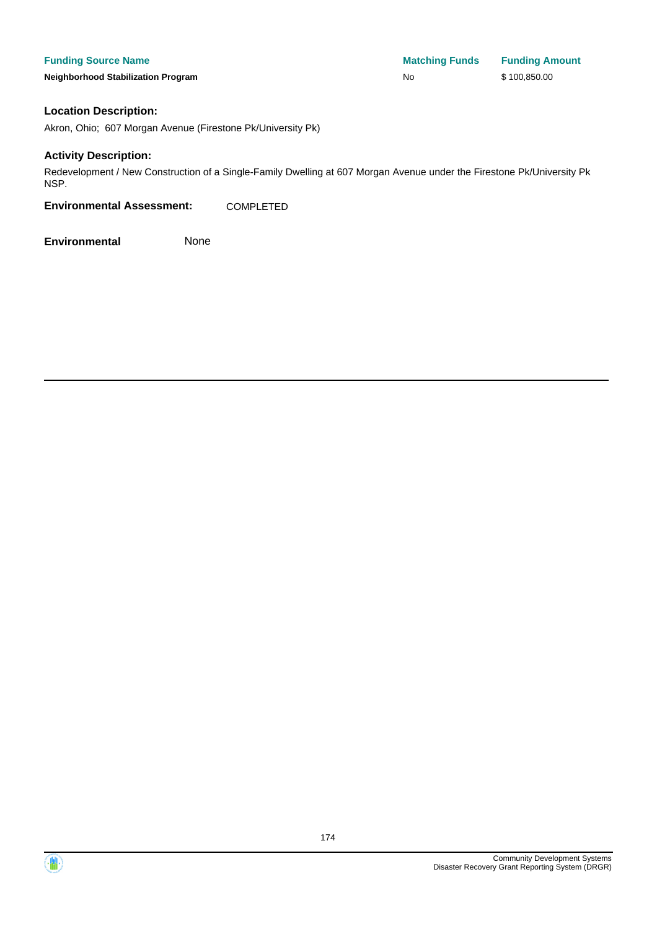**Neighborhood Stabilization Program No No** \$ 100,850.00

#### **Location Description:**

Akron, Ohio; 607 Morgan Avenue (Firestone Pk/University Pk)

#### **Activity Description:**

Redevelopment / New Construction of a Single-Family Dwelling at 607 Morgan Avenue under the Firestone Pk/University Pk NSP.

**Environmental Assessment:** COMPLETED



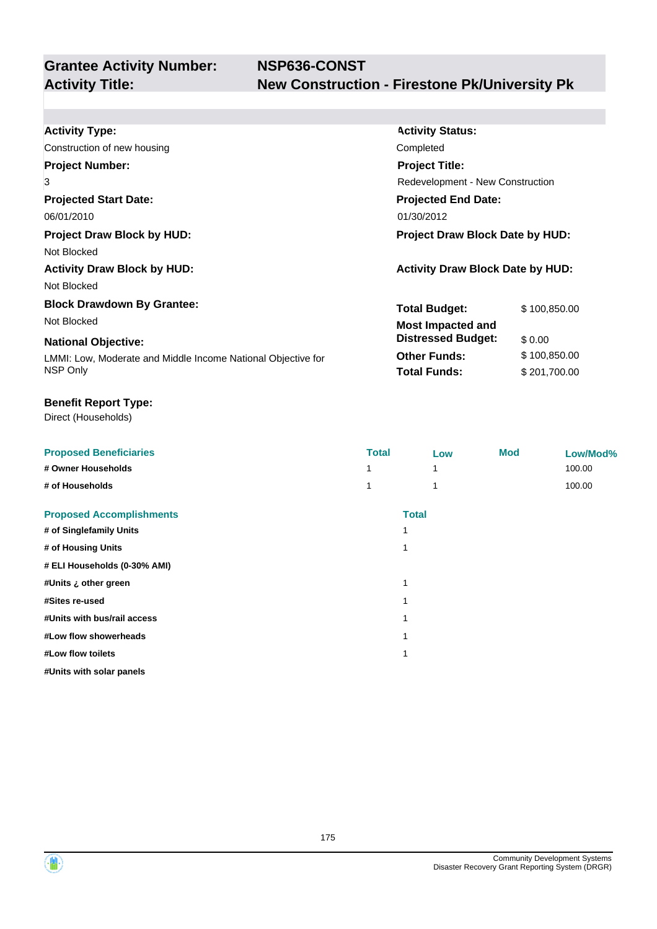| <b>Activity Type:</b>                                        | <b>Activity Status:</b>                 |              |  |
|--------------------------------------------------------------|-----------------------------------------|--------------|--|
| Construction of new housing                                  | Completed                               |              |  |
| <b>Project Number:</b>                                       | <b>Project Title:</b>                   |              |  |
| 3                                                            | Redevelopment - New Construction        |              |  |
| <b>Projected Start Date:</b>                                 | <b>Projected End Date:</b>              |              |  |
| 06/01/2010                                                   | 01/30/2012                              |              |  |
| <b>Project Draw Block by HUD:</b>                            | <b>Project Draw Block Date by HUD:</b>  |              |  |
| Not Blocked                                                  |                                         |              |  |
| <b>Activity Draw Block by HUD:</b>                           | <b>Activity Draw Block Date by HUD:</b> |              |  |
| Not Blocked                                                  |                                         |              |  |
| <b>Block Drawdown By Grantee:</b>                            | <b>Total Budget:</b>                    | \$100,850.00 |  |
| Not Blocked                                                  | <b>Most Impacted and</b>                |              |  |
| <b>National Objective:</b>                                   | <b>Distressed Budget:</b>               | \$0.00       |  |
| LMMI: Low, Moderate and Middle Income National Objective for | <b>Other Funds:</b>                     | \$100,850.00 |  |
| NSP Only                                                     | <b>Total Funds:</b>                     | \$201,700.00 |  |

### **Benefit Report Type:**

Direct (Households)

| <b>Proposed Beneficiaries</b><br># Owner Households<br># of Households | <b>Total</b><br>1 |              | Low<br>1<br>1 | <b>Mod</b> | Low/Mod%<br>100.00<br>100.00 |
|------------------------------------------------------------------------|-------------------|--------------|---------------|------------|------------------------------|
| <b>Proposed Accomplishments</b>                                        |                   | <b>Total</b> |               |            |                              |
| # of Singlefamily Units                                                |                   | 1            |               |            |                              |
| # of Housing Units                                                     |                   | 1            |               |            |                              |
| # ELI Households (0-30% AMI)                                           |                   |              |               |            |                              |
| #Units ¿ other green                                                   |                   | 1            |               |            |                              |
| #Sites re-used                                                         |                   | 1            |               |            |                              |
| #Units with bus/rail access                                            |                   | 1            |               |            |                              |
| #Low flow showerheads                                                  |                   |              |               |            |                              |
| #Low flow toilets                                                      |                   | 1            |               |            |                              |
| #Units with solar panels                                               |                   |              |               |            |                              |

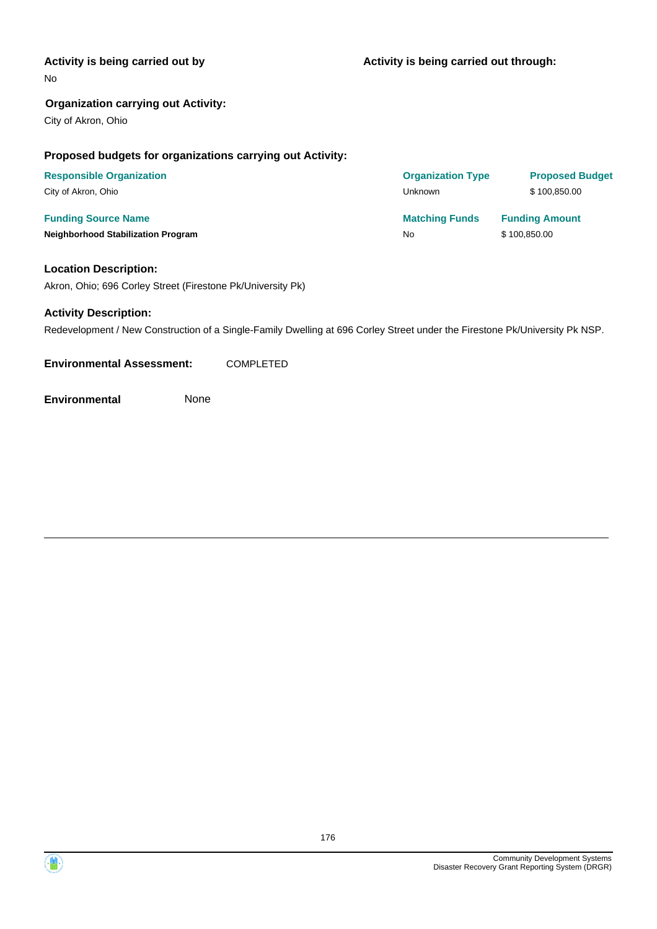#### **Activity is being carried out by**

No

#### **Organization carrying out Activity:**

City of Akron, Ohio

#### **Proposed budgets for organizations carrying out Activity:**

| <b>Responsible Organization</b>           | <b>Organization Type</b> | <b>Proposed Budget</b> |
|-------------------------------------------|--------------------------|------------------------|
| City of Akron, Ohio                       | Unknown                  | \$100.850.00           |
| <b>Funding Source Name</b>                | <b>Matching Funds</b>    | <b>Funding Amount</b>  |
| <b>Neighborhood Stabilization Program</b> | No                       | \$100,850.00           |

#### **Location Description:**

Akron, Ohio; 696 Corley Street (Firestone Pk/University Pk)

#### **Activity Description:**

Redevelopment / New Construction of a Single-Family Dwelling at 696 Corley Street under the Firestone Pk/University Pk NSP.

**Environmental Assessment:** COMPLETED

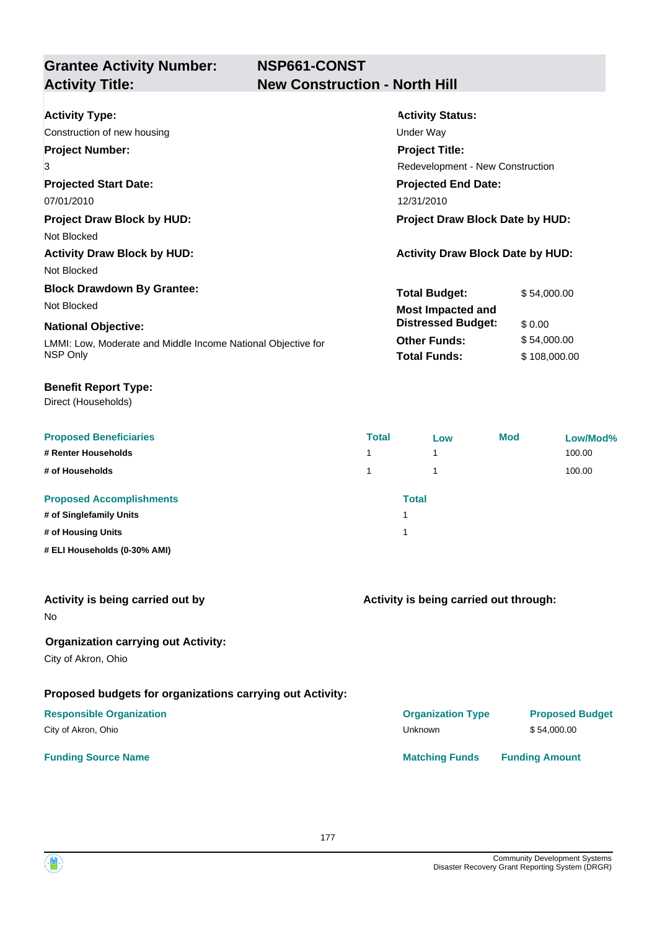**NSP661-CONST**

## **Grantee Activity Number: Activity Title: New Construction - North Hill**

| <b>Activity Type:</b>                                        | <b>Activity Status:</b>                 |              |  |
|--------------------------------------------------------------|-----------------------------------------|--------------|--|
| Construction of new housing                                  | Under Way                               |              |  |
| <b>Project Number:</b>                                       | <b>Project Title:</b>                   |              |  |
| 3                                                            | Redevelopment - New Construction        |              |  |
| <b>Projected Start Date:</b>                                 | <b>Projected End Date:</b>              |              |  |
| 07/01/2010                                                   | 12/31/2010                              |              |  |
| <b>Project Draw Block by HUD:</b>                            | Project Draw Block Date by HUD:         |              |  |
| Not Blocked                                                  |                                         |              |  |
| <b>Activity Draw Block by HUD:</b>                           | <b>Activity Draw Block Date by HUD:</b> |              |  |
| Not Blocked                                                  |                                         |              |  |
| <b>Block Drawdown By Grantee:</b>                            | <b>Total Budget:</b>                    | \$54,000.00  |  |
| Not Blocked                                                  | <b>Most Impacted and</b>                |              |  |
| <b>National Objective:</b>                                   | <b>Distressed Budget:</b>               | \$0.00       |  |
| LMMI: Low, Moderate and Middle Income National Objective for | <b>Other Funds:</b>                     | \$54,000.00  |  |
| NSP Only                                                     | <b>Total Funds:</b>                     | \$108,000.00 |  |

#### **Benefit Report Type:**

Direct (Households)

| <b>Proposed Beneficiaries</b>   | <b>Total</b> | Low | <b>Mod</b> | Low/Mod% |
|---------------------------------|--------------|-----|------------|----------|
| # Renter Households             |              | 4   |            | 100.00   |
| # of Households                 |              |     |            | 100.00   |
| <b>Proposed Accomplishments</b> | <b>Total</b> |     |            |          |
| # of Singlefamily Units         |              |     |            |          |
| # of Housing Units              |              |     |            |          |
| # ELI Households (0-30% AMI)    |              |     |            |          |

| Activity is being carried out by |
|----------------------------------|
|----------------------------------|

No

### **Organization carrying out Activity:**

City of Akron, Ohio

### **Proposed budgets for organizations carrying out Activity:**

**Activity is being carried out through:**

**Funding Source Name Matching Funds Funding Amount Responsible Organization COVID-10 COVID-10 Organization Type Proposed Budget** City of Akron, Ohio \$54,000.00

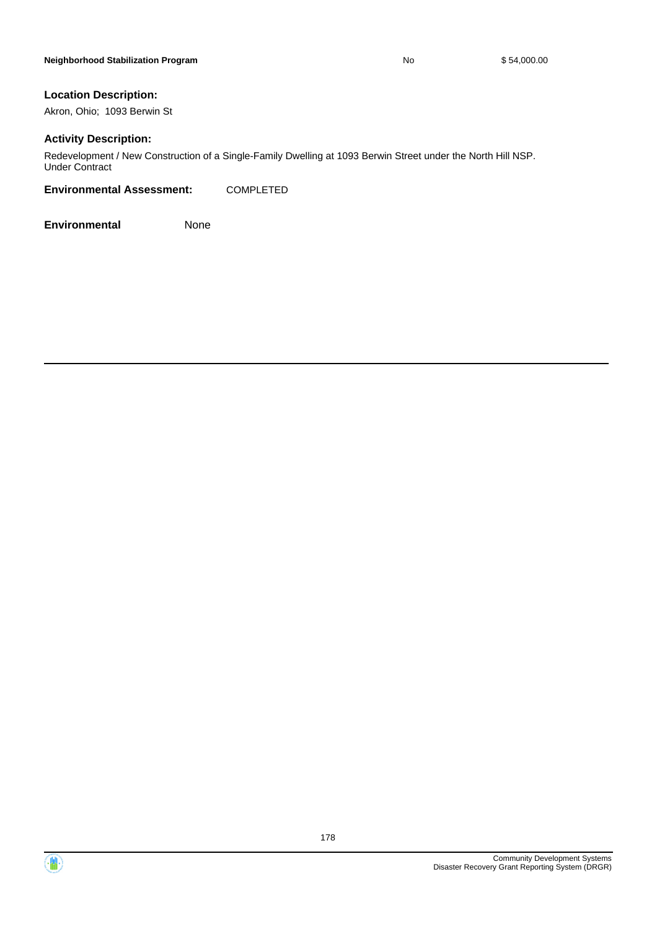#### **Location Description:**

Akron, Ohio; 1093 Berwin St

#### **Activity Description:**

Redevelopment / New Construction of a Single-Family Dwelling at 1093 Berwin Street under the North Hill NSP. Under Contract

**Environmental Assessment:** COMPLETED



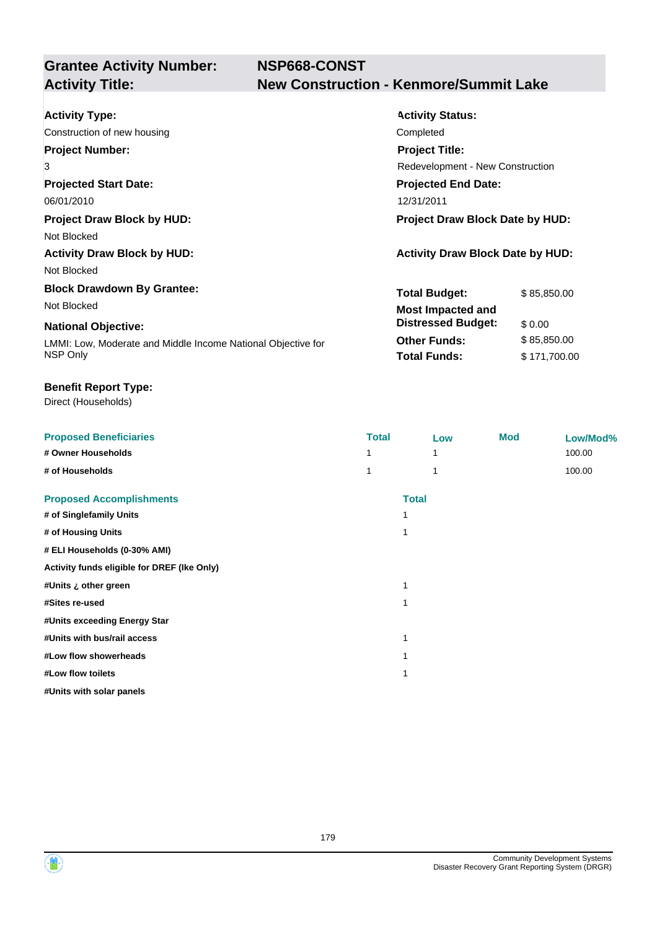## **NSP668-CONST Activity Title: New Construction - Kenmore/Summit Lake**

| <b>Activity Type:</b>                                        | <b>Activity Status:</b>                 |              |  |
|--------------------------------------------------------------|-----------------------------------------|--------------|--|
| Construction of new housing                                  | Completed                               |              |  |
| <b>Project Number:</b>                                       | <b>Project Title:</b>                   |              |  |
| 3                                                            | Redevelopment - New Construction        |              |  |
| <b>Projected Start Date:</b>                                 | <b>Projected End Date:</b>              |              |  |
| 06/01/2010                                                   | 12/31/2011                              |              |  |
| <b>Project Draw Block by HUD:</b>                            | Project Draw Block Date by HUD:         |              |  |
| Not Blocked                                                  |                                         |              |  |
| <b>Activity Draw Block by HUD:</b>                           | <b>Activity Draw Block Date by HUD:</b> |              |  |
| Not Blocked                                                  |                                         |              |  |
| <b>Block Drawdown By Grantee:</b>                            | <b>Total Budget:</b>                    | \$85,850.00  |  |
| Not Blocked                                                  | <b>Most Impacted and</b>                |              |  |
| <b>National Objective:</b>                                   | <b>Distressed Budget:</b>               | \$0.00       |  |
| LMMI: Low, Moderate and Middle Income National Objective for | <b>Other Funds:</b>                     | \$85,850.00  |  |
| NSP Only                                                     | <b>Total Funds:</b>                     | \$171,700.00 |  |

#### **Benefit Report Type:**

Direct (Households)

| <b>Proposed Beneficiaries</b>               | <b>Total</b> | Low          | <b>Mod</b> | Low/Mod% |
|---------------------------------------------|--------------|--------------|------------|----------|
| # Owner Households                          |              | 1            |            | 100.00   |
| # of Households                             | 1            | 1            |            | 100.00   |
| <b>Proposed Accomplishments</b>             |              | <b>Total</b> |            |          |
| # of Singlefamily Units                     | 1            |              |            |          |
| # of Housing Units                          | 1            |              |            |          |
| # ELI Households (0-30% AMI)                |              |              |            |          |
| Activity funds eligible for DREF (Ike Only) |              |              |            |          |
| #Units ¿ other green                        | 1            |              |            |          |
| #Sites re-used                              | 1            |              |            |          |
| #Units exceeding Energy Star                |              |              |            |          |
| #Units with bus/rail access                 | 1            |              |            |          |
| #Low flow showerheads                       |              |              |            |          |
| #Low flow toilets                           |              |              |            |          |
| #Units with solar panels                    |              |              |            |          |

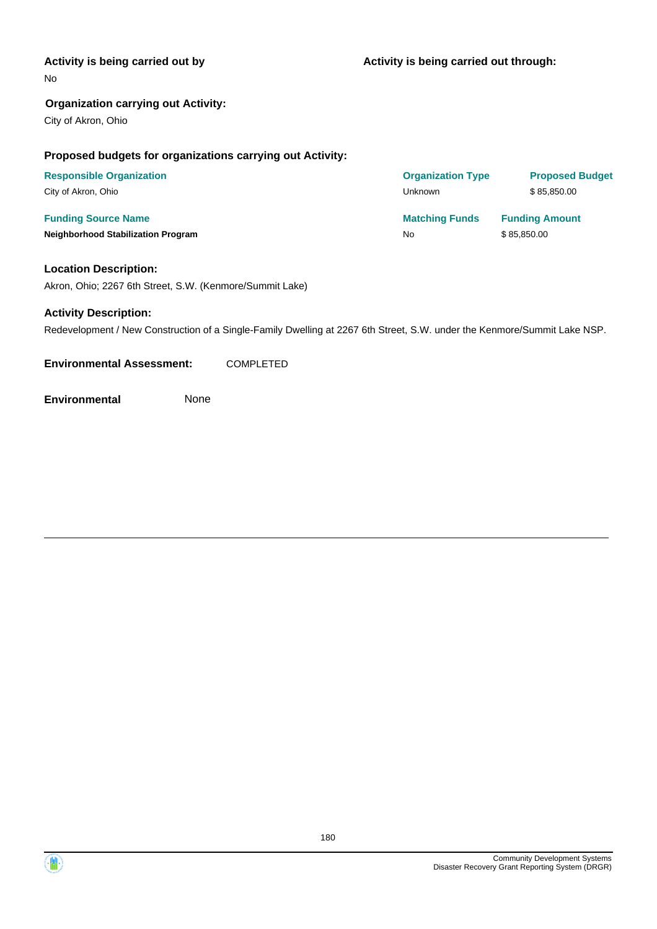#### **Activity is being carried out by**

No

#### **Organization carrying out Activity:**

City of Akron, Ohio

#### **Proposed budgets for organizations carrying out Activity:**

| <b>Responsible Organization</b>           | <b>Organization Type</b> | <b>Proposed Budget</b> |
|-------------------------------------------|--------------------------|------------------------|
| City of Akron, Ohio                       | Unknown                  | \$85.850.00            |
| <b>Funding Source Name</b>                | <b>Matching Funds</b>    | <b>Funding Amount</b>  |
| <b>Neighborhood Stabilization Program</b> | No                       | \$85,850.00            |

#### **Location Description:**

Akron, Ohio; 2267 6th Street, S.W. (Kenmore/Summit Lake)

#### **Activity Description:**

Redevelopment / New Construction of a Single-Family Dwelling at 2267 6th Street, S.W. under the Kenmore/Summit Lake NSP.

**Environmental Assessment:** COMPLETED



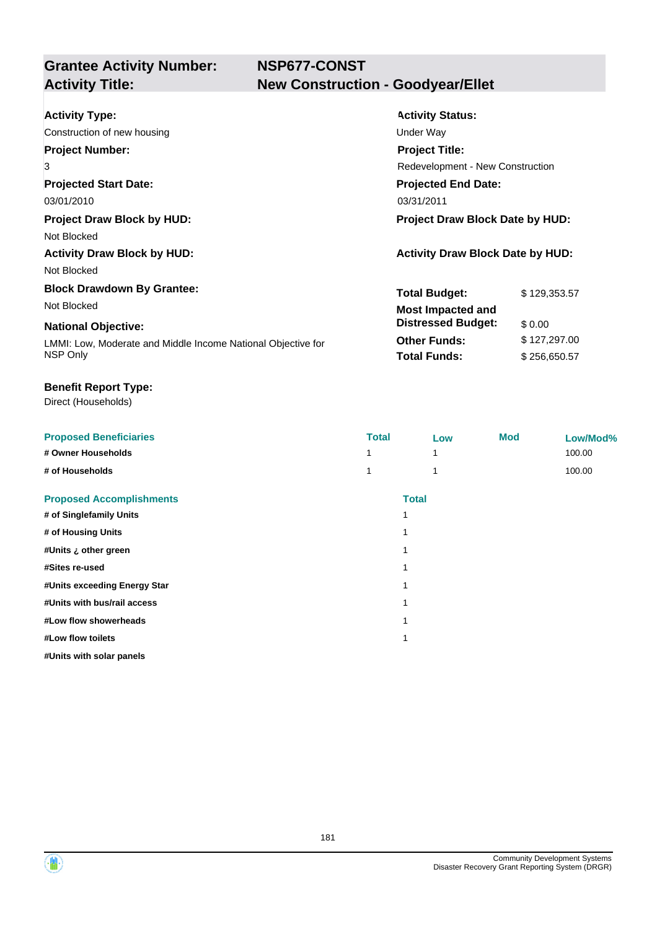## **NSP677-CONST New Construction - Goodyear/Ellet**

| <b>Activity Type:</b>                                        | <b>Activity Status:</b>                 |              |  |
|--------------------------------------------------------------|-----------------------------------------|--------------|--|
| Construction of new housing                                  | Under Way                               |              |  |
| <b>Project Number:</b>                                       | <b>Project Title:</b>                   |              |  |
| 3                                                            | Redevelopment - New Construction        |              |  |
| <b>Projected Start Date:</b>                                 | <b>Projected End Date:</b>              |              |  |
| 03/01/2010                                                   | 03/31/2011                              |              |  |
| <b>Project Draw Block by HUD:</b>                            | <b>Project Draw Block Date by HUD:</b>  |              |  |
| Not Blocked                                                  |                                         |              |  |
| <b>Activity Draw Block by HUD:</b>                           | <b>Activity Draw Block Date by HUD:</b> |              |  |
| Not Blocked                                                  |                                         |              |  |
| <b>Block Drawdown By Grantee:</b>                            | <b>Total Budget:</b>                    | \$129,353.57 |  |
| Not Blocked                                                  | <b>Most Impacted and</b>                |              |  |
| <b>National Objective:</b>                                   | <b>Distressed Budget:</b>               | \$0.00       |  |
| LMMI: Low, Moderate and Middle Income National Objective for | <b>Other Funds:</b>                     | \$127,297.00 |  |
| NSP Only                                                     | <b>Total Funds:</b>                     | \$256,650.57 |  |

## **Benefit Report Type:**

Direct (Households)

| <b>Proposed Beneficiaries</b>   | <b>Total</b> |              | Low | <b>Mod</b> | Low/Mod% |
|---------------------------------|--------------|--------------|-----|------------|----------|
| # Owner Households              |              |              |     |            | 100.00   |
| # of Households                 |              |              |     |            | 100.00   |
| <b>Proposed Accomplishments</b> |              | <b>Total</b> |     |            |          |
| # of Singlefamily Units         |              | 1            |     |            |          |
| # of Housing Units              |              |              |     |            |          |
| #Units ¿ other green            |              | 1            |     |            |          |
| #Sites re-used                  |              | 1            |     |            |          |
| #Units exceeding Energy Star    |              | 1            |     |            |          |
| #Units with bus/rail access     |              | 1            |     |            |          |
| #Low flow showerheads           |              |              |     |            |          |
| #Low flow toilets               |              | 1            |     |            |          |
| #Units with solar panels        |              |              |     |            |          |

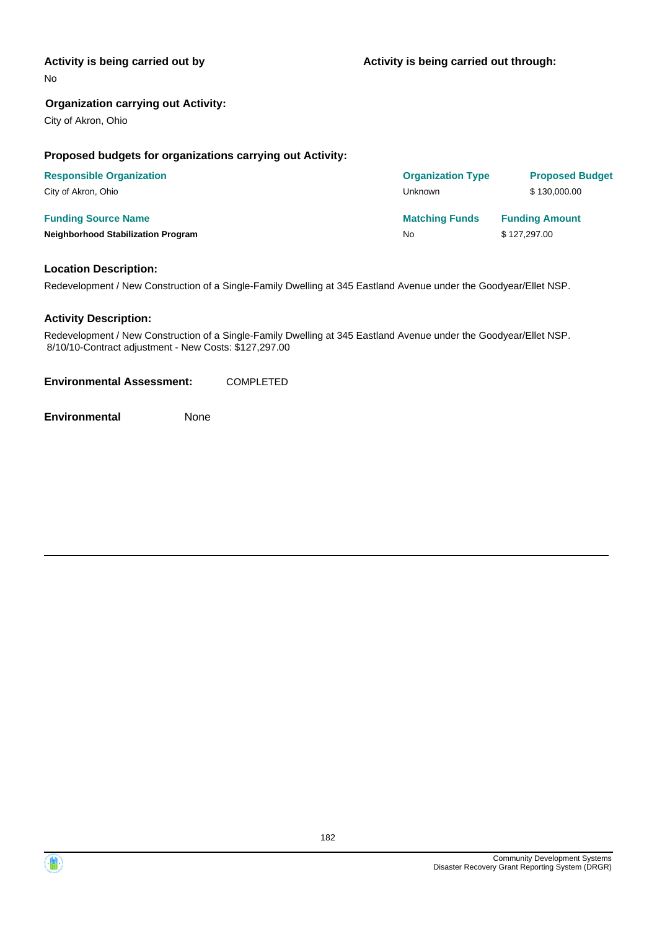## **Activity is being carried out by**

No

## **Organization carrying out Activity:**

City of Akron, Ohio

## **Proposed budgets for organizations carrying out Activity:**

| <b>Responsible Organization</b>           | <b>Organization Type</b> | <b>Proposed Budget</b> |
|-------------------------------------------|--------------------------|------------------------|
| City of Akron, Ohio                       | Unknown                  | \$130,000,00           |
| <b>Funding Source Name</b>                | <b>Matching Funds</b>    | <b>Funding Amount</b>  |
| <b>Neighborhood Stabilization Program</b> | No                       | \$127,297.00           |

## **Location Description:**

Redevelopment / New Construction of a Single-Family Dwelling at 345 Eastland Avenue under the Goodyear/Ellet NSP.

## **Activity Description:**

Redevelopment / New Construction of a Single-Family Dwelling at 345 Eastland Avenue under the Goodyear/Ellet NSP. 8/10/10-Contract adjustment - New Costs: \$127,297.00

**Environmental Assessment:** COMPLETED

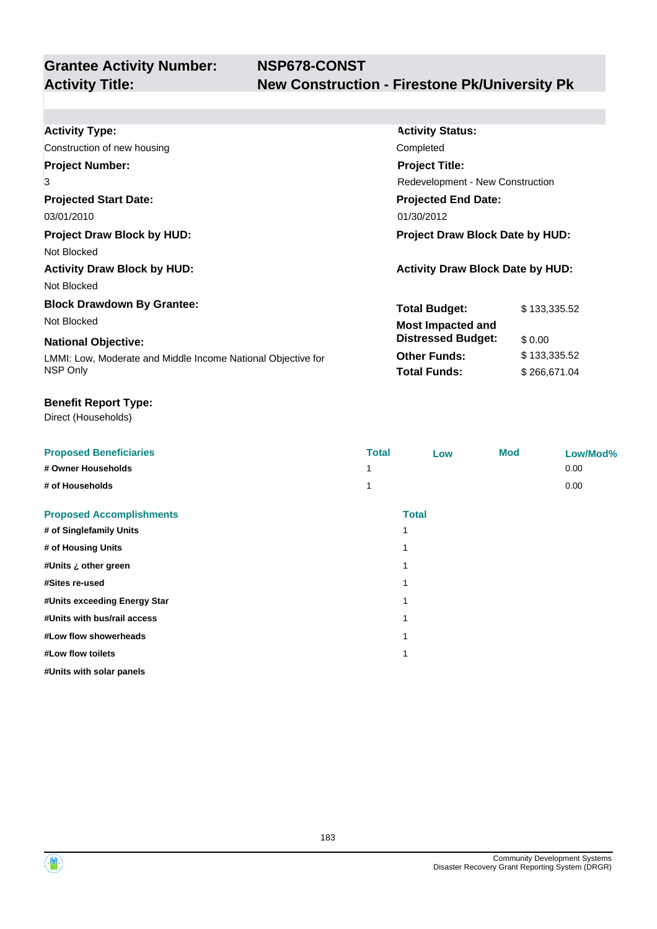| <b>Activity Type:</b>                                        | <b>Activity Status:</b>                 |                                         |  |  |
|--------------------------------------------------------------|-----------------------------------------|-----------------------------------------|--|--|
| Construction of new housing                                  | Completed                               |                                         |  |  |
| <b>Project Number:</b>                                       | <b>Project Title:</b>                   |                                         |  |  |
| 3                                                            |                                         | <b>Redevelopment - New Construction</b> |  |  |
| <b>Projected Start Date:</b>                                 | <b>Projected End Date:</b>              |                                         |  |  |
| 03/01/2010                                                   | 01/30/2012                              |                                         |  |  |
| <b>Project Draw Block by HUD:</b>                            | <b>Project Draw Block Date by HUD:</b>  |                                         |  |  |
| Not Blocked                                                  |                                         |                                         |  |  |
| <b>Activity Draw Block by HUD:</b>                           | <b>Activity Draw Block Date by HUD:</b> |                                         |  |  |
| Not Blocked                                                  |                                         |                                         |  |  |
| <b>Block Drawdown By Grantee:</b>                            | <b>Total Budget:</b>                    | \$133,335.52                            |  |  |
| Not Blocked                                                  | <b>Most Impacted and</b>                |                                         |  |  |
| <b>National Objective:</b>                                   | <b>Distressed Budget:</b>               | \$0.00                                  |  |  |
| LMMI: Low, Moderate and Middle Income National Objective for | <b>Other Funds:</b>                     | \$133,335.52                            |  |  |
| NSP Only                                                     | <b>Total Funds:</b>                     | \$266,671.04                            |  |  |

## **Benefit Report Type:**

Direct (Households)

| <b>Proposed Beneficiaries</b>   | <b>Total</b> | Low          | Mod | Low/Mod% |
|---------------------------------|--------------|--------------|-----|----------|
| # Owner Households              | 1            |              |     | 0.00     |
| # of Households                 | 1            |              |     | 0.00     |
| <b>Proposed Accomplishments</b> |              | <b>Total</b> |     |          |
| # of Singlefamily Units         |              |              |     |          |
| # of Housing Units              |              |              |     |          |
| #Units ¿ other green            |              |              |     |          |
| #Sites re-used                  |              |              |     |          |
| #Units exceeding Energy Star    |              |              |     |          |
| #Units with bus/rail access     |              |              |     |          |
| #Low flow showerheads           |              |              |     |          |
| #Low flow toilets               |              |              |     |          |
| #Units with solar panels        |              |              |     |          |
|                                 |              |              |     |          |

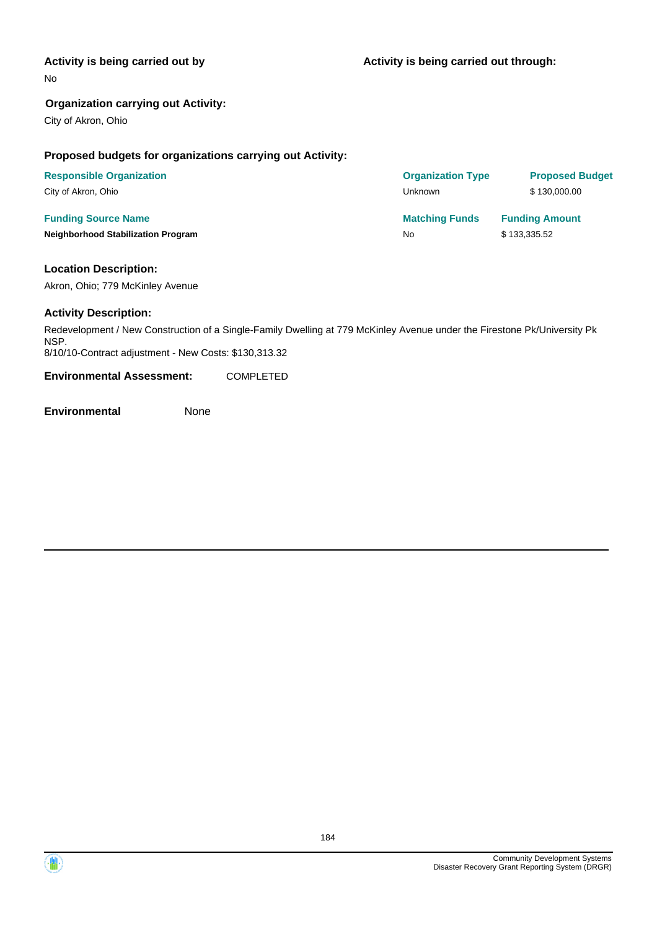## **Activity is being carried out by**

No

## **Organization carrying out Activity:**

City of Akron, Ohio

## **Proposed budgets for organizations carrying out Activity:**

| <b>Responsible Organization</b>           | <b>Organization Type</b> | <b>Proposed Budget</b> |
|-------------------------------------------|--------------------------|------------------------|
| City of Akron, Ohio                       | Unknown                  | \$130,000,00           |
| <b>Funding Source Name</b>                | <b>Matching Funds</b>    | <b>Funding Amount</b>  |
| <b>Neighborhood Stabilization Program</b> | No                       | \$133,335.52           |

## **Location Description:**

Akron, Ohio; 779 McKinley Avenue

## **Activity Description:**

Redevelopment / New Construction of a Single-Family Dwelling at 779 McKinley Avenue under the Firestone Pk/University Pk NSP. 8/10/10-Contract adjustment - New Costs: \$130,313.32

**Environmental Assessment:** COMPLETED

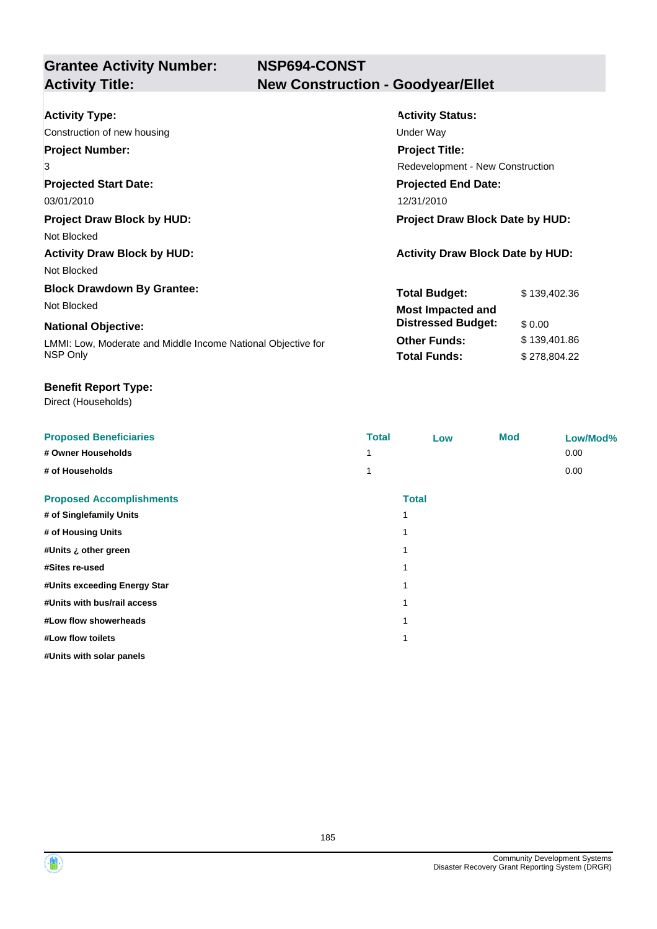**NSP694-CONST New Construction - Goodyear/Ellet** 

| <b>Activity Type:</b>                                        | <b>Activity Status:</b>                 |              |  |
|--------------------------------------------------------------|-----------------------------------------|--------------|--|
| Construction of new housing                                  | Under Way                               |              |  |
| <b>Project Number:</b>                                       | <b>Project Title:</b>                   |              |  |
| 3                                                            | Redevelopment - New Construction        |              |  |
| <b>Projected Start Date:</b>                                 | <b>Projected End Date:</b>              |              |  |
| 03/01/2010                                                   | 12/31/2010                              |              |  |
| <b>Project Draw Block by HUD:</b>                            | <b>Project Draw Block Date by HUD:</b>  |              |  |
| Not Blocked                                                  |                                         |              |  |
| <b>Activity Draw Block by HUD:</b>                           | <b>Activity Draw Block Date by HUD:</b> |              |  |
| Not Blocked                                                  |                                         |              |  |
| <b>Block Drawdown By Grantee:</b>                            | <b>Total Budget:</b>                    | \$139,402.36 |  |
| Not Blocked                                                  | <b>Most Impacted and</b>                |              |  |
| <b>National Objective:</b>                                   | <b>Distressed Budget:</b>               | \$0.00       |  |
| LMMI: Low, Moderate and Middle Income National Objective for | <b>Other Funds:</b>                     | \$139,401.86 |  |
| NSP Only                                                     | <b>Total Funds:</b>                     | \$278,804.22 |  |

## **Benefit Report Type:**

Direct (Households)

| <b>Proposed Beneficiaries</b>   | <b>Total</b> | Low          | <b>Mod</b> | Low/Mod% |
|---------------------------------|--------------|--------------|------------|----------|
| # Owner Households              |              |              |            | 0.00     |
| # of Households                 |              |              |            | 0.00     |
| <b>Proposed Accomplishments</b> |              | <b>Total</b> |            |          |
| # of Singlefamily Units         |              |              |            |          |
| # of Housing Units              |              |              |            |          |
| #Units ¿ other green            |              |              |            |          |
| #Sites re-used                  |              |              |            |          |
| #Units exceeding Energy Star    |              |              |            |          |
| #Units with bus/rail access     |              |              |            |          |
| #Low flow showerheads           |              |              |            |          |
| #Low flow toilets               |              |              |            |          |
| #Units with solar panels        |              |              |            |          |



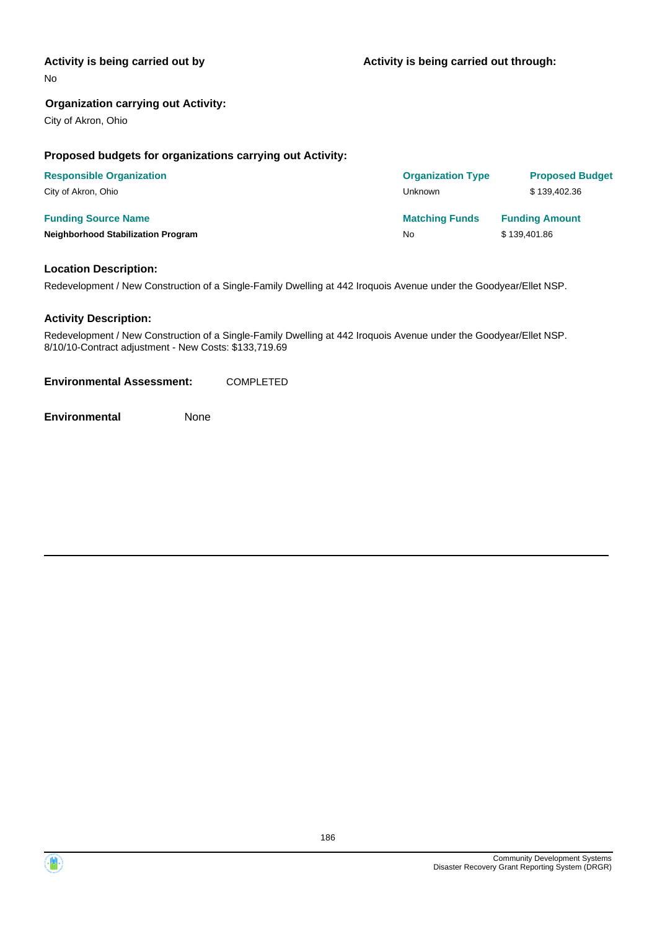## **Activity is being carried out by**

No

## **Organization carrying out Activity:**

City of Akron, Ohio

## **Proposed budgets for organizations carrying out Activity:**

| <b>Responsible Organization</b>           | <b>Organization Type</b> | <b>Proposed Budget</b> |
|-------------------------------------------|--------------------------|------------------------|
| City of Akron, Ohio                       | Unknown                  | \$139,402.36           |
| <b>Funding Source Name</b>                | <b>Matching Funds</b>    | <b>Funding Amount</b>  |
| <b>Neighborhood Stabilization Program</b> | No                       | \$139,401.86           |

## **Location Description:**

Redevelopment / New Construction of a Single-Family Dwelling at 442 Iroquois Avenue under the Goodyear/Ellet NSP.

## **Activity Description:**

Redevelopment / New Construction of a Single-Family Dwelling at 442 Iroquois Avenue under the Goodyear/Ellet NSP. 8/10/10-Contract adjustment - New Costs: \$133,719.69

**Environmental Assessment:** COMPLETED

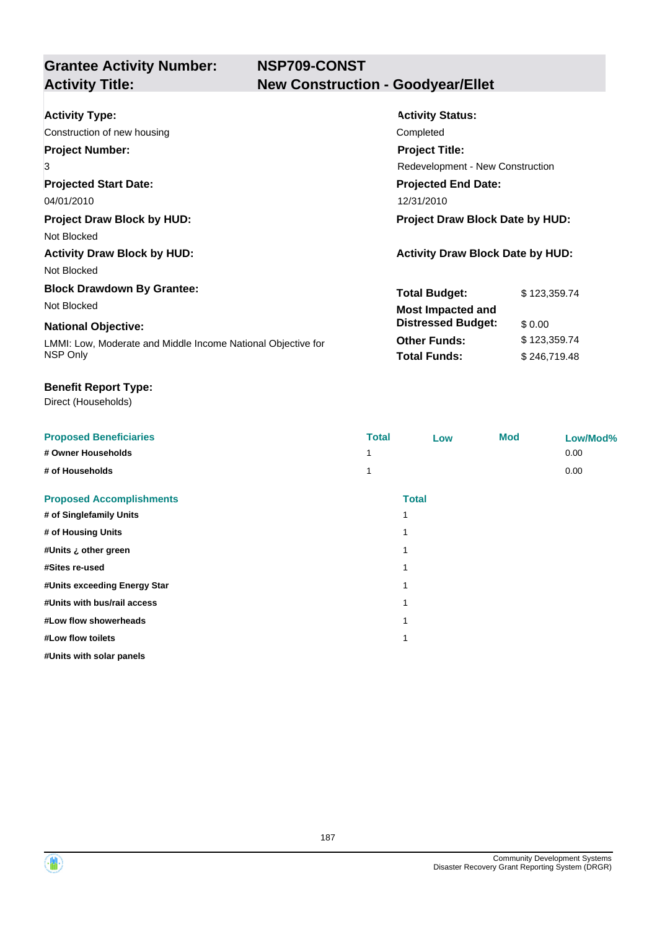**NSP709-CONST New Construction - Goodyear/Ellet** 

| <b>Activity Type:</b>                                        | <b>Activity Status:</b>                 |              |  |
|--------------------------------------------------------------|-----------------------------------------|--------------|--|
| Construction of new housing                                  | Completed                               |              |  |
| <b>Project Number:</b>                                       | <b>Project Title:</b>                   |              |  |
| 3                                                            | Redevelopment - New Construction        |              |  |
| <b>Projected Start Date:</b>                                 | <b>Projected End Date:</b>              |              |  |
| 04/01/2010                                                   | 12/31/2010                              |              |  |
| <b>Project Draw Block by HUD:</b>                            | Project Draw Block Date by HUD:         |              |  |
| Not Blocked                                                  |                                         |              |  |
| <b>Activity Draw Block by HUD:</b>                           | <b>Activity Draw Block Date by HUD:</b> |              |  |
| Not Blocked                                                  |                                         |              |  |
| <b>Block Drawdown By Grantee:</b>                            | <b>Total Budget:</b>                    | \$123,359.74 |  |
| Not Blocked                                                  | <b>Most Impacted and</b>                |              |  |
| <b>National Objective:</b>                                   | <b>Distressed Budget:</b>               | \$0.00       |  |
| LMMI: Low, Moderate and Middle Income National Objective for | <b>Other Funds:</b>                     | \$123,359.74 |  |
| NSP Only                                                     | <b>Total Funds:</b>                     | \$246,719.48 |  |

## **Benefit Report Type:**

Direct (Households)

| <b>Proposed Beneficiaries</b>   | <b>Total</b> | Low   | <b>Mod</b> | Low/Mod% |
|---------------------------------|--------------|-------|------------|----------|
| # Owner Households              |              |       |            | 0.00     |
| # of Households                 |              |       |            | 0.00     |
| <b>Proposed Accomplishments</b> |              | Total |            |          |
| # of Singlefamily Units         | 1            |       |            |          |
| # of Housing Units              | 1            |       |            |          |
| #Units ¿ other green            | 1            |       |            |          |
| #Sites re-used                  | 1            |       |            |          |
| #Units exceeding Energy Star    | 1            |       |            |          |
| #Units with bus/rail access     | 1            |       |            |          |
| #Low flow showerheads           | 1            |       |            |          |
| #Low flow toilets               | 1            |       |            |          |
| #Units with solar panels        |              |       |            |          |

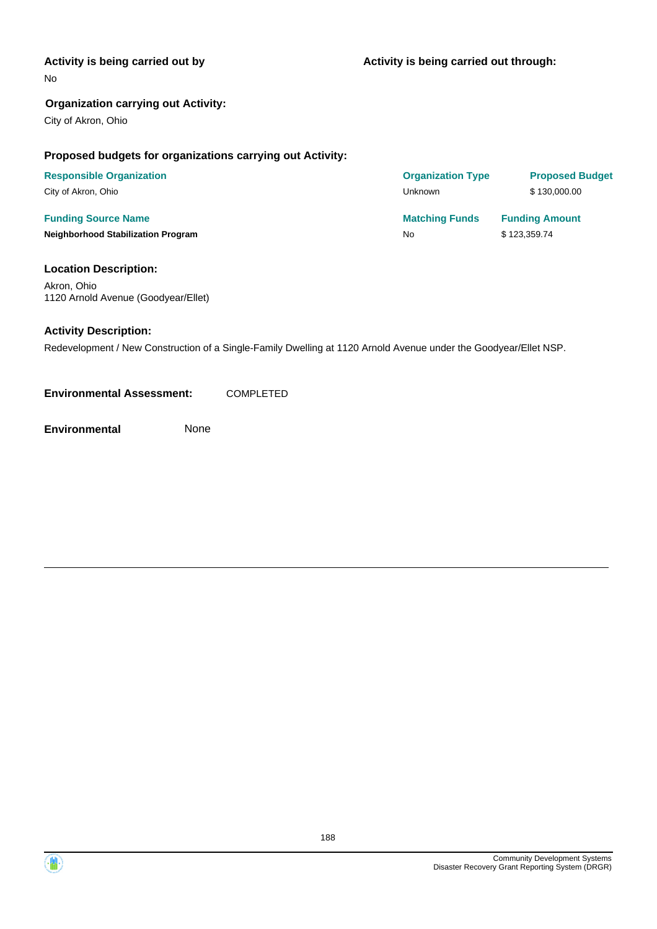## **Activity is being carried out by**

No

## **Organization carrying out Activity:**

City of Akron, Ohio

## **Proposed budgets for organizations carrying out Activity:**

| <b>Responsible Organization</b>           | <b>Organization Type</b> | <b>Proposed Budget</b> |
|-------------------------------------------|--------------------------|------------------------|
| City of Akron, Ohio                       | Unknown                  | \$130,000,00           |
| <b>Funding Source Name</b>                | <b>Matching Funds</b>    | <b>Funding Amount</b>  |
| <b>Neighborhood Stabilization Program</b> | No                       | \$123,359.74           |

#### **Location Description:**

Akron, Ohio 1120 Arnold Avenue (Goodyear/Ellet)

## **Activity Description:**

Redevelopment / New Construction of a Single-Family Dwelling at 1120 Arnold Avenue under the Goodyear/Ellet NSP.

**Environmental Assessment:** COMPLETED

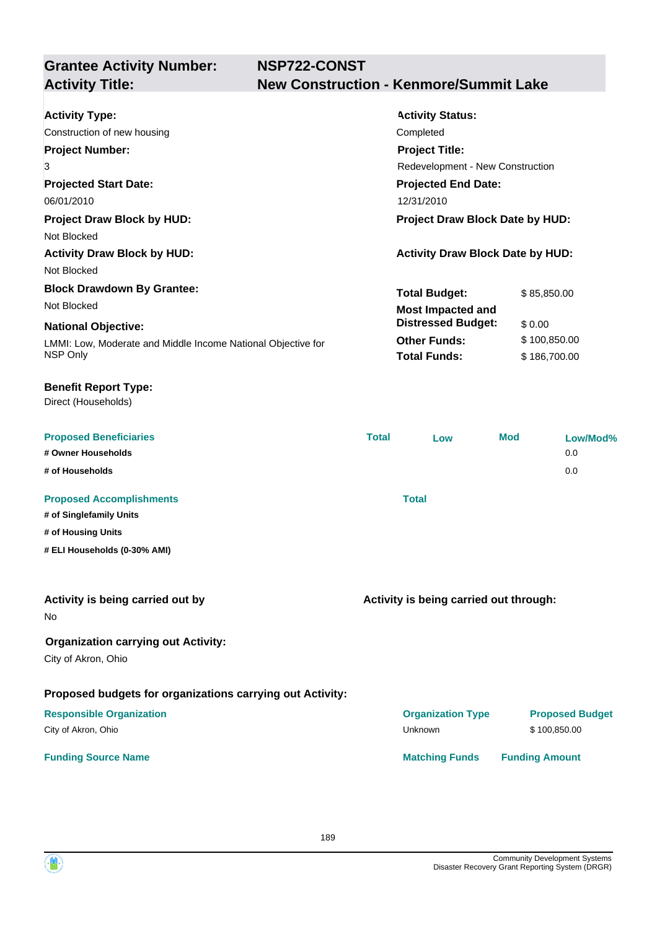**NSP722-CONST Activity Title: New Construction - Kenmore/Summit Lake**

| <b>Activity Type:</b>                                        | <b>Activity Status:</b>                 |              |
|--------------------------------------------------------------|-----------------------------------------|--------------|
| Construction of new housing                                  | Completed                               |              |
| <b>Project Number:</b>                                       | <b>Project Title:</b>                   |              |
| 3                                                            | Redevelopment - New Construction        |              |
| <b>Projected Start Date:</b>                                 | <b>Projected End Date:</b>              |              |
| 06/01/2010                                                   | 12/31/2010                              |              |
| <b>Project Draw Block by HUD:</b>                            | <b>Project Draw Block Date by HUD:</b>  |              |
| Not Blocked                                                  |                                         |              |
| <b>Activity Draw Block by HUD:</b>                           | <b>Activity Draw Block Date by HUD:</b> |              |
| Not Blocked                                                  |                                         |              |
| <b>Block Drawdown By Grantee:</b>                            | <b>Total Budget:</b>                    | \$85,850.00  |
| Not Blocked                                                  | <b>Most Impacted and</b>                |              |
| <b>National Objective:</b>                                   | <b>Distressed Budget:</b>               | \$0.00       |
| LMMI: Low, Moderate and Middle Income National Objective for | <b>Other Funds:</b>                     | \$100,850.00 |
| NSP Only                                                     | <b>Total Funds:</b>                     | \$186,700.00 |
| <b>Benefit Report Type:</b><br>Direct (Households)           |                                         |              |

| <b>Proposed Beneficiaries</b>   | <b>Total</b> | Low   | <b>Mod</b> | Low/Mod% |
|---------------------------------|--------------|-------|------------|----------|
| # Owner Households              |              |       |            | 0.0      |
| # of Households                 |              |       |            | 0.0      |
|                                 |              |       |            |          |
| <b>Proposed Accomplishments</b> |              | Total |            |          |
| # of Singlefamily Units         |              |       |            |          |

- **# of Housing Units**
- **# ELI Households (0-30% AMI)**

|  | Activity is being carried out by |  |
|--|----------------------------------|--|
|--|----------------------------------|--|

No

## **Organization carrying out Activity:**

City of Akron, Ohio

## **Proposed budgets for organizations carrying out Activity:**

## **Responsible Organization COVID-10 COVID-10 Organization Type Proposed Budget** City of Akron, Ohio \$100,850.00

## **Funding Source Name Matching Funds Funding Amount**

**Activity is being carried out through:**

189

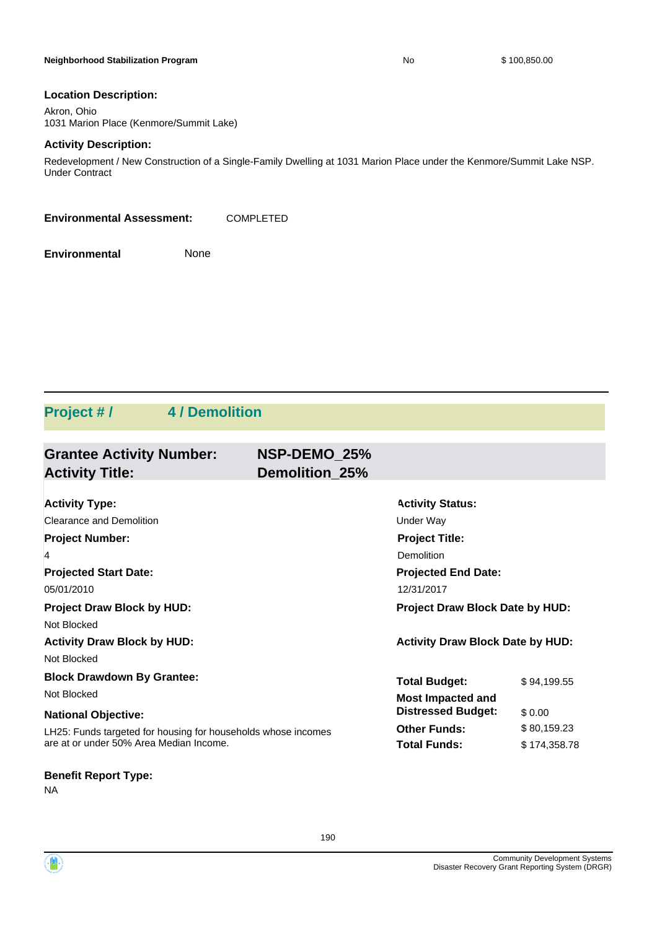#### **Neighborhood Stabilization Program No No** \$ 100,850.00

#### **Location Description:**

Akron, Ohio 1031 Marion Place (Kenmore/Summit Lake)

## **Activity Description:**

Redevelopment / New Construction of a Single-Family Dwelling at 1031 Marion Place under the Kenmore/Summit Lake NSP. Under Contract

**Environmental Assessment:** COMPLETED

**Environmental** None

## **Project # / 4 / Demolition**

| <b>Grantee Activity Number:</b><br><b>Activity Title:</b>     | NSP-DEMO 25%<br><b>Demolition 25%</b> |                                         |              |
|---------------------------------------------------------------|---------------------------------------|-----------------------------------------|--------------|
|                                                               |                                       |                                         |              |
| <b>Activity Type:</b>                                         |                                       | <b>Activity Status:</b>                 |              |
| Clearance and Demolition                                      |                                       | Under Way                               |              |
| <b>Project Number:</b>                                        |                                       | <b>Project Title:</b>                   |              |
| 4                                                             |                                       | Demolition                              |              |
| <b>Projected Start Date:</b>                                  |                                       | <b>Projected End Date:</b>              |              |
| 05/01/2010                                                    |                                       | 12/31/2017                              |              |
| <b>Project Draw Block by HUD:</b>                             |                                       | <b>Project Draw Block Date by HUD:</b>  |              |
| Not Blocked                                                   |                                       |                                         |              |
| <b>Activity Draw Block by HUD:</b>                            |                                       | <b>Activity Draw Block Date by HUD:</b> |              |
| Not Blocked                                                   |                                       |                                         |              |
| <b>Block Drawdown By Grantee:</b>                             |                                       | <b>Total Budget:</b>                    | \$94,199.55  |
| Not Blocked                                                   |                                       | <b>Most Impacted and</b>                |              |
| <b>National Objective:</b>                                    |                                       | <b>Distressed Budget:</b>               | \$0.00       |
| LH25: Funds targeted for housing for households whose incomes |                                       | <b>Other Funds:</b>                     | \$80,159.23  |
| are at or under 50% Area Median Income.                       |                                       | <b>Total Funds:</b>                     | \$174,358.78 |

**Benefit Report Type:**

NA



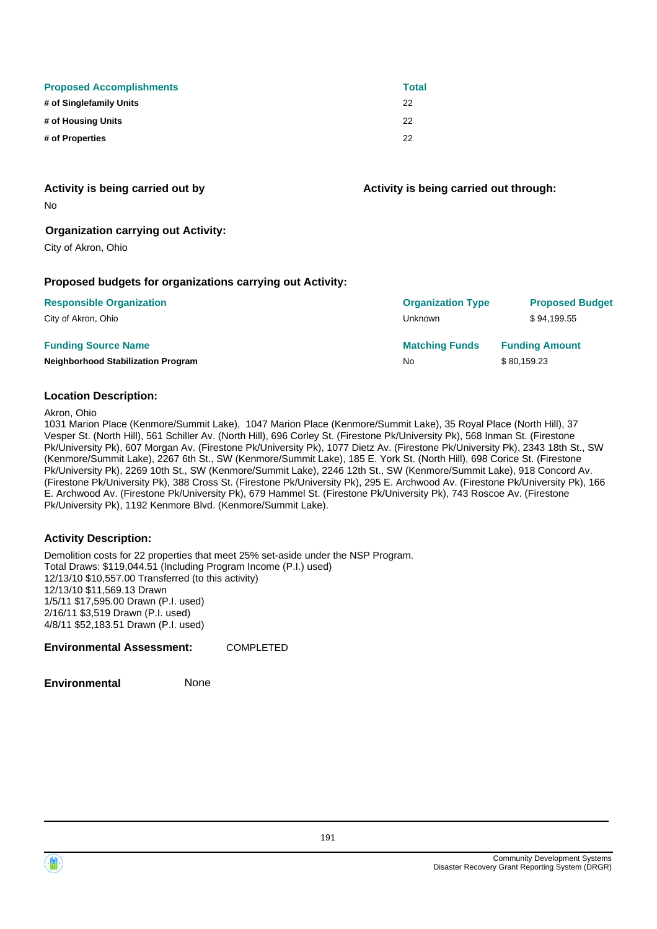| <b>Proposed Accomplishments</b> | <b>Total</b> |
|---------------------------------|--------------|
| # of Singlefamily Units         | 22           |
| # of Housing Units              | 22           |
| # of Properties                 | 22           |

**Activity is being carried out by**

**Activity is being carried out through:**

No

## **Organization carrying out Activity:**

City of Akron, Ohio

## **Proposed budgets for organizations carrying out Activity:**

| <b>Responsible Organization</b>           | <b>Organization Type</b> | <b>Proposed Budget</b> |
|-------------------------------------------|--------------------------|------------------------|
| City of Akron, Ohio                       | Unknown                  | \$94.199.55            |
| <b>Funding Source Name</b>                | <b>Matching Funds</b>    | <b>Funding Amount</b>  |
| <b>Neighborhood Stabilization Program</b> | No                       | \$80,159.23            |

## **Location Description:**

Akron, Ohio

1031 Marion Place (Kenmore/Summit Lake), 1047 Marion Place (Kenmore/Summit Lake), 35 Royal Place (North Hill), 37 Vesper St. (North Hill), 561 Schiller Av. (North Hill), 696 Corley St. (Firestone Pk/University Pk), 568 Inman St. (Firestone Pk/University Pk), 607 Morgan Av. (Firestone Pk/University Pk), 1077 Dietz Av. (Firestone Pk/University Pk), 2343 18th St., SW (Kenmore/Summit Lake), 2267 6th St., SW (Kenmore/Summit Lake), 185 E. York St. (North Hill), 698 Corice St. (Firestone Pk/University Pk), 2269 10th St., SW (Kenmore/Summit Lake), 2246 12th St., SW (Kenmore/Summit Lake), 918 Concord Av. (Firestone Pk/University Pk), 388 Cross St. (Firestone Pk/University Pk), 295 E. Archwood Av. (Firestone Pk/University Pk), 166 E. Archwood Av. (Firestone Pk/University Pk), 679 Hammel St. (Firestone Pk/University Pk), 743 Roscoe Av. (Firestone Pk/University Pk), 1192 Kenmore Blvd. (Kenmore/Summit Lake).

## **Activity Description:**

Demolition costs for 22 properties that meet 25% set-aside under the NSP Program. Total Draws: \$119,044.51 (Including Program Income (P.I.) used) 12/13/10 \$10,557.00 Transferred (to this activity) 12/13/10 \$11,569.13 Drawn 1/5/11 \$17,595.00 Drawn (P.I. used) 2/16/11 \$3,519 Drawn (P.I. used) 4/8/11 \$52,183.51 Drawn (P.I. used)

## **Environmental Assessment:** COMPLETED

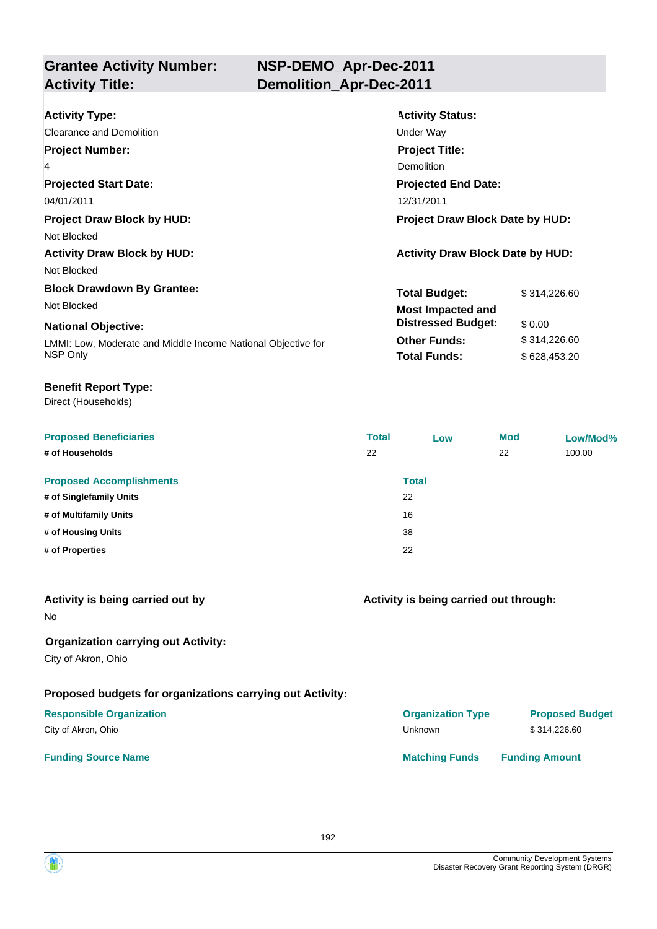| <b>Activity Type:</b>                                        | <b>Activity Status:</b>                 |              |
|--------------------------------------------------------------|-----------------------------------------|--------------|
| Clearance and Demolition                                     | Under Way                               |              |
| <b>Project Number:</b>                                       | <b>Project Title:</b>                   |              |
| 4                                                            | Demolition                              |              |
| <b>Projected Start Date:</b>                                 | <b>Projected End Date:</b>              |              |
| 04/01/2011                                                   | 12/31/2011                              |              |
| <b>Project Draw Block by HUD:</b>                            | <b>Project Draw Block Date by HUD:</b>  |              |
| Not Blocked                                                  |                                         |              |
| <b>Activity Draw Block by HUD:</b>                           | <b>Activity Draw Block Date by HUD:</b> |              |
| Not Blocked                                                  |                                         |              |
| <b>Block Drawdown By Grantee:</b>                            | <b>Total Budget:</b>                    | \$314,226.60 |
| Not Blocked                                                  | <b>Most Impacted and</b>                |              |
| <b>National Objective:</b>                                   | <b>Distressed Budget:</b>               | \$0.00       |
| LMMI: Low, Moderate and Middle Income National Objective for | <b>Other Funds:</b>                     | \$314,226.60 |
| NSP Only                                                     | <b>Total Funds:</b>                     | \$628,453.20 |

## **Benefit Report Type:**

Direct (Households)

| <b>Proposed Beneficiaries</b>   | <b>Total</b> | Low          | <b>Mod</b> | Low/Mod% |
|---------------------------------|--------------|--------------|------------|----------|
| # of Households                 | 22           |              | 22         | 100.00   |
| <b>Proposed Accomplishments</b> |              | <b>Total</b> |            |          |
| # of Singlefamily Units         |              | 22           |            |          |
| # of Multifamily Units          |              | 16           |            |          |
| # of Housing Units              |              | 38           |            |          |
| # of Properties                 |              | 22           |            |          |

| Activity is being carried out by<br>N <sub>o</sub>                | Activity is being carried out through: |                        |
|-------------------------------------------------------------------|----------------------------------------|------------------------|
| <b>Organization carrying out Activity:</b><br>City of Akron, Ohio |                                        |                        |
| Proposed budgets for organizations carrying out Activity:         |                                        |                        |
| <b>Responsible Organization</b>                                   | <b>Organization Type</b>               | <b>Proposed Budget</b> |
| City of Akron, Ohio                                               | Unknown                                | \$314,226,60           |
| <b>Funding Source Name</b>                                        | <b>Matching Funds</b>                  | <b>Funding Amount</b>  |

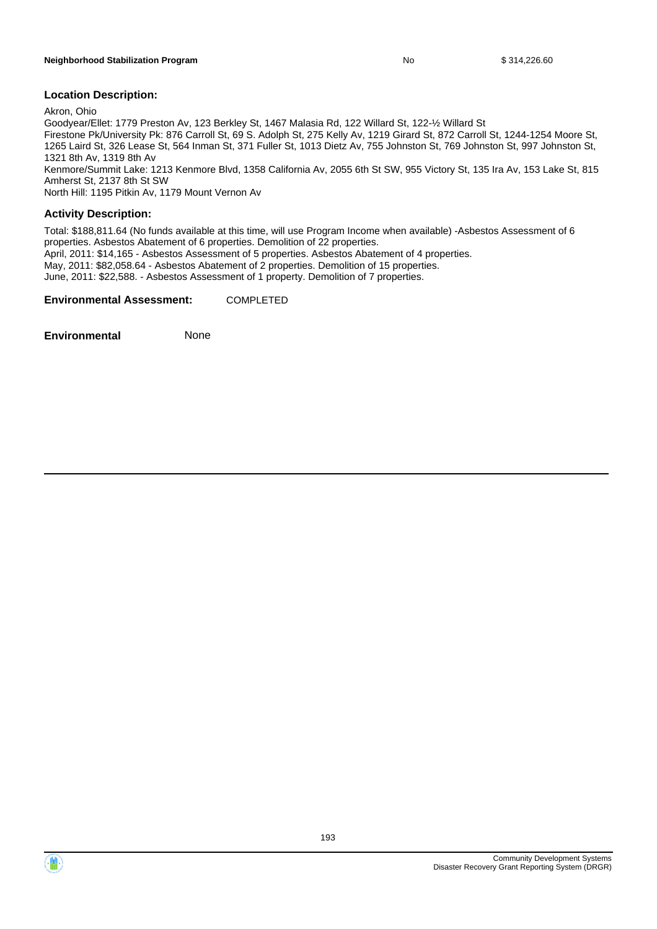Akron, Ohio

Goodyear/Ellet: 1779 Preston Av, 123 Berkley St, 1467 Malasia Rd, 122 Willard St, 122-½ Willard St Firestone Pk/University Pk: 876 Carroll St, 69 S. Adolph St, 275 Kelly Av, 1219 Girard St, 872 Carroll St, 1244-1254 Moore St, 1265 Laird St, 326 Lease St, 564 Inman St, 371 Fuller St, 1013 Dietz Av, 755 Johnston St, 769 Johnston St, 997 Johnston St, 1321 8th Av, 1319 8th Av Kenmore/Summit Lake: 1213 Kenmore Blvd, 1358 California Av, 2055 6th St SW, 955 Victory St, 135 Ira Av, 153 Lake St, 815 Amherst St, 2137 8th St SW

North Hill: 1195 Pitkin Av, 1179 Mount Vernon Av

## **Activity Description:**

Total: \$188,811.64 (No funds available at this time, will use Program Income when available) -Asbestos Assessment of 6 properties. Asbestos Abatement of 6 properties. Demolition of 22 properties.

April, 2011: \$14,165 - Asbestos Assessment of 5 properties. Asbestos Abatement of 4 properties.

May, 2011: \$82,058.64 - Asbestos Abatement of 2 properties. Demolition of 15 properties.

June, 2011: \$22,588. - Asbestos Assessment of 1 property. Demolition of 7 properties.

#### **Environmental Assessment:** COMPLETED

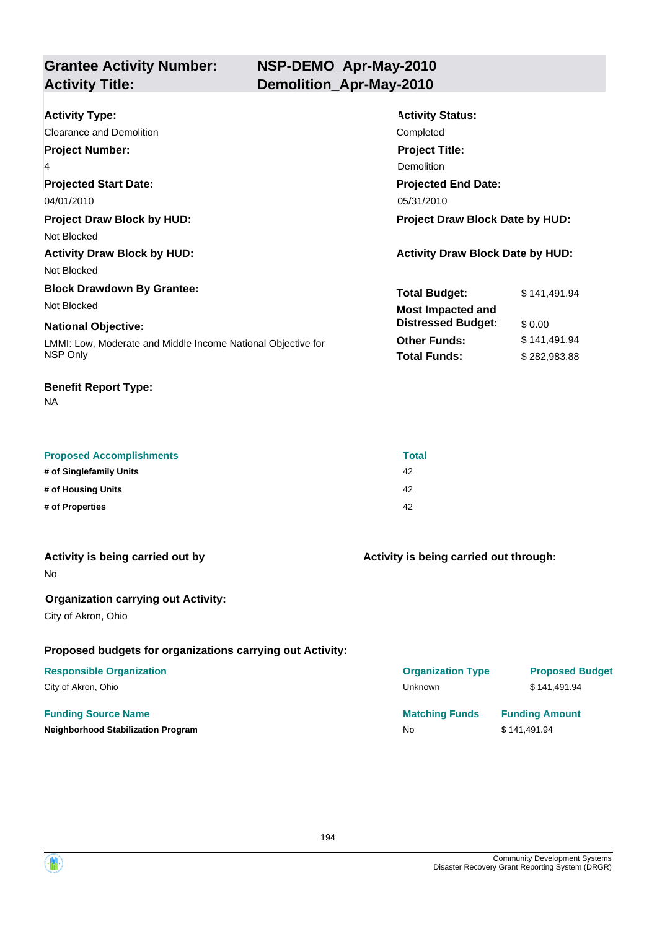## **NSP-DEMO\_Apr-May-2010 Activity Title: Demolition\_Apr-May-2010**

| <b>Activity Type:</b>                                        | <b>Activity Status:</b>                 |              |
|--------------------------------------------------------------|-----------------------------------------|--------------|
| Clearance and Demolition                                     | Completed                               |              |
| <b>Project Number:</b>                                       | <b>Project Title:</b>                   |              |
| 4                                                            | Demolition                              |              |
| <b>Projected Start Date:</b>                                 | <b>Projected End Date:</b>              |              |
| 04/01/2010                                                   | 05/31/2010                              |              |
| <b>Project Draw Block by HUD:</b>                            | <b>Project Draw Block Date by HUD:</b>  |              |
| Not Blocked                                                  |                                         |              |
| <b>Activity Draw Block by HUD:</b>                           | <b>Activity Draw Block Date by HUD:</b> |              |
| Not Blocked                                                  |                                         |              |
| <b>Block Drawdown By Grantee:</b>                            | <b>Total Budget:</b>                    | \$141,491.94 |
| Not Blocked                                                  | <b>Most Impacted and</b>                |              |
| <b>National Objective:</b>                                   | <b>Distressed Budget:</b>               | \$0.00       |
| LMMI: Low, Moderate and Middle Income National Objective for | <b>Other Funds:</b>                     | \$141,491.94 |
| NSP Only                                                     | <b>Total Funds:</b>                     | \$282,983.88 |
|                                                              |                                         |              |

## **Benefit Report Type:**

NA

| <b>Proposed Accomplishments</b> | <b>Total</b> |
|---------------------------------|--------------|
| # of Singlefamily Units         | 42           |
| # of Housing Units              | 42           |
| # of Properties                 | 42           |

| Activity is being carried out by           | Activity is being carried out through: |
|--------------------------------------------|----------------------------------------|
| No.                                        |                                        |
| <b>Organization carrying out Activity:</b> |                                        |

City of Akron, Ohio

## **Proposed budgets for organizations carrying out Activity:**

## **Responsible Organization**

City of Akron, Ohio

## **Funding Source Name**

**Neighborhood Stabilization Program** 

| <b>Organization Type</b>    | <b>Proposed Budget</b>                |
|-----------------------------|---------------------------------------|
| Unknown                     | \$141,491.94                          |
| <b>Matching Funds</b><br>N٥ | <b>Funding Amount</b><br>\$141.491.94 |
|                             |                                       |

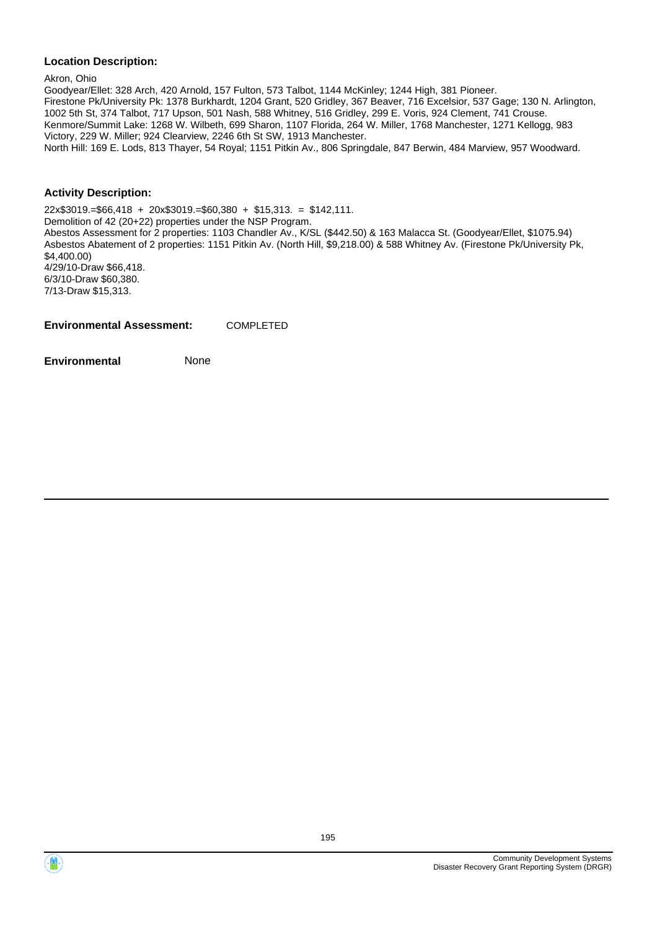Akron, Ohio

Goodyear/Ellet: 328 Arch, 420 Arnold, 157 Fulton, 573 Talbot, 1144 McKinley; 1244 High, 381 Pioneer. Firestone Pk/University Pk: 1378 Burkhardt, 1204 Grant, 520 Gridley, 367 Beaver, 716 Excelsior, 537 Gage; 130 N. Arlington, 1002 5th St, 374 Talbot, 717 Upson, 501 Nash, 588 Whitney, 516 Gridley, 299 E. Voris, 924 Clement, 741 Crouse. Kenmore/Summit Lake: 1268 W. Wilbeth, 699 Sharon, 1107 Florida, 264 W. Miller, 1768 Manchester, 1271 Kellogg, 983 Victory, 229 W. Miller; 924 Clearview, 2246 6th St SW, 1913 Manchester. North Hill: 169 E. Lods, 813 Thayer, 54 Royal; 1151 Pitkin Av., 806 Springdale, 847 Berwin, 484 Marview, 957 Woodward.

## **Activity Description:**

22x\$3019.=\$66,418 + 20x\$3019.=\$60,380 + \$15,313. = \$142,111. Demolition of 42 (20+22) properties under the NSP Program. Abestos Assessment for 2 properties: 1103 Chandler Av., K/SL (\$442.50) & 163 Malacca St. (Goodyear/Ellet, \$1075.94) Asbestos Abatement of 2 properties: 1151 Pitkin Av. (North Hill, \$9,218.00) & 588 Whitney Av. (Firestone Pk/University Pk, \$4,400.00) 4/29/10-Draw \$66,418. 6/3/10-Draw \$60,380. 7/13-Draw \$15,313.

**Environmental Assessment:** COMPLETED

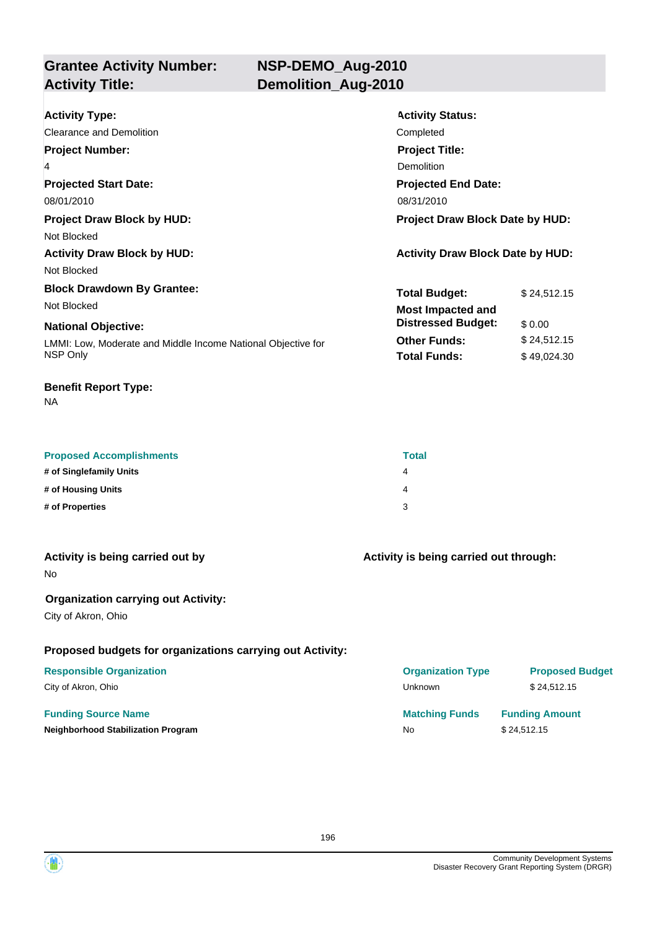**Grantee Activity Number: Activity Title: Demolition\_Aug-2010**

| <b>Activity Type:</b>                                                       | <b>Activity Status:</b>                 |  |  |
|-----------------------------------------------------------------------------|-----------------------------------------|--|--|
| Clearance and Demolition                                                    | Completed                               |  |  |
| <b>Project Number:</b>                                                      | <b>Project Title:</b>                   |  |  |
| 4                                                                           | Demolition                              |  |  |
| <b>Projected Start Date:</b>                                                | <b>Projected End Date:</b>              |  |  |
| 08/01/2010                                                                  | 08/31/2010                              |  |  |
| <b>Project Draw Block Date by HUD:</b><br><b>Project Draw Block by HUD:</b> |                                         |  |  |
| Not Blocked                                                                 |                                         |  |  |
| <b>Activity Draw Block by HUD:</b>                                          | <b>Activity Draw Block Date by HUD:</b> |  |  |
| Not Blocked                                                                 |                                         |  |  |
| <b>Block Drawdown By Grantee:</b>                                           | <b>Total Budget:</b><br>\$24,512.15     |  |  |
| Not Blocked                                                                 | <b>Most Impacted and</b>                |  |  |
| <b>National Objective:</b>                                                  | <b>Distressed Budget:</b><br>\$0.00     |  |  |
| LMMI: Low, Moderate and Middle Income National Objective for                | <b>Other Funds:</b><br>\$24,512.15      |  |  |
| NSP Only                                                                    | <b>Total Funds:</b><br>\$49,024.30      |  |  |
|                                                                             |                                         |  |  |

## **Benefit Report Type:**

NA

| <b>Proposed Accomplishments</b> | <b>Total</b> |
|---------------------------------|--------------|
| # of Singlefamily Units         | 4            |
| # of Housing Units              | 4            |
| # of Properties                 |              |

| Activity is being carried out by | Activity is being carried out through: |
|----------------------------------|----------------------------------------|
| N٥                               |                                        |
|                                  |                                        |

## **Organization carrying out Activity:**

City of Akron, Ohio

## **Proposed budgets for organizations carrying out Activity:**

## **Responsible Organization**

|  |  | City of Akron, Ohic |  |
|--|--|---------------------|--|
|--|--|---------------------|--|

## **Funding Source Name**

| <b>Responsible Organization</b>    | <b>Organization Type</b> | <b>Proposed Budget</b> |
|------------------------------------|--------------------------|------------------------|
| City of Akron, Ohio                | Unknown                  | \$24.512.15            |
| <b>Funding Source Name</b>         | <b>Matching Funds</b>    | <b>Funding Amount</b>  |
| Neighborhood Stabilization Program | <b>No</b>                | \$24.512.15            |
|                                    |                          |                        |

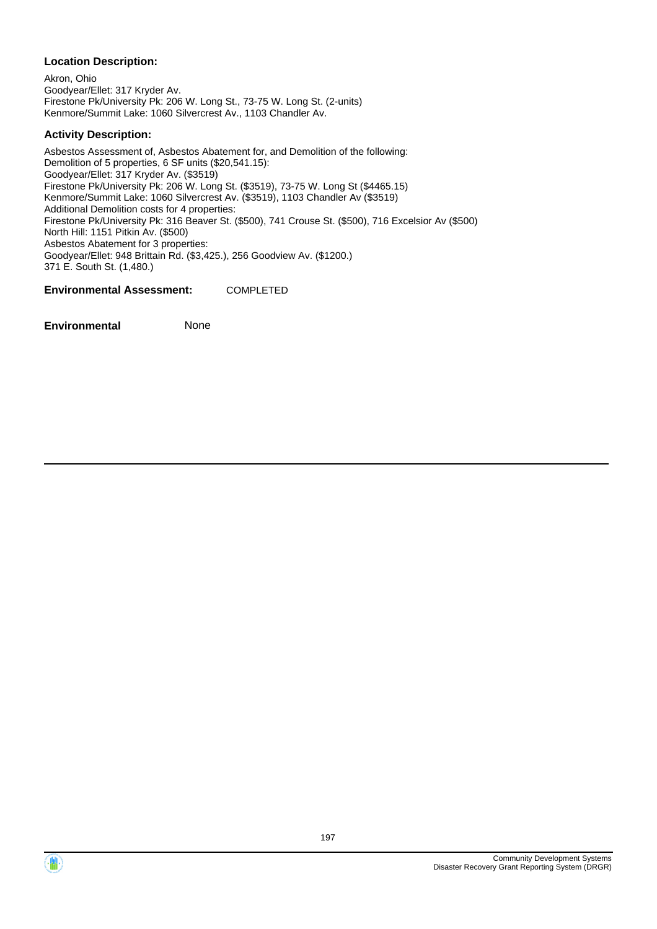Akron, Ohio Goodyear/Ellet: 317 Kryder Av. Firestone Pk/University Pk: 206 W. Long St., 73-75 W. Long St. (2-units) Kenmore/Summit Lake: 1060 Silvercrest Av., 1103 Chandler Av.

## **Activity Description:**

Asbestos Assessment of, Asbestos Abatement for, and Demolition of the following: Demolition of 5 properties, 6 SF units (\$20,541.15): Goodyear/Ellet: 317 Kryder Av. (\$3519) Firestone Pk/University Pk: 206 W. Long St. (\$3519), 73-75 W. Long St (\$4465.15) Kenmore/Summit Lake: 1060 Silvercrest Av. (\$3519), 1103 Chandler Av (\$3519) Additional Demolition costs for 4 properties: Firestone Pk/University Pk: 316 Beaver St. (\$500), 741 Crouse St. (\$500), 716 Excelsior Av (\$500) North Hill: 1151 Pitkin Av. (\$500) Asbestos Abatement for 3 properties: Goodyear/Ellet: 948 Brittain Rd. (\$3,425.), 256 Goodview Av. (\$1200.) 371 E. South St. (1,480.)

**Environmental Assessment:** COMPLETED

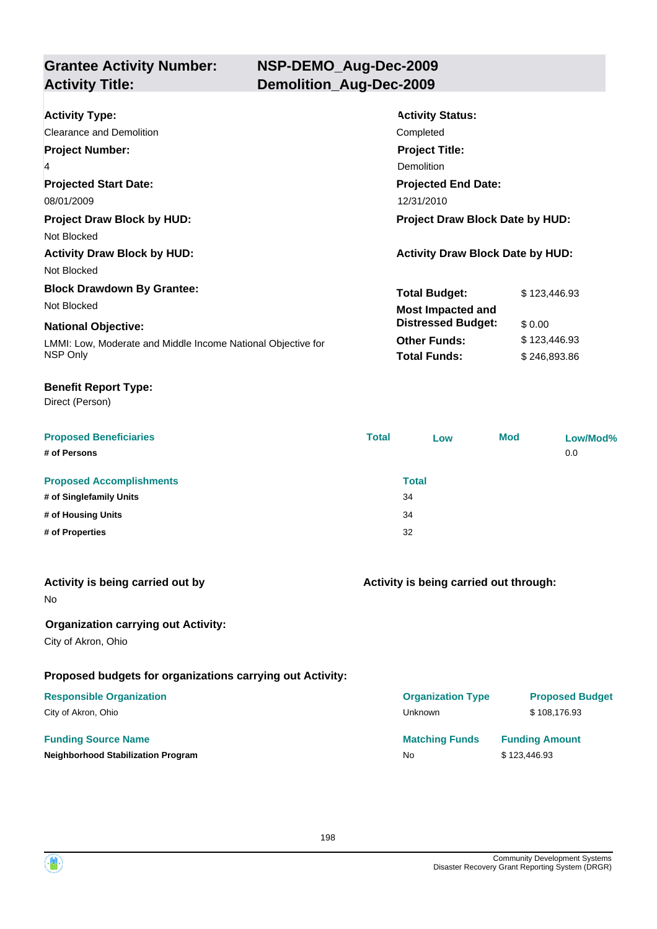## **NSP-DEMO\_Aug-Dec-2009 Activity Title: Demolition\_Aug-Dec-2009**

| <b>Activity Type:</b>                                        | <b>Activity Status:</b>                 |              |  |
|--------------------------------------------------------------|-----------------------------------------|--------------|--|
| Clearance and Demolition                                     | Completed                               |              |  |
| <b>Project Number:</b>                                       | <b>Project Title:</b>                   |              |  |
| 4                                                            | Demolition                              |              |  |
| <b>Projected Start Date:</b>                                 | <b>Projected End Date:</b>              |              |  |
| 08/01/2009                                                   | 12/31/2010                              |              |  |
| <b>Project Draw Block by HUD:</b>                            | <b>Project Draw Block Date by HUD:</b>  |              |  |
| Not Blocked                                                  |                                         |              |  |
| <b>Activity Draw Block by HUD:</b>                           | <b>Activity Draw Block Date by HUD:</b> |              |  |
| Not Blocked                                                  |                                         |              |  |
| <b>Block Drawdown By Grantee:</b>                            | <b>Total Budget:</b>                    | \$123,446.93 |  |
| Not Blocked                                                  | <b>Most Impacted and</b>                |              |  |
| <b>National Objective:</b>                                   | <b>Distressed Budget:</b>               | \$0.00       |  |
| LMMI: Low, Moderate and Middle Income National Objective for | <b>Other Funds:</b>                     | \$123,446.93 |  |
| NSP Only                                                     | <b>Total Funds:</b>                     | \$246,893.86 |  |
|                                                              |                                         |              |  |

## **Benefit Report Type:**

Direct (Person)

| <b>Proposed Beneficiaries</b>   | <b>Total</b> | Low | <b>Mod</b> | Low/Mod% |
|---------------------------------|--------------|-----|------------|----------|
| # of Persons                    |              |     |            | 0.0      |
| <b>Proposed Accomplishments</b> | <b>Total</b> |     |            |          |
| # of Singlefamily Units         | 34           |     |            |          |
| # of Housing Units              | 34           |     |            |          |
| # of Properties                 | 32           |     |            |          |

|  |  |  | Activity is being carried out by |  |  |
|--|--|--|----------------------------------|--|--|
|--|--|--|----------------------------------|--|--|

No

## **Organization carrying out Activity:**

City of Akron, Ohio

## **Proposed budgets for organizations carrying out Activity:**

## **Responsible Organization**

City of Akron, Ohio

## **Funding Source Name**

**Neighborhood Stabilization Program** 

## **Activity is being carried out through:**

| <b>Organization Type</b> | <b>Proposed Budget</b> |
|--------------------------|------------------------|
| Unknown                  | \$108,176.93           |
| <b>Matching Funds</b>    | <b>Funding Amount</b>  |
| N٥                       | \$123,446.93           |

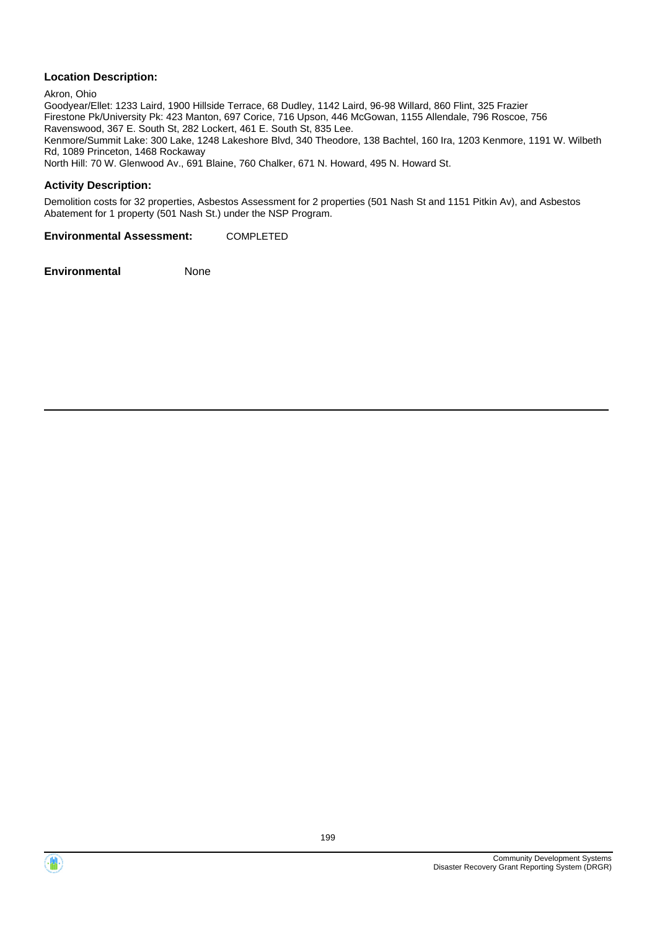Akron, Ohio Goodyear/Ellet: 1233 Laird, 1900 Hillside Terrace, 68 Dudley, 1142 Laird, 96-98 Willard, 860 Flint, 325 Frazier Firestone Pk/University Pk: 423 Manton, 697 Corice, 716 Upson, 446 McGowan, 1155 Allendale, 796 Roscoe, 756 Ravenswood, 367 E. South St, 282 Lockert, 461 E. South St, 835 Lee. Kenmore/Summit Lake: 300 Lake, 1248 Lakeshore Blvd, 340 Theodore, 138 Bachtel, 160 Ira, 1203 Kenmore, 1191 W. Wilbeth Rd, 1089 Princeton, 1468 Rockaway North Hill: 70 W. Glenwood Av., 691 Blaine, 760 Chalker, 671 N. Howard, 495 N. Howard St.

## **Activity Description:**

Demolition costs for 32 properties, Asbestos Assessment for 2 properties (501 Nash St and 1151 Pitkin Av), and Asbestos Abatement for 1 property (501 Nash St.) under the NSP Program.

**Environmental Assessment:** COMPLETED

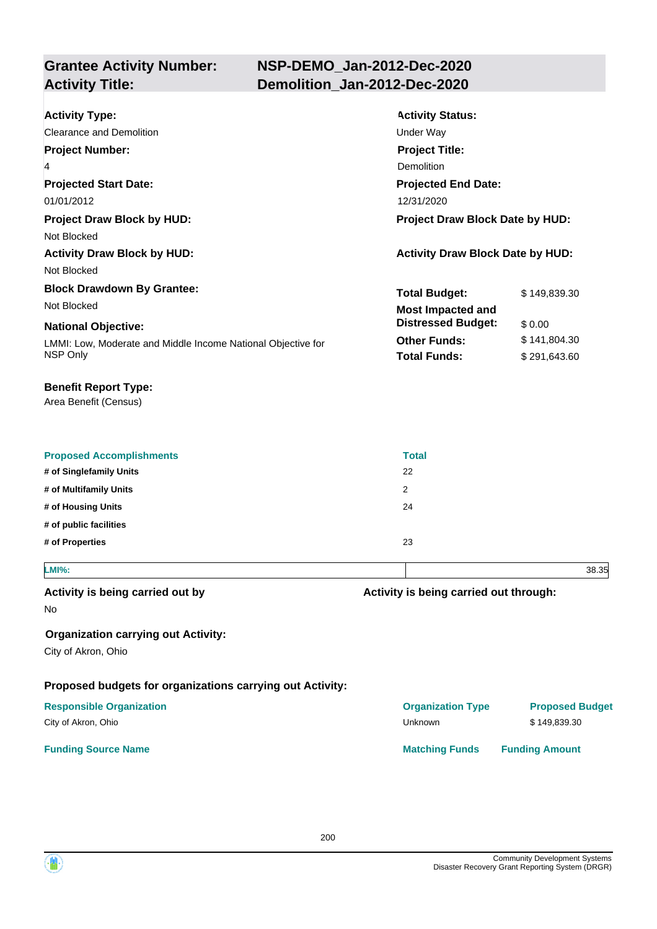#### **Grantee Activity Number: Activity Status: NSP-DEMO\_Jan-2012-Dec-2020 Activity Type:** Clearance and Demolition **Under Way Activity Title: Demolition\_Jan-2012-Dec-2020 Project Number:** 4 **Project Title:** Demolition

**Projected Start Date:** LMMI: Low, Moderate and Middle Income National Objective for NSP Only **National Objective: Projected End Date:** 01/01/2012 12/31/2020 **Total Budget:** \$149,839.30 **Other Funds:** \$141,804.30 **Total Funds:** \$291,643.60 **Project Draw Block by HUD: Project Draw Block Date by HUD:** Not Blocked Activity Draw Block by HUD: **Activity Draw Block Date by HUD:** Activity Draw Block Date by HUD: Not Blocked **Block Drawdown By Grantee:** Not Blocked **Most Impacted and Distressed Budget:** \$ 0.00

## **Benefit Report Type:**

Area Benefit (Census)

| <b>Proposed Accomplishments</b> | <b>Total</b> |
|---------------------------------|--------------|
| # of Singlefamily Units         | 22           |
| # of Multifamily Units<br>2     |              |
| # of Housing Units              | 24           |
| # of public facilities          |              |
| # of Properties                 | 23           |
|                                 |              |

**LMI%:** 38.35

## **Activity is being carried out by**

No

## **Organization carrying out Activity:**

City of Akron, Ohio

## **Proposed budgets for organizations carrying out Activity:**

## **Responsible Organization Organization Type Proposed Budget**

City of Akron, Ohio Unknown \$ 149,839.30

#### **Funding Source Name <b>Matching Funds Funding Amount Matching Funds Funding Amount**

**Activity is being carried out through:**

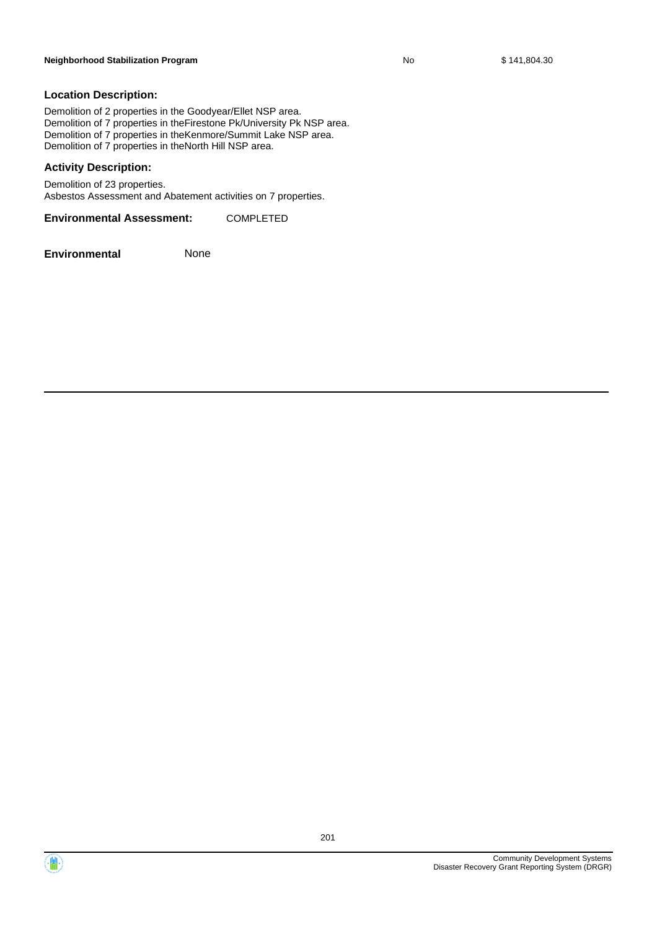Demolition of 2 properties in the Goodyear/Ellet NSP area. Demolition of 7 properties in theFirestone Pk/University Pk NSP area. Demolition of 7 properties in theKenmore/Summit Lake NSP area. Demolition of 7 properties in theNorth Hill NSP area.

#### **Activity Description:**

Demolition of 23 properties. Asbestos Assessment and Abatement activities on 7 properties.

**Environmental Assessment:** COMPLETED



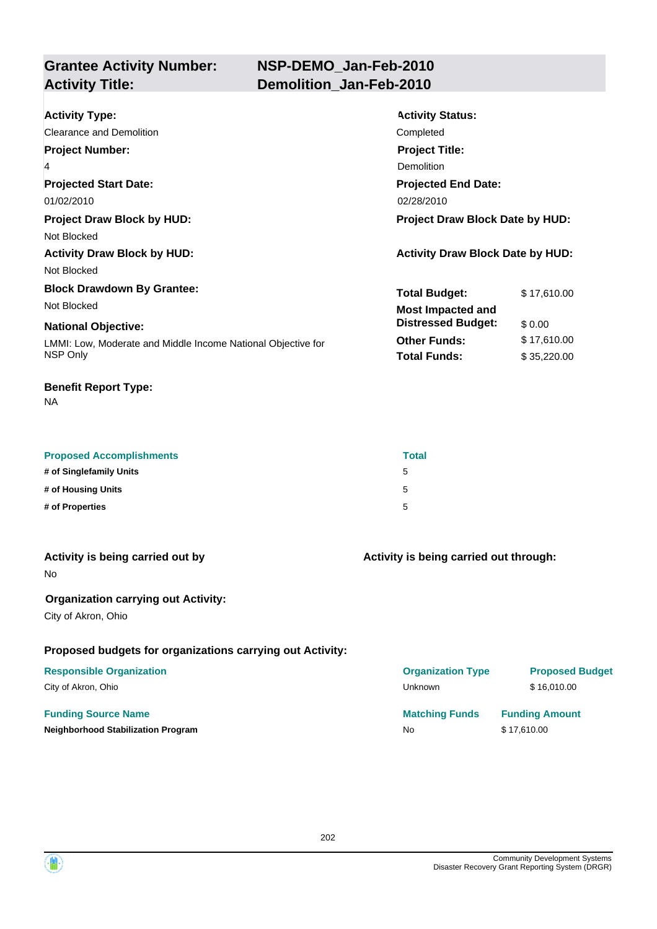## **NSP-DEMO\_Jan-Feb-2010 Activity Title: Demolition\_Jan-Feb-2010**

| <b>Activity Type:</b>                                        | <b>Activity Status:</b>                 |             |  |
|--------------------------------------------------------------|-----------------------------------------|-------------|--|
| Clearance and Demolition                                     | Completed                               |             |  |
| <b>Project Number:</b>                                       | <b>Project Title:</b>                   |             |  |
| 4                                                            | Demolition                              |             |  |
| <b>Projected Start Date:</b>                                 | <b>Projected End Date:</b>              |             |  |
| 01/02/2010                                                   | 02/28/2010                              |             |  |
| <b>Project Draw Block by HUD:</b>                            | Project Draw Block Date by HUD:         |             |  |
| Not Blocked                                                  |                                         |             |  |
| <b>Activity Draw Block by HUD:</b>                           | <b>Activity Draw Block Date by HUD:</b> |             |  |
| Not Blocked                                                  |                                         |             |  |
| <b>Block Drawdown By Grantee:</b>                            | <b>Total Budget:</b>                    | \$17,610.00 |  |
| Not Blocked                                                  | <b>Most Impacted and</b>                |             |  |
| <b>National Objective:</b>                                   | <b>Distressed Budget:</b>               | \$0.00      |  |
| LMMI: Low, Moderate and Middle Income National Objective for | <b>Other Funds:</b>                     | \$17,610.00 |  |
| NSP Only                                                     | <b>Total Funds:</b>                     | \$35,220.00 |  |
|                                                              |                                         |             |  |

## **Benefit Report Type:**

NA

| <b>Proposed Accomplishments</b> | Total |
|---------------------------------|-------|
| # of Singlefamily Units         | 5     |
| # of Housing Units              | 5     |
| # of Properties                 | 5     |

| Activity is being carried out by           | Activity is being carried out through: |
|--------------------------------------------|----------------------------------------|
| N٥                                         |                                        |
| <b>Organization carrying out Activity:</b> |                                        |

City of Akron, Ohio

## **Proposed budgets for organizations carrying out Activity:**

## **Funding Source Name**

| <b>Responsible Organization</b>           | <b>Organization Type</b> | <b>Proposed Budget</b> |
|-------------------------------------------|--------------------------|------------------------|
| City of Akron, Ohio                       | <b>Unknown</b>           | \$16,010,00            |
| <b>Funding Source Name</b>                | <b>Matching Funds</b>    | <b>Funding Amount</b>  |
| <b>Neighborhood Stabilization Program</b> | No.                      | \$17.610.00            |
|                                           |                          |                        |

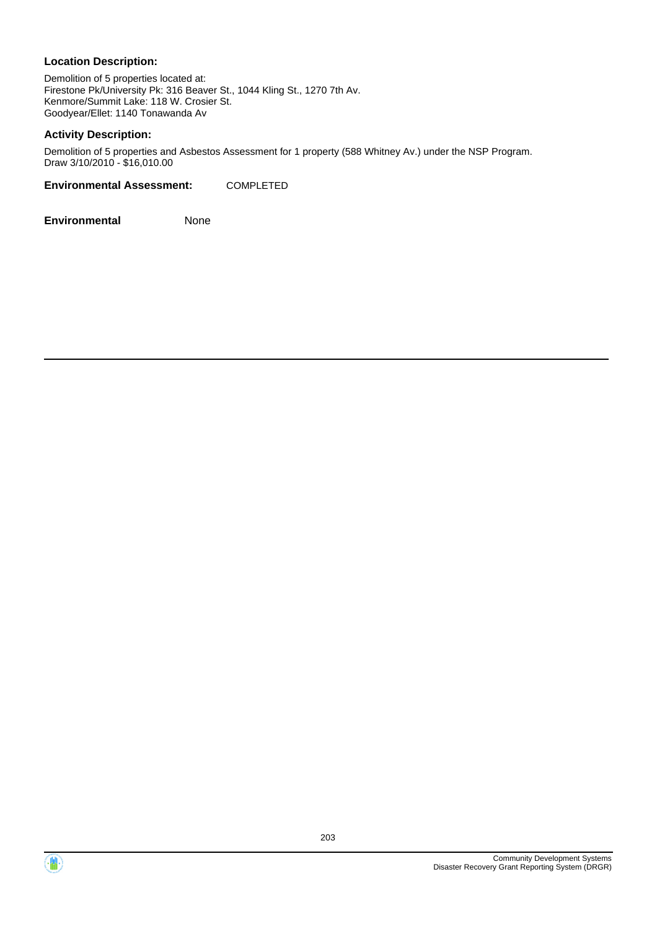Demolition of 5 properties located at: Firestone Pk/University Pk: 316 Beaver St., 1044 Kling St., 1270 7th Av. Kenmore/Summit Lake: 118 W. Crosier St. Goodyear/Ellet: 1140 Tonawanda Av

## **Activity Description:**

Demolition of 5 properties and Asbestos Assessment for 1 property (588 Whitney Av.) under the NSP Program. Draw 3/10/2010 - \$16,010.00

**Environmental Assessment:** COMPLETED



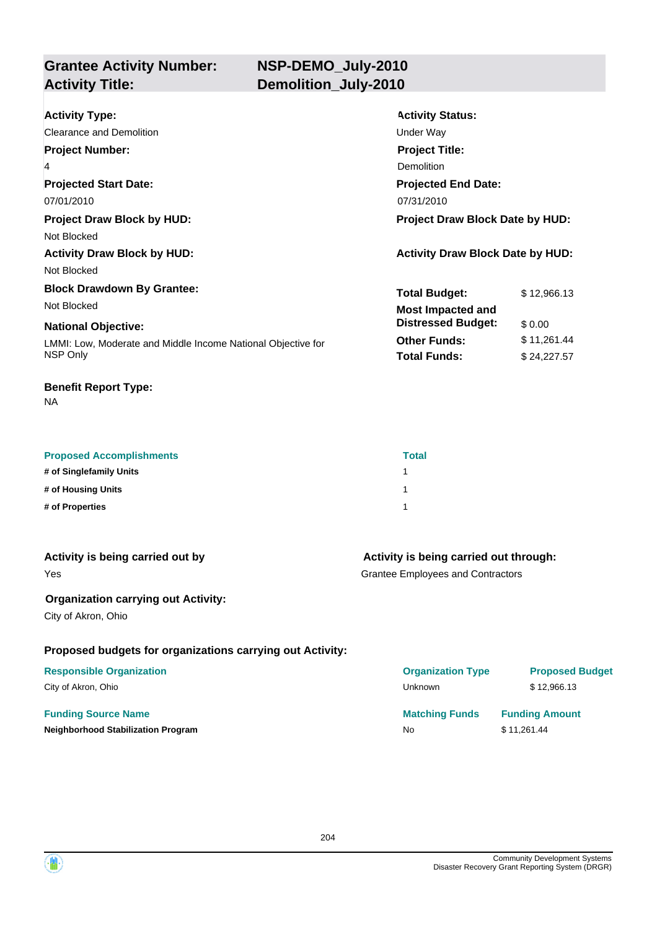**Grantee Activity Number: Activity Title: Demolition\_July-2010**

| <b>Activity Type:</b>                                        | <b>Activity Status:</b>                 |             |  |
|--------------------------------------------------------------|-----------------------------------------|-------------|--|
| Clearance and Demolition                                     | Under Way                               |             |  |
| <b>Project Number:</b>                                       | <b>Project Title:</b>                   |             |  |
| $\overline{4}$                                               | Demolition                              |             |  |
| <b>Projected Start Date:</b>                                 | <b>Projected End Date:</b>              |             |  |
| 07/01/2010                                                   | 07/31/2010                              |             |  |
| <b>Project Draw Block by HUD:</b>                            | <b>Project Draw Block Date by HUD:</b>  |             |  |
| Not Blocked                                                  |                                         |             |  |
| <b>Activity Draw Block by HUD:</b>                           | <b>Activity Draw Block Date by HUD:</b> |             |  |
| Not Blocked                                                  |                                         |             |  |
| <b>Block Drawdown By Grantee:</b>                            | <b>Total Budget:</b>                    | \$12,966.13 |  |
| Not Blocked                                                  | <b>Most Impacted and</b>                |             |  |
| <b>National Objective:</b>                                   | <b>Distressed Budget:</b>               | \$0.00      |  |
| LMMI: Low, Moderate and Middle Income National Objective for | <b>Other Funds:</b>                     | \$11,261.44 |  |
| NSP Only                                                     | <b>Total Funds:</b>                     | \$24,227.57 |  |
|                                                              |                                         |             |  |

## **Benefit Report Type:**

NA

| <b>Proposed Accomplishments</b> | <b>Total</b> |
|---------------------------------|--------------|
| # of Singlefamily Units         |              |
| # of Housing Units              |              |
| # of Properties                 |              |

| Activity is being carried out by |  |  |  |
|----------------------------------|--|--|--|

Yes

## **Organization carrying out Activity:**

City of Akron, Ohio

## **Proposed budgets for organizations carrying out Activity:**

## **Responsible Organization**

City of Akron, Ohio

## **Funding Source Name**

**Neighborhood Stabilization Program** 

## **Activity is being carried out through:**

Grantee Employees and Contractors

| <b>Organization Type</b> | <b>Proposed Budget</b> |
|--------------------------|------------------------|
| Unknown                  | \$12.966.13            |
| <b>Matching Funds</b>    | <b>Funding Amount</b>  |
| N٥                       | \$11,261.44            |

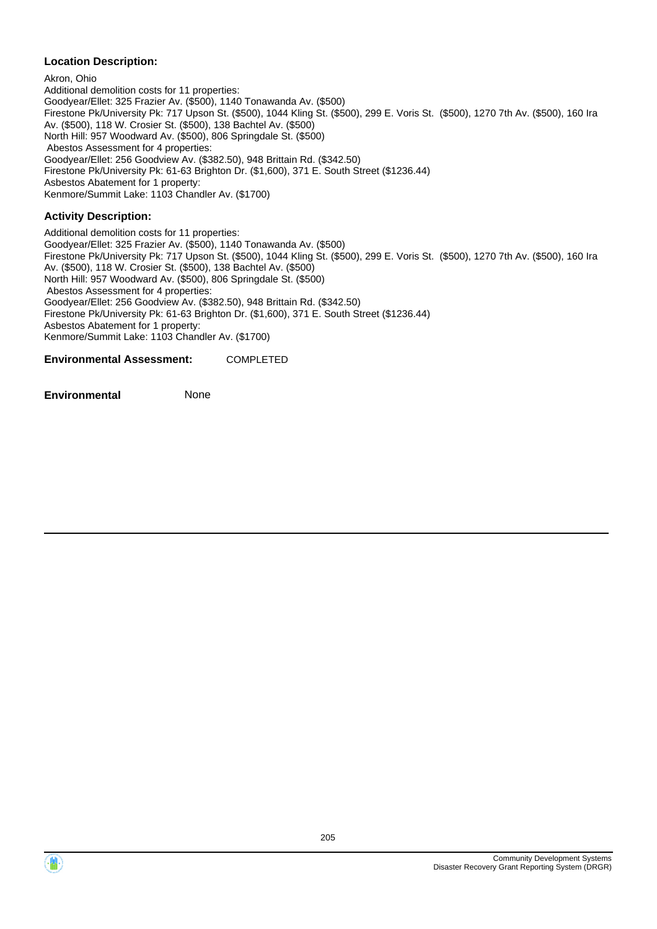Akron, Ohio Additional demolition costs for 11 properties: Goodyear/Ellet: 325 Frazier Av. (\$500), 1140 Tonawanda Av. (\$500) Firestone Pk/University Pk: 717 Upson St. (\$500), 1044 Kling St. (\$500), 299 E. Voris St. (\$500), 1270 7th Av. (\$500), 160 Ira Av. (\$500), 118 W. Crosier St. (\$500), 138 Bachtel Av. (\$500) North Hill: 957 Woodward Av. (\$500), 806 Springdale St. (\$500) Abestos Assessment for 4 properties: Goodyear/Ellet: 256 Goodview Av. (\$382.50), 948 Brittain Rd. (\$342.50) Firestone Pk/University Pk: 61-63 Brighton Dr. (\$1,600), 371 E. South Street (\$1236.44) Asbestos Abatement for 1 property: Kenmore/Summit Lake: 1103 Chandler Av. (\$1700)

## **Activity Description:**

Additional demolition costs for 11 properties: Goodyear/Ellet: 325 Frazier Av. (\$500), 1140 Tonawanda Av. (\$500) Firestone Pk/University Pk: 717 Upson St. (\$500), 1044 Kling St. (\$500), 299 E. Voris St. (\$500), 1270 7th Av. (\$500), 160 Ira Av. (\$500), 118 W. Crosier St. (\$500), 138 Bachtel Av. (\$500) North Hill: 957 Woodward Av. (\$500), 806 Springdale St. (\$500) Abestos Assessment for 4 properties: Goodyear/Ellet: 256 Goodview Av. (\$382.50), 948 Brittain Rd. (\$342.50) Firestone Pk/University Pk: 61-63 Brighton Dr. (\$1,600), 371 E. South Street (\$1236.44) Asbestos Abatement for 1 property: Kenmore/Summit Lake: 1103 Chandler Av. (\$1700)

**Environmental Assessment:** COMPLETED

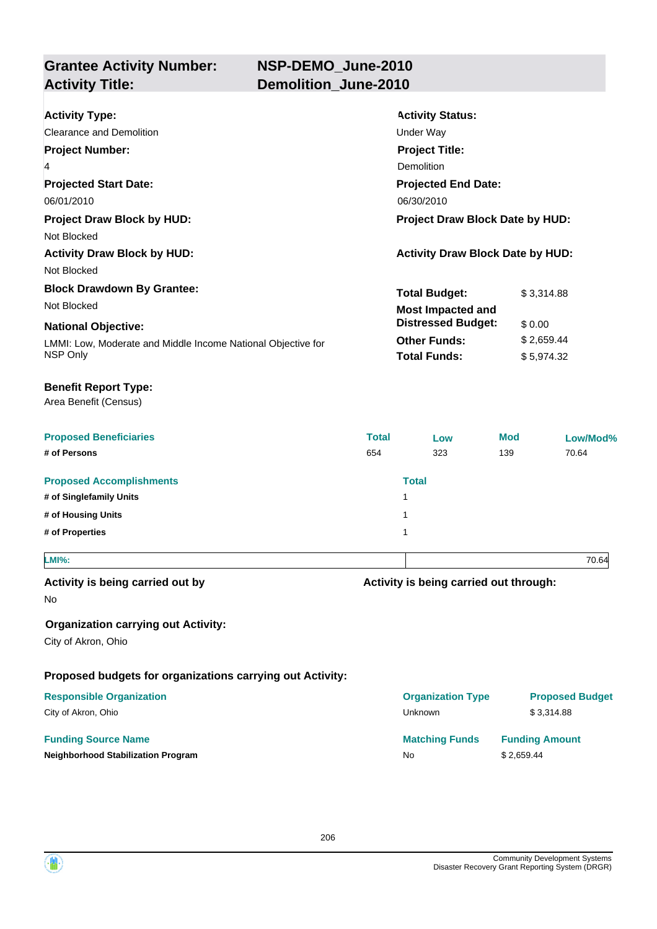**Grantee Activity Number: Activity Title: Demolition\_June-2010**

| <b>Total</b><br>654                                                         | Low<br>323<br><b>Total</b><br>1<br>1<br>1 | <b>Mod</b><br>139                                                                                                                                                    | 70.64<br>70.64                                                       |            |  |  |  |
|-----------------------------------------------------------------------------|-------------------------------------------|----------------------------------------------------------------------------------------------------------------------------------------------------------------------|----------------------------------------------------------------------|------------|--|--|--|
|                                                                             |                                           |                                                                                                                                                                      |                                                                      |            |  |  |  |
|                                                                             |                                           |                                                                                                                                                                      |                                                                      |            |  |  |  |
|                                                                             |                                           |                                                                                                                                                                      | Low/Mod%                                                             |            |  |  |  |
|                                                                             |                                           |                                                                                                                                                                      |                                                                      |            |  |  |  |
|                                                                             |                                           |                                                                                                                                                                      |                                                                      |            |  |  |  |
|                                                                             |                                           |                                                                                                                                                                      |                                                                      |            |  |  |  |
|                                                                             |                                           |                                                                                                                                                                      |                                                                      |            |  |  |  |
|                                                                             |                                           |                                                                                                                                                                      |                                                                      |            |  |  |  |
|                                                                             |                                           | \$5,974.32                                                                                                                                                           |                                                                      |            |  |  |  |
| <b>Other Funds:</b>                                                         |                                           | \$0.00<br>\$2,659.44                                                                                                                                                 |                                                                      |            |  |  |  |
|                                                                             |                                           |                                                                                                                                                                      |                                                                      | \$3,314.88 |  |  |  |
|                                                                             |                                           |                                                                                                                                                                      |                                                                      |            |  |  |  |
|                                                                             |                                           |                                                                                                                                                                      |                                                                      |            |  |  |  |
|                                                                             |                                           |                                                                                                                                                                      |                                                                      |            |  |  |  |
| <b>Projected End Date:</b><br>06/30/2010<br>Project Draw Block Date by HUD: |                                           |                                                                                                                                                                      |                                                                      |            |  |  |  |
|                                                                             |                                           |                                                                                                                                                                      |                                                                      |            |  |  |  |
|                                                                             |                                           |                                                                                                                                                                      |                                                                      |            |  |  |  |
|                                                                             |                                           |                                                                                                                                                                      |                                                                      |            |  |  |  |
|                                                                             |                                           | <b>Activity Status:</b><br><b>Under Way</b><br><b>Project Title:</b><br><b>Demolition</b><br><b>Total Budget:</b><br><b>Most Impacted and</b><br><b>Total Funds:</b> | <b>Activity Draw Block Date by HUD:</b><br><b>Distressed Budget:</b> |            |  |  |  |

**Organization carrying out Activity:**

City of Akron, Ohio

**Proposed budgets for organizations carrying out Activity:**

## **Responsible Organization**

City of Akron, Ohio

## **Funding Source Name**

**Neighborhood Stabilization Program** 

| <b>Organization Type</b> | <b>Proposed Budget</b> |
|--------------------------|------------------------|
| Unknown                  | \$3,314.88             |
| <b>Matching Funds</b>    | <b>Funding Amount</b>  |
| No                       | \$2,659.44             |

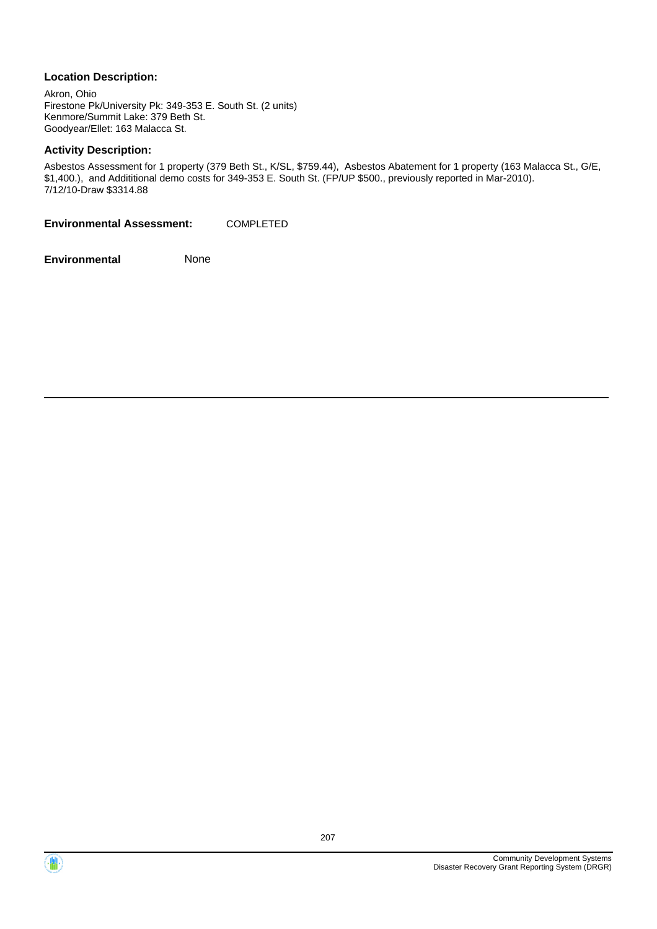Akron, Ohio Firestone Pk/University Pk: 349-353 E. South St. (2 units) Kenmore/Summit Lake: 379 Beth St. Goodyear/Ellet: 163 Malacca St.

## **Activity Description:**

Asbestos Assessment for 1 property (379 Beth St., K/SL, \$759.44), Asbestos Abatement for 1 property (163 Malacca St., G/E, \$1,400.), and Addititional demo costs for 349-353 E. South St. (FP/UP \$500., previously reported in Mar-2010). 7/12/10-Draw \$3314.88

**Environmental Assessment:** COMPLETED



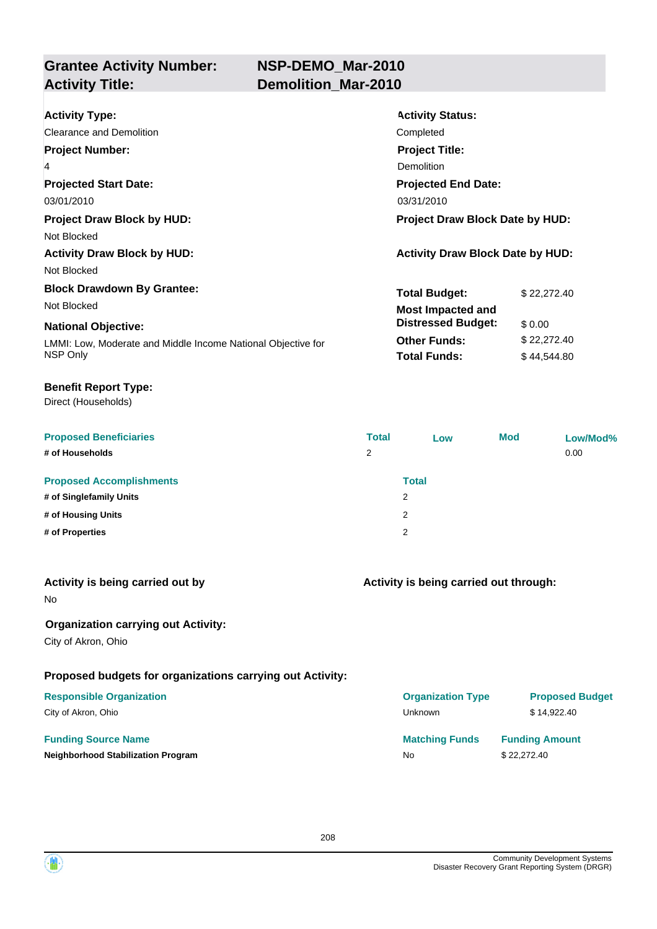**Grantee Activity Number: Activity Title: Demolition\_Mar-2010**

| <b>Activity Type:</b>                                                       | <b>Activity Status:</b>                 |
|-----------------------------------------------------------------------------|-----------------------------------------|
| Clearance and Demolition                                                    | Completed                               |
| <b>Project Number:</b>                                                      | <b>Project Title:</b>                   |
| 4                                                                           | Demolition                              |
| <b>Projected Start Date:</b>                                                | <b>Projected End Date:</b>              |
| 03/01/2010<br>03/31/2010                                                    |                                         |
| <b>Project Draw Block by HUD:</b><br><b>Project Draw Block Date by HUD:</b> |                                         |
| Not Blocked                                                                 |                                         |
| <b>Activity Draw Block by HUD:</b>                                          | <b>Activity Draw Block Date by HUD:</b> |
| Not Blocked                                                                 |                                         |
| <b>Block Drawdown By Grantee:</b>                                           | <b>Total Budget:</b><br>\$22,272.40     |
| Not Blocked                                                                 | <b>Most Impacted and</b>                |
| <b>National Objective:</b>                                                  | <b>Distressed Budget:</b><br>\$0.00     |
| LMMI: Low, Moderate and Middle Income National Objective for                | <b>Other Funds:</b><br>\$22,272.40      |
| NSP Only                                                                    | <b>Total Funds:</b><br>\$44,544.80      |

## **Benefit Report Type:**

Direct (Households)

| <b>Proposed Beneficiaries</b>   | <b>Total</b> | Low          | <b>Mod</b> | Low/Mod% |
|---------------------------------|--------------|--------------|------------|----------|
| # of Households                 | 2            |              |            | 0.00     |
|                                 |              |              |            |          |
| <b>Proposed Accomplishments</b> |              | <b>Total</b> |            |          |
| # of Singlefamily Units         |              | 2            |            |          |
| # of Housing Units              |              | 2            |            |          |
| # of Properties                 |              | 2            |            |          |

| Activity is being carried out by |  |  |  |  |  |
|----------------------------------|--|--|--|--|--|
|----------------------------------|--|--|--|--|--|

No

## **Organization carrying out Activity:**

City of Akron, Ohio

## **Proposed budgets for organizations carrying out Activity:**

## **Responsible Organization**

City of Akron, Ohio

## **Funding Source Name**

**Neighborhood Stabilization Program** 

## **Activity is being carried out through:**

| <b>Proposed Budget</b> |
|------------------------|
| \$14,922.40            |
| <b>Funding Amount</b>  |
| \$22,272.40            |
|                        |

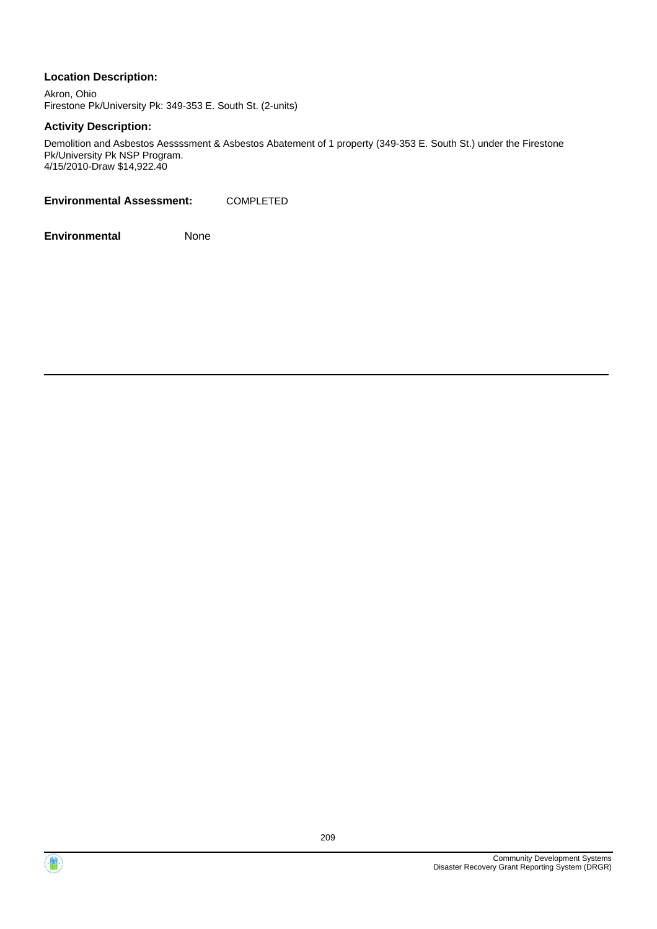Akron, Ohio Firestone Pk/University Pk: 349-353 E. South St. (2-units)

## **Activity Description:**

Demolition and Asbestos Aessssment & Asbestos Abatement of 1 property (349-353 E. South St.) under the Firestone Pk/University Pk NSP Program. 4/15/2010-Draw \$14,922.40

**Environmental Assessment:** COMPLETED



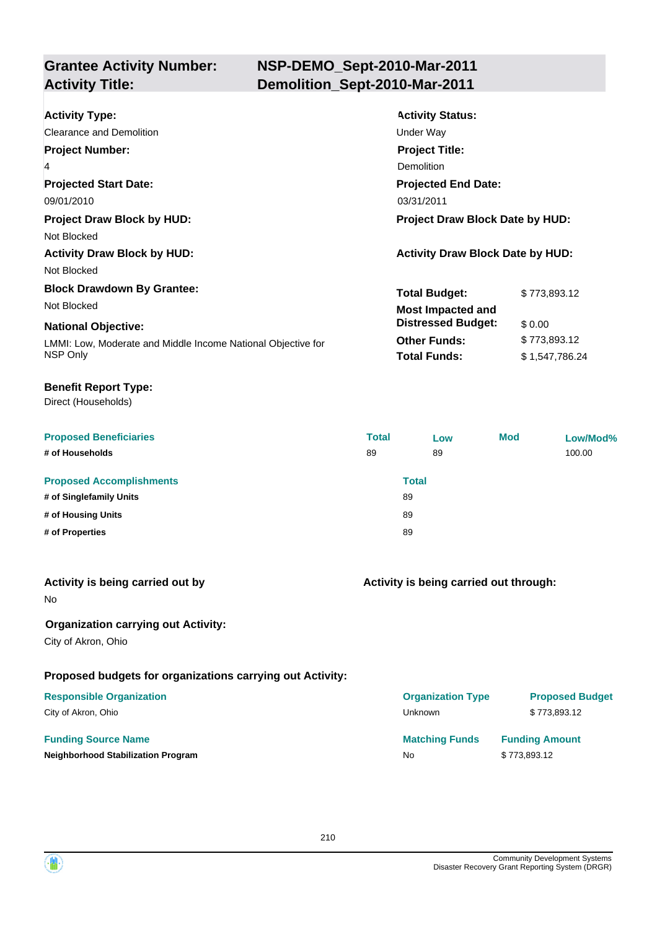## **NSP-DEMO\_Sept-2010-Mar-2011 Activity Title: Demolition\_Sept-2010-Mar-2011**

| <b>Activity Type:</b><br>Clearance and Demolition            | <b>Activity Status:</b>                 |                |  |
|--------------------------------------------------------------|-----------------------------------------|----------------|--|
| <b>Project Number:</b>                                       | Under Way<br><b>Project Title:</b>      |                |  |
| 4                                                            | Demolition                              |                |  |
| <b>Projected Start Date:</b>                                 | <b>Projected End Date:</b>              |                |  |
| 09/01/2010                                                   | 03/31/2011                              |                |  |
| <b>Project Draw Block by HUD:</b>                            | <b>Project Draw Block Date by HUD:</b>  |                |  |
| Not Blocked                                                  |                                         |                |  |
| <b>Activity Draw Block by HUD:</b>                           | <b>Activity Draw Block Date by HUD:</b> |                |  |
| Not Blocked                                                  |                                         |                |  |
| <b>Block Drawdown By Grantee:</b>                            | <b>Total Budget:</b>                    | \$773,893.12   |  |
| Not Blocked                                                  | <b>Most Impacted and</b>                |                |  |
| <b>National Objective:</b>                                   | <b>Distressed Budget:</b>               | \$0.00         |  |
| LMMI: Low, Moderate and Middle Income National Objective for | <b>Other Funds:</b>                     | \$773,893.12   |  |
| NSP Only                                                     | <b>Total Funds:</b>                     | \$1,547,786.24 |  |

## **Benefit Report Type:**

Direct (Households)

| <b>Proposed Beneficiaries</b>   | <b>Total</b> | Low   | <b>Mod</b> | Low/Mod% |
|---------------------------------|--------------|-------|------------|----------|
| # of Households                 | 89           | 89    |            | 100.00   |
| <b>Proposed Accomplishments</b> |              | Total |            |          |
| # of Singlefamily Units         | 89           |       |            |          |
| # of Housing Units              | 89           |       |            |          |
| # of Properties                 | 89           |       |            |          |

| Activity is being carried out by |  |  |  |  |  |
|----------------------------------|--|--|--|--|--|
|----------------------------------|--|--|--|--|--|

No

## **Organization carrying out Activity:**

City of Akron, Ohio

## **Proposed budgets for organizations carrying out Activity:**

## **Responsible Organization**

City of Akron, Ohio

## **Funding Source Name**

**Neighborhood Stabilization Program** No **No \$ 773,893.12 No \$ 773,893.12 No \$ 773,893** 

## **Activity is being carried out through:**

| <b>Organization Type</b> | <b>Proposed Budget</b> |
|--------------------------|------------------------|
| Unknown                  | \$773.893.12           |
| <b>Matching Funds</b>    | <b>Funding Amount</b>  |
| No                       | \$773,893.12           |

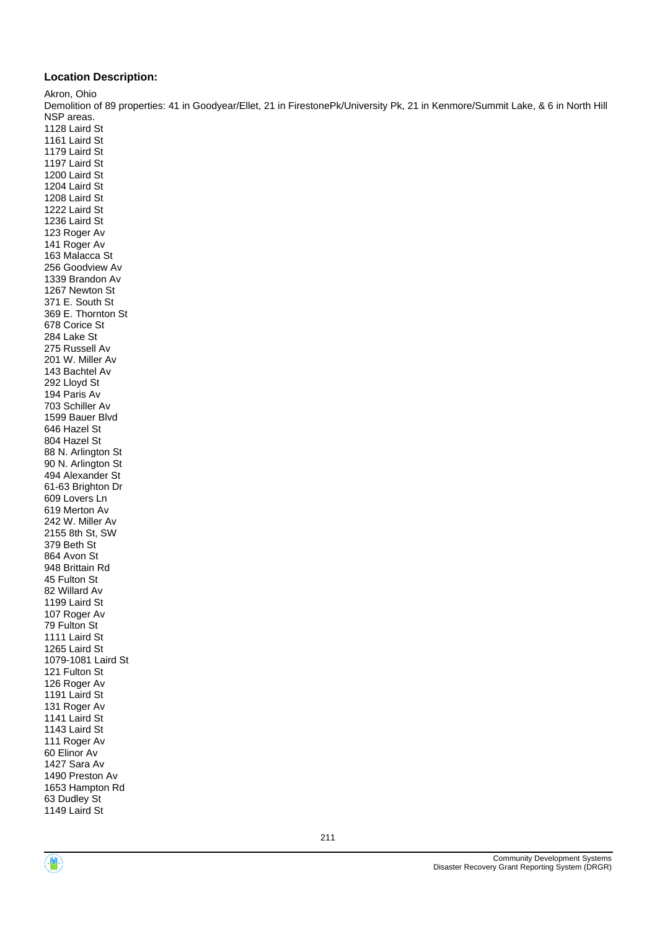Akron, Ohio

Demolition of 89 properties: 41 in Goodyear/Ellet, 21 in FirestonePk/University Pk, 21 in Kenmore/Summit Lake, & 6 in North Hill NSP areas.

1128 Laird St 1161 Laird St 1179 Laird St 1197 Laird St 1200 Laird St 1204 Laird St 1208 Laird St 1222 Laird St 1236 Laird St 123 Roger Av 141 Roger Av 163 Malacca St 256 Goodview Av 1339 Brandon Av 1267 Newton St 371 E. South St 369 E. Thornton St 678 Corice St 284 Lake St 275 Russell Av 201 W. Miller Av 143 Bachtel Av 292 Lloyd St 194 Paris Av 703 Schiller Av 1599 Bauer Blvd 646 Hazel St 804 Hazel St 88 N. Arlington St 90 N. Arlington St 494 Alexander St 61-63 Brighton Dr 609 Lovers Ln 619 Merton Av 242 W. Miller Av 2155 8th St, SW 379 Beth St 864 Avon St 948 Brittain Rd 45 Fulton St 82 Willard Av 1199 Laird St 107 Roger Av 79 Fulton St 1111 Laird St 1265 Laird St 1079-1081 Laird St 121 Fulton St 126 Roger Av 1191 Laird St 131 Roger Av 1141 Laird St 1143 Laird St 111 Roger Av 60 Elinor Av 1427 Sara Av 1490 Preston Av 1653 Hampton Rd 63 Dudley St 1149 Laird St

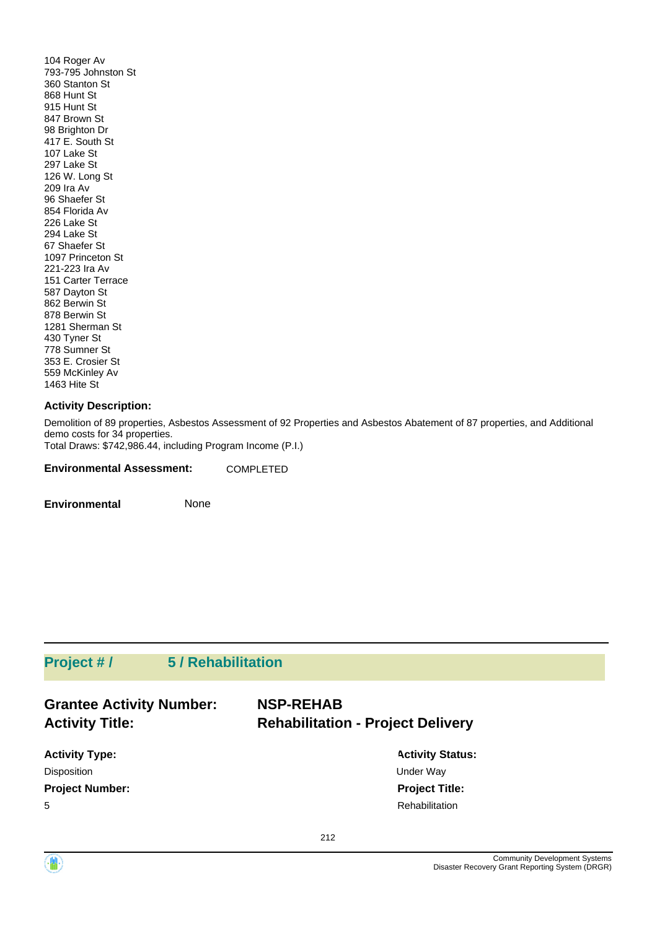104 Roger Av 793-795 Johnston St 360 Stanton St 868 Hunt St 915 Hunt St 847 Brown St 98 Brighton Dr 417 E. South St 107 Lake St 297 Lake St 126 W. Long St 209 Ira Av 96 Shaefer St 854 Florida Av 226 Lake St 294 Lake St 67 Shaefer St 1097 Princeton St 221-223 Ira Av 151 Carter Terrace 587 Dayton St 862 Berwin St 878 Berwin St 1281 Sherman St 430 Tyner St 778 Sumner St 353 E. Crosier St 559 McKinley Av 1463 Hite St

## **Activity Description:**

Demolition of 89 properties, Asbestos Assessment of 92 Properties and Asbestos Abatement of 87 properties, and Additional demo costs for 34 properties. Total Draws: \$742,986.44, including Program Income (P.I.)

**Environmental Assessment:** COMPLETED

**Environmental** None

## **Project # / 5 / Rehabilitation**

| <b>Grantee Activity Number:</b> | <b>NSP-REHAB</b>                         |  |  |
|---------------------------------|------------------------------------------|--|--|
| <b>Activity Title:</b>          | <b>Rehabilitation - Project Delivery</b> |  |  |
| <b>Activity Type:</b>           | <b>Activity Status:</b>                  |  |  |
| <b>Disposition</b>              | Under Way                                |  |  |
| <b>Project Number:</b>          | <b>Project Title:</b>                    |  |  |
| 5                               | Rehabilitation                           |  |  |

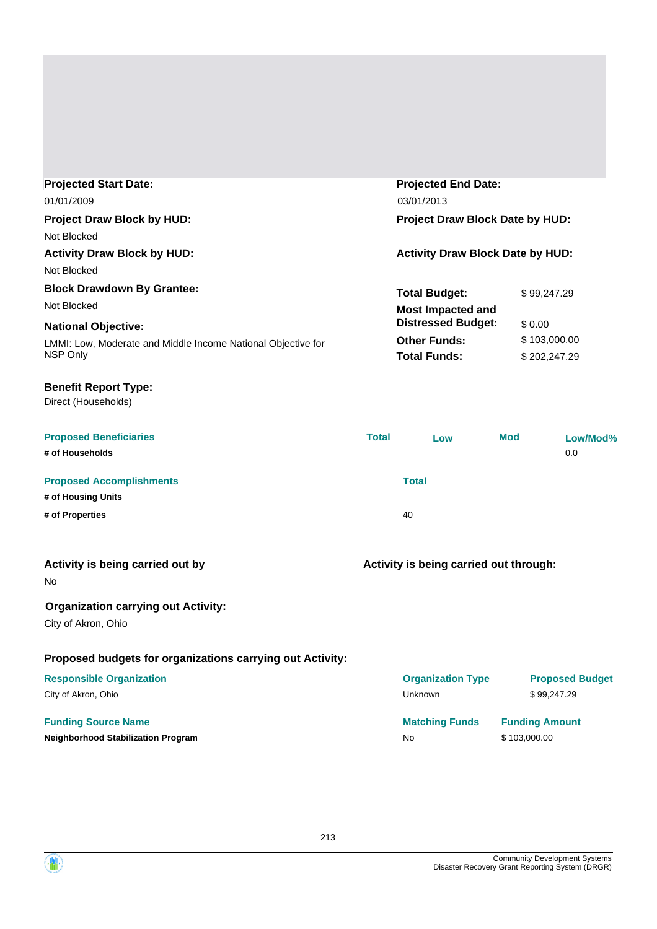| <b>Projected Start Date:</b>                                 |                                 | <b>Projected End Date:</b>              |            |                       |                        |
|--------------------------------------------------------------|---------------------------------|-----------------------------------------|------------|-----------------------|------------------------|
| 01/01/2009<br>03/01/2013                                     |                                 |                                         |            |                       |                        |
| <b>Project Draw Block by HUD:</b>                            | Project Draw Block Date by HUD: |                                         |            |                       |                        |
| Not Blocked                                                  |                                 |                                         |            |                       |                        |
| <b>Activity Draw Block by HUD:</b>                           |                                 | <b>Activity Draw Block Date by HUD:</b> |            |                       |                        |
| Not Blocked                                                  |                                 |                                         |            |                       |                        |
| <b>Block Drawdown By Grantee:</b>                            |                                 | <b>Total Budget:</b>                    |            | \$99,247.29           |                        |
| Not Blocked                                                  |                                 | <b>Most Impacted and</b>                |            |                       |                        |
| <b>National Objective:</b>                                   |                                 | <b>Distressed Budget:</b>               |            | \$0.00                |                        |
| LMMI: Low, Moderate and Middle Income National Objective for |                                 | <b>Other Funds:</b>                     |            | \$103,000.00          |                        |
| NSP Only                                                     |                                 | <b>Total Funds:</b>                     |            | \$202,247.29          |                        |
| <b>Benefit Report Type:</b>                                  |                                 |                                         |            |                       |                        |
| Direct (Households)                                          |                                 |                                         |            |                       |                        |
| <b>Proposed Beneficiaries</b>                                | <b>Total</b>                    | Low                                     | <b>Mod</b> |                       | Low/Mod%               |
| # of Households                                              |                                 |                                         |            |                       | 0.0                    |
| <b>Proposed Accomplishments</b>                              |                                 | <b>Total</b>                            |            |                       |                        |
| # of Housing Units                                           |                                 |                                         |            |                       |                        |
| # of Properties                                              |                                 | 40                                      |            |                       |                        |
| Activity is being carried out by                             |                                 | Activity is being carried out through:  |            |                       |                        |
| No                                                           |                                 |                                         |            |                       |                        |
| <b>Organization carrying out Activity:</b>                   |                                 |                                         |            |                       |                        |
| City of Akron, Ohio                                          |                                 |                                         |            |                       |                        |
| Proposed budgets for organizations carrying out Activity:    |                                 |                                         |            |                       |                        |
| <b>Responsible Organization</b>                              |                                 | <b>Organization Type</b>                |            |                       | <b>Proposed Budget</b> |
| City of Akron, Ohio                                          |                                 | Unknown                                 |            | \$99,247.29           |                        |
| <b>Funding Source Name</b>                                   |                                 | <b>Matching Funds</b>                   |            | <b>Funding Amount</b> |                        |
| <b>Neighborhood Stabilization Program</b>                    |                                 | No                                      |            | \$103,000.00          |                        |

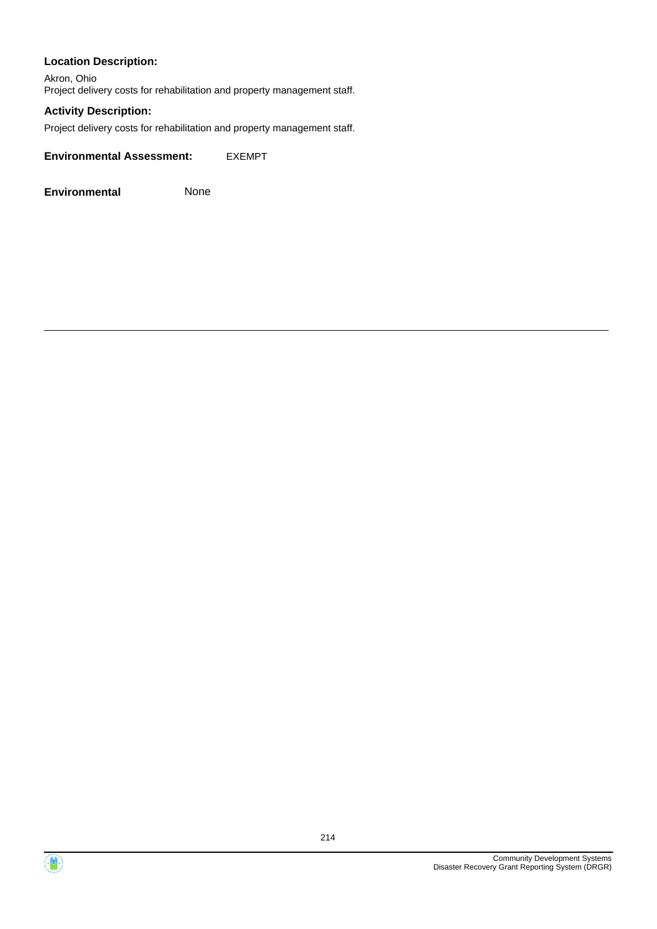Akron, Ohio Project delivery costs for rehabilitation and property management staff.

## **Activity Description:**

Project delivery costs for rehabilitation and property management staff.

**Environmental Assessment:** EXEMPT



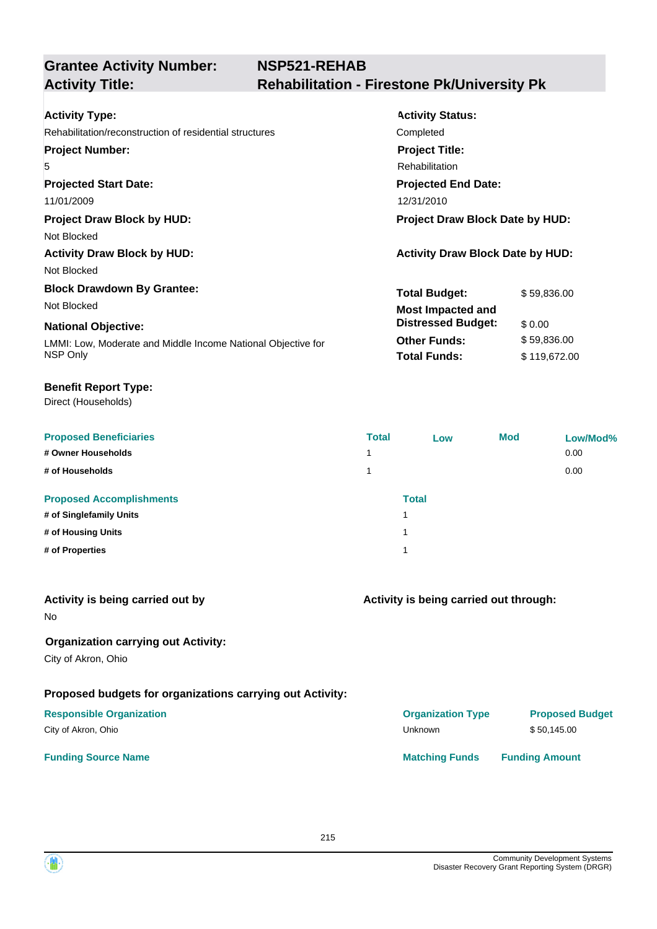| <b>Activity Type:</b>                                        | <b>Activity Status:</b>                 |              |  |
|--------------------------------------------------------------|-----------------------------------------|--------------|--|
| Rehabilitation/reconstruction of residential structures      | Completed                               |              |  |
| <b>Project Number:</b>                                       | <b>Project Title:</b>                   |              |  |
| 5                                                            | Rehabilitation                          |              |  |
| <b>Projected Start Date:</b>                                 | <b>Projected End Date:</b>              |              |  |
| 11/01/2009                                                   | 12/31/2010                              |              |  |
| <b>Project Draw Block by HUD:</b>                            | Project Draw Block Date by HUD:         |              |  |
| Not Blocked                                                  |                                         |              |  |
| <b>Activity Draw Block by HUD:</b>                           | <b>Activity Draw Block Date by HUD:</b> |              |  |
| Not Blocked                                                  |                                         |              |  |
| <b>Block Drawdown By Grantee:</b>                            | <b>Total Budget:</b>                    | \$59,836.00  |  |
| Not Blocked                                                  | <b>Most Impacted and</b>                |              |  |
| <b>National Objective:</b>                                   | <b>Distressed Budget:</b>               | \$0.00       |  |
| LMMI: Low, Moderate and Middle Income National Objective for | <b>Other Funds:</b>                     | \$59,836.00  |  |
| NSP Only                                                     | <b>Total Funds:</b>                     | \$119,672.00 |  |
|                                                              |                                         |              |  |

## **Benefit Report Type:**

Direct (Households)

| <b>Proposed Beneficiaries</b>   | <b>Total</b> | Low          | <b>Mod</b> | Low/Mod% |
|---------------------------------|--------------|--------------|------------|----------|
| # Owner Households              | 4            |              |            | 0.00     |
| # of Households                 |              |              |            | 0.00     |
| <b>Proposed Accomplishments</b> |              | <b>Total</b> |            |          |
| # of Singlefamily Units         | 1            |              |            |          |
| # of Housing Units              | 1            |              |            |          |
| # of Properties                 | и            |              |            |          |

| Activity is being carried out by<br><b>No</b>                     | Activity is being carried out through: |                        |  |
|-------------------------------------------------------------------|----------------------------------------|------------------------|--|
| <b>Organization carrying out Activity:</b><br>City of Akron, Ohio |                                        |                        |  |
| Proposed budgets for organizations carrying out Activity:         |                                        |                        |  |
| <b>Responsible Organization</b>                                   | <b>Organization Type</b>               | <b>Proposed Budget</b> |  |
| City of Akron, Ohio                                               | Unknown                                | \$50,145.00            |  |
| <b>Funding Source Name</b>                                        | <b>Matching Funds</b>                  | <b>Funding Amount</b>  |  |
|                                                                   |                                        |                        |  |

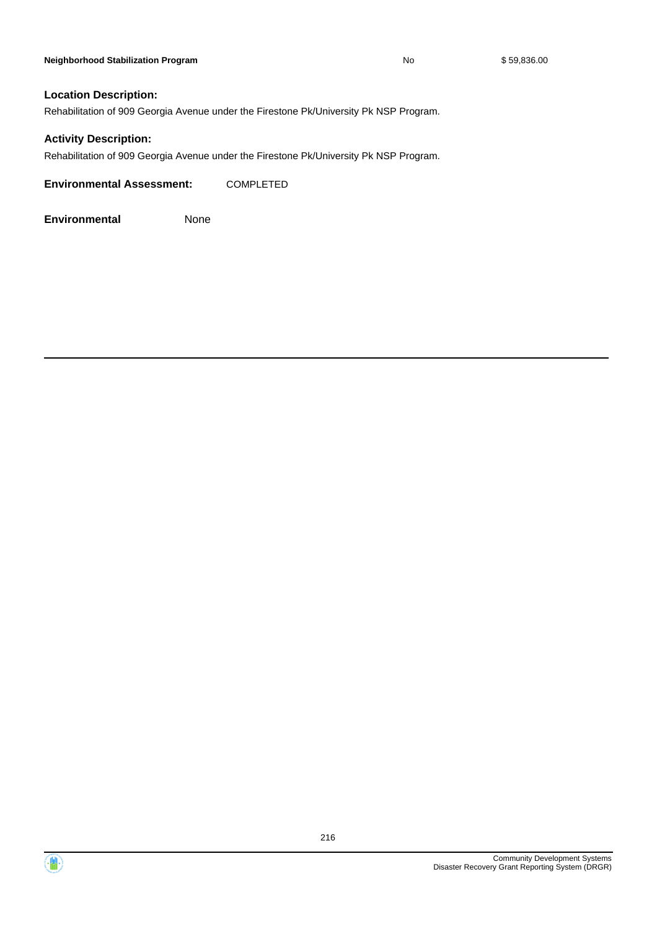Rehabilitation of 909 Georgia Avenue under the Firestone Pk/University Pk NSP Program.

## **Activity Description:**

Rehabilitation of 909 Georgia Avenue under the Firestone Pk/University Pk NSP Program.

**Environmental Assessment:** COMPLETED



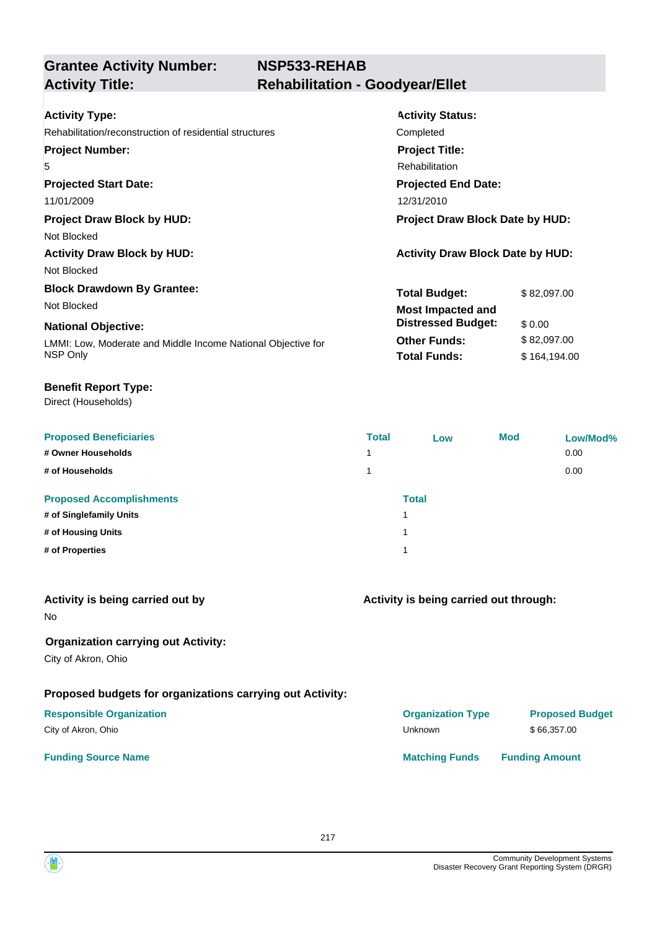| <b>Activity Type:</b>                                        | <b>Activity Status:</b>                 |  |  |
|--------------------------------------------------------------|-----------------------------------------|--|--|
| Rehabilitation/reconstruction of residential structures      | Completed                               |  |  |
| <b>Project Number:</b>                                       | <b>Project Title:</b>                   |  |  |
| 5                                                            | Rehabilitation                          |  |  |
| <b>Projected Start Date:</b>                                 | <b>Projected End Date:</b>              |  |  |
| 11/01/2009                                                   | 12/31/2010                              |  |  |
| <b>Project Draw Block by HUD:</b>                            | <b>Project Draw Block Date by HUD:</b>  |  |  |
| Not Blocked                                                  |                                         |  |  |
| <b>Activity Draw Block by HUD:</b>                           | <b>Activity Draw Block Date by HUD:</b> |  |  |
| Not Blocked                                                  |                                         |  |  |
| <b>Block Drawdown By Grantee:</b>                            | <b>Total Budget:</b><br>\$82,097.00     |  |  |
| Not Blocked                                                  | <b>Most Impacted and</b>                |  |  |
| <b>National Objective:</b>                                   | <b>Distressed Budget:</b><br>\$0.00     |  |  |
| LMMI: Low, Moderate and Middle Income National Objective for | <b>Other Funds:</b><br>\$82,097.00      |  |  |
| NSP Only                                                     | <b>Total Funds:</b><br>\$164,194.00     |  |  |

#### **Benefit Report Type:**

| <b>Proposed Beneficiaries</b>   | <b>Total</b> | Low          | <b>Mod</b> | Low/Mod% |
|---------------------------------|--------------|--------------|------------|----------|
| # Owner Households              | 1.           |              |            | 0.00     |
| # of Households                 |              |              |            | 0.00     |
| <b>Proposed Accomplishments</b> |              | <b>Total</b> |            |          |
| # of Singlefamily Units         | 1            |              |            |          |
| # of Housing Units              | 1            |              |            |          |
| # of Properties                 | и            |              |            |          |
|                                 |              |              |            |          |

| Activity is being carried out by<br>No.                           | Activity is being carried out through: |                        |  |
|-------------------------------------------------------------------|----------------------------------------|------------------------|--|
| <b>Organization carrying out Activity:</b><br>City of Akron, Ohio |                                        |                        |  |
| Proposed budgets for organizations carrying out Activity:         |                                        |                        |  |
| <b>Responsible Organization</b>                                   | <b>Organization Type</b>               | <b>Proposed Budget</b> |  |
| City of Akron, Ohio                                               | <b>Unknown</b>                         | \$66,357.00            |  |
| <b>Funding Source Name</b>                                        | <b>Matching Funds</b>                  | <b>Funding Amount</b>  |  |

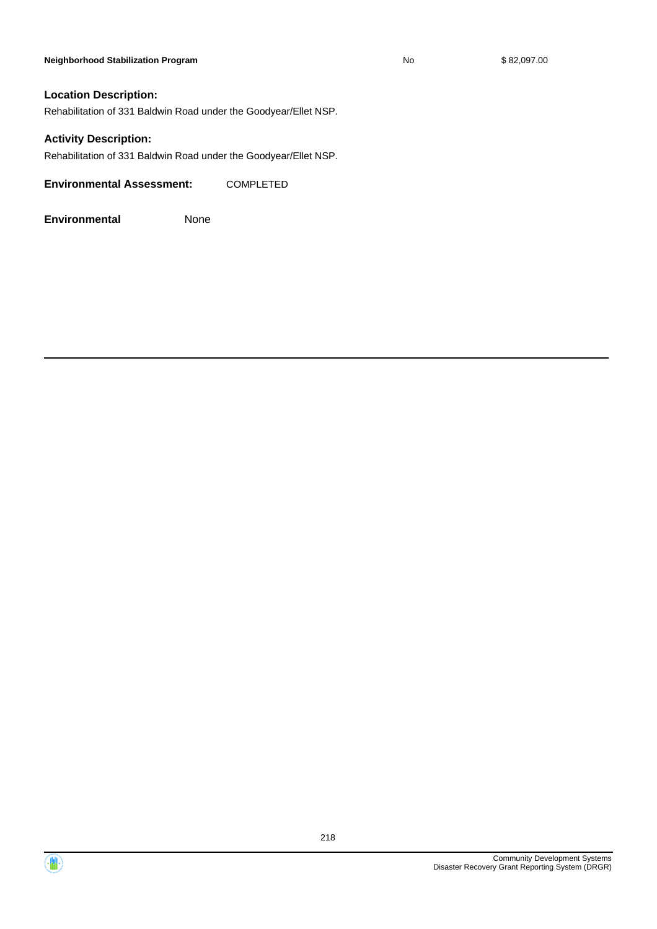#### **Neighborhood Stabilization Program No No** \$ 82,097.00

#### **Location Description:**

Rehabilitation of 331 Baldwin Road under the Goodyear/Ellet NSP.

#### **Activity Description:**

Rehabilitation of 331 Baldwin Road under the Goodyear/Ellet NSP.

**Environmental Assessment:** COMPLETED



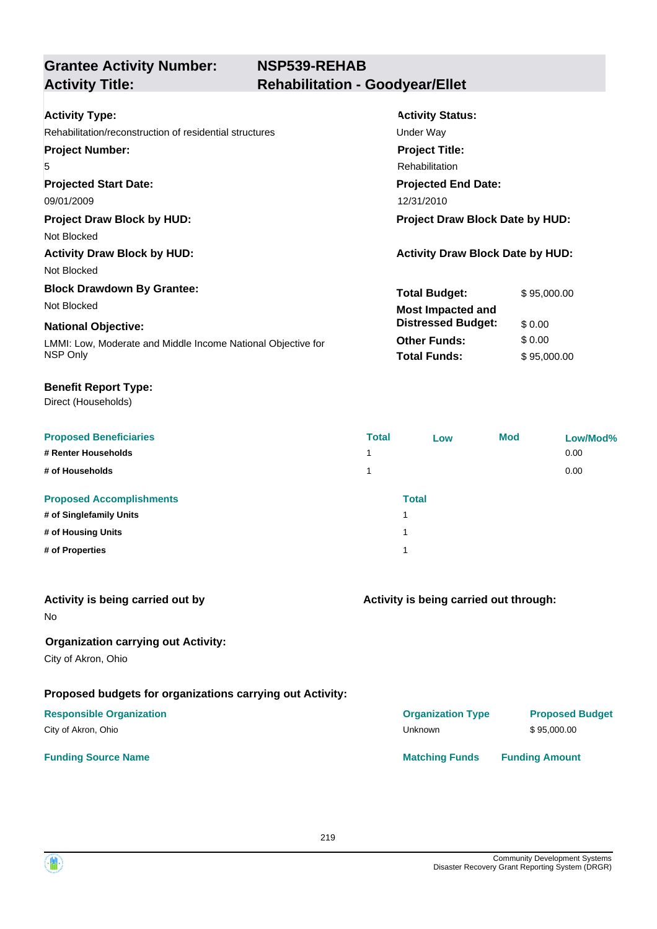| <b>Activity Type:</b>                                        | <b>Activity Status:</b>                 |             |  |
|--------------------------------------------------------------|-----------------------------------------|-------------|--|
| Rehabilitation/reconstruction of residential structures      | Under Way                               |             |  |
| <b>Project Number:</b>                                       | <b>Project Title:</b>                   |             |  |
| 5                                                            | Rehabilitation                          |             |  |
| <b>Projected Start Date:</b>                                 | <b>Projected End Date:</b>              |             |  |
| 09/01/2009                                                   | 12/31/2010                              |             |  |
| <b>Project Draw Block by HUD:</b>                            | <b>Project Draw Block Date by HUD:</b>  |             |  |
| Not Blocked                                                  |                                         |             |  |
| <b>Activity Draw Block by HUD:</b>                           | <b>Activity Draw Block Date by HUD:</b> |             |  |
| Not Blocked                                                  |                                         |             |  |
| <b>Block Drawdown By Grantee:</b>                            | <b>Total Budget:</b>                    | \$95,000.00 |  |
| Not Blocked                                                  | <b>Most Impacted and</b>                |             |  |
| <b>National Objective:</b>                                   | <b>Distressed Budget:</b>               | \$0.00      |  |
| LMMI: Low, Moderate and Middle Income National Objective for | <b>Other Funds:</b>                     | \$0.00      |  |
| NSP Only                                                     | <b>Total Funds:</b>                     | \$95,000.00 |  |
|                                                              |                                         |             |  |

#### **Benefit Report Type:**

| <b>Proposed Beneficiaries</b>   | <b>Total</b>            | Low          | <b>Mod</b> | Low/Mod% |
|---------------------------------|-------------------------|--------------|------------|----------|
| # Renter Households             | 1.                      |              |            | 0.00     |
| # of Households                 |                         |              |            | 0.00     |
| <b>Proposed Accomplishments</b> |                         | <b>Total</b> |            |          |
| # of Singlefamily Units         | $\overline{\mathbf{A}}$ |              |            |          |
| # of Housing Units              |                         |              |            |          |
| # of Properties                 | и                       |              |            |          |

| Activity is being carried out by<br>No.                           | Activity is being carried out through: |                        |  |
|-------------------------------------------------------------------|----------------------------------------|------------------------|--|
| <b>Organization carrying out Activity:</b><br>City of Akron, Ohio |                                        |                        |  |
| Proposed budgets for organizations carrying out Activity:         |                                        |                        |  |
| <b>Responsible Organization</b>                                   | <b>Organization Type</b>               | <b>Proposed Budget</b> |  |
| City of Akron, Ohio                                               | Unknown                                | \$95,000.00            |  |
| <b>Funding Source Name</b>                                        | <b>Matching Funds</b>                  | <b>Funding Amount</b>  |  |

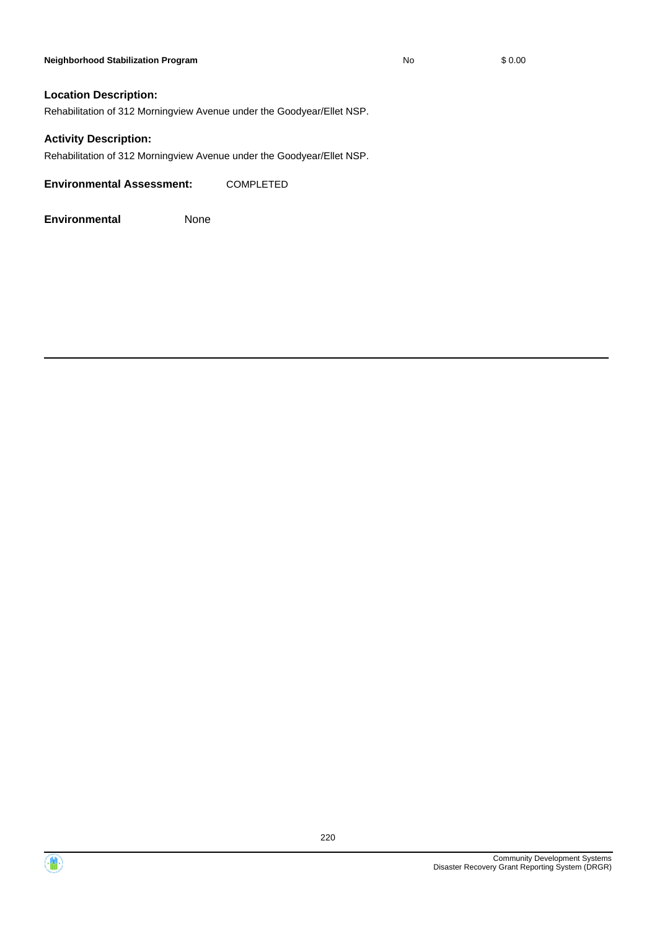#### **Neighborhood Stabilization Program No** \$ 0.00

#### **Location Description:**

Rehabilitation of 312 Morningview Avenue under the Goodyear/Ellet NSP.

#### **Activity Description:**

Rehabilitation of 312 Morningview Avenue under the Goodyear/Ellet NSP.

**Environmental Assessment:** COMPLETED

**Environmental** None



 $\langle \mathbf{m} \rangle$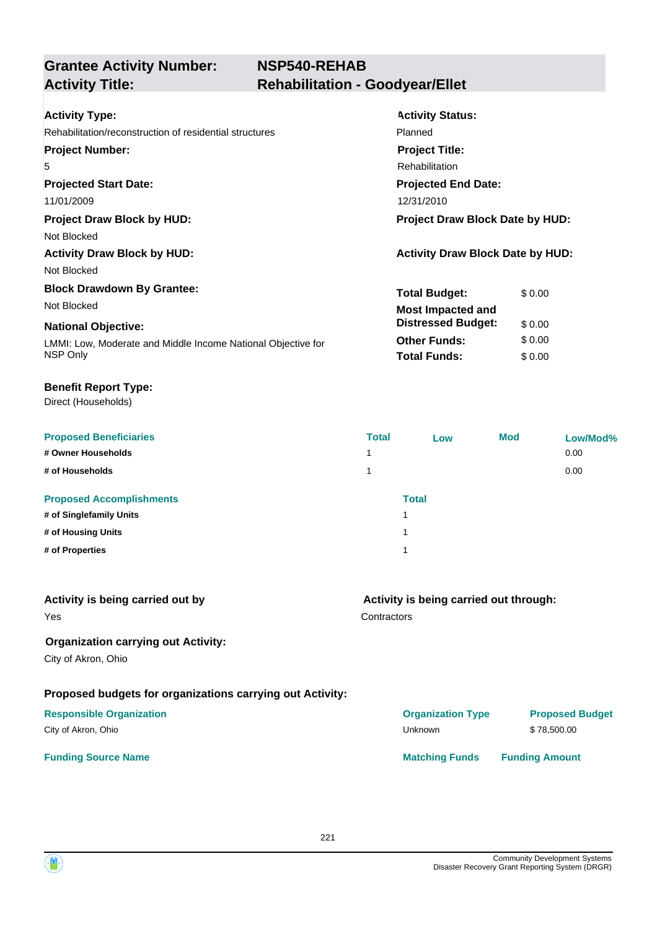| <b>Activity Type:</b>                                        | <b>Activity Status:</b>                 |  |  |
|--------------------------------------------------------------|-----------------------------------------|--|--|
| Rehabilitation/reconstruction of residential structures      | Planned                                 |  |  |
| <b>Project Number:</b>                                       | <b>Project Title:</b>                   |  |  |
| 5                                                            | <b>Rehabilitation</b>                   |  |  |
| <b>Projected Start Date:</b>                                 | <b>Projected End Date:</b>              |  |  |
| 11/01/2009                                                   | 12/31/2010                              |  |  |
| <b>Project Draw Block by HUD:</b>                            | <b>Project Draw Block Date by HUD:</b>  |  |  |
| Not Blocked                                                  |                                         |  |  |
| <b>Activity Draw Block by HUD:</b>                           | <b>Activity Draw Block Date by HUD:</b> |  |  |
| Not Blocked                                                  |                                         |  |  |
| <b>Block Drawdown By Grantee:</b>                            | <b>Total Budget:</b><br>\$0.00          |  |  |
| Not Blocked                                                  | <b>Most Impacted and</b>                |  |  |
| <b>National Objective:</b>                                   | <b>Distressed Budget:</b><br>\$0.00     |  |  |
| LMMI: Low, Moderate and Middle Income National Objective for | <b>Other Funds:</b><br>\$0.00           |  |  |
| NSP Only                                                     | <b>Total Funds:</b><br>\$0.00           |  |  |
|                                                              |                                         |  |  |

#### **Benefit Report Type:**

| <b>Proposed Beneficiaries</b>   | <b>Total</b> | Low          | <b>Mod</b> | Low/Mod% |
|---------------------------------|--------------|--------------|------------|----------|
| # Owner Households              | 1            |              |            | 0.00     |
| # of Households                 | 1            |              |            | 0.00     |
| <b>Proposed Accomplishments</b> |              | <b>Total</b> |            |          |
| # of Singlefamily Units         |              |              |            |          |
| # of Housing Units              | и            |              |            |          |
| # of Properties                 | и            |              |            |          |

| Activity is being carried out by<br>Yes                   | Activity is being carried out through:<br>Contractors |                        |  |
|-----------------------------------------------------------|-------------------------------------------------------|------------------------|--|
| <b>Organization carrying out Activity:</b>                |                                                       |                        |  |
| City of Akron, Ohio                                       |                                                       |                        |  |
| Proposed budgets for organizations carrying out Activity: |                                                       |                        |  |
| <b>Responsible Organization</b>                           | <b>Organization Type</b>                              | <b>Proposed Budget</b> |  |
| City of Akron, Ohio                                       | Unknown                                               | \$78,500.00            |  |
| <b>Funding Source Name</b>                                | <b>Matching Funds</b>                                 | <b>Funding Amount</b>  |  |

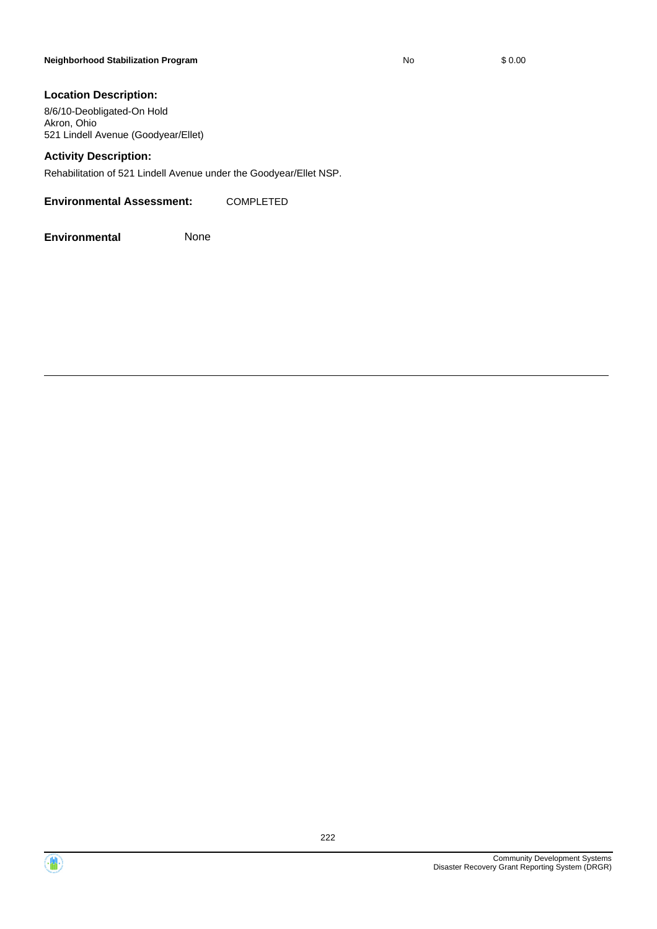#### **Location Description:**

8/6/10-Deobligated-On Hold Akron, Ohio 521 Lindell Avenue (Goodyear/Ellet)

#### **Activity Description:**

Rehabilitation of 521 Lindell Avenue under the Goodyear/Ellet NSP.

**Environmental Assessment:** COMPLETED



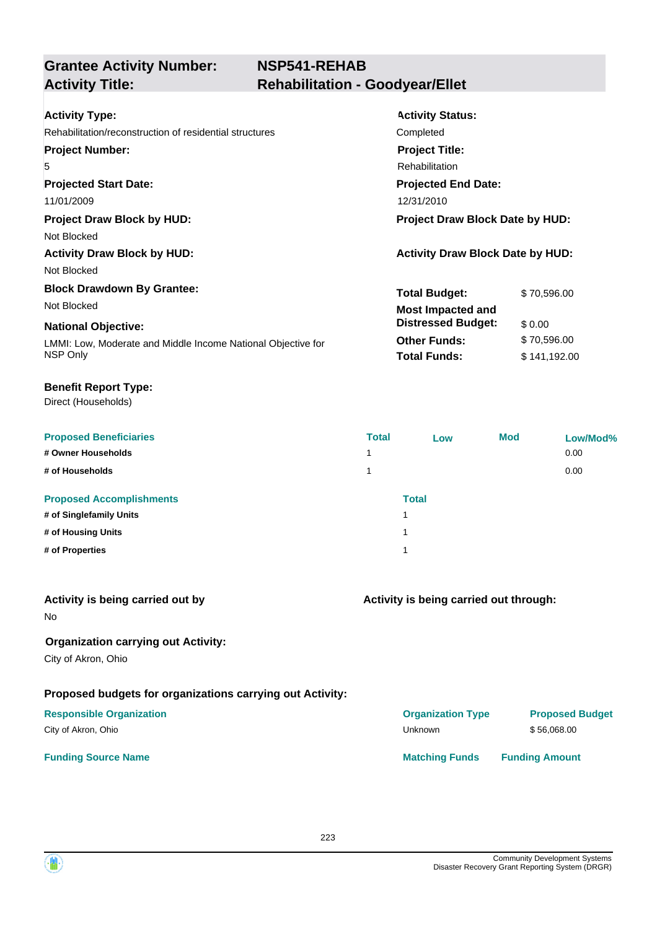| <b>Activity Type:</b>                                        | <b>Activity Status:</b>                 |  |  |
|--------------------------------------------------------------|-----------------------------------------|--|--|
| Rehabilitation/reconstruction of residential structures      | Completed                               |  |  |
| <b>Project Number:</b>                                       | <b>Project Title:</b>                   |  |  |
| 5                                                            | <b>Rehabilitation</b>                   |  |  |
| <b>Projected Start Date:</b>                                 | <b>Projected End Date:</b>              |  |  |
| 11/01/2009                                                   | 12/31/2010                              |  |  |
| <b>Project Draw Block by HUD:</b>                            | <b>Project Draw Block Date by HUD:</b>  |  |  |
| Not Blocked                                                  |                                         |  |  |
| <b>Activity Draw Block by HUD:</b>                           | <b>Activity Draw Block Date by HUD:</b> |  |  |
| Not Blocked                                                  |                                         |  |  |
| <b>Block Drawdown By Grantee:</b>                            | <b>Total Budget:</b><br>\$70,596.00     |  |  |
| Not Blocked                                                  | <b>Most Impacted and</b>                |  |  |
| <b>National Objective:</b>                                   | <b>Distressed Budget:</b><br>\$ 0.00    |  |  |
| LMMI: Low, Moderate and Middle Income National Objective for | <b>Other Funds:</b><br>\$70,596.00      |  |  |
| NSP Only                                                     | <b>Total Funds:</b><br>\$141,192.00     |  |  |

#### **Benefit Report Type:**

| <b>Proposed Beneficiaries</b>   | <b>Total</b> | Low          | <b>Mod</b> | Low/Mod% |
|---------------------------------|--------------|--------------|------------|----------|
| # Owner Households              | 4            |              |            | 0.00     |
| # of Households                 |              |              |            | 0.00     |
| <b>Proposed Accomplishments</b> |              | <b>Total</b> |            |          |
| # of Singlefamily Units         | 1            |              |            |          |
| # of Housing Units              | и            |              |            |          |
| # of Properties                 | 1            |              |            |          |

| Activity is being carried out through: |                        |  |
|----------------------------------------|------------------------|--|
|                                        |                        |  |
|                                        |                        |  |
| <b>Organization Type</b>               | <b>Proposed Budget</b> |  |
| Unknown                                | \$56,068.00            |  |
| <b>Matching Funds</b>                  | <b>Funding Amount</b>  |  |
|                                        |                        |  |

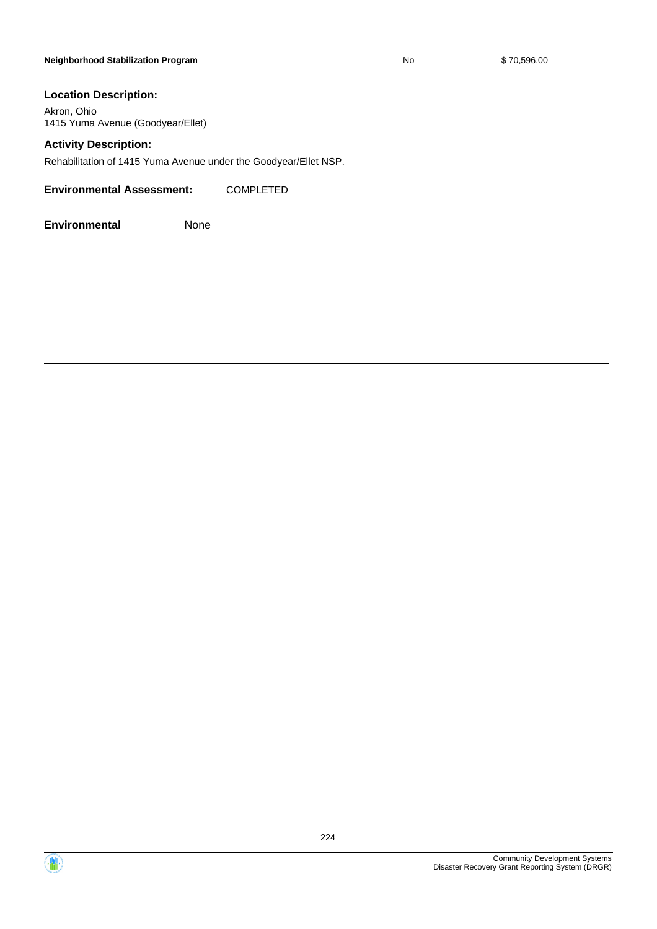#### **Neighborhood Stabilization Program No No** \$ 70,596.00

#### **Location Description:**

Akron, Ohio 1415 Yuma Avenue (Goodyear/Ellet)

#### **Activity Description:**

Rehabilitation of 1415 Yuma Avenue under the Goodyear/Ellet NSP.

**Environmental Assessment:** COMPLETED



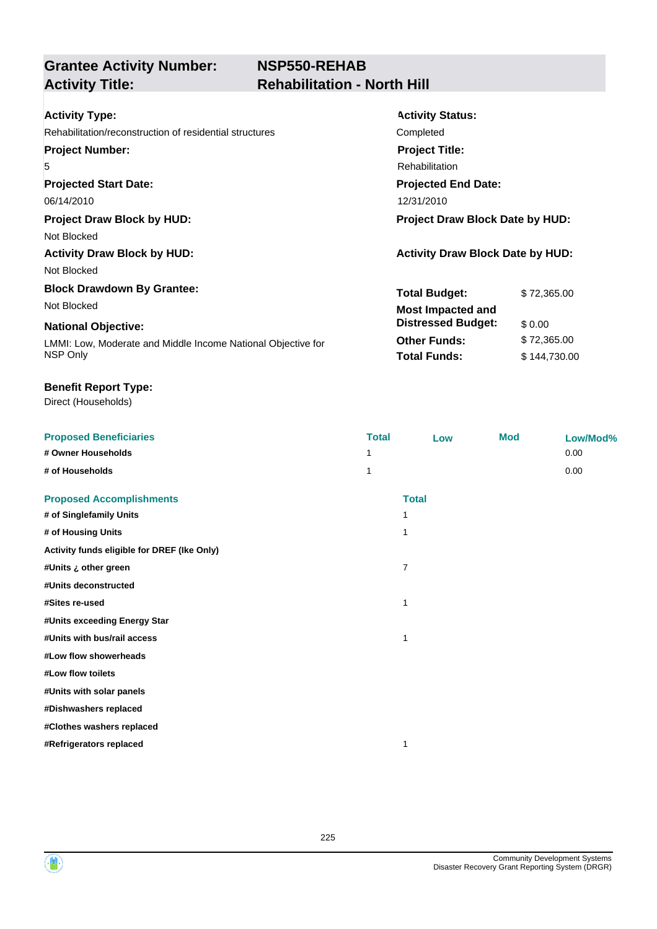# **NSP550-REHAB Activity Title: Rehabilitation - North Hill**

| <b>Activity Type:</b>                                        | <b>Activity Status:</b>                 |  |  |
|--------------------------------------------------------------|-----------------------------------------|--|--|
| Rehabilitation/reconstruction of residential structures      | Completed                               |  |  |
| <b>Project Number:</b>                                       | <b>Project Title:</b>                   |  |  |
| 5                                                            | Rehabilitation                          |  |  |
| <b>Projected Start Date:</b>                                 | <b>Projected End Date:</b>              |  |  |
| 06/14/2010                                                   | 12/31/2010                              |  |  |
| <b>Project Draw Block by HUD:</b>                            | <b>Project Draw Block Date by HUD:</b>  |  |  |
| Not Blocked                                                  |                                         |  |  |
| <b>Activity Draw Block by HUD:</b>                           | <b>Activity Draw Block Date by HUD:</b> |  |  |
| Not Blocked                                                  |                                         |  |  |
| <b>Block Drawdown By Grantee:</b>                            | <b>Total Budget:</b><br>\$72,365.00     |  |  |
| Not Blocked                                                  | <b>Most Impacted and</b>                |  |  |
| <b>National Objective:</b>                                   | <b>Distressed Budget:</b><br>\$0.00     |  |  |
| LMMI: Low, Moderate and Middle Income National Objective for | <b>Other Funds:</b><br>\$72,365.00      |  |  |
| NSP Only                                                     | <b>Total Funds:</b><br>\$144,730.00     |  |  |

#### **Benefit Report Type:**

| <b>Proposed Beneficiaries</b>               | <b>Total</b> | Low          | <b>Mod</b> | Low/Mod% |
|---------------------------------------------|--------------|--------------|------------|----------|
| # Owner Households                          | 1            |              |            | 0.00     |
| # of Households                             | 1            |              |            | 0.00     |
| <b>Proposed Accomplishments</b>             |              | <b>Total</b> |            |          |
| # of Singlefamily Units                     | 1            |              |            |          |
| # of Housing Units                          | $\mathbf 1$  |              |            |          |
| Activity funds eligible for DREF (Ike Only) |              |              |            |          |
| #Units ¿ other green                        | 7            |              |            |          |
| #Units deconstructed                        |              |              |            |          |
| #Sites re-used                              | $\mathbf 1$  |              |            |          |
| #Units exceeding Energy Star                |              |              |            |          |
| #Units with bus/rail access                 | $\mathbf 1$  |              |            |          |
| #Low flow showerheads                       |              |              |            |          |
| #Low flow toilets                           |              |              |            |          |
| #Units with solar panels                    |              |              |            |          |
| #Dishwashers replaced                       |              |              |            |          |
| #Clothes washers replaced                   |              |              |            |          |
| #Refrigerators replaced                     | 1            |              |            |          |
|                                             |              |              |            |          |



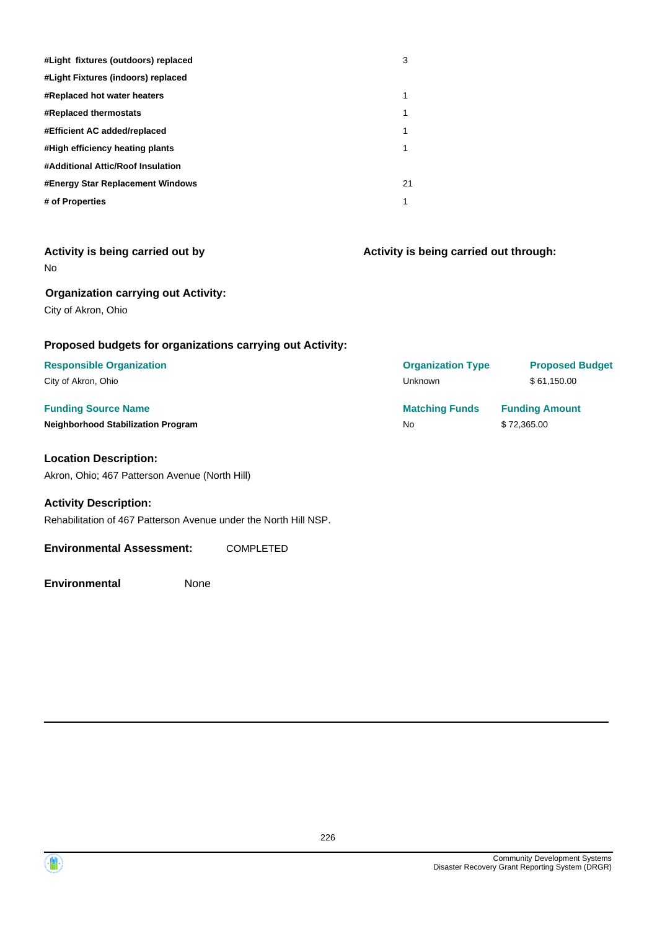| #Light fixtures (outdoors) replaced | 3  |
|-------------------------------------|----|
| #Light Fixtures (indoors) replaced  |    |
| <b>#Replaced hot water heaters</b>  | 1  |
| <b>#Replaced thermostats</b>        | 1  |
| #Efficient AC added/replaced        | 1  |
| #High efficiency heating plants     | 1  |
| #Additional Attic/Roof Insulation   |    |
| #Energy Star Replacement Windows    | 21 |
| # of Properties                     | 1  |

| Activity is being carried out by |  |  |  |
|----------------------------------|--|--|--|
| No                               |  |  |  |

**Activity is being carried out through:**

## **Organization carrying out Activity:**

City of Akron, Ohio

## **Proposed budgets for organizations carrying out Activity:**

#### **Location Description:**

Akron, Ohio; 467 Patterson Avenue (North Hill)

#### **Activity Description:**

Rehabilitation of 467 Patterson Avenue under the North Hill NSP.

#### **Environmental Assessment:** COMPLETED

**Environmental** None

**Funding Source Name <b>Matching Funds Funding Amount Matching Funds Funding Amount Neighborhood Stabilization Program No \$ 72,365.00 Responsible Organization Organization Type Proposed Budget** City of Akron, Ohio Unknown \$ 61,150.00

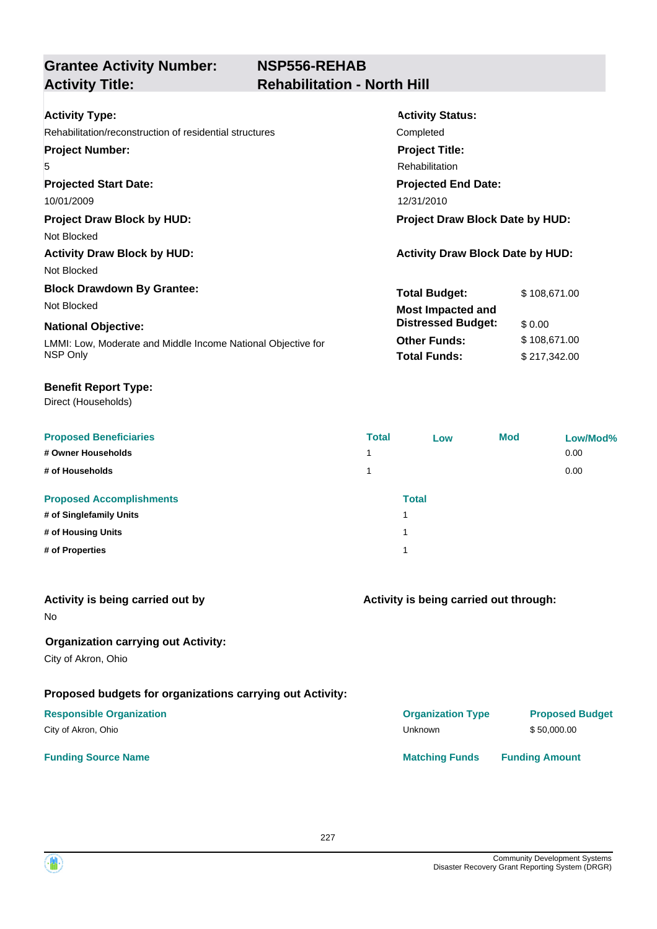| <b>Activity Type:</b>                                        | <b>Activity Status:</b>                 |              |  |
|--------------------------------------------------------------|-----------------------------------------|--------------|--|
| Rehabilitation/reconstruction of residential structures      | Completed                               |              |  |
| <b>Project Number:</b>                                       | <b>Project Title:</b>                   |              |  |
| 5                                                            | Rehabilitation                          |              |  |
| <b>Projected Start Date:</b>                                 | <b>Projected End Date:</b>              |              |  |
| 10/01/2009                                                   | 12/31/2010                              |              |  |
| <b>Project Draw Block by HUD:</b>                            | Project Draw Block Date by HUD:         |              |  |
| Not Blocked                                                  |                                         |              |  |
| <b>Activity Draw Block by HUD:</b>                           | <b>Activity Draw Block Date by HUD:</b> |              |  |
| Not Blocked                                                  |                                         |              |  |
| <b>Block Drawdown By Grantee:</b>                            | <b>Total Budget:</b>                    | \$108,671.00 |  |
| Not Blocked                                                  | <b>Most Impacted and</b>                |              |  |
| <b>National Objective:</b>                                   | <b>Distressed Budget:</b><br>\$0.00     |              |  |
| LMMI: Low, Moderate and Middle Income National Objective for | <b>Other Funds:</b>                     | \$108,671.00 |  |
| NSP Only                                                     | <b>Total Funds:</b>                     | \$217,342.00 |  |
|                                                              |                                         |              |  |

#### **Benefit Report Type:**

| <b>Proposed Beneficiaries</b>   | <b>Total</b> | Low          | <b>Mod</b> | Low/Mod% |
|---------------------------------|--------------|--------------|------------|----------|
| # Owner Households              | 1            |              |            | 0.00     |
| # of Households                 | 1            |              |            | 0.00     |
| <b>Proposed Accomplishments</b> |              | <b>Total</b> |            |          |
| # of Singlefamily Units         |              |              |            |          |
| # of Housing Units              |              |              |            |          |
| # of Properties                 |              |              |            |          |
|                                 |              |              |            |          |

| Activity is being carried out by<br><b>No</b>                     | Activity is being carried out through: |                        |
|-------------------------------------------------------------------|----------------------------------------|------------------------|
| <b>Organization carrying out Activity:</b><br>City of Akron, Ohio |                                        |                        |
| Proposed budgets for organizations carrying out Activity:         |                                        |                        |
| <b>Responsible Organization</b>                                   | <b>Organization Type</b>               | <b>Proposed Budget</b> |
| City of Akron, Ohio                                               | Unknown                                | \$50,000.00            |
| <b>Funding Source Name</b>                                        | <b>Matching Funds</b>                  | <b>Funding Amount</b>  |

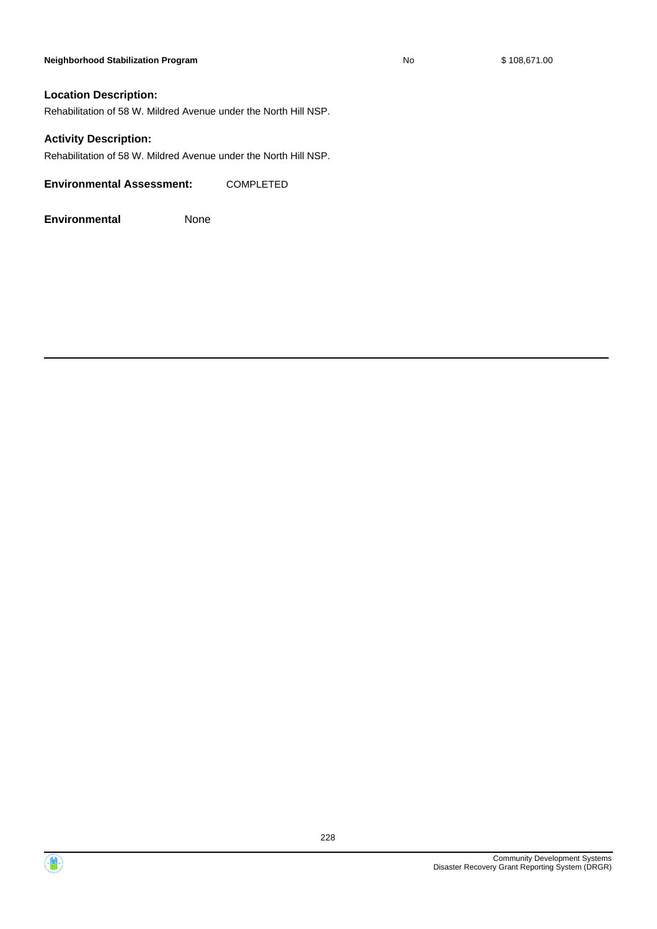#### **Neighborhood Stabilization Program No No** \$ 108,671.00

#### **Location Description:**

Rehabilitation of 58 W. Mildred Avenue under the North Hill NSP.

#### **Activity Description:**

Rehabilitation of 58 W. Mildred Avenue under the North Hill NSP.

**Environmental Assessment:** COMPLETED



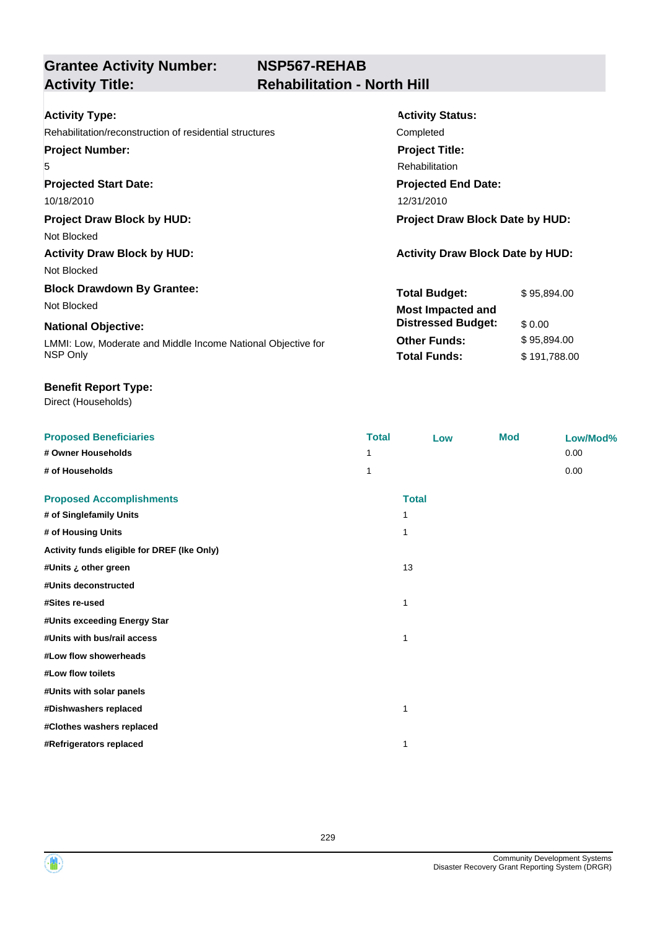# **NSP567-REHAB Activity Title: Rehabilitation - North Hill**

| <b>Activity Type:</b>                                        | <b>Activity Status:</b>                 |  |
|--------------------------------------------------------------|-----------------------------------------|--|
| Rehabilitation/reconstruction of residential structures      | Completed                               |  |
| <b>Project Number:</b>                                       | <b>Project Title:</b>                   |  |
| 5                                                            | Rehabilitation                          |  |
| <b>Projected Start Date:</b>                                 | <b>Projected End Date:</b>              |  |
| 10/18/2010                                                   | 12/31/2010                              |  |
| <b>Project Draw Block by HUD:</b>                            | <b>Project Draw Block Date by HUD:</b>  |  |
| Not Blocked                                                  |                                         |  |
| <b>Activity Draw Block by HUD:</b>                           | <b>Activity Draw Block Date by HUD:</b> |  |
| Not Blocked                                                  |                                         |  |
| <b>Block Drawdown By Grantee:</b>                            | <b>Total Budget:</b><br>\$95,894.00     |  |
| Not Blocked                                                  | <b>Most Impacted and</b>                |  |
| <b>National Objective:</b>                                   | <b>Distressed Budget:</b><br>\$0.00     |  |
| LMMI: Low, Moderate and Middle Income National Objective for | <b>Other Funds:</b><br>\$95,894.00      |  |
| NSP Only                                                     | <b>Total Funds:</b><br>\$191,788.00     |  |

#### **Benefit Report Type:**

| <b>Proposed Beneficiaries</b>               | <b>Total</b> | Low          | <b>Mod</b> | Low/Mod% |
|---------------------------------------------|--------------|--------------|------------|----------|
| # Owner Households                          |              |              |            | 0.00     |
| # of Households                             | 1            |              |            | 0.00     |
| <b>Proposed Accomplishments</b>             |              | <b>Total</b> |            |          |
| # of Singlefamily Units                     | 1            |              |            |          |
| # of Housing Units                          | 1            |              |            |          |
| Activity funds eligible for DREF (Ike Only) |              |              |            |          |
| #Units ¿ other green                        | 13           |              |            |          |
| #Units deconstructed                        |              |              |            |          |
| #Sites re-used                              | 1            |              |            |          |
| #Units exceeding Energy Star                |              |              |            |          |
| #Units with bus/rail access                 | 1            |              |            |          |
| #Low flow showerheads                       |              |              |            |          |
| #Low flow toilets                           |              |              |            |          |
| #Units with solar panels                    |              |              |            |          |
| #Dishwashers replaced                       | 1            |              |            |          |
| #Clothes washers replaced                   |              |              |            |          |
| #Refrigerators replaced                     | 1            |              |            |          |

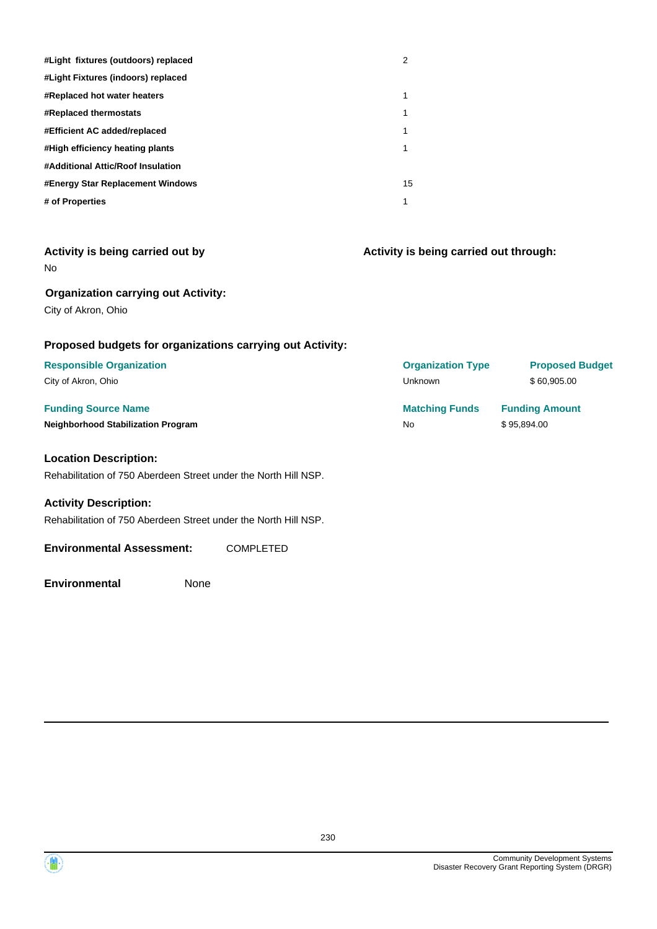| #Light fixtures (outdoors) replaced | 2  |
|-------------------------------------|----|
| #Light Fixtures (indoors) replaced  |    |
| #Replaced hot water heaters         | 1  |
| <b>#Replaced thermostats</b>        | 1  |
| #Efficient AC added/replaced        | 1  |
| #High efficiency heating plants     | 1  |
| #Additional Attic/Roof Insulation   |    |
| #Energy Star Replacement Windows    | 15 |
| # of Properties                     | 1  |

| Activity is being carried out by |  |  |  |
|----------------------------------|--|--|--|
| No                               |  |  |  |

**Activity is being carried out through:**

#### **Organization carrying out Activity:**

City of Akron, Ohio

## **Proposed budgets for organizations carrying out Activity:**

#### **Location Description:**

Rehabilitation of 750 Aberdeen Street under the North Hill NSP.

#### **Activity Description:**

Rehabilitation of 750 Aberdeen Street under the North Hill NSP.

#### **Environmental Assessment:** COMPLETED

**Environmental** None

**Funding Source Name <b>Matching Funds Funding Amount Matching Funds Funding Amount Neighborhood Stabilization Program No No** \$ 95,894.00 **Responsible Organization Organization Type Proposed Budget** City of Akron, Ohio **60,905.00** City of Akron, Ohio **60,905.00** City of Akron, Ohio **60,905.00** 

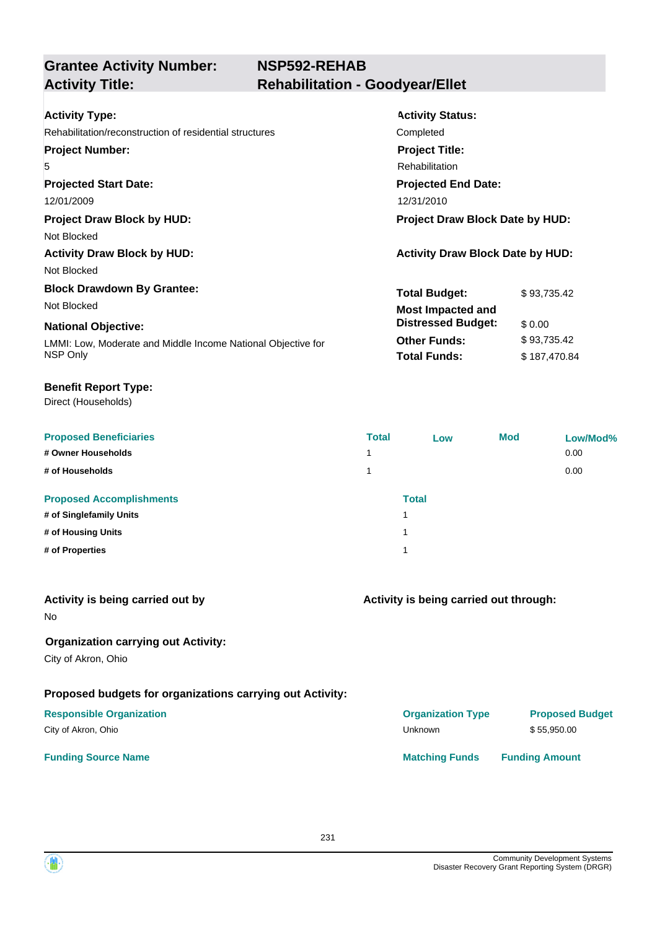| <b>Activity Type:</b>                                        | <b>Activity Status:</b>                 |  |  |
|--------------------------------------------------------------|-----------------------------------------|--|--|
| Rehabilitation/reconstruction of residential structures      | Completed                               |  |  |
| <b>Project Number:</b>                                       | <b>Project Title:</b>                   |  |  |
| 5                                                            | <b>Rehabilitation</b>                   |  |  |
| <b>Projected Start Date:</b>                                 | <b>Projected End Date:</b>              |  |  |
| 12/01/2009                                                   | 12/31/2010                              |  |  |
| <b>Project Draw Block by HUD:</b>                            | Project Draw Block Date by HUD:         |  |  |
| Not Blocked                                                  |                                         |  |  |
| <b>Activity Draw Block by HUD:</b>                           | <b>Activity Draw Block Date by HUD:</b> |  |  |
| Not Blocked                                                  |                                         |  |  |
| <b>Block Drawdown By Grantee:</b>                            | <b>Total Budget:</b><br>\$93.735.42     |  |  |
| Not Blocked                                                  | <b>Most Impacted and</b>                |  |  |
| <b>National Objective:</b>                                   | <b>Distressed Budget:</b><br>\$0.00     |  |  |
| LMMI: Low, Moderate and Middle Income National Objective for | <b>Other Funds:</b><br>\$93,735.42      |  |  |
| NSP Only                                                     | <b>Total Funds:</b><br>\$187,470.84     |  |  |

#### **Benefit Report Type:**

| <b>Proposed Beneficiaries</b>   | <b>Total</b> | Low          | <b>Mod</b> | Low/Mod% |
|---------------------------------|--------------|--------------|------------|----------|
| # Owner Households              | 1            |              |            | 0.00     |
| # of Households                 | 1            |              |            | 0.00     |
| <b>Proposed Accomplishments</b> |              | <b>Total</b> |            |          |
| # of Singlefamily Units         |              |              |            |          |
| # of Housing Units              |              |              |            |          |
| # of Properties                 |              |              |            |          |
|                                 |              |              |            |          |

| Activity is being carried out by<br><b>No</b>                     | Activity is being carried out through: |                        |  |
|-------------------------------------------------------------------|----------------------------------------|------------------------|--|
| <b>Organization carrying out Activity:</b><br>City of Akron, Ohio |                                        |                        |  |
| Proposed budgets for organizations carrying out Activity:         |                                        |                        |  |
| <b>Responsible Organization</b>                                   | <b>Organization Type</b>               | <b>Proposed Budget</b> |  |
| City of Akron, Ohio                                               | Unknown                                | \$55.950.00            |  |
| <b>Funding Source Name</b>                                        | <b>Matching Funds</b>                  | <b>Funding Amount</b>  |  |

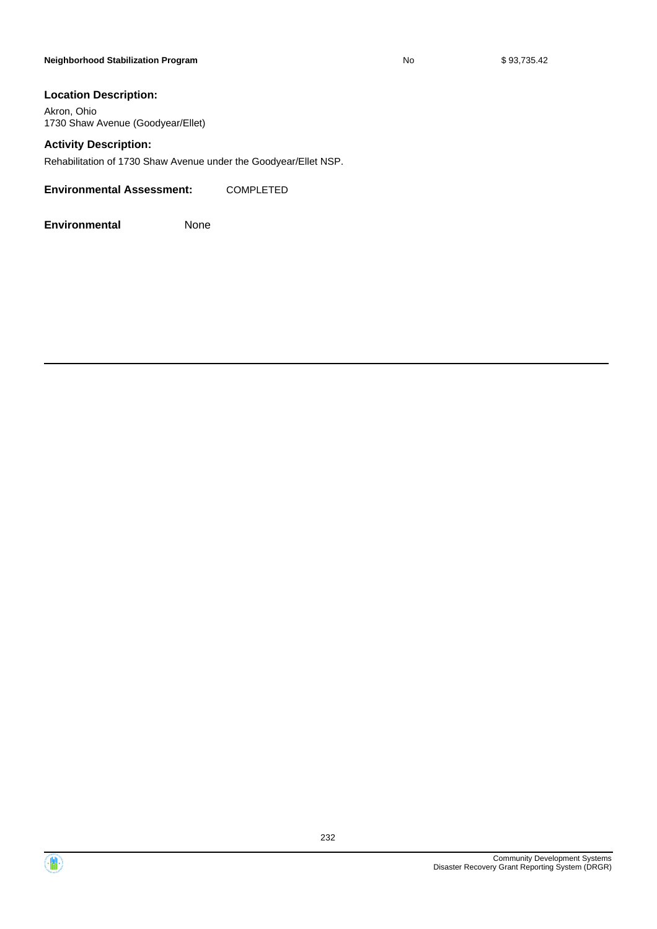#### **Neighborhood Stabilization Program No No** \$ 93,735.42

#### **Location Description:**

Akron, Ohio 1730 Shaw Avenue (Goodyear/Ellet)

#### **Activity Description:**

Rehabilitation of 1730 Shaw Avenue under the Goodyear/Ellet NSP.

**Environmental Assessment:** COMPLETED



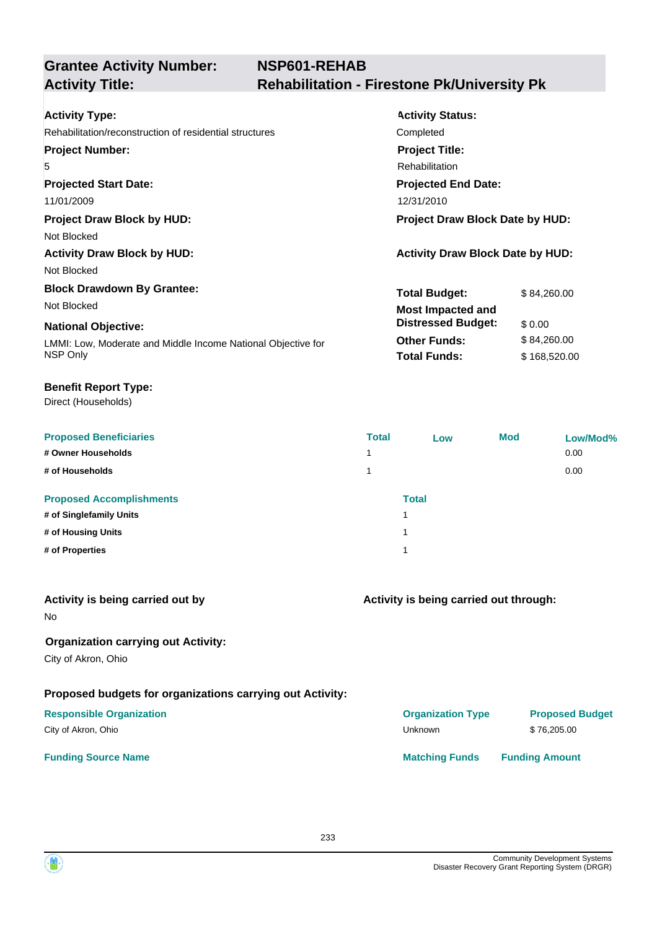| <b>Activity Type:</b>                                        | <b>Activity Status:</b>                 |              |  |
|--------------------------------------------------------------|-----------------------------------------|--------------|--|
| Rehabilitation/reconstruction of residential structures      | Completed                               |              |  |
| <b>Project Number:</b>                                       | <b>Project Title:</b>                   |              |  |
| 5                                                            | Rehabilitation                          |              |  |
| <b>Projected Start Date:</b>                                 | <b>Projected End Date:</b>              |              |  |
| 11/01/2009                                                   | 12/31/2010                              |              |  |
| <b>Project Draw Block by HUD:</b>                            | <b>Project Draw Block Date by HUD:</b>  |              |  |
| Not Blocked                                                  |                                         |              |  |
| <b>Activity Draw Block by HUD:</b>                           | <b>Activity Draw Block Date by HUD:</b> |              |  |
| Not Blocked                                                  |                                         |              |  |
| <b>Block Drawdown By Grantee:</b>                            | <b>Total Budget:</b>                    | \$84,260.00  |  |
| Not Blocked                                                  | <b>Most Impacted and</b>                |              |  |
| <b>National Objective:</b>                                   | <b>Distressed Budget:</b>               | \$0.00       |  |
| LMMI: Low, Moderate and Middle Income National Objective for | <b>Other Funds:</b>                     | \$84,260.00  |  |
| NSP Only                                                     | <b>Total Funds:</b>                     | \$168,520.00 |  |
|                                                              |                                         |              |  |

#### **Benefit Report Type:**

| <b>Proposed Beneficiaries</b>   | <b>Total</b> | Low          | <b>Mod</b> | Low/Mod% |
|---------------------------------|--------------|--------------|------------|----------|
| # Owner Households              | 1            |              |            | 0.00     |
| # of Households                 | 1            |              |            | 0.00     |
| <b>Proposed Accomplishments</b> |              | <b>Total</b> |            |          |
| # of Singlefamily Units         |              |              |            |          |
| # of Housing Units              |              |              |            |          |
| # of Properties                 |              |              |            |          |
|                                 |              |              |            |          |

| Activity is being carried out by<br><b>No</b>                     | Activity is being carried out through: |                        |  |
|-------------------------------------------------------------------|----------------------------------------|------------------------|--|
| <b>Organization carrying out Activity:</b><br>City of Akron, Ohio |                                        |                        |  |
| Proposed budgets for organizations carrying out Activity:         |                                        |                        |  |
| <b>Responsible Organization</b>                                   | <b>Organization Type</b>               | <b>Proposed Budget</b> |  |
| City of Akron, Ohio                                               | Unknown                                | \$76,205.00            |  |
| <b>Funding Source Name</b>                                        | <b>Matching Funds</b>                  | <b>Funding Amount</b>  |  |

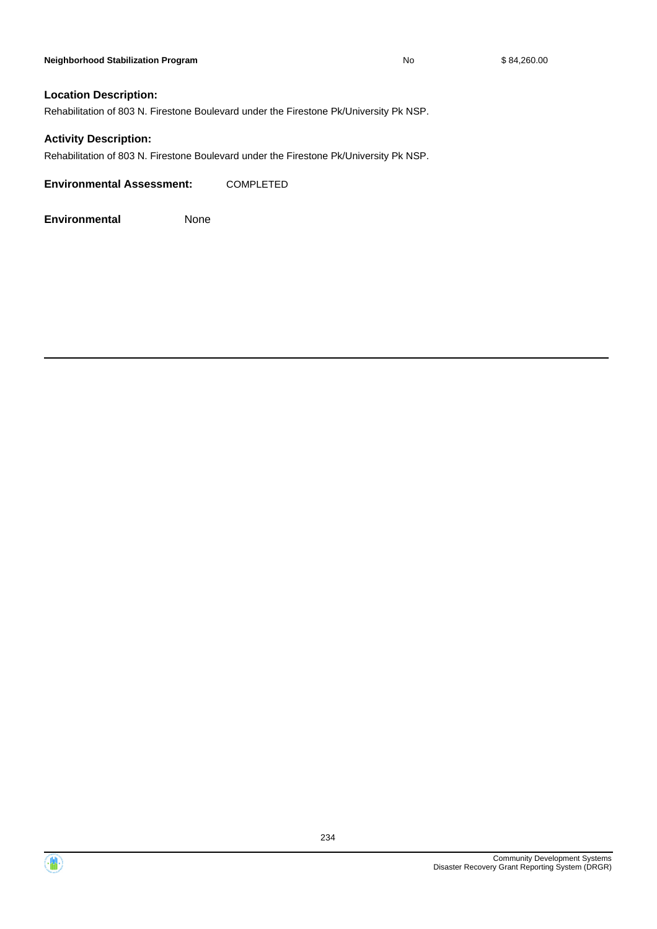#### **Location Description:**

Rehabilitation of 803 N. Firestone Boulevard under the Firestone Pk/University Pk NSP.

#### **Activity Description:**

Rehabilitation of 803 N. Firestone Boulevard under the Firestone Pk/University Pk NSP.

**Environmental Assessment:** COMPLETED





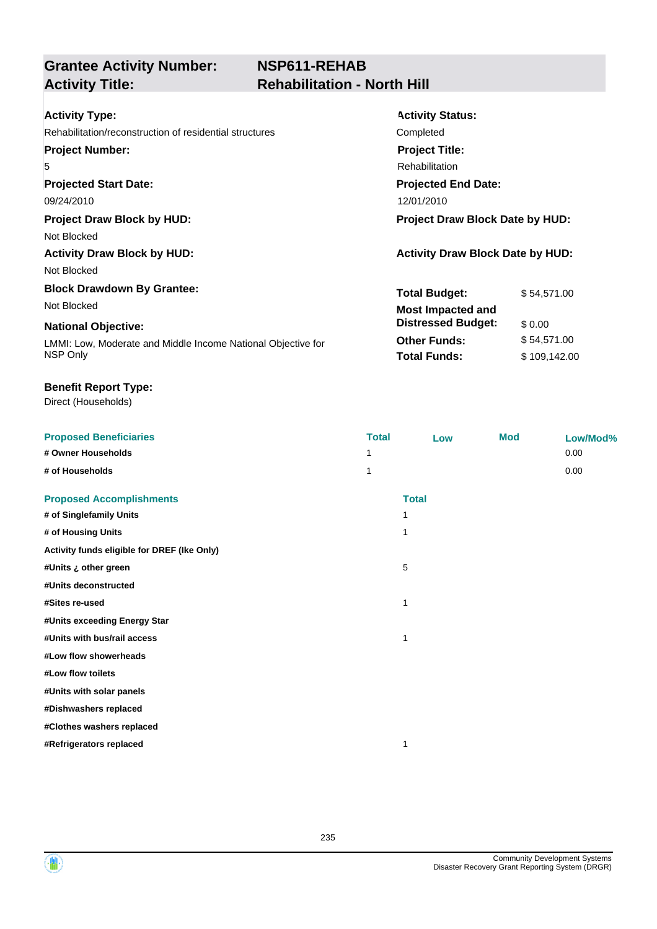# **NSP611-REHAB Activity Title: Rehabilitation - North Hill**

| <b>Activity Type:</b>                                        | <b>Activity Status:</b>                 |  |  |
|--------------------------------------------------------------|-----------------------------------------|--|--|
| Rehabilitation/reconstruction of residential structures      | Completed                               |  |  |
| <b>Project Number:</b>                                       | <b>Project Title:</b>                   |  |  |
| 5                                                            | <b>Rehabilitation</b>                   |  |  |
| <b>Projected Start Date:</b>                                 | <b>Projected End Date:</b>              |  |  |
| 09/24/2010                                                   | 12/01/2010                              |  |  |
| <b>Project Draw Block by HUD:</b>                            | <b>Project Draw Block Date by HUD:</b>  |  |  |
| Not Blocked                                                  |                                         |  |  |
| <b>Activity Draw Block by HUD:</b>                           | <b>Activity Draw Block Date by HUD:</b> |  |  |
| Not Blocked                                                  |                                         |  |  |
| <b>Block Drawdown By Grantee:</b>                            | <b>Total Budget:</b><br>\$54,571.00     |  |  |
| Not Blocked                                                  | <b>Most Impacted and</b>                |  |  |
| <b>National Objective:</b>                                   | <b>Distressed Budget:</b><br>\$ 0.00    |  |  |
| LMMI: Low, Moderate and Middle Income National Objective for | <b>Other Funds:</b><br>\$54,571.00      |  |  |
| NSP Only                                                     | <b>Total Funds:</b><br>\$109,142.00     |  |  |

#### **Benefit Report Type:**

| <b>Proposed Beneficiaries</b>               | <b>Total</b> | Low          | <b>Mod</b> | Low/Mod% |
|---------------------------------------------|--------------|--------------|------------|----------|
| # Owner Households                          | 1            |              |            | 0.00     |
| # of Households                             | 1            |              |            | 0.00     |
| <b>Proposed Accomplishments</b>             |              | <b>Total</b> |            |          |
| # of Singlefamily Units                     | 1            |              |            |          |
| # of Housing Units                          | 1            |              |            |          |
| Activity funds eligible for DREF (Ike Only) |              |              |            |          |
| #Units ¿ other green                        | 5            |              |            |          |
| #Units deconstructed                        |              |              |            |          |
| #Sites re-used                              | 1            |              |            |          |
| #Units exceeding Energy Star                |              |              |            |          |
| #Units with bus/rail access                 | 1            |              |            |          |
| #Low flow showerheads                       |              |              |            |          |
| #Low flow toilets                           |              |              |            |          |
| #Units with solar panels                    |              |              |            |          |
| #Dishwashers replaced                       |              |              |            |          |
| #Clothes washers replaced                   |              |              |            |          |
| #Refrigerators replaced                     | 1            |              |            |          |
|                                             |              |              |            |          |



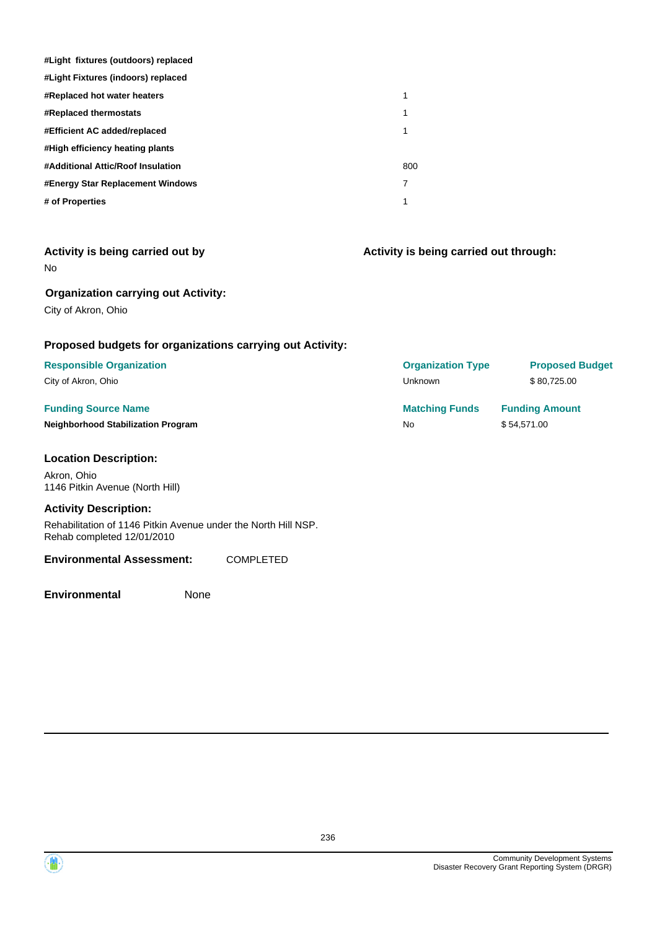| #Light fixtures (outdoors) replaced |     |
|-------------------------------------|-----|
| #Light Fixtures (indoors) replaced  |     |
| <b>#Replaced hot water heaters</b>  | 1   |
| <b>#Replaced thermostats</b>        | 1   |
| #Efficient AC added/replaced        |     |
| #High efficiency heating plants     |     |
| #Additional Attic/Roof Insulation   | 800 |
| #Energy Star Replacement Windows    | 7   |
| # of Properties                     |     |

| Activity is being carried out by |  |  |  |  |  |
|----------------------------------|--|--|--|--|--|
|----------------------------------|--|--|--|--|--|

No

#### **Organization carrying out Activity:**

City of Akron, Ohio

#### **Proposed budgets for organizations carrying out Activity:**

## **Funding Source Name**

#### **Location Description:**

Akron, Ohio 1146 Pitkin Avenue (North Hill)

#### **Activity Description:**

Rehabilitation of 1146 Pitkin Avenue under the North Hill NSP. Rehab completed 12/01/2010

#### **Environmental Assessment:** COMPLETED

**Environmental** None

**Activity is being carried out through:**

| <b>Responsible Organization</b>           | <b>Organization Type</b> | <b>Proposed Budget</b> |
|-------------------------------------------|--------------------------|------------------------|
| City of Akron, Ohio                       | Unknown                  | \$80.725.00            |
|                                           |                          |                        |
| <b>Funding Source Name</b>                | <b>Matching Funds</b>    | <b>Funding Amount</b>  |
| <b>Neighborhood Stabilization Program</b> | No.                      | \$54.571.00            |

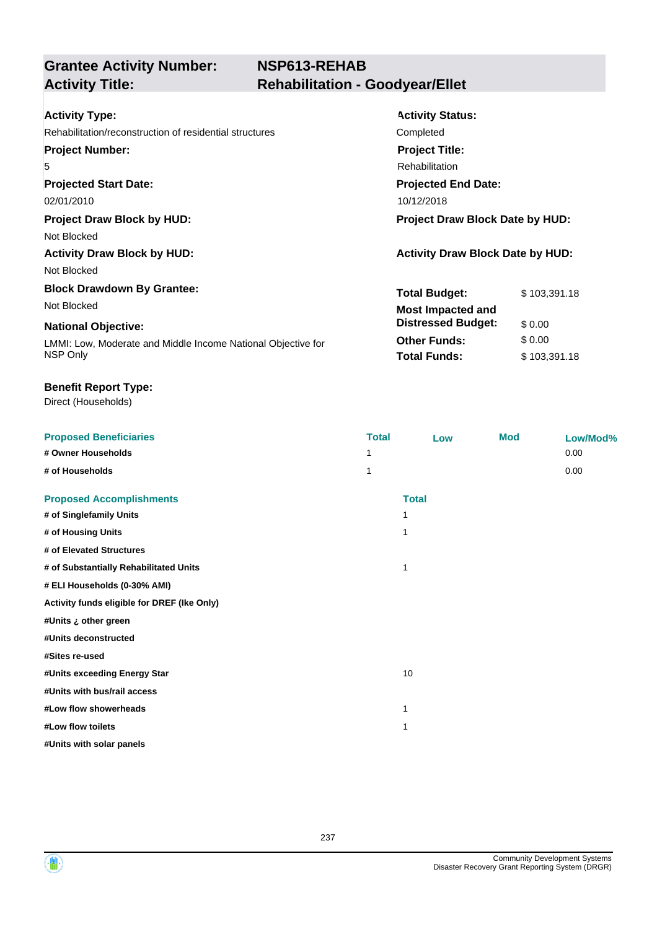# **NSP613-REHAB Activity Title: Rehabilitation - Goodyear/Ellet**

| <b>Activity Type:</b>                                        | <b>Activity Status:</b>                 |              |  |
|--------------------------------------------------------------|-----------------------------------------|--------------|--|
| Rehabilitation/reconstruction of residential structures      | Completed                               |              |  |
| <b>Project Number:</b>                                       | <b>Project Title:</b>                   |              |  |
| 5                                                            | <b>Rehabilitation</b>                   |              |  |
| <b>Projected Start Date:</b>                                 | <b>Projected End Date:</b>              |              |  |
| 02/01/2010                                                   | 10/12/2018                              |              |  |
| <b>Project Draw Block by HUD:</b>                            | <b>Project Draw Block Date by HUD:</b>  |              |  |
| Not Blocked                                                  |                                         |              |  |
| <b>Activity Draw Block by HUD:</b>                           | <b>Activity Draw Block Date by HUD:</b> |              |  |
| Not Blocked                                                  |                                         |              |  |
| <b>Block Drawdown By Grantee:</b>                            | <b>Total Budget:</b>                    | \$103,391.18 |  |
| Not Blocked                                                  | <b>Most Impacted and</b>                |              |  |
| <b>National Objective:</b>                                   | <b>Distressed Budget:</b>               | \$0.00       |  |
| LMMI: Low, Moderate and Middle Income National Objective for | <b>Other Funds:</b>                     | \$0.00       |  |
| NSP Only                                                     | <b>Total Funds:</b>                     | \$103,391.18 |  |

#### **Benefit Report Type:**

| <b>Proposed Beneficiaries</b>               | <b>Total</b> | Low          | <b>Mod</b> | Low/Mod% |
|---------------------------------------------|--------------|--------------|------------|----------|
| # Owner Households                          | 1            |              |            | 0.00     |
| # of Households                             | 1            |              |            | 0.00     |
| <b>Proposed Accomplishments</b>             |              | <b>Total</b> |            |          |
| # of Singlefamily Units                     | 1            |              |            |          |
| # of Housing Units                          | 1            |              |            |          |
| # of Elevated Structures                    |              |              |            |          |
| # of Substantially Rehabilitated Units      | 1            |              |            |          |
| # ELI Households (0-30% AMI)                |              |              |            |          |
| Activity funds eligible for DREF (Ike Only) |              |              |            |          |
| #Units ¿ other green                        |              |              |            |          |
| #Units deconstructed                        |              |              |            |          |
| #Sites re-used                              |              |              |            |          |
| #Units exceeding Energy Star                | 10           |              |            |          |
| #Units with bus/rail access                 |              |              |            |          |
| #Low flow showerheads                       | 1            |              |            |          |
| #Low flow toilets                           | 1            |              |            |          |
| #Units with solar panels                    |              |              |            |          |
|                                             |              |              |            |          |

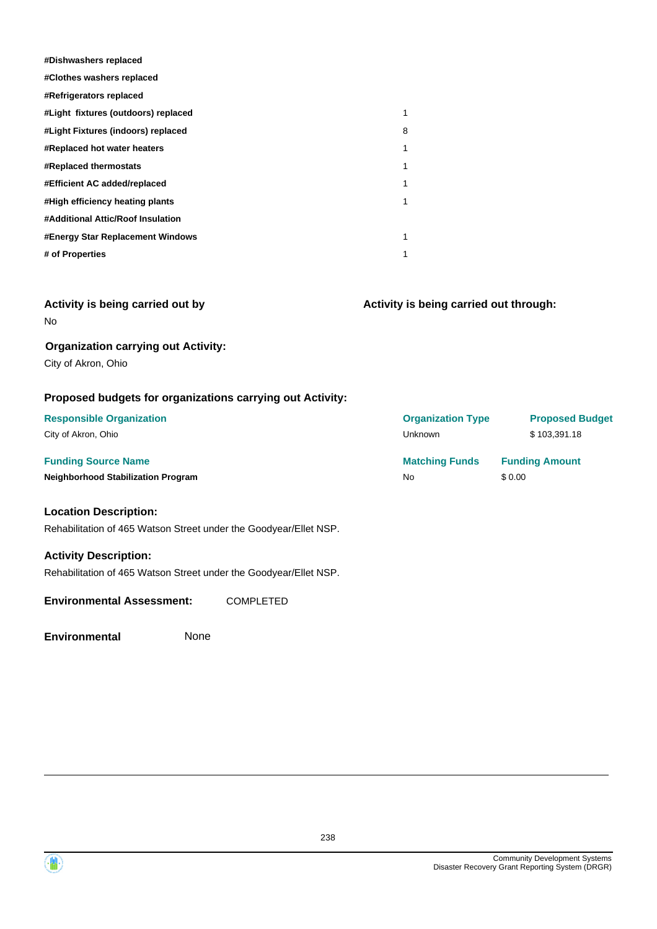| #Dishwashers replaced               |   |
|-------------------------------------|---|
| #Clothes washers replaced           |   |
| #Refrigerators replaced             |   |
| #Light fixtures (outdoors) replaced | 1 |
| #Light Fixtures (indoors) replaced  | 8 |
| <b>#Replaced hot water heaters</b>  | 1 |
| #Replaced thermostats               | 1 |
| #Efficient AC added/replaced        | 1 |
| #High efficiency heating plants     | 1 |
| #Additional Attic/Roof Insulation   |   |
| #Energy Star Replacement Windows    | 1 |
| # of Properties                     | 1 |

| Activity is being carried out by |  |  |  |  |  |
|----------------------------------|--|--|--|--|--|
|----------------------------------|--|--|--|--|--|

**Activity is being carried out through:**

#### **Organization carrying out Activity:**

City of Akron, Ohio

No

## **Proposed budgets for organizations carrying out Activity:**

| <b>Responsible Organization</b>                                   | <b>Organization Type</b> | <b>Proposed Budget</b> |
|-------------------------------------------------------------------|--------------------------|------------------------|
| City of Akron, Ohio                                               | Unknown                  | \$103,391.18           |
| <b>Funding Source Name</b>                                        | <b>Matching Funds</b>    | <b>Funding Amount</b>  |
| <b>Neighborhood Stabilization Program</b>                         | No.                      | \$0.00                 |
| <b>Location Description:</b>                                      |                          |                        |
| Rehabilitation of 465 Watson Street under the Goodyear/Ellet NSP. |                          |                        |
| <b>Activity Description:</b>                                      |                          |                        |

Rehabilitation of 465 Watson Street under the Goodyear/Ellet NSP.

**Environmental Assessment:** COMPLETED

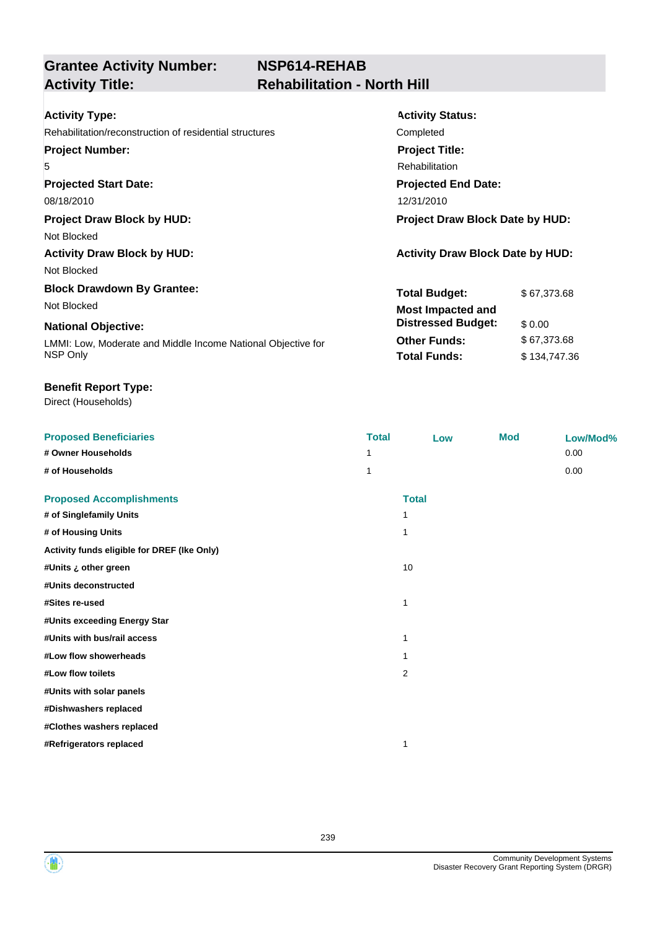# **NSP614-REHAB Activity Title: Rehabilitation - North Hill**

| <b>Activity Type:</b>                                        | <b>Activity Status:</b>                 |
|--------------------------------------------------------------|-----------------------------------------|
| Rehabilitation/reconstruction of residential structures      | Completed                               |
| <b>Project Number:</b>                                       | <b>Project Title:</b>                   |
| 5                                                            | Rehabilitation                          |
| <b>Projected Start Date:</b>                                 | <b>Projected End Date:</b>              |
| 08/18/2010                                                   | 12/31/2010                              |
| <b>Project Draw Block by HUD:</b>                            | <b>Project Draw Block Date by HUD:</b>  |
| Not Blocked                                                  |                                         |
| <b>Activity Draw Block by HUD:</b>                           | <b>Activity Draw Block Date by HUD:</b> |
| Not Blocked                                                  |                                         |
| <b>Block Drawdown By Grantee:</b>                            | <b>Total Budget:</b><br>\$67,373.68     |
| Not Blocked                                                  | <b>Most Impacted and</b>                |
| <b>National Objective:</b>                                   | <b>Distressed Budget:</b><br>\$0.00     |
| LMMI: Low, Moderate and Middle Income National Objective for | <b>Other Funds:</b><br>\$67,373.68      |
| NSP Only                                                     | <b>Total Funds:</b><br>\$134,747.36     |

#### **Benefit Report Type:**

| <b>Proposed Beneficiaries</b>               | <b>Total</b> | Low          | <b>Mod</b> | Low/Mod% |
|---------------------------------------------|--------------|--------------|------------|----------|
| # Owner Households                          | 1            |              |            | 0.00     |
| # of Households                             | 1            |              |            | 0.00     |
| <b>Proposed Accomplishments</b>             |              | <b>Total</b> |            |          |
| # of Singlefamily Units                     | 1            |              |            |          |
| # of Housing Units                          | $\mathbf 1$  |              |            |          |
| Activity funds eligible for DREF (Ike Only) |              |              |            |          |
| #Units ¿ other green                        | 10           |              |            |          |
| #Units deconstructed                        |              |              |            |          |
| #Sites re-used                              | $\mathbf 1$  |              |            |          |
| #Units exceeding Energy Star                |              |              |            |          |
| #Units with bus/rail access                 | 1            |              |            |          |
| #Low flow showerheads                       |              |              |            |          |
| #Low flow toilets                           | 2            |              |            |          |
| #Units with solar panels                    |              |              |            |          |
| #Dishwashers replaced                       |              |              |            |          |
| #Clothes washers replaced                   |              |              |            |          |
| #Refrigerators replaced                     | 1            |              |            |          |
|                                             |              |              |            |          |
|                                             |              |              |            |          |

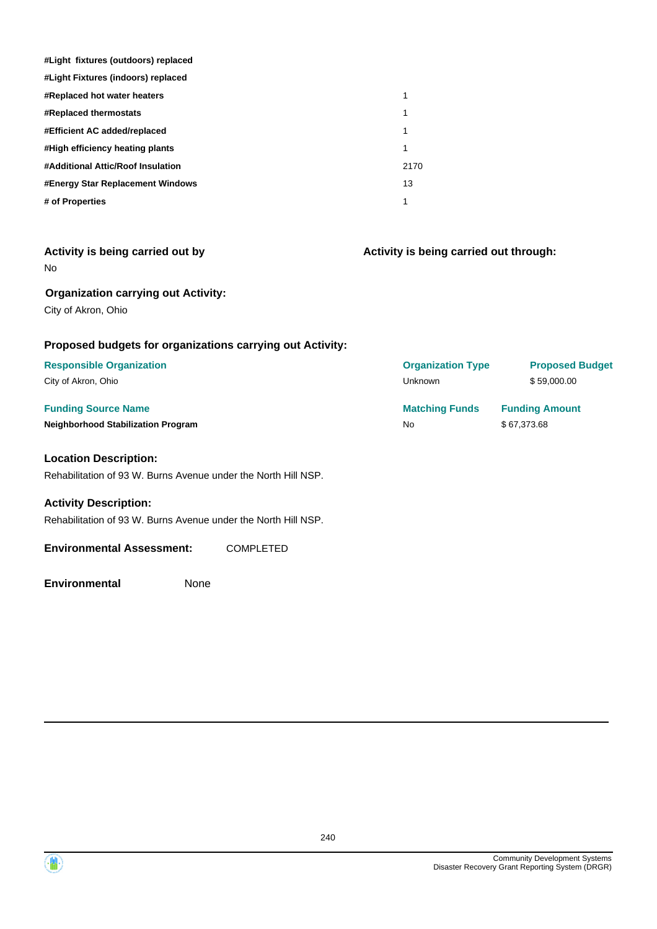| #Light fixtures (outdoors) replaced |      |
|-------------------------------------|------|
| #Light Fixtures (indoors) replaced  |      |
| <b>#Replaced hot water heaters</b>  | 1    |
| <b>#Replaced thermostats</b>        | 1    |
| #Efficient AC added/replaced        | 1    |
| #High efficiency heating plants     | 1    |
| #Additional Attic/Roof Insulation   | 2170 |
| #Energy Star Replacement Windows    | 13   |
| # of Properties                     | 1    |

| Activity is being carried out by |  |  |  |
|----------------------------------|--|--|--|
|                                  |  |  |  |

No

## **Organization carrying out Activity:**

City of Akron, Ohio

## **Proposed budgets for organizations carrying out Activity:**

#### **Location Description:**

Rehabilitation of 93 W. Burns Avenue under the North Hill NSP.

#### **Activity Description:**

Rehabilitation of 93 W. Burns Avenue under the North Hill NSP.

#### **Environmental Assessment:** COMPLETED

**Environmental** None

**Funding Source Name <b>Matching Funds Funding Amount Matching Funds Funding Amount Neighborhood Stabilization Program No No** \$ 67,373.68 **Responsible Organization Organization Type Proposed Budget** City of Akron, Ohio Unknown \$ 59,000.00

**Activity is being carried out through:**

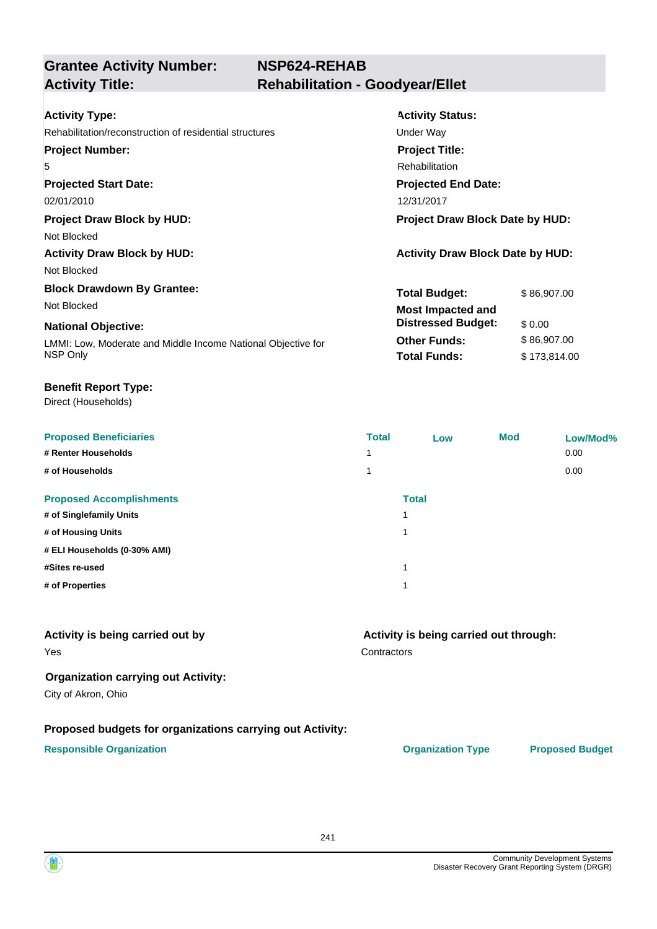| <b>Activity Type:</b>                                        | <b>Activity Status:</b>                 |  |
|--------------------------------------------------------------|-----------------------------------------|--|
| Rehabilitation/reconstruction of residential structures      | Under Way                               |  |
| <b>Project Number:</b>                                       | <b>Project Title:</b>                   |  |
| 5                                                            | <b>Rehabilitation</b>                   |  |
| <b>Projected Start Date:</b>                                 | <b>Projected End Date:</b>              |  |
| 02/01/2010                                                   | 12/31/2017                              |  |
| <b>Project Draw Block by HUD:</b>                            | <b>Project Draw Block Date by HUD:</b>  |  |
| Not Blocked                                                  |                                         |  |
| <b>Activity Draw Block by HUD:</b>                           | <b>Activity Draw Block Date by HUD:</b> |  |
| Not Blocked                                                  |                                         |  |
| <b>Block Drawdown By Grantee:</b>                            | <b>Total Budget:</b><br>\$86,907.00     |  |
| Not Blocked                                                  | <b>Most Impacted and</b>                |  |
| <b>National Objective:</b>                                   | <b>Distressed Budget:</b><br>\$0.00     |  |
| LMMI: Low, Moderate and Middle Income National Objective for | \$86,907.00<br><b>Other Funds:</b>      |  |
| NSP Only                                                     | <b>Total Funds:</b><br>\$173,814.00     |  |
|                                                              |                                         |  |

#### **Benefit Report Type:**

Direct (Households)

| <b>Proposed Beneficiaries</b>   | <b>Total</b> | Low          | <b>Mod</b> | Low/Mod% |
|---------------------------------|--------------|--------------|------------|----------|
| # Renter Households             | 1            |              |            | 0.00     |
| # of Households                 | 1            |              |            | 0.00     |
| <b>Proposed Accomplishments</b> |              | <b>Total</b> |            |          |
| # of Singlefamily Units         |              |              |            |          |
| # of Housing Units              |              |              |            |          |
| # ELI Households (0-30% AMI)    |              |              |            |          |
| #Sites re-used                  |              |              |            |          |
| # of Properties                 |              |              |            |          |

#### **Contractors Activity is being carried out through:** Yes **Activity is being carried out by Organization carrying out Activity:** City of Akron, Ohio

## **Proposed budgets for organizations carrying out Activity:**

#### **Responsible Organization CONSERVIRGHT ACCORDING THE CONSERVIRGHT ORGANIZATION Type Proposed Budget**

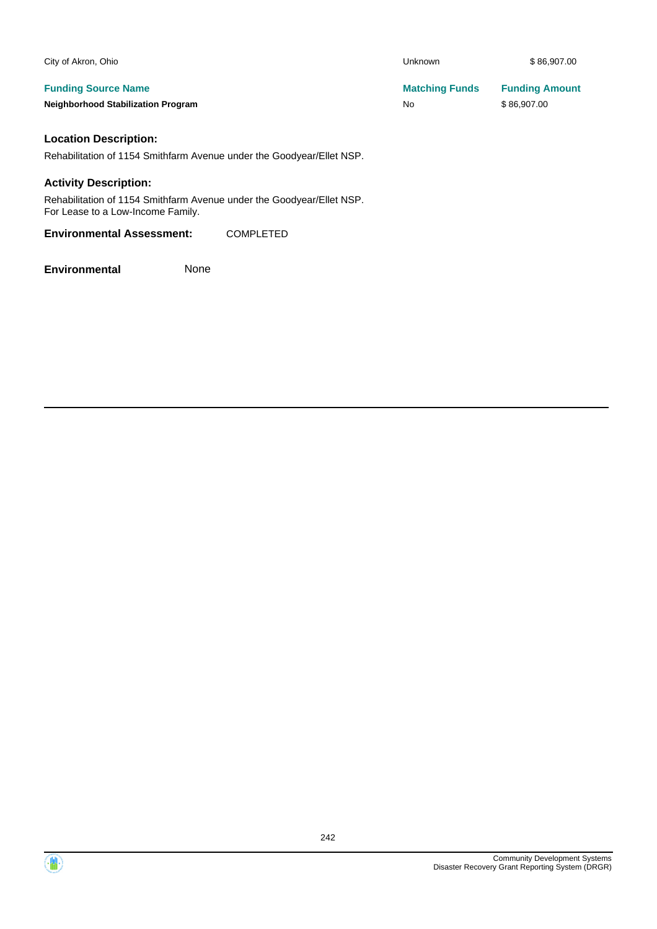| City of Akron, Ohio                       | Unknown               | \$86,907.00           |
|-------------------------------------------|-----------------------|-----------------------|
| <b>Funding Source Name</b>                | <b>Matching Funds</b> | <b>Funding Amount</b> |
| <b>Neighborhood Stabilization Program</b> | <b>No</b>             | \$86.907.00           |
|                                           |                       |                       |

#### **Location Description:**

Rehabilitation of 1154 Smithfarm Avenue under the Goodyear/Ellet NSP.

#### **Activity Description:**

Rehabilitation of 1154 Smithfarm Avenue under the Goodyear/Ellet NSP. For Lease to a Low-Income Family.

**Environmental Assessment:** COMPLETED

**Environmental** None

242

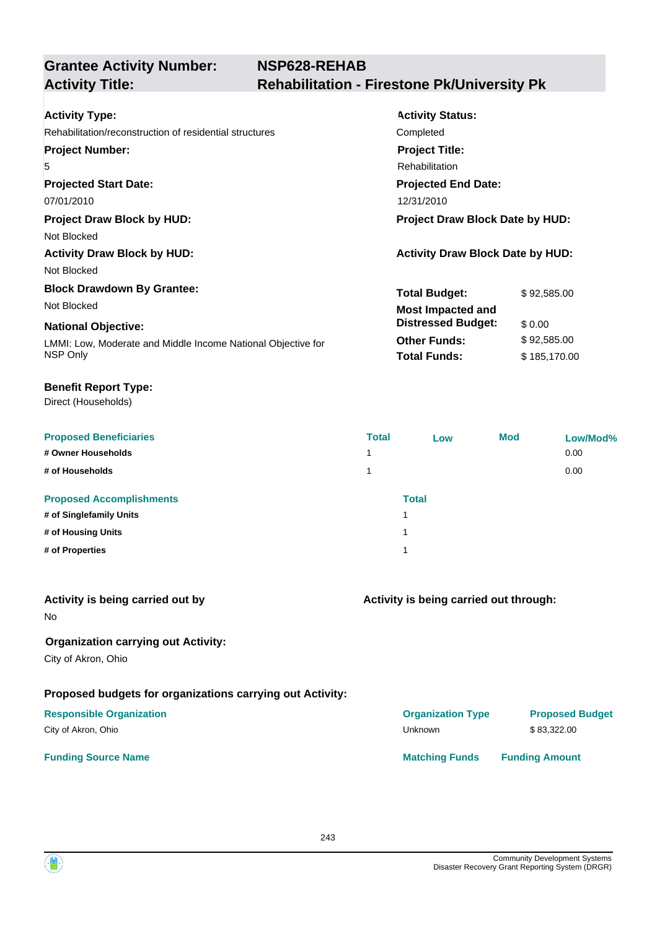| <b>Activity Type:</b>                                        | <b>Activity Status:</b>                 |              |  |
|--------------------------------------------------------------|-----------------------------------------|--------------|--|
| Rehabilitation/reconstruction of residential structures      | Completed                               |              |  |
| <b>Project Number:</b>                                       | <b>Project Title:</b>                   |              |  |
| 5                                                            | <b>Rehabilitation</b>                   |              |  |
| <b>Projected Start Date:</b>                                 | <b>Projected End Date:</b>              |              |  |
| 07/01/2010                                                   | 12/31/2010                              |              |  |
| <b>Project Draw Block by HUD:</b>                            | Project Draw Block Date by HUD:         |              |  |
| Not Blocked                                                  |                                         |              |  |
| <b>Activity Draw Block by HUD:</b>                           | <b>Activity Draw Block Date by HUD:</b> |              |  |
| Not Blocked                                                  |                                         |              |  |
| <b>Block Drawdown By Grantee:</b>                            | <b>Total Budget:</b>                    | \$92,585.00  |  |
| Not Blocked                                                  | <b>Most Impacted and</b>                |              |  |
| <b>National Objective:</b>                                   | <b>Distressed Budget:</b>               | \$ 0.00      |  |
| LMMI: Low, Moderate and Middle Income National Objective for | <b>Other Funds:</b>                     | \$92,585.00  |  |
| NSP Only                                                     | <b>Total Funds:</b>                     | \$185,170.00 |  |
|                                                              |                                         |              |  |

#### **Benefit Report Type:**

| <b>Proposed Beneficiaries</b>   | <b>Total</b> | Low          | <b>Mod</b> | Low/Mod% |
|---------------------------------|--------------|--------------|------------|----------|
| # Owner Households              | 1            |              |            | 0.00     |
| # of Households                 | 1            |              |            | 0.00     |
| <b>Proposed Accomplishments</b> |              | <b>Total</b> |            |          |
| # of Singlefamily Units         |              |              |            |          |
| # of Housing Units              |              |              |            |          |
| # of Properties                 |              |              |            |          |
|                                 |              |              |            |          |

| Activity is being carried out by<br><b>No</b>                     | Activity is being carried out through: |                        |  |
|-------------------------------------------------------------------|----------------------------------------|------------------------|--|
| <b>Organization carrying out Activity:</b><br>City of Akron, Ohio |                                        |                        |  |
| Proposed budgets for organizations carrying out Activity:         |                                        |                        |  |
| <b>Responsible Organization</b>                                   | <b>Organization Type</b>               | <b>Proposed Budget</b> |  |
| City of Akron, Ohio                                               | Unknown                                | \$83,322.00            |  |
| <b>Funding Source Name</b>                                        | <b>Matching Funds</b>                  | <b>Funding Amount</b>  |  |

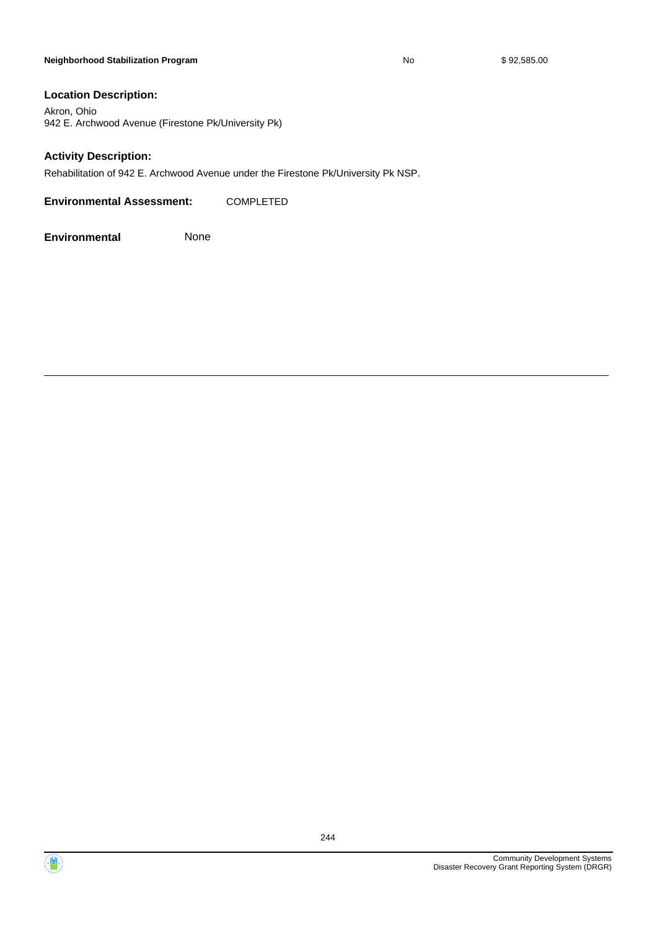#### **Neighborhood Stabilization Program No No** \$ 92,585.00

#### **Location Description:**

Akron, Ohio 942 E. Archwood Avenue (Firestone Pk/University Pk)

#### **Activity Description:**

Rehabilitation of 942 E. Archwood Avenue under the Firestone Pk/University Pk NSP.

**Environmental Assessment:** COMPLETED

**Environmental** None



244

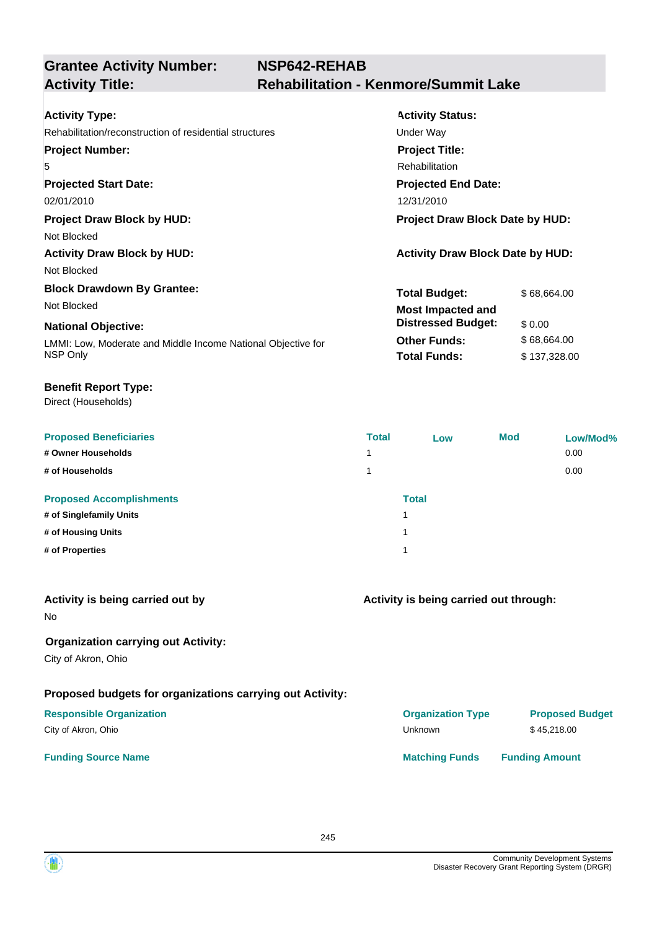| <b>Activity Type:</b>                                        | <b>Activity Status:</b>                 |              |  |
|--------------------------------------------------------------|-----------------------------------------|--------------|--|
| Rehabilitation/reconstruction of residential structures      | Under Way                               |              |  |
| <b>Project Number:</b>                                       | <b>Project Title:</b>                   |              |  |
| 5                                                            | Rehabilitation                          |              |  |
| <b>Projected Start Date:</b>                                 | <b>Projected End Date:</b>              |              |  |
| 02/01/2010                                                   | 12/31/2010                              |              |  |
| <b>Project Draw Block by HUD:</b>                            | Project Draw Block Date by HUD:         |              |  |
| Not Blocked                                                  |                                         |              |  |
| <b>Activity Draw Block by HUD:</b>                           | <b>Activity Draw Block Date by HUD:</b> |              |  |
| Not Blocked                                                  |                                         |              |  |
| <b>Block Drawdown By Grantee:</b>                            | <b>Total Budget:</b>                    | \$68,664.00  |  |
| Not Blocked                                                  | <b>Most Impacted and</b>                |              |  |
| <b>National Objective:</b>                                   | <b>Distressed Budget:</b>               | \$ 0.00      |  |
| LMMI: Low, Moderate and Middle Income National Objective for | <b>Other Funds:</b>                     | \$68,664.00  |  |
| NSP Only                                                     | <b>Total Funds:</b>                     | \$137,328.00 |  |
|                                                              |                                         |              |  |

#### **Benefit Report Type:**

| <b>Proposed Beneficiaries</b>   | <b>Total</b> | Low          | <b>Mod</b> | Low/Mod% |
|---------------------------------|--------------|--------------|------------|----------|
| # Owner Households              | 4            |              |            | 0.00     |
| # of Households                 |              |              |            | 0.00     |
| <b>Proposed Accomplishments</b> |              | <b>Total</b> |            |          |
| # of Singlefamily Units         | 1            |              |            |          |
| # of Housing Units              | и            |              |            |          |
| # of Properties                 | 1            |              |            |          |

| Activity is being carried out by<br>No.                           | Activity is being carried out through: |                        |  |
|-------------------------------------------------------------------|----------------------------------------|------------------------|--|
| <b>Organization carrying out Activity:</b><br>City of Akron, Ohio |                                        |                        |  |
| Proposed budgets for organizations carrying out Activity:         |                                        |                        |  |
| <b>Responsible Organization</b>                                   | <b>Organization Type</b>               | <b>Proposed Budget</b> |  |
| City of Akron, Ohio                                               | <b>Unknown</b>                         | \$45,218,00            |  |
| <b>Funding Source Name</b>                                        | <b>Matching Funds</b>                  | <b>Funding Amount</b>  |  |
|                                                                   |                                        |                        |  |

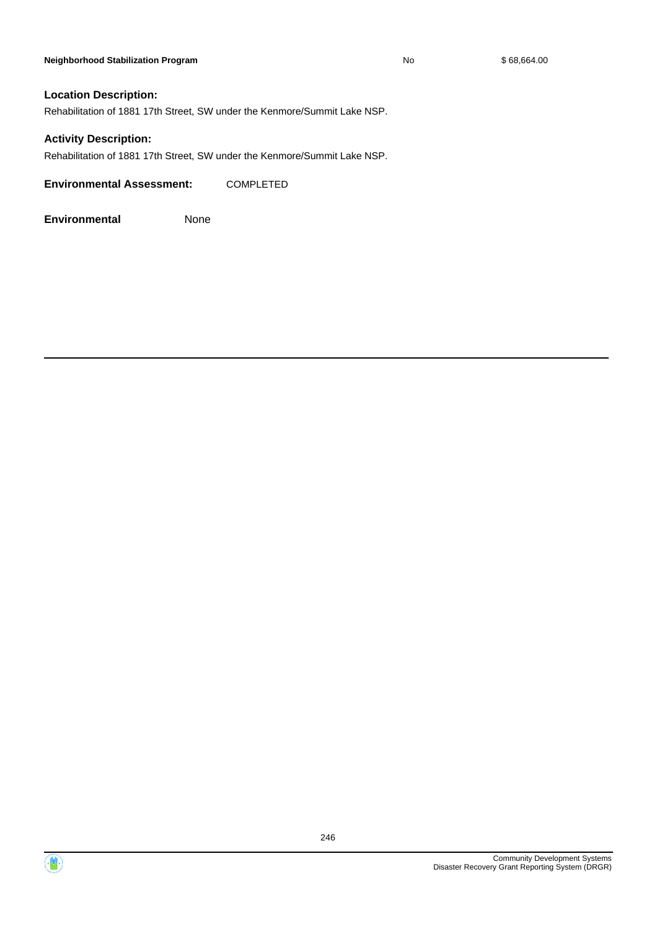#### **Neighborhood Stabilization Program No No** \$ 68,664.00

#### **Location Description:**

Rehabilitation of 1881 17th Street, SW under the Kenmore/Summit Lake NSP.

#### **Activity Description:**

Rehabilitation of 1881 17th Street, SW under the Kenmore/Summit Lake NSP.

**Environmental Assessment:** COMPLETED



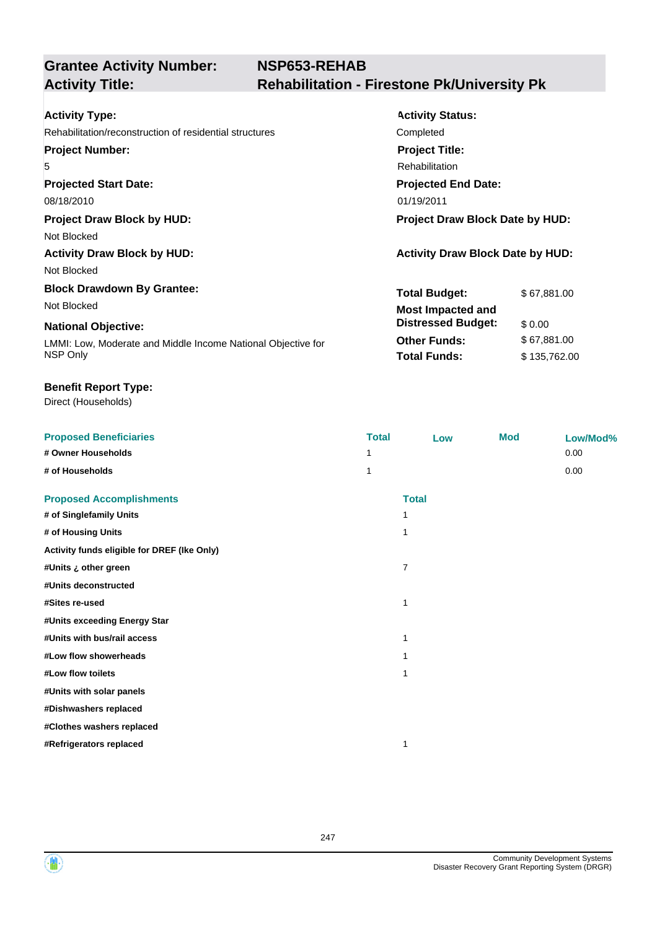# **NSP653-REHAB Activity Title: Rehabilitation - Firestone Pk/University Pk**

| <b>Activity Type:</b>                                        | <b>Activity Status:</b>                 |              |  |
|--------------------------------------------------------------|-----------------------------------------|--------------|--|
| Rehabilitation/reconstruction of residential structures      | Completed                               |              |  |
| <b>Project Number:</b>                                       | <b>Project Title:</b>                   |              |  |
| 5                                                            | Rehabilitation                          |              |  |
| <b>Projected Start Date:</b>                                 | <b>Projected End Date:</b>              |              |  |
| 08/18/2010                                                   | 01/19/2011                              |              |  |
| <b>Project Draw Block by HUD:</b>                            | Project Draw Block Date by HUD:         |              |  |
| Not Blocked                                                  |                                         |              |  |
| <b>Activity Draw Block by HUD:</b>                           | <b>Activity Draw Block Date by HUD:</b> |              |  |
| Not Blocked                                                  |                                         |              |  |
| <b>Block Drawdown By Grantee:</b>                            | <b>Total Budget:</b>                    | \$67,881.00  |  |
| Not Blocked                                                  | <b>Most Impacted and</b>                |              |  |
| <b>National Objective:</b>                                   | <b>Distressed Budget:</b>               | \$0.00       |  |
| LMMI: Low, Moderate and Middle Income National Objective for | <b>Other Funds:</b>                     | \$67,881.00  |  |
| NSP Only                                                     | <b>Total Funds:</b>                     | \$135,762.00 |  |

#### **Benefit Report Type:**

| <b>Proposed Beneficiaries</b>               | <b>Total</b> | Low          | <b>Mod</b> | Low/Mod% |
|---------------------------------------------|--------------|--------------|------------|----------|
| # Owner Households                          | 1            |              |            | 0.00     |
| # of Households                             | 1            |              |            | 0.00     |
| <b>Proposed Accomplishments</b>             |              | <b>Total</b> |            |          |
| # of Singlefamily Units                     | 1            |              |            |          |
| # of Housing Units                          | 1            |              |            |          |
| Activity funds eligible for DREF (Ike Only) |              |              |            |          |
| #Units ¿ other green                        | 7            |              |            |          |
| #Units deconstructed                        |              |              |            |          |
| #Sites re-used                              | 1            |              |            |          |
| #Units exceeding Energy Star                |              |              |            |          |
| #Units with bus/rail access                 | 1            |              |            |          |
| #Low flow showerheads                       |              |              |            |          |
| #Low flow toilets                           | 1            |              |            |          |
| #Units with solar panels                    |              |              |            |          |
| #Dishwashers replaced                       |              |              |            |          |
| #Clothes washers replaced                   |              |              |            |          |
| #Refrigerators replaced                     | 1            |              |            |          |



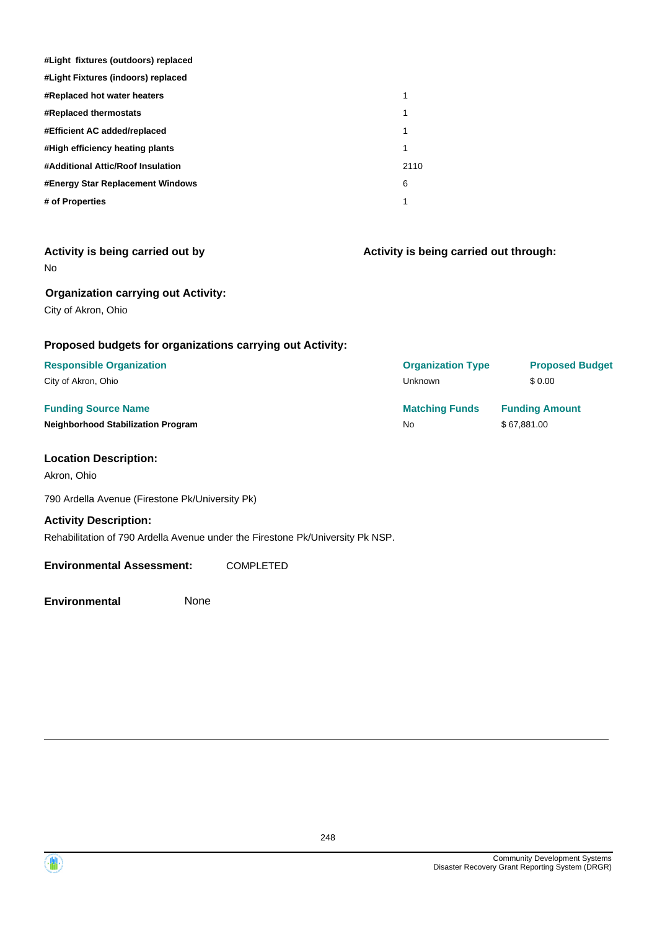| #Light fixtures (outdoors) replaced |      |
|-------------------------------------|------|
| #Light Fixtures (indoors) replaced  |      |
| #Replaced hot water heaters         | 1    |
| <b>#Replaced thermostats</b>        | 1    |
| #Efficient AC added/replaced        | 1    |
| #High efficiency heating plants     | 1    |
| #Additional Attic/Roof Insulation   | 2110 |
| #Energy Star Replacement Windows    | 6    |
| # of Properties                     |      |

| Activity is being carried out by<br>No.                   | Activity is being carried out through: |                        |  |
|-----------------------------------------------------------|----------------------------------------|------------------------|--|
| <b>Organization carrying out Activity:</b>                |                                        |                        |  |
| City of Akron, Ohio                                       |                                        |                        |  |
| Proposed budgets for organizations carrying out Activity: |                                        |                        |  |
| <b>Responsible Organization</b>                           | <b>Organization Type</b>               | <b>Proposed Budget</b> |  |
| City of Akron, Ohio                                       | Unknown                                | \$0.00                 |  |
| <b>Funding Source Name</b>                                | <b>Matching Funds</b>                  | <b>Funding Amount</b>  |  |
| <b>Neighborhood Stabilization Program</b>                 | <b>No</b>                              | \$67,881.00            |  |
| <b>Location Description:</b>                              |                                        |                        |  |
| Akron, Ohio                                               |                                        |                        |  |
| 790 Ardella Avenue (Firestone Pk/University Pk)           |                                        |                        |  |

**Activity Description:** Rehabilitation of 790 Ardella Avenue under the Firestone Pk/University Pk NSP.

#### **Environmental Assessment:** COMPLETED



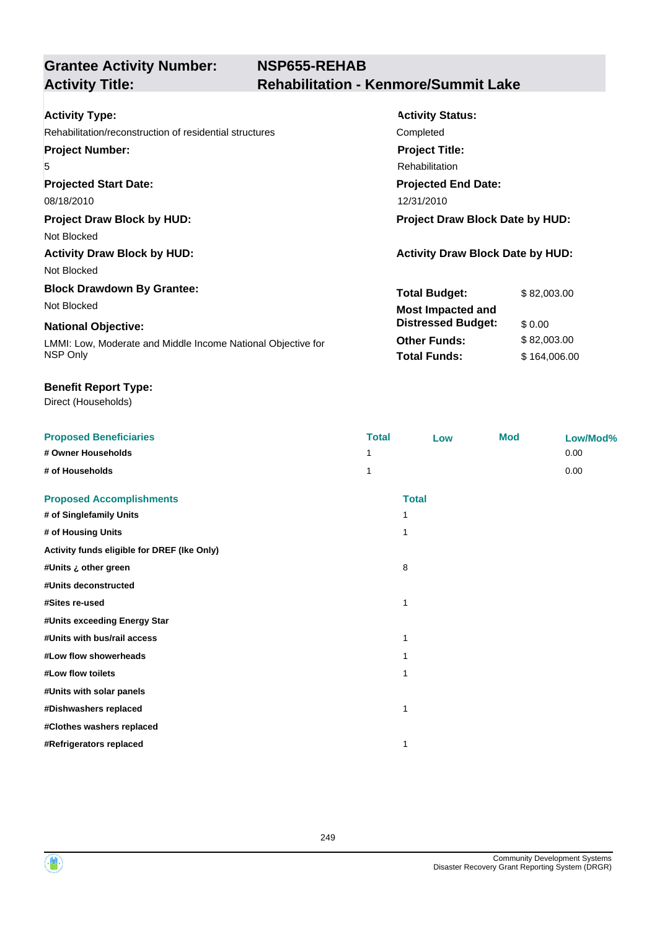| <b>Activity Type:</b>                                        | <b>Activity Status:</b>                 |              |  |
|--------------------------------------------------------------|-----------------------------------------|--------------|--|
| Rehabilitation/reconstruction of residential structures      | Completed                               |              |  |
| <b>Project Number:</b>                                       | <b>Project Title:</b>                   |              |  |
| 5                                                            | <b>Rehabilitation</b>                   |              |  |
| <b>Projected Start Date:</b>                                 | <b>Projected End Date:</b>              |              |  |
| 08/18/2010                                                   | 12/31/2010                              |              |  |
| <b>Project Draw Block by HUD:</b>                            | Project Draw Block Date by HUD:         |              |  |
| Not Blocked                                                  |                                         |              |  |
| <b>Activity Draw Block by HUD:</b>                           | <b>Activity Draw Block Date by HUD:</b> |              |  |
| Not Blocked                                                  |                                         |              |  |
| <b>Block Drawdown By Grantee:</b>                            | <b>Total Budget:</b>                    | \$82,003.00  |  |
| Not Blocked                                                  | <b>Most Impacted and</b>                |              |  |
| <b>National Objective:</b>                                   | <b>Distressed Budget:</b>               | \$0.00       |  |
| LMMI: Low, Moderate and Middle Income National Objective for | <b>Other Funds:</b>                     | \$82,003.00  |  |
| NSP Only                                                     | <b>Total Funds:</b>                     | \$164,006.00 |  |
|                                                              |                                         |              |  |

#### **Benefit Report Type:**

| <b>Proposed Beneficiaries</b>               | <b>Total</b> | Low          | <b>Mod</b> | Low/Mod% |
|---------------------------------------------|--------------|--------------|------------|----------|
| # Owner Households                          | 1            |              |            | 0.00     |
| # of Households                             | 1            |              |            | 0.00     |
| <b>Proposed Accomplishments</b>             |              | <b>Total</b> |            |          |
| # of Singlefamily Units                     |              |              |            |          |
| # of Housing Units                          | 1            |              |            |          |
| Activity funds eligible for DREF (Ike Only) |              |              |            |          |
| #Units ¿ other green                        |              | 8            |            |          |
| #Units deconstructed                        |              |              |            |          |
| #Sites re-used                              | 1            |              |            |          |
| #Units exceeding Energy Star                |              |              |            |          |
| #Units with bus/rail access                 | 1            |              |            |          |
| #Low flow showerheads                       |              |              |            |          |
| #Low flow toilets                           | 1            |              |            |          |
| #Units with solar panels                    |              |              |            |          |
| #Dishwashers replaced                       | 1            |              |            |          |
| #Clothes washers replaced                   |              |              |            |          |
| #Refrigerators replaced                     | 1            |              |            |          |

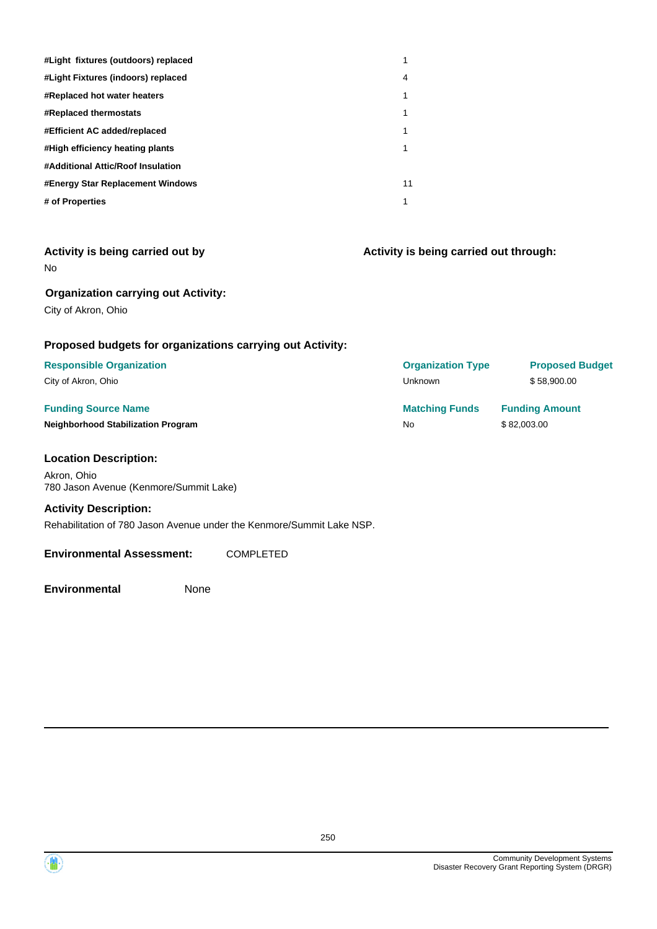| #Light fixtures (outdoors) replaced |    |
|-------------------------------------|----|
| #Light Fixtures (indoors) replaced  | 4  |
| #Replaced hot water heaters         |    |
| <b>#Replaced thermostats</b>        | 1  |
| #Efficient AC added/replaced        |    |
| #High efficiency heating plants     | 1  |
| #Additional Attic/Roof Insulation   |    |
| #Energy Star Replacement Windows    | 11 |
| # of Properties                     | 1  |

| Activity is being carried out by |  |  |  |
|----------------------------------|--|--|--|
| No                               |  |  |  |

**Organization carrying out Activity:**

City of Akron, Ohio

#### **Proposed budgets for organizations carrying out Activity:**

# **Responsible Organization Organization Type Proposed Budget**

City of Akron, Ohio

#### **Funding Source Name Neighborhood Stabilization Program**

#### **Location Description:**

Akron, Ohio 780 Jason Avenue (Kenmore/Summit Lake)

#### **Activity Description:**

Rehabilitation of 780 Jason Avenue under the Kenmore/Summit Lake NSP.

#### **Environmental Assessment:** COMPLETED

**Environmental** None

**Activity is being carried out through:**

| <b>UI YAHILAHUH TYPE</b> | <b>FIUDUSEU DUUYEL</b> |
|--------------------------|------------------------|
| Unknown                  | \$58,900.00            |
| <b>Matching Funds</b>    | <b>Funding Amount</b>  |
| No                       | \$82,003.00            |
|                          |                        |

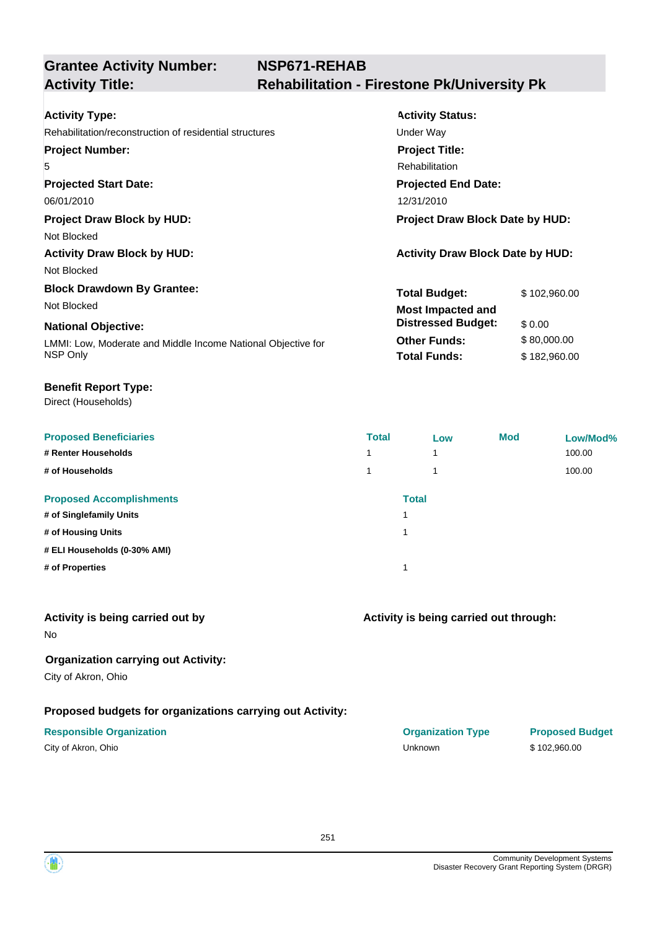| <b>Activity Type:</b>                                        | <b>Activity Status:</b>                 |              |
|--------------------------------------------------------------|-----------------------------------------|--------------|
| Rehabilitation/reconstruction of residential structures      | Under Way                               |              |
| <b>Project Number:</b>                                       | <b>Project Title:</b>                   |              |
| 5                                                            | Rehabilitation                          |              |
| <b>Projected Start Date:</b>                                 | <b>Projected End Date:</b>              |              |
| 06/01/2010                                                   | 12/31/2010                              |              |
| <b>Project Draw Block by HUD:</b>                            | Project Draw Block Date by HUD:         |              |
| Not Blocked                                                  |                                         |              |
| <b>Activity Draw Block by HUD:</b>                           | <b>Activity Draw Block Date by HUD:</b> |              |
| Not Blocked                                                  |                                         |              |
| <b>Block Drawdown By Grantee:</b>                            | <b>Total Budget:</b>                    | \$102,960.00 |
| Not Blocked                                                  | <b>Most Impacted and</b>                |              |
| <b>National Objective:</b>                                   | <b>Distressed Budget:</b>               | \$0.00       |
| LMMI: Low, Moderate and Middle Income National Objective for | <b>Other Funds:</b>                     | \$80,000.00  |
| NSP Only                                                     | <b>Total Funds:</b>                     | \$182,960.00 |
|                                                              |                                         |              |

#### **Benefit Report Type:**

Direct (Households)

| <b>Proposed Beneficiaries</b>   | <b>Total</b> | Low                     | <b>Mod</b> | Low/Mod% |
|---------------------------------|--------------|-------------------------|------------|----------|
| # Renter Households             | 4            | 1                       |            | 100.00   |
| # of Households                 | 1            | $\overline{\mathbf{A}}$ |            | 100.00   |
| <b>Proposed Accomplishments</b> |              | <b>Total</b>            |            |          |
| # of Singlefamily Units         |              |                         |            |          |
| # of Housing Units              |              |                         |            |          |
| # ELI Households (0-30% AMI)    |              |                         |            |          |
| # of Properties                 |              |                         |            |          |

## **Activity is being carried out by**

No

#### **Organization carrying out Activity:**

City of Akron, Ohio

## **Proposed budgets for organizations carrying out Activity:**

| City of Akron, Ohio |  |
|---------------------|--|
|---------------------|--|

## **Activity is being carried out through:**

| <b>Responsible Organization</b> | <b>Organization Type</b> | <b>Proposed Budget</b> |
|---------------------------------|--------------------------|------------------------|
| City of Akron, Ohio             | Unknown                  | \$102,960,00           |

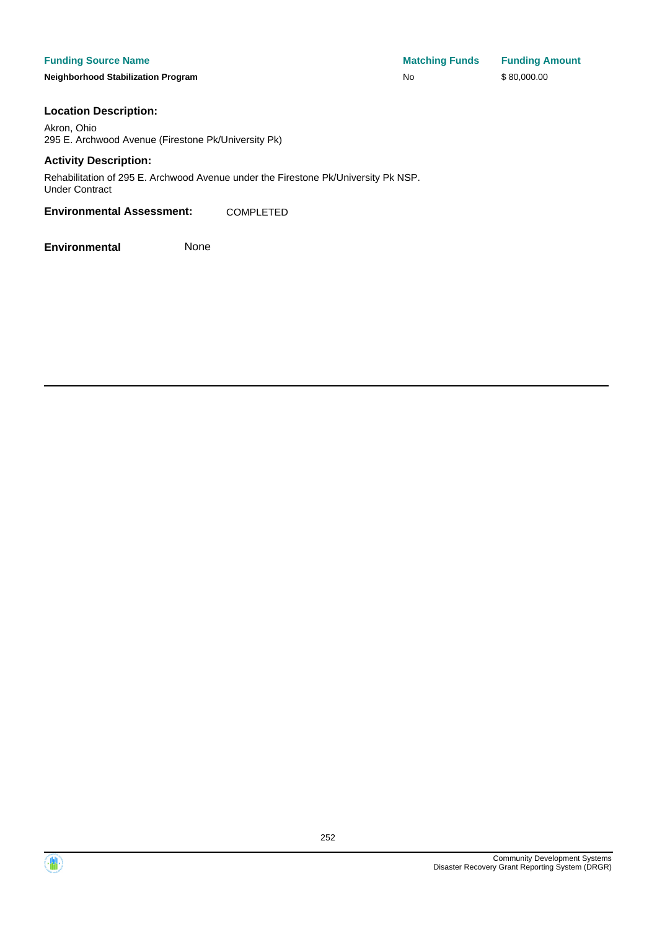#### **Funding Source Name**

**Neighborhood Stabilization Program** 

| <b>Matching Funds</b> | <b>Funding Amount</b> |
|-----------------------|-----------------------|
| No                    | \$80,000.00           |

#### **Location Description:**

Akron, Ohio 295 E. Archwood Avenue (Firestone Pk/University Pk)

#### **Activity Description:**

Rehabilitation of 295 E. Archwood Avenue under the Firestone Pk/University Pk NSP. Under Contract

#### **Environmental Assessment:** COMPLETED



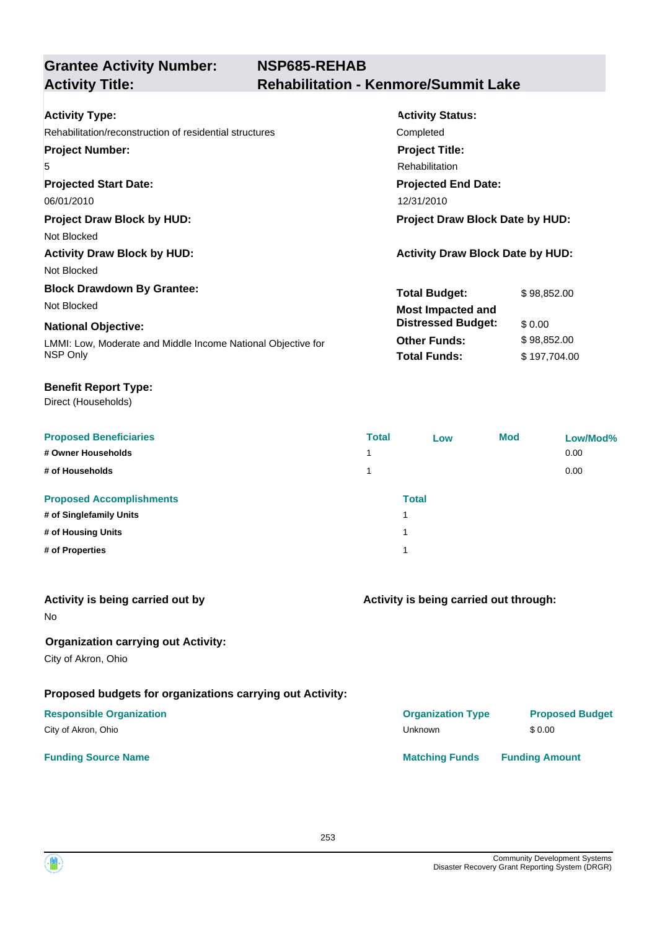| <b>Activity Type:</b>                                        | <b>Activity Status:</b>                 |              |
|--------------------------------------------------------------|-----------------------------------------|--------------|
| Rehabilitation/reconstruction of residential structures      | Completed                               |              |
| <b>Project Number:</b>                                       | <b>Project Title:</b>                   |              |
| 5                                                            | Rehabilitation                          |              |
| <b>Projected Start Date:</b>                                 | <b>Projected End Date:</b>              |              |
| 06/01/2010                                                   | 12/31/2010                              |              |
| <b>Project Draw Block by HUD:</b>                            | Project Draw Block Date by HUD:         |              |
| Not Blocked                                                  |                                         |              |
| <b>Activity Draw Block by HUD:</b>                           | <b>Activity Draw Block Date by HUD:</b> |              |
| Not Blocked                                                  |                                         |              |
| <b>Block Drawdown By Grantee:</b>                            | <b>Total Budget:</b>                    | \$98,852.00  |
| Not Blocked                                                  | <b>Most Impacted and</b>                |              |
| <b>National Objective:</b>                                   | <b>Distressed Budget:</b>               | \$ 0.00      |
| LMMI: Low, Moderate and Middle Income National Objective for | <b>Other Funds:</b>                     | \$98,852.00  |
| NSP Only                                                     | <b>Total Funds:</b>                     | \$197,704.00 |
|                                                              |                                         |              |

#### **Benefit Report Type:**

| <b>Proposed Beneficiaries</b>   | <b>Total</b> | Low          | <b>Mod</b> | Low/Mod% |
|---------------------------------|--------------|--------------|------------|----------|
| # Owner Households              | 1            |              |            | 0.00     |
| # of Households                 | 1            |              |            | 0.00     |
| <b>Proposed Accomplishments</b> |              | <b>Total</b> |            |          |
| # of Singlefamily Units         |              |              |            |          |
| # of Housing Units              |              |              |            |          |
| # of Properties                 |              |              |            |          |
|                                 |              |              |            |          |

| Activity is being carried out by<br><b>No</b>                     | Activity is being carried out through: |                        |  |  |
|-------------------------------------------------------------------|----------------------------------------|------------------------|--|--|
| <b>Organization carrying out Activity:</b><br>City of Akron, Ohio |                                        |                        |  |  |
| Proposed budgets for organizations carrying out Activity:         |                                        |                        |  |  |
| <b>Responsible Organization</b>                                   | <b>Organization Type</b>               | <b>Proposed Budget</b> |  |  |
| City of Akron, Ohio                                               | Unknown                                | \$0.00                 |  |  |
| <b>Funding Source Name</b>                                        | <b>Matching Funds</b>                  | <b>Funding Amount</b>  |  |  |

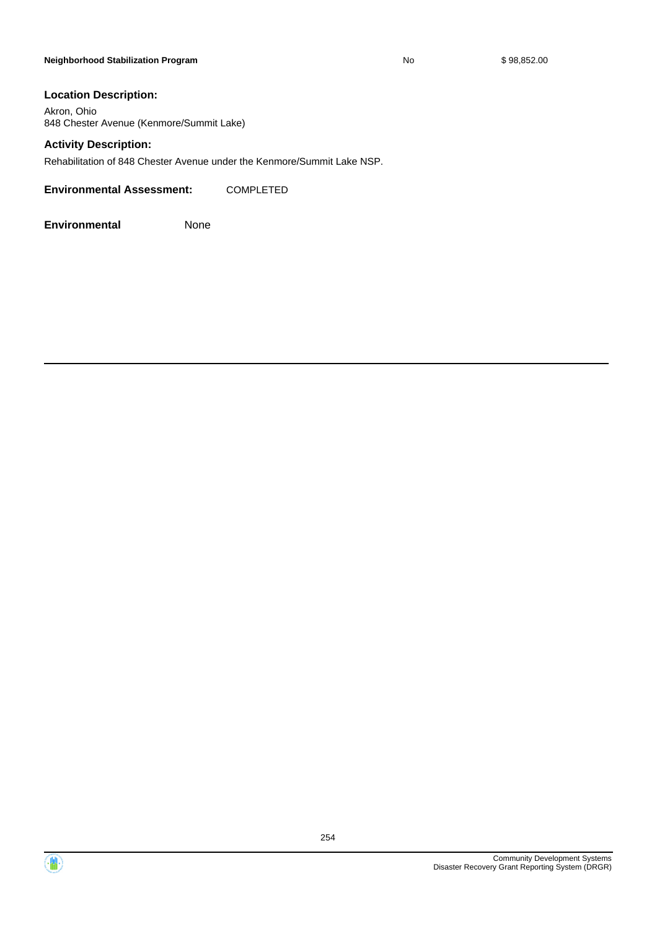#### **Neighborhood Stabilization Program No No** \$ 98,852.00

#### **Location Description:**

Akron, Ohio 848 Chester Avenue (Kenmore/Summit Lake)

#### **Activity Description:**

Rehabilitation of 848 Chester Avenue under the Kenmore/Summit Lake NSP.

**Environmental Assessment:** COMPLETED



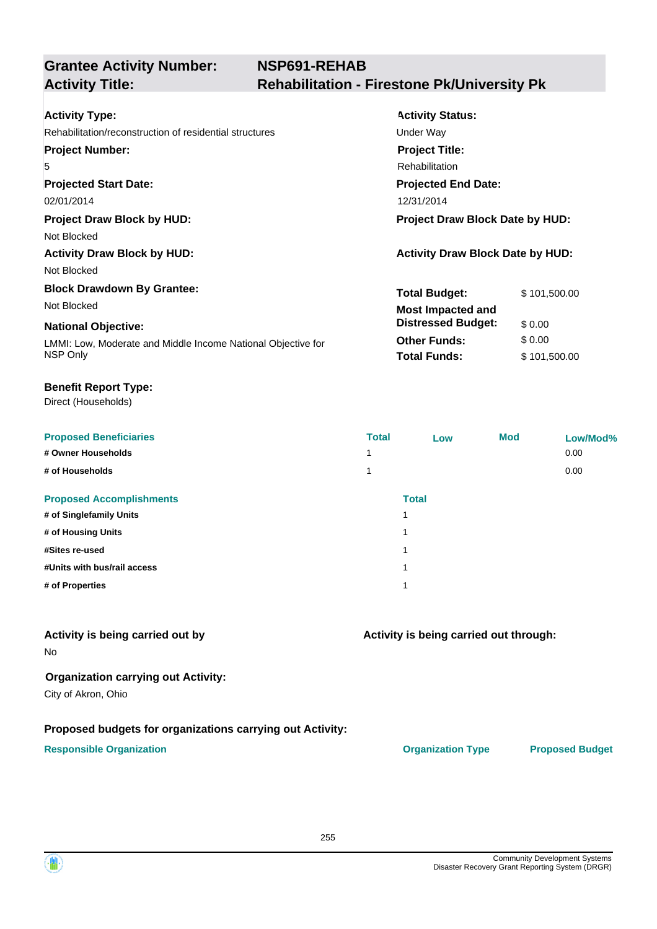| <b>Activity Type:</b>                                        | <b>Activity Status:</b>                 |              |  |
|--------------------------------------------------------------|-----------------------------------------|--------------|--|
| Rehabilitation/reconstruction of residential structures      | Under Way                               |              |  |
| <b>Project Number:</b>                                       | <b>Project Title:</b>                   |              |  |
| 5                                                            | Rehabilitation                          |              |  |
| <b>Projected Start Date:</b>                                 | <b>Projected End Date:</b>              |              |  |
| 02/01/2014                                                   | 12/31/2014                              |              |  |
| <b>Project Draw Block by HUD:</b>                            | Project Draw Block Date by HUD:         |              |  |
| Not Blocked                                                  |                                         |              |  |
| <b>Activity Draw Block by HUD:</b>                           | <b>Activity Draw Block Date by HUD:</b> |              |  |
| Not Blocked                                                  |                                         |              |  |
| <b>Block Drawdown By Grantee:</b>                            | <b>Total Budget:</b>                    | \$101,500.00 |  |
| Not Blocked                                                  | <b>Most Impacted and</b>                |              |  |
| <b>National Objective:</b>                                   | <b>Distressed Budget:</b>               | \$0.00       |  |
| LMMI: Low, Moderate and Middle Income National Objective for | <b>Other Funds:</b>                     | \$0.00       |  |
| NSP Only                                                     | <b>Total Funds:</b>                     | \$101,500.00 |  |
|                                                              |                                         |              |  |

#### **Benefit Report Type:**

Direct (Households)

| <b>Proposed Beneficiaries</b>   | <b>Total</b> | Low          | <b>Mod</b> | Low/Mod% |
|---------------------------------|--------------|--------------|------------|----------|
| # Owner Households              | и            |              |            | 0.00     |
| # of Households                 |              |              |            | 0.00     |
| <b>Proposed Accomplishments</b> |              | <b>Total</b> |            |          |
| # of Singlefamily Units         | 1            |              |            |          |
| # of Housing Units              | 1            |              |            |          |
| #Sites re-used                  | 1            |              |            |          |
| #Units with bus/rail access     | 1            |              |            |          |
| # of Properties                 | 1            |              |            |          |

### **Activity is being carried out by**

No

#### **Organization carrying out Activity:**

City of Akron, Ohio

#### **Proposed budgets for organizations carrying out Activity:**

#### **Responsible Organization Organization Type Proposed Budget**

**Activity is being carried out through:**

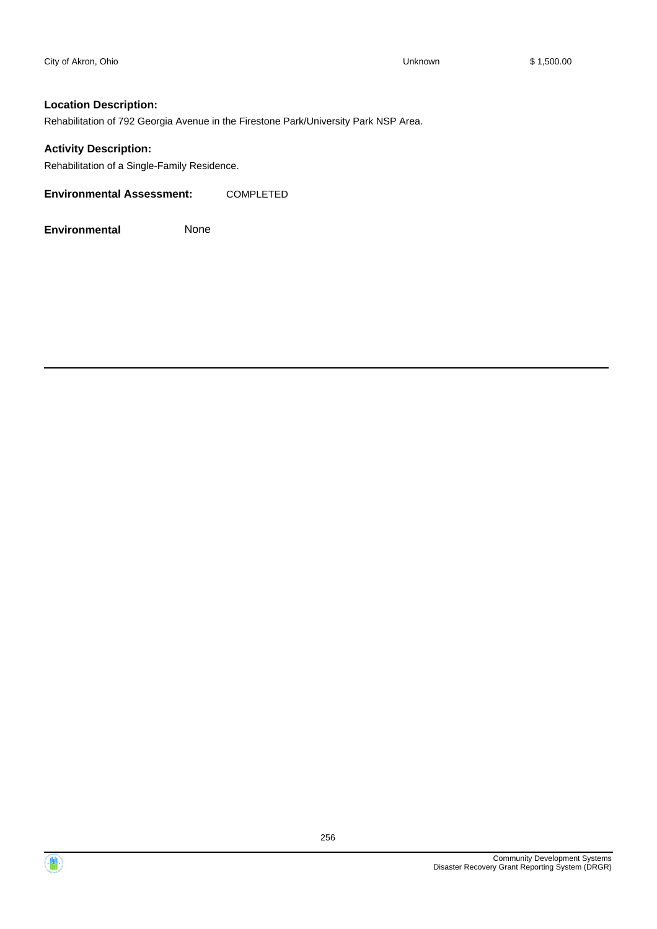#### **Location Description:**

Rehabilitation of 792 Georgia Avenue in the Firestone Park/University Park NSP Area.

#### **Activity Description:**

Rehabilitation of a Single-Family Residence.

**Environmental Assessment:** COMPLETED

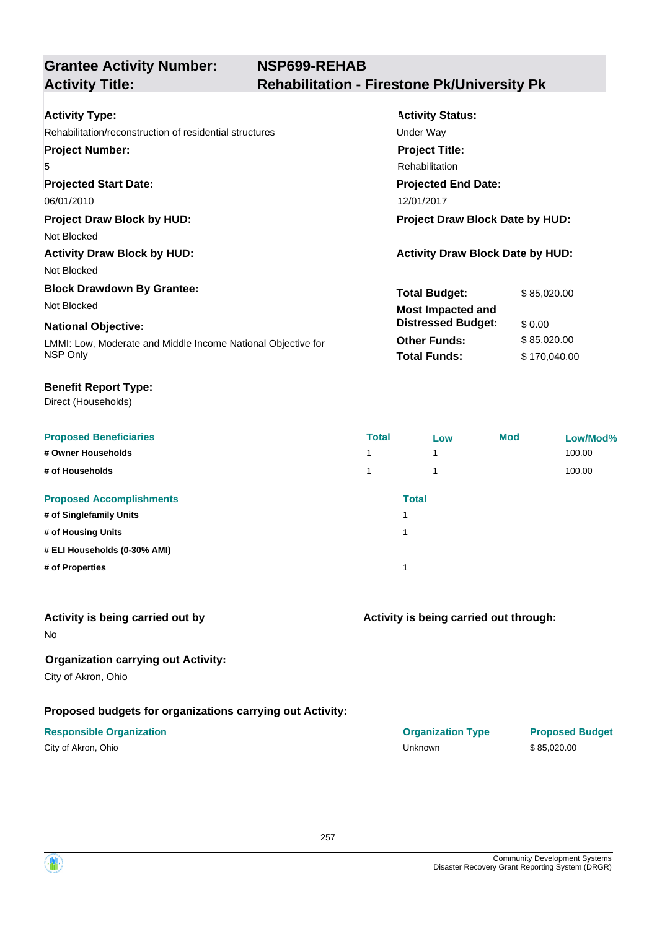| <b>Activity Type:</b>                                        | <b>Activity Status:</b>                 |              |
|--------------------------------------------------------------|-----------------------------------------|--------------|
| Rehabilitation/reconstruction of residential structures      | Under Way                               |              |
| <b>Project Number:</b>                                       | <b>Project Title:</b>                   |              |
| 5                                                            | Rehabilitation                          |              |
| <b>Projected Start Date:</b>                                 | <b>Projected End Date:</b>              |              |
| 06/01/2010                                                   | 12/01/2017                              |              |
| <b>Project Draw Block by HUD:</b>                            | Project Draw Block Date by HUD:         |              |
| Not Blocked                                                  |                                         |              |
| <b>Activity Draw Block by HUD:</b>                           | <b>Activity Draw Block Date by HUD:</b> |              |
| Not Blocked                                                  |                                         |              |
| <b>Block Drawdown By Grantee:</b>                            | <b>Total Budget:</b>                    | \$85,020.00  |
| Not Blocked                                                  | <b>Most Impacted and</b>                |              |
| <b>National Objective:</b>                                   | <b>Distressed Budget:</b>               | \$0.00       |
| LMMI: Low, Moderate and Middle Income National Objective for | <b>Other Funds:</b>                     | \$85,020.00  |
| NSP Only                                                     | <b>Total Funds:</b>                     | \$170,040.00 |
|                                                              |                                         |              |

#### **Benefit Report Type:**

Direct (Households)

| <b>Proposed Beneficiaries</b>   | <b>Total</b> | Low          | <b>Mod</b> | Low/Mod% |
|---------------------------------|--------------|--------------|------------|----------|
| # Owner Households              | 1            | 1            |            | 100.00   |
| # of Households                 |              | ۸            |            | 100.00   |
| <b>Proposed Accomplishments</b> |              | <b>Total</b> |            |          |
| # of Singlefamily Units         |              |              |            |          |
| # of Housing Units              | и            |              |            |          |
| # ELI Households (0-30% AMI)    |              |              |            |          |
| # of Properties                 |              |              |            |          |

#### **Activity is being carried out by**

No

#### **Organization carrying out Activity:**

City of Akron, Ohio

#### **Proposed budgets for organizations carrying out Activity:**

| City of Akron, Ohio |  |
|---------------------|--|
|---------------------|--|

## **Activity is being carried out through:**

**Responsible Organization COVID-10 COVID-10 Organization Type Proposed Budget** City of Akron, Ohio Unknown \$ 85,020.00

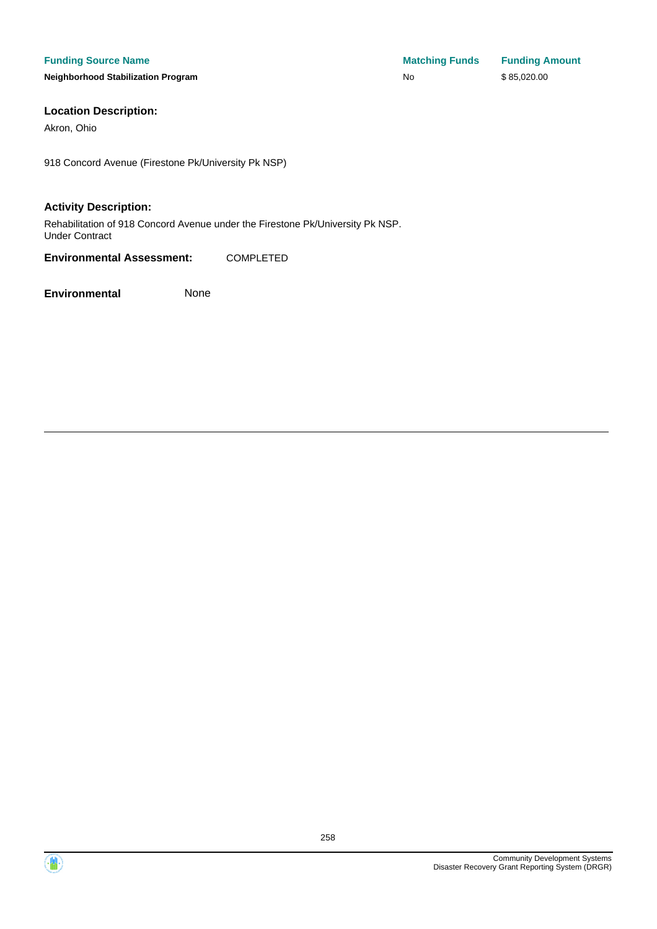**Neighborhood Stabilization Program** 

| <b>Matching Funds</b> | <b>Funding Amount</b> |
|-----------------------|-----------------------|
| No                    | \$85,020.00           |

#### **Location Description:**

Akron, Ohio

918 Concord Avenue (Firestone Pk/University Pk NSP)

#### **Activity Description:**

Rehabilitation of 918 Concord Avenue under the Firestone Pk/University Pk NSP. Under Contract

**Environmental Assessment:** COMPLETED

**Environmental** None

 $\langle \mathbf{m} \rangle$ 

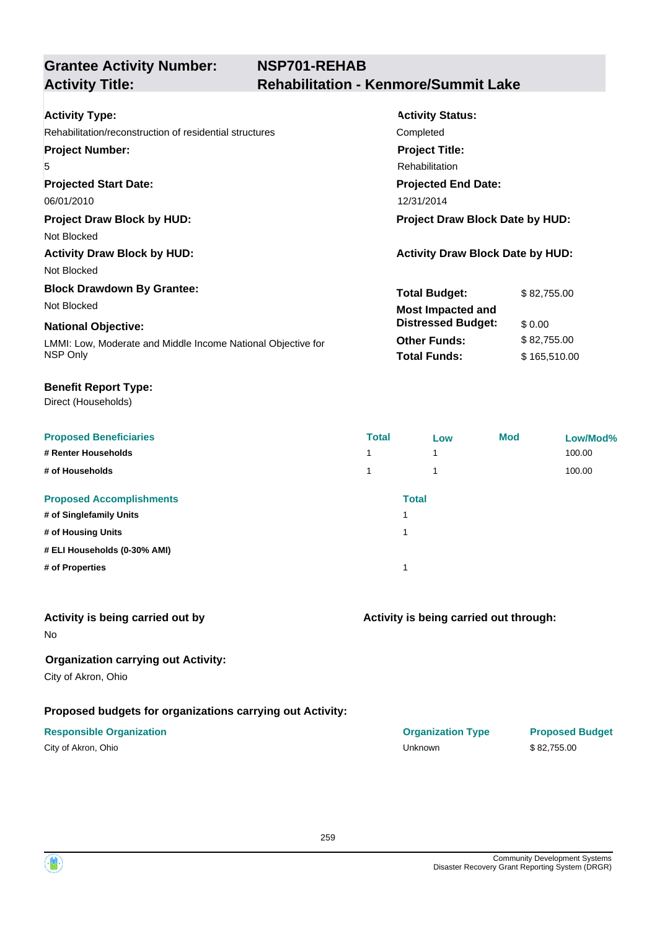| <b>Activity Type:</b>                                        | <b>Activity Status:</b>                 |              |
|--------------------------------------------------------------|-----------------------------------------|--------------|
| Rehabilitation/reconstruction of residential structures      | Completed                               |              |
| <b>Project Number:</b>                                       | <b>Project Title:</b>                   |              |
| 5                                                            | <b>Rehabilitation</b>                   |              |
| <b>Projected Start Date:</b>                                 | <b>Projected End Date:</b>              |              |
| 06/01/2010                                                   | 12/31/2014                              |              |
| <b>Project Draw Block by HUD:</b>                            | Project Draw Block Date by HUD:         |              |
| Not Blocked                                                  |                                         |              |
| <b>Activity Draw Block by HUD:</b>                           | <b>Activity Draw Block Date by HUD:</b> |              |
| Not Blocked                                                  |                                         |              |
| <b>Block Drawdown By Grantee:</b>                            | <b>Total Budget:</b>                    | \$82,755,00  |
| Not Blocked                                                  | <b>Most Impacted and</b>                |              |
| <b>National Objective:</b>                                   | <b>Distressed Budget:</b>               | \$0.00       |
| LMMI: Low, Moderate and Middle Income National Objective for | <b>Other Funds:</b>                     | \$82,755.00  |
| NSP Only                                                     | <b>Total Funds:</b>                     | \$165,510.00 |
|                                                              |                                         |              |

#### **Benefit Report Type:**

Direct (Households)

| <b>Proposed Beneficiaries</b>   | <b>Total</b> | Low          | <b>Mod</b> | Low/Mod% |
|---------------------------------|--------------|--------------|------------|----------|
| # Renter Households             |              | 1            |            | 100.00   |
| # of Households                 |              | 4            |            | 100.00   |
| <b>Proposed Accomplishments</b> |              | <b>Total</b> |            |          |
| # of Singlefamily Units         |              |              |            |          |
| # of Housing Units              |              |              |            |          |
| # ELI Households (0-30% AMI)    |              |              |            |          |
| # of Properties                 |              |              |            |          |

#### **Activity is being carried out by**

No

#### **Organization carrying out Activity:**

City of Akron, Ohio

#### **Proposed budgets for organizations carrying out Activity:**

| City of Akron, Ohio |  |
|---------------------|--|
|---------------------|--|

## **Activity is being carried out through:**

**Responsible Organization COVID-10 COVID-10 Organization Type Proposed Budget** City of Akron, Ohio Unknown \$ 82,755.00

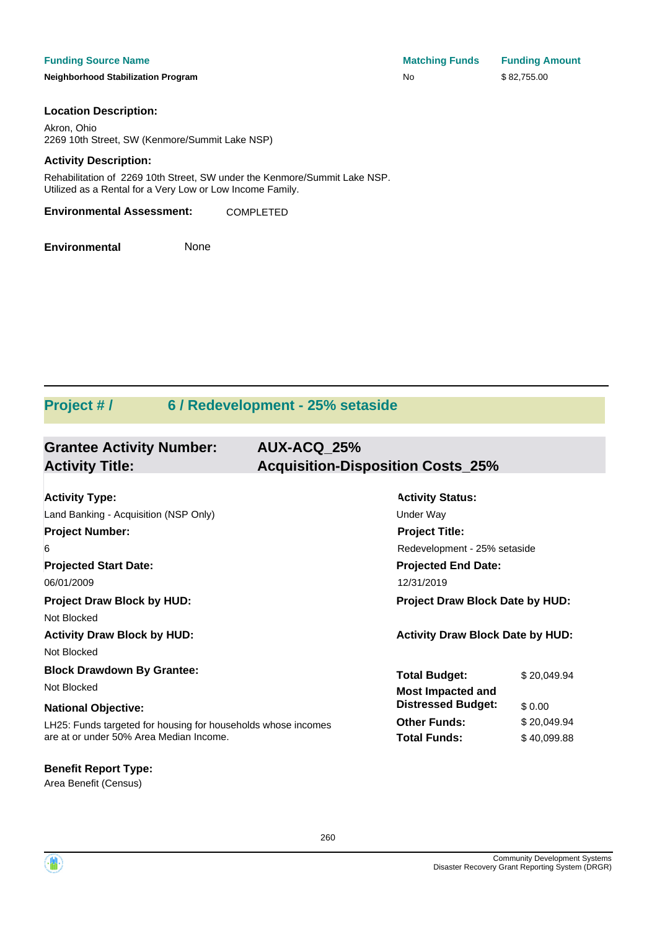#### **Funding Source Name**

**Neighborhood Stabilization Program No \$ 82,855.000 Stabilization Program** No \$ 82,755.000 No \$ 82,755.000 No \$ 82,755

| <b>Matching Funds</b> | <b>Funding Amount</b> |
|-----------------------|-----------------------|
| N٥                    | \$82,755.00           |

#### **Location Description:**

Akron, Ohio 2269 10th Street, SW (Kenmore/Summit Lake NSP)

#### **Activity Description:**

Rehabilitation of 2269 10th Street, SW under the Kenmore/Summit Lake NSP. Utilized as a Rental for a Very Low or Low Income Family.

**Environmental Assessment:** COMPLETED

**Environmental** None

### **Project # / 6 / Redevelopment - 25% setaside**

| <b>Grantee Activity Number:</b><br><b>Activity Title:</b>     | AUX-ACQ 25%<br><b>Acquisition-Disposition Costs_25%</b> |                                 |  |
|---------------------------------------------------------------|---------------------------------------------------------|---------------------------------|--|
|                                                               |                                                         |                                 |  |
| <b>Activity Type:</b>                                         | <b>Activity Status:</b>                                 |                                 |  |
| Land Banking - Acquisition (NSP Only)                         | <b>Under Way</b>                                        |                                 |  |
| <b>Project Number:</b>                                        | <b>Project Title:</b>                                   |                                 |  |
| 6                                                             | Redevelopment - 25% setaside                            |                                 |  |
| <b>Projected Start Date:</b>                                  | <b>Projected End Date:</b>                              |                                 |  |
| 06/01/2009                                                    | 12/31/2019                                              |                                 |  |
| <b>Project Draw Block by HUD:</b>                             |                                                         | Project Draw Block Date by HUD: |  |
| Not Blocked                                                   |                                                         |                                 |  |
| <b>Activity Draw Block by HUD:</b>                            | <b>Activity Draw Block Date by HUD:</b>                 |                                 |  |
| Not Blocked                                                   |                                                         |                                 |  |
| <b>Block Drawdown By Grantee:</b>                             | <b>Total Budget:</b>                                    | \$20,049.94                     |  |
| Not Blocked                                                   | <b>Most Impacted and</b>                                |                                 |  |
| <b>National Objective:</b>                                    | <b>Distressed Budget:</b>                               | \$0.00                          |  |
| LH25: Funds targeted for housing for households whose incomes | <b>Other Funds:</b>                                     | \$20,049.94                     |  |
| are at or under 50% Area Median Income.                       | <b>Total Funds:</b>                                     | \$40,099.88                     |  |

Area Benefit (Census) **Benefit Report Type:**

260

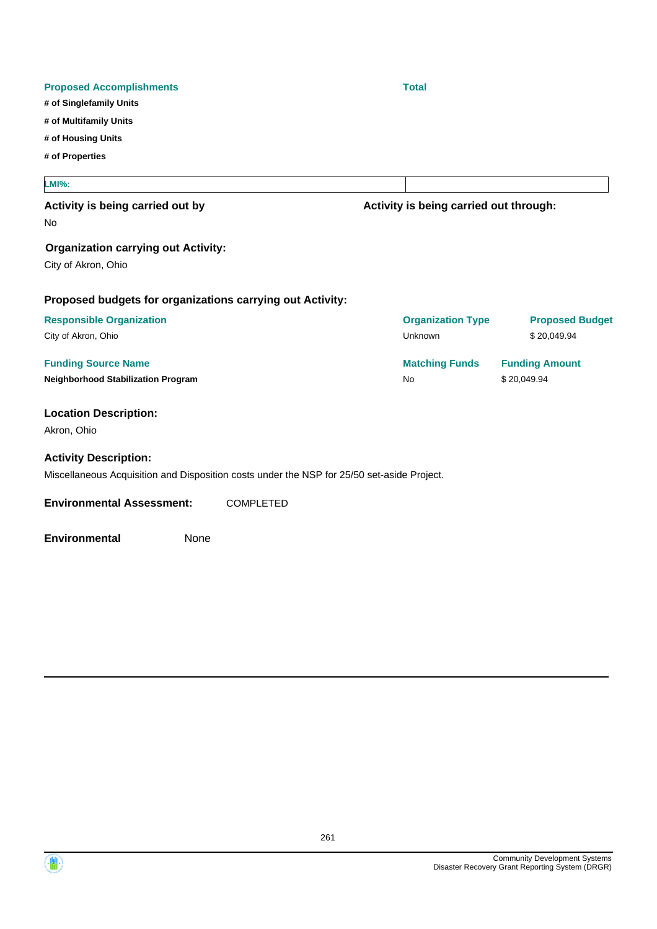| <b>Proposed Accomplishments</b>                                                            |    | <b>Total</b>                           |                        |
|--------------------------------------------------------------------------------------------|----|----------------------------------------|------------------------|
| # of Singlefamily Units                                                                    |    |                                        |                        |
| # of Multifamily Units                                                                     |    |                                        |                        |
| # of Housing Units                                                                         |    |                                        |                        |
| # of Properties                                                                            |    |                                        |                        |
| <b>LMI%:</b>                                                                               |    |                                        |                        |
| Activity is being carried out by                                                           |    | Activity is being carried out through: |                        |
| No                                                                                         |    |                                        |                        |
| <b>Organization carrying out Activity:</b>                                                 |    |                                        |                        |
| City of Akron, Ohio                                                                        |    |                                        |                        |
| Proposed budgets for organizations carrying out Activity:                                  |    |                                        |                        |
| <b>Responsible Organization</b>                                                            |    | <b>Organization Type</b>               | <b>Proposed Budget</b> |
| City of Akron, Ohio                                                                        |    | Unknown                                | \$20,049.94            |
| <b>Funding Source Name</b>                                                                 |    | <b>Matching Funds</b>                  | <b>Funding Amount</b>  |
| <b>Neighborhood Stabilization Program</b>                                                  | No |                                        | \$20,049.94            |
| <b>Location Description:</b>                                                               |    |                                        |                        |
| Akron, Ohio                                                                                |    |                                        |                        |
| <b>Activity Description:</b>                                                               |    |                                        |                        |
| Miscellaneous Acquisition and Disposition costs under the NSP for 25/50 set-aside Project. |    |                                        |                        |
| <b>Environmental Assessment:</b><br><b>COMPLETED</b>                                       |    |                                        |                        |
| None<br><b>Environmental</b>                                                               |    |                                        |                        |

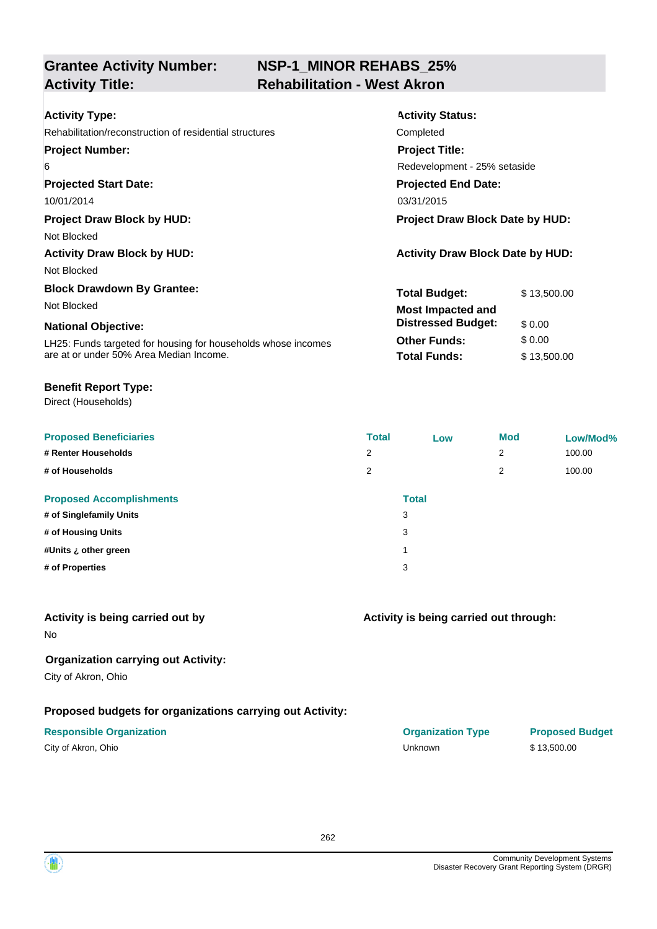### **NSP-1\_MINOR REHABS\_25% Activity Title: Rehabilitation - West Akron**

| <b>Activity Type:</b>                                         | <b>Activity Status:</b>                 |             |  |
|---------------------------------------------------------------|-----------------------------------------|-------------|--|
| Rehabilitation/reconstruction of residential structures       | Completed                               |             |  |
| <b>Project Number:</b>                                        | <b>Project Title:</b>                   |             |  |
| 6                                                             | Redevelopment - 25% setaside            |             |  |
| <b>Projected Start Date:</b>                                  | <b>Projected End Date:</b>              |             |  |
| 10/01/2014                                                    | 03/31/2015                              |             |  |
| <b>Project Draw Block by HUD:</b>                             | <b>Project Draw Block Date by HUD:</b>  |             |  |
| Not Blocked                                                   |                                         |             |  |
| <b>Activity Draw Block by HUD:</b>                            | <b>Activity Draw Block Date by HUD:</b> |             |  |
| Not Blocked                                                   |                                         |             |  |
| <b>Block Drawdown By Grantee:</b>                             | <b>Total Budget:</b>                    | \$13,500.00 |  |
| Not Blocked                                                   | <b>Most Impacted and</b>                |             |  |
| <b>National Objective:</b>                                    | <b>Distressed Budget:</b>               | \$0.00      |  |
| LH25: Funds targeted for housing for households whose incomes | <b>Other Funds:</b>                     | \$0.00      |  |
| are at or under 50% Area Median Income.                       | <b>Total Funds:</b>                     | \$13,500.00 |  |

#### **Benefit Report Type:**

Direct (Households)

| <b>Proposed Beneficiaries</b>   | <b>Total</b> | Low          | <b>Mod</b> | Low/Mod% |
|---------------------------------|--------------|--------------|------------|----------|
| # Renter Households             | 2            |              | 2          | 100.00   |
| # of Households                 | 2            |              | 2          | 100.00   |
| <b>Proposed Accomplishments</b> |              | <b>Total</b> |            |          |
| # of Singlefamily Units         |              | 3            |            |          |
| # of Housing Units              |              | 3            |            |          |
| #Units ¿ other green            |              |              |            |          |
| # of Properties                 |              | 3            |            |          |
|                                 |              |              |            |          |

### **Activity is being carried out by**

No

**Organization carrying out Activity:**

City of Akron, Ohio

### **Proposed budgets for organizations carrying out Activity:**

| City of Akron, Ohio |  |  |  |  |
|---------------------|--|--|--|--|
|---------------------|--|--|--|--|

# **Activity is being carried out through:**

| <b>Responsible Organization</b> | <b>Organization Type</b> | <b>Proposed Budget</b> |
|---------------------------------|--------------------------|------------------------|
| City of Akron, Ohio             | Unknown                  | \$13.500.00            |

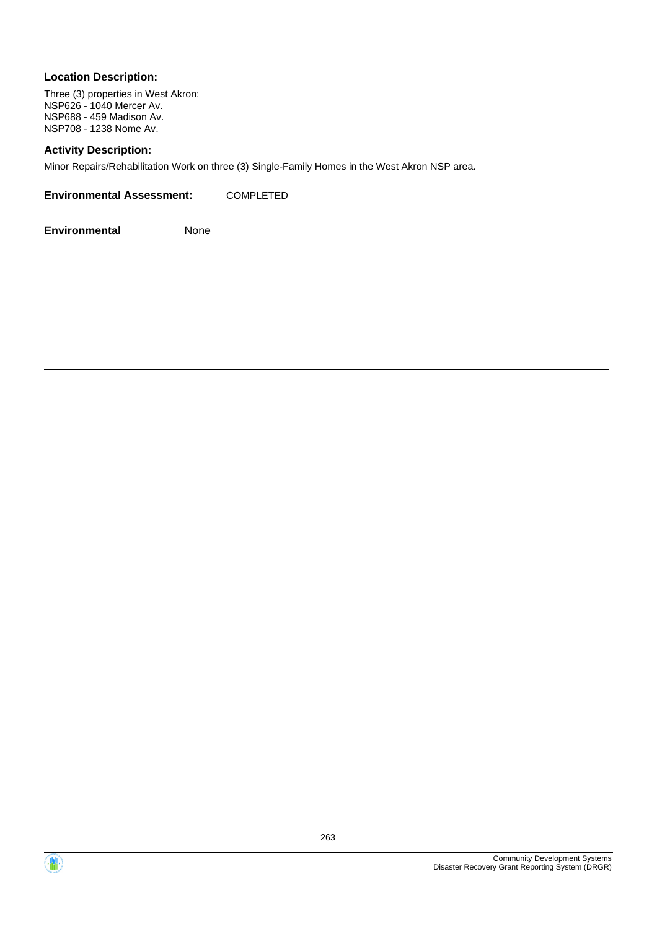#### **Location Description:**

Three (3) properties in West Akron: NSP626 - 1040 Mercer Av. NSP688 - 459 Madison Av. NSP708 - 1238 Nome Av.

#### **Activity Description:**

Minor Repairs/Rehabilitation Work on three (3) Single-Family Homes in the West Akron NSP area.

| <b>Environmental Assessment:</b> | COMPLETED |
|----------------------------------|-----------|
|                                  |           |



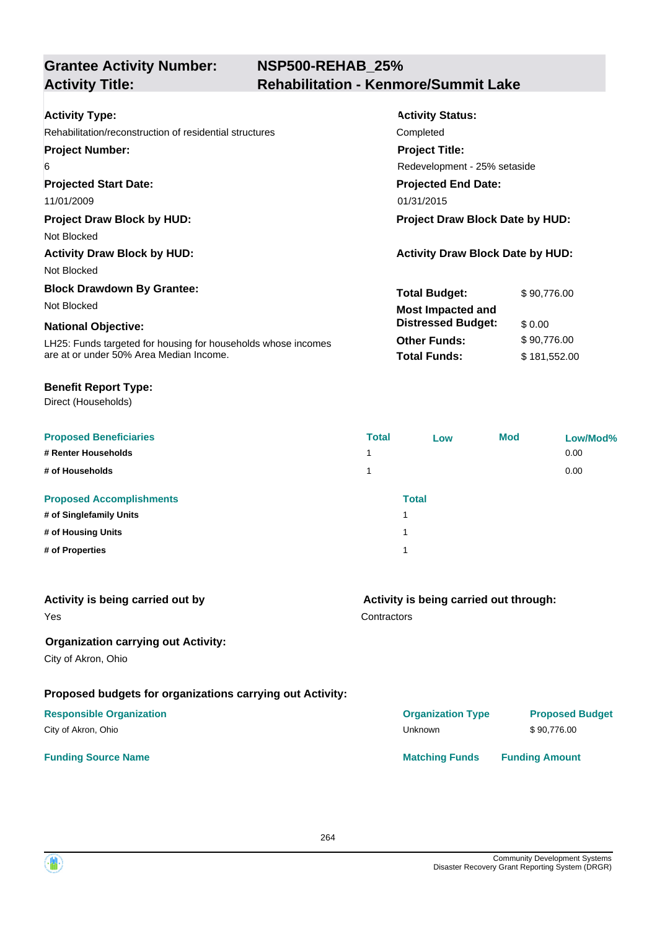| <b>Activity Type:</b>                                         | <b>Activity Status:</b>                 |              |  |
|---------------------------------------------------------------|-----------------------------------------|--------------|--|
| Rehabilitation/reconstruction of residential structures       | Completed                               |              |  |
| <b>Project Number:</b>                                        | <b>Project Title:</b>                   |              |  |
| 6                                                             | Redevelopment - 25% setaside            |              |  |
| <b>Projected Start Date:</b>                                  | <b>Projected End Date:</b>              |              |  |
| 11/01/2009                                                    | 01/31/2015                              |              |  |
| <b>Project Draw Block by HUD:</b>                             | Project Draw Block Date by HUD:         |              |  |
| Not Blocked                                                   |                                         |              |  |
| <b>Activity Draw Block by HUD:</b>                            | <b>Activity Draw Block Date by HUD:</b> |              |  |
| Not Blocked                                                   |                                         |              |  |
| <b>Block Drawdown By Grantee:</b>                             | <b>Total Budget:</b>                    | \$90,776.00  |  |
| Not Blocked                                                   | <b>Most Impacted and</b>                |              |  |
| <b>National Objective:</b>                                    | <b>Distressed Budget:</b>               | \$0.00       |  |
| LH25: Funds targeted for housing for households whose incomes | <b>Other Funds:</b>                     | \$90,776.00  |  |
| are at or under 50% Area Median Income.                       | <b>Total Funds:</b>                     | \$181,552.00 |  |
|                                                               |                                         |              |  |

#### **Benefit Report Type:**

| <b>Proposed Beneficiaries</b>   | <b>Total</b>   | Low          | <b>Mod</b> | Low/Mod% |
|---------------------------------|----------------|--------------|------------|----------|
| # Renter Households             | $\overline{ }$ |              |            | 0.00     |
| # of Households                 |                |              |            | 0.00     |
| <b>Proposed Accomplishments</b> |                | <b>Total</b> |            |          |
| # of Singlefamily Units         |                |              |            |          |
| # of Housing Units              |                |              |            |          |
| # of Properties                 |                |              |            |          |

| Activity is being carried out by<br>Yes                   | Activity is being carried out through:<br>Contractors |                        |  |
|-----------------------------------------------------------|-------------------------------------------------------|------------------------|--|
| <b>Organization carrying out Activity:</b>                |                                                       |                        |  |
| City of Akron, Ohio                                       |                                                       |                        |  |
| Proposed budgets for organizations carrying out Activity: |                                                       |                        |  |
| <b>Responsible Organization</b>                           | <b>Organization Type</b>                              | <b>Proposed Budget</b> |  |
| City of Akron, Ohio                                       | Unknown                                               | \$90.776.00            |  |
| <b>Funding Source Name</b>                                | <b>Matching Funds</b>                                 | <b>Funding Amount</b>  |  |

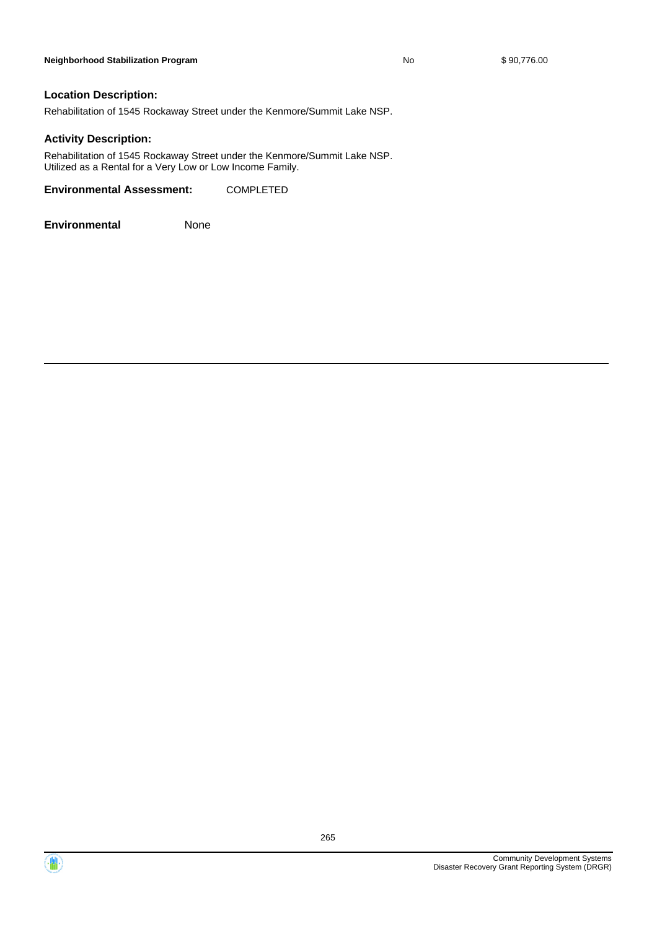#### **Location Description:**

Rehabilitation of 1545 Rockaway Street under the Kenmore/Summit Lake NSP.

#### **Activity Description:**

Rehabilitation of 1545 Rockaway Street under the Kenmore/Summit Lake NSP. Utilized as a Rental for a Very Low or Low Income Family.

**Environmental Assessment:** COMPLETED



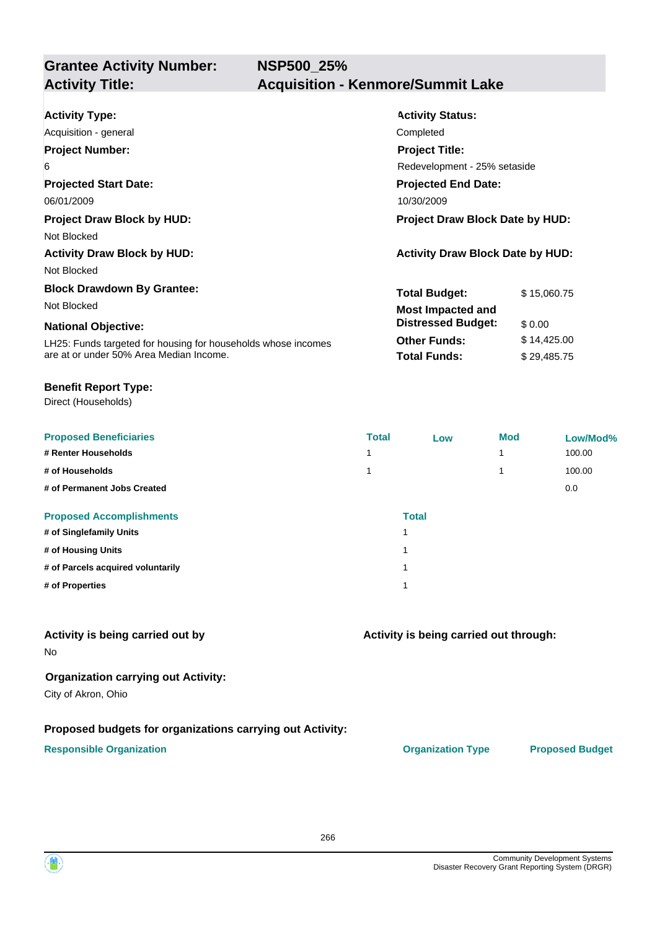| <b>Activity Type:</b>                                         | <b>Activity Status:</b>                 |             |  |
|---------------------------------------------------------------|-----------------------------------------|-------------|--|
| Acquisition - general                                         | Completed                               |             |  |
| <b>Project Number:</b>                                        | <b>Project Title:</b>                   |             |  |
| 6                                                             | Redevelopment - 25% setaside            |             |  |
| <b>Projected Start Date:</b>                                  | <b>Projected End Date:</b>              |             |  |
| 06/01/2009                                                    | 10/30/2009                              |             |  |
| <b>Project Draw Block by HUD:</b>                             | <b>Project Draw Block Date by HUD:</b>  |             |  |
| Not Blocked                                                   |                                         |             |  |
| <b>Activity Draw Block by HUD:</b>                            | <b>Activity Draw Block Date by HUD:</b> |             |  |
| Not Blocked                                                   |                                         |             |  |
| <b>Block Drawdown By Grantee:</b>                             | <b>Total Budget:</b>                    | \$15,060.75 |  |
| Not Blocked                                                   | <b>Most Impacted and</b>                |             |  |
| <b>National Objective:</b>                                    | <b>Distressed Budget:</b>               | \$0.00      |  |
| LH25: Funds targeted for housing for households whose incomes | <b>Other Funds:</b>                     | \$14,425.00 |  |
| are at or under 50% Area Median Income.                       | <b>Total Funds:</b>                     | \$29,485.75 |  |

#### **Benefit Report Type:**

Direct (Households)

| <b>Proposed Beneficiaries</b>     | <b>Total</b> | Low          | <b>Mod</b> | Low/Mod% |
|-----------------------------------|--------------|--------------|------------|----------|
| # Renter Households               |              |              | 1          | 100.00   |
| # of Households                   |              |              | 1          | 100.00   |
| # of Permanent Jobs Created       |              |              |            | 0.0      |
| <b>Proposed Accomplishments</b>   |              | <b>Total</b> |            |          |
| # of Singlefamily Units           |              |              |            |          |
| # of Housing Units                |              |              |            |          |
| # of Parcels acquired voluntarily |              |              |            |          |
| # of Properties                   |              |              |            |          |

#### **Activity is being carried out by**

No

#### **Organization carrying out Activity:**

City of Akron, Ohio

#### **Proposed budgets for organizations carrying out Activity:**

#### **Responsible Organization CONSERVIRGHT ACCORDING THE CONSERVIRGHT ORGANIZATION Type Proposed Budget**

**Activity is being carried out through:**

266

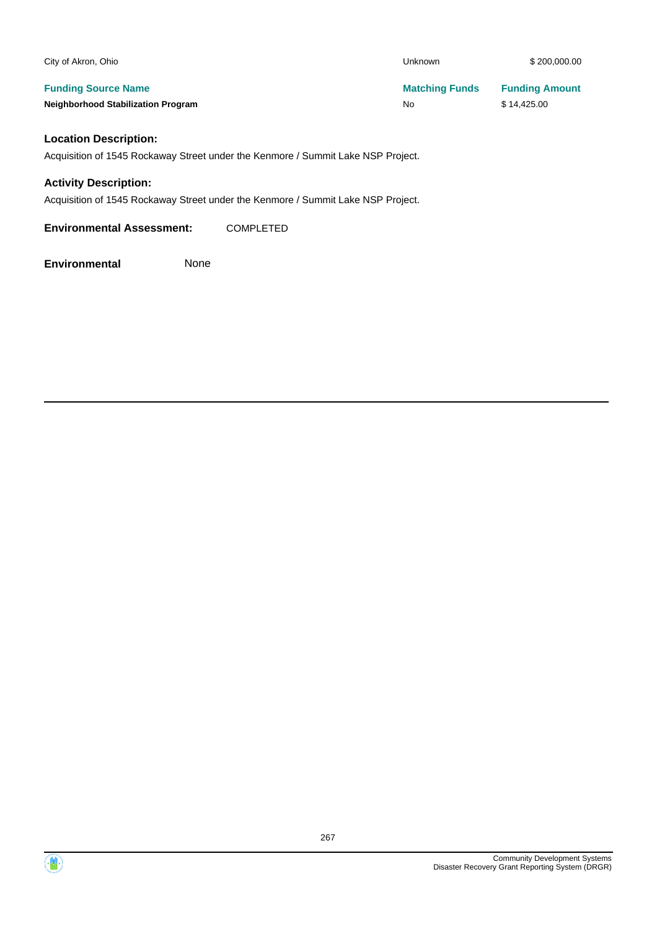| City of Akron, Ohio                                                     | <b>Unknown</b>              | \$200,000.00                         |
|-------------------------------------------------------------------------|-----------------------------|--------------------------------------|
| <b>Funding Source Name</b><br><b>Neighborhood Stabilization Program</b> | <b>Matching Funds</b><br>No | <b>Funding Amount</b><br>\$14,425.00 |
| <b>Location Description:</b>                                            |                             |                                      |

Acquisition of 1545 Rockaway Street under the Kenmore / Summit Lake NSP Project.

#### **Activity Description:**

Acquisition of 1545 Rockaway Street under the Kenmore / Summit Lake NSP Project.

**Environmental Assessment:** COMPLETED

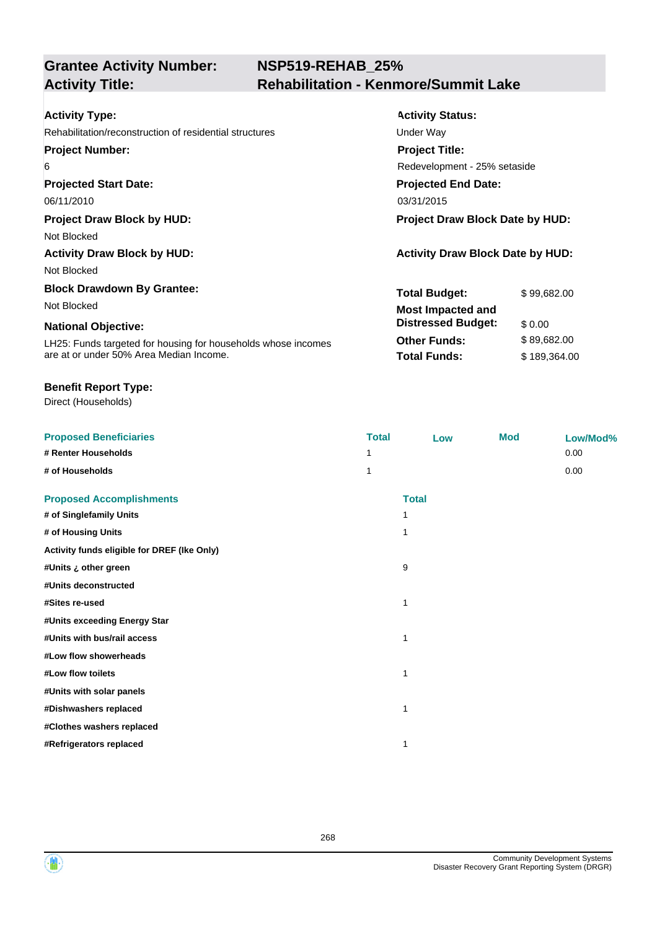### **NSP519-REHAB\_25% Activity Title: Rehabilitation - Kenmore/Summit Lake**

| <b>Activity Type:</b>                                         | <b>Activity Status:</b>                 |              |  |
|---------------------------------------------------------------|-----------------------------------------|--------------|--|
| Rehabilitation/reconstruction of residential structures       | Under Way                               |              |  |
| <b>Project Number:</b>                                        | <b>Project Title:</b>                   |              |  |
| 6                                                             | Redevelopment - 25% setaside            |              |  |
| <b>Projected Start Date:</b>                                  | <b>Projected End Date:</b>              |              |  |
| 06/11/2010                                                    | 03/31/2015                              |              |  |
| <b>Project Draw Block by HUD:</b>                             | <b>Project Draw Block Date by HUD:</b>  |              |  |
| Not Blocked                                                   |                                         |              |  |
| <b>Activity Draw Block by HUD:</b>                            | <b>Activity Draw Block Date by HUD:</b> |              |  |
| Not Blocked                                                   |                                         |              |  |
| <b>Block Drawdown By Grantee:</b>                             | <b>Total Budget:</b>                    | \$99,682.00  |  |
| Not Blocked                                                   | <b>Most Impacted and</b>                |              |  |
| <b>National Objective:</b>                                    | <b>Distressed Budget:</b>               | \$0.00       |  |
| LH25: Funds targeted for housing for households whose incomes | <b>Other Funds:</b>                     | \$89,682.00  |  |
| are at or under 50% Area Median Income.                       | <b>Total Funds:</b>                     | \$189,364.00 |  |

#### **Benefit Report Type:**

| <b>Proposed Beneficiaries</b>               | <b>Total</b> | Low          | <b>Mod</b> | Low/Mod% |
|---------------------------------------------|--------------|--------------|------------|----------|
| # Renter Households                         |              |              |            | 0.00     |
| # of Households                             | 1            |              |            | 0.00     |
| <b>Proposed Accomplishments</b>             |              | <b>Total</b> |            |          |
| # of Singlefamily Units                     | 1            |              |            |          |
| # of Housing Units                          | 1            |              |            |          |
| Activity funds eligible for DREF (Ike Only) |              |              |            |          |
| #Units ¿ other green                        | 9            |              |            |          |
| #Units deconstructed                        |              |              |            |          |
| #Sites re-used                              | 1            |              |            |          |
| #Units exceeding Energy Star                |              |              |            |          |
| #Units with bus/rail access                 | 1            |              |            |          |
| #Low flow showerheads                       |              |              |            |          |
| #Low flow toilets                           | 1            |              |            |          |
| #Units with solar panels                    |              |              |            |          |
| #Dishwashers replaced                       | 1            |              |            |          |
| #Clothes washers replaced                   |              |              |            |          |
| #Refrigerators replaced                     | 1            |              |            |          |

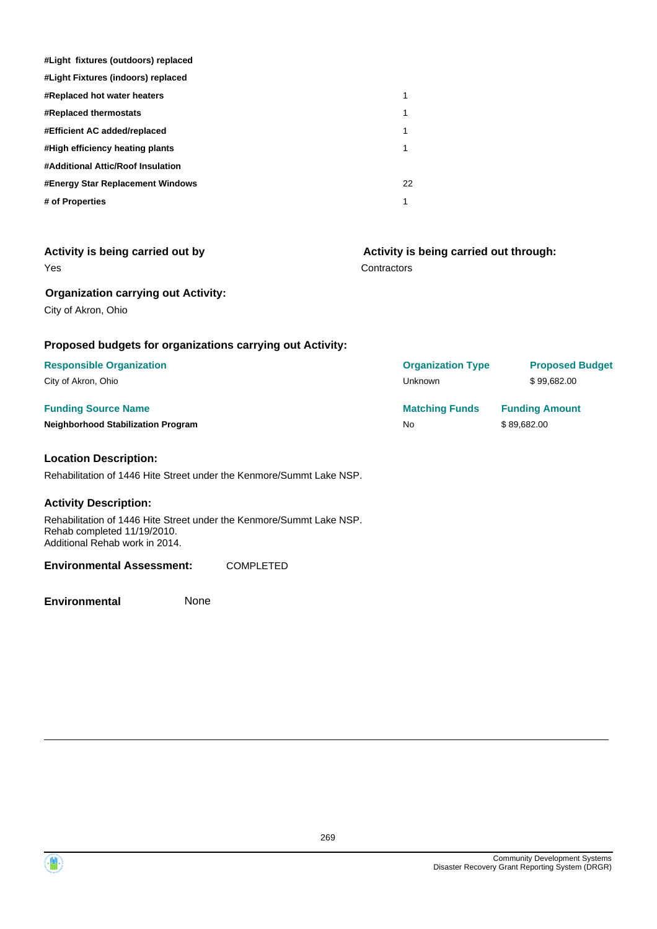| #Light fixtures (outdoors) replaced |    |
|-------------------------------------|----|
| #Light Fixtures (indoors) replaced  |    |
| #Replaced hot water heaters         | 1  |
| <b>#Replaced thermostats</b>        |    |
| #Efficient AC added/replaced        |    |
| #High efficiency heating plants     |    |
| #Additional Attic/Roof Insulation   |    |
| #Energy Star Replacement Windows    | 22 |
| # of Properties                     | 1  |

| Activity is being carried out by                          | Activity is being carried out through: |                        |  |  |
|-----------------------------------------------------------|----------------------------------------|------------------------|--|--|
| <b>Yes</b>                                                | Contractors                            |                        |  |  |
| <b>Organization carrying out Activity:</b>                |                                        |                        |  |  |
| City of Akron, Ohio                                       |                                        |                        |  |  |
| Proposed budgets for organizations carrying out Activity: |                                        |                        |  |  |
| <b>Responsible Organization</b>                           | <b>Organization Type</b>               | <b>Proposed Budget</b> |  |  |
| City of Akron, Ohio                                       | <b>Unknown</b>                         | \$99,682.00            |  |  |
| <b>Funding Source Name</b>                                | <b>Matching Funds</b>                  | <b>Funding Amount</b>  |  |  |
| <b>Neighborhood Stabilization Program</b>                 | <b>No</b>                              | \$89,682.00            |  |  |
| <b>Location Description:</b>                              |                                        |                        |  |  |
|                                                           |                                        |                        |  |  |

Rehabilitation of 1446 Hite Street under the Kenmore/Summt Lake NSP.

#### **Activity Description:**

Rehabilitation of 1446 Hite Street under the Kenmore/Summt Lake NSP. Rehab completed 11/19/2010. Additional Rehab work in 2014.

#### **Environmental Assessment:** COMPLETED

**Environmental** None

 $\left( \mathbf{M} \right)$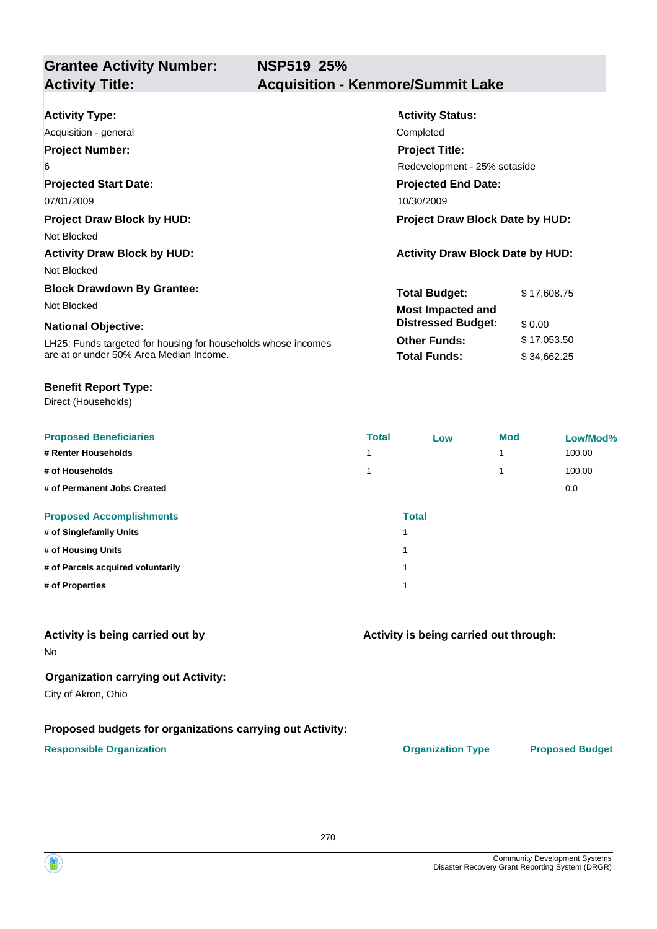| <b>Activity Type:</b>                                         | <b>Activity Status:</b>                 |             |  |
|---------------------------------------------------------------|-----------------------------------------|-------------|--|
| Acquisition - general                                         | Completed                               |             |  |
| <b>Project Number:</b>                                        | <b>Project Title:</b>                   |             |  |
| 6                                                             | Redevelopment - 25% setaside            |             |  |
| <b>Projected Start Date:</b>                                  | <b>Projected End Date:</b>              |             |  |
| 07/01/2009                                                    | 10/30/2009                              |             |  |
| <b>Project Draw Block by HUD:</b>                             | <b>Project Draw Block Date by HUD:</b>  |             |  |
| Not Blocked                                                   |                                         |             |  |
| <b>Activity Draw Block by HUD:</b>                            | <b>Activity Draw Block Date by HUD:</b> |             |  |
| Not Blocked                                                   |                                         |             |  |
| <b>Block Drawdown By Grantee:</b>                             | <b>Total Budget:</b>                    | \$17,608.75 |  |
| Not Blocked                                                   | <b>Most Impacted and</b>                |             |  |
| <b>National Objective:</b>                                    | <b>Distressed Budget:</b>               | \$0.00      |  |
| LH25: Funds targeted for housing for households whose incomes | <b>Other Funds:</b>                     | \$17,053.50 |  |
| are at or under 50% Area Median Income.                       | <b>Total Funds:</b>                     | \$34,662.25 |  |

#### **Benefit Report Type:**

Direct (Households)

| <b>Proposed Beneficiaries</b>     | <b>Total</b> | Low          | <b>Mod</b> | Low/Mod% |
|-----------------------------------|--------------|--------------|------------|----------|
| # Renter Households               |              |              | 1          | 100.00   |
| # of Households                   |              |              | 1          | 100.00   |
| # of Permanent Jobs Created       |              |              |            | 0.0      |
| <b>Proposed Accomplishments</b>   |              | <b>Total</b> |            |          |
| # of Singlefamily Units           |              |              |            |          |
| # of Housing Units                |              |              |            |          |
| # of Parcels acquired voluntarily |              |              |            |          |
| # of Properties                   |              |              |            |          |

#### **Activity is being carried out by**

No

#### **Organization carrying out Activity:**

City of Akron, Ohio

#### **Proposed budgets for organizations carrying out Activity:**

#### **Responsible Organization CONSERVIRGHT ACCORDING THE CONSERVIRGHT ORGANIZATION Type Proposed Budget**

**Activity is being carried out through:**

270

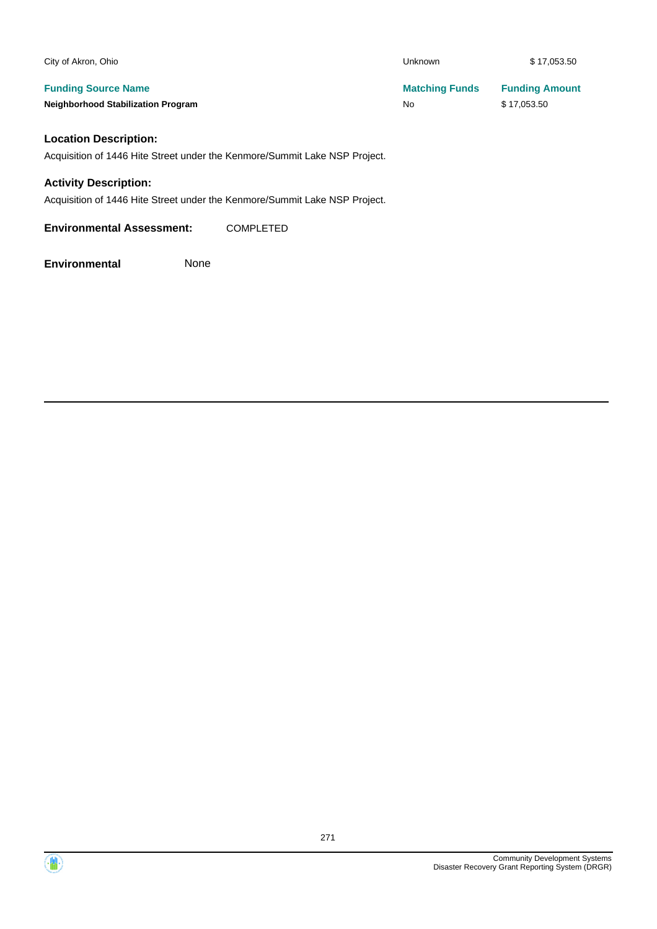| City of Akron, Ohio                       | <b>Unknown</b>        | \$17,053.50           |
|-------------------------------------------|-----------------------|-----------------------|
| <b>Funding Source Name</b>                | <b>Matching Funds</b> | <b>Funding Amount</b> |
| <b>Neighborhood Stabilization Program</b> | No                    | \$17,053.50           |

### **Location Description:**

Acquisition of 1446 Hite Street under the Kenmore/Summit Lake NSP Project.

#### **Activity Description:**

Acquisition of 1446 Hite Street under the Kenmore/Summit Lake NSP Project.

**Environmental Assessment:** COMPLETED

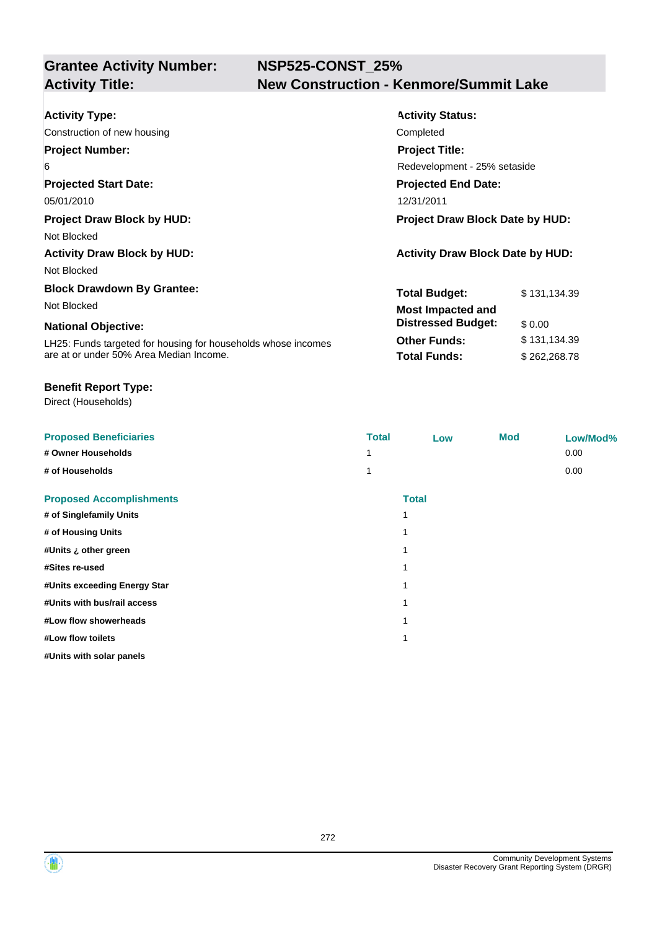## **NSP525-CONST\_25% Activity Title: New Construction - Kenmore/Summit Lake**

| <b>Activity Type:</b>                                         | <b>Activity Status:</b>                 |              |  |
|---------------------------------------------------------------|-----------------------------------------|--------------|--|
| Construction of new housing                                   | Completed                               |              |  |
| <b>Project Number:</b>                                        | <b>Project Title:</b>                   |              |  |
| 6                                                             | Redevelopment - 25% setaside            |              |  |
| <b>Projected Start Date:</b>                                  | <b>Projected End Date:</b>              |              |  |
| 05/01/2010                                                    | 12/31/2011                              |              |  |
| <b>Project Draw Block by HUD:</b>                             | Project Draw Block Date by HUD:         |              |  |
| Not Blocked                                                   |                                         |              |  |
| <b>Activity Draw Block by HUD:</b>                            | <b>Activity Draw Block Date by HUD:</b> |              |  |
| Not Blocked                                                   |                                         |              |  |
| <b>Block Drawdown By Grantee:</b>                             | <b>Total Budget:</b>                    | \$131,134.39 |  |
| Not Blocked                                                   | <b>Most Impacted and</b>                |              |  |
| <b>National Objective:</b>                                    | <b>Distressed Budget:</b>               | \$ 0.00      |  |
| LH25: Funds targeted for housing for households whose incomes | <b>Other Funds:</b>                     | \$131,134.39 |  |
| are at or under 50% Area Median Income.                       | <b>Total Funds:</b>                     | \$262,268.78 |  |

#### **Benefit Report Type:**

| <b>Proposed Beneficiaries</b>   | <b>Total</b> | Low          | <b>Mod</b> | Low/Mod% |
|---------------------------------|--------------|--------------|------------|----------|
| # Owner Households              |              |              |            | 0.00     |
| # of Households                 |              |              |            | 0.00     |
| <b>Proposed Accomplishments</b> |              | <b>Total</b> |            |          |
| # of Singlefamily Units         |              | 1            |            |          |
| # of Housing Units              |              |              |            |          |
| #Units ¿ other green            |              | 1            |            |          |
| #Sites re-used                  |              | 1            |            |          |
| #Units exceeding Energy Star    |              | 1            |            |          |
| #Units with bus/rail access     |              | 1            |            |          |
| #Low flow showerheads           |              | 1            |            |          |
| #Low flow toilets               |              | 1            |            |          |
| #Units with solar panels        |              |              |            |          |



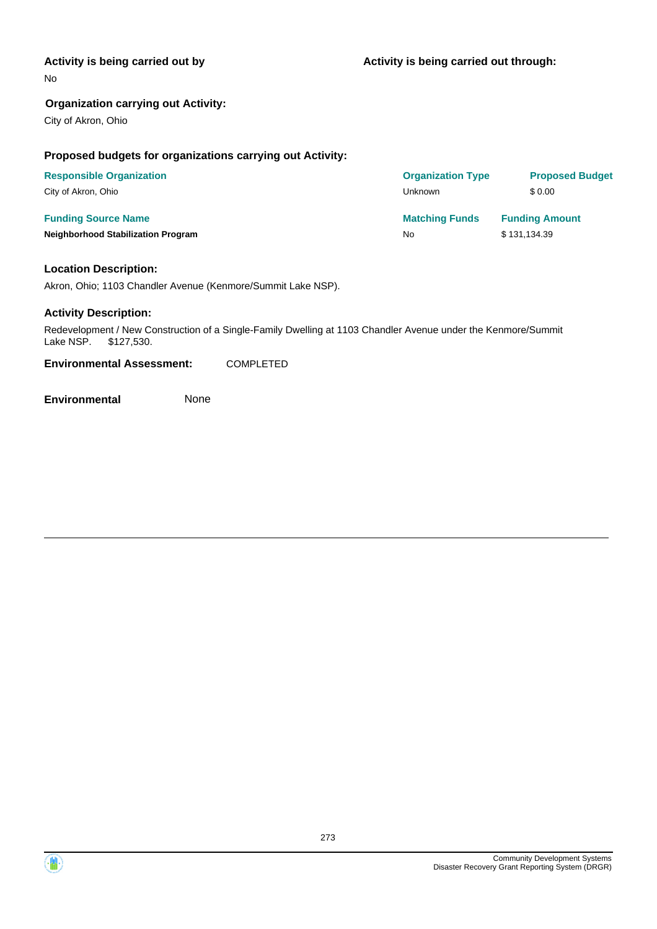#### **Activity is being carried out by**

No

#### **Organization carrying out Activity:**

City of Akron, Ohio

#### **Proposed budgets for organizations carrying out Activity:**

| <b>Responsible Organization</b>           | <b>Organization Type</b> | <b>Proposed Budget</b> |
|-------------------------------------------|--------------------------|------------------------|
| City of Akron, Ohio                       | Unknown                  | \$0.00                 |
| <b>Funding Source Name</b>                | <b>Matching Funds</b>    | <b>Funding Amount</b>  |
| <b>Neighborhood Stabilization Program</b> | No                       | \$131,134.39           |

#### **Location Description:**

Akron, Ohio; 1103 Chandler Avenue (Kenmore/Summit Lake NSP).

#### **Activity Description:**

Redevelopment / New Construction of a Single-Family Dwelling at 1103 Chandler Avenue under the Kenmore/Summit Lake NSP. \$127,530.

**Environmental Assessment:** COMPLETED

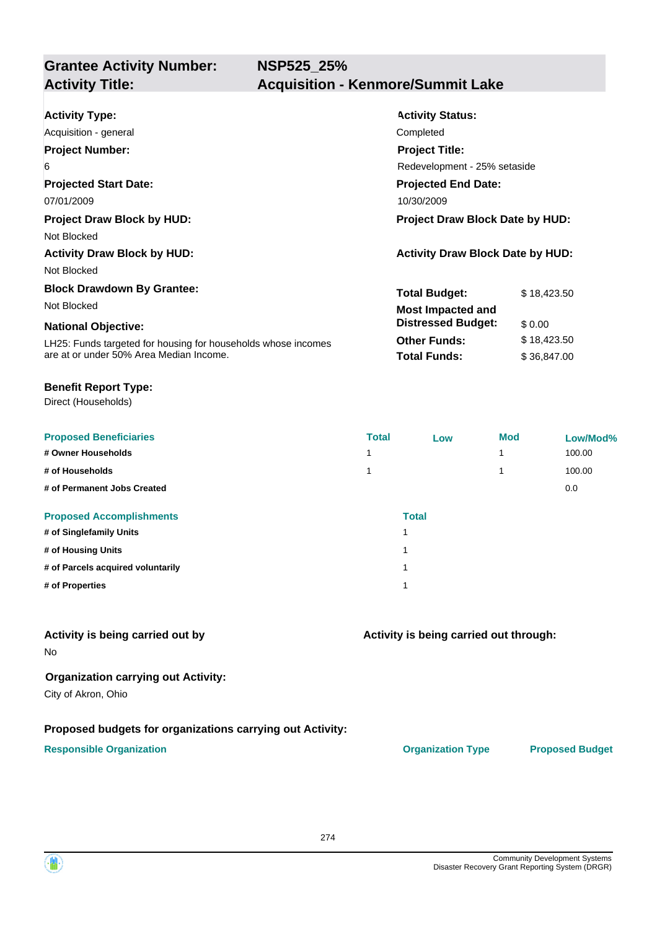| <b>Activity Type:</b>                                         | <b>Activity Status:</b>                 |             |  |
|---------------------------------------------------------------|-----------------------------------------|-------------|--|
| Acquisition - general                                         | Completed                               |             |  |
| <b>Project Number:</b>                                        | <b>Project Title:</b>                   |             |  |
| 6                                                             | Redevelopment - 25% setaside            |             |  |
| <b>Projected Start Date:</b>                                  | <b>Projected End Date:</b>              |             |  |
| 07/01/2009                                                    | 10/30/2009                              |             |  |
| <b>Project Draw Block by HUD:</b>                             | Project Draw Block Date by HUD:         |             |  |
| Not Blocked                                                   |                                         |             |  |
| <b>Activity Draw Block by HUD:</b>                            | <b>Activity Draw Block Date by HUD:</b> |             |  |
| Not Blocked                                                   |                                         |             |  |
| <b>Block Drawdown By Grantee:</b>                             | <b>Total Budget:</b>                    | \$18,423.50 |  |
| Not Blocked                                                   | <b>Most Impacted and</b>                |             |  |
| <b>National Objective:</b>                                    | <b>Distressed Budget:</b>               | \$0.00      |  |
| LH25: Funds targeted for housing for households whose incomes | <b>Other Funds:</b>                     | \$18,423.50 |  |
| are at or under 50% Area Median Income.                       | <b>Total Funds:</b>                     | \$36,847.00 |  |

#### **Benefit Report Type:**

Direct (Households)

| <b>Proposed Beneficiaries</b>     | <b>Total</b> | Low          | <b>Mod</b> | Low/Mod% |
|-----------------------------------|--------------|--------------|------------|----------|
| # Owner Households                | 4            |              | 1          | 100.00   |
| # of Households                   | 4            |              | 1          | 100.00   |
| # of Permanent Jobs Created       |              |              |            | 0.0      |
| <b>Proposed Accomplishments</b>   |              | <b>Total</b> |            |          |
| # of Singlefamily Units           | 1            |              |            |          |
| # of Housing Units                | 1            |              |            |          |
| # of Parcels acquired voluntarily | 1            |              |            |          |
| # of Properties                   | 1            |              |            |          |

#### **Activity is being carried out by**

No

#### **Organization carrying out Activity:**

City of Akron, Ohio

#### **Proposed budgets for organizations carrying out Activity:**

#### **Responsible Organization CONSERVIRGHT ACCORDING THE CONSERVIRGHT ORGANIZATION Type Proposed Budget**

**Activity is being carried out through:**

274

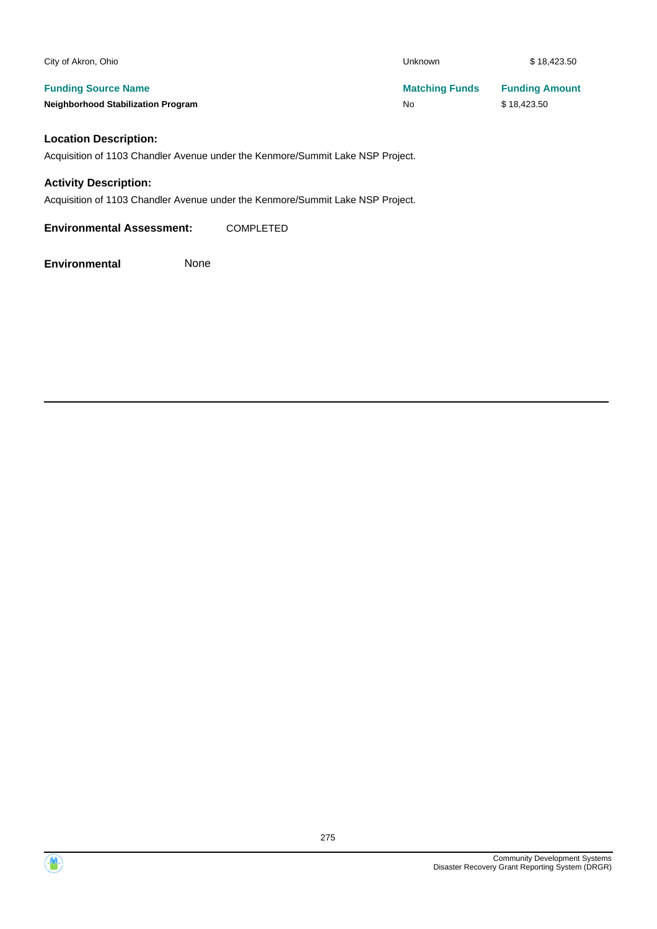| City of Akron, Ohio                       | Unknown               | \$18,423.50           |
|-------------------------------------------|-----------------------|-----------------------|
| <b>Funding Source Name</b>                | <b>Matching Funds</b> | <b>Funding Amount</b> |
| <b>Neighborhood Stabilization Program</b> | No                    | \$18,423.50           |
|                                           |                       |                       |

#### **Location Description:**

Acquisition of 1103 Chandler Avenue under the Kenmore/Summit Lake NSP Project.

#### **Activity Description:**

Acquisition of 1103 Chandler Avenue under the Kenmore/Summit Lake NSP Project.

**Environmental Assessment:** COMPLETED

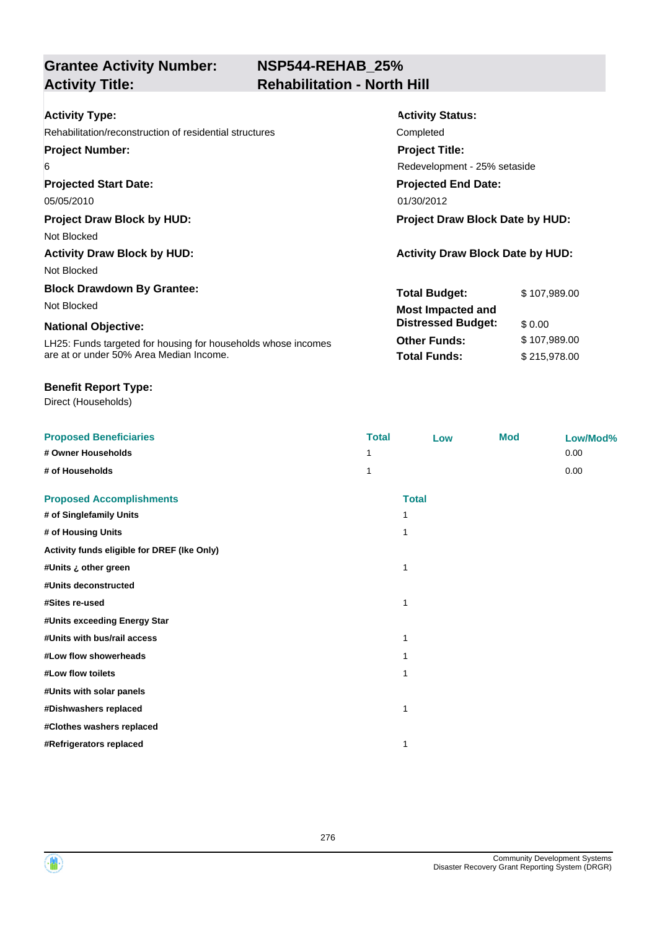### **NSP544-REHAB\_25% Activity Title: Rehabilitation - North Hill**

| <b>Activity Type:</b>                                         | <b>Activity Status:</b>                 |              |  |
|---------------------------------------------------------------|-----------------------------------------|--------------|--|
| Rehabilitation/reconstruction of residential structures       | Completed                               |              |  |
| <b>Project Number:</b>                                        | <b>Project Title:</b>                   |              |  |
| 6                                                             | Redevelopment - 25% setaside            |              |  |
| <b>Projected Start Date:</b>                                  | <b>Projected End Date:</b>              |              |  |
| 05/05/2010                                                    | 01/30/2012                              |              |  |
| <b>Project Draw Block by HUD:</b>                             | <b>Project Draw Block Date by HUD:</b>  |              |  |
| Not Blocked                                                   |                                         |              |  |
| <b>Activity Draw Block by HUD:</b>                            | <b>Activity Draw Block Date by HUD:</b> |              |  |
| Not Blocked                                                   |                                         |              |  |
| <b>Block Drawdown By Grantee:</b>                             | <b>Total Budget:</b>                    | \$107,989.00 |  |
| Not Blocked                                                   | <b>Most Impacted and</b>                |              |  |
| <b>National Objective:</b>                                    | <b>Distressed Budget:</b>               | \$0.00       |  |
| LH25: Funds targeted for housing for households whose incomes | <b>Other Funds:</b>                     | \$107,989.00 |  |
| are at or under 50% Area Median Income.                       | <b>Total Funds:</b>                     | \$215,978.00 |  |

#### **Benefit Report Type:**

| <b>Proposed Beneficiaries</b>               | <b>Total</b> | Low          | <b>Mod</b> | Low/Mod% |
|---------------------------------------------|--------------|--------------|------------|----------|
| # Owner Households                          |              |              |            | 0.00     |
| # of Households                             | 1            |              |            | 0.00     |
| <b>Proposed Accomplishments</b>             |              | <b>Total</b> |            |          |
| # of Singlefamily Units                     |              |              |            |          |
| # of Housing Units                          | 1            |              |            |          |
| Activity funds eligible for DREF (Ike Only) |              |              |            |          |
| #Units ¿ other green                        | 1            |              |            |          |
| #Units deconstructed                        |              |              |            |          |
| #Sites re-used                              | 1            |              |            |          |
| #Units exceeding Energy Star                |              |              |            |          |
| #Units with bus/rail access                 | 1            |              |            |          |
| #Low flow showerheads                       |              |              |            |          |
| #Low flow toilets                           | 1            |              |            |          |
| #Units with solar panels                    |              |              |            |          |
| #Dishwashers replaced                       | 1            |              |            |          |
| #Clothes washers replaced                   |              |              |            |          |
| #Refrigerators replaced                     |              |              |            |          |



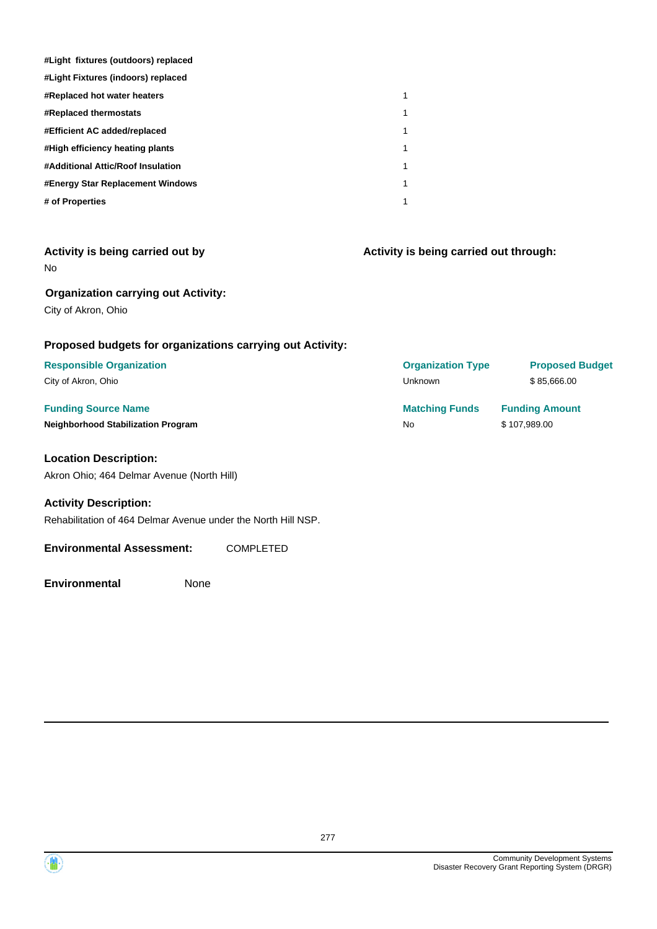| #Light fixtures (outdoors) replaced |   |
|-------------------------------------|---|
| #Light Fixtures (indoors) replaced  |   |
| <b>#Replaced hot water heaters</b>  | 1 |
| <b>#Replaced thermostats</b>        | 1 |
| #Efficient AC added/replaced        | 1 |
| #High efficiency heating plants     | 1 |
| #Additional Attic/Roof Insulation   | 1 |
| #Energy Star Replacement Windows    | 1 |
| # of Properties                     | 1 |

| Activity is being carried out by |  |  |
|----------------------------------|--|--|
| No                               |  |  |

#### **Organization carrying out Activity:**

City of Akron, Ohio

#### **Proposed budgets for organizations carrying out Activity:**

#### **Responsible Organization** City of Akron, Ohio

#### **Funding Source Name Neighborhood Stabilization Program**

#### **Location Description:**

Akron Ohio; 464 Delmar Avenue (North Hill)

#### **Activity Description:**

Rehabilitation of 464 Delmar Avenue under the North Hill NSP.

#### **Environmental Assessment:** COMPLETED

**Environmental** None

**Activity is being carried out through:**

| <b>Proposed Budget</b> |
|------------------------|
| \$85,666,00            |
| <b>Funding Amount</b>  |
|                        |
|                        |

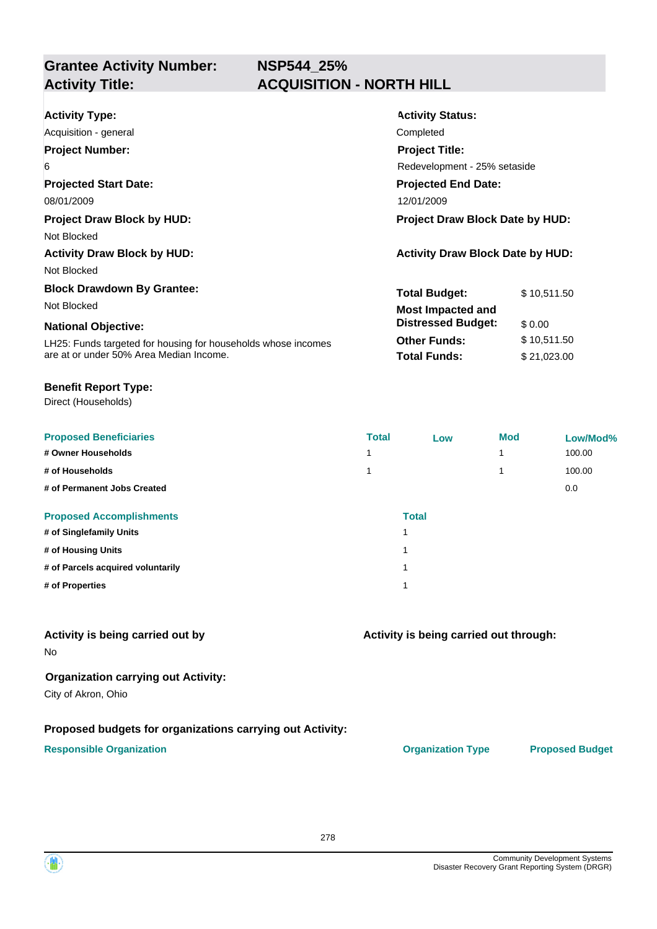| <b>Activity Type:</b>                                         | <b>Activity Status:</b>                 |                              |  |  |
|---------------------------------------------------------------|-----------------------------------------|------------------------------|--|--|
| Acquisition - general                                         | Completed                               |                              |  |  |
| <b>Project Number:</b>                                        | <b>Project Title:</b>                   |                              |  |  |
| 6                                                             |                                         | Redevelopment - 25% setaside |  |  |
| <b>Projected Start Date:</b>                                  | <b>Projected End Date:</b>              |                              |  |  |
| 08/01/2009                                                    | 12/01/2009                              |                              |  |  |
| <b>Project Draw Block by HUD:</b>                             | <b>Project Draw Block Date by HUD:</b>  |                              |  |  |
| Not Blocked                                                   |                                         |                              |  |  |
| <b>Activity Draw Block by HUD:</b>                            | <b>Activity Draw Block Date by HUD:</b> |                              |  |  |
| Not Blocked                                                   |                                         |                              |  |  |
| <b>Block Drawdown By Grantee:</b>                             | <b>Total Budget:</b>                    | \$10,511.50                  |  |  |
| Not Blocked                                                   | <b>Most Impacted and</b>                |                              |  |  |
| <b>National Objective:</b>                                    | <b>Distressed Budget:</b>               | \$0.00                       |  |  |
| LH25: Funds targeted for housing for households whose incomes | <b>Other Funds:</b>                     | \$10,511.50                  |  |  |
| are at or under 50% Area Median Income.                       | <b>Total Funds:</b>                     | \$21,023.00                  |  |  |
|                                                               |                                         |                              |  |  |

#### **Benefit Report Type:**

Direct (Households)

| <b>Proposed Beneficiaries</b>     | <b>Total</b> | Low          | <b>Mod</b> | Low/Mod% |
|-----------------------------------|--------------|--------------|------------|----------|
| # Owner Households                | 1            |              | 1          | 100.00   |
| # of Households                   | 1            |              | 1          | 100.00   |
| # of Permanent Jobs Created       |              |              |            | 0.0      |
| <b>Proposed Accomplishments</b>   |              | <b>Total</b> |            |          |
| # of Singlefamily Units           |              |              |            |          |
| # of Housing Units                |              |              |            |          |
| # of Parcels acquired voluntarily |              |              |            |          |
| # of Properties                   |              |              |            |          |

#### **Activity is being carried out by**

No

#### **Organization carrying out Activity:**

City of Akron, Ohio

#### **Proposed budgets for organizations carrying out Activity:**

#### **Responsible Organization CONSERVIRGHT ACCORDING THE CONSERVIRGHT ORGANIZATION Type Proposed Budget**

**Activity is being carried out through:**

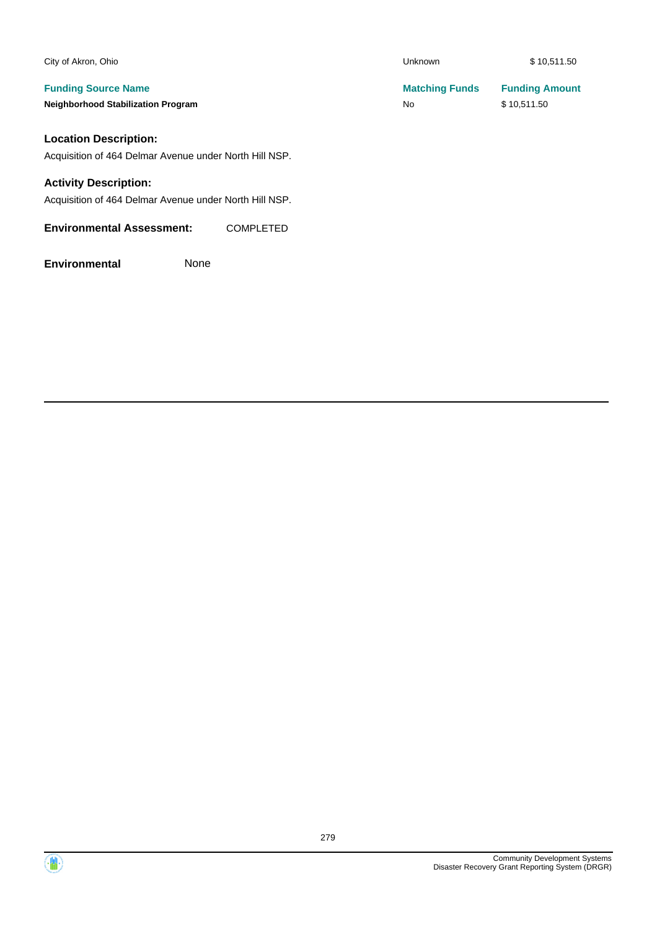| City of Akron, Ohio                                    | <b>Unknown</b>        | \$10,511.50           |
|--------------------------------------------------------|-----------------------|-----------------------|
| <b>Funding Source Name</b>                             | <b>Matching Funds</b> | <b>Funding Amount</b> |
| <b>Neighborhood Stabilization Program</b>              | <b>No</b>             | \$10,511.50           |
| <b>Location Description:</b>                           |                       |                       |
| Acquisition of 464 Delmar Avenue under North Hill NSP. |                       |                       |

#### **Activity Description:**

Acquisition of 464 Delmar Avenue under North Hill NSP.

**Environmental Assessment:** COMPLETED

**Environmental** None

Community Development Systems Disaster Recovery Grant Reporting System (DRGR)

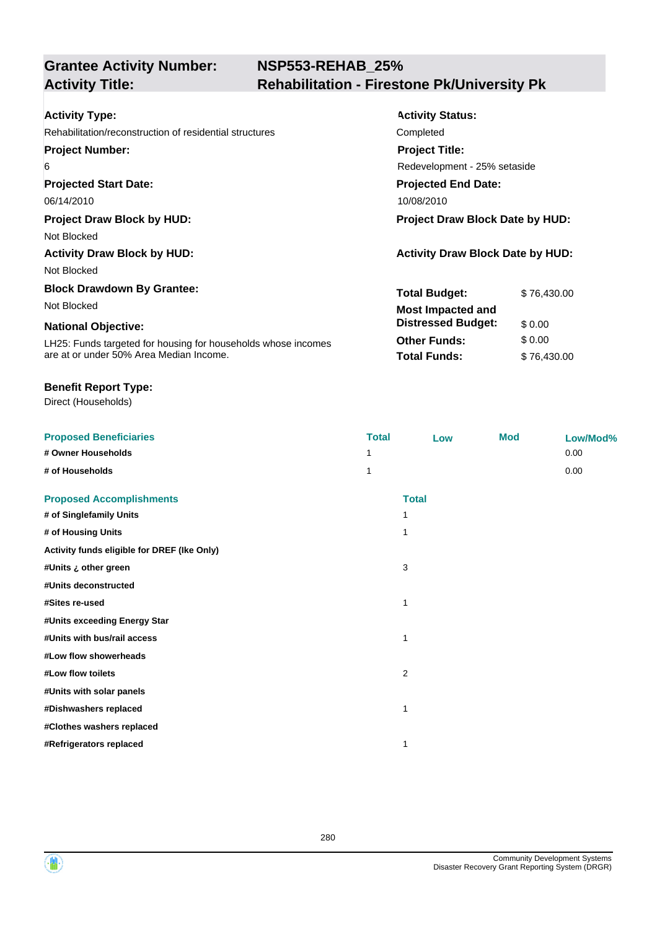## **NSP553-REHAB\_25% Activity Title: Rehabilitation - Firestone Pk/University Pk**

| <b>Activity Type:</b>                                         | <b>Activity Status:</b>                 |             |  |
|---------------------------------------------------------------|-----------------------------------------|-------------|--|
| Rehabilitation/reconstruction of residential structures       | Completed                               |             |  |
| <b>Project Number:</b>                                        | <b>Project Title:</b>                   |             |  |
| 6                                                             | Redevelopment - 25% setaside            |             |  |
| <b>Projected Start Date:</b>                                  | <b>Projected End Date:</b>              |             |  |
| 06/14/2010                                                    | 10/08/2010                              |             |  |
| <b>Project Draw Block by HUD:</b>                             | Project Draw Block Date by HUD:         |             |  |
| Not Blocked                                                   |                                         |             |  |
| <b>Activity Draw Block by HUD:</b>                            | <b>Activity Draw Block Date by HUD:</b> |             |  |
| Not Blocked                                                   |                                         |             |  |
| <b>Block Drawdown By Grantee:</b>                             | <b>Total Budget:</b>                    | \$76,430.00 |  |
| Not Blocked                                                   | <b>Most Impacted and</b>                |             |  |
| <b>National Objective:</b>                                    | <b>Distressed Budget:</b>               | \$0.00      |  |
| LH25: Funds targeted for housing for households whose incomes | <b>Other Funds:</b>                     | \$0.00      |  |
| are at or under 50% Area Median Income.                       | <b>Total Funds:</b>                     | \$76,430.00 |  |

#### **Benefit Report Type:**

| <b>Proposed Beneficiaries</b>               | <b>Total</b>            | Low          | <b>Mod</b> | Low/Mod% |
|---------------------------------------------|-------------------------|--------------|------------|----------|
| # Owner Households                          | 1                       |              |            | 0.00     |
| # of Households                             | 1                       |              |            | 0.00     |
| <b>Proposed Accomplishments</b>             |                         | <b>Total</b> |            |          |
| # of Singlefamily Units                     | 1                       |              |            |          |
| # of Housing Units                          | $\mathbf 1$             |              |            |          |
| Activity funds eligible for DREF (Ike Only) |                         |              |            |          |
| #Units ¿ other green                        | 3                       |              |            |          |
| #Units deconstructed                        |                         |              |            |          |
| #Sites re-used                              | 1                       |              |            |          |
| #Units exceeding Energy Star                |                         |              |            |          |
| #Units with bus/rail access                 | 1                       |              |            |          |
| #Low flow showerheads                       |                         |              |            |          |
| #Low flow toilets                           | $\overline{\mathbf{c}}$ |              |            |          |
| #Units with solar panels                    |                         |              |            |          |
| #Dishwashers replaced                       | 1                       |              |            |          |
| #Clothes washers replaced                   |                         |              |            |          |
| #Refrigerators replaced                     | 1                       |              |            |          |

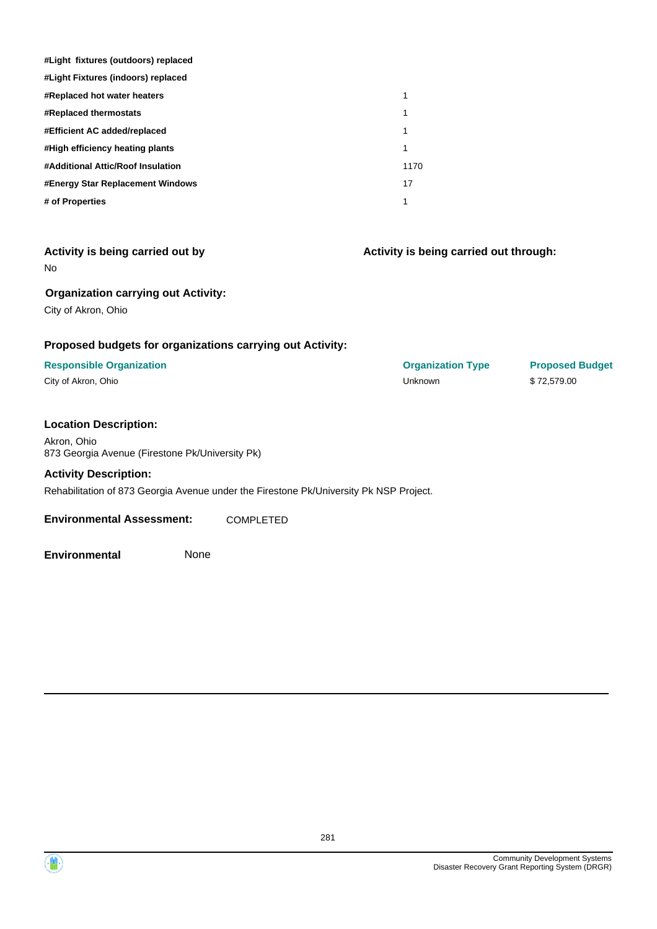| #Light fixtures (outdoors) replaced                       |                                        |                        |
|-----------------------------------------------------------|----------------------------------------|------------------------|
| #Light Fixtures (indoors) replaced                        |                                        |                        |
| #Replaced hot water heaters                               | 1                                      |                        |
| #Replaced thermostats                                     | 1                                      |                        |
| #Efficient AC added/replaced                              | $\mathbf{1}$                           |                        |
| #High efficiency heating plants                           | 1                                      |                        |
| #Additional Attic/Roof Insulation                         | 1170                                   |                        |
| #Energy Star Replacement Windows                          | 17                                     |                        |
| # of Properties                                           | 1                                      |                        |
|                                                           |                                        |                        |
| Activity is being carried out by                          | Activity is being carried out through: |                        |
| No                                                        |                                        |                        |
| <b>Organization carrying out Activity:</b>                |                                        |                        |
| City of Akron, Ohio                                       |                                        |                        |
|                                                           |                                        |                        |
| Proposed budgets for organizations carrying out Activity: |                                        |                        |
| <b>Responsible Organization</b>                           | <b>Organization Type</b>               | <b>Proposed Budget</b> |
| City of Akron, Ohio                                       | Unknown                                | \$72,579.00            |
|                                                           |                                        |                        |
| <b>Location Description:</b>                              |                                        |                        |
| Akron, Ohio                                               |                                        |                        |
|                                                           |                                        |                        |

Akron, Ohio 873 Georgia Avenue (Firestone Pk/University Pk)

#### **Activity Description:**

Rehabilitation of 873 Georgia Avenue under the Firestone Pk/University Pk NSP Project.

**Environmental Assessment:** COMPLETED

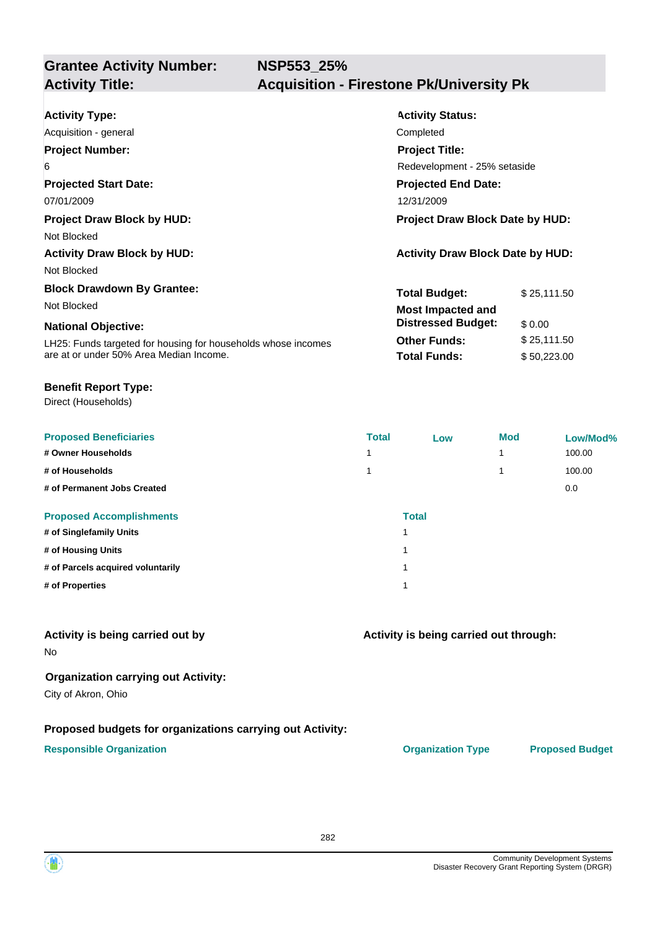| <b>Activity Type:</b>                                         | <b>Activity Status:</b>                 |             |  |
|---------------------------------------------------------------|-----------------------------------------|-------------|--|
| Acquisition - general                                         | Completed                               |             |  |
| <b>Project Number:</b>                                        | <b>Project Title:</b>                   |             |  |
| 6                                                             | Redevelopment - 25% setaside            |             |  |
| <b>Projected Start Date:</b>                                  | <b>Projected End Date:</b>              |             |  |
| 07/01/2009                                                    | 12/31/2009                              |             |  |
| <b>Project Draw Block by HUD:</b>                             | <b>Project Draw Block Date by HUD:</b>  |             |  |
| Not Blocked                                                   |                                         |             |  |
| <b>Activity Draw Block by HUD:</b>                            | <b>Activity Draw Block Date by HUD:</b> |             |  |
| Not Blocked                                                   |                                         |             |  |
| <b>Block Drawdown By Grantee:</b>                             | <b>Total Budget:</b>                    | \$25,111.50 |  |
| Not Blocked                                                   | <b>Most Impacted and</b>                |             |  |
| <b>National Objective:</b>                                    | <b>Distressed Budget:</b>               | \$0.00      |  |
| LH25: Funds targeted for housing for households whose incomes | <b>Other Funds:</b>                     | \$25,111.50 |  |
| are at or under 50% Area Median Income.                       | <b>Total Funds:</b>                     | \$50,223.00 |  |

#### **Benefit Report Type:**

Direct (Households)

| <b>Proposed Beneficiaries</b>     | <b>Total</b> | Low          | <b>Mod</b> | Low/Mod% |
|-----------------------------------|--------------|--------------|------------|----------|
| # Owner Households                |              |              | 1          | 100.00   |
| # of Households                   |              |              | 1          | 100.00   |
| # of Permanent Jobs Created       |              |              |            | 0.0      |
| <b>Proposed Accomplishments</b>   |              | <b>Total</b> |            |          |
| # of Singlefamily Units           |              |              |            |          |
| # of Housing Units                |              |              |            |          |
| # of Parcels acquired voluntarily | и            |              |            |          |
| # of Properties                   |              |              |            |          |

#### **Activity is being carried out by**

No

#### **Organization carrying out Activity:**

City of Akron, Ohio

#### **Proposed budgets for organizations carrying out Activity:**

#### **Responsible Organization CONSERVIRGHT ACCORDING THE CONSERVIRGHT ORGANIZATION Type Proposed Budget**

**Activity is being carried out through:**

282

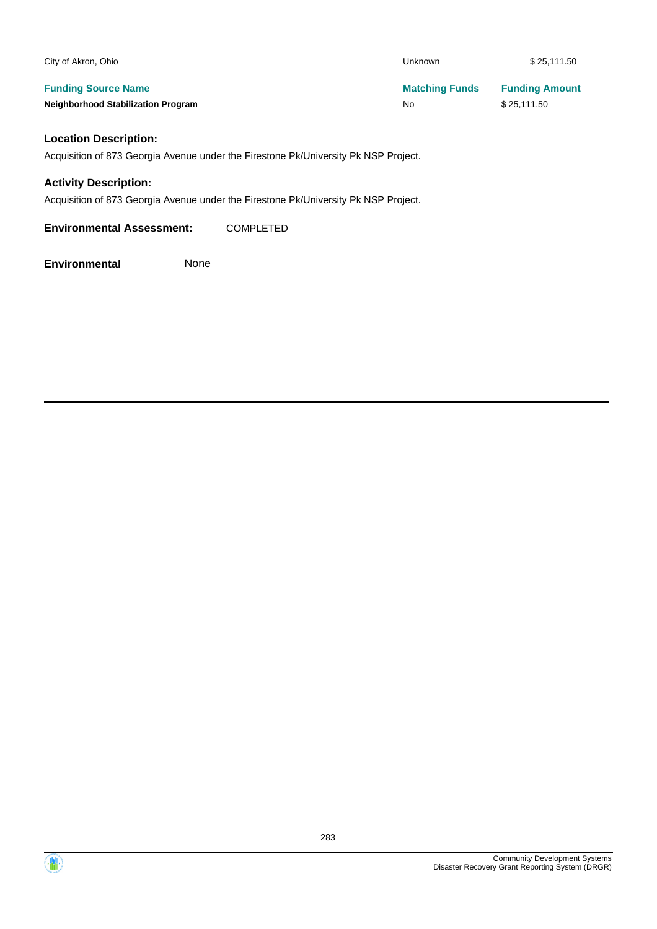| City of Akron, Ohio                       | <b>Unknown</b>        | \$25,111.50           |
|-------------------------------------------|-----------------------|-----------------------|
| <b>Funding Source Name</b>                | <b>Matching Funds</b> | <b>Funding Amount</b> |
| <b>Neighborhood Stabilization Program</b> | No                    | \$25.111.50           |

#### **Location Description:**

Acquisition of 873 Georgia Avenue under the Firestone Pk/University Pk NSP Project.

#### **Activity Description:**

Acquisition of 873 Georgia Avenue under the Firestone Pk/University Pk NSP Project.

**Environmental Assessment:** COMPLETED

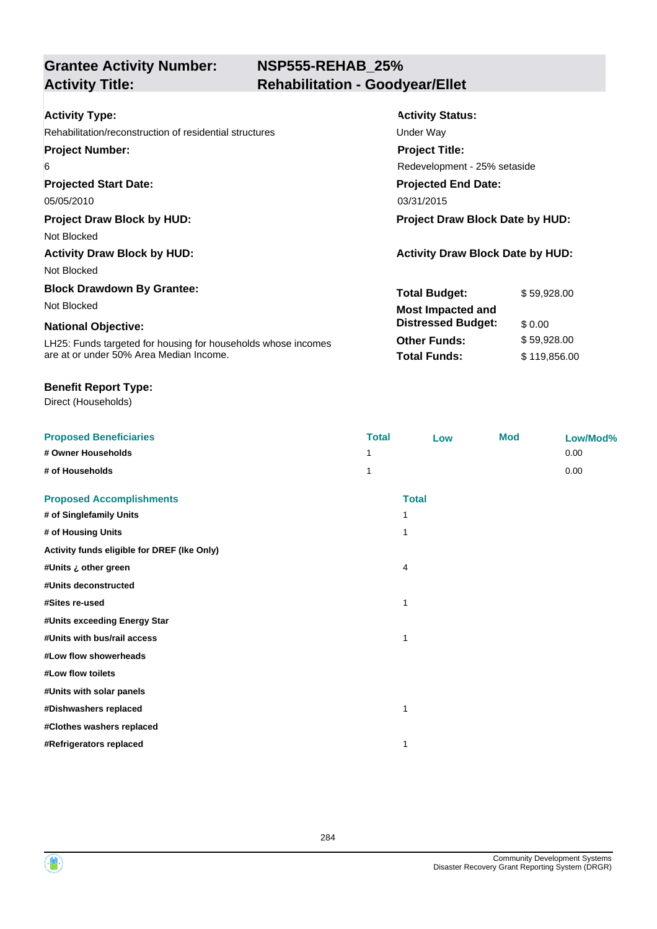## **NSP555-REHAB\_25% Activity Title: Rehabilitation - Goodyear/Ellet**

| <b>Activity Type:</b>                                         | <b>Activity Status:</b>                 |              |  |  |
|---------------------------------------------------------------|-----------------------------------------|--------------|--|--|
| Rehabilitation/reconstruction of residential structures       | Under Way                               |              |  |  |
| <b>Project Number:</b>                                        | <b>Project Title:</b>                   |              |  |  |
| 6                                                             | Redevelopment - 25% setaside            |              |  |  |
| <b>Projected Start Date:</b>                                  | <b>Projected End Date:</b>              |              |  |  |
| 05/05/2010                                                    | 03/31/2015                              |              |  |  |
| <b>Project Draw Block by HUD:</b>                             | <b>Project Draw Block Date by HUD:</b>  |              |  |  |
| Not Blocked                                                   |                                         |              |  |  |
| <b>Activity Draw Block by HUD:</b>                            | <b>Activity Draw Block Date by HUD:</b> |              |  |  |
| Not Blocked                                                   |                                         |              |  |  |
| <b>Block Drawdown By Grantee:</b>                             | <b>Total Budget:</b>                    | \$59,928.00  |  |  |
| Not Blocked                                                   | <b>Most Impacted and</b>                |              |  |  |
| <b>National Objective:</b>                                    | <b>Distressed Budget:</b>               | \$0.00       |  |  |
| LH25: Funds targeted for housing for households whose incomes | <b>Other Funds:</b>                     | \$59,928.00  |  |  |
| are at or under 50% Area Median Income.                       | <b>Total Funds:</b>                     | \$119,856.00 |  |  |

#### **Benefit Report Type:**

| <b>Proposed Beneficiaries</b>               | <b>Total</b> | Low          | <b>Mod</b> | Low/Mod% |
|---------------------------------------------|--------------|--------------|------------|----------|
| # Owner Households                          |              |              |            | 0.00     |
| # of Households                             | 1            |              |            | 0.00     |
| <b>Proposed Accomplishments</b>             |              | <b>Total</b> |            |          |
| # of Singlefamily Units                     |              |              |            |          |
| # of Housing Units                          | $\mathbf 1$  |              |            |          |
| Activity funds eligible for DREF (Ike Only) |              |              |            |          |
| #Units ¿ other green                        | 4            |              |            |          |
| #Units deconstructed                        |              |              |            |          |
| #Sites re-used                              | $\mathbf 1$  |              |            |          |
| #Units exceeding Energy Star                |              |              |            |          |
| #Units with bus/rail access                 | 1            |              |            |          |
| #Low flow showerheads                       |              |              |            |          |
| #Low flow toilets                           |              |              |            |          |
| #Units with solar panels                    |              |              |            |          |
| #Dishwashers replaced                       | 1            |              |            |          |
| #Clothes washers replaced                   |              |              |            |          |
| #Refrigerators replaced                     | 1            |              |            |          |

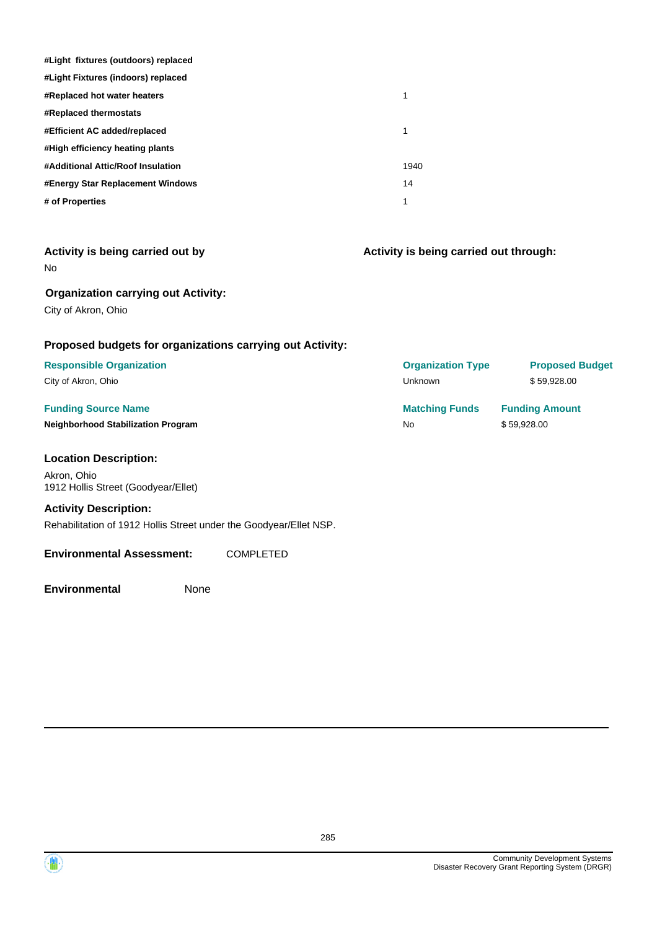| #Light fixtures (outdoors) replaced |      |
|-------------------------------------|------|
| #Light Fixtures (indoors) replaced  |      |
| #Replaced hot water heaters         | 1    |
| <b>#Replaced thermostats</b>        |      |
| #Efficient AC added/replaced        | 1    |
| #High efficiency heating plants     |      |
| #Additional Attic/Roof Insulation   | 1940 |
| #Energy Star Replacement Windows    | 14   |
| # of Properties                     | 1    |

| Activity is being carried out by |  |  |  |
|----------------------------------|--|--|--|
| No                               |  |  |  |

**Organization carrying out Activity:**

City of Akron, Ohio

#### **Proposed budgets for organizations carrying out Activity:**

## **Responsible Organization**

City of Akron, Ohio

#### **Funding Source Name Neighborhood Stabilization Program**

#### **Location Description:**

Akron, Ohio 1912 Hollis Street (Goodyear/Ellet)

#### **Activity Description:**

Rehabilitation of 1912 Hollis Street under the Goodyear/Ellet NSP.

#### **Environmental Assessment:** COMPLETED

**Environmental** None

| <b>Proposed Budget</b> |
|------------------------|
| \$59.928.00            |
| <b>Funding Amount</b>  |
| \$59.928.00            |
|                        |

**Activity is being carried out through:**



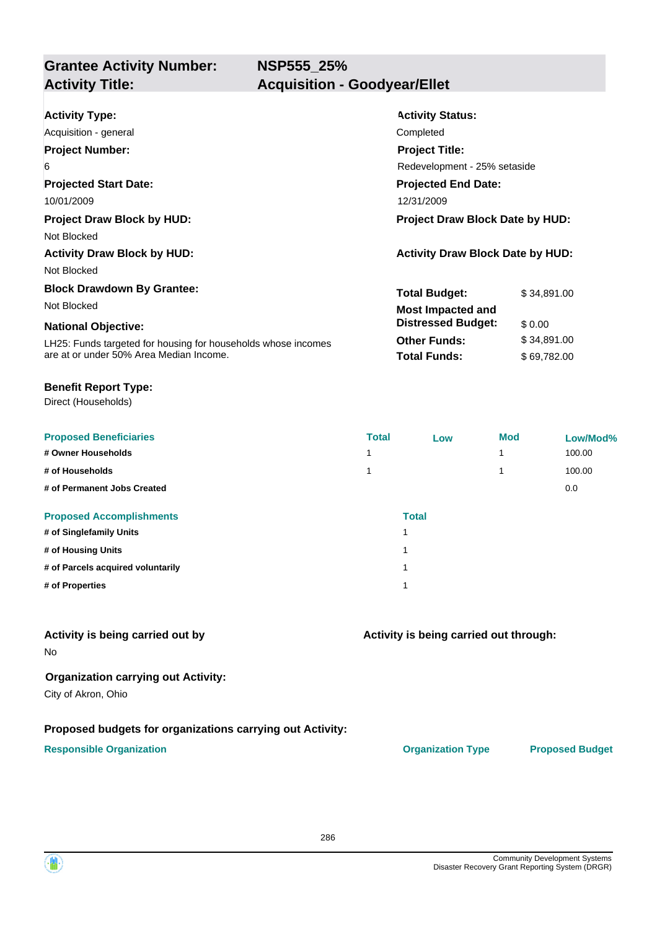**NSP555\_25%**

| <b>Activity Type:</b>                                         | <b>Activity Status:</b>                 |             |  |
|---------------------------------------------------------------|-----------------------------------------|-------------|--|
| Acquisition - general                                         | Completed                               |             |  |
| <b>Project Number:</b>                                        | <b>Project Title:</b>                   |             |  |
| 6                                                             | Redevelopment - 25% setaside            |             |  |
| <b>Projected Start Date:</b>                                  | <b>Projected End Date:</b>              |             |  |
| 10/01/2009                                                    | 12/31/2009                              |             |  |
| <b>Project Draw Block by HUD:</b>                             | <b>Project Draw Block Date by HUD:</b>  |             |  |
| Not Blocked                                                   |                                         |             |  |
| <b>Activity Draw Block by HUD:</b>                            | <b>Activity Draw Block Date by HUD:</b> |             |  |
| Not Blocked                                                   |                                         |             |  |
| <b>Block Drawdown By Grantee:</b>                             | <b>Total Budget:</b>                    | \$34,891.00 |  |
| Not Blocked                                                   | <b>Most Impacted and</b>                |             |  |
| <b>National Objective:</b>                                    | <b>Distressed Budget:</b>               | \$0.00      |  |
| LH25: Funds targeted for housing for households whose incomes | <b>Other Funds:</b>                     | \$34,891.00 |  |
| are at or under 50% Area Median Income.                       | <b>Total Funds:</b>                     | \$69,782.00 |  |

#### **Benefit Report Type:**

Direct (Households)

| <b>Proposed Beneficiaries</b>     | <b>Total</b> | Low          | <b>Mod</b> | Low/Mod% |
|-----------------------------------|--------------|--------------|------------|----------|
| # Owner Households                | и            |              | 1          | 100.00   |
| # of Households                   | 1            |              | 1          | 100.00   |
| # of Permanent Jobs Created       |              |              |            | 0.0      |
| <b>Proposed Accomplishments</b>   |              | <b>Total</b> |            |          |
| # of Singlefamily Units           | 1            |              |            |          |
| # of Housing Units                | 1            |              |            |          |
| # of Parcels acquired voluntarily | 1            |              |            |          |
| # of Properties                   | 1            |              |            |          |

#### **Activity is being carried out by**

No

#### **Organization carrying out Activity:**

City of Akron, Ohio

#### **Proposed budgets for organizations carrying out Activity:**

#### **Responsible Organization CONSERVIRGHT ACCORDING THE CONSERVIRGHT ORGANIZATION Type Proposed Budget**

**Activity is being carried out through:**

286

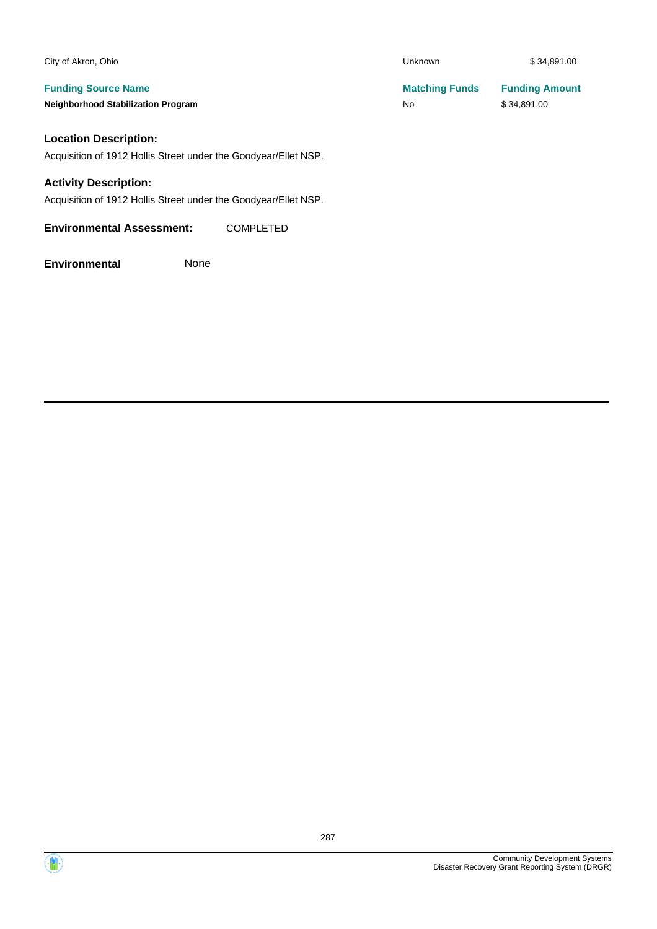| City of Akron, Ohio                                             | Unknown               | \$34,891.00           |  |
|-----------------------------------------------------------------|-----------------------|-----------------------|--|
| <b>Funding Source Name</b>                                      | <b>Matching Funds</b> | <b>Funding Amount</b> |  |
| <b>Neighborhood Stabilization Program</b>                       | No                    | \$34,891.00           |  |
| <b>Location Description:</b>                                    |                       |                       |  |
| Acquisition of 1912 Hollis Street under the Goodyear/Ellet NSP. |                       |                       |  |
| <b>Activity Description:</b>                                    |                       |                       |  |
| Acquisition of 1912 Hollis Street under the Goodyear/Ellet NSP. |                       |                       |  |
| <b>Environmental Assessment:</b><br><b>COMPLETED</b>            |                       |                       |  |

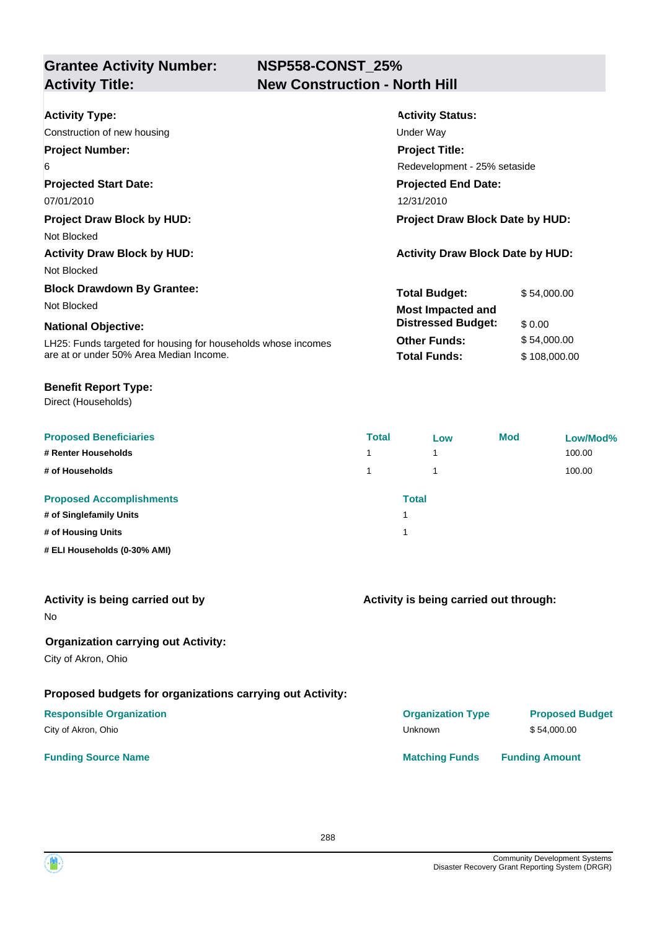### **NSP558-CONST\_25% Activity Title: New Construction - North Hill**

| <b>Activity Type:</b><br>Construction of new housing          | <b>Activity Status:</b><br>Under Way    |              |
|---------------------------------------------------------------|-----------------------------------------|--------------|
| <b>Project Number:</b>                                        | <b>Project Title:</b>                   |              |
| 6                                                             | Redevelopment - 25% setaside            |              |
| <b>Projected Start Date:</b>                                  | <b>Projected End Date:</b>              |              |
| 07/01/2010                                                    | 12/31/2010                              |              |
| <b>Project Draw Block by HUD:</b>                             | <b>Project Draw Block Date by HUD:</b>  |              |
| Not Blocked                                                   |                                         |              |
| <b>Activity Draw Block by HUD:</b>                            | <b>Activity Draw Block Date by HUD:</b> |              |
| Not Blocked                                                   |                                         |              |
| <b>Block Drawdown By Grantee:</b>                             | <b>Total Budget:</b>                    | \$54,000.00  |
| Not Blocked                                                   | <b>Most Impacted and</b>                |              |
| <b>National Objective:</b>                                    | <b>Distressed Budget:</b>               | \$0.00       |
| LH25: Funds targeted for housing for households whose incomes | <b>Other Funds:</b>                     | \$54,000.00  |
| are at or under 50% Area Median Income.                       | <b>Total Funds:</b>                     | \$108,000.00 |

#### **Benefit Report Type:**

Direct (Households)

| <b>Proposed Beneficiaries</b>   | <b>Total</b> | Low | <b>Mod</b> | Low/Mod% |
|---------------------------------|--------------|-----|------------|----------|
| # Renter Households             |              | 1   |            | 100.00   |
| # of Households                 |              |     |            | 100.00   |
| <b>Proposed Accomplishments</b> | <b>Total</b> |     |            |          |
| # of Singlefamily Units         |              |     |            |          |
| # of Housing Units              |              |     |            |          |
| # ELI Households (0-30% AMI)    |              |     |            |          |

| Activity is being carried out by |  |  |  |  |  |  |
|----------------------------------|--|--|--|--|--|--|
|----------------------------------|--|--|--|--|--|--|

No

#### **Organization carrying out Activity:**

City of Akron, Ohio

### **Proposed budgets for organizations carrying out Activity:**

#### **Responsible Organization** City of Akron, Ohio

#### **Funding Source Name**

**Activity is being carried out through:**

| <b>Organization Type</b> | <b>Proposed Budget</b> |
|--------------------------|------------------------|
| Unknown                  | \$54,000.00            |
| <b>Matching Funds</b>    | <b>Funding Amount</b>  |

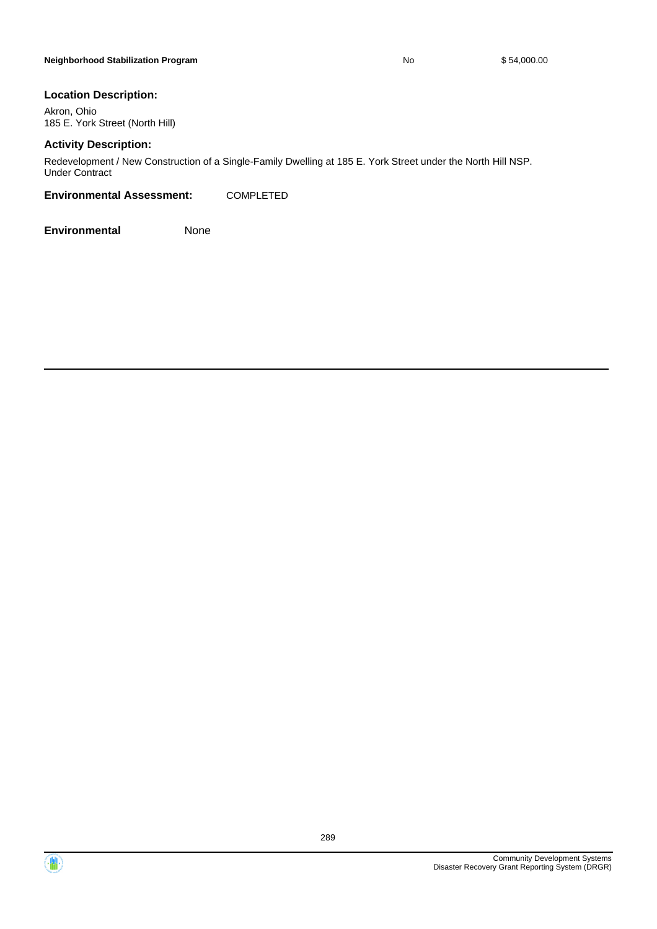#### **Location Description:**

Akron, Ohio 185 E. York Street (North Hill)

#### **Activity Description:**

Redevelopment / New Construction of a Single-Family Dwelling at 185 E. York Street under the North Hill NSP. Under Contract

#### **Environmental Assessment:** COMPLETED

**Environmental** None



 $\langle \mathbf{m} \rangle$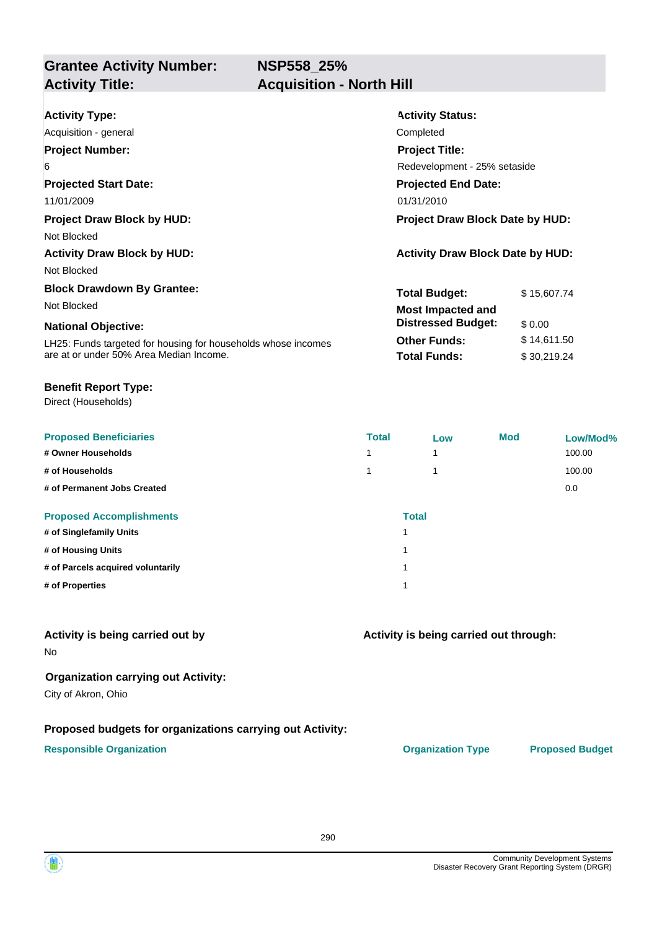**NSP558\_25%**

**Grantee Activity Number: Activity Title: Acquisition - North Hill**

| <b>Activity Type:</b>                                         | <b>Activity Status:</b>                 |             |  |
|---------------------------------------------------------------|-----------------------------------------|-------------|--|
| Acquisition - general                                         | Completed                               |             |  |
| <b>Project Number:</b>                                        | <b>Project Title:</b>                   |             |  |
| 6                                                             | Redevelopment - 25% setaside            |             |  |
| <b>Projected Start Date:</b>                                  | <b>Projected End Date:</b>              |             |  |
| 11/01/2009                                                    | 01/31/2010                              |             |  |
| <b>Project Draw Block by HUD:</b>                             | <b>Project Draw Block Date by HUD:</b>  |             |  |
| Not Blocked                                                   |                                         |             |  |
| <b>Activity Draw Block by HUD:</b>                            | <b>Activity Draw Block Date by HUD:</b> |             |  |
| Not Blocked                                                   |                                         |             |  |
| <b>Block Drawdown By Grantee:</b>                             | <b>Total Budget:</b>                    | \$15,607.74 |  |
| Not Blocked                                                   | <b>Most Impacted and</b>                |             |  |
| <b>National Objective:</b>                                    | <b>Distressed Budget:</b>               | \$0.00      |  |
| LH25: Funds targeted for housing for households whose incomes | <b>Other Funds:</b>                     | \$14,611.50 |  |
| are at or under 50% Area Median Income.                       | <b>Total Funds:</b>                     | \$30,219.24 |  |

#### **Benefit Report Type:**

Direct (Households)

| <b>Proposed Beneficiaries</b>     | <b>Total</b>             | Low | <b>Mod</b> | Low/Mod% |
|-----------------------------------|--------------------------|-----|------------|----------|
| # Owner Households                | $\overline{\phantom{a}}$ |     |            | 100.00   |
| # of Households                   | и                        |     |            | 100.00   |
| # of Permanent Jobs Created       |                          |     |            | 0.0      |
| <b>Proposed Accomplishments</b>   | <b>Total</b>             |     |            |          |
| # of Singlefamily Units           |                          |     |            |          |
| # of Housing Units                | 4                        |     |            |          |
| # of Parcels acquired voluntarily | 4                        |     |            |          |
| # of Properties                   | ۸                        |     |            |          |

#### **Activity is being carried out by**

No

#### **Organization carrying out Activity:**

City of Akron, Ohio

#### **Proposed budgets for organizations carrying out Activity:**

#### **Responsible Organization CONSERVIRGHT ACCORDING THE CONSERVIRGHT ORGANIZATION Type Proposed Budget**

**Activity is being carried out through:**

290

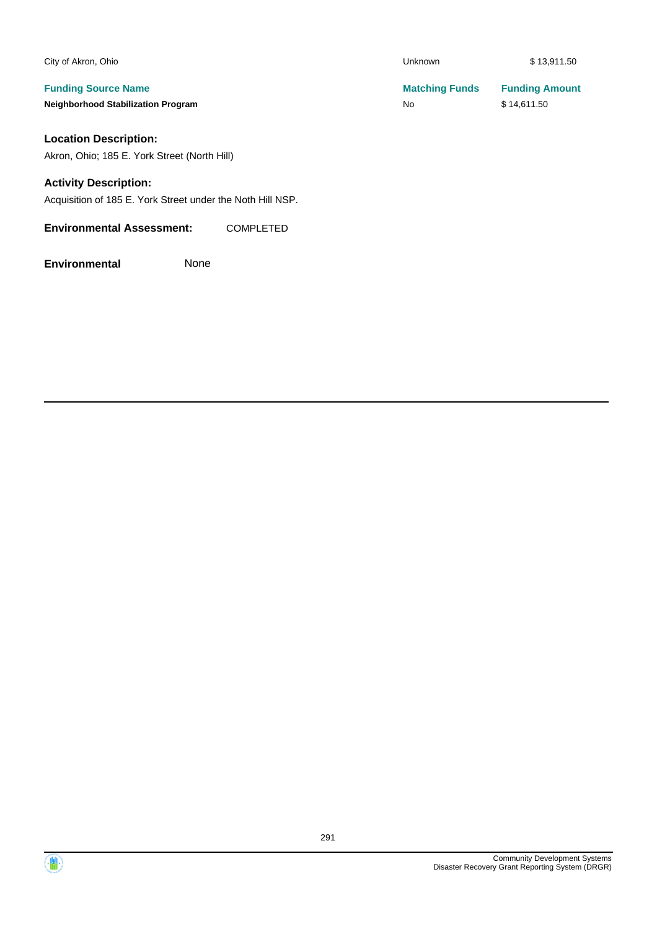| City of Akron, Ohio                       | <b>Unknown</b>        | \$13,911.50           |
|-------------------------------------------|-----------------------|-----------------------|
| <b>Funding Source Name</b>                | <b>Matching Funds</b> | <b>Funding Amount</b> |
| <b>Neighborhood Stabilization Program</b> | No                    | \$14.611.50           |
| <b>Location Description:</b>              |                       |                       |

Akron, Ohio; 185 E. York Street (North Hill)

### **Activity Description:**

Acquisition of 185 E. York Street under the Noth Hill NSP.

**Environmental Assessment:** COMPLETED

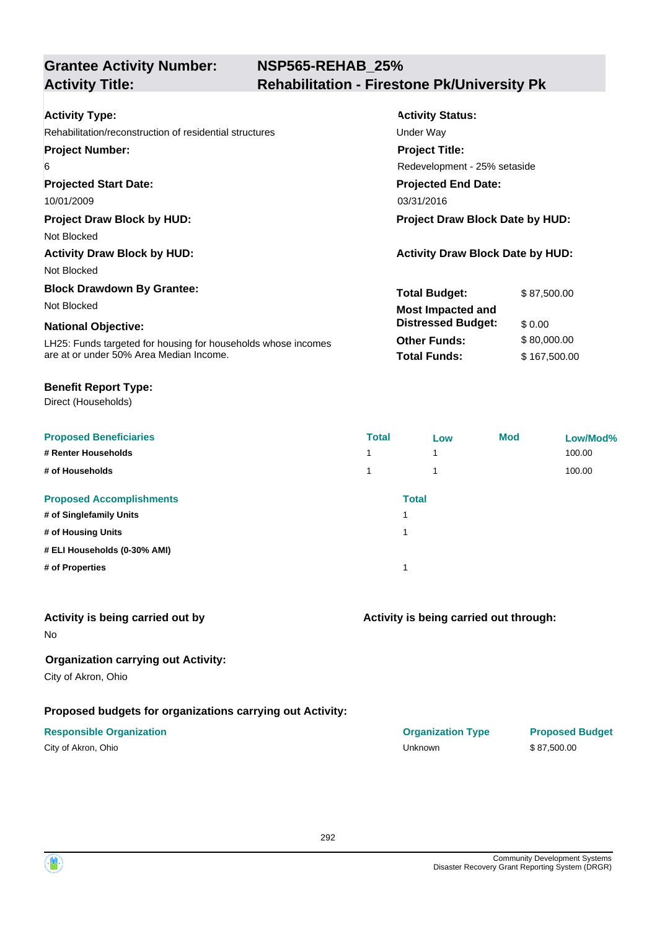## **NSP565-REHAB\_25% Activity Title: Rehabilitation - Firestone Pk/University Pk**

| <b>Activity Type:</b>                                         | <b>Activity Status:</b>                 |              |  |
|---------------------------------------------------------------|-----------------------------------------|--------------|--|
| Rehabilitation/reconstruction of residential structures       | Under Way                               |              |  |
| <b>Project Number:</b>                                        | <b>Project Title:</b>                   |              |  |
| 6                                                             | Redevelopment - 25% setaside            |              |  |
| <b>Projected Start Date:</b>                                  | <b>Projected End Date:</b>              |              |  |
| 10/01/2009                                                    | 03/31/2016                              |              |  |
| <b>Project Draw Block by HUD:</b>                             | <b>Project Draw Block Date by HUD:</b>  |              |  |
| Not Blocked                                                   |                                         |              |  |
| <b>Activity Draw Block by HUD:</b>                            | <b>Activity Draw Block Date by HUD:</b> |              |  |
| Not Blocked                                                   |                                         |              |  |
| <b>Block Drawdown By Grantee:</b>                             | <b>Total Budget:</b>                    | \$87,500.00  |  |
| Not Blocked                                                   | <b>Most Impacted and</b>                |              |  |
| <b>National Objective:</b>                                    | <b>Distressed Budget:</b>               | \$0.00       |  |
| LH25: Funds targeted for housing for households whose incomes | <b>Other Funds:</b>                     | \$80,000.00  |  |
| are at or under 50% Area Median Income.                       | <b>Total Funds:</b>                     | \$167,500.00 |  |

#### **Benefit Report Type:**

Direct (Households)

| <b>Proposed Beneficiaries</b>   | <b>Total</b> | Low          | <b>Mod</b> | Low/Mod% |
|---------------------------------|--------------|--------------|------------|----------|
| # Renter Households             | 1            | 1            |            | 100.00   |
| # of Households                 | 1            | 1            |            | 100.00   |
| <b>Proposed Accomplishments</b> |              | <b>Total</b> |            |          |
| # of Singlefamily Units         |              |              |            |          |
| # of Housing Units              |              |              |            |          |
| # ELI Households (0-30% AMI)    |              |              |            |          |
| # of Properties                 |              |              |            |          |
|                                 |              |              |            |          |

#### **Activity is being carried out by**

No

### **Organization carrying out Activity:**

City of Akron, Ohio

### **Proposed budgets for organizations carrying out Activity:**

### **Activity is being carried out through:**

**Responsible Organization COVID-10 COVID-10 Organization Type Proposed Budget** City of Akron, Ohio Unknown \$ 87,500.00

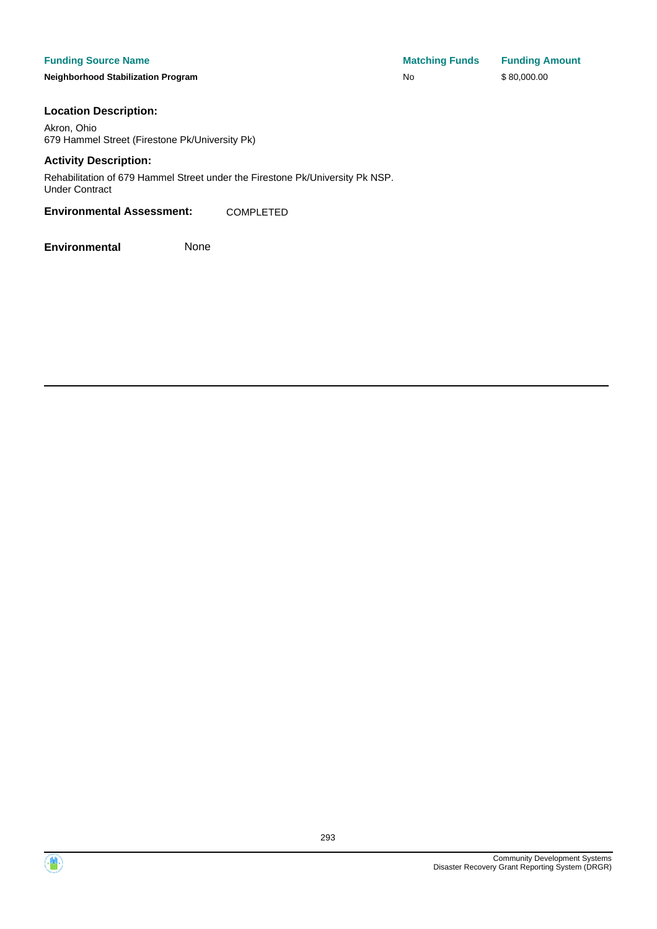#### **Funding Source Name**

**Neighborhood Stabilization Program** 

| <b>Matching Funds</b> | <b>Funding Amount</b> |
|-----------------------|-----------------------|
| No                    | \$80,000.00           |

#### **Location Description:**

Akron, Ohio 679 Hammel Street (Firestone Pk/University Pk)

#### **Activity Description:**

Rehabilitation of 679 Hammel Street under the Firestone Pk/University Pk NSP. Under Contract

#### **Environmental Assessment:** COMPLETED



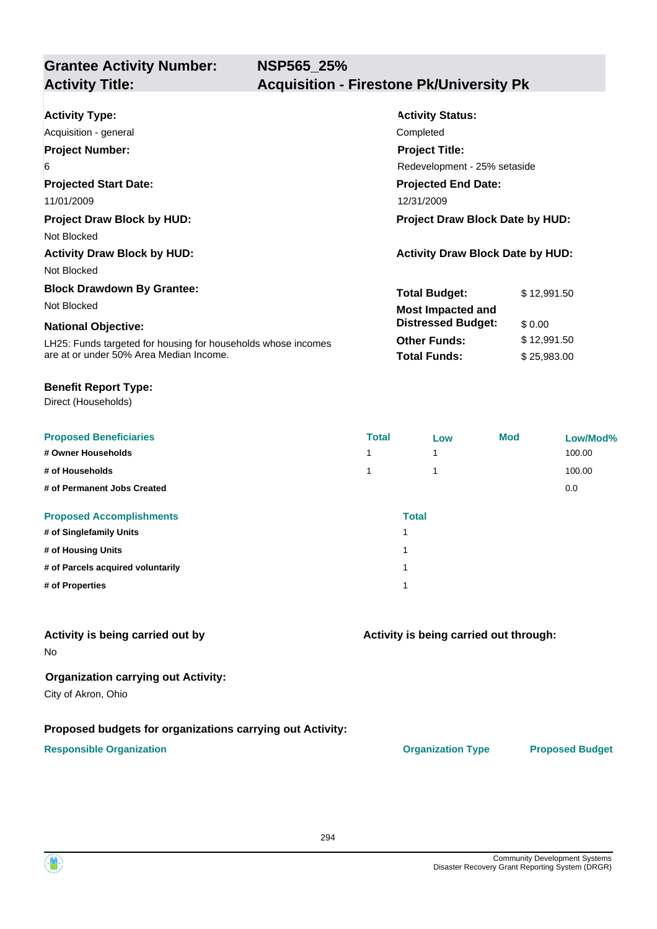| <b>Activity Type:</b>                                         | <b>Activity Status:</b>                 |             |  |
|---------------------------------------------------------------|-----------------------------------------|-------------|--|
| Acquisition - general                                         | Completed                               |             |  |
| <b>Project Number:</b>                                        | <b>Project Title:</b>                   |             |  |
| 6                                                             | Redevelopment - 25% setaside            |             |  |
| <b>Projected Start Date:</b>                                  | <b>Projected End Date:</b>              |             |  |
| 11/01/2009                                                    | 12/31/2009                              |             |  |
| <b>Project Draw Block by HUD:</b>                             | Project Draw Block Date by HUD:         |             |  |
| Not Blocked                                                   |                                         |             |  |
| <b>Activity Draw Block by HUD:</b>                            | <b>Activity Draw Block Date by HUD:</b> |             |  |
| Not Blocked                                                   |                                         |             |  |
| <b>Block Drawdown By Grantee:</b>                             | <b>Total Budget:</b>                    | \$12,991.50 |  |
| Not Blocked                                                   | <b>Most Impacted and</b>                |             |  |
| <b>National Objective:</b>                                    | <b>Distressed Budget:</b>               | \$0.00      |  |
| LH25: Funds targeted for housing for households whose incomes | <b>Other Funds:</b>                     | \$12,991.50 |  |
| are at or under 50% Area Median Income.                       | <b>Total Funds:</b>                     | \$25,983.00 |  |

#### **Benefit Report Type:**

Direct (Households)

| <b>Proposed Beneficiaries</b>     | <b>Total</b>             | Low | <b>Mod</b> | Low/Mod% |
|-----------------------------------|--------------------------|-----|------------|----------|
| # Owner Households                | $\overline{\phantom{a}}$ |     |            | 100.00   |
| # of Households                   |                          |     |            | 100.00   |
| # of Permanent Jobs Created       |                          |     |            | 0.0      |
| <b>Proposed Accomplishments</b>   | <b>Total</b>             |     |            |          |
| # of Singlefamily Units           | 4                        |     |            |          |
| # of Housing Units                | 4                        |     |            |          |
| # of Parcels acquired voluntarily | 4                        |     |            |          |
| # of Properties                   | ۸                        |     |            |          |

#### **Activity is being carried out by**

No

#### **Organization carrying out Activity:**

City of Akron, Ohio

#### **Proposed budgets for organizations carrying out Activity:**

#### **Responsible Organization CONSERVIRGHT ACCORDING THE CONSERVIRGHT ORGANIZATION Type Proposed Budget**

**Activity is being carried out through:**

294

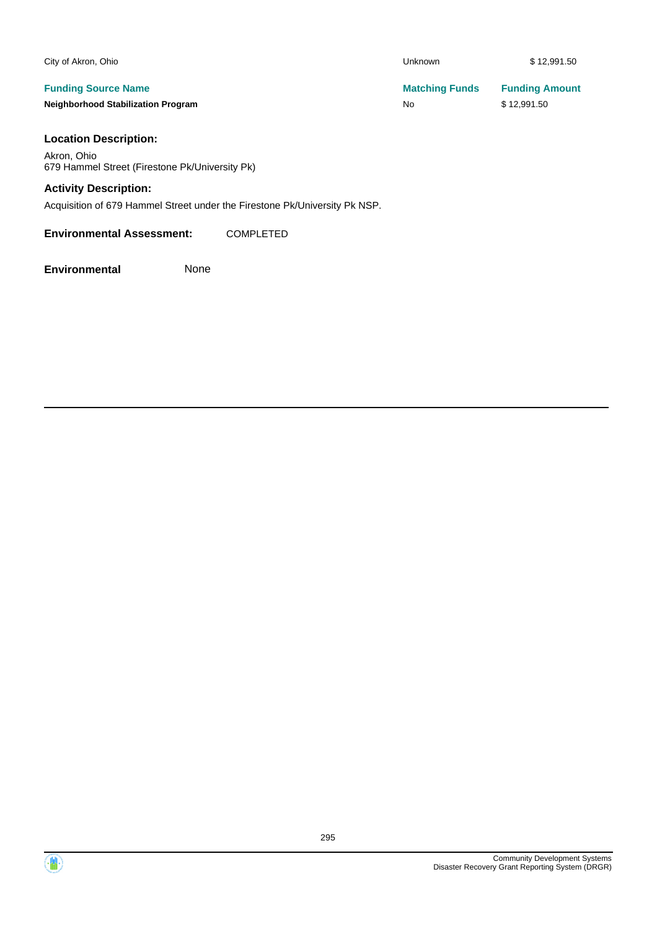| City of Akron, Ohio                                                     | <b>Unknown</b>              |  |
|-------------------------------------------------------------------------|-----------------------------|--|
| <b>Funding Source Name</b><br><b>Neighborhood Stabilization Program</b> | <b>Matching Funds</b><br>No |  |
| <b>Location Description:</b>                                            |                             |  |

Akron, Ohio 679 Hammel Street (Firestone Pk/University Pk)

### **Activity Description:**

Acquisition of 679 Hammel Street under the Firestone Pk/University Pk NSP.

**Environmental Assessment:** COMPLETED

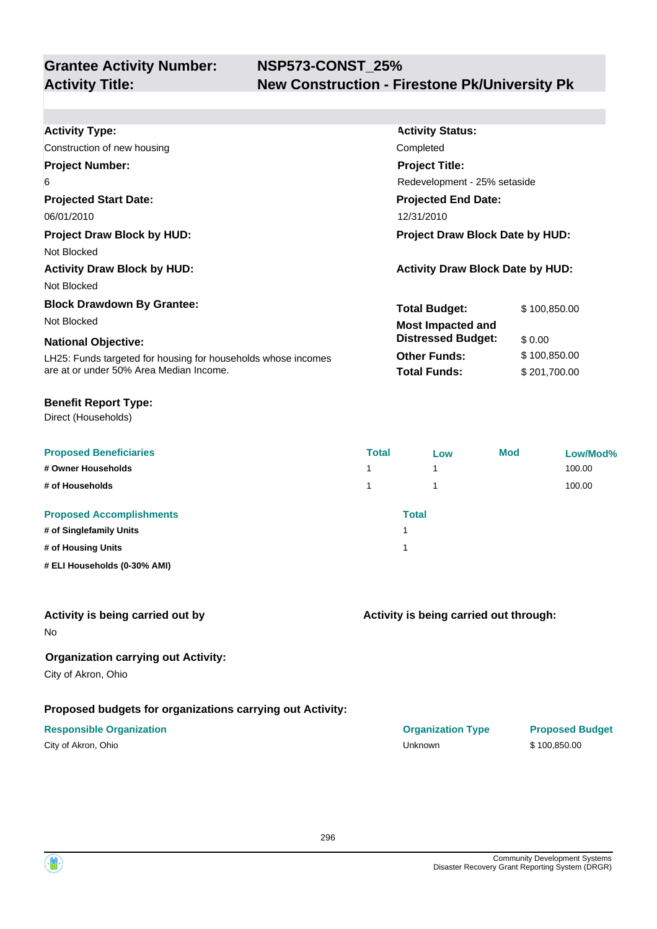| <b>Activity Type:</b>                                         | <b>Activity Status:</b>                 |              |  |  |
|---------------------------------------------------------------|-----------------------------------------|--------------|--|--|
| Construction of new housing                                   | Completed                               |              |  |  |
| <b>Project Number:</b>                                        | <b>Project Title:</b>                   |              |  |  |
| 6                                                             | Redevelopment - 25% setaside            |              |  |  |
| <b>Projected Start Date:</b>                                  | <b>Projected End Date:</b>              |              |  |  |
| 06/01/2010                                                    | 12/31/2010                              |              |  |  |
| <b>Project Draw Block by HUD:</b>                             | <b>Project Draw Block Date by HUD:</b>  |              |  |  |
| Not Blocked                                                   |                                         |              |  |  |
| <b>Activity Draw Block by HUD:</b>                            | <b>Activity Draw Block Date by HUD:</b> |              |  |  |
| Not Blocked                                                   |                                         |              |  |  |
| <b>Block Drawdown By Grantee:</b>                             | <b>Total Budget:</b>                    | \$100,850.00 |  |  |
| Not Blocked                                                   | <b>Most Impacted and</b>                |              |  |  |
| <b>National Objective:</b>                                    | <b>Distressed Budget:</b>               | \$0.00       |  |  |
| LH25: Funds targeted for housing for households whose incomes | <b>Other Funds:</b>                     | \$100,850.00 |  |  |
| are at or under 50% Area Median Income.                       | <b>Total Funds:</b>                     | \$201,700.00 |  |  |
|                                                               |                                         |              |  |  |

#### **Benefit Report Type:**

Direct (Households)

| <b>Proposed Beneficiaries</b><br># Owner Households | <b>Total</b><br>1 | Low<br>1 | Mod | Low/Mod%<br>100.00 |
|-----------------------------------------------------|-------------------|----------|-----|--------------------|
|                                                     |                   |          |     |                    |
| # of Households                                     | 1                 |          |     | 100.00             |
| <b>Proposed Accomplishments</b>                     |                   | Total    |     |                    |
| # of Singlefamily Units                             |                   |          |     |                    |
| # of Housing Units                                  |                   |          |     |                    |
| # ELI Households (0-30% AMI)                        |                   |          |     |                    |

#### **Activity is being carried out by**

No

#### **Organization carrying out Activity:**

City of Akron, Ohio

#### **Proposed budgets for organizations carrying out Activity:**

#### **Responsible Organization CONSERVIRGHT ACCORDING THE CONSERVIRGHT ORGANIZATION Type Proposed Budget**

**Activity is being carried out through:**

City of Akron, Ohio \$ 100,850.00

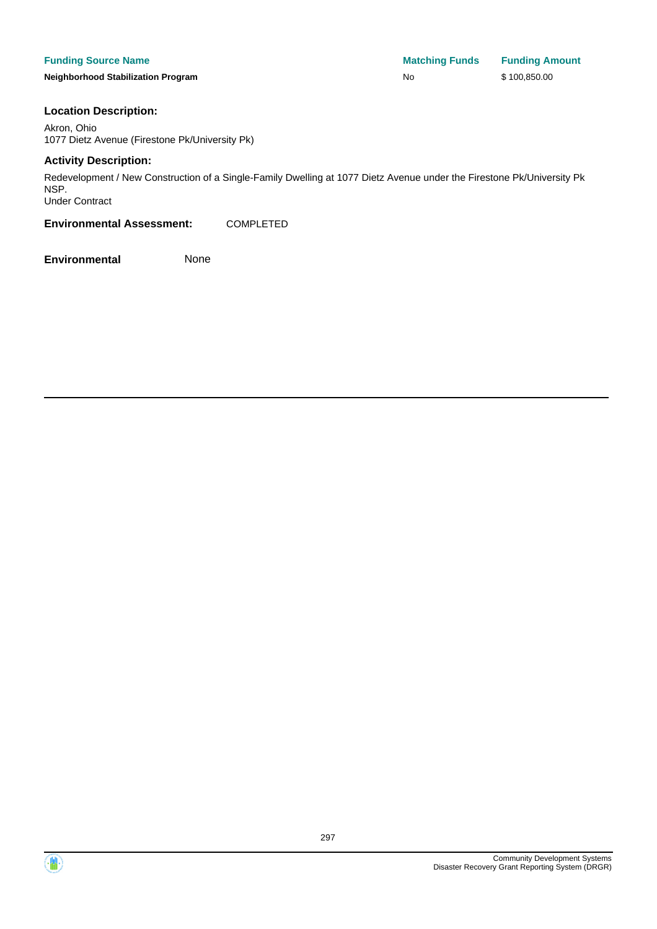#### **Funding Source Name**

**Neighborhood Stabilization Program** 

| <b>Matching Funds</b> | <b>Funding Amount</b> |
|-----------------------|-----------------------|
| No                    | \$100,850.00          |

#### **Location Description:**

Akron, Ohio 1077 Dietz Avenue (Firestone Pk/University Pk)

#### **Activity Description:**

Redevelopment / New Construction of a Single-Family Dwelling at 1077 Dietz Avenue under the Firestone Pk/University Pk NSP. Under Contract

**Environmental Assessment:** COMPLETED





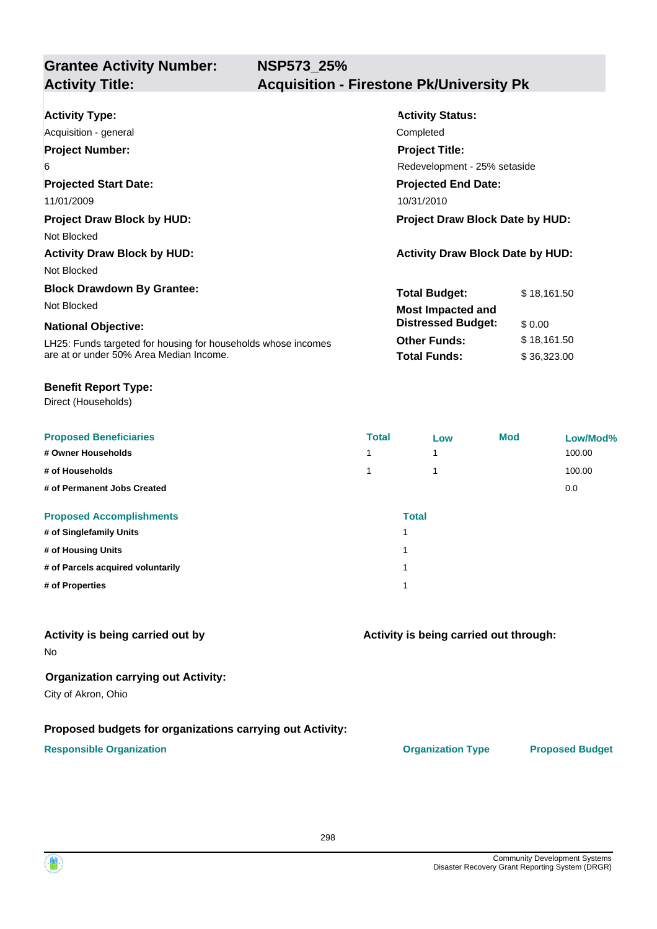| <b>Activity Type:</b>                                         | <b>Activity Status:</b>                 |             |  |
|---------------------------------------------------------------|-----------------------------------------|-------------|--|
| Acquisition - general                                         | Completed                               |             |  |
| <b>Project Number:</b>                                        | <b>Project Title:</b>                   |             |  |
| 6                                                             | Redevelopment - 25% setaside            |             |  |
| <b>Projected Start Date:</b>                                  | <b>Projected End Date:</b>              |             |  |
| 11/01/2009                                                    | 10/31/2010                              |             |  |
| <b>Project Draw Block by HUD:</b>                             | Project Draw Block Date by HUD:         |             |  |
| Not Blocked                                                   |                                         |             |  |
| <b>Activity Draw Block by HUD:</b>                            | <b>Activity Draw Block Date by HUD:</b> |             |  |
| Not Blocked                                                   |                                         |             |  |
| <b>Block Drawdown By Grantee:</b>                             | <b>Total Budget:</b>                    | \$18,161.50 |  |
| Not Blocked                                                   | <b>Most Impacted and</b>                |             |  |
| <b>National Objective:</b>                                    | <b>Distressed Budget:</b>               | \$0.00      |  |
| LH25: Funds targeted for housing for households whose incomes | <b>Other Funds:</b>                     | \$18,161.50 |  |
| are at or under 50% Area Median Income.                       | <b>Total Funds:</b>                     | \$36,323.00 |  |

#### **Benefit Report Type:**

Direct (Households)

| <b>Proposed Beneficiaries</b>     | <b>Total</b>             | Low          | <b>Mod</b> | Low/Mod% |
|-----------------------------------|--------------------------|--------------|------------|----------|
| # Owner Households                | $\overline{\phantom{a}}$ |              |            | 100.00   |
| # of Households                   |                          |              |            | 100.00   |
| # of Permanent Jobs Created       |                          |              |            | 0.0      |
| <b>Proposed Accomplishments</b>   |                          | <b>Total</b> |            |          |
| # of Singlefamily Units           | и                        |              |            |          |
| # of Housing Units                | 4                        |              |            |          |
| # of Parcels acquired voluntarily | 4                        |              |            |          |
| # of Properties                   | и                        |              |            |          |

#### **Activity is being carried out by**

No

#### **Organization carrying out Activity:**

City of Akron, Ohio

#### **Proposed budgets for organizations carrying out Activity:**

#### **Responsible Organization CONSERVIRGHT ACCORDING THE CONSERVIRGHT ORGANIZATION Type Proposed Budget**

**Activity is being carried out through:**

298

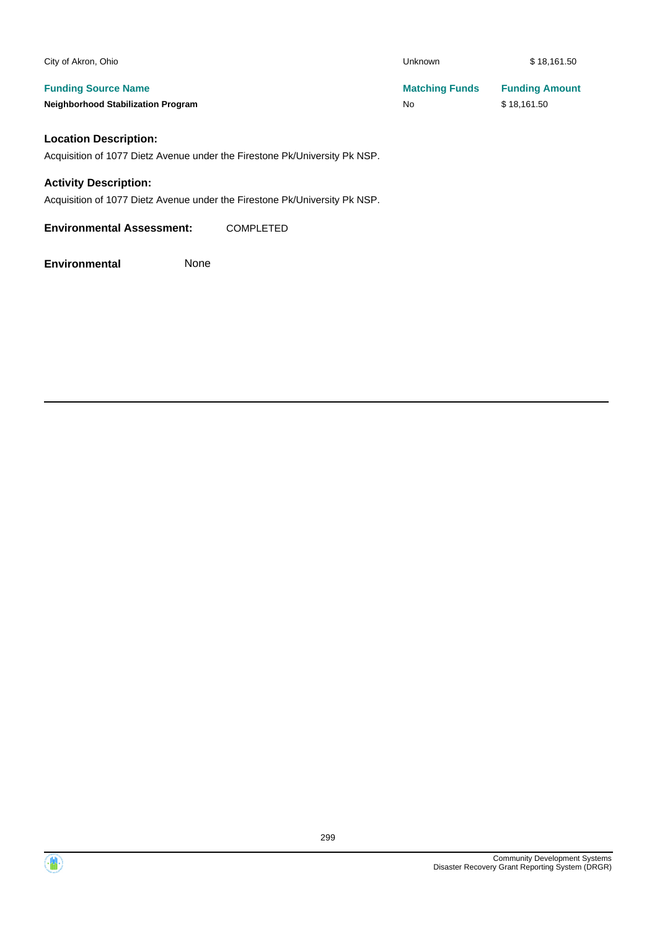| City of Akron, Ohio                       | <b>Unknown</b>        | \$18,161.50           |
|-------------------------------------------|-----------------------|-----------------------|
| <b>Funding Source Name</b>                | <b>Matching Funds</b> | <b>Funding Amount</b> |
| <b>Neighborhood Stabilization Program</b> | No                    | \$18,161.50           |
| <b>Location Description:</b>              |                       |                       |

#### **Location Description:**

Acquisition of 1077 Dietz Avenue under the Firestone Pk/University Pk NSP.

#### **Activity Description:**

Acquisition of 1077 Dietz Avenue under the Firestone Pk/University Pk NSP.

**Environmental Assessment:** COMPLETED

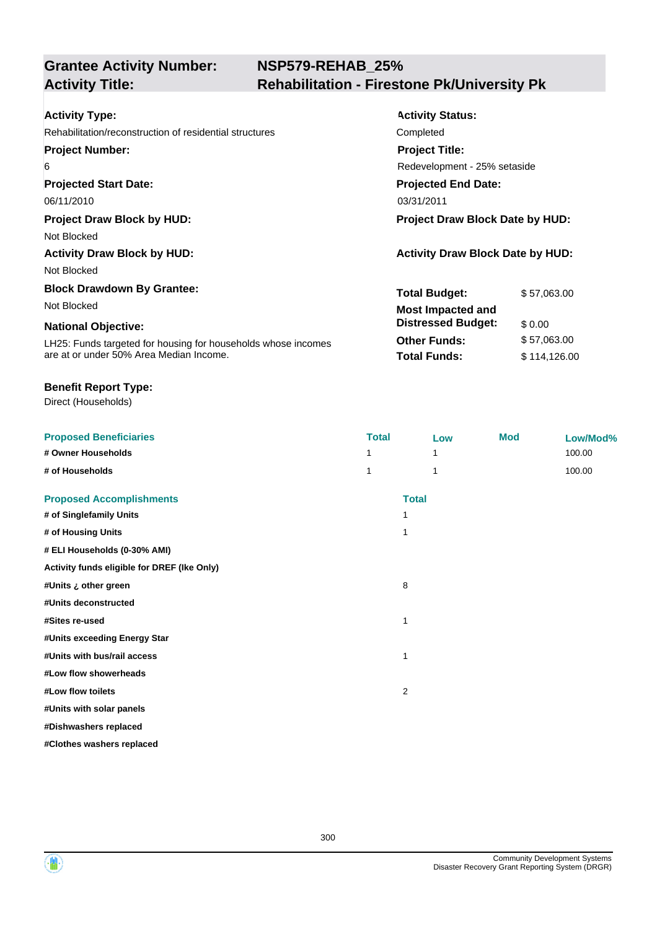## **NSP579-REHAB\_25% Activity Title: Rehabilitation - Firestone Pk/University Pk**

| <b>Activity Type:</b>                                         | <b>Activity Status:</b>                 |              |  |
|---------------------------------------------------------------|-----------------------------------------|--------------|--|
| Rehabilitation/reconstruction of residential structures       | Completed                               |              |  |
| <b>Project Number:</b>                                        | <b>Project Title:</b>                   |              |  |
| 6                                                             | Redevelopment - 25% setaside            |              |  |
| <b>Projected Start Date:</b>                                  | <b>Projected End Date:</b>              |              |  |
| 06/11/2010                                                    | 03/31/2011                              |              |  |
| <b>Project Draw Block by HUD:</b>                             | <b>Project Draw Block Date by HUD:</b>  |              |  |
| Not Blocked                                                   |                                         |              |  |
| <b>Activity Draw Block by HUD:</b>                            | <b>Activity Draw Block Date by HUD:</b> |              |  |
| Not Blocked                                                   |                                         |              |  |
| <b>Block Drawdown By Grantee:</b>                             | <b>Total Budget:</b>                    | \$57,063.00  |  |
| Not Blocked                                                   | <b>Most Impacted and</b>                |              |  |
| <b>National Objective:</b>                                    | <b>Distressed Budget:</b>               | \$0.00       |  |
| LH25: Funds targeted for housing for households whose incomes | <b>Other Funds:</b>                     | \$57,063.00  |  |
| are at or under 50% Area Median Income.                       | <b>Total Funds:</b>                     | \$114,126.00 |  |

#### **Benefit Report Type:**

Direct (Households)

| <b>Proposed Beneficiaries</b>               | <b>Total</b>   | Low          | <b>Mod</b> | Low/Mod% |
|---------------------------------------------|----------------|--------------|------------|----------|
| # Owner Households                          | 1              | 1            |            | 100.00   |
| # of Households                             | 1              | 1            |            | 100.00   |
| <b>Proposed Accomplishments</b>             |                | <b>Total</b> |            |          |
| # of Singlefamily Units                     | 1              |              |            |          |
| # of Housing Units                          | 1              |              |            |          |
| # ELI Households (0-30% AMI)                |                |              |            |          |
| Activity funds eligible for DREF (Ike Only) |                |              |            |          |
| #Units ¿ other green                        | 8              |              |            |          |
| #Units deconstructed                        |                |              |            |          |
| #Sites re-used                              | 1              |              |            |          |
| #Units exceeding Energy Star                |                |              |            |          |
| #Units with bus/rail access                 | $\mathbf 1$    |              |            |          |
| #Low flow showerheads                       |                |              |            |          |
| #Low flow toilets                           | $\overline{2}$ |              |            |          |
| #Units with solar panels                    |                |              |            |          |
| #Dishwashers replaced                       |                |              |            |          |
| #Clothes washers replaced                   |                |              |            |          |

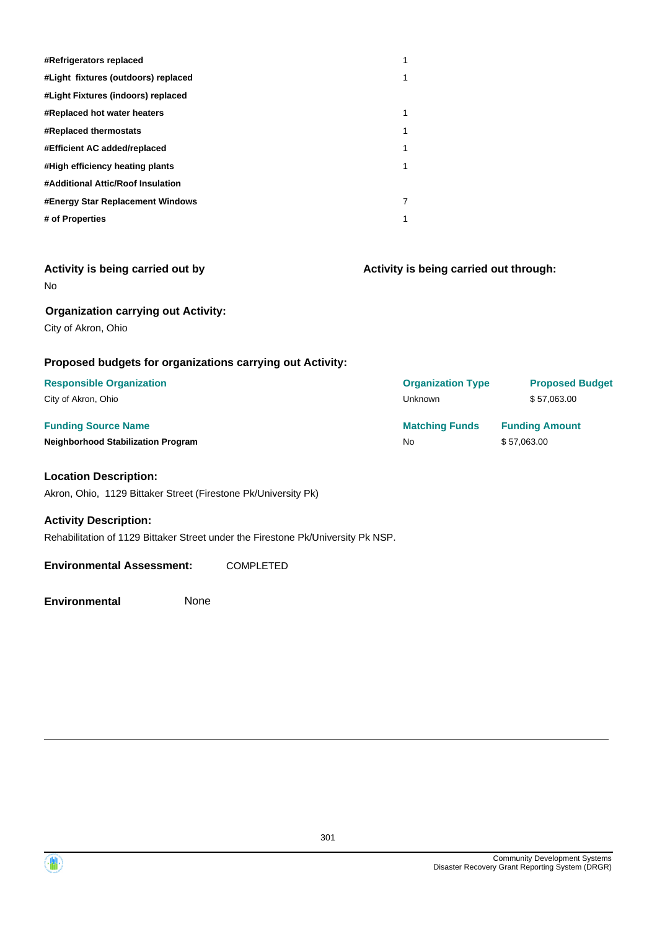| #Refrigerators replaced             |   |
|-------------------------------------|---|
| #Light fixtures (outdoors) replaced | 1 |
| #Light Fixtures (indoors) replaced  |   |
| #Replaced hot water heaters         | 1 |
| #Replaced thermostats               | 1 |
| #Efficient AC added/replaced        | 1 |
| #High efficiency heating plants     | 1 |
| #Additional Attic/Roof Insulation   |   |
| #Energy Star Replacement Windows    | 7 |
| # of Properties                     | 1 |

| Activity is being carried out by           |
|--------------------------------------------|
| N٥                                         |
| <b>Organization carrying out Activity:</b> |

**Activity is being carried out through:**

City of Akron, Ohio

#### **Proposed budgets for organizations carrying out Activity:**

| <b>Responsible Organization</b>           | <b>Organization Type</b> | <b>Proposed Budget</b> |
|-------------------------------------------|--------------------------|------------------------|
| City of Akron, Ohio                       | Unknown                  | \$57,063.00            |
| <b>Funding Source Name</b>                | <b>Matching Funds</b>    | <b>Funding Amount</b>  |
| <b>Neighborhood Stabilization Program</b> | No.                      | \$57,063.00            |

#### **Location Description:**

Akron, Ohio, 1129 Bittaker Street (Firestone Pk/University Pk)

#### **Activity Description:**

Rehabilitation of 1129 Bittaker Street under the Firestone Pk/University Pk NSP.

#### **Environmental Assessment:** COMPLETED



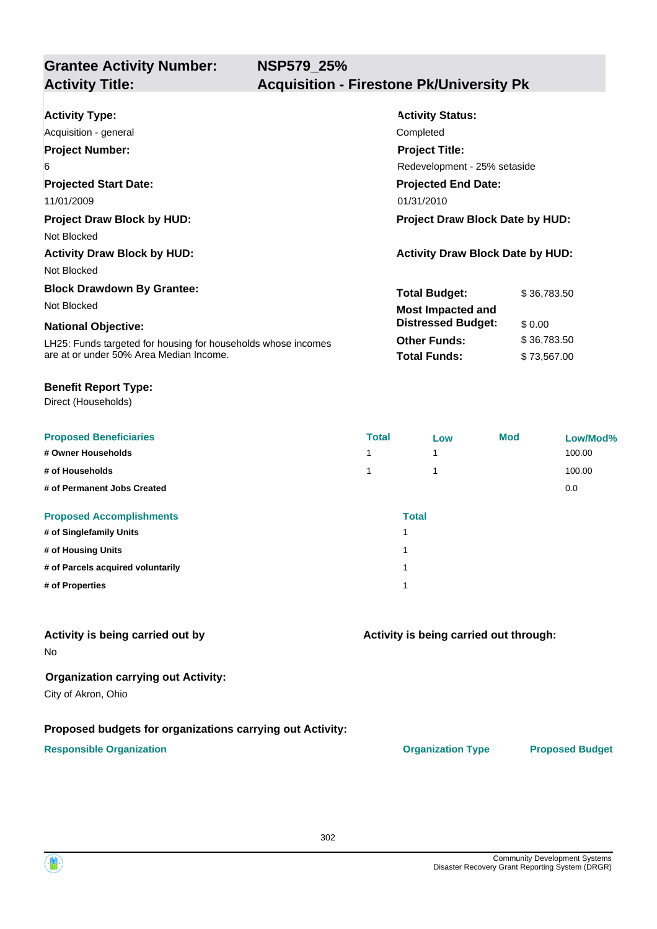| <b>Activity Type:</b>                                         | <b>Activity Status:</b>                 |             |  |
|---------------------------------------------------------------|-----------------------------------------|-------------|--|
| Acquisition - general                                         | Completed                               |             |  |
| <b>Project Number:</b>                                        | <b>Project Title:</b>                   |             |  |
| 6                                                             | Redevelopment - 25% setaside            |             |  |
| <b>Projected Start Date:</b>                                  | <b>Projected End Date:</b>              |             |  |
| 11/01/2009                                                    | 01/31/2010                              |             |  |
| <b>Project Draw Block by HUD:</b>                             | Project Draw Block Date by HUD:         |             |  |
| Not Blocked                                                   |                                         |             |  |
| <b>Activity Draw Block by HUD:</b>                            | <b>Activity Draw Block Date by HUD:</b> |             |  |
| Not Blocked                                                   |                                         |             |  |
| <b>Block Drawdown By Grantee:</b>                             | <b>Total Budget:</b>                    | \$36,783.50 |  |
| Not Blocked                                                   | <b>Most Impacted and</b>                |             |  |
| <b>National Objective:</b>                                    | <b>Distressed Budget:</b>               | \$0.00      |  |
| LH25: Funds targeted for housing for households whose incomes | <b>Other Funds:</b>                     | \$36,783.50 |  |
| are at or under 50% Area Median Income.                       | <b>Total Funds:</b>                     | \$73,567.00 |  |

#### **Benefit Report Type:**

Direct (Households)

| <b>Proposed Beneficiaries</b>     | <b>Total</b>             | Low          | <b>Mod</b> | Low/Mod% |
|-----------------------------------|--------------------------|--------------|------------|----------|
| # Owner Households                | $\overline{\phantom{a}}$ |              |            | 100.00   |
| # of Households                   |                          |              |            | 100.00   |
| # of Permanent Jobs Created       |                          |              |            | 0.0      |
| <b>Proposed Accomplishments</b>   |                          | <b>Total</b> |            |          |
| # of Singlefamily Units           | и                        |              |            |          |
| # of Housing Units                | 4                        |              |            |          |
| # of Parcels acquired voluntarily | 4                        |              |            |          |
| # of Properties                   | и                        |              |            |          |

#### **Activity is being carried out by**

No

#### **Organization carrying out Activity:**

City of Akron, Ohio

#### **Proposed budgets for organizations carrying out Activity:**

#### **Responsible Organization CONSERVIRGHT ACCORDING THE CONSERVIRGHT ORGANIZATION Type Proposed Budget**

**Activity is being carried out through:**

302

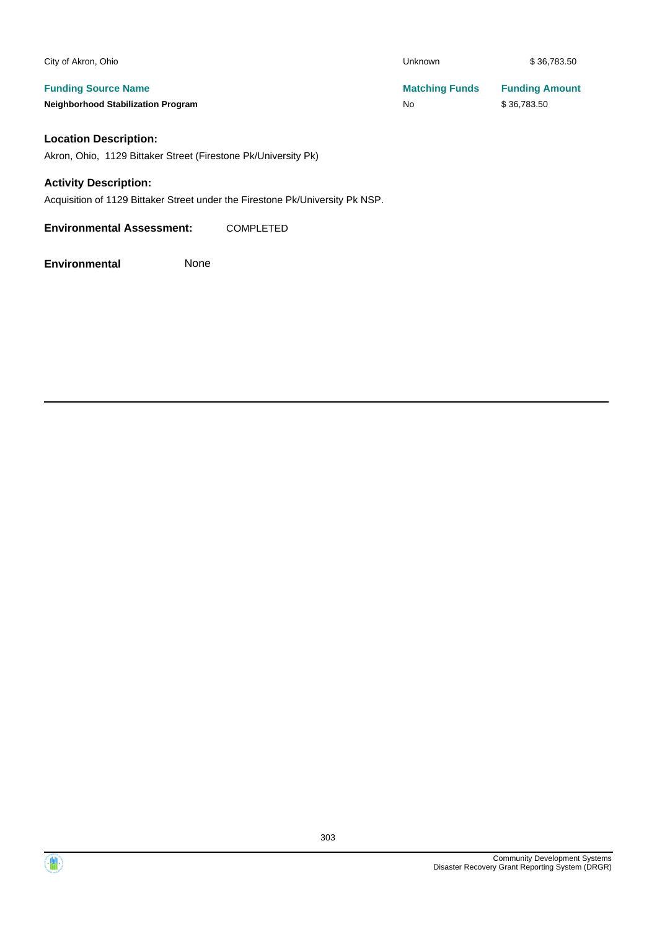| City of Akron, Ohio                       | Unknown               | \$36,783.50           |
|-------------------------------------------|-----------------------|-----------------------|
| <b>Funding Source Name</b>                | <b>Matching Funds</b> | <b>Funding Amount</b> |
| <b>Neighborhood Stabilization Program</b> | No                    | \$36,783.50           |
|                                           |                       |                       |

### **Location Description:**

Akron, Ohio, 1129 Bittaker Street (Firestone Pk/University Pk)

#### **Activity Description:**

Acquisition of 1129 Bittaker Street under the Firestone Pk/University Pk NSP.

**Environmental Assessment:** COMPLETED

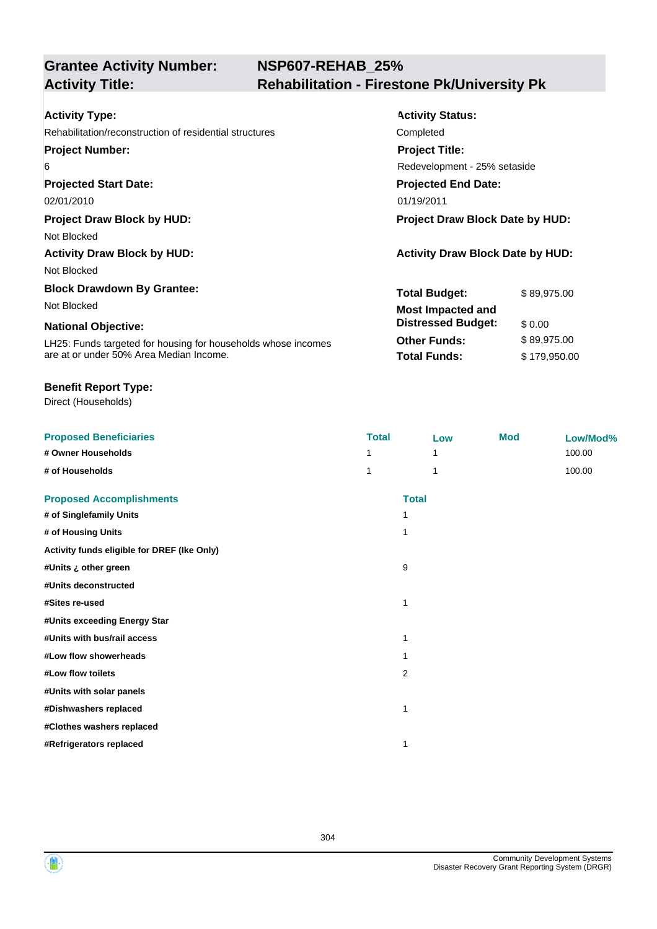## **NSP607-REHAB\_25% Activity Title: Rehabilitation - Firestone Pk/University Pk**

| <b>Activity Type:</b>                                         | <b>Activity Status:</b>                 |              |  |
|---------------------------------------------------------------|-----------------------------------------|--------------|--|
| Rehabilitation/reconstruction of residential structures       | Completed                               |              |  |
| <b>Project Number:</b>                                        | <b>Project Title:</b>                   |              |  |
| 6                                                             | Redevelopment - 25% setaside            |              |  |
| <b>Projected Start Date:</b>                                  | <b>Projected End Date:</b>              |              |  |
| 02/01/2010                                                    | 01/19/2011                              |              |  |
| <b>Project Draw Block by HUD:</b>                             | Project Draw Block Date by HUD:         |              |  |
| Not Blocked                                                   |                                         |              |  |
| <b>Activity Draw Block by HUD:</b>                            | <b>Activity Draw Block Date by HUD:</b> |              |  |
| Not Blocked                                                   |                                         |              |  |
| <b>Block Drawdown By Grantee:</b>                             | <b>Total Budget:</b>                    | \$89,975.00  |  |
| Not Blocked                                                   | <b>Most Impacted and</b>                |              |  |
| <b>National Objective:</b>                                    | <b>Distressed Budget:</b>               | \$0.00       |  |
| LH25: Funds targeted for housing for households whose incomes | <b>Other Funds:</b>                     | \$89,975.00  |  |
| are at or under 50% Area Median Income.                       | <b>Total Funds:</b>                     | \$179,950.00 |  |

#### **Benefit Report Type:**

Direct (Households)

| <b>Proposed Beneficiaries</b>               | <b>Total</b> | Low          | <b>Mod</b> | Low/Mod% |
|---------------------------------------------|--------------|--------------|------------|----------|
| # Owner Households                          |              | 1            |            | 100.00   |
| # of Households                             | 1            | 1            |            | 100.00   |
| <b>Proposed Accomplishments</b>             |              | <b>Total</b> |            |          |
| # of Singlefamily Units                     | 1            |              |            |          |
| # of Housing Units                          | 1            |              |            |          |
| Activity funds eligible for DREF (Ike Only) |              |              |            |          |
| #Units ¿ other green                        | 9            |              |            |          |
| #Units deconstructed                        |              |              |            |          |
| #Sites re-used                              | 1            |              |            |          |
| #Units exceeding Energy Star                |              |              |            |          |
| #Units with bus/rail access                 | 1            |              |            |          |
| #Low flow showerheads                       | 1            |              |            |          |
| #Low flow toilets                           | 2            |              |            |          |
| #Units with solar panels                    |              |              |            |          |
| #Dishwashers replaced                       | 1            |              |            |          |
| #Clothes washers replaced                   |              |              |            |          |
| #Refrigerators replaced                     | 1            |              |            |          |

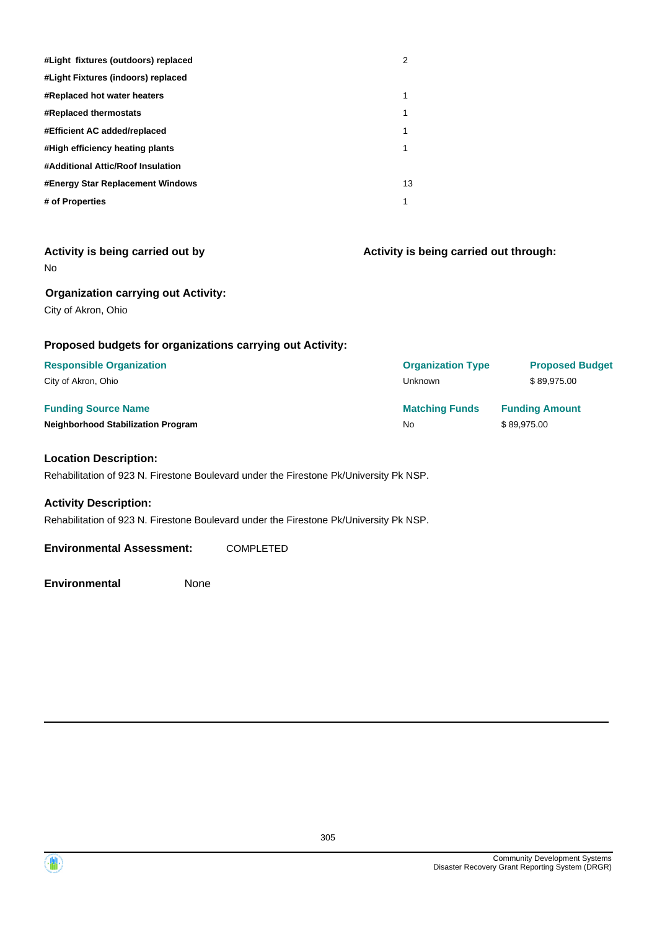| #Light fixtures (outdoors) replaced | 2  |
|-------------------------------------|----|
| #Light Fixtures (indoors) replaced  |    |
| #Replaced hot water heaters         | 1  |
| <b>#Replaced thermostats</b>        | 1  |
| #Efficient AC added/replaced        | 1  |
| #High efficiency heating plants     | 1  |
| #Additional Attic/Roof Insulation   |    |
| #Energy Star Replacement Windows    | 13 |
| # of Properties                     | 1  |

| Activity is being carried out by<br>No.                           | Activity is being carried out through: |                        |  |
|-------------------------------------------------------------------|----------------------------------------|------------------------|--|
| <b>Organization carrying out Activity:</b><br>City of Akron, Ohio |                                        |                        |  |
| Proposed budgets for organizations carrying out Activity:         |                                        |                        |  |
| <b>Responsible Organization</b>                                   | <b>Organization Type</b>               | <b>Proposed Budget</b> |  |
| City of Akron, Ohio                                               | Unknown                                | \$89,975.00            |  |
| <b>Funding Source Name</b>                                        | <b>Matching Funds</b>                  | <b>Funding Amount</b>  |  |
| <b>Neighborhood Stabilization Program</b>                         | <b>No</b>                              | \$89,975.00            |  |
| <b>Location Description:</b>                                      |                                        |                        |  |

Rehabilitation of 923 N. Firestone Boulevard under the Firestone Pk/University Pk NSP.

#### **Activity Description:**

Rehabilitation of 923 N. Firestone Boulevard under the Firestone Pk/University Pk NSP.

**Environmental Assessment:** COMPLETED

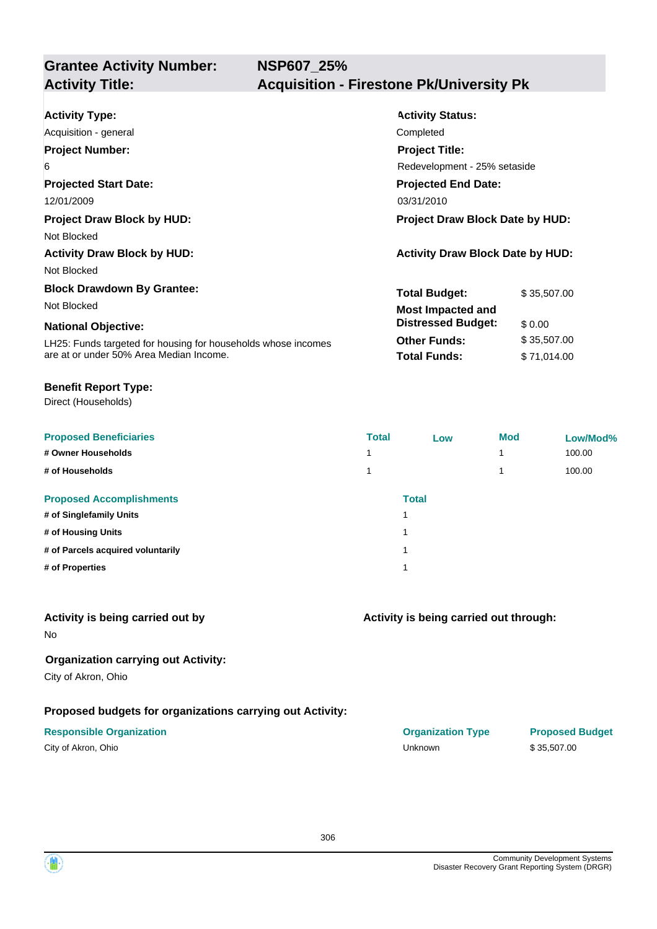| <b>Activity Type:</b>                                         | <b>Activity Status:</b>                 |             |  |
|---------------------------------------------------------------|-----------------------------------------|-------------|--|
| Acquisition - general                                         | Completed                               |             |  |
| <b>Project Number:</b>                                        | <b>Project Title:</b>                   |             |  |
| 6                                                             | Redevelopment - 25% setaside            |             |  |
| <b>Projected Start Date:</b>                                  | <b>Projected End Date:</b>              |             |  |
| 12/01/2009                                                    | 03/31/2010                              |             |  |
| <b>Project Draw Block by HUD:</b>                             | <b>Project Draw Block Date by HUD:</b>  |             |  |
| Not Blocked                                                   |                                         |             |  |
| <b>Activity Draw Block by HUD:</b>                            | <b>Activity Draw Block Date by HUD:</b> |             |  |
| Not Blocked                                                   |                                         |             |  |
| <b>Block Drawdown By Grantee:</b>                             | <b>Total Budget:</b>                    | \$35,507.00 |  |
| Not Blocked                                                   | <b>Most Impacted and</b>                |             |  |
| <b>National Objective:</b>                                    | <b>Distressed Budget:</b>               | \$0.00      |  |
| LH25: Funds targeted for housing for households whose incomes | <b>Other Funds:</b>                     | \$35,507.00 |  |
| are at or under 50% Area Median Income.                       | <b>Total Funds:</b>                     | \$71,014.00 |  |

#### **Benefit Report Type:**

Direct (Households)

| <b>Proposed Beneficiaries</b>     | <b>Total</b> | Low          | <b>Mod</b> | Low/Mod% |
|-----------------------------------|--------------|--------------|------------|----------|
| # Owner Households                |              |              | 4          | 100.00   |
| # of Households                   |              |              | 4          | 100.00   |
| <b>Proposed Accomplishments</b>   |              | <b>Total</b> |            |          |
| # of Singlefamily Units           |              |              |            |          |
| # of Housing Units                |              |              |            |          |
| # of Parcels acquired voluntarily |              |              |            |          |
| # of Properties                   |              |              |            |          |
|                                   |              |              |            |          |

#### **Activity is being carried out by**

No

### **Organization carrying out Activity:**

City of Akron, Ohio

### **Proposed budgets for organizations carrying out Activity:**

| City of Akron, Ohio |  |
|---------------------|--|
|---------------------|--|

**Activity is being carried out through:**

| <b>Responsible Organization</b> | <b>Organization Type</b> | <b>Proposed Budget</b> |
|---------------------------------|--------------------------|------------------------|
| City of Akron, Ohio             | Unknown                  | \$35.507.00            |

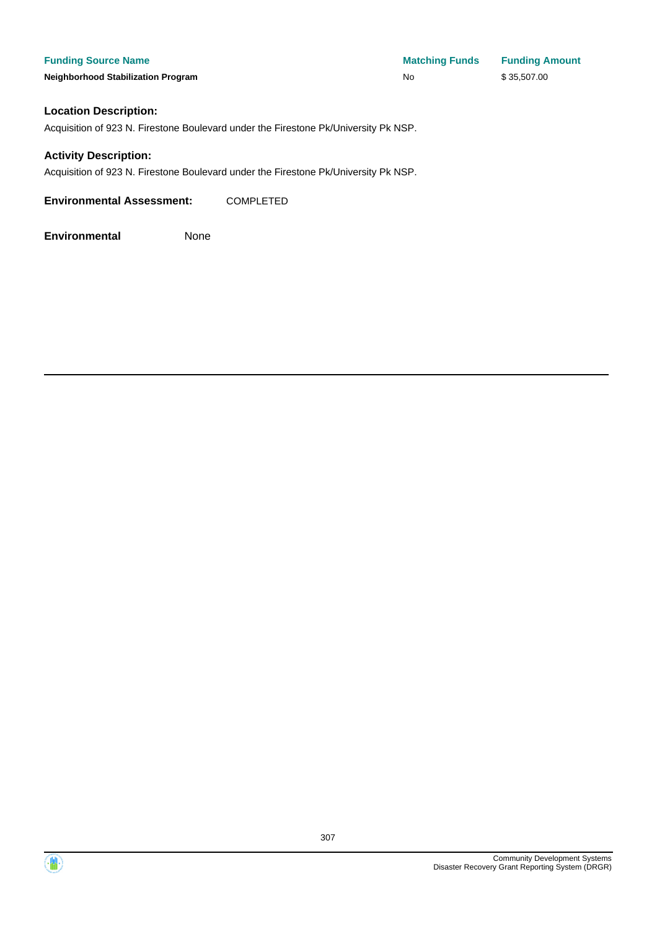#### **Location Description:**

Acquisition of 923 N. Firestone Boulevard under the Firestone Pk/University Pk NSP.

#### **Activity Description:**

Acquisition of 923 N. Firestone Boulevard under the Firestone Pk/University Pk NSP.

**Environmental Assessment:** COMPLETED

**Environmental** None



 $\langle \mathbf{w} \rangle$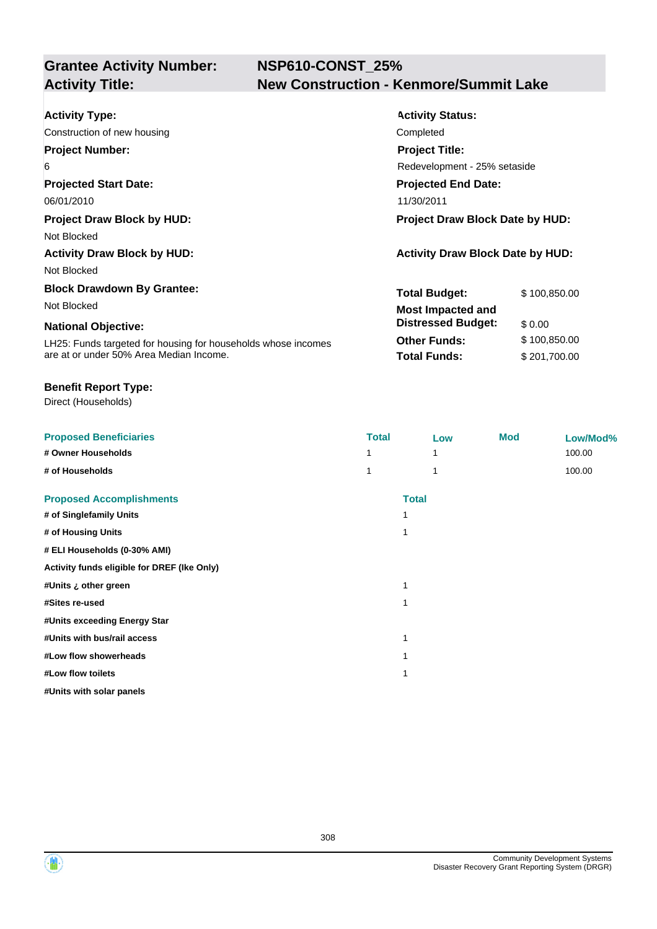## **NSP610-CONST\_25% Activity Title: New Construction - Kenmore/Summit Lake**

| <b>Activity Type:</b>                                         | <b>Activity Status:</b>                 |              |  |
|---------------------------------------------------------------|-----------------------------------------|--------------|--|
| Construction of new housing                                   | Completed                               |              |  |
| <b>Project Number:</b>                                        | <b>Project Title:</b>                   |              |  |
| 6                                                             | Redevelopment - 25% setaside            |              |  |
| <b>Projected Start Date:</b>                                  | <b>Projected End Date:</b>              |              |  |
| 06/01/2010                                                    | 11/30/2011                              |              |  |
| <b>Project Draw Block by HUD:</b>                             | Project Draw Block Date by HUD:         |              |  |
| Not Blocked                                                   |                                         |              |  |
| <b>Activity Draw Block by HUD:</b>                            | <b>Activity Draw Block Date by HUD:</b> |              |  |
| Not Blocked                                                   |                                         |              |  |
| <b>Block Drawdown By Grantee:</b>                             | <b>Total Budget:</b>                    | \$100,850.00 |  |
| Not Blocked                                                   | <b>Most Impacted and</b>                |              |  |
| <b>National Objective:</b>                                    | <b>Distressed Budget:</b>               | \$0.00       |  |
| LH25: Funds targeted for housing for households whose incomes | <b>Other Funds:</b>                     | \$100,850.00 |  |
| are at or under 50% Area Median Income.                       | <b>Total Funds:</b>                     | \$201,700.00 |  |

#### **Benefit Report Type:**

Direct (Households)

| <b>Proposed Beneficiaries</b>               | <b>Total</b> | Low          | <b>Mod</b> | Low/Mod% |
|---------------------------------------------|--------------|--------------|------------|----------|
| # Owner Households                          |              |              |            | 100.00   |
| # of Households                             |              | 1            |            | 100.00   |
| <b>Proposed Accomplishments</b>             |              | <b>Total</b> |            |          |
| # of Singlefamily Units                     | 1            |              |            |          |
| # of Housing Units                          | 1            |              |            |          |
| # ELI Households (0-30% AMI)                |              |              |            |          |
| Activity funds eligible for DREF (Ike Only) |              |              |            |          |
| #Units ¿ other green                        | 1            |              |            |          |
| #Sites re-used                              | 1            |              |            |          |
| #Units exceeding Energy Star                |              |              |            |          |
| #Units with bus/rail access                 | 1            |              |            |          |
| #Low flow showerheads                       | 1            |              |            |          |
| #Low flow toilets                           | 1            |              |            |          |
| #Units with solar panels                    |              |              |            |          |

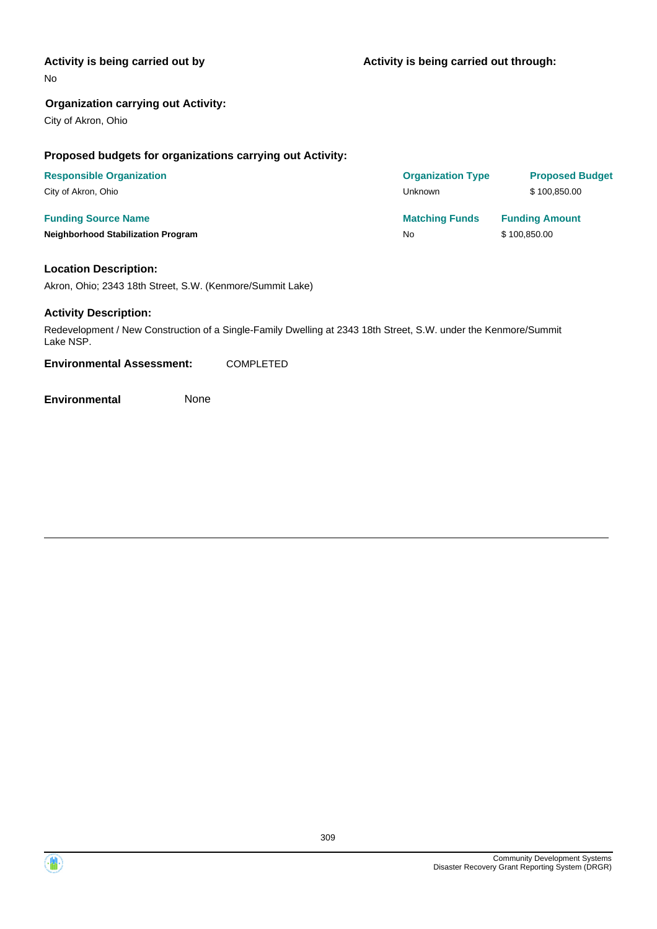#### **Activity is being carried out by**

No

#### **Organization carrying out Activity:**

City of Akron, Ohio

#### **Proposed budgets for organizations carrying out Activity:**

| <b>Responsible Organization</b>           | <b>Organization Type</b> | <b>Proposed Budget</b> |
|-------------------------------------------|--------------------------|------------------------|
| City of Akron, Ohio                       | Unknown                  | \$100.850.00           |
| <b>Funding Source Name</b>                | <b>Matching Funds</b>    | <b>Funding Amount</b>  |
| <b>Neighborhood Stabilization Program</b> | No                       | \$100,850.00           |

#### **Location Description:**

Akron, Ohio; 2343 18th Street, S.W. (Kenmore/Summit Lake)

#### **Activity Description:**

Redevelopment / New Construction of a Single-Family Dwelling at 2343 18th Street, S.W. under the Kenmore/Summit Lake NSP.

**Environmental Assessment:** COMPLETED

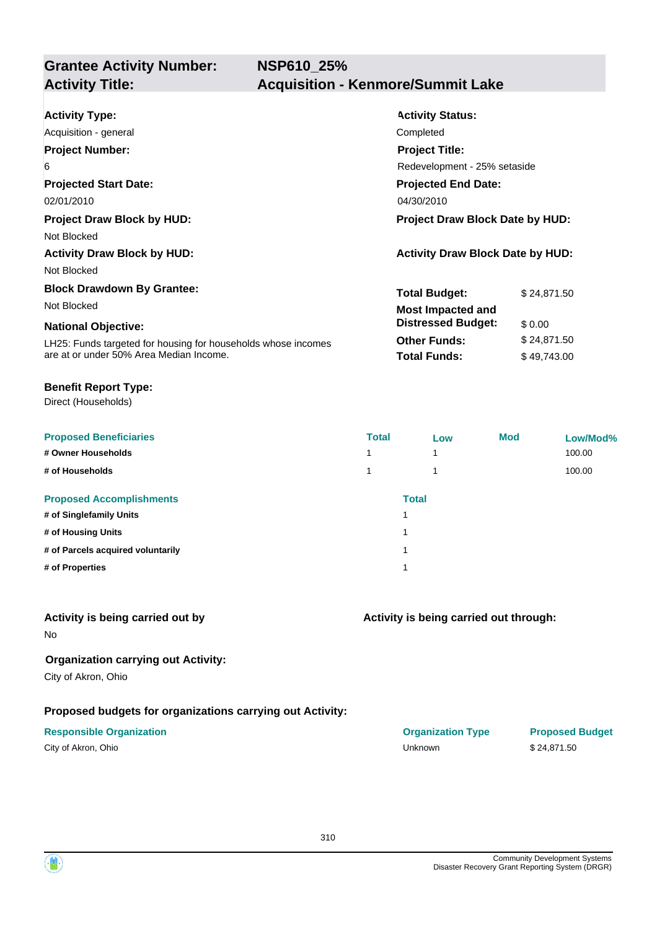| <b>Activity Type:</b>                                         | <b>Activity Status:</b>                 |             |  |
|---------------------------------------------------------------|-----------------------------------------|-------------|--|
| Acquisition - general                                         | Completed                               |             |  |
| <b>Project Number:</b>                                        | <b>Project Title:</b>                   |             |  |
| 6                                                             | Redevelopment - 25% setaside            |             |  |
| <b>Projected Start Date:</b>                                  | <b>Projected End Date:</b>              |             |  |
| 02/01/2010                                                    | 04/30/2010                              |             |  |
| <b>Project Draw Block by HUD:</b>                             | <b>Project Draw Block Date by HUD:</b>  |             |  |
| Not Blocked                                                   |                                         |             |  |
| <b>Activity Draw Block by HUD:</b>                            | <b>Activity Draw Block Date by HUD:</b> |             |  |
| Not Blocked                                                   |                                         |             |  |
| <b>Block Drawdown By Grantee:</b>                             | <b>Total Budget:</b>                    | \$24,871.50 |  |
| Not Blocked                                                   | <b>Most Impacted and</b>                |             |  |
| <b>National Objective:</b>                                    | <b>Distressed Budget:</b>               | \$0.00      |  |
| LH25: Funds targeted for housing for households whose incomes | <b>Other Funds:</b>                     | \$24,871.50 |  |
| are at or under 50% Area Median Income.                       | <b>Total Funds:</b>                     | \$49,743.00 |  |

#### **Benefit Report Type:**

Direct (Households)

| <b>Total</b> | Low                     | <b>Mod</b>   | Low/Mod% |
|--------------|-------------------------|--------------|----------|
| 4            | $\overline{\mathbf{A}}$ |              | 100.00   |
| 4            | $\overline{\mathbf{A}}$ |              | 100.00   |
|              |                         |              |          |
|              |                         |              |          |
| 1            |                         |              |          |
|              |                         |              |          |
|              |                         |              |          |
|              |                         | <b>Total</b> |          |

#### **Activity is being carried out by**

No

#### **Organization carrying out Activity:**

City of Akron, Ohio

#### **Proposed budgets for organizations carrying out Activity:**

| City of Akron, Ohio |  |
|---------------------|--|
|---------------------|--|

#### **Activity is being carried out through:**

**Responsible Organization COVID-10 COVID-10 Organization Type Proposed Budget** City of Akron, Ohio Unknown \$ 24,871.50

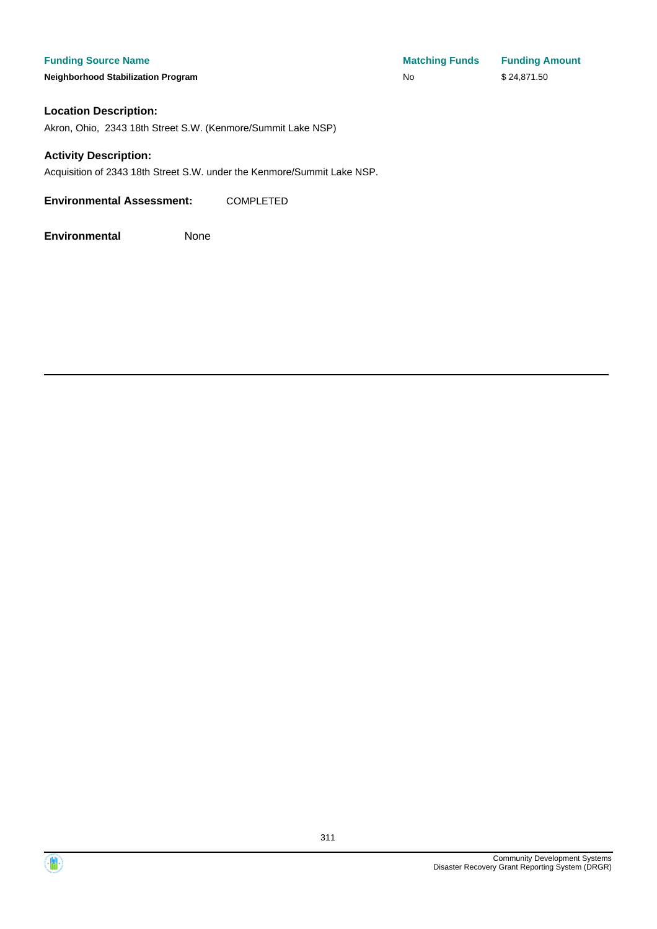**Neighborhood Stabilization Program No No** \$ 24,871.50

**Funding Source Name Matching Funds Funding Amount** 

#### **Location Description:**

Akron, Ohio, 2343 18th Street S.W. (Kenmore/Summit Lake NSP)

#### **Activity Description:**

Acquisition of 2343 18th Street S.W. under the Kenmore/Summit Lake NSP.

**Environmental Assessment:** COMPLETED



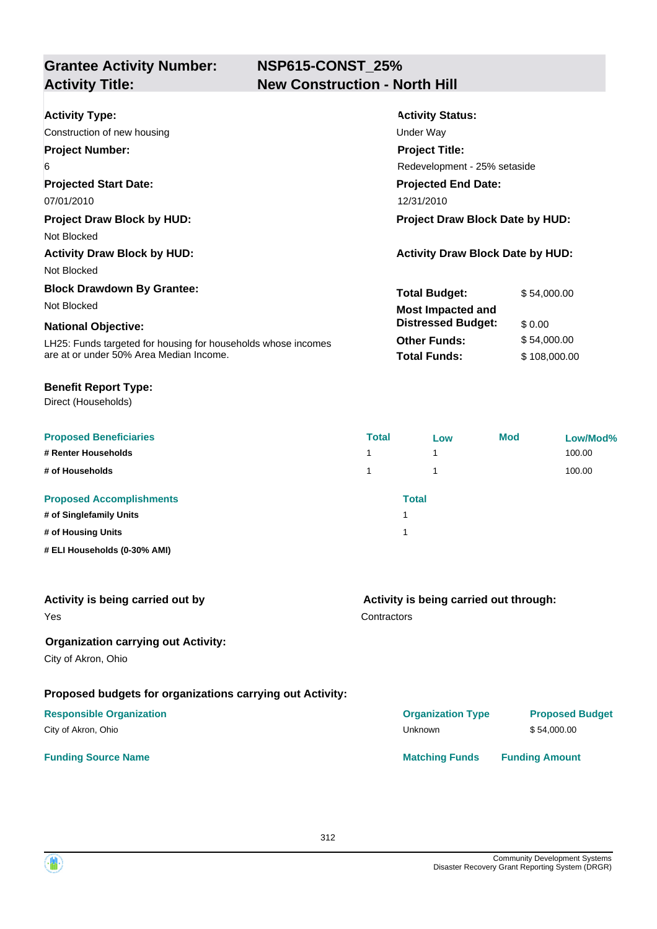## **NSP615-CONST\_25% New Construction - North Hill**

| <b>Activity Type:</b>                                         | <b>Activity Status:</b>                 |              |
|---------------------------------------------------------------|-----------------------------------------|--------------|
| Construction of new housing                                   | Under Way                               |              |
| <b>Project Number:</b>                                        | <b>Project Title:</b>                   |              |
| 6                                                             | Redevelopment - 25% setaside            |              |
| <b>Projected Start Date:</b>                                  | <b>Projected End Date:</b>              |              |
| 07/01/2010                                                    | 12/31/2010                              |              |
| <b>Project Draw Block by HUD:</b>                             | <b>Project Draw Block Date by HUD:</b>  |              |
| Not Blocked                                                   |                                         |              |
| <b>Activity Draw Block by HUD:</b>                            | <b>Activity Draw Block Date by HUD:</b> |              |
| Not Blocked                                                   |                                         |              |
| <b>Block Drawdown By Grantee:</b>                             | <b>Total Budget:</b>                    | \$54,000.00  |
| Not Blocked                                                   | Most Impacted and                       |              |
| <b>National Objective:</b>                                    | <b>Distressed Budget:</b>               | \$0.00       |
| LH25: Funds targeted for housing for households whose incomes | <b>Other Funds:</b>                     | \$54,000.00  |
| are at or under 50% Area Median Income.                       | <b>Total Funds:</b>                     | \$108,000.00 |

#### **Benefit Report Type:**

Direct (Households)

| <b>Proposed Beneficiaries</b>   | <b>Total</b> | Low | <b>Mod</b> | Low/Mod% |
|---------------------------------|--------------|-----|------------|----------|
| # Renter Households             | 1            | и   |            | 100.00   |
| # of Households                 | 1            |     |            | 100.00   |
| <b>Proposed Accomplishments</b> | <b>Total</b> |     |            |          |
| # of Singlefamily Units         |              |     |            |          |
| # of Housing Units              |              |     |            |          |
| # ELI Households (0-30% AMI)    |              |     |            |          |

| Activity is being carried out by                          | Activity is being carried out through: |                        |  |
|-----------------------------------------------------------|----------------------------------------|------------------------|--|
| Yes                                                       | Contractors                            |                        |  |
| <b>Organization carrying out Activity:</b>                |                                        |                        |  |
| City of Akron, Ohio                                       |                                        |                        |  |
| Proposed budgets for organizations carrying out Activity: |                                        |                        |  |
| <b>Responsible Organization</b>                           | <b>Organization Type</b>               | <b>Proposed Budget</b> |  |
| City of Akron, Ohio                                       | Unknown                                | \$54,000.00            |  |
| <b>Funding Source Name</b>                                | <b>Matching Funds</b>                  | <b>Funding Amount</b>  |  |

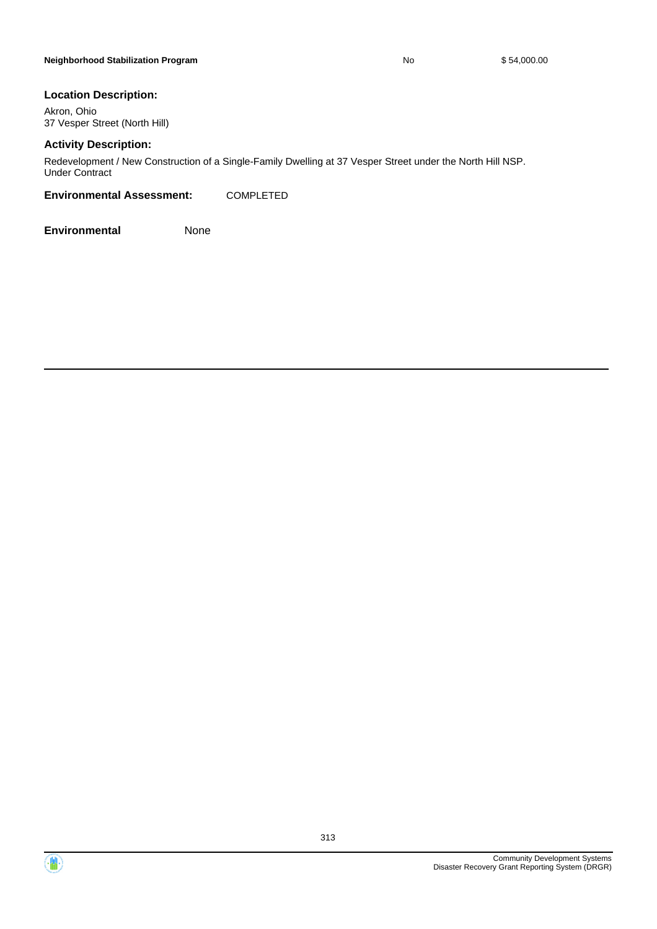#### **Location Description:**

Akron, Ohio 37 Vesper Street (North Hill)

#### **Activity Description:**

Redevelopment / New Construction of a Single-Family Dwelling at 37 Vesper Street under the North Hill NSP. Under Contract

#### **Environmental Assessment:** COMPLETED

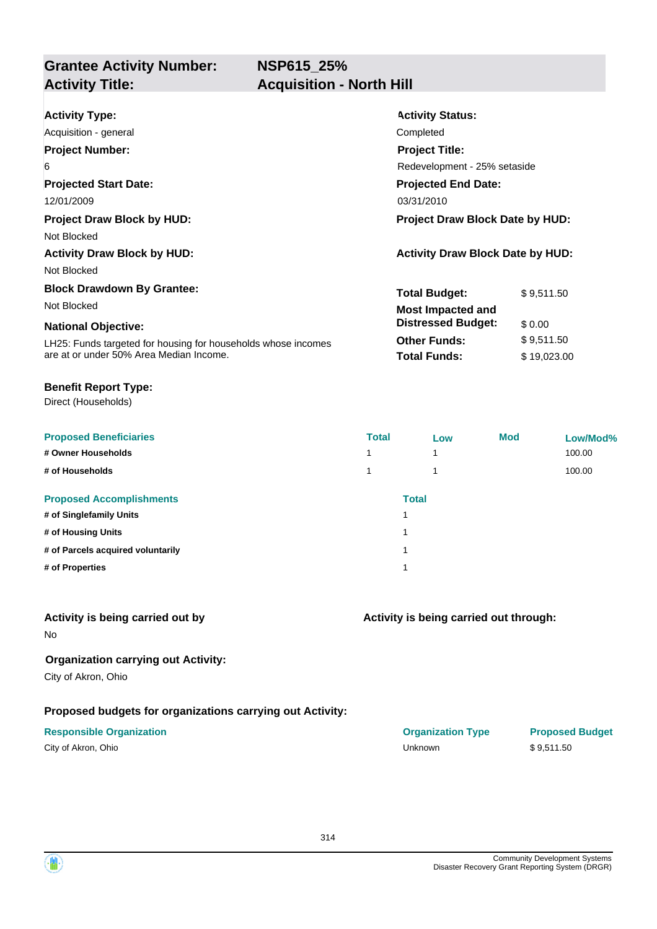**NSP615\_25%**

**Grantee Activity Number:**

## **Acquisition - North Hill**

| <b>Activity Type:</b>                                         | <b>Activity Status:</b>                 |  |  |
|---------------------------------------------------------------|-----------------------------------------|--|--|
| Acquisition - general                                         | Completed                               |  |  |
| <b>Project Number:</b>                                        | <b>Project Title:</b>                   |  |  |
| 6                                                             | Redevelopment - 25% setaside            |  |  |
| <b>Projected Start Date:</b>                                  | <b>Projected End Date:</b>              |  |  |
| 12/01/2009                                                    | 03/31/2010                              |  |  |
| <b>Project Draw Block by HUD:</b>                             | <b>Project Draw Block Date by HUD:</b>  |  |  |
| Not Blocked                                                   |                                         |  |  |
| <b>Activity Draw Block by HUD:</b>                            | <b>Activity Draw Block Date by HUD:</b> |  |  |
| Not Blocked                                                   |                                         |  |  |
| <b>Block Drawdown By Grantee:</b>                             | <b>Total Budget:</b><br>\$9,511.50      |  |  |
| Not Blocked                                                   | <b>Most Impacted and</b>                |  |  |
| <b>National Objective:</b>                                    | <b>Distressed Budget:</b><br>\$0.00     |  |  |
| LH25: Funds targeted for housing for households whose incomes | <b>Other Funds:</b><br>\$9,511.50       |  |  |
| are at or under 50% Area Median Income.                       | <b>Total Funds:</b><br>\$19,023.00      |  |  |

#### **Benefit Report Type:**

Direct (Households)

| <b>Proposed Beneficiaries</b>     | <b>Total</b> | Low                     | <b>Mod</b> | Low/Mod% |
|-----------------------------------|--------------|-------------------------|------------|----------|
| # Owner Households                | 4            | $\overline{\mathbf{A}}$ |            | 100.00   |
| # of Households                   | 1            | 1                       |            | 100.00   |
| <b>Proposed Accomplishments</b>   |              | <b>Total</b>            |            |          |
| # of Singlefamily Units           |              |                         |            |          |
| # of Housing Units                | 1            |                         |            |          |
| # of Parcels acquired voluntarily |              |                         |            |          |
| # of Properties                   | 1            |                         |            |          |

#### **Activity is being carried out by**

No

#### **Organization carrying out Activity:**

City of Akron, Ohio

#### **Proposed budgets for organizations carrying out Activity:**

| City of Akron, Ohio |  |
|---------------------|--|
|---------------------|--|

#### **Activity is being carried out through:**

**Responsible Organization COVID-10 COVID-10 Organization Type Proposed Budget** City of Akron, Ohio Unknown \$ 9,511.50

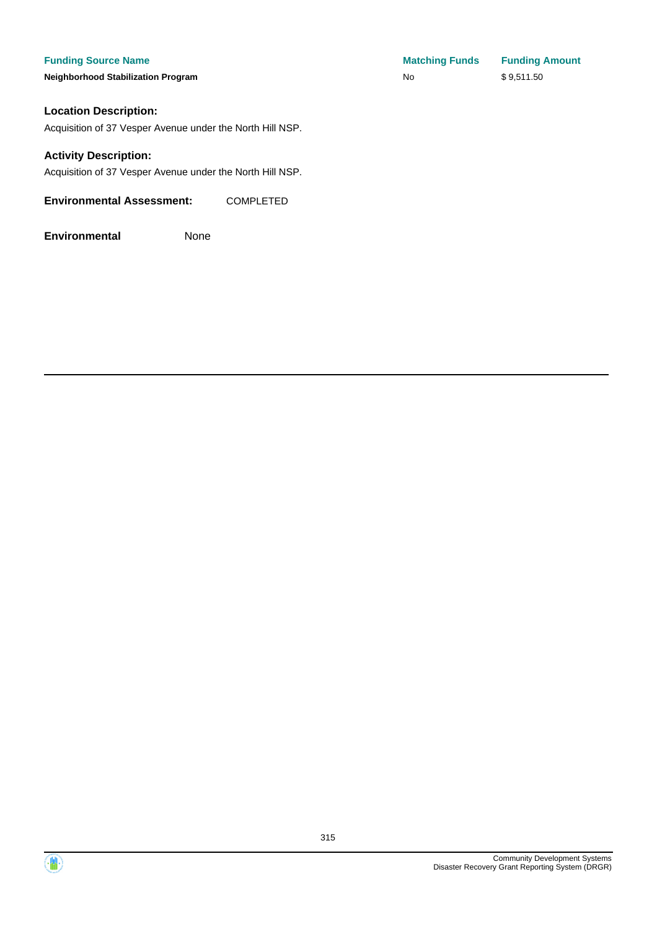#### **Funding Source Name**

**Neighborhood Stabilization Program** 

#### **Location Description:**

Acquisition of 37 Vesper Avenue under the North Hill NSP.

#### **Activity Description:**

Acquisition of 37 Vesper Avenue under the North Hill NSP.

**Environmental Assessment:** COMPLETED

| <b>Matching Funds</b> | <b>Funding Amount</b> |
|-----------------------|-----------------------|
| No                    | \$9,511.50            |



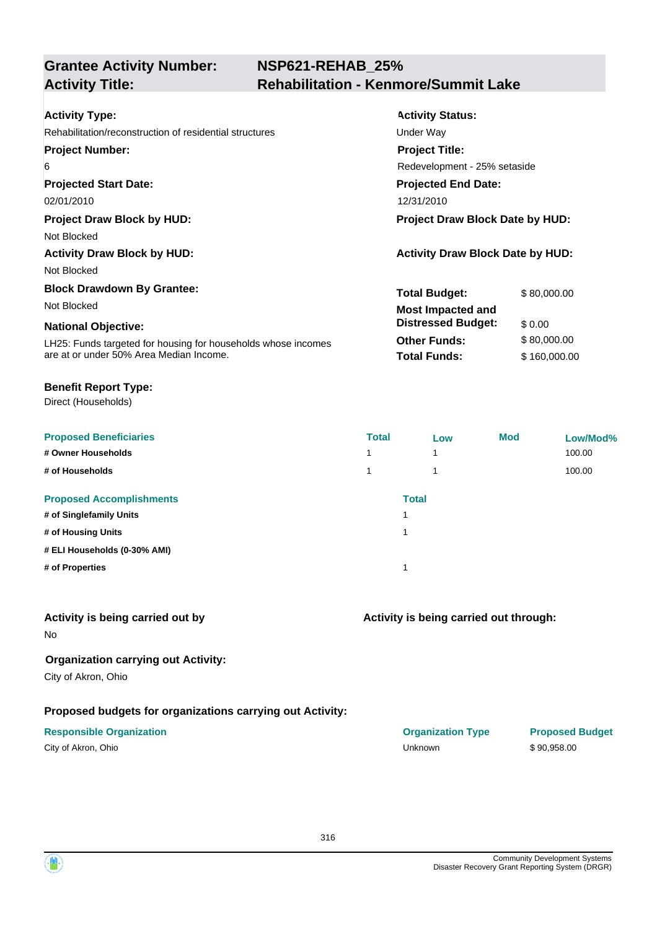### **NSP621-REHAB\_25% Activity Title: Rehabilitation - Kenmore/Summit Lake**

| <b>Activity Type:</b>                                         | <b>Activity Status:</b>                 |              |  |
|---------------------------------------------------------------|-----------------------------------------|--------------|--|
| Rehabilitation/reconstruction of residential structures       | Under Way                               |              |  |
| <b>Project Number:</b>                                        | <b>Project Title:</b>                   |              |  |
| 6                                                             | Redevelopment - 25% setaside            |              |  |
| <b>Projected Start Date:</b>                                  | <b>Projected End Date:</b>              |              |  |
| 02/01/2010                                                    | 12/31/2010                              |              |  |
| <b>Project Draw Block by HUD:</b>                             | <b>Project Draw Block Date by HUD:</b>  |              |  |
| Not Blocked                                                   |                                         |              |  |
| <b>Activity Draw Block by HUD:</b>                            | <b>Activity Draw Block Date by HUD:</b> |              |  |
| Not Blocked                                                   |                                         |              |  |
| <b>Block Drawdown By Grantee:</b>                             | <b>Total Budget:</b>                    | \$80,000.00  |  |
| Not Blocked                                                   | <b>Most Impacted and</b>                |              |  |
| <b>National Objective:</b>                                    | <b>Distressed Budget:</b>               | \$0.00       |  |
| LH25: Funds targeted for housing for households whose incomes | <b>Other Funds:</b>                     | \$80,000.00  |  |
| are at or under 50% Area Median Income.                       | <b>Total Funds:</b>                     | \$160,000.00 |  |

#### **Benefit Report Type:**

Direct (Households)

| <b>Proposed Beneficiaries</b>   | <b>Total</b> | Low          | <b>Mod</b> | Low/Mod% |
|---------------------------------|--------------|--------------|------------|----------|
| # Owner Households              |              | 1            |            | 100.00   |
| # of Households                 |              | 4            |            | 100.00   |
| <b>Proposed Accomplishments</b> |              | <b>Total</b> |            |          |
| # of Singlefamily Units         |              |              |            |          |
| # of Housing Units              |              |              |            |          |
| # ELI Households (0-30% AMI)    |              |              |            |          |
| # of Properties                 |              |              |            |          |
|                                 |              |              |            |          |

#### **Activity is being carried out by**

No

#### **Organization carrying out Activity:**

City of Akron, Ohio

### **Proposed budgets for organizations carrying out Activity:**

| City of Akron, Ohio |  |
|---------------------|--|
|---------------------|--|

### **Activity is being carried out through:**

| <b>Responsible Organization</b> | <b>Organization Type</b> | <b>Proposed Budget</b> |
|---------------------------------|--------------------------|------------------------|
| City of Akron, Ohio             | Unknown                  | \$90.958.00            |

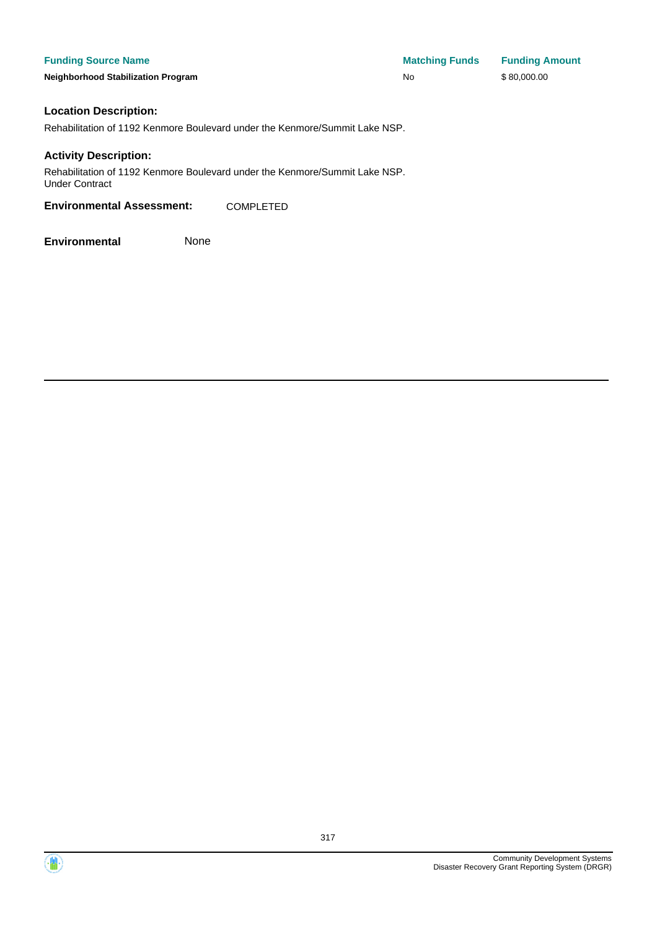**Funding Source Name Matching Funds Funding Amount Neighborhood Stabilization Program No No** \$ 80,000.00

#### **Location Description:**

Rehabilitation of 1192 Kenmore Boulevard under the Kenmore/Summit Lake NSP.

#### **Activity Description:**

Rehabilitation of 1192 Kenmore Boulevard under the Kenmore/Summit Lake NSP. Under Contract

**Environmental Assessment:** COMPLETED

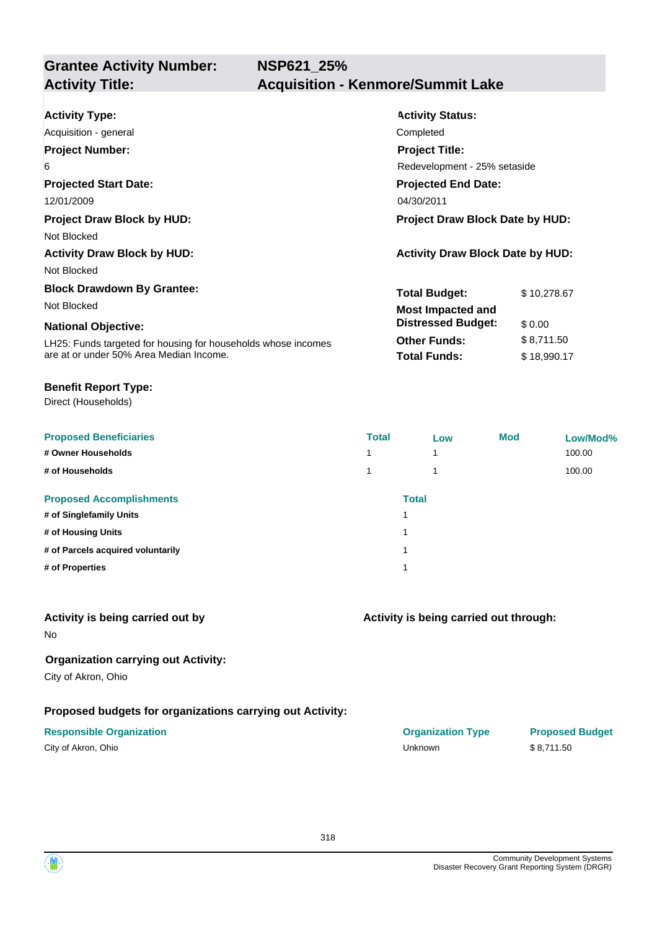| <b>Activity Type:</b>                                         | <b>Activity Status:</b>                 |             |  |
|---------------------------------------------------------------|-----------------------------------------|-------------|--|
| Acquisition - general                                         | Completed                               |             |  |
| <b>Project Number:</b>                                        | <b>Project Title:</b>                   |             |  |
| 6                                                             | Redevelopment - 25% setaside            |             |  |
| <b>Projected Start Date:</b>                                  | <b>Projected End Date:</b>              |             |  |
| 12/01/2009                                                    | 04/30/2011                              |             |  |
| <b>Project Draw Block by HUD:</b>                             | Project Draw Block Date by HUD:         |             |  |
| Not Blocked                                                   |                                         |             |  |
| <b>Activity Draw Block by HUD:</b>                            | <b>Activity Draw Block Date by HUD:</b> |             |  |
| Not Blocked                                                   |                                         |             |  |
| <b>Block Drawdown By Grantee:</b>                             | <b>Total Budget:</b>                    | \$10,278.67 |  |
| Not Blocked                                                   | <b>Most Impacted and</b>                |             |  |
| <b>National Objective:</b>                                    | <b>Distressed Budget:</b>               | \$0.00      |  |
| LH25: Funds targeted for housing for households whose incomes | <b>Other Funds:</b>                     | \$8,711.50  |  |
| are at or under 50% Area Median Income.                       | <b>Total Funds:</b>                     | \$18,990.17 |  |

#### **Benefit Report Type:**

Direct (Households)

| <b>Proposed Beneficiaries</b>     | <b>Total</b> | Low          | <b>Mod</b> | Low/Mod% |
|-----------------------------------|--------------|--------------|------------|----------|
| # Owner Households                | 1            |              |            | 100.00   |
| # of Households                   | 1            |              |            | 100.00   |
| <b>Proposed Accomplishments</b>   |              | <b>Total</b> |            |          |
| # of Singlefamily Units           |              |              |            |          |
| # of Housing Units                | 1            |              |            |          |
| # of Parcels acquired voluntarily | 1            |              |            |          |
| # of Properties                   | 1            |              |            |          |
|                                   |              |              |            |          |

#### **Activity is being carried out by**

No

### **Organization carrying out Activity:**

City of Akron, Ohio

#### **Proposed budgets for organizations carrying out Activity:**

| City of Akron, Ohio |  |
|---------------------|--|
|---------------------|--|

#### **Activity is being carried out through:**

| <b>Responsible Organization</b> | <b>Organization Type</b> | <b>Proposed Budget</b> |
|---------------------------------|--------------------------|------------------------|
| City of Akron, Ohio             | Unknown                  | \$8.711.50             |

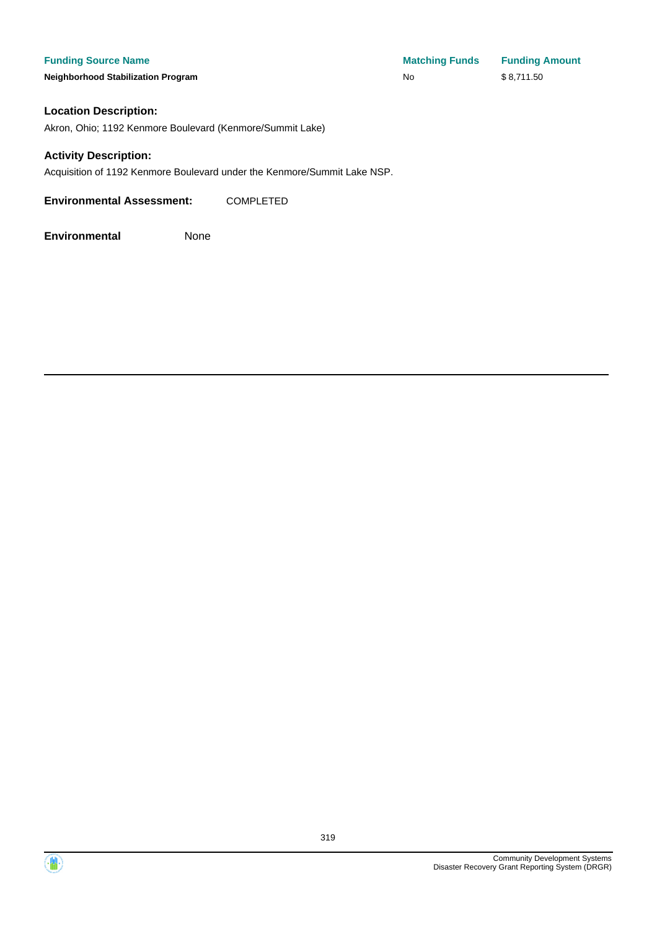**Neighborhood Stabilization Program No** \$ 8,711.50

#### **Location Description:**

Akron, Ohio; 1192 Kenmore Boulevard (Kenmore/Summit Lake)

#### **Activity Description:**

Acquisition of 1192 Kenmore Boulevard under the Kenmore/Summit Lake NSP.

**Environmental Assessment:** COMPLETED



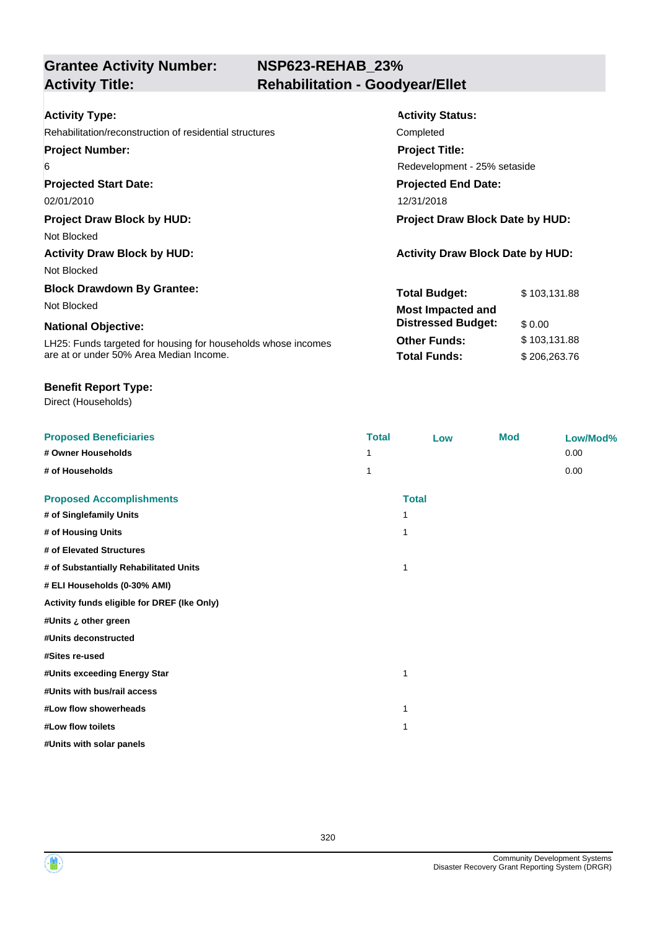## **NSP623-REHAB\_23% Activity Title: Rehabilitation - Goodyear/Ellet**

| <b>Activity Type:</b>                                         | <b>Activity Status:</b>                 |              |  |
|---------------------------------------------------------------|-----------------------------------------|--------------|--|
| Rehabilitation/reconstruction of residential structures       | Completed                               |              |  |
| <b>Project Number:</b>                                        | <b>Project Title:</b>                   |              |  |
| 6                                                             | Redevelopment - 25% setaside            |              |  |
| <b>Projected Start Date:</b>                                  | <b>Projected End Date:</b>              |              |  |
| 02/01/2010                                                    | 12/31/2018                              |              |  |
| <b>Project Draw Block by HUD:</b>                             | <b>Project Draw Block Date by HUD:</b>  |              |  |
| Not Blocked                                                   |                                         |              |  |
| <b>Activity Draw Block by HUD:</b>                            | <b>Activity Draw Block Date by HUD:</b> |              |  |
| Not Blocked                                                   |                                         |              |  |
| <b>Block Drawdown By Grantee:</b>                             | Total Budget:                           | \$103,131.88 |  |
| Not Blocked                                                   | <b>Most Impacted and</b>                |              |  |
| <b>National Objective:</b>                                    | <b>Distressed Budget:</b>               | \$0.00       |  |
| LH25: Funds targeted for housing for households whose incomes | <b>Other Funds:</b>                     | \$103,131.88 |  |
| are at or under 50% Area Median Income.                       | <b>Total Funds:</b>                     | \$206,263.76 |  |

#### **Benefit Report Type:**

Direct (Households)

| <b>Proposed Beneficiaries</b>               | <b>Total</b> | Low          | <b>Mod</b> | Low/Mod% |
|---------------------------------------------|--------------|--------------|------------|----------|
| # Owner Households                          |              |              |            | 0.00     |
| # of Households                             | 1            |              |            | 0.00     |
| <b>Proposed Accomplishments</b>             |              | <b>Total</b> |            |          |
| # of Singlefamily Units                     |              | 1            |            |          |
| # of Housing Units                          |              | 1            |            |          |
| # of Elevated Structures                    |              |              |            |          |
| # of Substantially Rehabilitated Units      |              | 1            |            |          |
| # ELI Households (0-30% AMI)                |              |              |            |          |
| Activity funds eligible for DREF (Ike Only) |              |              |            |          |
| #Units ¿ other green                        |              |              |            |          |
| #Units deconstructed                        |              |              |            |          |
| #Sites re-used                              |              |              |            |          |
| #Units exceeding Energy Star                |              | 1            |            |          |
| #Units with bus/rail access                 |              |              |            |          |
| #Low flow showerheads                       |              | 1            |            |          |
| #Low flow toilets                           |              | 1            |            |          |
| #Units with solar panels                    |              |              |            |          |

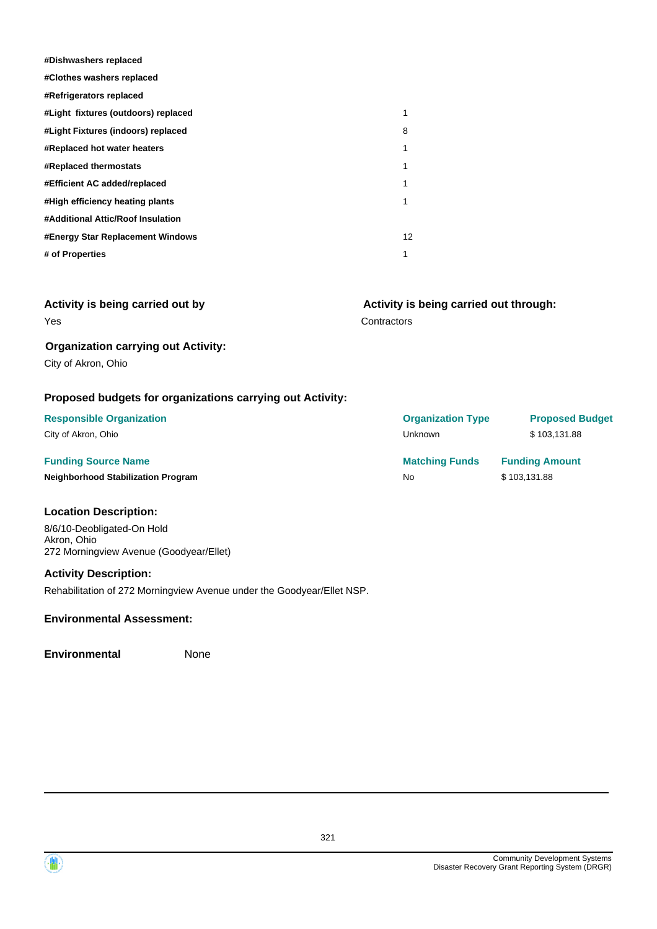| #Dishwashers replaced               |    |
|-------------------------------------|----|
| #Clothes washers replaced           |    |
| #Refrigerators replaced             |    |
| #Light fixtures (outdoors) replaced | 1  |
| #Light Fixtures (indoors) replaced  | 8  |
| #Replaced hot water heaters         | 1  |
| #Replaced thermostats               | 1  |
| #Efficient AC added/replaced        | 1  |
| #High efficiency heating plants     | 1  |
| #Additional Attic/Roof Insulation   |    |
| #Energy Star Replacement Windows    | 12 |
| # of Properties                     | 1  |

| Activity is being carried out by | Activity is being carried out through: |
|----------------------------------|----------------------------------------|
| Yes                              | Contractors                            |
|                                  |                                        |

#### **Organization carrying out Activity:**

City of Akron, Ohio

#### **Proposed budgets for organizations carrying out Activity:**

| <b>Responsible Organization</b>           | <b>Organization Type</b> | <b>Proposed Budget</b> |
|-------------------------------------------|--------------------------|------------------------|
| City of Akron, Ohio                       | Unknown                  | \$103.131.88           |
| <b>Funding Source Name</b>                | <b>Matching Funds</b>    | <b>Funding Amount</b>  |
| <b>Neighborhood Stabilization Program</b> | No                       | \$103,131.88           |

#### **Location Description:**

8/6/10-Deobligated-On Hold Akron, Ohio 272 Morningview Avenue (Goodyear/Ellet)

#### **Activity Description:**

Rehabilitation of 272 Morningview Avenue under the Goodyear/Ellet NSP.

#### **Environmental Assessment:**

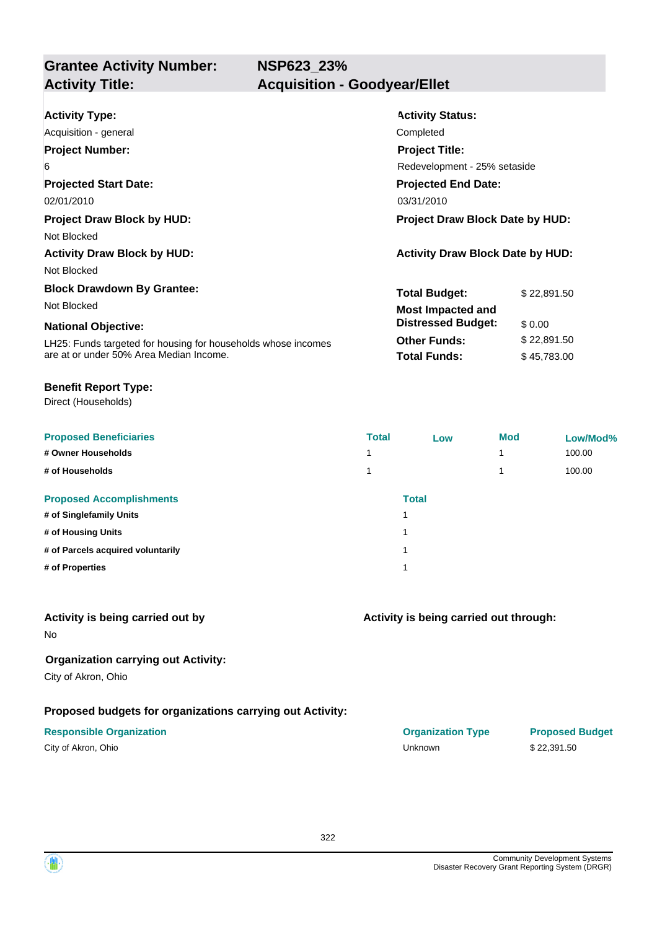**NSP623\_23%**

# **Grantee Activity Number:**

## **Activity Title: Acquisition - Goodyear/Ellet**

| <b>Activity Type:</b>                                         | <b>Activity Status:</b>                          |             |  |  |
|---------------------------------------------------------------|--------------------------------------------------|-------------|--|--|
| Acquisition - general                                         | Completed                                        |             |  |  |
| <b>Project Number:</b>                                        | <b>Project Title:</b>                            |             |  |  |
| 6                                                             | Redevelopment - 25% setaside                     |             |  |  |
| <b>Projected Start Date:</b>                                  | <b>Projected End Date:</b>                       |             |  |  |
| 02/01/2010                                                    | 03/31/2010                                       |             |  |  |
| <b>Project Draw Block by HUD:</b>                             | <b>Project Draw Block Date by HUD:</b>           |             |  |  |
| Not Blocked                                                   |                                                  |             |  |  |
| <b>Activity Draw Block by HUD:</b>                            | <b>Activity Draw Block Date by HUD:</b>          |             |  |  |
| Not Blocked                                                   |                                                  |             |  |  |
| <b>Block Drawdown By Grantee:</b>                             |                                                  | \$22,891.50 |  |  |
| Not Blocked                                                   |                                                  |             |  |  |
| <b>National Objective:</b>                                    | <b>Distressed Budget:</b>                        | \$0.00      |  |  |
|                                                               | <b>Other Funds:</b>                              | \$22,891.50 |  |  |
| are at or under 50% Area Median Income.                       | <b>Total Funds:</b>                              | \$45,783.00 |  |  |
| LH25: Funds targeted for housing for households whose incomes | <b>Total Budget:</b><br><b>Most Impacted and</b> |             |  |  |

#### **Benefit Report Type:**

Direct (Households)

| <b>Proposed Beneficiaries</b>     | <b>Total</b> | Low          | <b>Mod</b> | Low/Mod% |
|-----------------------------------|--------------|--------------|------------|----------|
| # Owner Households                |              |              | 4          | 100.00   |
| # of Households                   |              |              | 4          | 100.00   |
| <b>Proposed Accomplishments</b>   |              | <b>Total</b> |            |          |
| # of Singlefamily Units           |              |              |            |          |
| # of Housing Units                |              |              |            |          |
| # of Parcels acquired voluntarily |              |              |            |          |
| # of Properties                   |              |              |            |          |

#### **Activity is being carried out by**

No

### **Organization carrying out Activity:**

City of Akron, Ohio

#### **Proposed budgets for organizations carrying out Activity:**

| City of Akron, Ohio |  |
|---------------------|--|
|---------------------|--|

#### **Activity is being carried out through:**

**Responsible Organization COVID-10 COVID-10 Organization Type Proposed Budget** City of Akron, Ohio Unknown \$ 22,391.50

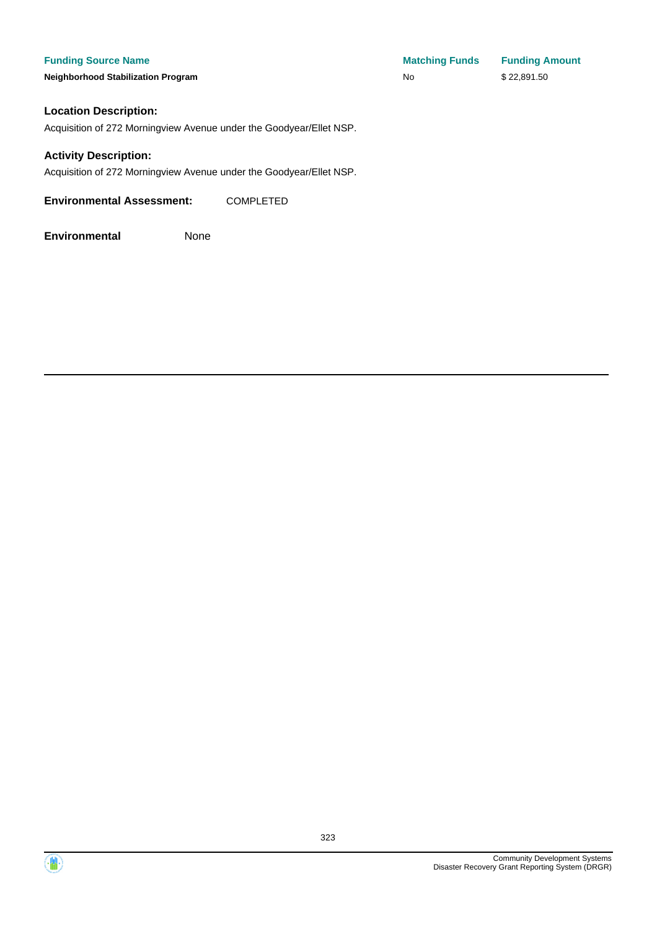#### **Funding Source Name**

**Neighborhood Stabilization Program** 

| <b>Matching Funds</b> | <b>Funding Amount</b> |
|-----------------------|-----------------------|
| No                    | \$22,891.50           |

#### **Location Description:**

Acquisition of 272 Morningview Avenue under the Goodyear/Ellet NSP.

#### **Activity Description:**

Acquisition of 272 Morningview Avenue under the Goodyear/Ellet NSP.

**Environmental Assessment:** COMPLETED

**Environmental** None



 $\langle \mathbf{w} \rangle$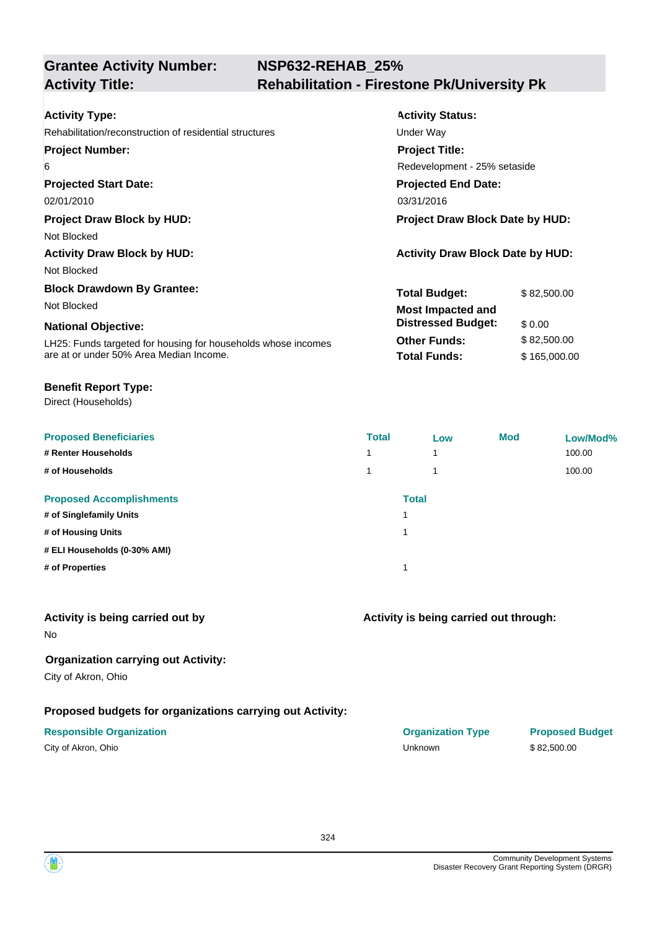## **NSP632-REHAB\_25% Activity Title: Rehabilitation - Firestone Pk/University Pk**

| <b>Activity Type:</b>                                         | <b>Activity Status:</b>                 |              |  |  |
|---------------------------------------------------------------|-----------------------------------------|--------------|--|--|
| Rehabilitation/reconstruction of residential structures       | Under Way                               |              |  |  |
| <b>Project Number:</b>                                        | <b>Project Title:</b>                   |              |  |  |
| 6                                                             | Redevelopment - 25% setaside            |              |  |  |
| <b>Projected Start Date:</b>                                  | <b>Projected End Date:</b>              |              |  |  |
| 02/01/2010                                                    | 03/31/2016                              |              |  |  |
| <b>Project Draw Block by HUD:</b>                             | <b>Project Draw Block Date by HUD:</b>  |              |  |  |
| Not Blocked                                                   |                                         |              |  |  |
| <b>Activity Draw Block by HUD:</b>                            | <b>Activity Draw Block Date by HUD:</b> |              |  |  |
| Not Blocked                                                   |                                         |              |  |  |
| <b>Block Drawdown By Grantee:</b>                             | <b>Total Budget:</b>                    | \$82,500.00  |  |  |
| Not Blocked                                                   | <b>Most Impacted and</b>                |              |  |  |
| <b>National Objective:</b>                                    | <b>Distressed Budget:</b>               | \$0.00       |  |  |
| LH25: Funds targeted for housing for households whose incomes | <b>Other Funds:</b>                     | \$82,500.00  |  |  |
| are at or under 50% Area Median Income.                       | <b>Total Funds:</b>                     | \$165,000.00 |  |  |

#### **Benefit Report Type:**

Direct (Households)

| <b>Proposed Beneficiaries</b>   | <b>Total</b> | Low          | <b>Mod</b> | Low/Mod% |
|---------------------------------|--------------|--------------|------------|----------|
| # Renter Households             |              | 1            |            | 100.00   |
| # of Households                 |              | 4            |            | 100.00   |
| <b>Proposed Accomplishments</b> |              | <b>Total</b> |            |          |
| # of Singlefamily Units         |              |              |            |          |
| # of Housing Units              |              |              |            |          |
| # ELI Households (0-30% AMI)    |              |              |            |          |
| # of Properties                 |              |              |            |          |

#### **Activity is being carried out by**

No

### **Organization carrying out Activity:**

City of Akron, Ohio

### **Proposed budgets for organizations carrying out Activity:**

| City of Akron, Ohio |  |
|---------------------|--|
|---------------------|--|

### **Activity is being carried out through:**

**Responsible Organization COVID-10 COVID-10 Organization Type Proposed Budget** City of Akron, Ohio Unknown \$ 82,500.00

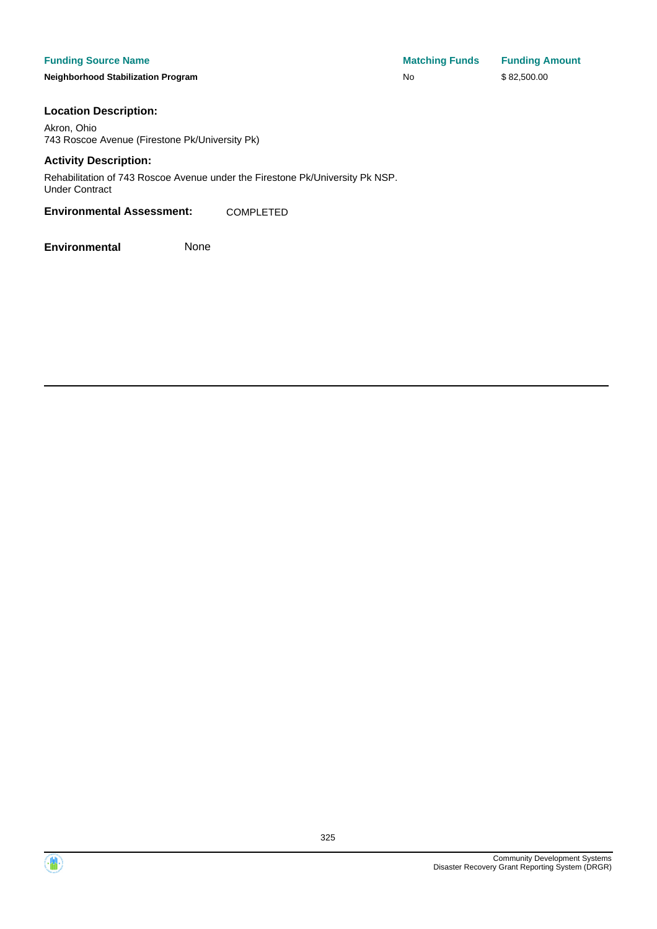**Neighborhood Stabilization Program** 

| <b>Matching Funds</b> | <b>Funding Amount</b> |
|-----------------------|-----------------------|
| No                    | \$82,500.00           |

#### **Location Description:**

Akron, Ohio 743 Roscoe Avenue (Firestone Pk/University Pk)

#### **Activity Description:**

Rehabilitation of 743 Roscoe Avenue under the Firestone Pk/University Pk NSP. Under Contract

#### **Environmental Assessment:** COMPLETED



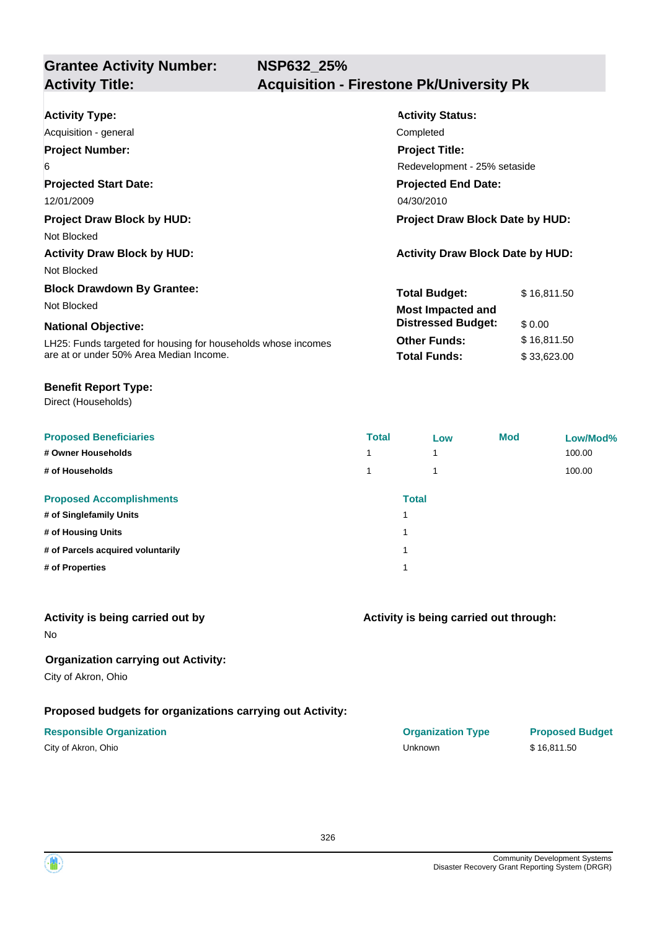| <b>Activity Type:</b>                                         | <b>Activity Status:</b>                 |  |  |
|---------------------------------------------------------------|-----------------------------------------|--|--|
| Acquisition - general                                         | Completed                               |  |  |
| <b>Project Number:</b>                                        | <b>Project Title:</b>                   |  |  |
| 6                                                             | Redevelopment - 25% setaside            |  |  |
| <b>Projected Start Date:</b>                                  | <b>Projected End Date:</b>              |  |  |
| 12/01/2009                                                    | 04/30/2010                              |  |  |
| <b>Project Draw Block by HUD:</b>                             | <b>Project Draw Block Date by HUD:</b>  |  |  |
| Not Blocked                                                   |                                         |  |  |
| <b>Activity Draw Block by HUD:</b>                            | <b>Activity Draw Block Date by HUD:</b> |  |  |
| Not Blocked                                                   |                                         |  |  |
| <b>Block Drawdown By Grantee:</b>                             | <b>Total Budget:</b><br>\$16,811.50     |  |  |
| Not Blocked                                                   | <b>Most Impacted and</b>                |  |  |
| <b>National Objective:</b>                                    | <b>Distressed Budget:</b><br>\$0.00     |  |  |
| LH25: Funds targeted for housing for households whose incomes | <b>Other Funds:</b><br>\$16,811.50      |  |  |
| are at or under 50% Area Median Income.                       | <b>Total Funds:</b><br>\$33,623.00      |  |  |

#### **Benefit Report Type:**

Direct (Households)

| <b>Proposed Beneficiaries</b>     | <b>Total</b> | Low | <b>Mod</b> | Low/Mod% |
|-----------------------------------|--------------|-----|------------|----------|
| # Owner Households                | 1            | 1   |            | 100.00   |
| # of Households                   | 1            | 1   |            | 100.00   |
| <b>Proposed Accomplishments</b>   | <b>Total</b> |     |            |          |
| # of Singlefamily Units           |              |     |            |          |
| # of Housing Units                | 1            |     |            |          |
| # of Parcels acquired voluntarily |              |     |            |          |
| # of Properties                   |              |     |            |          |
|                                   |              |     |            |          |

## **Activity is being carried out by**

No

## **Organization carrying out Activity:**

City of Akron, Ohio

### **Proposed budgets for organizations carrying out Activity:**

| City of Akron, Ohio |  |
|---------------------|--|
|---------------------|--|

## **Activity is being carried out through:**

**Responsible Organization COVID-10 COVID-10 Organization Type Proposed Budget** City of Akron, Ohio Unknown \$ 16,811.50

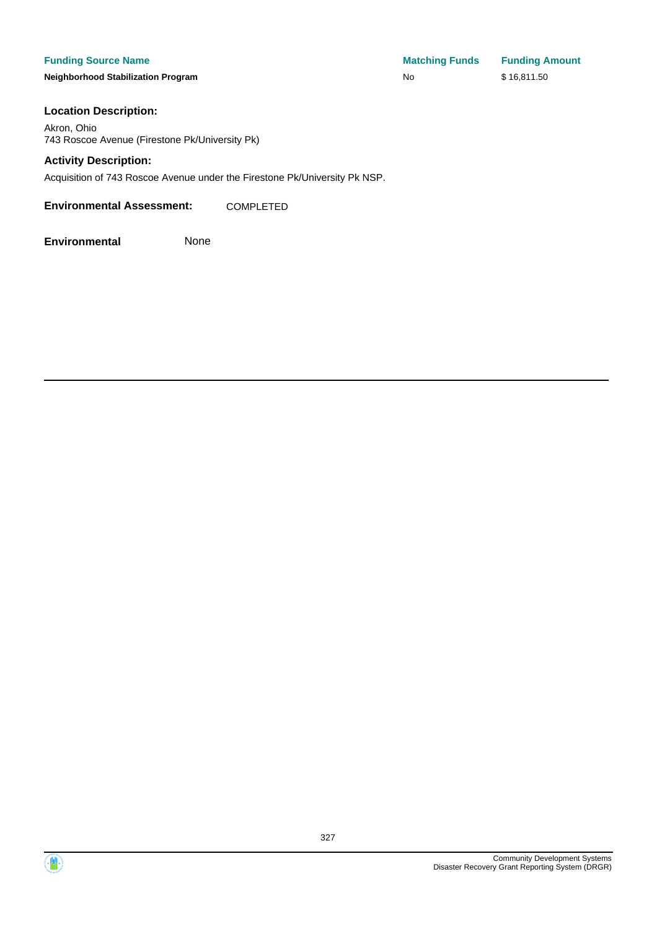**Neighborhood Stabilization Program** 

| <b>Matching Funds</b> | <b>Funding Amount</b> |
|-----------------------|-----------------------|
| No                    | \$16,811.50           |

#### **Location Description:**

Akron, Ohio 743 Roscoe Avenue (Firestone Pk/University Pk)

#### **Activity Description:**

Acquisition of 743 Roscoe Avenue under the Firestone Pk/University Pk NSP.

**Environmental Assessment:** COMPLETED



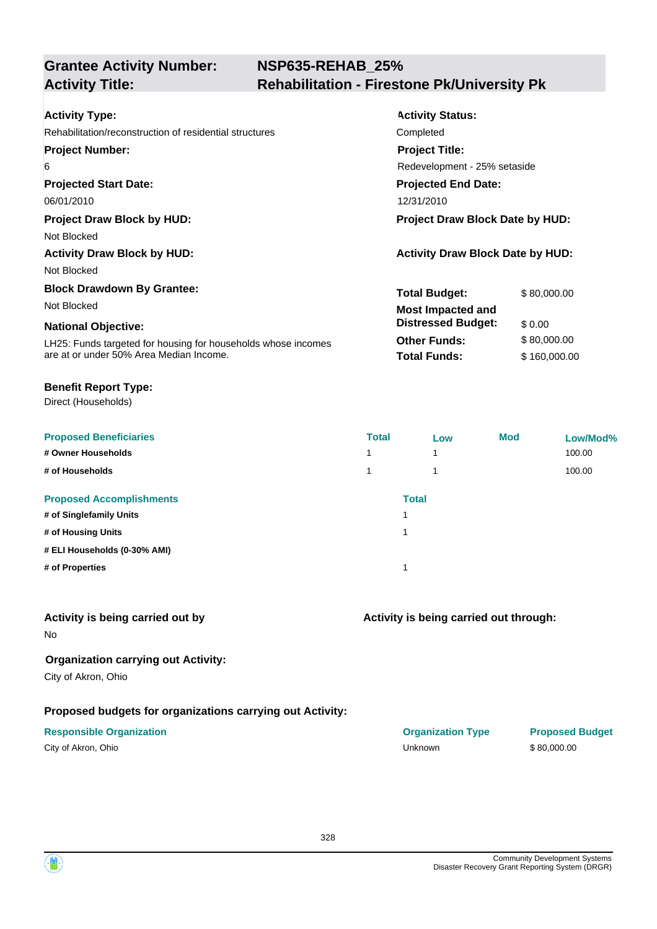# **NSP635-REHAB\_25% Activity Title: Rehabilitation - Firestone Pk/University Pk**

| <b>Activity Type:</b>                                         | <b>Activity Status:</b>                 |              |  |
|---------------------------------------------------------------|-----------------------------------------|--------------|--|
| Rehabilitation/reconstruction of residential structures       | Completed                               |              |  |
| <b>Project Number:</b>                                        | <b>Project Title:</b>                   |              |  |
| 6                                                             | Redevelopment - 25% setaside            |              |  |
| <b>Projected Start Date:</b>                                  | <b>Projected End Date:</b>              |              |  |
| 06/01/2010                                                    | 12/31/2010                              |              |  |
| <b>Project Draw Block by HUD:</b>                             | Project Draw Block Date by HUD:         |              |  |
| Not Blocked                                                   |                                         |              |  |
| <b>Activity Draw Block by HUD:</b>                            | <b>Activity Draw Block Date by HUD:</b> |              |  |
| Not Blocked                                                   |                                         |              |  |
| <b>Block Drawdown By Grantee:</b>                             | <b>Total Budget:</b>                    | \$80,000.00  |  |
| Not Blocked                                                   | <b>Most Impacted and</b>                |              |  |
| <b>National Objective:</b>                                    | <b>Distressed Budget:</b>               | \$0.00       |  |
| LH25: Funds targeted for housing for households whose incomes | <b>Other Funds:</b>                     | \$80,000.00  |  |
| are at or under 50% Area Median Income.                       | <b>Total Funds:</b>                     | \$160,000.00 |  |

#### **Benefit Report Type:**

Direct (Households)

| <b>Proposed Beneficiaries</b>   | <b>Total</b> | Low          | <b>Mod</b> | Low/Mod% |
|---------------------------------|--------------|--------------|------------|----------|
| # Owner Households              | 1            | 1            |            | 100.00   |
| # of Households                 |              | ۸            |            | 100.00   |
| <b>Proposed Accomplishments</b> |              | <b>Total</b> |            |          |
| # of Singlefamily Units         |              |              |            |          |
| # of Housing Units              |              |              |            |          |
| # ELI Households (0-30% AMI)    |              |              |            |          |
| # of Properties                 |              |              |            |          |
|                                 |              |              |            |          |

## **Activity is being carried out by**

No

# **Organization carrying out Activity:**

City of Akron, Ohio

# **Proposed budgets for organizations carrying out Activity:**

| City of Akron, Ohio |  |
|---------------------|--|
|---------------------|--|

# **Activity is being carried out through:**

**Responsible Organization COVID-10 COVID-10 Organization Type Proposed Budget** City of Akron, Ohio Unknown \$ 80,000.00

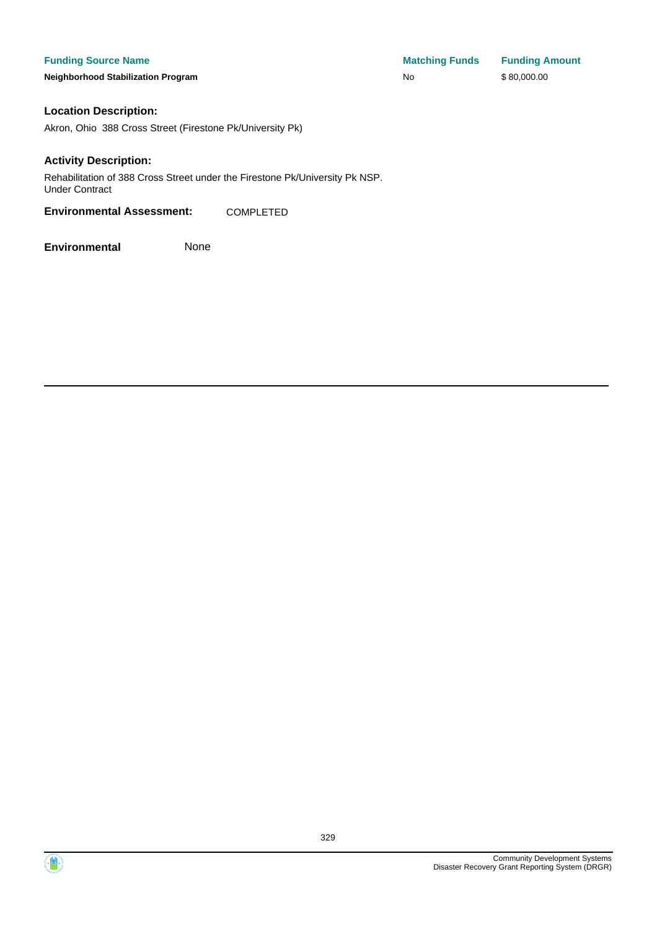**Neighborhood Stabilization Program No No** \$ 80,000.00

#### **Location Description:**

Akron, Ohio 388 Cross Street (Firestone Pk/University Pk)

#### **Activity Description:**

Rehabilitation of 388 Cross Street under the Firestone Pk/University Pk NSP. Under Contract

#### **Environmental Assessment:** COMPLETED



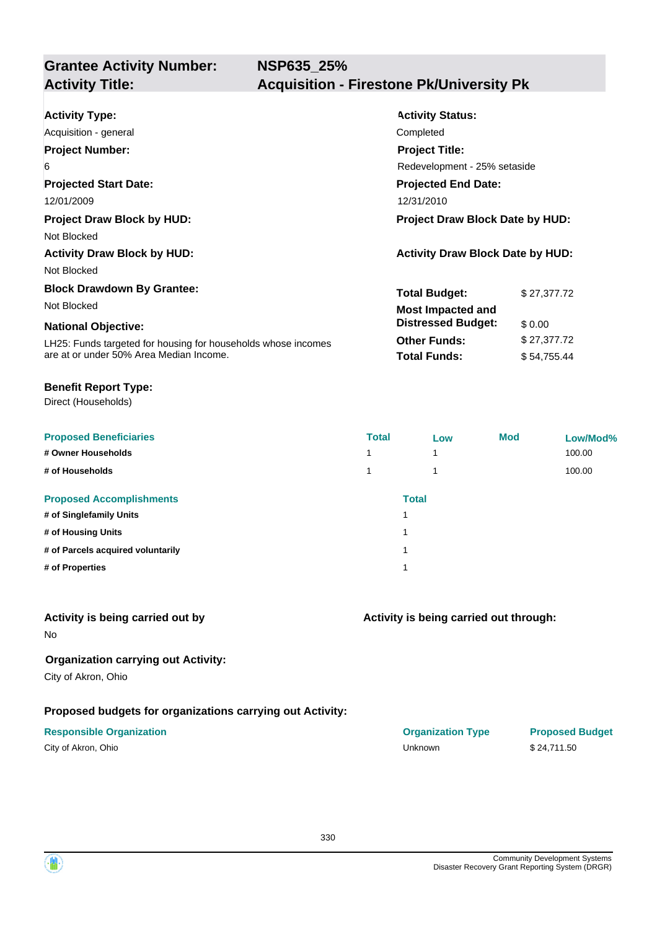| <b>Activity Type:</b>                                         | <b>Activity Status:</b>                 |             |  |
|---------------------------------------------------------------|-----------------------------------------|-------------|--|
| Acquisition - general                                         | Completed                               |             |  |
| <b>Project Number:</b>                                        | <b>Project Title:</b>                   |             |  |
| 6                                                             | Redevelopment - 25% setaside            |             |  |
| <b>Projected Start Date:</b>                                  | <b>Projected End Date:</b>              |             |  |
| 12/01/2009                                                    | 12/31/2010                              |             |  |
| <b>Project Draw Block by HUD:</b>                             | <b>Project Draw Block Date by HUD:</b>  |             |  |
| Not Blocked                                                   |                                         |             |  |
| <b>Activity Draw Block by HUD:</b>                            | <b>Activity Draw Block Date by HUD:</b> |             |  |
| Not Blocked                                                   |                                         |             |  |
| <b>Block Drawdown By Grantee:</b>                             | Total Budget:                           | \$27,377.72 |  |
| Not Blocked                                                   | <b>Most Impacted and</b>                |             |  |
| <b>National Objective:</b>                                    | <b>Distressed Budget:</b>               | \$0.00      |  |
| LH25: Funds targeted for housing for households whose incomes | <b>Other Funds:</b>                     | \$27,377.72 |  |
| are at or under 50% Area Median Income.                       | <b>Total Funds:</b>                     | \$54,755.44 |  |

#### **Benefit Report Type:**

Direct (Households)

| <b>Proposed Beneficiaries</b>     | <b>Total</b> | Low                     | <b>Mod</b> | Low/Mod% |
|-----------------------------------|--------------|-------------------------|------------|----------|
| # Owner Households                | 4            | $\overline{\mathbf{A}}$ |            | 100.00   |
| # of Households                   | 1            | и                       |            | 100.00   |
| <b>Proposed Accomplishments</b>   |              | <b>Total</b>            |            |          |
| # of Singlefamily Units           |              |                         |            |          |
| # of Housing Units                | 1            |                         |            |          |
| # of Parcels acquired voluntarily |              |                         |            |          |
| # of Properties                   |              |                         |            |          |
|                                   |              |                         |            |          |

## **Activity is being carried out by**

No

## **Organization carrying out Activity:**

City of Akron, Ohio

## **Proposed budgets for organizations carrying out Activity:**

| City of Akron, Ohio |  |
|---------------------|--|
|---------------------|--|

### **Activity is being carried out through:**

| <b>Responsible Organization</b> | <b>Organization Type</b> | <b>Proposed Budget</b> |
|---------------------------------|--------------------------|------------------------|
| City of Akron, Ohio             | <b>Jnknown</b>           | \$24.711.50            |

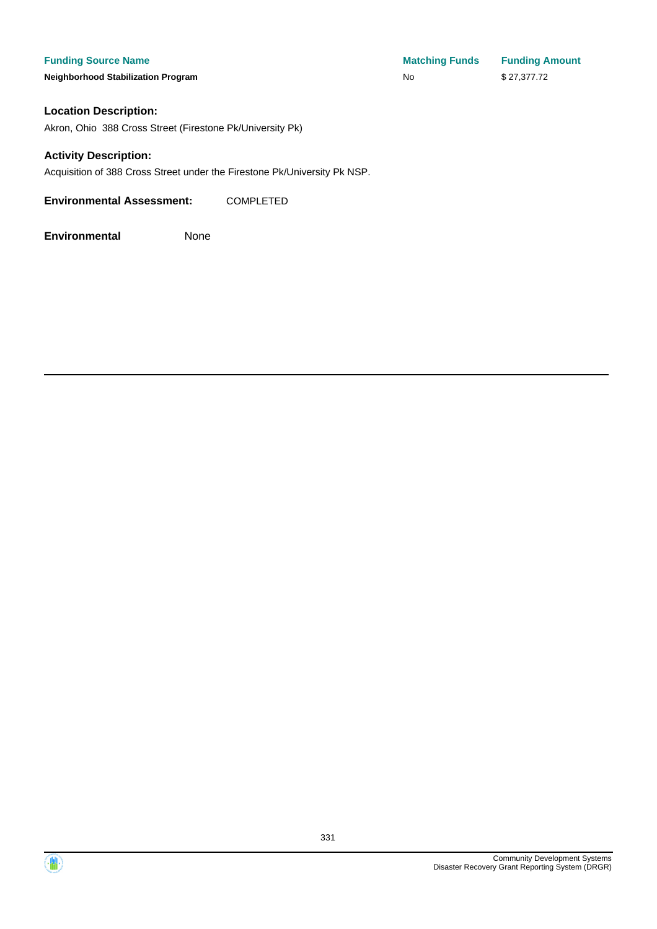**Neighborhood Stabilization Program No** No \$ 27,377.72

**Funding Source Name Matching Funds Funding Amount** 

#### **Location Description:**

Akron, Ohio 388 Cross Street (Firestone Pk/University Pk)

#### **Activity Description:**

Acquisition of 388 Cross Street under the Firestone Pk/University Pk NSP.

**Environmental Assessment:** COMPLETED



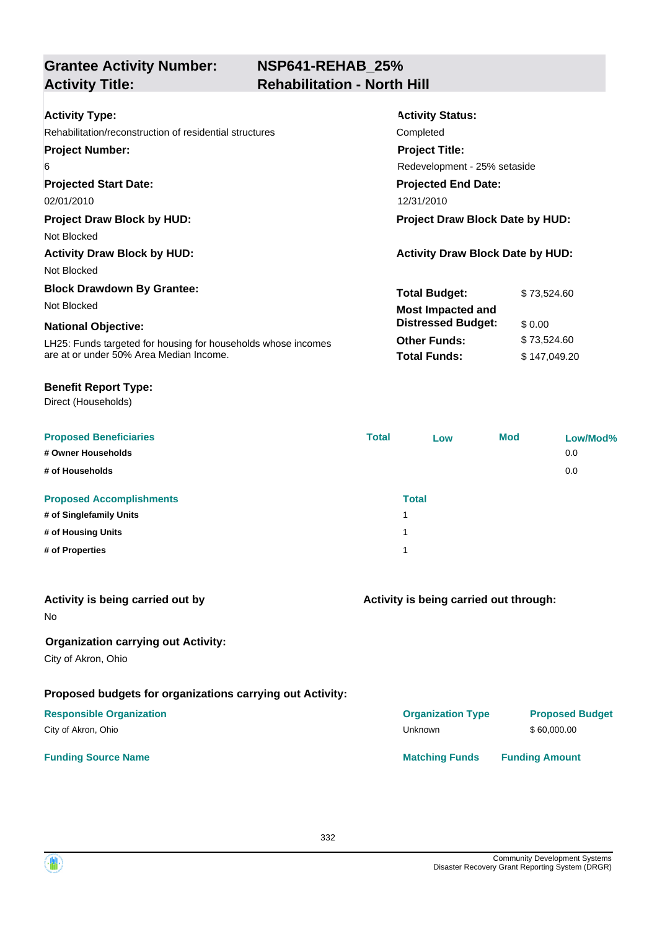# **NSP641-REHAB\_25% Activity Title: Rehabilitation - North Hill**

| <b>Activity Type:</b><br>Rehabilitation/reconstruction of residential structures | <b>Activity Status:</b><br>Completed    |              |  |
|----------------------------------------------------------------------------------|-----------------------------------------|--------------|--|
| <b>Project Number:</b>                                                           | <b>Project Title:</b>                   |              |  |
| 6                                                                                | Redevelopment - 25% setaside            |              |  |
| <b>Projected Start Date:</b>                                                     | <b>Projected End Date:</b>              |              |  |
| 02/01/2010                                                                       | 12/31/2010                              |              |  |
| <b>Project Draw Block by HUD:</b>                                                | Project Draw Block Date by HUD:         |              |  |
| Not Blocked                                                                      |                                         |              |  |
| <b>Activity Draw Block by HUD:</b>                                               | <b>Activity Draw Block Date by HUD:</b> |              |  |
| Not Blocked                                                                      |                                         |              |  |
| <b>Block Drawdown By Grantee:</b>                                                | <b>Total Budget:</b>                    | \$73,524.60  |  |
| Not Blocked                                                                      | <b>Most Impacted and</b>                |              |  |
| <b>National Objective:</b>                                                       | <b>Distressed Budget:</b>               | \$0.00       |  |
| LH25: Funds targeted for housing for households whose incomes                    | <b>Other Funds:</b>                     | \$73,524.60  |  |
| are at or under 50% Area Median Income.                                          | <b>Total Funds:</b>                     | \$147,049.20 |  |

#### **Benefit Report Type:**

Direct (Households)

| <b>Proposed Beneficiaries</b><br># Owner Households<br># of Households | <b>Total</b> | Low          | <b>Mod</b> | Low/Mod%<br>0.0<br>0.0 |
|------------------------------------------------------------------------|--------------|--------------|------------|------------------------|
| <b>Proposed Accomplishments</b>                                        |              | <b>Total</b> |            |                        |
| # of Singlefamily Units                                                | 4            |              |            |                        |
| # of Housing Units                                                     | 1            |              |            |                        |
| # of Properties                                                        | 1            |              |            |                        |

| Activity is being carried out by<br>No.                   | Activity is being carried out through: |                        |  |
|-----------------------------------------------------------|----------------------------------------|------------------------|--|
| <b>Organization carrying out Activity:</b>                |                                        |                        |  |
| City of Akron, Ohio                                       |                                        |                        |  |
| Proposed budgets for organizations carrying out Activity: |                                        |                        |  |
| <b>Responsible Organization</b>                           | <b>Organization Type</b>               | <b>Proposed Budget</b> |  |
| City of Akron, Ohio                                       | Unknown                                | \$60,000,00            |  |
| <b>Funding Source Name</b>                                | <b>Matching Funds</b>                  | <b>Funding Amount</b>  |  |

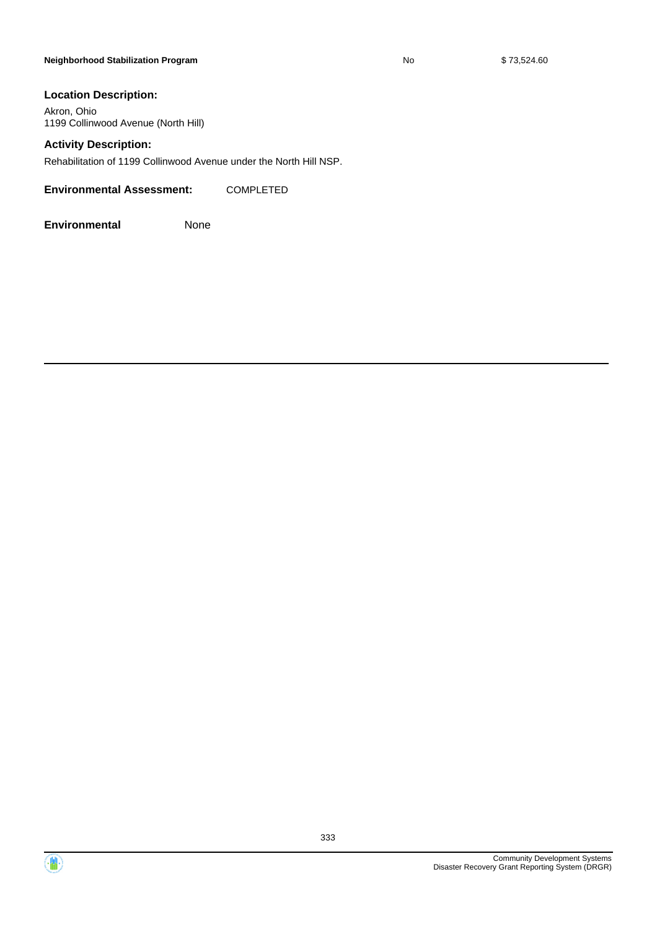#### **Neighborhood Stabilization Program No No** \$ 73,524.60

### **Location Description:**

Akron, Ohio 1199 Collinwood Avenue (North Hill)

#### **Activity Description:**

Rehabilitation of 1199 Collinwood Avenue under the North Hill NSP.

**Environmental Assessment:** COMPLETED

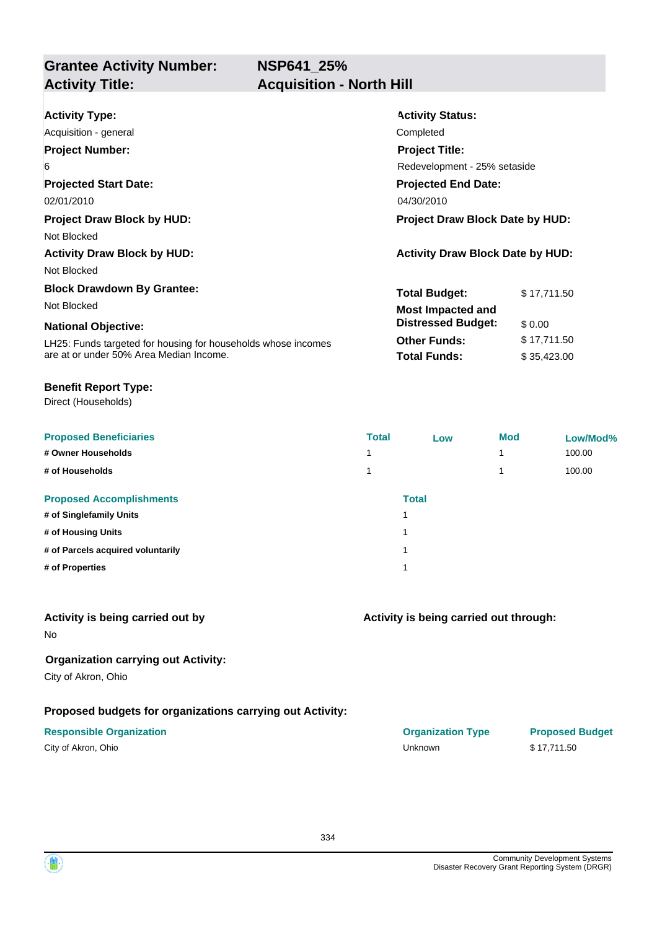**NSP641\_25%**

**Grantee Activity Number: Activity Title: Acquisition - North Hill**

| <b>Activity Status:</b>                 |             |  |
|-----------------------------------------|-------------|--|
| Completed                               |             |  |
| <b>Project Title:</b>                   |             |  |
| Redevelopment - 25% setaside            |             |  |
| <b>Projected End Date:</b>              |             |  |
| 04/30/2010                              |             |  |
| <b>Project Draw Block Date by HUD:</b>  |             |  |
|                                         |             |  |
| <b>Activity Draw Block Date by HUD:</b> |             |  |
|                                         |             |  |
| <b>Total Budget:</b>                    | \$17,711.50 |  |
| <b>Most Impacted and</b>                |             |  |
| <b>Distressed Budget:</b>               | \$0.00      |  |
| <b>Other Funds:</b>                     | \$17,711.50 |  |
| <b>Total Funds:</b>                     | \$35,423.00 |  |
|                                         |             |  |

#### **Benefit Report Type:**

Direct (Households)

| <b>Proposed Beneficiaries</b>     | <b>Total</b> | Low          | <b>Mod</b> | Low/Mod% |
|-----------------------------------|--------------|--------------|------------|----------|
| # Owner Households                |              |              | 4          | 100.00   |
| # of Households                   |              |              | 4          | 100.00   |
| <b>Proposed Accomplishments</b>   |              | <b>Total</b> |            |          |
| # of Singlefamily Units           |              |              |            |          |
| # of Housing Units                |              |              |            |          |
| # of Parcels acquired voluntarily |              |              |            |          |
| # of Properties                   |              |              |            |          |
|                                   |              |              |            |          |

## **Activity is being carried out by**

No

## **Organization carrying out Activity:**

City of Akron, Ohio

# **Proposed budgets for organizations carrying out Activity:**

# **Activity is being carried out through:**

**Responsible Organization COVID-10 COVID-10 Organization Type Proposed Budget** City of Akron, Ohio Unknown \$ 17,711.50

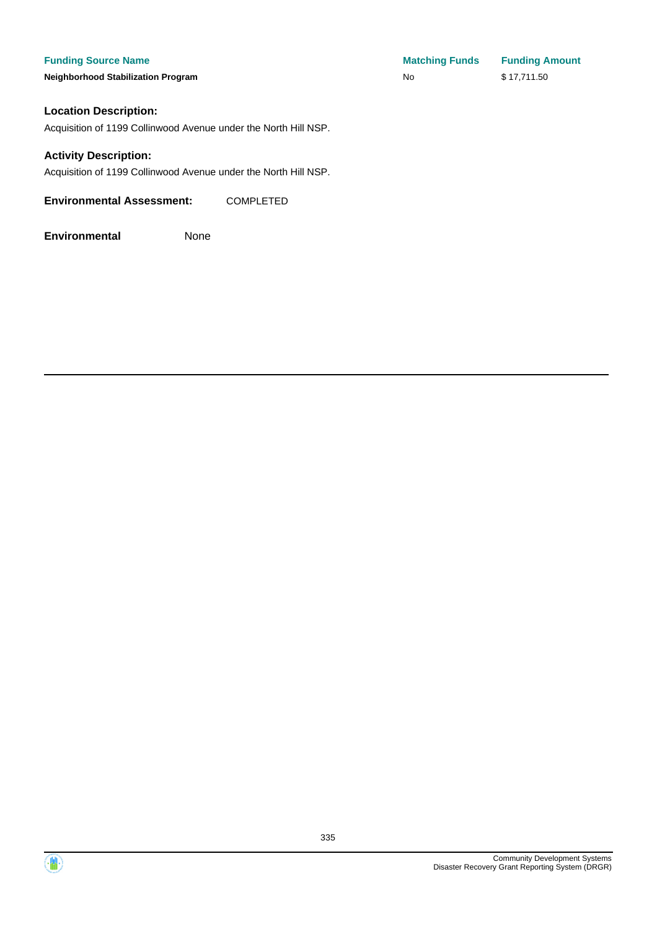**Neighborhood Stabilization Program** 

| <b>Matching Funds</b> | <b>Funding Amount</b> |
|-----------------------|-----------------------|
| No                    | \$17,711.50           |

### **Location Description:**

Acquisition of 1199 Collinwood Avenue under the North Hill NSP.

#### **Activity Description:**

Acquisition of 1199 Collinwood Avenue under the North Hill NSP.

**Environmental Assessment:** COMPLETED

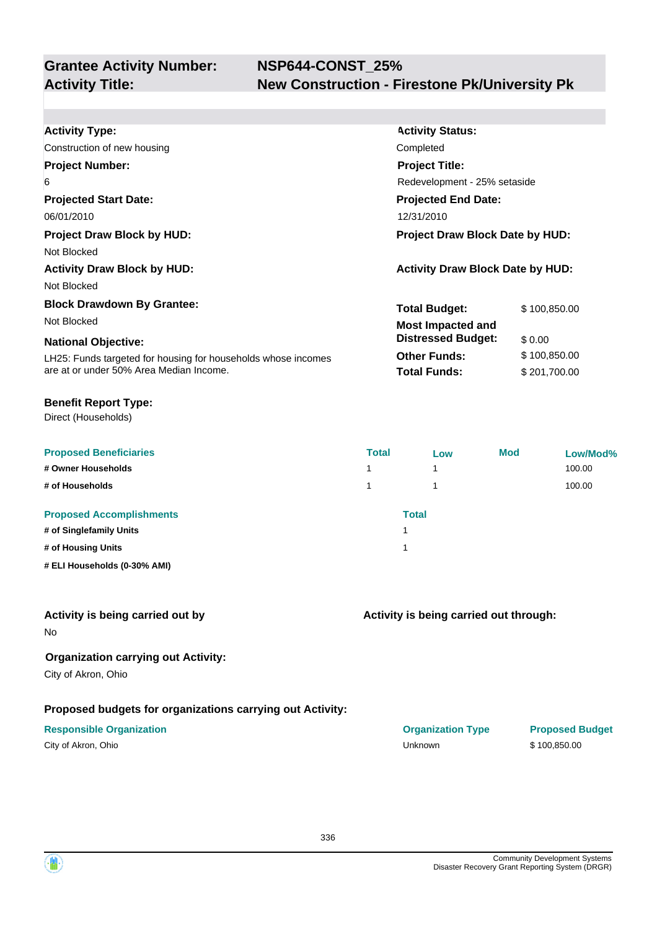| <b>Activity Type:</b>                                         | <b>Activity Status:</b>                 |              |  |
|---------------------------------------------------------------|-----------------------------------------|--------------|--|
| Construction of new housing                                   | Completed                               |              |  |
| <b>Project Number:</b>                                        | <b>Project Title:</b>                   |              |  |
| 6                                                             | Redevelopment - 25% setaside            |              |  |
| <b>Projected Start Date:</b>                                  | <b>Projected End Date:</b>              |              |  |
| 06/01/2010                                                    | 12/31/2010                              |              |  |
| <b>Project Draw Block by HUD:</b>                             | <b>Project Draw Block Date by HUD:</b>  |              |  |
| Not Blocked                                                   |                                         |              |  |
| <b>Activity Draw Block by HUD:</b>                            | <b>Activity Draw Block Date by HUD:</b> |              |  |
| Not Blocked                                                   |                                         |              |  |
| <b>Block Drawdown By Grantee:</b>                             | <b>Total Budget:</b>                    | \$100,850.00 |  |
| Not Blocked                                                   | <b>Most Impacted and</b>                |              |  |
| <b>National Objective:</b>                                    | <b>Distressed Budget:</b>               | \$0.00       |  |
| LH25: Funds targeted for housing for households whose incomes | <b>Other Funds:</b>                     | \$100,850.00 |  |
| are at or under 50% Area Median Income.                       | <b>Total Funds:</b>                     | \$201,700.00 |  |
|                                                               |                                         |              |  |

#### **Benefit Report Type:**

Direct (Households)

| <b>Proposed Beneficiaries</b><br># Owner Households | <b>Total</b><br>1 | Low<br>1 | Mod | Low/Mod%<br>100.00 |
|-----------------------------------------------------|-------------------|----------|-----|--------------------|
|                                                     |                   |          |     |                    |
| # of Households                                     | 1                 |          |     | 100.00             |
| <b>Proposed Accomplishments</b>                     |                   | Total    |     |                    |
| # of Singlefamily Units                             |                   |          |     |                    |
| # of Housing Units                                  |                   |          |     |                    |
| # ELI Households (0-30% AMI)                        |                   |          |     |                    |

#### **Activity is being carried out by**

No

### **Organization carrying out Activity:**

City of Akron, Ohio

### **Proposed budgets for organizations carrying out Activity:**

|  |  | City of Akron, Ohio |  |
|--|--|---------------------|--|
|--|--|---------------------|--|

## **Activity is being carried out through:**

**Responsible Organization CONSERVIRGHT ACCORDING THE CONSERVIRGHT ORGANIZATION Type Proposed Budget** City of Akron, Ohio Unknown \$ 100,850.00

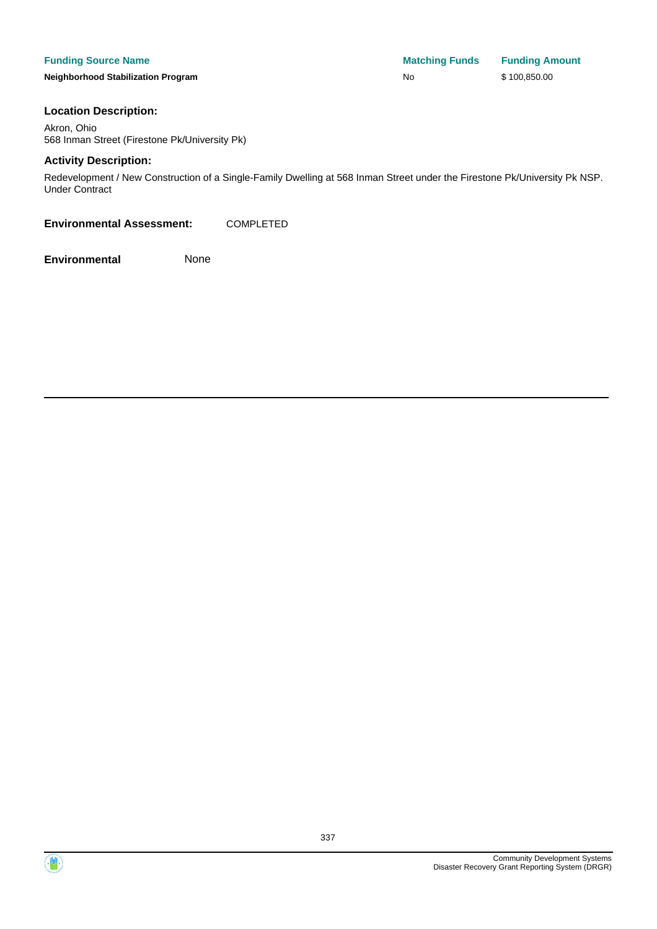**Neighborhood Stabilization Program No No** \$ 100,850.00

#### **Location Description:**

Akron, Ohio 568 Inman Street (Firestone Pk/University Pk)

#### **Activity Description:**

Redevelopment / New Construction of a Single-Family Dwelling at 568 Inman Street under the Firestone Pk/University Pk NSP. Under Contract

**Environmental Assessment:** COMPLETED

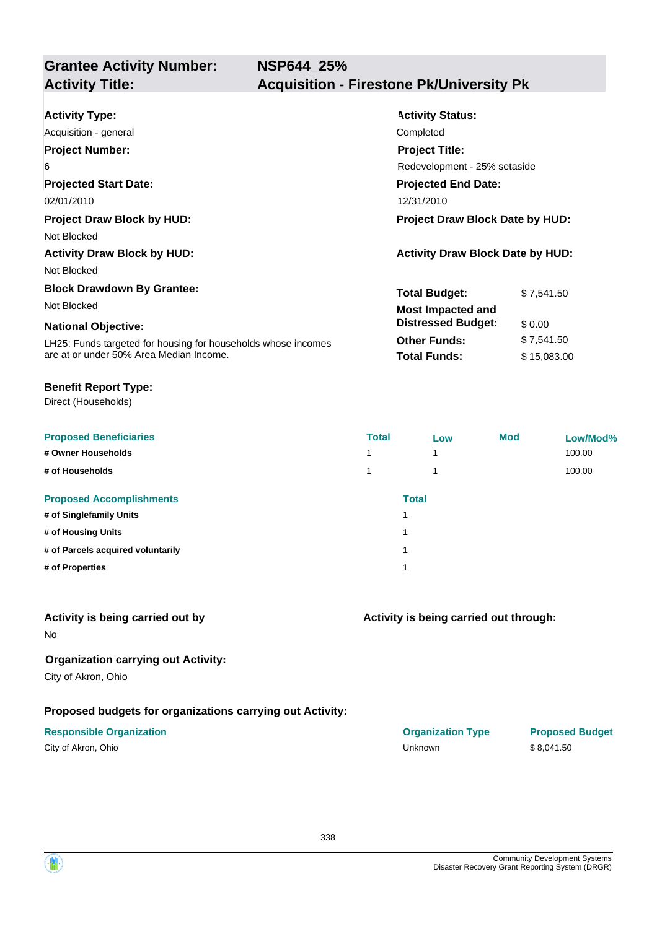| <b>Activity Type:</b>                                         | <b>Activity Status:</b>                 |             |  |
|---------------------------------------------------------------|-----------------------------------------|-------------|--|
| Acquisition - general                                         | Completed                               |             |  |
| <b>Project Number:</b>                                        | <b>Project Title:</b>                   |             |  |
| 6                                                             | Redevelopment - 25% setaside            |             |  |
| <b>Projected Start Date:</b>                                  | <b>Projected End Date:</b>              |             |  |
| 02/01/2010                                                    | 12/31/2010                              |             |  |
| <b>Project Draw Block by HUD:</b>                             | <b>Project Draw Block Date by HUD:</b>  |             |  |
| Not Blocked                                                   |                                         |             |  |
| <b>Activity Draw Block by HUD:</b>                            | <b>Activity Draw Block Date by HUD:</b> |             |  |
| Not Blocked                                                   |                                         |             |  |
| <b>Block Drawdown By Grantee:</b>                             | <b>Total Budget:</b>                    | \$7,541.50  |  |
| Not Blocked                                                   | <b>Most Impacted and</b>                |             |  |
| <b>National Objective:</b>                                    | <b>Distressed Budget:</b>               | \$0.00      |  |
| LH25: Funds targeted for housing for households whose incomes | <b>Other Funds:</b>                     | \$7,541.50  |  |
| are at or under 50% Area Median Income.                       | <b>Total Funds:</b>                     | \$15,083.00 |  |

#### **Benefit Report Type:**

Direct (Households)

| <b>Proposed Beneficiaries</b>     | <b>Total</b> | Low          | <b>Mod</b> | Low/Mod% |
|-----------------------------------|--------------|--------------|------------|----------|
| # Owner Households                | 1            |              |            | 100.00   |
| # of Households                   | 1            |              |            | 100.00   |
| <b>Proposed Accomplishments</b>   |              | <b>Total</b> |            |          |
| # of Singlefamily Units           |              |              |            |          |
| # of Housing Units                | 1            |              |            |          |
| # of Parcels acquired voluntarily | 1            |              |            |          |
| # of Properties                   | 1            |              |            |          |
|                                   |              |              |            |          |

## **Activity is being carried out by**

No

# **Organization carrying out Activity:**

City of Akron, Ohio

# **Proposed budgets for organizations carrying out Activity:**

| City of Akron, Ohio |  |
|---------------------|--|
|---------------------|--|

# **Activity is being carried out through:**

| <b>Responsible Organization</b> | <b>Organization Type</b> | <b>Proposed Budget</b> |
|---------------------------------|--------------------------|------------------------|
| City of Akron, Ohio             | Unknown                  | \$8.041.50             |

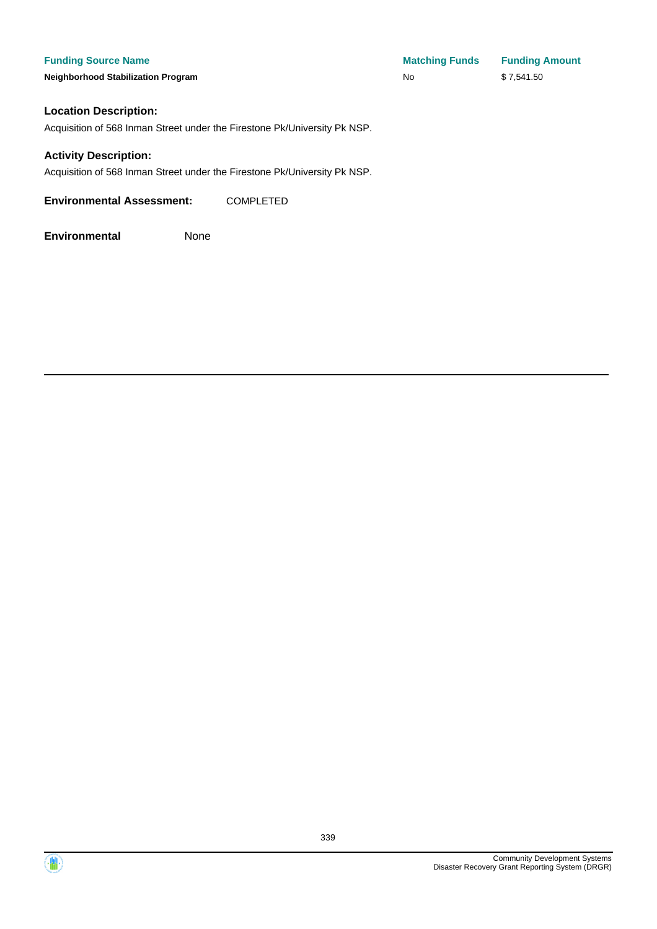**Neighborhood Stabilization Program** 

| <b>Matching Funds</b> | <b>Funding Amount</b> |
|-----------------------|-----------------------|
| No                    | \$7,541.50            |

#### **Location Description:**

Acquisition of 568 Inman Street under the Firestone Pk/University Pk NSP.

#### **Activity Description:**

Acquisition of 568 Inman Street under the Firestone Pk/University Pk NSP.

**Environmental Assessment:** COMPLETED



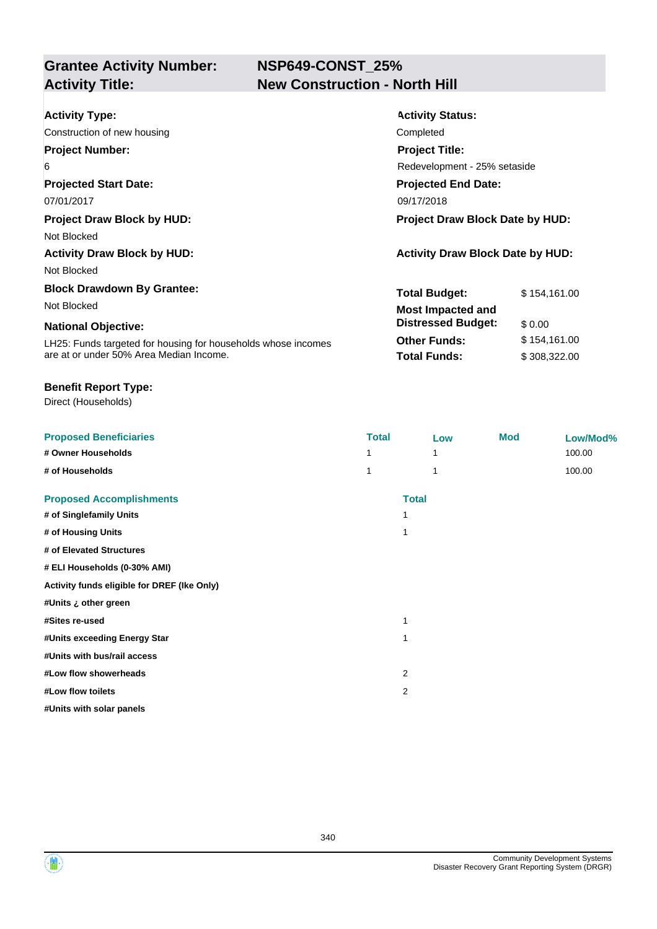# **NSP649-CONST\_25% New Construction - North Hill**

| <b>Activity Type:</b>                                         | <b>Activity Status:</b>                 |              |  |
|---------------------------------------------------------------|-----------------------------------------|--------------|--|
| Construction of new housing                                   | Completed                               |              |  |
| <b>Project Number:</b>                                        | <b>Project Title:</b>                   |              |  |
| 6                                                             | Redevelopment - 25% setaside            |              |  |
| <b>Projected Start Date:</b>                                  | <b>Projected End Date:</b>              |              |  |
| 07/01/2017                                                    | 09/17/2018                              |              |  |
| <b>Project Draw Block by HUD:</b>                             | <b>Project Draw Block Date by HUD:</b>  |              |  |
| Not Blocked                                                   |                                         |              |  |
| <b>Activity Draw Block by HUD:</b>                            | <b>Activity Draw Block Date by HUD:</b> |              |  |
| Not Blocked                                                   |                                         |              |  |
| <b>Block Drawdown By Grantee:</b>                             | <b>Total Budget:</b>                    | \$154,161.00 |  |
| Not Blocked                                                   | <b>Most Impacted and</b>                |              |  |
| <b>National Objective:</b>                                    | <b>Distressed Budget:</b>               | \$0.00       |  |
| LH25: Funds targeted for housing for households whose incomes | <b>Other Funds:</b>                     | \$154,161.00 |  |
| are at or under 50% Area Median Income.                       | <b>Total Funds:</b>                     | \$308,322.00 |  |

#### **Benefit Report Type:**

Direct (Households)

| <b>Proposed Beneficiaries</b>               | <b>Total</b>   | Low          | <b>Mod</b> | Low/Mod% |
|---------------------------------------------|----------------|--------------|------------|----------|
| # Owner Households                          |                |              |            | 100.00   |
| # of Households                             |                | 1            |            | 100.00   |
| <b>Proposed Accomplishments</b>             |                | <b>Total</b> |            |          |
| # of Singlefamily Units                     | 1              |              |            |          |
| # of Housing Units                          | 1              |              |            |          |
| # of Elevated Structures                    |                |              |            |          |
| # ELI Households (0-30% AMI)                |                |              |            |          |
| Activity funds eligible for DREF (Ike Only) |                |              |            |          |
| #Units ¿ other green                        |                |              |            |          |
| #Sites re-used                              | 1              |              |            |          |
| #Units exceeding Energy Star                | 1              |              |            |          |
| #Units with bus/rail access                 |                |              |            |          |
| #Low flow showerheads                       | $\overline{2}$ |              |            |          |
| #Low flow toilets                           | 2              |              |            |          |
| #Units with solar panels                    |                |              |            |          |

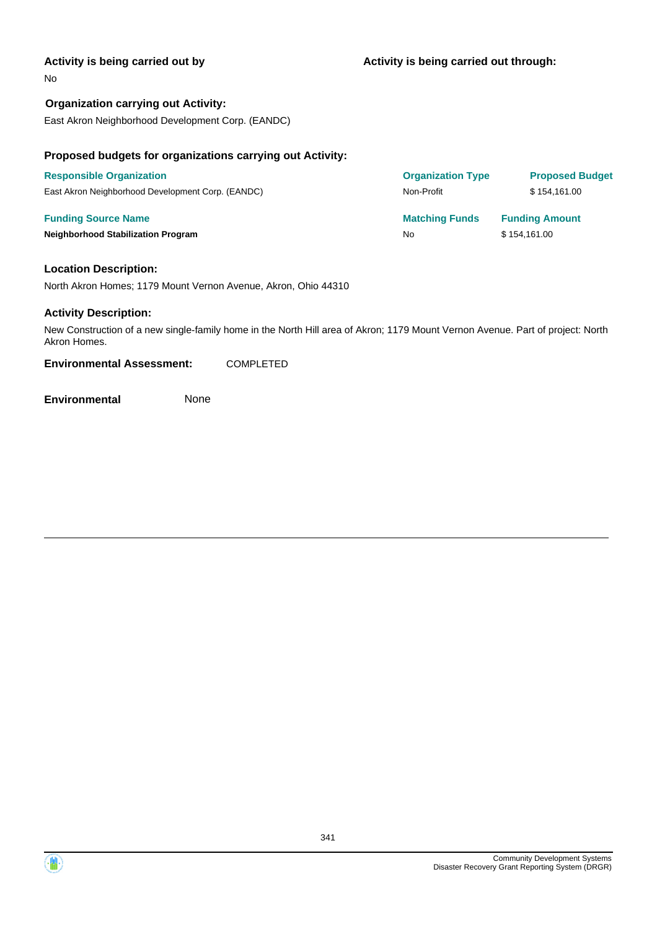#### **Activity is being carried out by**

#### No

**Organization carrying out Activity:** East Akron Neighborhood Development Corp. (EANDC)

#### **Proposed budgets for organizations carrying out Activity:**

| <b>Responsible Organization</b>                   | <b>Organization Type</b> | <b>Proposed Budget</b> |
|---------------------------------------------------|--------------------------|------------------------|
| East Akron Neighborhood Development Corp. (EANDC) | Non-Profit               | \$154.161.00           |
| <b>Funding Source Name</b>                        | <b>Matching Funds</b>    | <b>Funding Amount</b>  |
| <b>Neighborhood Stabilization Program</b>         | No                       | \$154,161.00           |

#### **Location Description:**

North Akron Homes; 1179 Mount Vernon Avenue, Akron, Ohio 44310

#### **Activity Description:**

New Construction of a new single-family home in the North Hill area of Akron; 1179 Mount Vernon Avenue. Part of project: North Akron Homes.

**Environmental Assessment:** COMPLETED

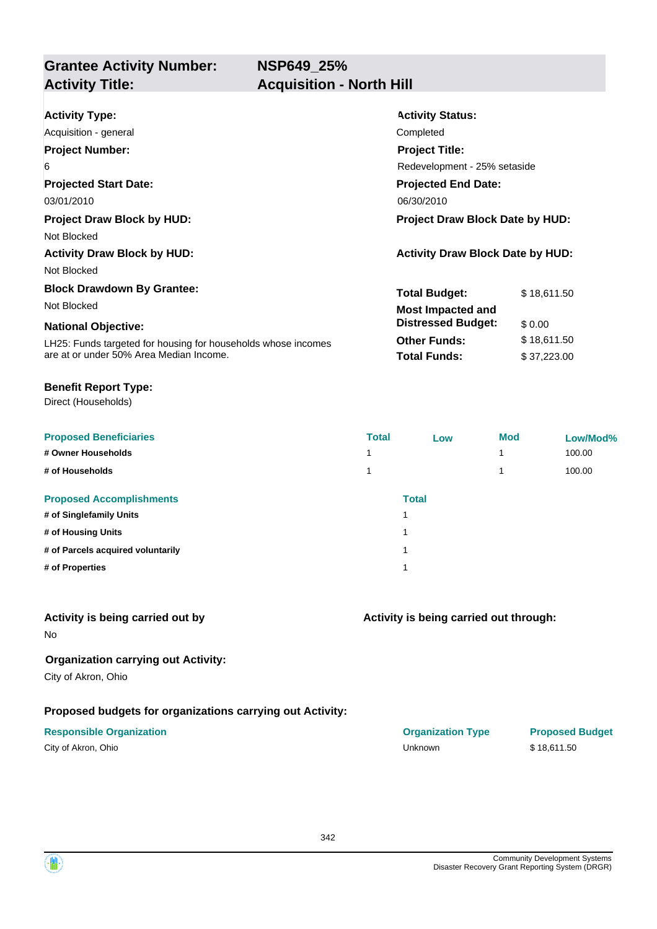**NSP649\_25%**

**Grantee Activity Number: Activity Title: Acquisition - North Hill**

| <b>Activity Type:</b><br>Acquisition - general                                                                                                                                             | <b>Activity Status:</b><br>Completed                                                                                        |                                                     |  |
|--------------------------------------------------------------------------------------------------------------------------------------------------------------------------------------------|-----------------------------------------------------------------------------------------------------------------------------|-----------------------------------------------------|--|
| <b>Project Number:</b><br>6<br><b>Projected Start Date:</b><br>03/01/2010                                                                                                                  | <b>Project Title:</b><br>Redevelopment - 25% setaside<br><b>Projected End Date:</b><br>06/30/2010                           |                                                     |  |
| <b>Project Draw Block by HUD:</b><br>Not Blocked<br><b>Activity Draw Block by HUD:</b><br>Not Blocked                                                                                      | <b>Project Draw Block Date by HUD:</b><br><b>Activity Draw Block Date by HUD:</b>                                           |                                                     |  |
| <b>Block Drawdown By Grantee:</b><br>Not Blocked<br><b>National Objective:</b><br>LH25: Funds targeted for housing for households whose incomes<br>are at or under 50% Area Median Income. | <b>Total Budget:</b><br><b>Most Impacted and</b><br><b>Distressed Budget:</b><br><b>Other Funds:</b><br><b>Total Funds:</b> | \$18,611.50<br>\$0.00<br>\$18,611.50<br>\$37,223.00 |  |

#### **Benefit Report Type:**

Direct (Households)

| <b>Proposed Beneficiaries</b>     | <b>Total</b> | Low          | <b>Mod</b> | Low/Mod% |
|-----------------------------------|--------------|--------------|------------|----------|
| # Owner Households                |              |              | 4          | 100.00   |
| # of Households                   |              |              | 4          | 100.00   |
| <b>Proposed Accomplishments</b>   |              | <b>Total</b> |            |          |
| # of Singlefamily Units           |              |              |            |          |
| # of Housing Units                |              |              |            |          |
| # of Parcels acquired voluntarily |              |              |            |          |
| # of Properties                   |              |              |            |          |
|                                   |              |              |            |          |

## **Activity is being carried out by**

No

## **Organization carrying out Activity:**

City of Akron, Ohio

### **Proposed budgets for organizations carrying out Activity:**

| City of Akron, Ohio |  |
|---------------------|--|
|---------------------|--|

# **Activity is being carried out through:**

**Responsible Organization COVID-10 COVID-10 Organization Type Proposed Budget** City of Akron, Ohio Unknown \$ 18,611.50

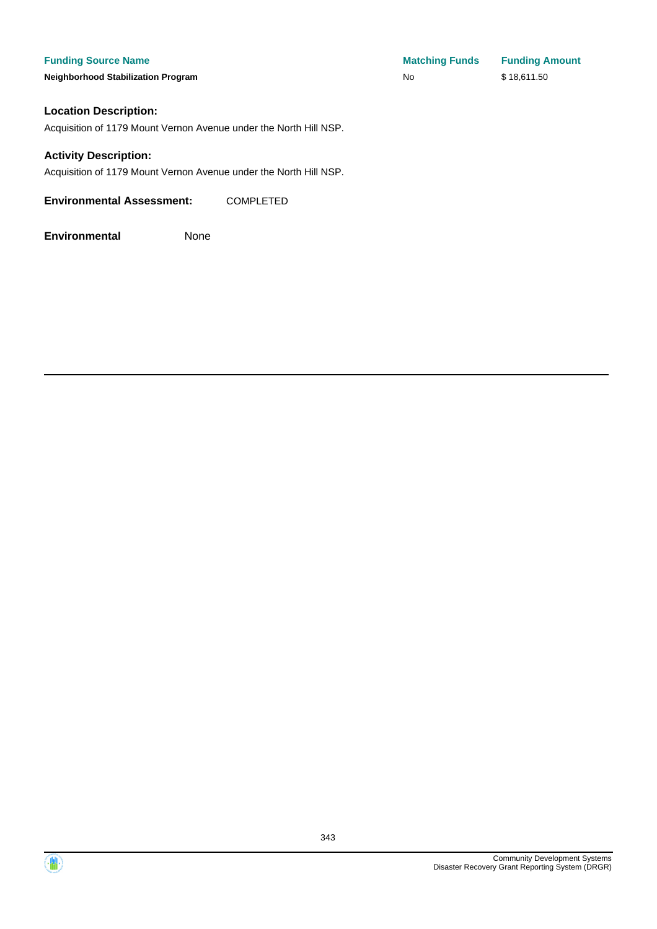**Neighborhood Stabilization Program** 

| <b>Matching Funds</b> | <b>Funding Amount</b> |
|-----------------------|-----------------------|
| No                    | \$18,611.50           |

#### **Location Description:**

Acquisition of 1179 Mount Vernon Avenue under the North Hill NSP.

#### **Activity Description:**

Acquisition of 1179 Mount Vernon Avenue under the North Hill NSP.

**Environmental Assessment:** COMPLETED

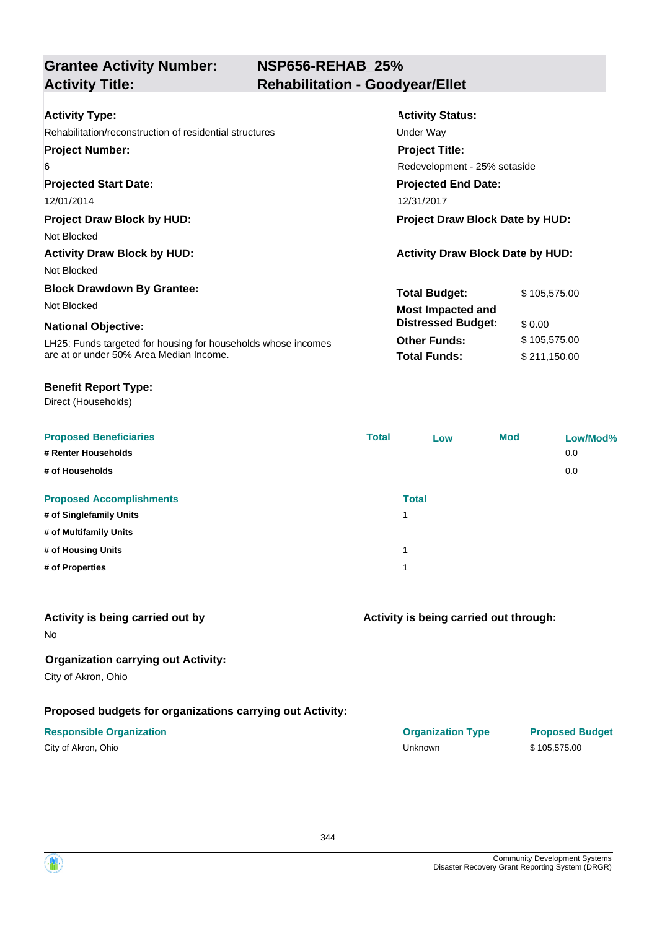# **NSP656-REHAB\_25% Activity Title: Rehabilitation - Goodyear/Ellet**

| <b>Activity Type:</b>                                         | <b>Activity Status:</b>                 |              |  |
|---------------------------------------------------------------|-----------------------------------------|--------------|--|
| Rehabilitation/reconstruction of residential structures       | Under Way                               |              |  |
| <b>Project Number:</b>                                        | <b>Project Title:</b>                   |              |  |
| 6                                                             | Redevelopment - 25% setaside            |              |  |
| <b>Projected Start Date:</b>                                  | <b>Projected End Date:</b>              |              |  |
| 12/01/2014                                                    | 12/31/2017                              |              |  |
| <b>Project Draw Block by HUD:</b>                             | <b>Project Draw Block Date by HUD:</b>  |              |  |
| Not Blocked                                                   |                                         |              |  |
| <b>Activity Draw Block by HUD:</b>                            | <b>Activity Draw Block Date by HUD:</b> |              |  |
| Not Blocked                                                   |                                         |              |  |
| <b>Block Drawdown By Grantee:</b>                             | <b>Total Budget:</b>                    | \$105,575.00 |  |
| Not Blocked                                                   | <b>Most Impacted and</b>                |              |  |
| <b>National Objective:</b>                                    | <b>Distressed Budget:</b>               | \$0.00       |  |
| LH25: Funds targeted for housing for households whose incomes | <b>Other Funds:</b>                     | \$105,575.00 |  |
| are at or under 50% Area Median Income.                       | <b>Total Funds:</b>                     | \$211,150.00 |  |

#### **Benefit Report Type:**

Direct (Households)

| <b>Proposed Beneficiaries</b>   | <b>Total</b> | Low          | <b>Mod</b> | Low/Mod% |
|---------------------------------|--------------|--------------|------------|----------|
| # Renter Households             |              |              |            | 0.0      |
| # of Households                 |              |              |            | 0.0      |
| <b>Proposed Accomplishments</b> |              | <b>Total</b> |            |          |
| # of Singlefamily Units         | 1            |              |            |          |
| # of Multifamily Units          |              |              |            |          |
| # of Housing Units              | 1            |              |            |          |
| # of Properties                 | 4            |              |            |          |
|                                 |              |              |            |          |

| Activity is being carried out by |  |  |  |  |
|----------------------------------|--|--|--|--|
|----------------------------------|--|--|--|--|

No

### **Organization carrying out Activity:**

City of Akron, Ohio

### **Proposed budgets for organizations carrying out Activity:**

| City of Akron, Ohio |  |
|---------------------|--|
|---------------------|--|

### **Activity is being carried out through:**

**Responsible Organization COVID-10 COVID-10 Organization Type Proposed Budget** City of Akron, Ohio Unknown \$ 105,575.00

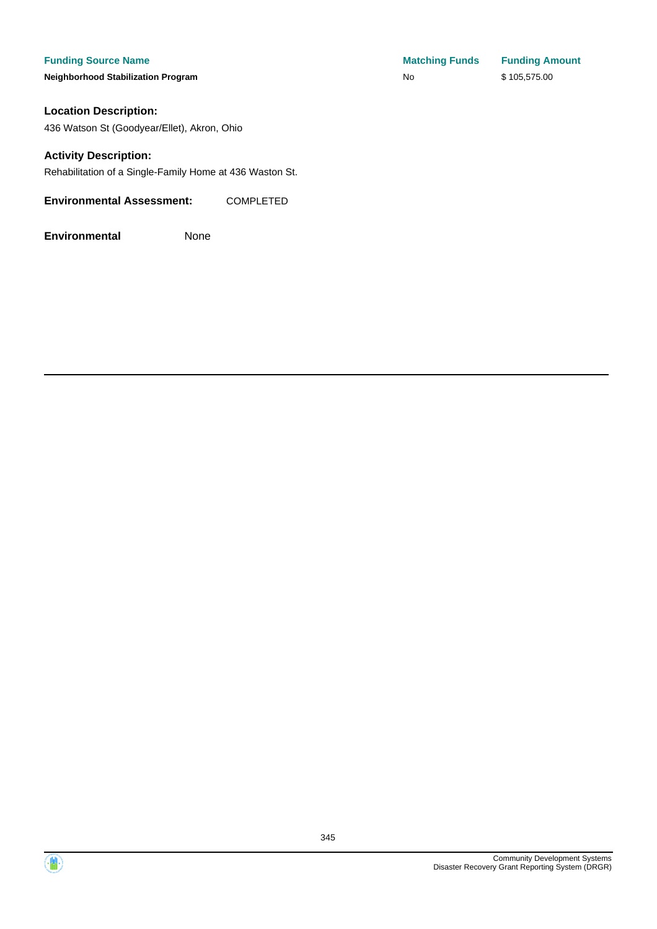**Neighborhood Stabilization Program** 

#### **Location Description:**

436 Watson St (Goodyear/Ellet), Akron, Ohio

#### **Activity Description:**

Rehabilitation of a Single-Family Home at 436 Waston St.

### **Environmental Assessment:** COMPLETED

| <b>Matching Funds</b> | <b>Funding Amount</b> |
|-----------------------|-----------------------|
| No                    | \$105,575.00          |



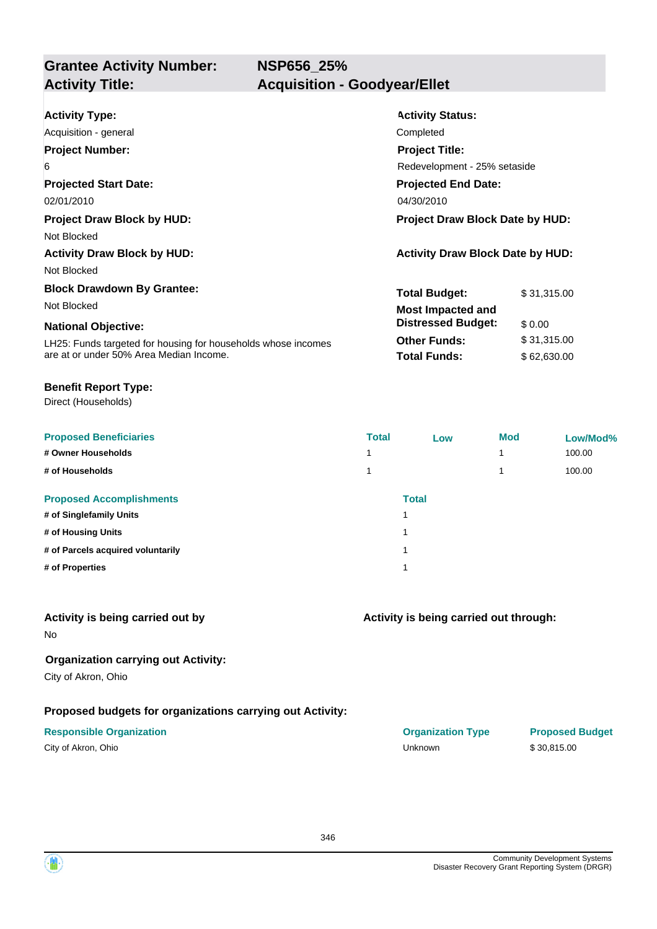**NSP656\_25%**

| <b>Activity Type:</b>                                         | <b>Activity Status:</b>                 |             |  |  |
|---------------------------------------------------------------|-----------------------------------------|-------------|--|--|
| Acquisition - general                                         | Completed                               |             |  |  |
| <b>Project Number:</b>                                        | <b>Project Title:</b>                   |             |  |  |
| 6                                                             | Redevelopment - 25% setaside            |             |  |  |
| <b>Projected Start Date:</b>                                  | <b>Projected End Date:</b>              |             |  |  |
| 02/01/2010                                                    | 04/30/2010                              |             |  |  |
| <b>Project Draw Block by HUD:</b>                             | <b>Project Draw Block Date by HUD:</b>  |             |  |  |
| Not Blocked                                                   |                                         |             |  |  |
| <b>Activity Draw Block by HUD:</b>                            | <b>Activity Draw Block Date by HUD:</b> |             |  |  |
| Not Blocked                                                   |                                         |             |  |  |
| <b>Block Drawdown By Grantee:</b>                             | <b>Total Budget:</b>                    | \$31,315.00 |  |  |
| Not Blocked                                                   | <b>Most Impacted and</b>                |             |  |  |
| <b>National Objective:</b>                                    | <b>Distressed Budget:</b>               | \$0.00      |  |  |
| LH25: Funds targeted for housing for households whose incomes | <b>Other Funds:</b>                     | \$31,315.00 |  |  |
| are at or under 50% Area Median Income.                       | <b>Total Funds:</b>                     | \$62,630.00 |  |  |
|                                                               |                                         |             |  |  |

#### **Benefit Report Type:**

Direct (Households)

| <b>Proposed Beneficiaries</b>     | <b>Total</b> | Low          | <b>Mod</b> | Low/Mod% |
|-----------------------------------|--------------|--------------|------------|----------|
| # Owner Households                |              |              | 4          | 100.00   |
| # of Households                   |              |              | 4          | 100.00   |
| <b>Proposed Accomplishments</b>   |              | <b>Total</b> |            |          |
| # of Singlefamily Units           |              |              |            |          |
| # of Housing Units                |              |              |            |          |
| # of Parcels acquired voluntarily |              |              |            |          |
| # of Properties                   |              |              |            |          |
|                                   |              |              |            |          |

## **Activity is being carried out by**

No

## **Organization carrying out Activity:**

City of Akron, Ohio

### **Proposed budgets for organizations carrying out Activity:**

| City of Akron, Ohio |  |
|---------------------|--|
|---------------------|--|

# **Activity is being carried out through:**

**Responsible Organization COVID-10 COVID-10 Organization Type Proposed Budget** City of Akron, Ohio Unknown \$ 30,815.00

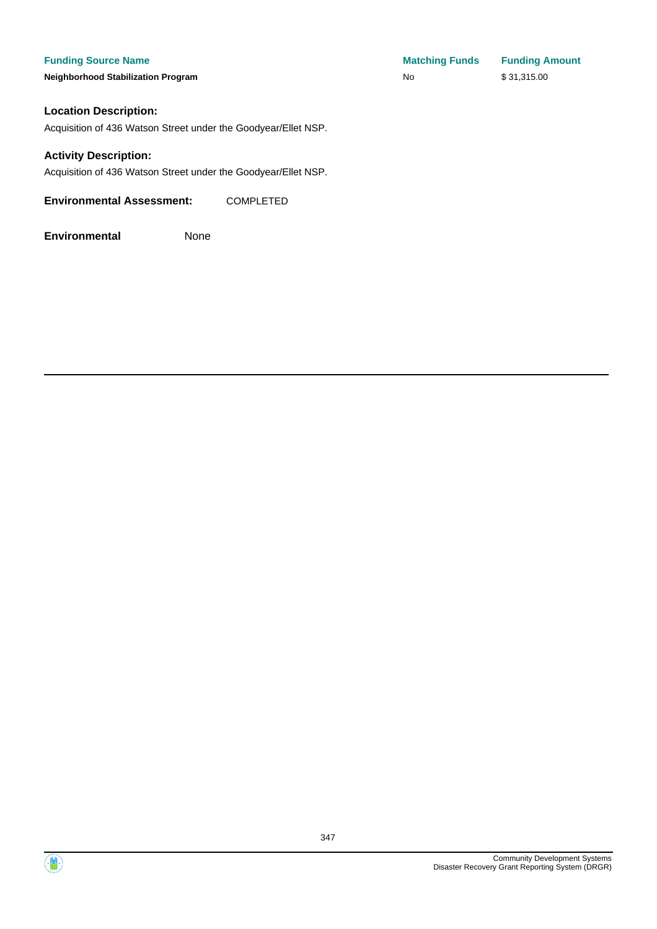**Neighborhood Stabilization Program** 

| <b>Matching Funds</b> | <b>Funding Amount</b> |
|-----------------------|-----------------------|
| No.                   | \$31,315.00           |

#### **Location Description:**

Acquisition of 436 Watson Street under the Goodyear/Ellet NSP.

#### **Activity Description:**

Acquisition of 436 Watson Street under the Goodyear/Ellet NSP.

**Environmental Assessment:** COMPLETED

**Environmental** None



347

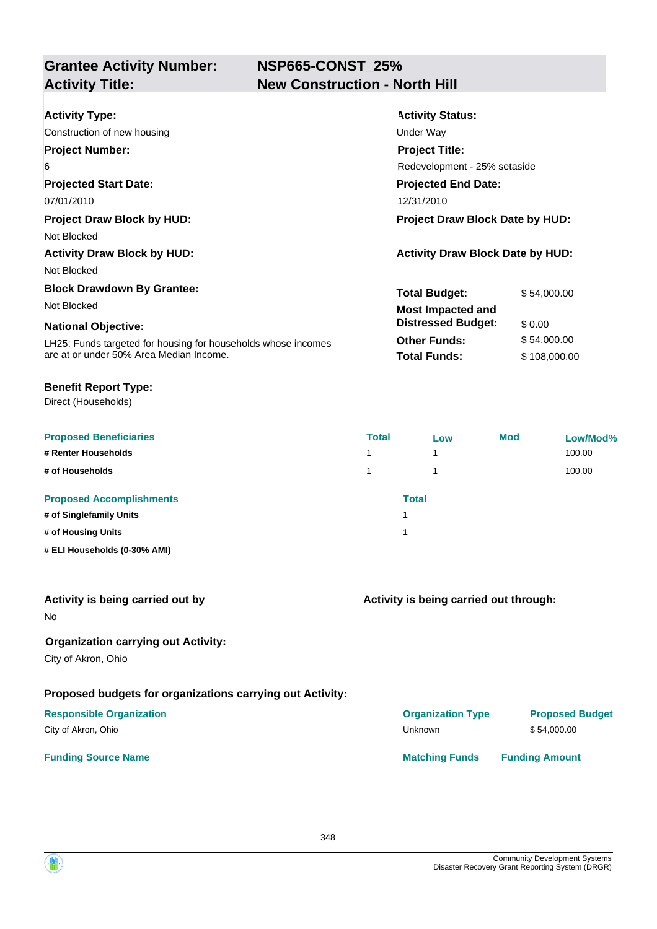# **NSP665-CONST\_25% Activity Title: New Construction - North Hill**

| <b>Activity Type:</b><br>Construction of new housing          | <b>Activity Status:</b><br>Under Way    |              |  |
|---------------------------------------------------------------|-----------------------------------------|--------------|--|
| <b>Project Number:</b>                                        | <b>Project Title:</b>                   |              |  |
| 6                                                             | Redevelopment - 25% setaside            |              |  |
| <b>Projected Start Date:</b>                                  | <b>Projected End Date:</b>              |              |  |
| 07/01/2010                                                    | 12/31/2010                              |              |  |
| <b>Project Draw Block by HUD:</b>                             | <b>Project Draw Block Date by HUD:</b>  |              |  |
| Not Blocked                                                   |                                         |              |  |
| <b>Activity Draw Block by HUD:</b>                            | <b>Activity Draw Block Date by HUD:</b> |              |  |
| Not Blocked                                                   |                                         |              |  |
| <b>Block Drawdown By Grantee:</b>                             | <b>Total Budget:</b>                    | \$54,000.00  |  |
| Not Blocked                                                   | <b>Most Impacted and</b>                |              |  |
| <b>National Objective:</b>                                    | <b>Distressed Budget:</b>               | \$0.00       |  |
| LH25: Funds targeted for housing for households whose incomes | <b>Other Funds:</b>                     | \$54,000.00  |  |
| are at or under 50% Area Median Income.                       | <b>Total Funds:</b>                     | \$108,000.00 |  |

#### **Benefit Report Type:**

Direct (Households)

| <b>Proposed Beneficiaries</b>   | <b>Total</b> | Low | <b>Mod</b> | Low/Mod% |
|---------------------------------|--------------|-----|------------|----------|
| # Renter Households             | 4            | 1   |            | 100.00   |
| # of Households                 |              |     |            | 100.00   |
| <b>Proposed Accomplishments</b> | <b>Total</b> |     |            |          |
| # of Singlefamily Units         |              |     |            |          |
| # of Housing Units              |              |     |            |          |
| # ELI Households (0-30% AMI)    |              |     |            |          |

| Activity is being carried out by |  |
|----------------------------------|--|
|----------------------------------|--|

No

## **Organization carrying out Activity:**

City of Akron, Ohio

# **Proposed budgets for organizations carrying out Activity:**

#### **Responsible Organization COVID-10 COVID-10 Organization Type Proposed Budget** City of Akron, Ohio \$54,000.00

### **Funding Source Name Matching Funds Funding Amount**

**Activity is being carried out through:**

348

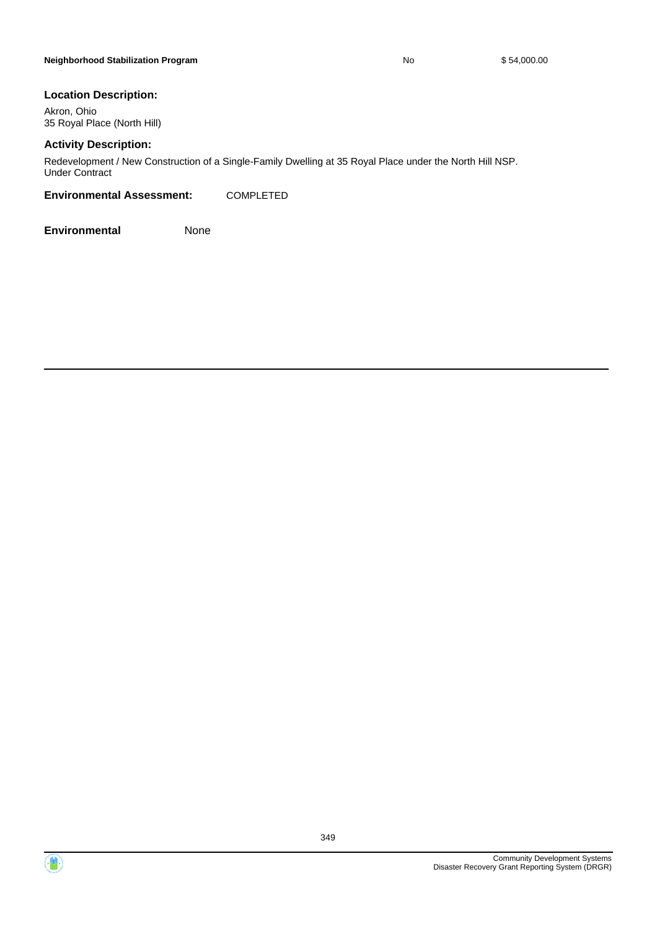#### **Location Description:**

Akron, Ohio 35 Royal Place (North Hill)

### **Activity Description:**

Redevelopment / New Construction of a Single-Family Dwelling at 35 Royal Place under the North Hill NSP. Under Contract

#### **Environmental Assessment:** COMPLETED

**Environmental** None



 $\left( \mathbf{M} \right)$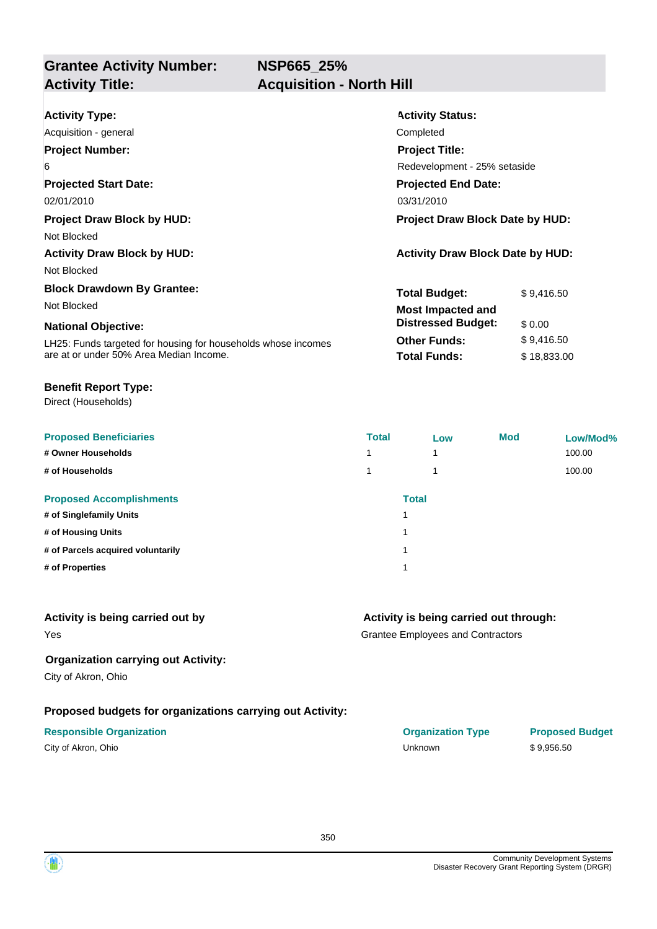**NSP665\_25%**

# **Grantee Activity Number: Activity Title: Acquisition - North Hill**

| <b>Activity Type:</b>                                         | <b>Activity Status:</b>                 |             |  |
|---------------------------------------------------------------|-----------------------------------------|-------------|--|
| Acquisition - general                                         | Completed                               |             |  |
| <b>Project Number:</b>                                        | <b>Project Title:</b>                   |             |  |
| 6                                                             | Redevelopment - 25% setaside            |             |  |
| <b>Projected Start Date:</b>                                  | <b>Projected End Date:</b>              |             |  |
| 02/01/2010                                                    | 03/31/2010                              |             |  |
| <b>Project Draw Block by HUD:</b>                             | <b>Project Draw Block Date by HUD:</b>  |             |  |
| Not Blocked                                                   |                                         |             |  |
| <b>Activity Draw Block by HUD:</b>                            | <b>Activity Draw Block Date by HUD:</b> |             |  |
| Not Blocked                                                   |                                         |             |  |
| <b>Block Drawdown By Grantee:</b>                             | <b>Total Budget:</b>                    | \$9,416.50  |  |
| Not Blocked                                                   | <b>Most Impacted and</b>                |             |  |
| <b>National Objective:</b>                                    | <b>Distressed Budget:</b>               | \$0.00      |  |
| LH25: Funds targeted for housing for households whose incomes | <b>Other Funds:</b>                     | \$9,416.50  |  |
| are at or under 50% Area Median Income.                       | <b>Total Funds:</b>                     | \$18,833.00 |  |

#### **Benefit Report Type:**

Direct (Households)

| <b>Proposed Beneficiaries</b>     | <b>Total</b> | Low | <b>Mod</b> | Low/Mod% |
|-----------------------------------|--------------|-----|------------|----------|
| # Owner Households                | 1            | 1   |            | 100.00   |
| # of Households                   | 1            | 4   |            | 100.00   |
| <b>Proposed Accomplishments</b>   | <b>Total</b> |     |            |          |
| # of Singlefamily Units           |              |     |            |          |
| # of Housing Units                |              |     |            |          |
| # of Parcels acquired voluntarily |              |     |            |          |
| # of Properties                   |              |     |            |          |

## **Activity is being carried out by**

Yes

## **Activity is being carried out through:**

Grantee Employees and Contractors

#### **Organization carrying out Activity:**

City of Akron, Ohio

### **Proposed budgets for organizations carrying out Activity:**

#### **Responsible Organization COVID-10 COVID-10 Organization Type Proposed Budget**

City of Akron, Ohio **Canadian Control of Akron, Ohio Canadian Control of Akron, Ohio Canadian Control of Akron**, 0956.50



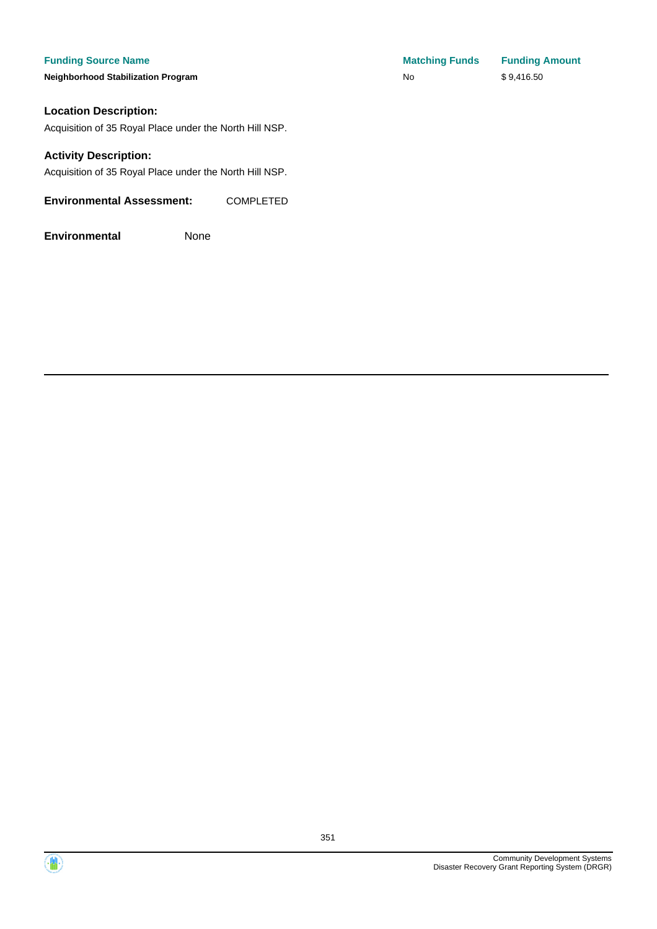**Neighborhood Stabilization Program** 

### **Location Description:**

Acquisition of 35 Royal Place under the North Hill NSP.

#### **Activity Description:**

Acquisition of 35 Royal Place under the North Hill NSP.

#### **Environmental Assessment:** COMPLETED

| <b>Matching Funds</b> | <b>Funding Amount</b> |
|-----------------------|-----------------------|
| No.                   | \$9,416.50            |



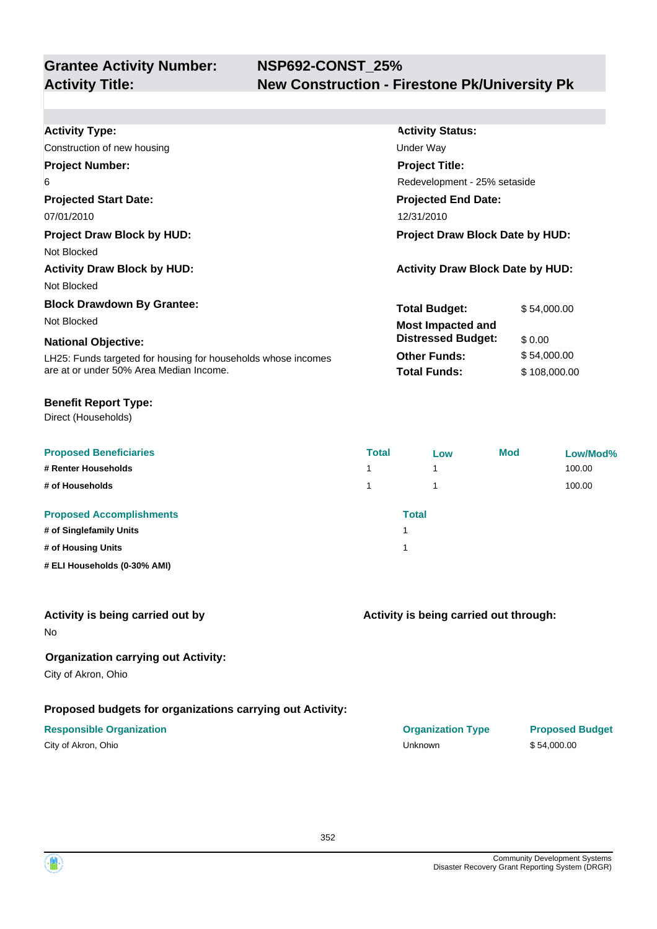| <b>Activity Type:</b>                                         | <b>Activity Status:</b>                 |              |  |
|---------------------------------------------------------------|-----------------------------------------|--------------|--|
| Construction of new housing                                   | Under Way                               |              |  |
| <b>Project Number:</b>                                        | <b>Project Title:</b>                   |              |  |
| 6                                                             | Redevelopment - 25% setaside            |              |  |
| <b>Projected Start Date:</b>                                  | <b>Projected End Date:</b>              |              |  |
| 07/01/2010                                                    | 12/31/2010                              |              |  |
| <b>Project Draw Block by HUD:</b>                             | <b>Project Draw Block Date by HUD:</b>  |              |  |
| Not Blocked                                                   |                                         |              |  |
| <b>Activity Draw Block by HUD:</b>                            | <b>Activity Draw Block Date by HUD:</b> |              |  |
| Not Blocked                                                   |                                         |              |  |
| <b>Block Drawdown By Grantee:</b>                             | <b>Total Budget:</b>                    | \$54,000.00  |  |
| Not Blocked                                                   | <b>Most Impacted and</b>                |              |  |
| <b>National Objective:</b>                                    | <b>Distressed Budget:</b>               | \$0.00       |  |
| LH25: Funds targeted for housing for households whose incomes | <b>Other Funds:</b>                     | \$54,000.00  |  |
| are at or under 50% Area Median Income.                       | <b>Total Funds:</b>                     | \$108,000.00 |  |
|                                                               |                                         |              |  |

#### **Benefit Report Type:**

Direct (Households)

| <b>Proposed Beneficiaries</b><br># Renter Households | <b>Total</b><br>1 | Low<br>4 | <b>Mod</b> | Low/Mod%<br>100.00 |
|------------------------------------------------------|-------------------|----------|------------|--------------------|
| # of Households                                      | 1.                |          |            | 100.00             |
| <b>Proposed Accomplishments</b>                      | <b>Total</b>      |          |            |                    |
| # of Singlefamily Units                              |                   |          |            |                    |
| # of Housing Units                                   |                   |          |            |                    |
| # ELI Households (0-30% AMI)                         |                   |          |            |                    |

#### **Activity is being carried out by**

No

### **Organization carrying out Activity:**

City of Akron, Ohio

### **Proposed budgets for organizations carrying out Activity:**

#### **Responsible Organization CONSERVIRGHT ACCORDING THE CONSERVIRGHT ORGANIZATION Type Proposed Budget**

**Activity is being carried out through:**

City of Akron, Ohio Unknown \$ 54,000.00

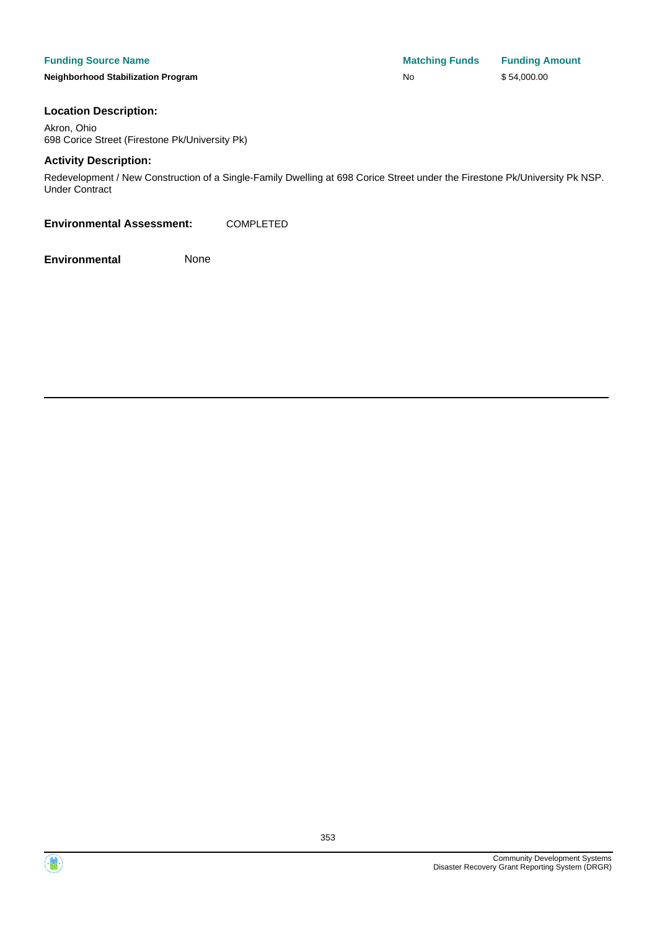#### **Funding Source Name Matching Funds Funding Amount**

**Neighborhood Stabilization Program No No** \$ 54,000.00

#### **Location Description:**

Akron, Ohio 698 Corice Street (Firestone Pk/University Pk)

#### **Activity Description:**

Redevelopment / New Construction of a Single-Family Dwelling at 698 Corice Street under the Firestone Pk/University Pk NSP. Under Contract

**Environmental Assessment:** COMPLETED



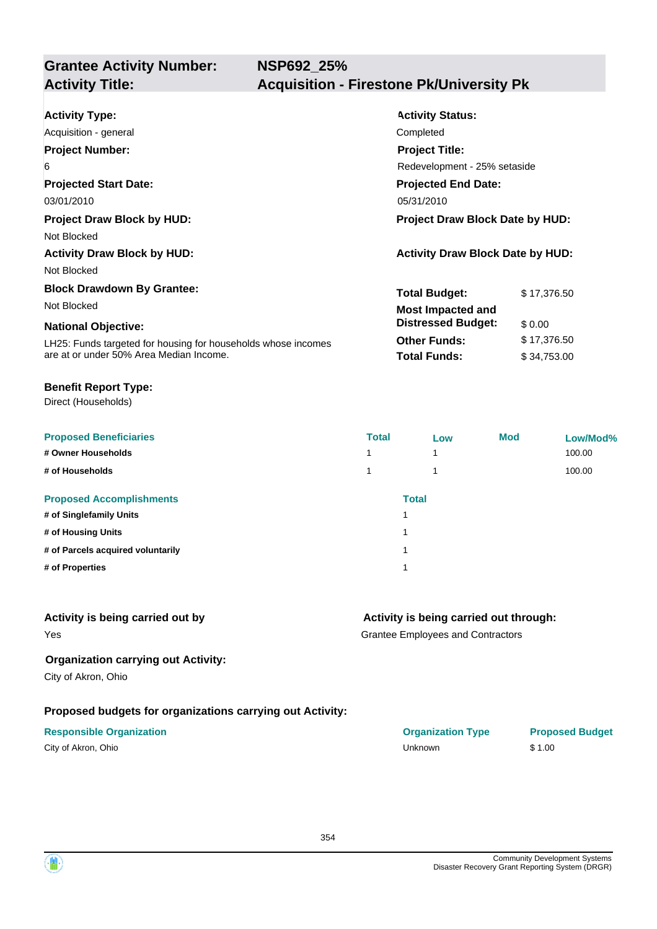| <b>Activity Type:</b>                                         | <b>Activity Status:</b>                 |  |  |
|---------------------------------------------------------------|-----------------------------------------|--|--|
| Acquisition - general                                         | Completed                               |  |  |
| <b>Project Number:</b>                                        | <b>Project Title:</b>                   |  |  |
| 6                                                             | Redevelopment - 25% setaside            |  |  |
| <b>Projected Start Date:</b>                                  | <b>Projected End Date:</b>              |  |  |
| 03/01/2010                                                    | 05/31/2010                              |  |  |
| <b>Project Draw Block by HUD:</b>                             | <b>Project Draw Block Date by HUD:</b>  |  |  |
| Not Blocked                                                   |                                         |  |  |
| <b>Activity Draw Block by HUD:</b>                            | <b>Activity Draw Block Date by HUD:</b> |  |  |
| Not Blocked                                                   |                                         |  |  |
| <b>Block Drawdown By Grantee:</b>                             | <b>Total Budget:</b><br>\$17,376.50     |  |  |
| Not Blocked                                                   | <b>Most Impacted and</b>                |  |  |
| <b>National Objective:</b>                                    | <b>Distressed Budget:</b><br>\$0.00     |  |  |
| LH25: Funds targeted for housing for households whose incomes | <b>Other Funds:</b><br>\$17,376.50      |  |  |
| are at or under 50% Area Median Income.                       | <b>Total Funds:</b><br>\$34,753.00      |  |  |

#### **Benefit Report Type:**

Direct (Households)

| <b>Proposed Beneficiaries</b>     | <b>Total</b> | Low | <b>Mod</b> | Low/Mod% |
|-----------------------------------|--------------|-----|------------|----------|
| # Owner Households                | 1            | 1   |            | 100.00   |
| # of Households                   | 1            | 1   |            | 100.00   |
| <b>Proposed Accomplishments</b>   | <b>Total</b> |     |            |          |
| # of Singlefamily Units           |              |     |            |          |
| # of Housing Units                |              |     |            |          |
| # of Parcels acquired voluntarily |              |     |            |          |
| # of Properties                   |              |     |            |          |
|                                   |              |     |            |          |

## **Activity is being carried out by**

Yes

### **Activity is being carried out through:**

Grantee Employees and Contractors

#### **Organization carrying out Activity:**

City of Akron, Ohio

### **Proposed budgets for organizations carrying out Activity:**

City of Akron, Ohio Unknown \$ 1.00

# **Responsible Organization COVID-10 COVID-10 Organization Type Proposed Budget**

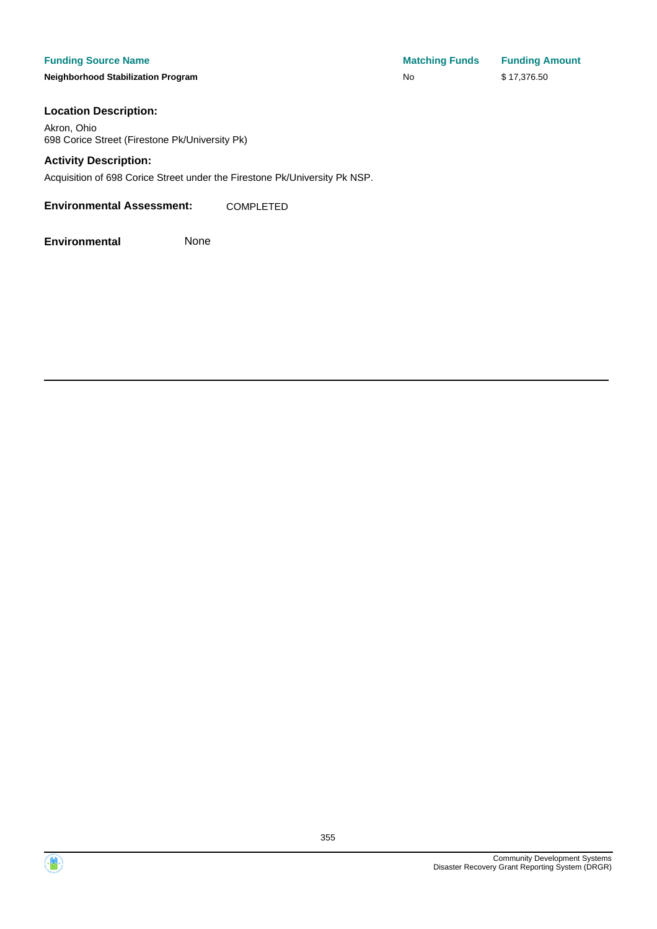**Neighborhood Stabilization Program** No \$ 17,376.500 No \$ 17,376.500 No \$ 17,376.500 No \$ 17,376.500 No \$ 17,376.500 N

| <b>Matching Funds</b> | <b>Funding Amount</b> |
|-----------------------|-----------------------|
| No                    | \$17,376.50           |

#### **Location Description:**

Akron, Ohio 698 Corice Street (Firestone Pk/University Pk)

#### **Activity Description:**

Acquisition of 698 Corice Street under the Firestone Pk/University Pk NSP.

**Environmental Assessment:** COMPLETED



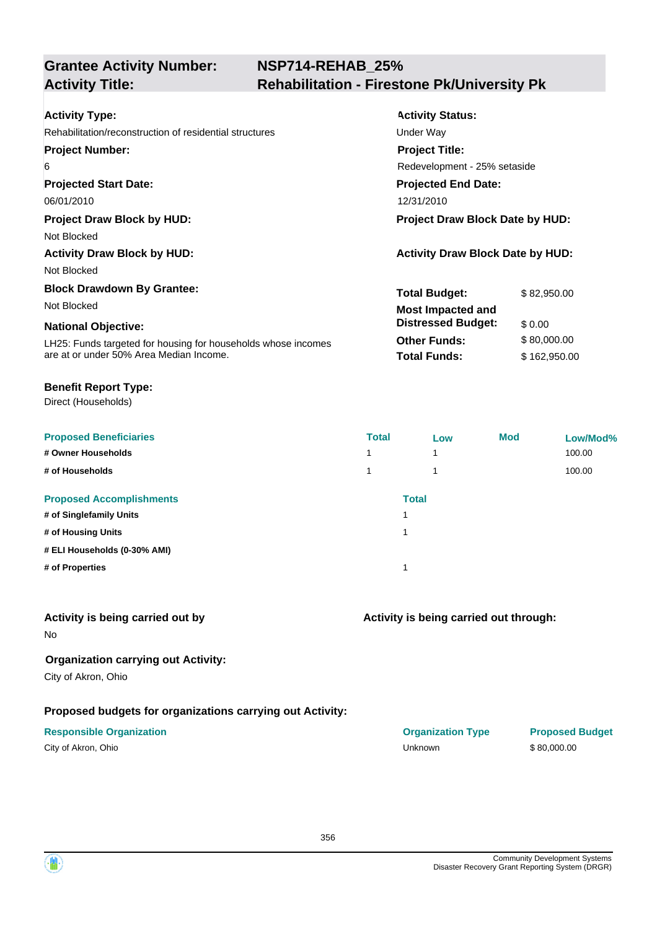# **NSP714-REHAB\_25% Activity Title: Rehabilitation - Firestone Pk/University Pk**

| <b>Activity Type:</b>                                         | <b>Activity Status:</b>                 |              |  |  |
|---------------------------------------------------------------|-----------------------------------------|--------------|--|--|
| Rehabilitation/reconstruction of residential structures       | Under Way                               |              |  |  |
| <b>Project Number:</b>                                        | <b>Project Title:</b>                   |              |  |  |
| 6                                                             | Redevelopment - 25% setaside            |              |  |  |
| <b>Projected Start Date:</b>                                  | <b>Projected End Date:</b>              |              |  |  |
| 06/01/2010                                                    | 12/31/2010                              |              |  |  |
| <b>Project Draw Block by HUD:</b>                             | <b>Project Draw Block Date by HUD:</b>  |              |  |  |
| Not Blocked                                                   |                                         |              |  |  |
| <b>Activity Draw Block by HUD:</b>                            | <b>Activity Draw Block Date by HUD:</b> |              |  |  |
| Not Blocked                                                   |                                         |              |  |  |
| <b>Block Drawdown By Grantee:</b>                             | <b>Total Budget:</b>                    | \$82,950.00  |  |  |
| Not Blocked                                                   | <b>Most Impacted and</b>                |              |  |  |
| <b>National Objective:</b>                                    | <b>Distressed Budget:</b>               | \$0.00       |  |  |
| LH25: Funds targeted for housing for households whose incomes | <b>Other Funds:</b>                     | \$80,000.00  |  |  |
| are at or under 50% Area Median Income.                       | <b>Total Funds:</b>                     | \$162,950.00 |  |  |

#### **Benefit Report Type:**

Direct (Households)

| <b>Proposed Beneficiaries</b>   | <b>Total</b> | Low          | <b>Mod</b> | Low/Mod% |
|---------------------------------|--------------|--------------|------------|----------|
| # Owner Households              | 1            | 1            |            | 100.00   |
| # of Households                 |              | ۸            |            | 100.00   |
| <b>Proposed Accomplishments</b> |              | <b>Total</b> |            |          |
| # of Singlefamily Units         |              |              |            |          |
| # of Housing Units              |              |              |            |          |
| # ELI Households (0-30% AMI)    |              |              |            |          |
| # of Properties                 |              |              |            |          |
|                                 |              |              |            |          |

## **Activity is being carried out by**

No

# **Organization carrying out Activity:**

City of Akron, Ohio

# **Proposed budgets for organizations carrying out Activity:**

| City of Akron, Ohio |  |
|---------------------|--|
|---------------------|--|

# **Activity is being carried out through:**

| <b>Responsible Organization</b> | <b>Organization Type</b> | <b>Proposed Budget</b> |
|---------------------------------|--------------------------|------------------------|
| City of Akron, Ohio             | Unknown                  | \$80,000,00            |

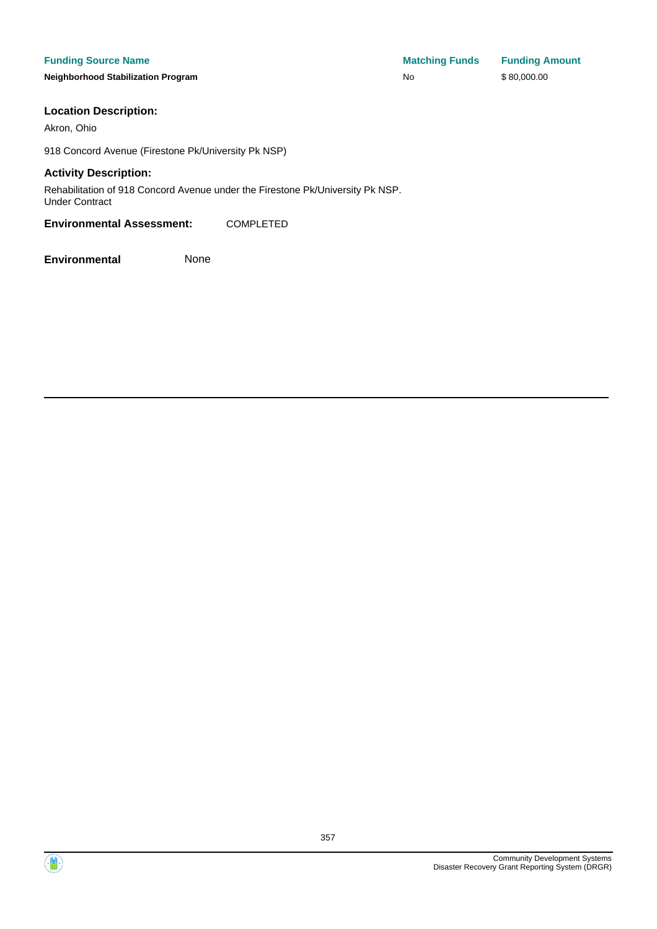**Neighborhood Stabilization Program No No** \$ 80,000.00

**Funding Source Name Matching Funds Funding Amount** 

#### **Location Description:**

Akron, Ohio

918 Concord Avenue (Firestone Pk/University Pk NSP)

#### **Activity Description:**

Rehabilitation of 918 Concord Avenue under the Firestone Pk/University Pk NSP. Under Contract

**Environmental Assessment:** COMPLETED



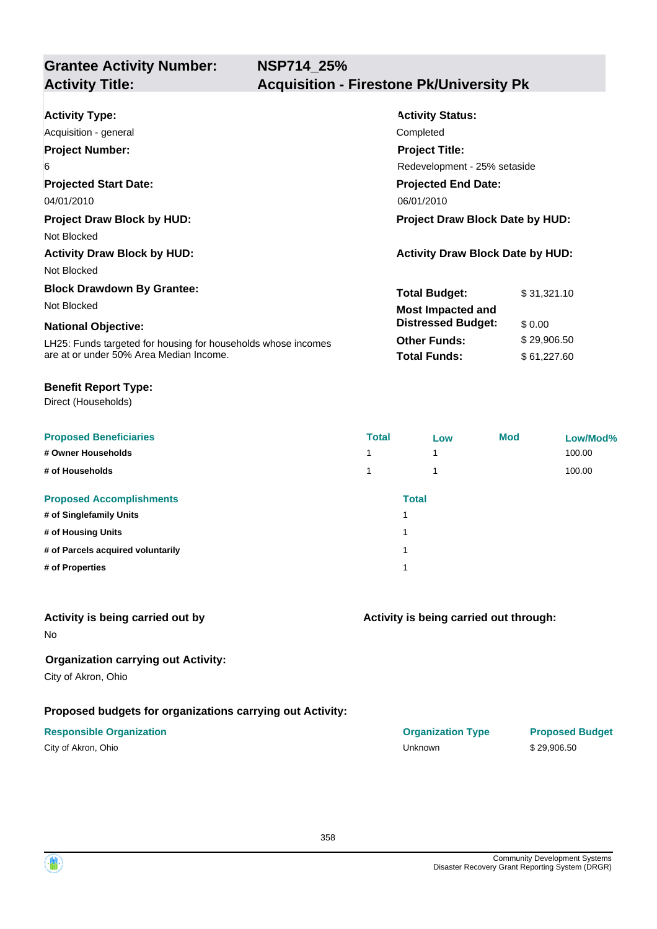| <b>Activity Type:</b>                                         | <b>Activity Status:</b>                 |             |  |  |
|---------------------------------------------------------------|-----------------------------------------|-------------|--|--|
| Acquisition - general                                         | Completed                               |             |  |  |
| <b>Project Number:</b>                                        | <b>Project Title:</b>                   |             |  |  |
| 6                                                             | Redevelopment - 25% setaside            |             |  |  |
| <b>Projected Start Date:</b>                                  | <b>Projected End Date:</b>              |             |  |  |
| 04/01/2010                                                    | 06/01/2010                              |             |  |  |
| <b>Project Draw Block by HUD:</b>                             | Project Draw Block Date by HUD:         |             |  |  |
| Not Blocked                                                   |                                         |             |  |  |
| <b>Activity Draw Block by HUD:</b>                            | <b>Activity Draw Block Date by HUD:</b> |             |  |  |
| Not Blocked                                                   |                                         |             |  |  |
| <b>Block Drawdown By Grantee:</b>                             | <b>Total Budget:</b>                    | \$31,321.10 |  |  |
| Not Blocked                                                   | <b>Most Impacted and</b>                |             |  |  |
| <b>National Objective:</b>                                    | <b>Distressed Budget:</b>               | \$0.00      |  |  |
| LH25: Funds targeted for housing for households whose incomes | <b>Other Funds:</b>                     | \$29,906.50 |  |  |
| are at or under 50% Area Median Income.                       | <b>Total Funds:</b>                     | \$61,227.60 |  |  |

#### **Benefit Report Type:**

Direct (Households)

| <b>Proposed Beneficiaries</b>     | <b>Total</b> | Low                     | <b>Mod</b> | Low/Mod% |
|-----------------------------------|--------------|-------------------------|------------|----------|
| # Owner Households                | 4            | $\overline{\mathbf{A}}$ |            | 100.00   |
| # of Households                   | 1            | 1                       |            | 100.00   |
| <b>Proposed Accomplishments</b>   |              | <b>Total</b>            |            |          |
| # of Singlefamily Units           |              |                         |            |          |
| # of Housing Units                | 1            |                         |            |          |
| # of Parcels acquired voluntarily |              |                         |            |          |
| # of Properties                   | 1            |                         |            |          |

## **Activity is being carried out by**

No

# **Organization carrying out Activity:**

City of Akron, Ohio

# **Proposed budgets for organizations carrying out Activity:**

| City of Akron, Ohio |  |  |  |  |
|---------------------|--|--|--|--|
|---------------------|--|--|--|--|

### **Activity is being carried out through:**

**Responsible Organization COVID-10 COVID-10 Organization Type Proposed Budget** City of Akron, Ohio Unknown \$ 29,906.50

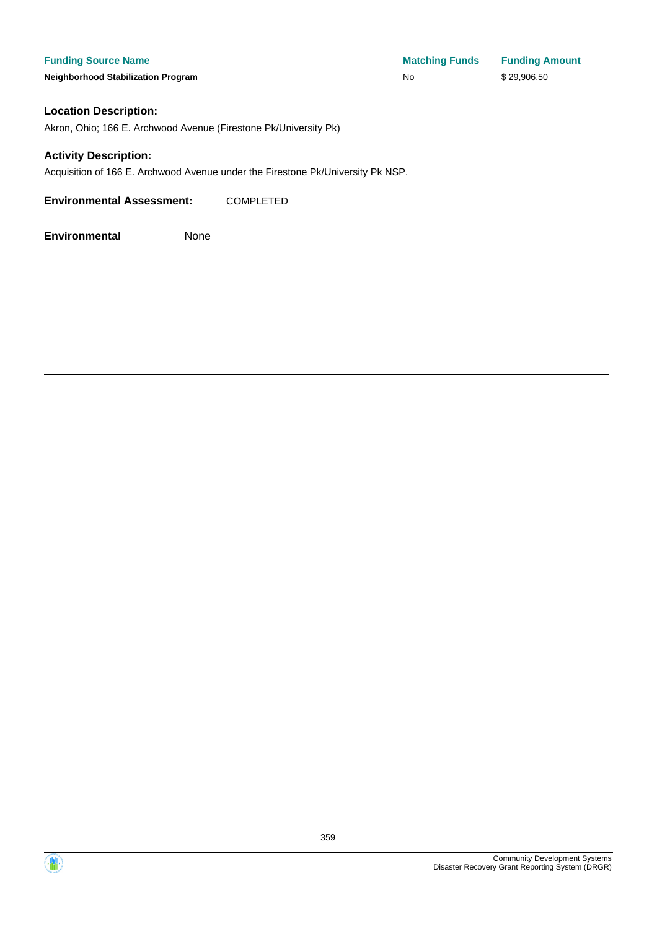**Neighborhood Stabilization Program** 

| <b>Matching Funds</b> | <b>Funding Amount</b> |
|-----------------------|-----------------------|
| No                    | \$29,906.50           |

#### **Location Description:**

Akron, Ohio; 166 E. Archwood Avenue (Firestone Pk/University Pk)

#### **Activity Description:**

Acquisition of 166 E. Archwood Avenue under the Firestone Pk/University Pk NSP.

**Environmental Assessment:** COMPLETED



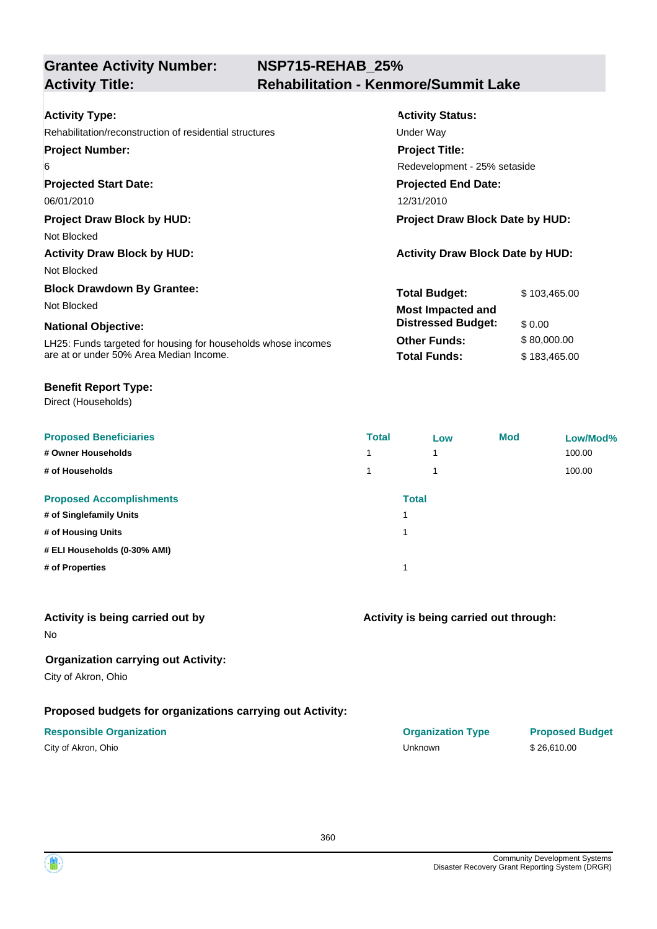# **NSP715-REHAB\_25% Activity Title: Rehabilitation - Kenmore/Summit Lake**

| <b>Activity Type:</b>                                         | <b>Activity Status:</b>                 |              |  |  |
|---------------------------------------------------------------|-----------------------------------------|--------------|--|--|
| Rehabilitation/reconstruction of residential structures       | Under Way                               |              |  |  |
| <b>Project Number:</b>                                        | <b>Project Title:</b>                   |              |  |  |
| 6                                                             | Redevelopment - 25% setaside            |              |  |  |
| <b>Projected Start Date:</b>                                  | <b>Projected End Date:</b>              |              |  |  |
| 06/01/2010                                                    | 12/31/2010                              |              |  |  |
| <b>Project Draw Block by HUD:</b>                             | <b>Project Draw Block Date by HUD:</b>  |              |  |  |
| Not Blocked                                                   |                                         |              |  |  |
| <b>Activity Draw Block by HUD:</b>                            | <b>Activity Draw Block Date by HUD:</b> |              |  |  |
| Not Blocked                                                   |                                         |              |  |  |
| <b>Block Drawdown By Grantee:</b>                             | <b>Total Budget:</b>                    | \$103,465.00 |  |  |
| Not Blocked                                                   | <b>Most Impacted and</b>                |              |  |  |
| <b>National Objective:</b>                                    | <b>Distressed Budget:</b>               | \$0.00       |  |  |
| LH25: Funds targeted for housing for households whose incomes | <b>Other Funds:</b>                     | \$80,000.00  |  |  |
| are at or under 50% Area Median Income.                       | <b>Total Funds:</b>                     | \$183,465.00 |  |  |

#### **Benefit Report Type:**

Direct (Households)

| <b>Proposed Beneficiaries</b>   | <b>Total</b> | Low          | <b>Mod</b> | Low/Mod% |
|---------------------------------|--------------|--------------|------------|----------|
| # Owner Households              |              | 1            |            | 100.00   |
| # of Households                 |              | 4            |            | 100.00   |
| <b>Proposed Accomplishments</b> |              | <b>Total</b> |            |          |
| # of Singlefamily Units         |              |              |            |          |
| # of Housing Units              |              |              |            |          |
| # ELI Households (0-30% AMI)    |              |              |            |          |
| # of Properties                 |              |              |            |          |
|                                 |              |              |            |          |

## **Activity is being carried out by**

No

# **Organization carrying out Activity:**

City of Akron, Ohio

# **Proposed budgets for organizations carrying out Activity:**

# **Activity is being carried out through:**

**Responsible Organization COVID-10 COVID-10 Organization Type Proposed Budget** City of Akron, Ohio Unknown \$ 26,610.00

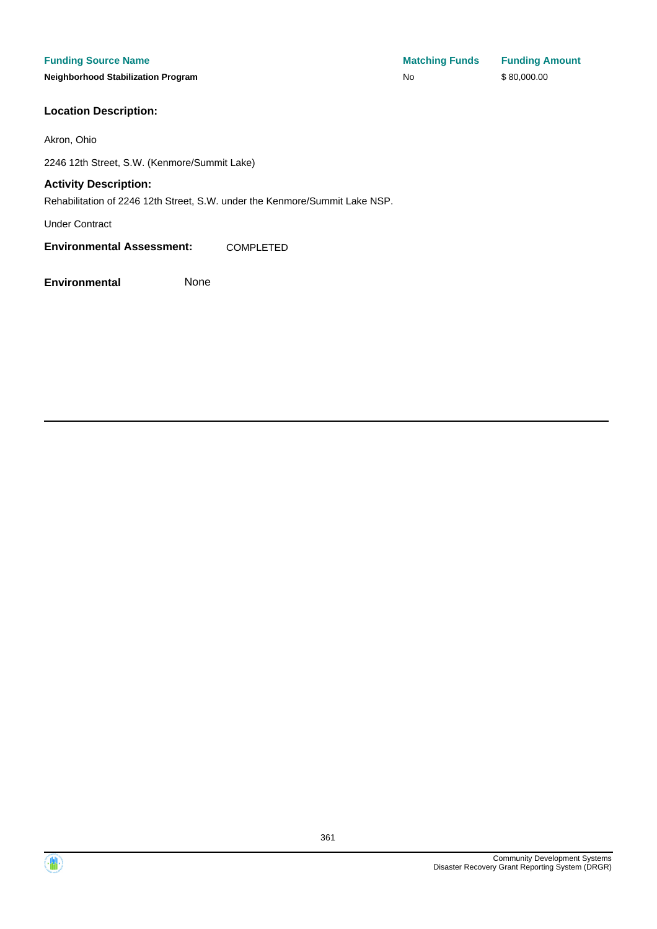**Neighborhood Stabilization Program** 

### **Location Description:**

Akron, Ohio

2246 12th Street, S.W. (Kenmore/Summit Lake)

#### **Activity Description:**

Rehabilitation of 2246 12th Street, S.W. under the Kenmore/Summit Lake NSP.

Under Contract

**Environmental Assessment:** COMPLETED

| <b>Matching Funds</b> | <b>Funding Amount</b> |
|-----------------------|-----------------------|
| No                    | \$80,000.00           |

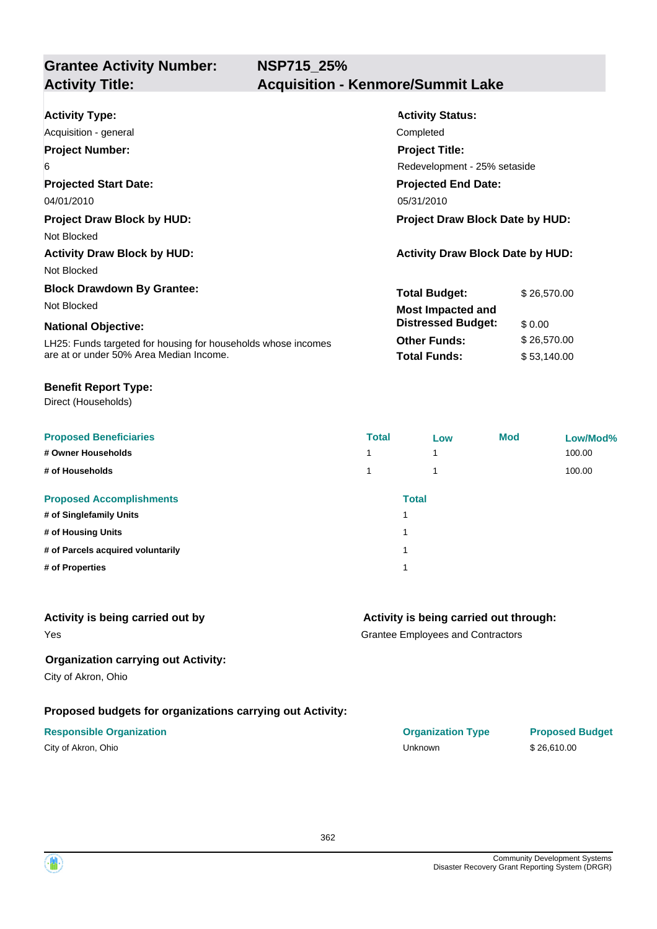| <b>Activity Type:</b>                                         | <b>Activity Status:</b>                 |             |  |
|---------------------------------------------------------------|-----------------------------------------|-------------|--|
| Acquisition - general                                         | Completed                               |             |  |
| <b>Project Number:</b>                                        | <b>Project Title:</b>                   |             |  |
| 6                                                             | Redevelopment - 25% setaside            |             |  |
| <b>Projected Start Date:</b>                                  | <b>Projected End Date:</b>              |             |  |
| 04/01/2010                                                    | 05/31/2010                              |             |  |
| <b>Project Draw Block by HUD:</b>                             | <b>Project Draw Block Date by HUD:</b>  |             |  |
| Not Blocked                                                   |                                         |             |  |
| <b>Activity Draw Block by HUD:</b>                            | <b>Activity Draw Block Date by HUD:</b> |             |  |
| Not Blocked                                                   |                                         |             |  |
| <b>Block Drawdown By Grantee:</b>                             | <b>Total Budget:</b>                    | \$26,570.00 |  |
| Not Blocked                                                   | <b>Most Impacted and</b>                |             |  |
| <b>National Objective:</b>                                    | <b>Distressed Budget:</b>               | \$0.00      |  |
| LH25: Funds targeted for housing for households whose incomes | <b>Other Funds:</b>                     | \$26,570.00 |  |
| are at or under 50% Area Median Income.                       | <b>Total Funds:</b>                     | \$53,140.00 |  |

#### **Benefit Report Type:**

Direct (Households)

| <b>Proposed Beneficiaries</b>     | <b>Total</b> | Low | <b>Mod</b> | Low/Mod% |
|-----------------------------------|--------------|-----|------------|----------|
| # Owner Households                | 1            | 1   |            | 100.00   |
| # of Households                   | 1            | 1   |            | 100.00   |
| <b>Proposed Accomplishments</b>   | <b>Total</b> |     |            |          |
| # of Singlefamily Units           |              |     |            |          |
| # of Housing Units                | 1            |     |            |          |
| # of Parcels acquired voluntarily |              |     |            |          |
| # of Properties                   |              |     |            |          |
|                                   |              |     |            |          |

#### **Activity is being carried out by**

Yes

#### **Activity is being carried out through:**

Grantee Employees and Contractors

#### **Organization carrying out Activity:**

City of Akron, Ohio

#### **Proposed budgets for organizations carrying out Activity:**

# **Responsible Organization COVID-10 COVID-10 Organization Type Proposed Budget** City of Akron, Ohio \$26,610.00

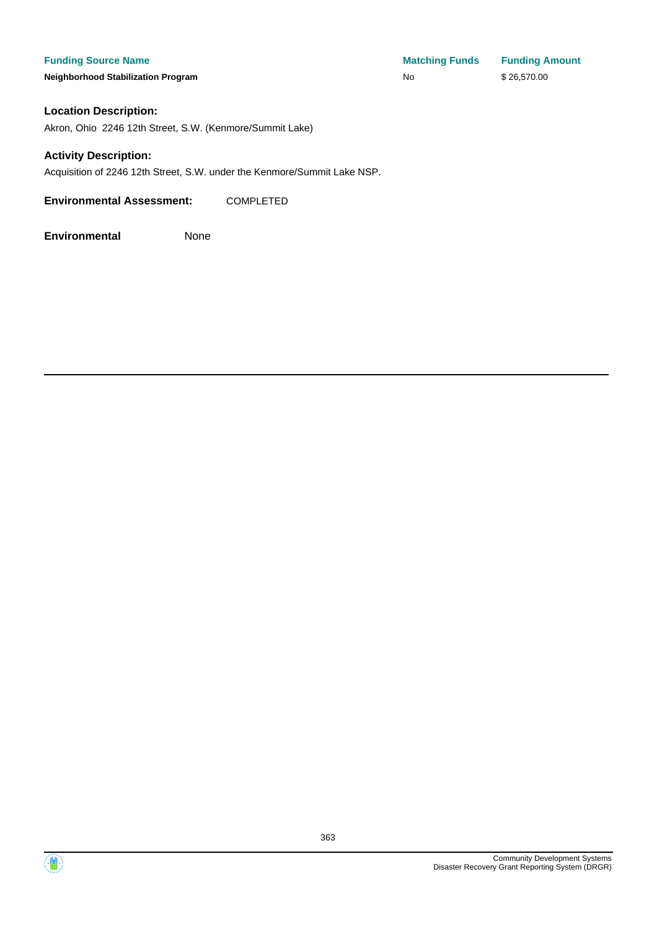**Neighborhood Stabilization Program No No** \$ 26,570.00

#### **Location Description:**

Akron, Ohio 2246 12th Street, S.W. (Kenmore/Summit Lake)

#### **Activity Description:**

Acquisition of 2246 12th Street, S.W. under the Kenmore/Summit Lake NSP.

**Environmental Assessment:** COMPLETED



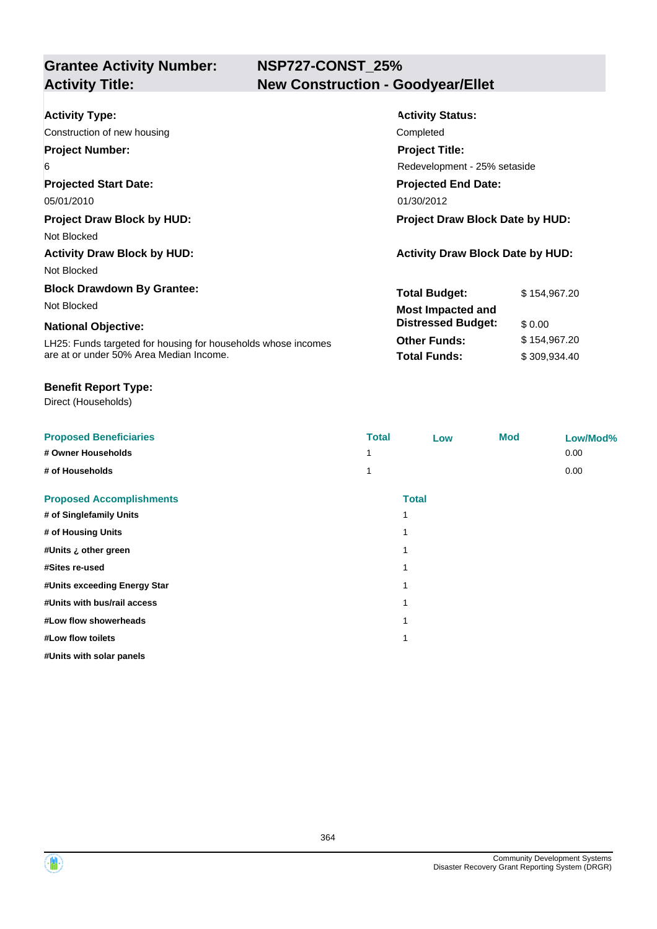# **NSP727-CONST\_25% Activity Title: New Construction - Goodyear/Ellet**

| <b>Activity Type:</b>                                         | <b>Activity Status:</b>                 |              |  |
|---------------------------------------------------------------|-----------------------------------------|--------------|--|
| Construction of new housing                                   | Completed                               |              |  |
| <b>Project Number:</b>                                        | <b>Project Title:</b>                   |              |  |
| 6                                                             | Redevelopment - 25% setaside            |              |  |
| <b>Projected Start Date:</b>                                  | <b>Projected End Date:</b>              |              |  |
| 05/01/2010                                                    | 01/30/2012                              |              |  |
| <b>Project Draw Block by HUD:</b>                             | <b>Project Draw Block Date by HUD:</b>  |              |  |
| Not Blocked                                                   |                                         |              |  |
| <b>Activity Draw Block by HUD:</b>                            | <b>Activity Draw Block Date by HUD:</b> |              |  |
| Not Blocked                                                   |                                         |              |  |
| <b>Block Drawdown By Grantee:</b>                             | <b>Total Budget:</b>                    | \$154,967.20 |  |
| Not Blocked                                                   | <b>Most Impacted and</b>                |              |  |
| <b>National Objective:</b>                                    | <b>Distressed Budget:</b>               | \$0.00       |  |
| LH25: Funds targeted for housing for households whose incomes | <b>Other Funds:</b>                     | \$154,967.20 |  |
| are at or under 50% Area Median Income.                       | <b>Total Funds:</b>                     | \$309,934.40 |  |

#### **Benefit Report Type:**

Direct (Households)

| <b>Proposed Beneficiaries</b>   | <b>Total</b> | Low          | <b>Mod</b> | Low/Mod% |
|---------------------------------|--------------|--------------|------------|----------|
| # Owner Households              |              |              |            | 0.00     |
| # of Households                 |              |              |            | 0.00     |
| <b>Proposed Accomplishments</b> |              | <b>Total</b> |            |          |
| # of Singlefamily Units         |              | 1            |            |          |
| # of Housing Units              |              | 1            |            |          |
| #Units ¿ other green            |              | 1            |            |          |
| #Sites re-used                  |              | 1            |            |          |
| #Units exceeding Energy Star    |              | 1            |            |          |
| #Units with bus/rail access     |              | 1            |            |          |
| #Low flow showerheads           |              | 1            |            |          |
| #Low flow toilets               |              | 1            |            |          |
| #Units with solar panels        |              |              |            |          |



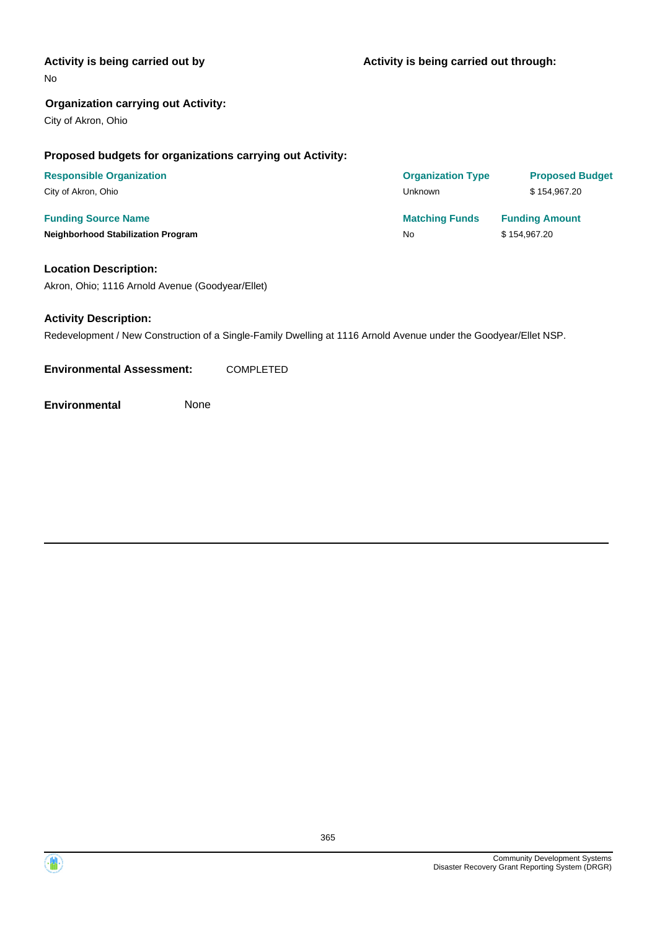#### **Activity is being carried out by**

No

#### **Organization carrying out Activity:**

City of Akron, Ohio

#### **Proposed budgets for organizations carrying out Activity:**

| <b>Responsible Organization</b>           | <b>Organization Type</b> | <b>Proposed Budget</b> |
|-------------------------------------------|--------------------------|------------------------|
| City of Akron, Ohio                       | Unknown                  | \$154.967.20           |
| <b>Funding Source Name</b>                | <b>Matching Funds</b>    | <b>Funding Amount</b>  |
| <b>Neighborhood Stabilization Program</b> | No                       | \$154,967.20           |

#### **Location Description:**

Akron, Ohio; 1116 Arnold Avenue (Goodyear/Ellet)

#### **Activity Description:**

Redevelopment / New Construction of a Single-Family Dwelling at 1116 Arnold Avenue under the Goodyear/Ellet NSP.

**Environmental Assessment:** COMPLETED

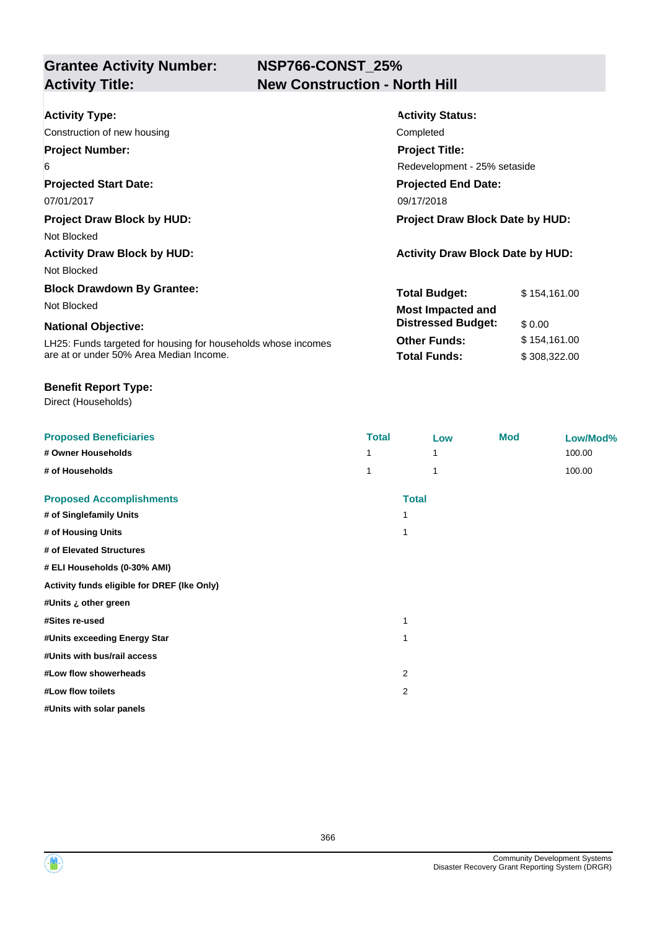# **NSP766-CONST\_25% New Construction - North Hill**

| <b>Activity Type:</b>                                         | <b>Activity Status:</b>                 |              |  |
|---------------------------------------------------------------|-----------------------------------------|--------------|--|
| Construction of new housing                                   | Completed                               |              |  |
| <b>Project Number:</b>                                        | <b>Project Title:</b>                   |              |  |
| 6                                                             | Redevelopment - 25% setaside            |              |  |
| <b>Projected Start Date:</b>                                  | <b>Projected End Date:</b>              |              |  |
| 07/01/2017                                                    | 09/17/2018                              |              |  |
| <b>Project Draw Block by HUD:</b>                             | <b>Project Draw Block Date by HUD:</b>  |              |  |
| Not Blocked                                                   |                                         |              |  |
| <b>Activity Draw Block by HUD:</b>                            | <b>Activity Draw Block Date by HUD:</b> |              |  |
| Not Blocked                                                   |                                         |              |  |
| <b>Block Drawdown By Grantee:</b>                             | <b>Total Budget:</b>                    | \$154,161.00 |  |
| Not Blocked                                                   | <b>Most Impacted and</b>                |              |  |
| <b>National Objective:</b>                                    | <b>Distressed Budget:</b>               | \$0.00       |  |
| LH25: Funds targeted for housing for households whose incomes | <b>Other Funds:</b>                     | \$154,161.00 |  |
| are at or under 50% Area Median Income.                       | <b>Total Funds:</b>                     | \$308,322.00 |  |

#### **Benefit Report Type:**

Direct (Households)

| <b>Proposed Beneficiaries</b>               | <b>Total</b>   | Low          | <b>Mod</b> | Low/Mod% |
|---------------------------------------------|----------------|--------------|------------|----------|
| # Owner Households                          |                | 1            |            | 100.00   |
| # of Households                             |                | 1            |            | 100.00   |
| <b>Proposed Accomplishments</b>             |                | <b>Total</b> |            |          |
| # of Singlefamily Units                     | 1              |              |            |          |
| # of Housing Units                          | 1              |              |            |          |
| # of Elevated Structures                    |                |              |            |          |
| # ELI Households (0-30% AMI)                |                |              |            |          |
| Activity funds eligible for DREF (Ike Only) |                |              |            |          |
| #Units ¿ other green                        |                |              |            |          |
| #Sites re-used                              | 1              |              |            |          |
| #Units exceeding Energy Star                | 1              |              |            |          |
| #Units with bus/rail access                 |                |              |            |          |
| #Low flow showerheads                       | $\overline{2}$ |              |            |          |
| #Low flow toilets                           | $\overline{2}$ |              |            |          |
| #Units with solar panels                    |                |              |            |          |

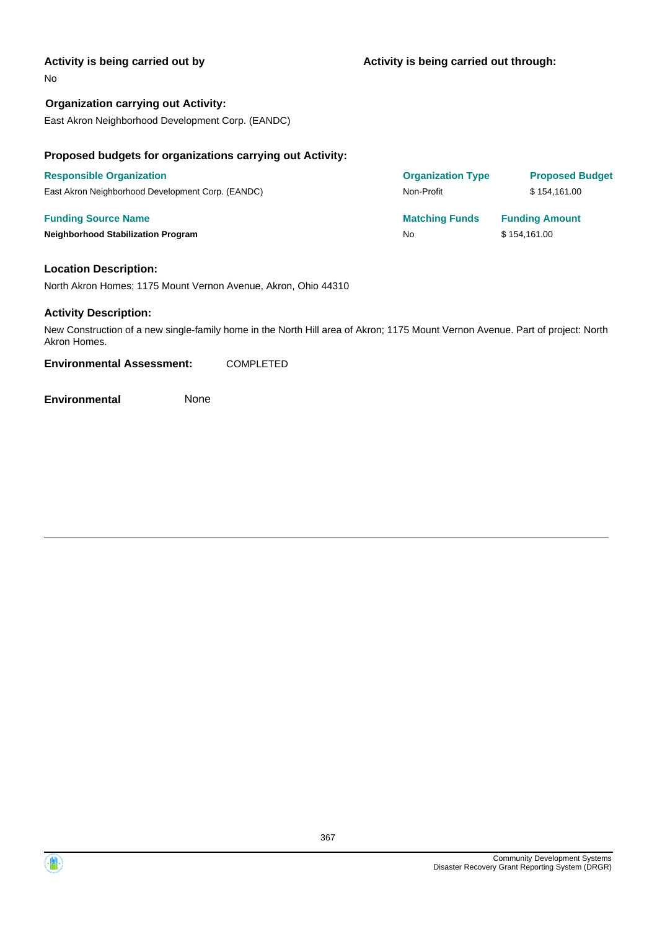#### **Activity is being carried out by**

#### No

**Organization carrying out Activity:** East Akron Neighborhood Development Corp. (EANDC)

#### **Proposed budgets for organizations carrying out Activity:**

| <b>Responsible Organization</b>                   | <b>Organization Type</b> | <b>Proposed Budget</b> |
|---------------------------------------------------|--------------------------|------------------------|
| East Akron Neighborhood Development Corp. (EANDC) | Non-Profit               | \$154.161.00           |
| <b>Funding Source Name</b>                        | <b>Matching Funds</b>    | <b>Funding Amount</b>  |
| <b>Neighborhood Stabilization Program</b>         | No                       | \$154.161.00           |

#### **Location Description:**

North Akron Homes; 1175 Mount Vernon Avenue, Akron, Ohio 44310

#### **Activity Description:**

New Construction of a new single-family home in the North Hill area of Akron; 1175 Mount Vernon Avenue. Part of project: North Akron Homes.

**Environmental Assessment:** COMPLETED

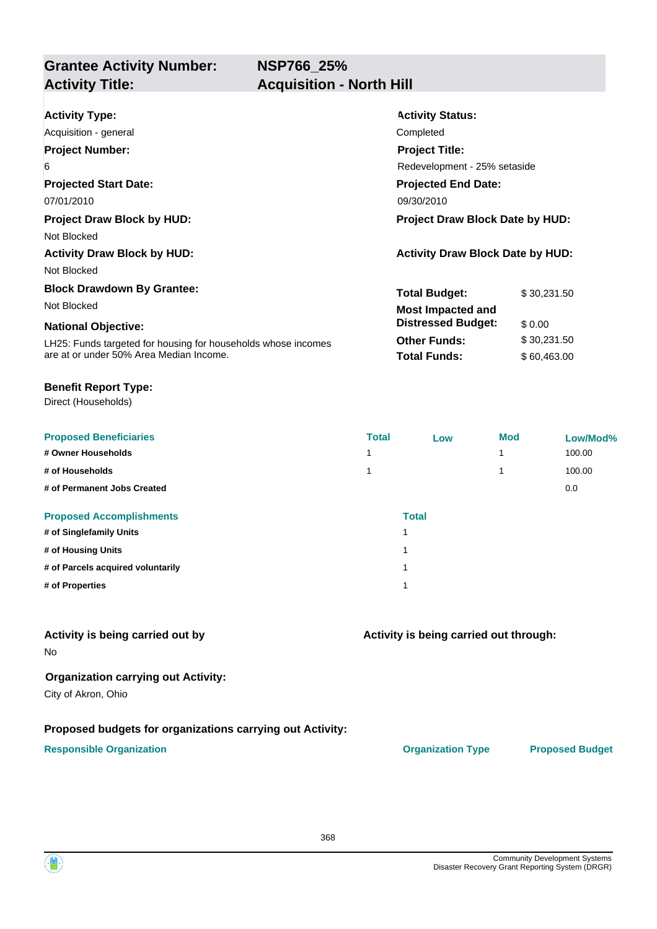**NSP766\_25%**

**Grantee Activity Number: Activity Title: Acquisition - North Hill**

| <b>Activity Type:</b>                                         | <b>Activity Status:</b>                 |  |  |
|---------------------------------------------------------------|-----------------------------------------|--|--|
| Acquisition - general                                         | Completed                               |  |  |
| <b>Project Number:</b>                                        | <b>Project Title:</b>                   |  |  |
| 6                                                             | Redevelopment - 25% setaside            |  |  |
| <b>Projected Start Date:</b>                                  | <b>Projected End Date:</b>              |  |  |
| 07/01/2010                                                    | 09/30/2010                              |  |  |
| <b>Project Draw Block by HUD:</b>                             | <b>Project Draw Block Date by HUD:</b>  |  |  |
| Not Blocked                                                   |                                         |  |  |
| <b>Activity Draw Block by HUD:</b>                            | <b>Activity Draw Block Date by HUD:</b> |  |  |
| Not Blocked                                                   |                                         |  |  |
| <b>Block Drawdown By Grantee:</b>                             | Total Budget:<br>\$30,231.50            |  |  |
| Not Blocked                                                   | <b>Most Impacted and</b>                |  |  |
| <b>National Objective:</b>                                    | <b>Distressed Budget:</b><br>\$0.00     |  |  |
| LH25: Funds targeted for housing for households whose incomes | <b>Other Funds:</b><br>\$30,231.50      |  |  |
| are at or under 50% Area Median Income.                       | <b>Total Funds:</b><br>\$60,463.00      |  |  |

#### **Benefit Report Type:**

Direct (Households)

| <b>Proposed Beneficiaries</b>     | <b>Total</b> | Low | <b>Mod</b> | Low/Mod% |
|-----------------------------------|--------------|-----|------------|----------|
| # Owner Households                | 1            |     | 1          | 100.00   |
| # of Households                   | 1            |     | 1          | 100.00   |
| # of Permanent Jobs Created       |              |     |            | 0.0      |
| <b>Proposed Accomplishments</b>   | <b>Total</b> |     |            |          |
| # of Singlefamily Units           |              |     |            |          |
| # of Housing Units                |              |     |            |          |
| # of Parcels acquired voluntarily |              |     |            |          |
| # of Properties                   |              |     |            |          |

#### **Activity is being carried out by**

No

#### **Organization carrying out Activity:**

City of Akron, Ohio

#### **Proposed budgets for organizations carrying out Activity:**

#### **Responsible Organization CONSERVIRGHT ACCORDING THE CONSERVIRGHT ORGANIZATION Type Proposed Budget**

**Activity is being carried out through:**

368

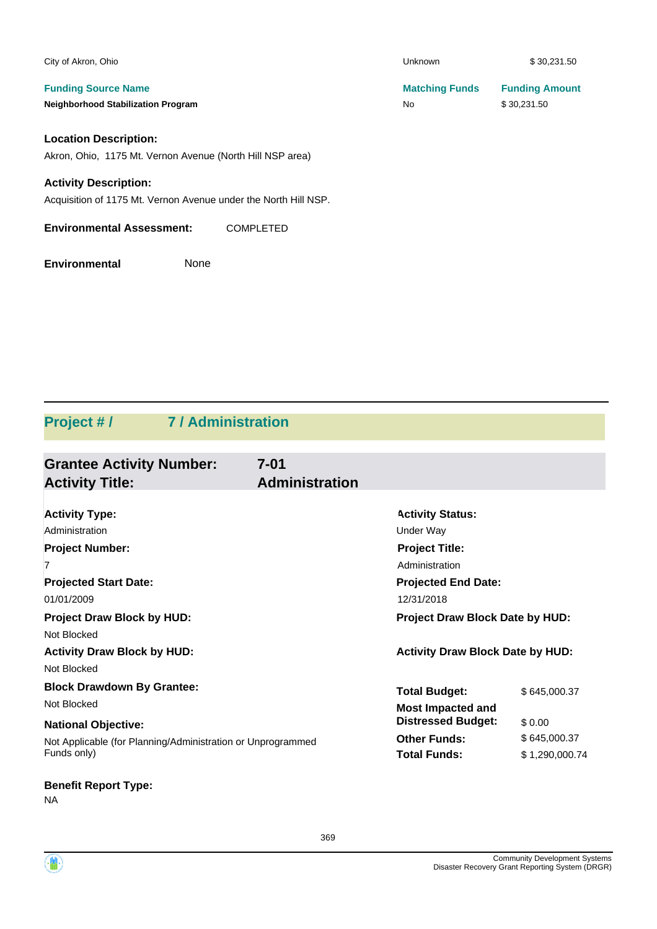| City of Akron, Ohio                                             | Unknown               | \$30,231.50           |
|-----------------------------------------------------------------|-----------------------|-----------------------|
| <b>Funding Source Name</b>                                      | <b>Matching Funds</b> | <b>Funding Amount</b> |
| <b>Neighborhood Stabilization Program</b>                       | <b>No</b>             | \$30,231.50           |
| <b>Location Description:</b>                                    |                       |                       |
| Akron, Ohio, 1175 Mt. Vernon Avenue (North Hill NSP area)       |                       |                       |
| <b>Activity Description:</b>                                    |                       |                       |
| Acquisition of 1175 Mt. Vernon Avenue under the North Hill NSP. |                       |                       |
| <b>Environmental Assessment:</b><br><b>COMPLETED</b>            |                       |                       |
| <b>Environmental</b><br>None                                    |                       |                       |

# **Project # / 7 / Administration**

| <b>Grantee Activity Number:</b><br><b>Activity Title:</b>   | $7 - 01$<br><b>Administration</b> |                                         |                |
|-------------------------------------------------------------|-----------------------------------|-----------------------------------------|----------------|
|                                                             |                                   |                                         |                |
| <b>Activity Type:</b>                                       |                                   | <b>Activity Status:</b>                 |                |
| Administration                                              | Under Way                         |                                         |                |
| <b>Project Number:</b><br><b>Project Title:</b>             |                                   |                                         |                |
| 7                                                           |                                   | Administration                          |                |
| <b>Projected Start Date:</b>                                |                                   | <b>Projected End Date:</b>              |                |
| 01/01/2009                                                  |                                   | 12/31/2018                              |                |
| <b>Project Draw Block by HUD:</b>                           |                                   | <b>Project Draw Block Date by HUD:</b>  |                |
| Not Blocked                                                 |                                   |                                         |                |
| <b>Activity Draw Block by HUD:</b>                          |                                   | <b>Activity Draw Block Date by HUD:</b> |                |
| Not Blocked                                                 |                                   |                                         |                |
| <b>Block Drawdown By Grantee:</b>                           |                                   | <b>Total Budget:</b>                    | \$645,000.37   |
| Not Blocked                                                 |                                   | <b>Most Impacted and</b>                |                |
| <b>National Objective:</b>                                  |                                   | <b>Distressed Budget:</b>               | \$0.00         |
| Not Applicable (for Planning/Administration or Unprogrammed |                                   | <b>Other Funds:</b>                     | \$645,000.37   |
| Funds only)                                                 |                                   | <b>Total Funds:</b>                     | \$1.290.000.74 |

## **Benefit Report Type:**

NA

④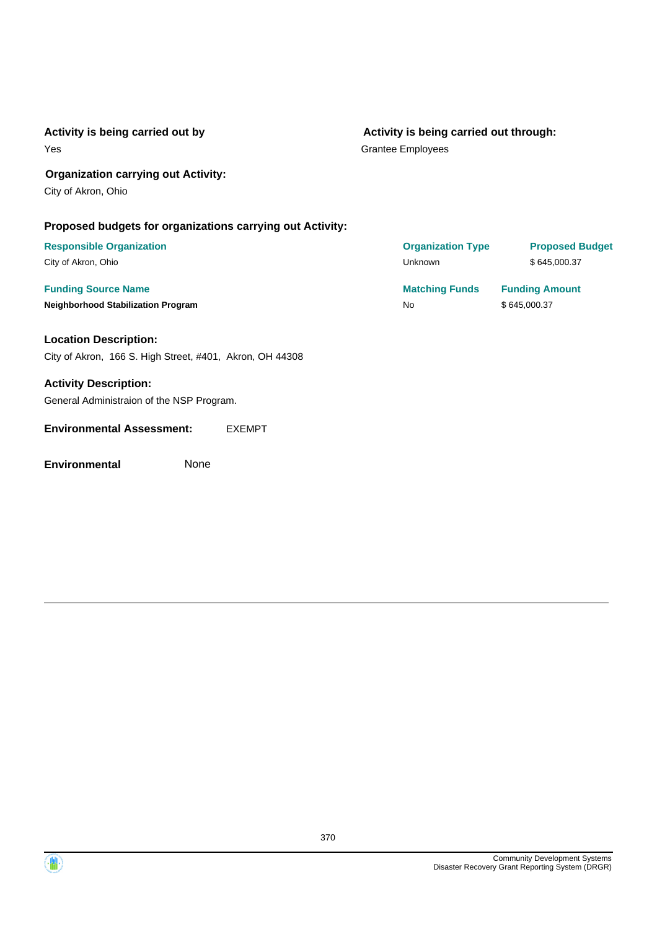#### **Activity is being carried out by**

Yes

#### **Activity is being carried out through:**

Grantee Employees

#### **Organization carrying out Activity:**

City of Akron, Ohio

#### **Proposed budgets for organizations carrying out Activity:**

### **Responsible Organization**

City of Akron, Ohio

#### **Funding Source Name**

#### **Neighborhood Stabilization Program**

#### **Location Description:** City of Akron, 166 S. High Street, #401, Akron, OH 44308

# **Activity Description:**

General Administraion of the NSP Program.

#### **Environmental Assessment:** EXEMPT

| <b>Organization Type</b> | <b>Proposed Budget</b> |
|--------------------------|------------------------|
| Unknown                  | \$645,000.37           |
| <b>Matching Funds</b>    | <b>Funding Amount</b>  |
| No                       | \$645,000.37           |



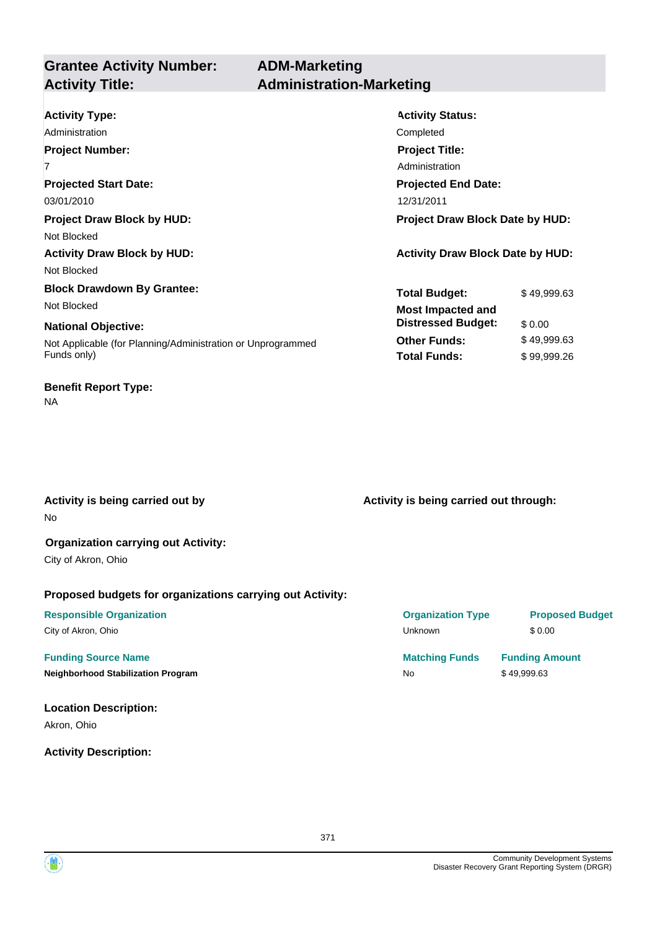## **ADM-Marketing Activity Title: Administration-Marketing**

| <b>Activity Type:</b>                                       | <b>Activity Status:</b>                 |             |
|-------------------------------------------------------------|-----------------------------------------|-------------|
| Administration                                              | Completed                               |             |
| <b>Project Number:</b>                                      | <b>Project Title:</b>                   |             |
| 7                                                           | Administration                          |             |
| <b>Projected Start Date:</b>                                | <b>Projected End Date:</b>              |             |
| 03/01/2010                                                  | 12/31/2011                              |             |
| <b>Project Draw Block by HUD:</b>                           | <b>Project Draw Block Date by HUD:</b>  |             |
| Not Blocked                                                 |                                         |             |
| <b>Activity Draw Block by HUD:</b>                          | <b>Activity Draw Block Date by HUD:</b> |             |
| Not Blocked                                                 |                                         |             |
| <b>Block Drawdown By Grantee:</b>                           | <b>Total Budget:</b>                    | \$49,999.63 |
| Not Blocked                                                 | <b>Most Impacted and</b>                |             |
| <b>National Objective:</b>                                  | <b>Distressed Budget:</b>               | \$0.00      |
| Not Applicable (for Planning/Administration or Unprogrammed | <b>Other Funds:</b>                     | \$49,999.63 |
| Funds only)                                                 | <b>Total Funds:</b>                     | \$99,999.26 |
|                                                             |                                         |             |

No **Activity is being carried out by**

#### **Organization carrying out Activity:**

City of Akron, Ohio

**Benefit Report Type:**

NA

#### **Proposed budgets for organizations carrying out Activity:**

### **Funding Source Name Matching Funds Funding Amount**

**Neighborhood Stabilization Program No No** \$ 49,999.63

### **Location Description:**

Akron, Ohio

#### **Activity Description:**

**Activity is being carried out through:**

## **Responsible Organization Organization Type Proposed Budget** City of Akron, Ohio \$ 0.00

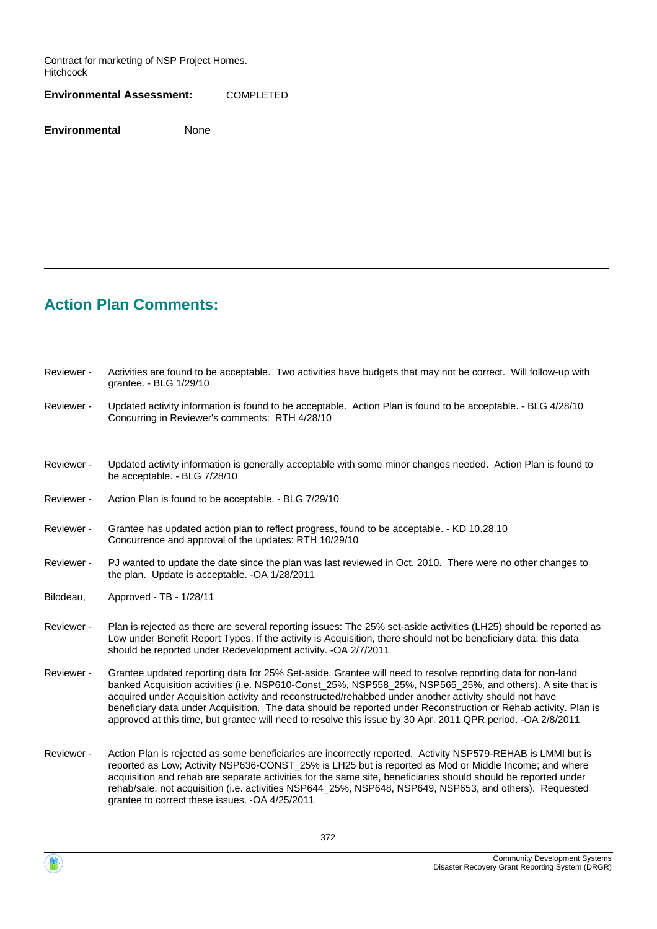Contract for marketing of NSP Project Homes. Hitchcock

**Environmental Assessment:** COMPLETED

**Environmental** None

# **Action Plan Comments:**

| Reviewer - | Activities are found to be acceptable. Two activities have budgets that may not be correct. Will follow-up with<br>grantee. - BLG 1/29/10                                                                                                                                                                                                                                                                                                                                                                                                                          |
|------------|--------------------------------------------------------------------------------------------------------------------------------------------------------------------------------------------------------------------------------------------------------------------------------------------------------------------------------------------------------------------------------------------------------------------------------------------------------------------------------------------------------------------------------------------------------------------|
| Reviewer - | Updated activity information is found to be acceptable. Action Plan is found to be acceptable. - BLG 4/28/10<br>Concurring in Reviewer's comments: RTH 4/28/10                                                                                                                                                                                                                                                                                                                                                                                                     |
|            |                                                                                                                                                                                                                                                                                                                                                                                                                                                                                                                                                                    |
| Reviewer - | Updated activity information is generally acceptable with some minor changes needed. Action Plan is found to<br>be acceptable. - BLG 7/28/10                                                                                                                                                                                                                                                                                                                                                                                                                       |
| Reviewer - | Action Plan is found to be acceptable. - BLG 7/29/10                                                                                                                                                                                                                                                                                                                                                                                                                                                                                                               |
| Reviewer - | Grantee has updated action plan to reflect progress, found to be acceptable. - KD 10.28.10<br>Concurrence and approval of the updates: RTH 10/29/10                                                                                                                                                                                                                                                                                                                                                                                                                |
| Reviewer - | PJ wanted to update the date since the plan was last reviewed in Oct. 2010. There were no other changes to<br>the plan. Update is acceptable. - OA 1/28/2011                                                                                                                                                                                                                                                                                                                                                                                                       |
| Bilodeau,  | Approved - TB - 1/28/11                                                                                                                                                                                                                                                                                                                                                                                                                                                                                                                                            |
| Reviewer - | Plan is rejected as there are several reporting issues: The 25% set-aside activities (LH25) should be reported as<br>Low under Benefit Report Types. If the activity is Acquisition, there should not be beneficiary data; this data<br>should be reported under Redevelopment activity. -OA 2/7/2011                                                                                                                                                                                                                                                              |
| Reviewer - | Grantee updated reporting data for 25% Set-aside. Grantee will need to resolve reporting data for non-land<br>banked Acquisition activities (i.e. NSP610-Const_25%, NSP558_25%, NSP565_25%, and others). A site that is<br>acquired under Acquisition activity and reconstructed/rehabbed under another activity should not have<br>beneficiary data under Acquisition. The data should be reported under Reconstruction or Rehab activity. Plan is<br>approved at this time, but grantee will need to resolve this issue by 30 Apr. 2011 QPR period. -OA 2/8/2011 |
| Reviewer - | Action Plan is rejected as some beneficiaries are incorrectly reported. Activity NSP579-REHAB is LMMI but is<br>reported as Low; Activity NSP636-CONST_25% is LH25 but is reported as Mod or Middle Income; and where<br>acquisition and rehab are separate activities for the same site, beneficiaries should should be reported under<br>rehab/sale, not acquisition (i.e. activities NSP644_25%, NSP648, NSP649, NSP653, and others). Requested<br>grantee to correct these issues. -OA 4/25/2011                                                               |

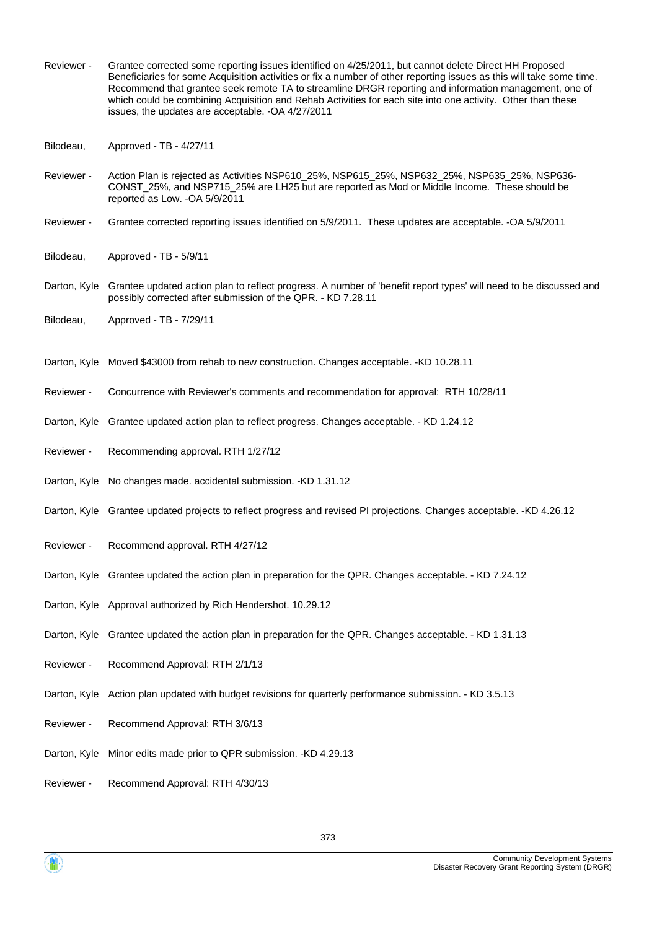- Grantee corrected some reporting issues identified on 4/25/2011, but cannot delete Direct HH Proposed Beneficiaries for some Acquisition activities or fix a number of other reporting issues as this will take some time. Recommend that grantee seek remote TA to streamline DRGR reporting and information management, one of which could be combining Acquisition and Rehab Activities for each site into one activity. Other than these issues, the updates are acceptable. -OA 4/27/2011 Reviewer -
- Bilodeau, Approved TB 4/27/11
- Action Plan is rejected as Activities NSP610\_25%, NSP615\_25%, NSP632\_25%, NSP635\_25%, NSP636- CONST\_25%, and NSP715\_25% are LH25 but are reported as Mod or Middle Income. These should be reported as Low. -OA 5/9/2011 Reviewer -
- Reviewer Grantee corrected reporting issues identified on 5/9/2011. These updates are acceptable. -OA 5/9/2011
- Bilodeau, Approved TB 5/9/11
- Darton, Kyle Grantee updated action plan to reflect progress. A number of 'benefit report types' will need to be discussed and possibly corrected after submission of the QPR. - KD 7.28.11
- Bilodeau, Approved TB 7/29/11
- Darton, Kyle Moved \$43000 from rehab to new construction. Changes acceptable. -KD 10.28.11
- Reviewer Concurrence with Reviewer's comments and recommendation for approval: RTH 10/28/11
- Darton, Kyle Grantee updated action plan to reflect progress. Changes acceptable. KD 1.24.12
- Reviewer Recommending approval. RTH 1/27/12
- Darton, Kyle No changes made. accidental submission. -KD 1.31.12
- Darton, Kyle Grantee updated projects to reflect progress and revised PI projections. Changes acceptable. -KD 4.26.12
- Reviewer Recommend approval. RTH 4/27/12
- Darton, Kyle Grantee updated the action plan in preparation for the QPR. Changes acceptable. KD 7.24.12
- Darton, Kyle Approval authorized by Rich Hendershot. 10.29.12
- Darton, Kyle Grantee updated the action plan in preparation for the QPR. Changes acceptable. KD 1.31.13
- Reviewer Recommend Approval: RTH 2/1/13
- Darton, Kyle Action plan updated with budget revisions for quarterly performance submission. KD 3.5.13
- Reviewer Recommend Approval: RTH 3/6/13
- Darton, Kyle Minor edits made prior to QPR submission. -KD 4.29.13
- Reviewer Recommend Approval: RTH 4/30/13

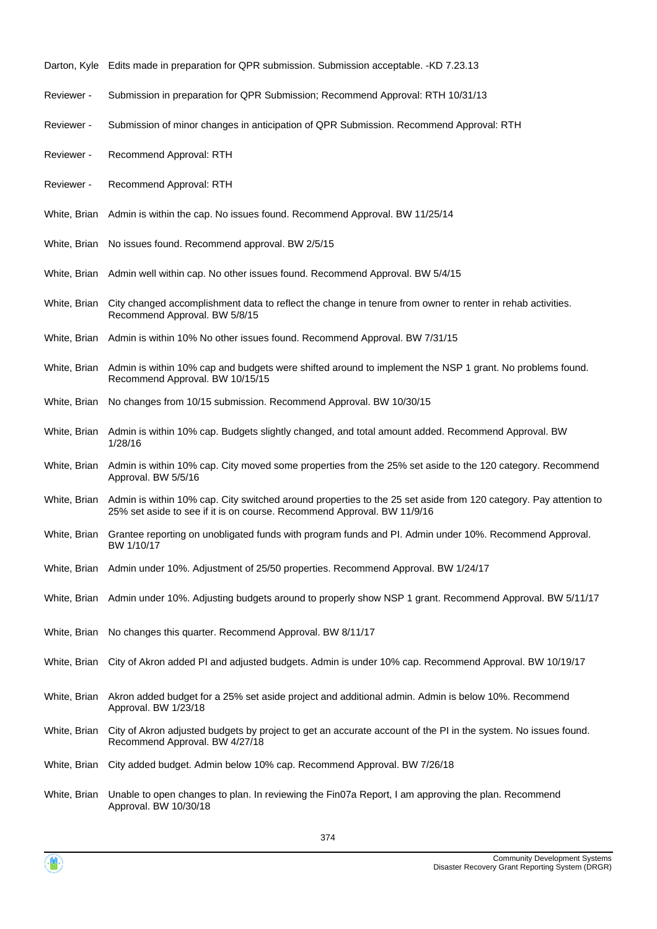- Darton, Kyle Edits made in preparation for QPR submission. Submission acceptable. -KD 7.23.13
- Reviewer Submission in preparation for QPR Submission; Recommend Approval: RTH 10/31/13
- Reviewer Submission of minor changes in anticipation of QPR Submission. Recommend Approval: RTH
- Reviewer Recommend Approval: RTH
- Reviewer Recommend Approval: RTH
- White, Brian Admin is within the cap. No issues found. Recommend Approval. BW 11/25/14
- White, Brian No issues found. Recommend approval. BW 2/5/15
- White, Brian Admin well within cap. No other issues found. Recommend Approval. BW 5/4/15
- White, Brian City changed accomplishment data to reflect the change in tenure from owner to renter in rehab activities. Recommend Approval. BW 5/8/15
- White, Brian Admin is within 10% No other issues found. Recommend Approval. BW 7/31/15
- White, Brian Admin is within 10% cap and budgets were shifted around to implement the NSP 1 grant. No problems found. Recommend Approval. BW 10/15/15
- White, Brian No changes from 10/15 submission. Recommend Approval. BW 10/30/15
- White, Brian Admin is within 10% cap. Budgets slightly changed, and total amount added. Recommend Approval. BW 1/28/16
- White, Brian Admin is within 10% cap. City moved some properties from the 25% set aside to the 120 category. Recommend Approval. BW 5/5/16
- White, Brian Admin is within 10% cap. City switched around properties to the 25 set aside from 120 category. Pay attention to 25% set aside to see if it is on course. Recommend Approval. BW 11/9/16
- White, Brian Grantee reporting on unobligated funds with program funds and PI. Admin under 10%. Recommend Approval. BW 1/10/17
- White, Brian Admin under 10%. Adjustment of 25/50 properties. Recommend Approval. BW 1/24/17
- White, Brian Admin under 10%. Adjusting budgets around to properly show NSP 1 grant. Recommend Approval. BW 5/11/17
- White, Brian No changes this quarter. Recommend Approval. BW 8/11/17
- White, Brian City of Akron added PI and adjusted budgets. Admin is under 10% cap. Recommend Approval. BW 10/19/17
- Akron added budget for a 25% set aside project and additional admin. Admin is below 10%. Recommend Approval. BW 1/23/18 White, Brian
- City of Akron adjusted budgets by project to get an accurate account of the PI in the system. No issues found. Recommend Approval. BW 4/27/18 White, Brian
- White, Brian City added budget. Admin below 10% cap. Recommend Approval. BW 7/26/18
- White, Brian Unable to open changes to plan. In reviewing the Fin07a Report, I am approving the plan. Recommend Approval. BW 10/30/18

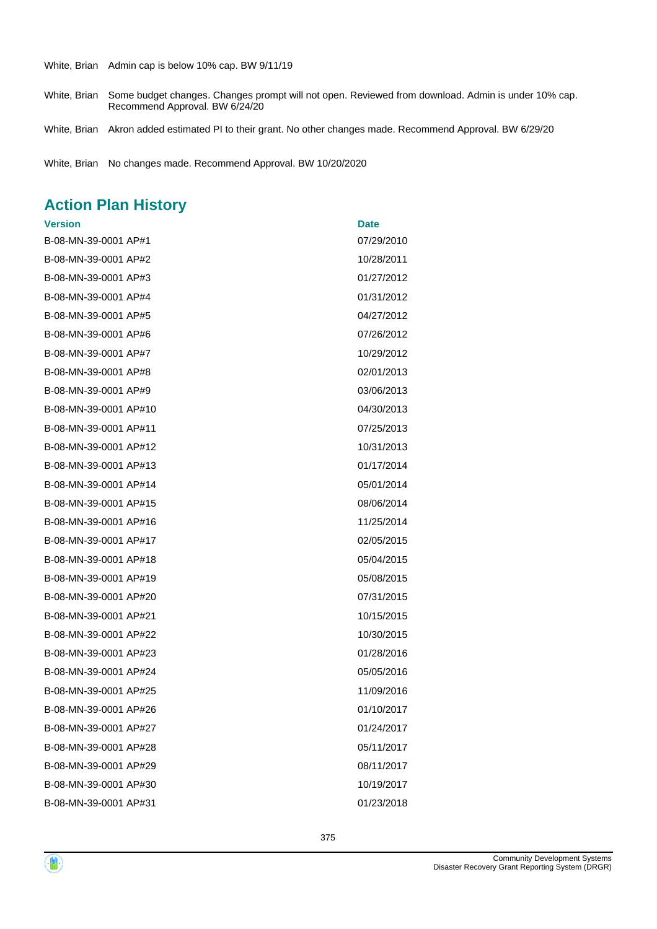White, Brian Admin cap is below 10% cap. BW 9/11/19

White, Brian Some budget changes. Changes prompt will not open. Reviewed from download. Admin is under 10% cap. Recommend Approval. BW 6/24/20

White, Brian Akron added estimated PI to their grant. No other changes made. Recommend Approval. BW 6/29/20

White, Brian No changes made. Recommend Approval. BW 10/20/2020

# **Action Plan History**

| <b>Version</b>        | <b>Date</b> |
|-----------------------|-------------|
| B-08-MN-39-0001 AP#1  | 07/29/2010  |
| B-08-MN-39-0001 AP#2  | 10/28/2011  |
| B-08-MN-39-0001 AP#3  | 01/27/2012  |
| B-08-MN-39-0001 AP#4  | 01/31/2012  |
| B-08-MN-39-0001 AP#5  | 04/27/2012  |
| B-08-MN-39-0001 AP#6  | 07/26/2012  |
| B-08-MN-39-0001 AP#7  | 10/29/2012  |
| B-08-MN-39-0001 AP#8  | 02/01/2013  |
| B-08-MN-39-0001 AP#9  | 03/06/2013  |
| B-08-MN-39-0001 AP#10 | 04/30/2013  |
| B-08-MN-39-0001 AP#11 | 07/25/2013  |
| B-08-MN-39-0001 AP#12 | 10/31/2013  |
| B-08-MN-39-0001 AP#13 | 01/17/2014  |
| B-08-MN-39-0001 AP#14 | 05/01/2014  |
| B-08-MN-39-0001 AP#15 | 08/06/2014  |
| B-08-MN-39-0001 AP#16 | 11/25/2014  |
| B-08-MN-39-0001 AP#17 | 02/05/2015  |
| B-08-MN-39-0001 AP#18 | 05/04/2015  |
| B-08-MN-39-0001 AP#19 | 05/08/2015  |
| B-08-MN-39-0001 AP#20 | 07/31/2015  |
| B-08-MN-39-0001 AP#21 | 10/15/2015  |
| B-08-MN-39-0001 AP#22 | 10/30/2015  |
| B-08-MN-39-0001 AP#23 | 01/28/2016  |
| B-08-MN-39-0001 AP#24 | 05/05/2016  |
| B-08-MN-39-0001 AP#25 | 11/09/2016  |
| B-08-MN-39-0001 AP#26 | 01/10/2017  |
| B-08-MN-39-0001 AP#27 | 01/24/2017  |
| B-08-MN-39-0001 AP#28 | 05/11/2017  |
| B-08-MN-39-0001 AP#29 | 08/11/2017  |
| B-08-MN-39-0001 AP#30 | 10/19/2017  |
| B-08-MN-39-0001 AP#31 | 01/23/2018  |